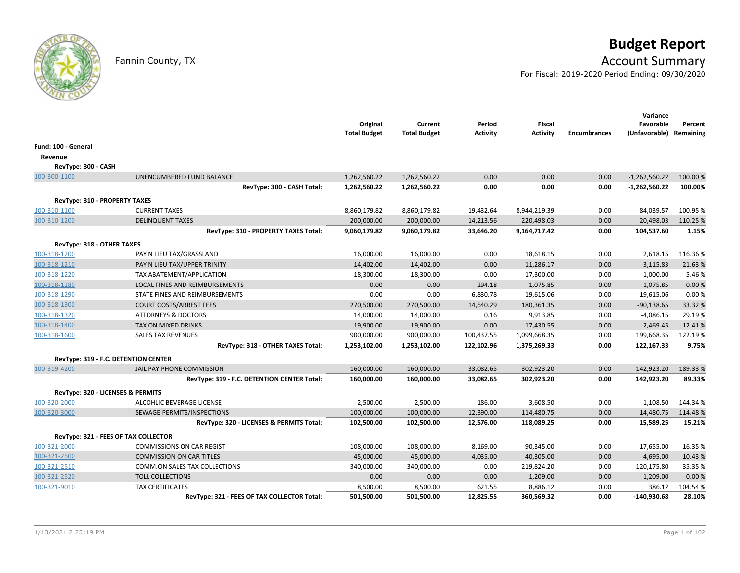

# **Budget Report**

## Fannin County, TX **Account Summary**

For Fiscal: 2019-2020 Period Ending: 09/30/2020

|                               |                                             | Original<br><b>Total Budget</b> | Current<br><b>Total Budget</b> | Period<br><b>Activity</b> | <b>Fiscal</b><br><b>Activity</b> | <b>Encumbrances</b> | Variance<br>Favorable<br>(Unfavorable) Remaining | Percent  |
|-------------------------------|---------------------------------------------|---------------------------------|--------------------------------|---------------------------|----------------------------------|---------------------|--------------------------------------------------|----------|
| Fund: 100 - General           |                                             |                                 |                                |                           |                                  |                     |                                                  |          |
| Revenue                       |                                             |                                 |                                |                           |                                  |                     |                                                  |          |
| RevType: 300 - CASH           |                                             |                                 |                                |                           |                                  |                     |                                                  |          |
| 100-300-1100                  | UNENCUMBERED FUND BALANCE                   | 1,262,560.22                    | 1,262,560.22                   | 0.00                      | 0.00                             | 0.00                | $-1,262,560.22$                                  | 100.00 % |
|                               | RevType: 300 - CASH Total:                  | 1,262,560.22                    | 1,262,560.22                   | 0.00                      | 0.00                             | 0.00                | $-1,262,560.22$                                  | 100.00%  |
| RevType: 310 - PROPERTY TAXES |                                             |                                 |                                |                           |                                  |                     |                                                  |          |
| 100-310-1100                  | <b>CURRENT TAXES</b>                        | 8,860,179.82                    | 8,860,179.82                   | 19,432.64                 | 8,944,219.39                     | 0.00                | 84,039.57                                        | 100.95 % |
| 100-310-1200                  | <b>DELINQUENT TAXES</b>                     | 200,000.00                      | 200,000.00                     | 14,213.56                 | 220,498.03                       | 0.00                | 20,498.03                                        | 110.25 % |
|                               | RevType: 310 - PROPERTY TAXES Total:        | 9,060,179.82                    | 9,060,179.82                   | 33,646.20                 | 9,164,717.42                     | 0.00                | 104,537.60                                       | 1.15%    |
| RevType: 318 - OTHER TAXES    |                                             |                                 |                                |                           |                                  |                     |                                                  |          |
| 100-318-1200                  | PAY N LIEU TAX/GRASSLAND                    | 16,000.00                       | 16,000.00                      | 0.00                      | 18,618.15                        | 0.00                | 2,618.15                                         | 116.36%  |
| 100-318-1210                  | PAY N LIEU TAX/UPPER TRINITY                | 14,402.00                       | 14,402.00                      | 0.00                      | 11,286.17                        | 0.00                | $-3,115.83$                                      | 21.63%   |
| 100-318-1220                  | TAX ABATEMENT/APPLICATION                   | 18,300.00                       | 18,300.00                      | 0.00                      | 17,300.00                        | 0.00                | $-1,000.00$                                      | 5.46 %   |
| 100-318-1280                  | LOCAL FINES AND REIMBURSEMENTS              | 0.00                            | 0.00                           | 294.18                    | 1,075.85                         | 0.00                | 1,075.85                                         | 0.00%    |
| 100-318-1290                  | STATE FINES AND REIMBURSEMENTS              | 0.00                            | 0.00                           | 6,830.78                  | 19,615.06                        | 0.00                | 19,615.06                                        | 0.00%    |
| 100-318-1300                  | <b>COURT COSTS/ARREST FEES</b>              | 270,500.00                      | 270,500.00                     | 14,540.29                 | 180,361.35                       | 0.00                | $-90,138.65$                                     | 33.32 %  |
| 100-318-1320                  | <b>ATTORNEYS &amp; DOCTORS</b>              | 14,000.00                       | 14,000.00                      | 0.16                      | 9,913.85                         | 0.00                | $-4,086.15$                                      | 29.19%   |
| 100-318-1400                  | TAX ON MIXED DRINKS                         | 19,900.00                       | 19,900.00                      | 0.00                      | 17,430.55                        | 0.00                | $-2,469.45$                                      | 12.41%   |
| 100-318-1600                  | <b>SALES TAX REVENUES</b>                   | 900,000.00                      | 900,000.00                     | 100,437.55                | 1,099,668.35                     | 0.00                | 199,668.35                                       | 122.19%  |
|                               | RevType: 318 - OTHER TAXES Total:           | 1,253,102.00                    | 1,253,102.00                   | 122,102.96                | 1,375,269.33                     | 0.00                | 122,167.33                                       | 9.75%    |
|                               | RevType: 319 - F.C. DETENTION CENTER        |                                 |                                |                           |                                  |                     |                                                  |          |
| 100-319-4200                  | JAIL PAY PHONE COMMISSION                   | 160,000.00                      | 160,000.00                     | 33,082.65                 | 302,923.20                       | 0.00                | 142,923.20                                       | 189.33%  |
|                               | RevType: 319 - F.C. DETENTION CENTER Total: | 160,000.00                      | 160,000.00                     | 33,082.65                 | 302,923.20                       | 0.00                | 142,923.20                                       | 89.33%   |
|                               | RevType: 320 - LICENSES & PERMITS           |                                 |                                |                           |                                  |                     |                                                  |          |
| 100-320-2000                  | ALCOHLIC BEVERAGE LICENSE                   | 2,500.00                        | 2,500.00                       | 186.00                    | 3,608.50                         | 0.00                | 1,108.50                                         | 144.34 % |
| 100-320-3000                  | SEWAGE PERMITS/INSPECTIONS                  | 100,000.00                      | 100,000.00                     | 12,390.00                 | 114,480.75                       | 0.00                | 14,480.75                                        | 114.48%  |
|                               | RevType: 320 - LICENSES & PERMITS Total:    | 102,500.00                      | 102,500.00                     | 12.576.00                 | 118,089.25                       | 0.00                | 15,589.25                                        | 15.21%   |
|                               | RevType: 321 - FEES OF TAX COLLECTOR        |                                 |                                |                           |                                  |                     |                                                  |          |
| 100-321-2000                  | <b>COMMISSIONS ON CAR REGIST</b>            | 108,000.00                      | 108,000.00                     | 8,169.00                  | 90,345.00                        | 0.00                | $-17,655.00$                                     | 16.35 %  |
| 100-321-2500                  | <b>COMMISSION ON CAR TITLES</b>             | 45,000.00                       | 45,000.00                      | 4,035.00                  | 40,305.00                        | 0.00                | $-4,695.00$                                      | 10.43 %  |
| 100-321-2510                  | COMM.ON SALES TAX COLLECTIONS               | 340,000.00                      | 340,000.00                     | 0.00                      | 219,824.20                       | 0.00                | $-120,175.80$                                    | 35.35 %  |
| 100-321-2520                  | <b>TOLL COLLECTIONS</b>                     | 0.00                            | 0.00                           | 0.00                      | 1,209.00                         | 0.00                | 1,209.00                                         | 0.00%    |
| 100-321-9010                  | <b>TAX CERTIFICATES</b>                     | 8,500.00                        | 8,500.00                       | 621.55                    | 8,886.12                         | 0.00                | 386.12                                           | 104.54%  |
|                               | RevType: 321 - FEES OF TAX COLLECTOR Total: | 501,500.00                      | 501,500.00                     | 12,825.55                 | 360,569.32                       | 0.00                | $-140,930.68$                                    | 28.10%   |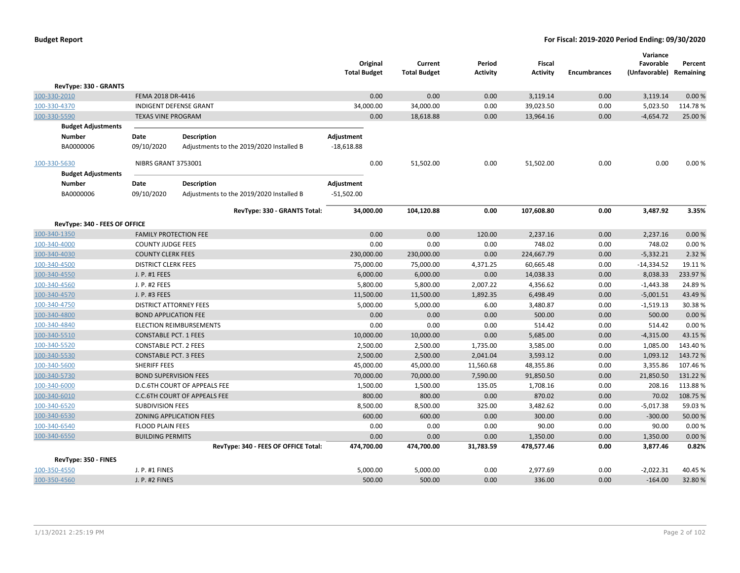|                               |                               |                                          | Original            |      | Current             | Period          | Fiscal          |                     | Variance<br>Favorable | Percent   |
|-------------------------------|-------------------------------|------------------------------------------|---------------------|------|---------------------|-----------------|-----------------|---------------------|-----------------------|-----------|
|                               |                               |                                          | <b>Total Budget</b> |      | <b>Total Budget</b> | <b>Activity</b> | <b>Activity</b> | <b>Encumbrances</b> | (Unfavorable)         | Remaining |
| RevType: 330 - GRANTS         |                               |                                          |                     |      |                     |                 |                 |                     |                       |           |
| 100-330-2010                  | FEMA 2018 DR-4416             |                                          |                     | 0.00 | 0.00                | 0.00            | 3,119.14        | 0.00                | 3,119.14              | 0.00%     |
| 100-330-4370                  | INDIGENT DEFENSE GRANT        |                                          | 34,000.00           |      | 34,000.00           | 0.00            | 39,023.50       | 0.00                | 5,023.50              | 114.78%   |
| 100-330-5590                  | <b>TEXAS VINE PROGRAM</b>     |                                          |                     | 0.00 | 18,618.88           | 0.00            | 13,964.16       | 0.00                | $-4,654.72$           | 25.00 %   |
| <b>Budget Adjustments</b>     |                               |                                          |                     |      |                     |                 |                 |                     |                       |           |
| <b>Number</b>                 | Date                          | <b>Description</b>                       | Adjustment          |      |                     |                 |                 |                     |                       |           |
| BA0000006                     | 09/10/2020                    | Adjustments to the 2019/2020 Installed B | $-18,618.88$        |      |                     |                 |                 |                     |                       |           |
| 100-330-5630                  | NIBRS GRANT 3753001           |                                          |                     | 0.00 | 51,502.00           | 0.00            | 51,502.00       | 0.00                | 0.00                  | 0.00%     |
| <b>Budget Adjustments</b>     |                               |                                          |                     |      |                     |                 |                 |                     |                       |           |
| <b>Number</b>                 | Date                          | <b>Description</b>                       | Adjustment          |      |                     |                 |                 |                     |                       |           |
| BA0000006                     | 09/10/2020                    | Adjustments to the 2019/2020 Installed B | $-51,502.00$        |      |                     |                 |                 |                     |                       |           |
|                               |                               | RevType: 330 - GRANTS Total:             | 34,000.00           |      | 104,120.88          | 0.00            | 107,608.80      | 0.00                | 3,487.92              | 3.35%     |
| RevType: 340 - FEES OF OFFICE |                               |                                          |                     |      |                     |                 |                 |                     |                       |           |
| 100-340-1350                  | <b>FAMILY PROTECTION FEE</b>  |                                          |                     | 0.00 | 0.00                | 120.00          | 2,237.16        | 0.00                | 2,237.16              | 0.00%     |
| 100-340-4000                  | <b>COUNTY JUDGE FEES</b>      |                                          |                     | 0.00 | 0.00                | 0.00            | 748.02          | 0.00                | 748.02                | 0.00%     |
| 100-340-4030                  | <b>COUNTY CLERK FEES</b>      |                                          | 230,000.00          |      | 230,000.00          | 0.00            | 224,667.79      | 0.00                | $-5,332.21$           | 2.32 %    |
| 100-340-4500                  | <b>DISTRICT CLERK FEES</b>    |                                          | 75,000.00           |      | 75,000.00           | 4,371.25        | 60,665.48       | 0.00                | $-14,334.52$          | 19.11%    |
| 100-340-4550                  | J. P. #1 FEES                 |                                          | 6,000.00            |      | 6,000.00            | 0.00            | 14,038.33       | 0.00                | 8,038.33              | 233.97%   |
| 100-340-4560                  | J. P. #2 FEES                 |                                          | 5,800.00            |      | 5,800.00            | 2,007.22        | 4,356.62        | 0.00                | $-1,443.38$           | 24.89%    |
| 100-340-4570                  | J. P. #3 FEES                 |                                          | 11,500.00           |      | 11,500.00           | 1,892.35        | 6,498.49        | 0.00                | $-5,001.51$           | 43.49%    |
| 100-340-4750                  | <b>DISTRICT ATTORNEY FEES</b> |                                          | 5,000.00            |      | 5,000.00            | 6.00            | 3,480.87        | 0.00                | $-1,519.13$           | 30.38%    |
| 100-340-4800                  | <b>BOND APPLICATION FEE</b>   |                                          |                     | 0.00 | 0.00                | 0.00            | 500.00          | 0.00                | 500.00                | 0.00%     |
| 100-340-4840                  |                               | <b>ELECTION REIMBURSEMENTS</b>           |                     | 0.00 | 0.00                | 0.00            | 514.42          | 0.00                | 514.42                | 0.00%     |
| 100-340-5510                  | <b>CONSTABLE PCT. 1 FEES</b>  |                                          | 10,000.00           |      | 10,000.00           | 0.00            | 5,685.00        | 0.00                | $-4,315.00$           | 43.15%    |
| 100-340-5520                  | <b>CONSTABLE PCT. 2 FEES</b>  |                                          | 2,500.00            |      | 2,500.00            | 1,735.00        | 3,585.00        | 0.00                | 1,085.00              | 143.40%   |
| 100-340-5530                  | <b>CONSTABLE PCT. 3 FEES</b>  |                                          | 2,500.00            |      | 2,500.00            | 2,041.04        | 3,593.12        | 0.00                | 1,093.12              | 143.72%   |
| 100-340-5600                  | <b>SHERIFF FEES</b>           |                                          | 45,000.00           |      | 45,000.00           | 11,560.68       | 48,355.86       | 0.00                | 3,355.86              | 107.46%   |
| 100-340-5730                  | <b>BOND SUPERVISION FEES</b>  |                                          | 70,000.00           |      | 70,000.00           | 7,590.00        | 91,850.50       | 0.00                | 21,850.50             | 131.22 %  |
| 100-340-6000                  |                               | <b>D.C.6TH COURT OF APPEALS FEE</b>      | 1,500.00            |      | 1,500.00            | 135.05          | 1,708.16        | 0.00                | 208.16                | 113.88%   |
| 100-340-6010                  |                               | C.C.6TH COURT OF APPEALS FEE             | 800.00              |      | 800.00              | 0.00            | 870.02          | 0.00                | 70.02                 | 108.75%   |
| 100-340-6520                  | <b>SUBDIVISION FEES</b>       |                                          | 8,500.00            |      | 8,500.00            | 325.00          | 3,482.62        | 0.00                | $-5,017.38$           | 59.03%    |
| 100-340-6530                  |                               | <b>ZONING APPLICATION FEES</b>           | 600.00              |      | 600.00              | 0.00            | 300.00          | 0.00                | $-300.00$             | 50.00 %   |
| 100-340-6540                  | <b>FLOOD PLAIN FEES</b>       |                                          |                     | 0.00 | 0.00                | 0.00            | 90.00           | 0.00                | 90.00                 | 0.00%     |
| 100-340-6550                  | <b>BUILDING PERMITS</b>       |                                          |                     | 0.00 | 0.00                | 0.00            | 1,350.00        | 0.00                | 1,350.00              | 0.00%     |
|                               |                               | RevType: 340 - FEES OF OFFICE Total:     | 474,700.00          |      | 474,700.00          | 31,783.59       | 478,577.46      | 0.00                | 3,877.46              | 0.82%     |
| RevType: 350 - FINES          |                               |                                          |                     |      |                     |                 |                 |                     |                       |           |
| 100-350-4550                  | J. P. #1 FINES                |                                          | 5,000.00            |      | 5,000.00            | 0.00            | 2,977.69        | 0.00                | $-2,022.31$           | 40.45%    |
| 100-350-4560                  | J. P. #2 FINES                |                                          | 500.00              |      | 500.00              | 0.00            | 336.00          | 0.00                | $-164.00$             | 32.80%    |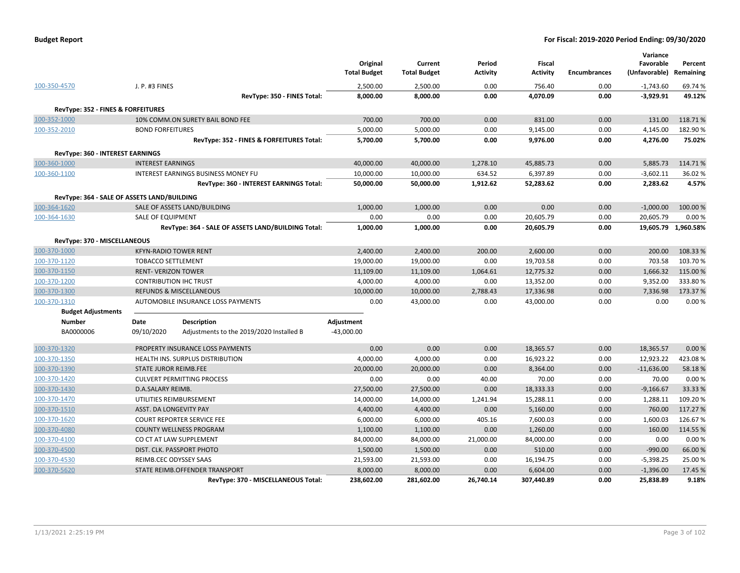| <b>Budget Report</b> |  |
|----------------------|--|
|----------------------|--|

|                                               |                                             |                                                    | Original<br><b>Total Budget</b> | Current<br><b>Total Budget</b> | Period<br><b>Activity</b> | <b>Fiscal</b><br><b>Activity</b> | <b>Encumbrances</b> | Variance<br>Favorable<br>(Unfavorable) | Percent<br>Remaining |
|-----------------------------------------------|---------------------------------------------|----------------------------------------------------|---------------------------------|--------------------------------|---------------------------|----------------------------------|---------------------|----------------------------------------|----------------------|
| 100-350-4570                                  | J. P. #3 FINES                              |                                                    | 2,500.00                        | 2,500.00                       | 0.00                      | 756.40                           | 0.00                | $-1,743.60$                            | 69.74 %              |
|                                               |                                             | RevType: 350 - FINES Total:                        | 8,000.00                        | 8,000.00                       | 0.00                      | 4,070.09                         | 0.00                | $-3,929.91$                            | 49.12%               |
| <b>RevType: 352 - FINES &amp; FORFEITURES</b> |                                             |                                                    |                                 |                                |                           |                                  |                     |                                        |                      |
| 100-352-1000                                  |                                             | 10% COMM.ON SURETY BAIL BOND FEE                   | 700.00                          | 700.00                         | 0.00                      | 831.00                           | 0.00                | 131.00                                 | 118.71%              |
| 100-352-2010                                  | <b>BOND FORFEITURES</b>                     |                                                    | 5,000.00                        | 5,000.00                       | 0.00                      | 9,145.00                         | 0.00                | 4,145.00                               | 182.90%              |
|                                               |                                             | RevType: 352 - FINES & FORFEITURES Total:          | 5,700.00                        | 5,700.00                       | 0.00                      | 9,976.00                         | 0.00                | 4,276.00                               | 75.02%               |
| RevType: 360 - INTEREST EARNINGS              |                                             |                                                    |                                 |                                |                           |                                  |                     |                                        |                      |
| 100-360-1000                                  | <b>INTEREST EARNINGS</b>                    |                                                    | 40,000.00                       | 40,000.00                      | 1,278.10                  | 45,885.73                        | 0.00                | 5,885.73                               | 114.71%              |
| 100-360-1100                                  |                                             | <b>INTEREST EARNINGS BUSINESS MONEY FU</b>         | 10,000.00                       | 10,000.00                      | 634.52                    | 6,397.89                         | 0.00                | $-3,602.11$                            | 36.02%               |
|                                               |                                             | RevType: 360 - INTEREST EARNINGS Total:            | 50,000.00                       | 50,000.00                      | 1,912.62                  | 52,283.62                        | 0.00                | 2,283.62                               | 4.57%                |
|                                               | RevType: 364 - SALE OF ASSETS LAND/BUILDING |                                                    |                                 |                                |                           |                                  |                     |                                        |                      |
| 100-364-1620                                  |                                             | SALE OF ASSETS LAND/BUILDING                       | 1,000.00                        | 1,000.00                       | 0.00                      | 0.00                             | 0.00                | $-1,000.00$                            | 100.00%              |
| 100-364-1630                                  | SALE OF EQUIPMENT                           |                                                    | 0.00                            | 0.00                           | 0.00                      | 20,605.79                        | 0.00                | 20,605.79                              | 0.00%                |
|                                               |                                             | RevType: 364 - SALE OF ASSETS LAND/BUILDING Total: | 1,000.00                        | 1,000.00                       | 0.00                      | 20,605.79                        | 0.00                |                                        | 19,605.79 1,960.58%  |
| RevType: 370 - MISCELLANEOUS                  |                                             |                                                    |                                 |                                |                           |                                  |                     |                                        |                      |
| 100-370-1000                                  |                                             | <b>KFYN-RADIO TOWER RENT</b>                       | 2,400.00                        | 2,400.00                       | 200.00                    | 2,600.00                         | 0.00                | 200.00                                 | 108.33%              |
| 100-370-1120                                  | <b>TOBACCO SETTLEMENT</b>                   |                                                    | 19,000.00                       | 19,000.00                      | 0.00                      | 19,703.58                        | 0.00                | 703.58                                 | 103.70%              |
| 100-370-1150                                  | <b>RENT- VERIZON TOWER</b>                  |                                                    | 11,109.00                       | 11,109.00                      | 1,064.61                  | 12,775.32                        | 0.00                | 1,666.32                               | 115.00 %             |
| 100-370-1200                                  |                                             | <b>CONTRIBUTION IHC TRUST</b>                      | 4,000.00                        | 4,000.00                       | 0.00                      | 13,352.00                        | 0.00                | 9,352.00                               | 333.80%              |
| 100-370-1300                                  |                                             | <b>REFUNDS &amp; MISCELLANEOUS</b>                 | 10,000.00                       | 10,000.00                      | 2,788.43                  | 17,336.98                        | 0.00                | 7,336.98                               | 173.37%              |
| 100-370-1310                                  |                                             | AUTOMOBILE INSURANCE LOSS PAYMENTS                 | 0.00                            | 43,000.00                      | 0.00                      | 43,000.00                        | 0.00                | 0.00                                   | 0.00%                |
| <b>Budget Adjustments</b>                     |                                             |                                                    |                                 |                                |                           |                                  |                     |                                        |                      |
| Number                                        | Date                                        | <b>Description</b>                                 | Adjustment                      |                                |                           |                                  |                     |                                        |                      |
| BA0000006                                     | 09/10/2020                                  | Adjustments to the 2019/2020 Installed B           | $-43,000.00$                    |                                |                           |                                  |                     |                                        |                      |
| 100-370-1320                                  |                                             | PROPERTY INSURANCE LOSS PAYMENTS                   | 0.00                            | 0.00                           | 0.00                      | 18,365.57                        | 0.00                | 18,365.57                              | 0.00%                |
| 100-370-1350                                  |                                             | HEALTH INS. SURPLUS DISTRIBUTION                   | 4,000.00                        | 4,000.00                       | 0.00                      | 16,923.22                        | 0.00                | 12,923.22                              | 423.08%              |
| 100-370-1390                                  | STATE JUROR REIMB.FEE                       |                                                    | 20,000.00                       | 20,000.00                      | 0.00                      | 8,364.00                         | 0.00                | $-11,636.00$                           | 58.18%               |
| 100-370-1420                                  |                                             | <b>CULVERT PERMITTING PROCESS</b>                  | 0.00                            | 0.00                           | 40.00                     | 70.00                            | 0.00                | 70.00                                  | 0.00%                |
| 100-370-1430                                  | D.A.SALARY REIMB.                           |                                                    | 27,500.00                       | 27,500.00                      | 0.00                      | 18,333.33                        | 0.00                | $-9,166.67$                            | 33.33 %              |
| 100-370-1470                                  |                                             | UTILITIES REIMBURSEMENT                            | 14,000.00                       | 14,000.00                      | 1,241.94                  | 15,288.11                        | 0.00                | 1,288.11                               | 109.20%              |
| 100-370-1510                                  | ASST. DA LONGEVITY PAY                      |                                                    | 4,400.00                        | 4,400.00                       | 0.00                      | 5,160.00                         | 0.00                | 760.00                                 | 117.27 %             |
| 100-370-1620                                  |                                             | <b>COURT REPORTER SERVICE FEE</b>                  | 6,000.00                        | 6,000.00                       | 405.16                    | 7,600.03                         | 0.00                | 1,600.03                               | 126.67%              |
| 100-370-4080                                  |                                             | <b>COUNTY WELLNESS PROGRAM</b>                     | 1,100.00                        | 1,100.00                       | 0.00                      | 1,260.00                         | 0.00                | 160.00                                 | 114.55 %             |
| 100-370-4100                                  |                                             | CO CT AT LAW SUPPLEMENT                            | 84,000.00                       | 84,000.00                      | 21,000.00                 | 84,000.00                        | 0.00                | 0.00                                   | 0.00%                |
| 100-370-4500                                  |                                             | DIST. CLK. PASSPORT PHOTO                          | 1,500.00                        | 1,500.00                       | 0.00                      | 510.00                           | 0.00                | $-990.00$                              | 66.00%               |
| 100-370-4530                                  | REIMB.CEC ODYSSEY SAAS                      |                                                    | 21,593.00                       | 21,593.00                      | 0.00                      | 16,194.75                        | 0.00                | $-5,398.25$                            | 25.00%               |
| 100-370-5620                                  |                                             | STATE REIMB.OFFENDER TRANSPORT                     | 8,000.00                        | 8,000.00                       | 0.00                      | 6,604.00                         | 0.00                | $-1,396.00$                            | 17.45 %              |
|                                               |                                             | RevType: 370 - MISCELLANEOUS Total:                | 238,602.00                      | 281,602.00                     | 26,740.14                 | 307,440.89                       | 0.00                | 25,838.89                              | 9.18%                |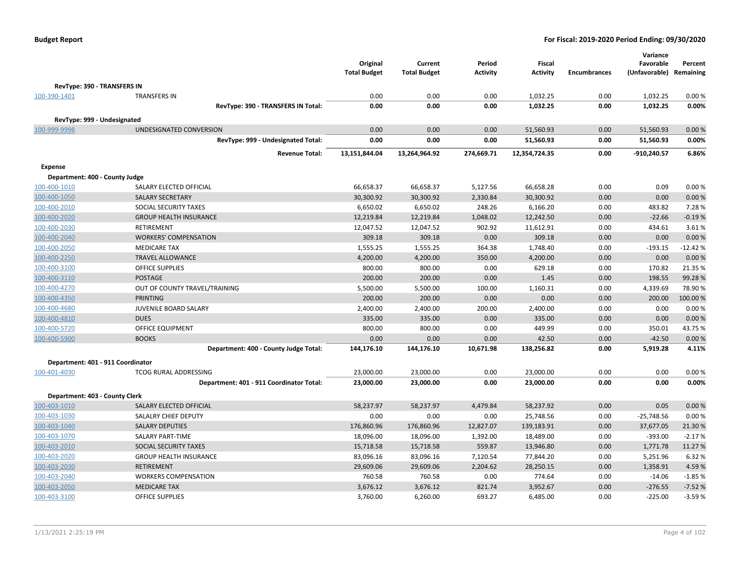| <b>Budget Report</b> |  |
|----------------------|--|
|----------------------|--|

|                                   |                                          |                     |                     |                 |                 |                     | Variance      |           |
|-----------------------------------|------------------------------------------|---------------------|---------------------|-----------------|-----------------|---------------------|---------------|-----------|
|                                   |                                          | Original            | Current             | Period          | <b>Fiscal</b>   |                     | Favorable     | Percent   |
|                                   |                                          | <b>Total Budget</b> | <b>Total Budget</b> | <b>Activity</b> | <b>Activity</b> | <b>Encumbrances</b> | (Unfavorable) | Remaining |
| RevType: 390 - TRANSFERS IN       |                                          |                     |                     |                 |                 |                     |               |           |
| 100-390-1401                      | <b>TRANSFERS IN</b>                      | 0.00                | 0.00                | 0.00            | 1,032.25        | 0.00                | 1,032.25      | 0.00%     |
|                                   | RevType: 390 - TRANSFERS IN Total:       | 0.00                | 0.00                | 0.00            | 1,032.25        | 0.00                | 1,032.25      | 0.00%     |
| RevType: 999 - Undesignated       |                                          |                     |                     |                 |                 |                     |               |           |
| 100-999-9998                      | UNDESIGNATED CONVERSION                  | 0.00                | 0.00                | 0.00            | 51,560.93       | 0.00                | 51,560.93     | 0.00%     |
|                                   | RevType: 999 - Undesignated Total:       | 0.00                | 0.00                | 0.00            | 51,560.93       | 0.00                | 51,560.93     | 0.00%     |
|                                   | <b>Revenue Total:</b>                    | 13,151,844.04       | 13,264,964.92       | 274,669.71      | 12,354,724.35   | 0.00                | $-910,240.57$ | 6.86%     |
| <b>Expense</b>                    |                                          |                     |                     |                 |                 |                     |               |           |
| Department: 400 - County Judge    |                                          |                     |                     |                 |                 |                     |               |           |
| 100-400-1010                      | SALARY ELECTED OFFICIAL                  | 66,658.37           | 66,658.37           | 5,127.56        | 66,658.28       | 0.00                | 0.09          | 0.00%     |
| 100-400-1050                      | <b>SALARY SECRETARY</b>                  | 30,300.92           | 30,300.92           | 2,330.84        | 30,300.92       | 0.00                | 0.00          | 0.00%     |
| 100-400-2010                      | SOCIAL SECURITY TAXES                    | 6,650.02            | 6,650.02            | 248.26          | 6,166.20        | 0.00                | 483.82        | 7.28%     |
| 100-400-2020                      | <b>GROUP HEALTH INSURANCE</b>            | 12,219.84           | 12,219.84           | 1,048.02        | 12,242.50       | 0.00                | $-22.66$      | $-0.19%$  |
| 100-400-2030                      | <b>RETIREMENT</b>                        | 12,047.52           | 12,047.52           | 902.92          | 11,612.91       | 0.00                | 434.61        | 3.61%     |
| 100-400-2040                      | <b>WORKERS' COMPENSATION</b>             | 309.18              | 309.18              | 0.00            | 309.18          | 0.00                | 0.00          | 0.00%     |
| 100-400-2050                      | <b>MEDICARE TAX</b>                      | 1,555.25            | 1,555.25            | 364.38          | 1,748.40        | 0.00                | $-193.15$     | $-12.42%$ |
| 100-400-2250                      | <b>TRAVEL ALLOWANCE</b>                  | 4,200.00            | 4,200.00            | 350.00          | 4,200.00        | 0.00                | 0.00          | 0.00%     |
| 100-400-3100                      | <b>OFFICE SUPPLIES</b>                   | 800.00              | 800.00              | 0.00            | 629.18          | 0.00                | 170.82        | 21.35 %   |
| 100-400-3110                      | <b>POSTAGE</b>                           | 200.00              | 200.00              | 0.00            | 1.45            | 0.00                | 198.55        | 99.28%    |
| 100-400-4270                      | OUT OF COUNTY TRAVEL/TRAINING            | 5,500.00            | 5,500.00            | 100.00          | 1,160.31        | 0.00                | 4,339.69      | 78.90%    |
| 100-400-4350                      | <b>PRINTING</b>                          | 200.00              | 200.00              | 0.00            | 0.00            | 0.00                | 200.00        | 100.00 %  |
| 100-400-4680                      | JUVENILE BOARD SALARY                    | 2,400.00            | 2,400.00            | 200.00          | 2,400.00        | 0.00                | 0.00          | 0.00%     |
| 100-400-4810                      | <b>DUES</b>                              | 335.00              | 335.00              | 0.00            | 335.00          | 0.00                | 0.00          | 0.00%     |
| 100-400-5720                      | <b>OFFICE EQUIPMENT</b>                  | 800.00              | 800.00              | 0.00            | 449.99          | 0.00                | 350.01        | 43.75%    |
| 100-400-5900                      | <b>BOOKS</b>                             | 0.00                | 0.00                | 0.00            | 42.50           | 0.00                | $-42.50$      | 0.00%     |
|                                   | Department: 400 - County Judge Total:    | 144,176.10          | 144,176.10          | 10,671.98       | 138,256.82      | 0.00                | 5,919.28      | 4.11%     |
| Department: 401 - 911 Coordinator |                                          |                     |                     |                 |                 |                     |               |           |
| 100-401-4030                      | <b>TCOG RURAL ADDRESSING</b>             | 23,000.00           | 23,000.00           | 0.00            | 23,000.00       | 0.00                | 0.00          | 0.00%     |
|                                   | Department: 401 - 911 Coordinator Total: | 23,000.00           | 23,000.00           | 0.00            | 23,000.00       | 0.00                | 0.00          | 0.00%     |
| Department: 403 - County Clerk    |                                          |                     |                     |                 |                 |                     |               |           |
| 100-403-1010                      | SALARY ELECTED OFFICIAL                  | 58,237.97           | 58,237.97           | 4,479.84        | 58,237.92       | 0.00                | 0.05          | 0.00%     |
| 100-403-1030                      | SALALRY CHIEF DEPUTY                     | 0.00                | 0.00                | 0.00            | 25,748.56       | 0.00                | $-25,748.56$  | 0.00%     |
| 100-403-1040                      | <b>SALARY DEPUTIES</b>                   | 176,860.96          | 176,860.96          | 12,827.07       | 139,183.91      | 0.00                | 37,677.05     | 21.30%    |
| 100-403-1070                      | <b>SALARY PART-TIME</b>                  | 18,096.00           | 18,096.00           | 1,392.00        | 18,489.00       | 0.00                | $-393.00$     | $-2.17%$  |
| 100-403-2010                      | SOCIAL SECURITY TAXES                    | 15,718.58           | 15,718.58           | 559.87          | 13,946.80       | 0.00                | 1,771.78      | 11.27%    |
| 100-403-2020                      | <b>GROUP HEALTH INSURANCE</b>            | 83,096.16           | 83,096.16           | 7,120.54        | 77,844.20       | 0.00                | 5,251.96      | 6.32%     |
| 100-403-2030                      | <b>RETIREMENT</b>                        | 29,609.06           | 29,609.06           | 2,204.62        | 28,250.15       | 0.00                | 1,358.91      | 4.59%     |
| 100-403-2040                      | <b>WORKERS COMPENSATION</b>              | 760.58              | 760.58              | 0.00            | 774.64          | 0.00                | $-14.06$      | $-1.85%$  |
| 100-403-2050                      | <b>MEDICARE TAX</b>                      | 3,676.12            | 3,676.12            | 821.74          | 3,952.67        | 0.00                | $-276.55$     | $-7.52%$  |
| 100-403-3100                      | <b>OFFICE SUPPLIES</b>                   | 3,760.00            | 6,260.00            | 693.27          | 6,485.00        | 0.00                | $-225.00$     | $-3.59%$  |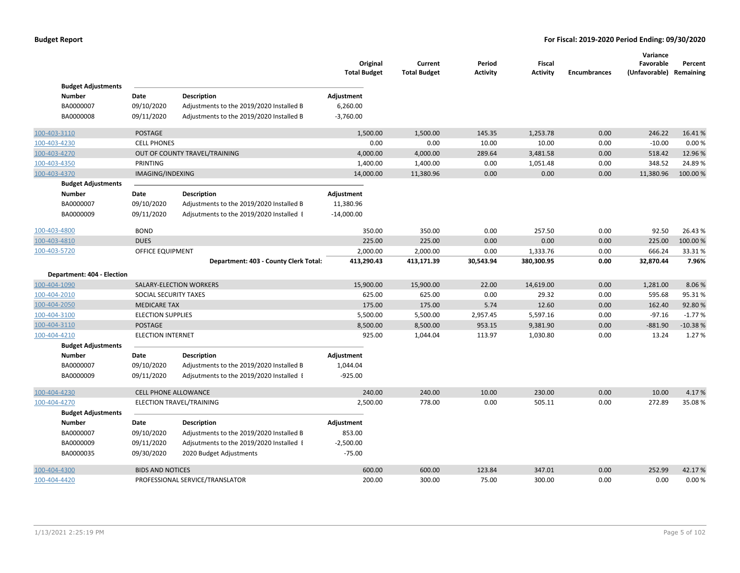|                                            |                             |                                                                                      | Original<br><b>Total Budget</b> | Current<br><b>Total Budget</b> | Period<br><b>Activity</b> | Fiscal<br><b>Activity</b> | <b>Encumbrances</b> | Variance<br>Favorable<br>(Unfavorable) Remaining | Percent   |
|--------------------------------------------|-----------------------------|--------------------------------------------------------------------------------------|---------------------------------|--------------------------------|---------------------------|---------------------------|---------------------|--------------------------------------------------|-----------|
| <b>Budget Adjustments</b><br><b>Number</b> |                             |                                                                                      |                                 |                                |                           |                           |                     |                                                  |           |
| BA0000007                                  | Date                        | <b>Description</b>                                                                   | Adjustment                      |                                |                           |                           |                     |                                                  |           |
| BA0000008                                  | 09/10/2020<br>09/11/2020    | Adjustments to the 2019/2020 Installed B<br>Adjustments to the 2019/2020 Installed B | 6,260.00<br>$-3,760.00$         |                                |                           |                           |                     |                                                  |           |
|                                            |                             |                                                                                      |                                 |                                |                           |                           |                     |                                                  |           |
| 100-403-3110                               | <b>POSTAGE</b>              |                                                                                      | 1,500.00                        | 1,500.00                       | 145.35                    | 1,253.78                  | 0.00                | 246.22                                           | 16.41%    |
| 100-403-4230                               | <b>CELL PHONES</b>          |                                                                                      | 0.00                            | 0.00                           | 10.00                     | 10.00                     | 0.00                | $-10.00$                                         | 0.00%     |
| 100-403-4270                               |                             | OUT OF COUNTY TRAVEL/TRAINING                                                        | 4,000.00                        | 4,000.00                       | 289.64                    | 3,481.58                  | 0.00                | 518.42                                           | 12.96 %   |
| 100-403-4350                               | <b>PRINTING</b>             |                                                                                      | 1,400.00                        | 1,400.00                       | 0.00                      | 1,051.48                  | 0.00                | 348.52                                           | 24.89%    |
| 100-403-4370                               | IMAGING/INDEXING            |                                                                                      | 14,000.00                       | 11,380.96                      | 0.00                      | 0.00                      | 0.00                | 11,380.96                                        | 100.00 %  |
| <b>Budget Adjustments</b>                  |                             |                                                                                      |                                 |                                |                           |                           |                     |                                                  |           |
| <b>Number</b>                              | Date                        | <b>Description</b>                                                                   | Adjustment                      |                                |                           |                           |                     |                                                  |           |
| BA0000007                                  | 09/10/2020                  | Adjustments to the 2019/2020 Installed B                                             | 11,380.96                       |                                |                           |                           |                     |                                                  |           |
| BA0000009                                  | 09/11/2020                  | Adjsutments to the 2019/2020 Installed I                                             | $-14,000.00$                    |                                |                           |                           |                     |                                                  |           |
| 100-403-4800                               | <b>BOND</b>                 |                                                                                      | 350.00                          | 350.00                         | 0.00                      | 257.50                    | 0.00                | 92.50                                            | 26.43%    |
| 100-403-4810                               | <b>DUES</b>                 |                                                                                      | 225.00                          | 225.00                         | 0.00                      | 0.00                      | 0.00                | 225.00                                           | 100.00%   |
| 100-403-5720                               | OFFICE EQUIPMENT            |                                                                                      | 2,000.00                        | 2,000.00                       | 0.00                      | 1,333.76                  | 0.00                | 666.24                                           | 33.31%    |
|                                            |                             | Department: 403 - County Clerk Total:                                                | 413,290.43                      | 413,171.39                     | 30,543.94                 | 380,300.95                | 0.00                | 32,870.44                                        | 7.96%     |
| Department: 404 - Election                 |                             |                                                                                      |                                 |                                |                           |                           |                     |                                                  |           |
| 100-404-1090                               |                             | SALARY-ELECTION WORKERS                                                              | 15,900.00                       | 15,900.00                      | 22.00                     | 14,619.00                 | 0.00                | 1,281.00                                         | 8.06%     |
| 100-404-2010                               | SOCIAL SECURITY TAXES       |                                                                                      | 625.00                          | 625.00                         | 0.00                      | 29.32                     | 0.00                | 595.68                                           | 95.31%    |
| 100-404-2050                               | <b>MEDICARE TAX</b>         |                                                                                      | 175.00                          | 175.00                         | 5.74                      | 12.60                     | 0.00                | 162.40                                           | 92.80%    |
| 100-404-3100                               | <b>ELECTION SUPPLIES</b>    |                                                                                      | 5,500.00                        | 5,500.00                       | 2,957.45                  | 5,597.16                  | 0.00                | $-97.16$                                         | $-1.77%$  |
| 100-404-3110                               | <b>POSTAGE</b>              |                                                                                      | 8,500.00                        | 8,500.00                       | 953.15                    | 9,381.90                  | 0.00                | $-881.90$                                        | $-10.38%$ |
| 100-404-4210                               | <b>ELECTION INTERNET</b>    |                                                                                      | 925.00                          | 1,044.04                       | 113.97                    | 1,030.80                  | 0.00                | 13.24                                            | 1.27%     |
| <b>Budget Adjustments</b>                  |                             |                                                                                      |                                 |                                |                           |                           |                     |                                                  |           |
| <b>Number</b>                              | Date                        | <b>Description</b>                                                                   | Adjustment                      |                                |                           |                           |                     |                                                  |           |
| BA0000007                                  | 09/10/2020                  | Adjustments to the 2019/2020 Installed B                                             | 1,044.04                        |                                |                           |                           |                     |                                                  |           |
| BA0000009                                  | 09/11/2020                  | Adjsutments to the 2019/2020 Installed I                                             | $-925.00$                       |                                |                           |                           |                     |                                                  |           |
| 100-404-4230                               | <b>CELL PHONE ALLOWANCE</b> |                                                                                      | 240.00                          | 240.00                         | 10.00                     | 230.00                    | 0.00                | 10.00                                            | 4.17%     |
| 100-404-4270                               |                             | ELECTION TRAVEL/TRAINING                                                             | 2,500.00                        | 778.00                         | 0.00                      | 505.11                    | 0.00                | 272.89                                           | 35.08%    |
| <b>Budget Adjustments</b>                  |                             |                                                                                      |                                 |                                |                           |                           |                     |                                                  |           |
| <b>Number</b>                              | Date                        | <b>Description</b>                                                                   | Adjustment                      |                                |                           |                           |                     |                                                  |           |
| BA0000007                                  | 09/10/2020                  | Adjustments to the 2019/2020 Installed B                                             | 853.00                          |                                |                           |                           |                     |                                                  |           |
| BA0000009                                  | 09/11/2020                  | Adjsutments to the 2019/2020 Installed I                                             | $-2,500.00$                     |                                |                           |                           |                     |                                                  |           |
| BA0000035                                  | 09/30/2020                  | 2020 Budget Adjustments                                                              | $-75.00$                        |                                |                           |                           |                     |                                                  |           |
| 100-404-4300                               | <b>BIDS AND NOTICES</b>     |                                                                                      | 600.00                          | 600.00                         | 123.84                    | 347.01                    | 0.00                | 252.99                                           | 42.17%    |
| 100-404-4420                               |                             | PROFESSIONAL SERVICE/TRANSLATOR                                                      | 200.00                          | 300.00                         | 75.00                     | 300.00                    | 0.00                | 0.00                                             | 0.00%     |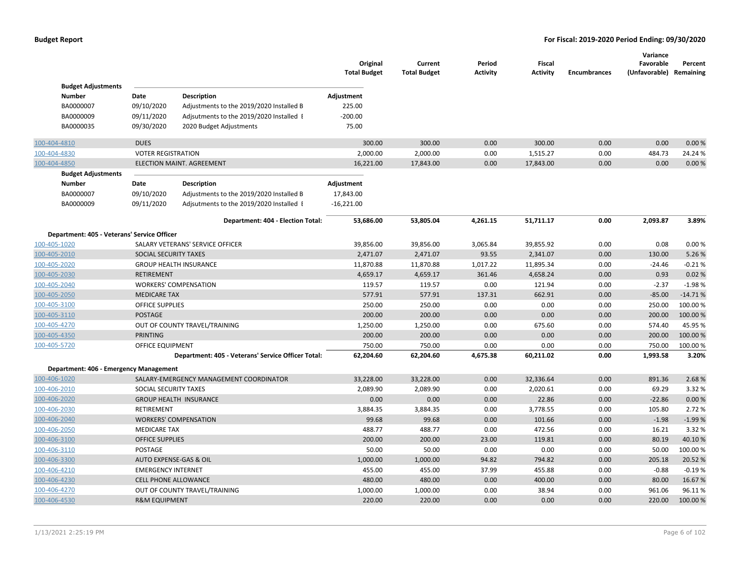|                                             |                              |                                                    | Original<br><b>Total Budget</b> | Current<br><b>Total Budget</b> | Period<br><b>Activity</b> | Fiscal<br><b>Activity</b> | <b>Encumbrances</b> | Variance<br>Favorable<br>(Unfavorable) Remaining | Percent   |
|---------------------------------------------|------------------------------|----------------------------------------------------|---------------------------------|--------------------------------|---------------------------|---------------------------|---------------------|--------------------------------------------------|-----------|
| <b>Budget Adjustments</b>                   |                              |                                                    |                                 |                                |                           |                           |                     |                                                  |           |
| Number                                      | Date                         | <b>Description</b>                                 | Adjustment                      |                                |                           |                           |                     |                                                  |           |
| BA0000007                                   | 09/10/2020                   | Adjustments to the 2019/2020 Installed B           | 225.00                          |                                |                           |                           |                     |                                                  |           |
| BA0000009                                   | 09/11/2020                   | Adjsutments to the 2019/2020 Installed E           | $-200.00$                       |                                |                           |                           |                     |                                                  |           |
| BA0000035                                   | 09/30/2020                   | 2020 Budget Adjustments                            | 75.00                           |                                |                           |                           |                     |                                                  |           |
| 100-404-4810                                | <b>DUES</b>                  |                                                    | 300.00                          | 300.00                         | 0.00                      | 300.00                    | 0.00                | 0.00                                             | 0.00%     |
| 100-404-4830                                | <b>VOTER REGISTRATION</b>    |                                                    | 2,000.00                        | 2,000.00                       | 0.00                      | 1,515.27                  | 0.00                | 484.73                                           | 24.24 %   |
| 100-404-4850                                |                              | ELECTION MAINT. AGREEMENT                          | 16,221.00                       | 17,843.00                      | 0.00                      | 17,843.00                 | 0.00                | 0.00                                             | 0.00%     |
| <b>Budget Adjustments</b>                   |                              |                                                    |                                 |                                |                           |                           |                     |                                                  |           |
| Number                                      | Date                         | <b>Description</b>                                 | Adjustment                      |                                |                           |                           |                     |                                                  |           |
| BA0000007                                   | 09/10/2020                   | Adjustments to the 2019/2020 Installed B           | 17,843.00                       |                                |                           |                           |                     |                                                  |           |
| BA0000009                                   | 09/11/2020                   | Adjsutments to the 2019/2020 Installed I           | $-16,221.00$                    |                                |                           |                           |                     |                                                  |           |
|                                             |                              | Department: 404 - Election Total:                  | 53,686.00                       | 53,805.04                      | 4,261.15                  | 51,711.17                 | 0.00                | 2,093.87                                         | 3.89%     |
| Department: 405 - Veterans' Service Officer |                              |                                                    |                                 |                                |                           |                           |                     |                                                  |           |
| 100-405-1020                                |                              | SALARY VETERANS' SERVICE OFFICER                   | 39,856.00                       | 39,856.00                      | 3,065.84                  | 39,855.92                 | 0.00                | 0.08                                             | 0.00%     |
| 100-405-2010                                | <b>SOCIAL SECURITY TAXES</b> |                                                    | 2,471.07                        | 2,471.07                       | 93.55                     | 2,341.07                  | 0.00                | 130.00                                           | 5.26%     |
| 100-405-2020                                |                              | <b>GROUP HEALTH INSURANCE</b>                      | 11,870.88                       | 11,870.88                      | 1,017.22                  | 11,895.34                 | 0.00                | $-24.46$                                         | $-0.21%$  |
| 100-405-2030                                | <b>RETIREMENT</b>            |                                                    | 4,659.17                        | 4,659.17                       | 361.46                    | 4,658.24                  | 0.00                | 0.93                                             | 0.02%     |
| 100-405-2040                                |                              | <b>WORKERS' COMPENSATION</b>                       | 119.57                          | 119.57                         | 0.00                      | 121.94                    | 0.00                | $-2.37$                                          | $-1.98%$  |
| 100-405-2050                                | <b>MEDICARE TAX</b>          |                                                    | 577.91                          | 577.91                         | 137.31                    | 662.91                    | 0.00                | $-85.00$                                         | $-14.71%$ |
| 100-405-3100                                | OFFICE SUPPLIES              |                                                    | 250.00                          | 250.00                         | 0.00                      | 0.00                      | 0.00                | 250.00                                           | 100.00%   |
| 100-405-3110                                | <b>POSTAGE</b>               |                                                    | 200.00                          | 200.00                         | 0.00                      | 0.00                      | 0.00                | 200.00                                           | 100.00%   |
| 100-405-4270                                |                              | OUT OF COUNTY TRAVEL/TRAINING                      | 1,250.00                        | 1,250.00                       | 0.00                      | 675.60                    | 0.00                | 574.40                                           | 45.95%    |
| 100-405-4350                                | <b>PRINTING</b>              |                                                    | 200.00                          | 200.00                         | 0.00                      | 0.00                      | 0.00                | 200.00                                           | 100.00%   |
| 100-405-5720                                | OFFICE EQUIPMENT             |                                                    | 750.00                          | 750.00                         | 0.00                      | 0.00                      | 0.00                | 750.00                                           | 100.00%   |
|                                             |                              | Department: 405 - Veterans' Service Officer Total: | 62,204.60                       | 62,204.60                      | 4,675.38                  | 60,211.02                 | 0.00                | 1,993.58                                         | 3.20%     |
| Department: 406 - Emergency Management      |                              |                                                    |                                 |                                |                           |                           |                     |                                                  |           |
| 100-406-1020                                |                              | SALARY-EMERGENCY MANAGEMENT COORDINATOR            | 33,228.00                       | 33,228.00                      | 0.00                      | 32,336.64                 | 0.00                | 891.36                                           | 2.68%     |
| 100-406-2010                                | SOCIAL SECURITY TAXES        |                                                    | 2,089.90                        | 2,089.90                       | 0.00                      | 2,020.61                  | 0.00                | 69.29                                            | 3.32%     |
| 100-406-2020                                |                              | <b>GROUP HEALTH INSURANCE</b>                      | 0.00                            | 0.00                           | 0.00                      | 22.86                     | 0.00                | $-22.86$                                         | 0.00%     |
| 100-406-2030                                | RETIREMENT                   |                                                    | 3,884.35                        | 3,884.35                       | 0.00                      | 3,778.55                  | 0.00                | 105.80                                           | 2.72%     |
| 100-406-2040                                |                              | <b>WORKERS' COMPENSATION</b>                       | 99.68                           | 99.68                          | 0.00                      | 101.66                    | 0.00                | $-1.98$                                          | $-1.99%$  |
| 100-406-2050                                | <b>MEDICARE TAX</b>          |                                                    | 488.77                          | 488.77                         | 0.00                      | 472.56                    | 0.00                | 16.21                                            | 3.32 %    |
| 100-406-3100                                | <b>OFFICE SUPPLIES</b>       |                                                    | 200.00                          | 200.00                         | 23.00                     | 119.81                    | 0.00                | 80.19                                            | 40.10%    |
| 100-406-3110                                | POSTAGE                      |                                                    | 50.00                           | 50.00                          | 0.00                      | 0.00                      | 0.00                | 50.00                                            | 100.00%   |
| 100-406-3300                                | AUTO EXPENSE-GAS & OIL       |                                                    | 1,000.00                        | 1,000.00                       | 94.82                     | 794.82                    | 0.00                | 205.18                                           | 20.52 %   |
| 100-406-4210                                | <b>EMERGENCY INTERNET</b>    |                                                    | 455.00                          | 455.00                         | 37.99                     | 455.88                    | 0.00                | $-0.88$                                          | $-0.19%$  |
| 100-406-4230                                | <b>CELL PHONE ALLOWANCE</b>  |                                                    | 480.00                          | 480.00                         | 0.00                      | 400.00                    | 0.00                | 80.00                                            | 16.67%    |
| 100-406-4270                                |                              | OUT OF COUNTY TRAVEL/TRAINING                      | 1,000.00                        | 1,000.00                       | 0.00                      | 38.94                     | 0.00                | 961.06                                           | 96.11%    |
| 100-406-4530                                | <b>R&amp;M EQUIPMENT</b>     |                                                    | 220.00                          | 220.00                         | 0.00                      | 0.00                      | 0.00                | 220.00                                           | 100.00%   |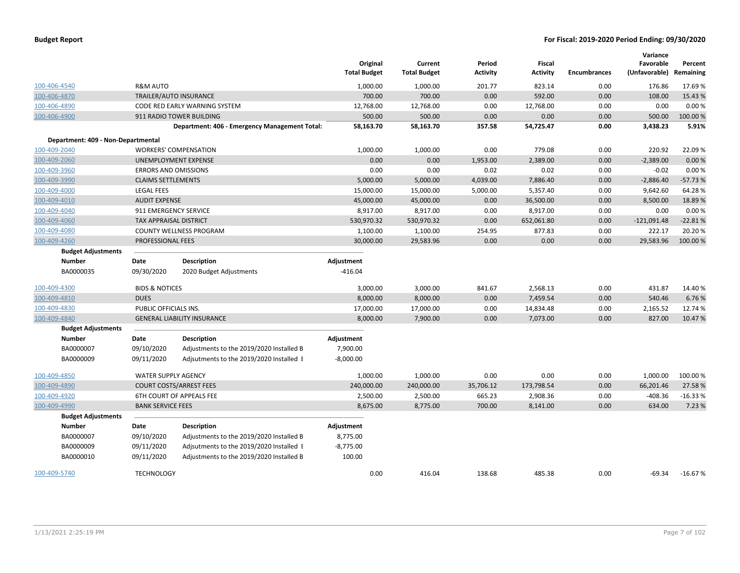|                                    |                             |                                               | Original<br><b>Total Budget</b> | Current<br><b>Total Budget</b> | Period<br>Activity | <b>Fiscal</b><br><b>Activity</b> | <b>Encumbrances</b> | Variance<br>Favorable<br>(Unfavorable) | Percent<br>Remaining |
|------------------------------------|-----------------------------|-----------------------------------------------|---------------------------------|--------------------------------|--------------------|----------------------------------|---------------------|----------------------------------------|----------------------|
| 100-406-4540                       | <b>R&amp;M AUTO</b>         |                                               | 1,000.00                        | 1,000.00                       | 201.77             | 823.14                           | 0.00                | 176.86                                 | 17.69%               |
| 100-406-4870                       |                             | TRAILER/AUTO INSURANCE                        | 700.00                          | 700.00                         | 0.00               | 592.00                           | 0.00                | 108.00                                 | 15.43 %              |
| 100-406-4890                       |                             | CODE RED EARLY WARNING SYSTEM                 | 12,768.00                       | 12,768.00                      | 0.00               | 12,768.00                        | 0.00                | 0.00                                   | 0.00%                |
| 100-406-4900                       |                             | 911 RADIO TOWER BUILDING                      | 500.00                          | 500.00                         | 0.00               | 0.00                             | 0.00                | 500.00                                 | 100.00 %             |
|                                    |                             | Department: 406 - Emergency Management Total: | 58,163.70                       | 58,163.70                      | 357.58             | 54,725.47                        | 0.00                | 3,438.23                               | 5.91%                |
| Department: 409 - Non-Departmental |                             |                                               |                                 |                                |                    |                                  |                     |                                        |                      |
| 100-409-2040                       |                             | <b>WORKERS' COMPENSATION</b>                  | 1,000.00                        | 1,000.00                       | 0.00               | 779.08                           | 0.00                | 220.92                                 | 22.09%               |
| 100-409-2060                       |                             | UNEMPLOYMENT EXPENSE                          | 0.00                            | 0.00                           | 1,953.00           | 2,389.00                         | 0.00                | $-2,389.00$                            | 0.00%                |
| 100-409-3960                       | <b>ERRORS AND OMISSIONS</b> |                                               | 0.00                            | 0.00                           | 0.02               | 0.02                             | 0.00                | $-0.02$                                | 0.00%                |
| 100-409-3990                       | <b>CLAIMS SETTLEMENTS</b>   |                                               | 5,000.00                        | 5,000.00                       | 4,039.00           | 7,886.40                         | 0.00                | $-2,886.40$                            | $-57.73%$            |
| 100-409-4000                       | <b>LEGAL FEES</b>           |                                               | 15,000.00                       | 15,000.00                      | 5,000.00           | 5,357.40                         | 0.00                | 9,642.60                               | 64.28%               |
| 100-409-4010                       | <b>AUDIT EXPENSE</b>        |                                               | 45,000.00                       | 45,000.00                      | 0.00               | 36,500.00                        | 0.00                | 8,500.00                               | 18.89%               |
| 100-409-4040                       | 911 EMERGENCY SERVICE       |                                               | 8,917.00                        | 8,917.00                       | 0.00               | 8,917.00                         | 0.00                | 0.00                                   | 0.00%                |
| 100-409-4060                       | TAX APPRAISAL DISTRICT      |                                               | 530,970.32                      | 530,970.32                     | 0.00               | 652,061.80                       | 0.00                | $-121,091.48$                          | $-22.81%$            |
| 100-409-4080                       |                             | <b>COUNTY WELLNESS PROGRAM</b>                | 1,100.00                        | 1,100.00                       | 254.95             | 877.83                           | 0.00                | 222.17                                 | 20.20%               |
| 100-409-4260                       | PROFESSIONAL FEES           |                                               | 30,000.00                       | 29,583.96                      | 0.00               | 0.00                             | 0.00                | 29,583.96                              | 100.00 %             |
| <b>Budget Adjustments</b>          |                             |                                               |                                 |                                |                    |                                  |                     |                                        |                      |
| <b>Number</b>                      | Date                        | <b>Description</b>                            | Adjustment                      |                                |                    |                                  |                     |                                        |                      |
| BA0000035                          | 09/30/2020                  | 2020 Budget Adjustments                       | $-416.04$                       |                                |                    |                                  |                     |                                        |                      |
| 100-409-4300                       | <b>BIDS &amp; NOTICES</b>   |                                               | 3,000.00                        | 3,000.00                       | 841.67             | 2,568.13                         | 0.00                | 431.87                                 | 14.40%               |
| 100-409-4810                       | <b>DUES</b>                 |                                               | 8,000.00                        | 8,000.00                       | 0.00               | 7,459.54                         | 0.00                | 540.46                                 | 6.76%                |
| 100-409-4830                       | PUBLIC OFFICIALS INS.       |                                               | 17,000.00                       | 17,000.00                      | 0.00               | 14,834.48                        | 0.00                | 2,165.52                               | 12.74 %              |
| 100-409-4840                       |                             | <b>GENERAL LIABILITY INSURANCE</b>            | 8,000.00                        | 7,900.00                       | 0.00               | 7,073.00                         | 0.00                | 827.00                                 | 10.47%               |
| <b>Budget Adjustments</b>          |                             |                                               |                                 |                                |                    |                                  |                     |                                        |                      |
| <b>Number</b>                      | Date                        | <b>Description</b>                            | Adjustment                      |                                |                    |                                  |                     |                                        |                      |
| BA0000007                          | 09/10/2020                  | Adjustments to the 2019/2020 Installed B      | 7,900.00                        |                                |                    |                                  |                     |                                        |                      |
| BA0000009                          | 09/11/2020                  | Adjsutments to the 2019/2020 Installed I      | $-8,000.00$                     |                                |                    |                                  |                     |                                        |                      |
| 100-409-4850                       | <b>WATER SUPPLY AGENCY</b>  |                                               | 1,000.00                        | 1,000.00                       | 0.00               | 0.00                             | 0.00                | 1,000.00                               | 100.00%              |
| 100-409-4890                       |                             | <b>COURT COSTS/ARREST FEES</b>                | 240,000.00                      | 240,000.00                     | 35,706.12          | 173,798.54                       | 0.00                | 66,201.46                              | 27.58%               |
| 100-409-4920                       |                             | 6TH COURT OF APPEALS FEE                      | 2,500.00                        | 2,500.00                       | 665.23             | 2,908.36                         | 0.00                | $-408.36$                              | $-16.33%$            |
| 100-409-4990                       | <b>BANK SERVICE FEES</b>    |                                               | 8,675.00                        | 8,775.00                       | 700.00             | 8,141.00                         | 0.00                | 634.00                                 | 7.23 %               |
| <b>Budget Adjustments</b>          |                             |                                               |                                 |                                |                    |                                  |                     |                                        |                      |
| <b>Number</b>                      | Date                        | <b>Description</b>                            | Adjustment                      |                                |                    |                                  |                     |                                        |                      |
| BA0000007                          | 09/10/2020                  | Adjustments to the 2019/2020 Installed B      | 8,775.00                        |                                |                    |                                  |                     |                                        |                      |
| BA0000009                          | 09/11/2020                  | Adjsutments to the 2019/2020 Installed I      | $-8,775.00$                     |                                |                    |                                  |                     |                                        |                      |
| BA0000010                          | 09/11/2020                  | Adjustments to the 2019/2020 Installed B      | 100.00                          |                                |                    |                                  |                     |                                        |                      |
| 100-409-5740                       | <b>TECHNOLOGY</b>           |                                               | 0.00                            | 416.04                         | 138.68             | 485.38                           | 0.00                | $-69.34$                               | $-16.67%$            |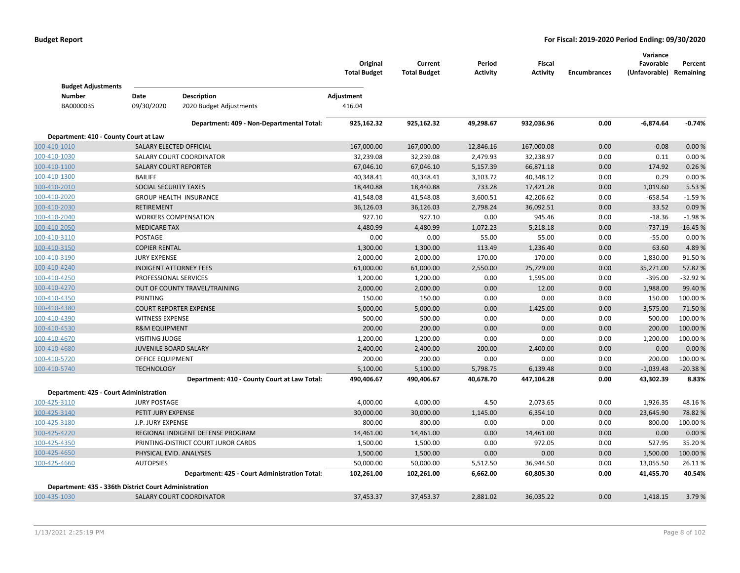|                                                       |                              |                                               | Original<br><b>Total Budget</b> | Current<br><b>Total Budget</b> | Period<br><b>Activity</b> | <b>Fiscal</b><br><b>Activity</b> | <b>Encumbrances</b> | Variance<br>Favorable<br>(Unfavorable) | Percent<br>Remaining |
|-------------------------------------------------------|------------------------------|-----------------------------------------------|---------------------------------|--------------------------------|---------------------------|----------------------------------|---------------------|----------------------------------------|----------------------|
| <b>Budget Adjustments</b><br><b>Number</b>            | Date                         | <b>Description</b>                            | Adjustment                      |                                |                           |                                  |                     |                                        |                      |
| BA0000035                                             | 09/30/2020                   | 2020 Budget Adjustments                       | 416.04                          |                                |                           |                                  |                     |                                        |                      |
|                                                       |                              |                                               |                                 |                                |                           |                                  |                     |                                        |                      |
|                                                       |                              | Department: 409 - Non-Departmental Total:     | 925,162.32                      | 925,162.32                     | 49,298.67                 | 932,036.96                       | 0.00                | $-6,874.64$                            | $-0.74%$             |
| Department: 410 - County Court at Law                 |                              |                                               |                                 |                                |                           |                                  |                     |                                        |                      |
| 100-410-1010                                          | SALARY ELECTED OFFICIAL      |                                               | 167,000.00                      | 167,000.00                     | 12,846.16                 | 167,000.08                       | 0.00                | $-0.08$                                | 0.00%                |
| 100-410-1030                                          |                              | SALARY COURT COORDINATOR                      | 32,239.08                       | 32,239.08                      | 2,479.93                  | 32,238.97                        | 0.00                | 0.11                                   | 0.00%                |
| 100-410-1100                                          | <b>SALARY COURT REPORTER</b> |                                               | 67,046.10                       | 67,046.10                      | 5,157.39                  | 66,871.18                        | 0.00                | 174.92                                 | 0.26%                |
| 100-410-1300                                          | <b>BAILIFF</b>               |                                               | 40,348.41                       | 40,348.41                      | 3,103.72                  | 40,348.12                        | 0.00                | 0.29                                   | 0.00%                |
| 100-410-2010                                          | SOCIAL SECURITY TAXES        |                                               | 18,440.88                       | 18,440.88                      | 733.28                    | 17,421.28                        | 0.00                | 1,019.60                               | 5.53 %               |
| 100-410-2020                                          |                              | <b>GROUP HEALTH INSURANCE</b>                 | 41,548.08                       | 41,548.08                      | 3,600.51                  | 42,206.62                        | 0.00                | $-658.54$                              | $-1.59%$             |
| 100-410-2030                                          | <b>RETIREMENT</b>            |                                               | 36,126.03                       | 36,126.03                      | 2,798.24                  | 36,092.51                        | 0.00                | 33.52                                  | 0.09%                |
| 100-410-2040                                          |                              | <b>WORKERS COMPENSATION</b>                   | 927.10                          | 927.10                         | 0.00                      | 945.46                           | 0.00                | $-18.36$                               | $-1.98%$             |
| 100-410-2050                                          | <b>MEDICARE TAX</b>          |                                               | 4,480.99                        | 4,480.99                       | 1,072.23                  | 5,218.18                         | 0.00                | $-737.19$                              | $-16.45%$            |
| 100-410-3110                                          | POSTAGE                      |                                               | 0.00                            | 0.00                           | 55.00                     | 55.00                            | 0.00                | $-55.00$                               | 0.00%                |
| 100-410-3150                                          | <b>COPIER RENTAL</b>         |                                               | 1,300.00                        | 1,300.00                       | 113.49                    | 1,236.40                         | 0.00                | 63.60                                  | 4.89%                |
| 100-410-3190                                          | <b>JURY EXPENSE</b>          |                                               | 2,000.00                        | 2,000.00                       | 170.00                    | 170.00                           | 0.00                | 1,830.00                               | 91.50%               |
| 100-410-4240                                          |                              | <b>INDIGENT ATTORNEY FEES</b>                 | 61,000.00                       | 61,000.00                      | 2,550.00                  | 25,729.00                        | 0.00                | 35,271.00                              | 57.82 %              |
| 100-410-4250                                          | PROFESSIONAL SERVICES        |                                               | 1,200.00                        | 1,200.00                       | 0.00                      | 1,595.00                         | 0.00                | $-395.00$                              | $-32.92%$            |
| 100-410-4270                                          |                              | OUT OF COUNTY TRAVEL/TRAINING                 | 2,000.00                        | 2,000.00                       | 0.00                      | 12.00                            | 0.00                | 1,988.00                               | 99.40 %              |
| 100-410-4350                                          | <b>PRINTING</b>              |                                               | 150.00                          | 150.00                         | 0.00                      | 0.00                             | 0.00                | 150.00                                 | 100.00%              |
| 100-410-4380                                          |                              | <b>COURT REPORTER EXPENSE</b>                 | 5,000.00                        | 5,000.00                       | 0.00                      | 1,425.00                         | 0.00                | 3,575.00                               | 71.50 %              |
| 100-410-4390                                          | <b>WITNESS EXPENSE</b>       |                                               | 500.00                          | 500.00                         | 0.00                      | 0.00                             | 0.00                | 500.00                                 | 100.00%              |
| 100-410-4530                                          | <b>R&amp;M EQUIPMENT</b>     |                                               | 200.00                          | 200.00                         | 0.00                      | 0.00                             | 0.00                | 200.00                                 | 100.00 %             |
| 100-410-4670                                          | <b>VISITING JUDGE</b>        |                                               | 1,200.00                        | 1,200.00                       | 0.00                      | 0.00                             | 0.00                | 1,200.00                               | 100.00%              |
| 100-410-4680                                          | <b>JUVENILE BOARD SALARY</b> |                                               | 2,400.00                        | 2,400.00                       | 200.00                    | 2,400.00                         | 0.00                | 0.00                                   | 0.00 %               |
| 100-410-5720                                          | <b>OFFICE EQUIPMENT</b>      |                                               | 200.00                          | 200.00                         | 0.00                      | 0.00                             | 0.00                | 200.00                                 | 100.00%              |
| 100-410-5740                                          | <b>TECHNOLOGY</b>            |                                               | 5,100.00                        | 5,100.00                       | 5,798.75                  | 6,139.48                         | 0.00                | $-1,039.48$                            | $-20.38%$            |
|                                                       |                              | Department: 410 - County Court at Law Total:  | 490,406.67                      | 490,406.67                     | 40,678.70                 | 447,104.28                       | 0.00                | 43,302.39                              | 8.83%                |
| Department: 425 - Court Administration                |                              |                                               |                                 |                                |                           |                                  |                     |                                        |                      |
| 100-425-3110                                          | <b>JURY POSTAGE</b>          |                                               | 4,000.00                        | 4,000.00                       | 4.50                      | 2,073.65                         | 0.00                | 1,926.35                               | 48.16%               |
| 100-425-3140                                          | PETIT JURY EXPENSE           |                                               | 30,000.00                       | 30,000.00                      | 1,145.00                  | 6,354.10                         | 0.00                | 23,645.90                              | 78.82 %              |
| 100-425-3180                                          | J.P. JURY EXPENSE            |                                               | 800.00                          | 800.00                         | 0.00                      | 0.00                             | 0.00                | 800.00                                 | 100.00%              |
| 100-425-4220                                          |                              | REGIONAL INDIGENT DEFENSE PROGRAM             | 14,461.00                       | 14,461.00                      | 0.00                      | 14,461.00                        | 0.00                | 0.00                                   | 0.00 %               |
| 100-425-4350                                          |                              | PRINTING-DISTRICT COURT JUROR CARDS           | 1,500.00                        | 1,500.00                       | 0.00                      | 972.05                           | 0.00                | 527.95                                 | 35.20%               |
| 100-425-4650                                          | PHYSICAL EVID. ANALYSES      |                                               | 1,500.00                        | 1,500.00                       | 0.00                      | 0.00                             | 0.00                | 1,500.00                               | 100.00 %             |
| 100-425-4660                                          | <b>AUTOPSIES</b>             |                                               | 50,000.00                       | 50,000.00                      | 5,512.50                  | 36,944.50                        | 0.00                | 13,055.50                              | 26.11%               |
|                                                       |                              | Department: 425 - Court Administration Total: | 102,261.00                      | 102,261.00                     | 6,662.00                  | 60,805.30                        | 0.00                | 41,455.70                              | 40.54%               |
|                                                       |                              |                                               |                                 |                                |                           |                                  |                     |                                        |                      |
| Department: 435 - 336th District Court Administration |                              |                                               |                                 |                                |                           |                                  |                     |                                        |                      |
| 100-435-1030                                          |                              | <b>SALARY COURT COORDINATOR</b>               | 37,453.37                       | 37,453.37                      | 2.881.02                  | 36,035.22                        | 0.00                | 1.418.15                               | 3.79%                |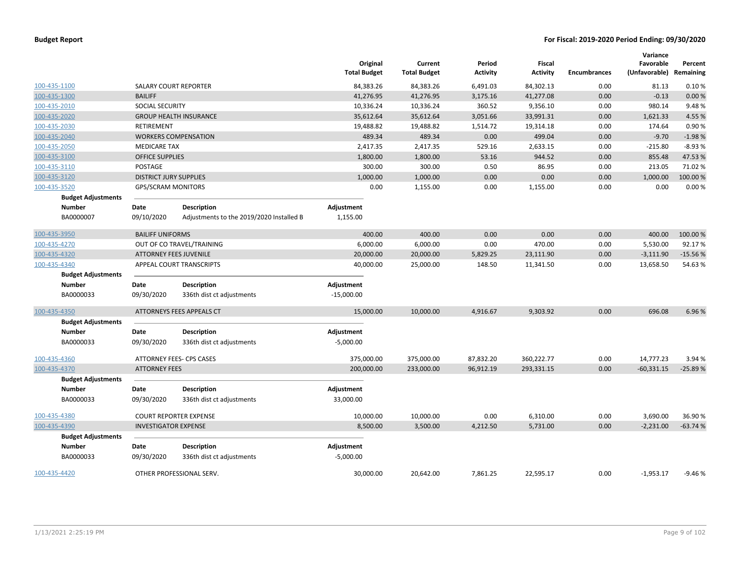|                           |                               |                                          | Original<br><b>Total Budget</b> | Current<br><b>Total Budget</b> | Period<br><b>Activity</b> | <b>Fiscal</b><br><b>Activity</b> | <b>Encumbrances</b> | Variance<br>Favorable<br>(Unfavorable) Remaining | Percent   |
|---------------------------|-------------------------------|------------------------------------------|---------------------------------|--------------------------------|---------------------------|----------------------------------|---------------------|--------------------------------------------------|-----------|
| 100-435-1100              |                               | <b>SALARY COURT REPORTER</b>             | 84,383.26                       | 84,383.26                      | 6,491.03                  | 84,302.13                        | 0.00                | 81.13                                            | 0.10%     |
| 100-435-1300              | <b>BAILIFF</b>                |                                          | 41,276.95                       | 41,276.95                      | 3,175.16                  | 41,277.08                        | 0.00                | $-0.13$                                          | 0.00%     |
| 100-435-2010              | SOCIAL SECURITY               |                                          | 10,336.24                       | 10,336.24                      | 360.52                    | 9,356.10                         | 0.00                | 980.14                                           | 9.48%     |
| 100-435-2020              |                               | <b>GROUP HEALTH INSURANCE</b>            | 35,612.64                       | 35,612.64                      | 3,051.66                  | 33,991.31                        | 0.00                | 1,621.33                                         | 4.55%     |
| 100-435-2030              | RETIREMENT                    |                                          | 19,488.82                       | 19,488.82                      | 1,514.72                  | 19,314.18                        | 0.00                | 174.64                                           | 0.90%     |
| 100-435-2040              |                               | <b>WORKERS COMPENSATION</b>              | 489.34                          | 489.34                         | 0.00                      | 499.04                           | 0.00                | $-9.70$                                          | $-1.98%$  |
| 100-435-2050              | <b>MEDICARE TAX</b>           |                                          | 2,417.35                        | 2,417.35                       | 529.16                    | 2,633.15                         | 0.00                | $-215.80$                                        | $-8.93%$  |
| 100-435-3100              | <b>OFFICE SUPPLIES</b>        |                                          | 1,800.00                        | 1,800.00                       | 53.16                     | 944.52                           | 0.00                | 855.48                                           | 47.53%    |
| 100-435-3110              | POSTAGE                       |                                          | 300.00                          | 300.00                         | 0.50                      | 86.95                            | 0.00                | 213.05                                           | 71.02%    |
| 100-435-3120              | <b>DISTRICT JURY SUPPLIES</b> |                                          | 1,000.00                        | 1,000.00                       | 0.00                      | 0.00                             | 0.00                | 1,000.00                                         | 100.00%   |
| 100-435-3520              | <b>GPS/SCRAM MONITORS</b>     |                                          | 0.00                            | 1,155.00                       | 0.00                      | 1,155.00                         | 0.00                | 0.00                                             | 0.00%     |
| <b>Budget Adjustments</b> |                               |                                          |                                 |                                |                           |                                  |                     |                                                  |           |
| <b>Number</b>             | Date                          | <b>Description</b>                       | Adjustment                      |                                |                           |                                  |                     |                                                  |           |
| BA0000007                 | 09/10/2020                    | Adjustments to the 2019/2020 Installed B | 1,155.00                        |                                |                           |                                  |                     |                                                  |           |
| 100-435-3950              | <b>BAILIFF UNIFORMS</b>       |                                          | 400.00                          | 400.00                         | 0.00                      | 0.00                             | 0.00                | 400.00                                           | 100.00 %  |
| 100-435-4270              |                               | OUT OF CO TRAVEL/TRAINING                | 6,000.00                        | 6,000.00                       | 0.00                      | 470.00                           | 0.00                | 5,530.00                                         | 92.17%    |
| 100-435-4320              |                               | <b>ATTORNEY FEES JUVENILE</b>            | 20,000.00                       | 20,000.00                      | 5,829.25                  | 23,111.90                        | 0.00                | $-3,111.90$                                      | $-15.56%$ |
| 100-435-4340              |                               | APPEAL COURT TRANSCRIPTS                 | 40,000.00                       | 25,000.00                      | 148.50                    | 11,341.50                        | 0.00                | 13,658.50                                        | 54.63%    |
| <b>Budget Adjustments</b> |                               |                                          |                                 |                                |                           |                                  |                     |                                                  |           |
| <b>Number</b>             | Date                          | <b>Description</b>                       | Adjustment                      |                                |                           |                                  |                     |                                                  |           |
| BA0000033                 | 09/30/2020                    | 336th dist ct adjustments                | $-15,000.00$                    |                                |                           |                                  |                     |                                                  |           |
| 100-435-4350              |                               | ATTORNEYS FEES APPEALS CT                | 15,000.00                       | 10,000.00                      | 4,916.67                  | 9,303.92                         | 0.00                | 696.08                                           | 6.96%     |
| <b>Budget Adjustments</b> |                               |                                          |                                 |                                |                           |                                  |                     |                                                  |           |
| <b>Number</b>             | Date                          | <b>Description</b>                       | Adjustment                      |                                |                           |                                  |                     |                                                  |           |
| BA0000033                 | 09/30/2020                    | 336th dist ct adjustments                | $-5,000.00$                     |                                |                           |                                  |                     |                                                  |           |
| 100-435-4360              |                               | ATTORNEY FEES- CPS CASES                 | 375,000.00                      | 375,000.00                     | 87,832.20                 | 360,222.77                       | 0.00                | 14,777.23                                        | 3.94 %    |
| 100-435-4370              | <b>ATTORNEY FEES</b>          |                                          | 200,000.00                      | 233,000.00                     | 96,912.19                 | 293,331.15                       | 0.00                | $-60,331.15$                                     | $-25.89%$ |
| <b>Budget Adjustments</b> |                               |                                          |                                 |                                |                           |                                  |                     |                                                  |           |
| <b>Number</b>             | Date                          | <b>Description</b>                       | Adjustment                      |                                |                           |                                  |                     |                                                  |           |
| BA0000033                 | 09/30/2020                    | 336th dist ct adjustments                | 33,000.00                       |                                |                           |                                  |                     |                                                  |           |
| 100-435-4380              |                               | <b>COURT REPORTER EXPENSE</b>            | 10,000.00                       | 10,000.00                      | 0.00                      | 6,310.00                         | 0.00                | 3,690.00                                         | 36.90%    |
| 100-435-4390              | <b>INVESTIGATOR EXPENSE</b>   |                                          | 8,500.00                        | 3,500.00                       | 4,212.50                  | 5,731.00                         | 0.00                | $-2,231.00$                                      | $-63.74%$ |
| <b>Budget Adjustments</b> |                               |                                          |                                 |                                |                           |                                  |                     |                                                  |           |
| <b>Number</b>             | Date                          | <b>Description</b>                       | Adjustment                      |                                |                           |                                  |                     |                                                  |           |
| BA0000033                 | 09/30/2020                    | 336th dist ct adjustments                | $-5,000.00$                     |                                |                           |                                  |                     |                                                  |           |
| 100-435-4420              |                               | OTHER PROFESSIONAL SERV.                 | 30.000.00                       | 20.642.00                      | 7.861.25                  | 22.595.17                        | 0.00                | $-1.953.17$                                      | $-9.46%$  |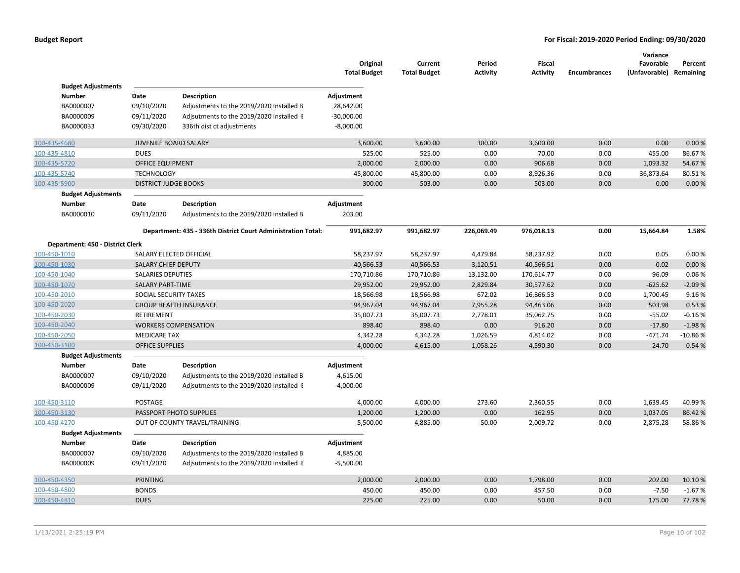|               |                                  |                              |                                                              | Original<br><b>Total Budget</b> | Current<br><b>Total Budget</b> | Period<br><b>Activity</b> | Fiscal<br><b>Activity</b> | <b>Encumbrances</b> | Variance<br>Favorable<br>(Unfavorable) | Percent<br>Remaining |
|---------------|----------------------------------|------------------------------|--------------------------------------------------------------|---------------------------------|--------------------------------|---------------------------|---------------------------|---------------------|----------------------------------------|----------------------|
|               | <b>Budget Adjustments</b>        |                              |                                                              |                                 |                                |                           |                           |                     |                                        |                      |
| <b>Number</b> |                                  | Date                         | <b>Description</b>                                           | Adjustment                      |                                |                           |                           |                     |                                        |                      |
| BA0000007     |                                  | 09/10/2020                   | Adjustments to the 2019/2020 Installed B                     | 28,642.00                       |                                |                           |                           |                     |                                        |                      |
| BA0000009     |                                  | 09/11/2020                   | Adjsutments to the 2019/2020 Installed I                     | $-30,000.00$                    |                                |                           |                           |                     |                                        |                      |
| BA0000033     |                                  | 09/30/2020                   | 336th dist ct adjustments                                    | $-8,000.00$                     |                                |                           |                           |                     |                                        |                      |
| 100-435-4680  |                                  | <b>JUVENILE BOARD SALARY</b> |                                                              | 3,600.00                        | 3,600.00                       | 300.00                    | 3,600.00                  | 0.00                | 0.00                                   | 0.00%                |
| 100-435-4810  |                                  | <b>DUES</b>                  |                                                              | 525.00                          | 525.00                         | 0.00                      | 70.00                     | 0.00                | 455.00                                 | 86.67%               |
| 100-435-5720  |                                  | <b>OFFICE EQUIPMENT</b>      |                                                              | 2,000.00                        | 2,000.00                       | 0.00                      | 906.68                    | 0.00                | 1,093.32                               | 54.67%               |
| 100-435-5740  |                                  | <b>TECHNOLOGY</b>            |                                                              | 45,800.00                       | 45,800.00                      | 0.00                      | 8,926.36                  | 0.00                | 36,873.64                              | 80.51%               |
| 100-435-5900  |                                  | <b>DISTRICT JUDGE BOOKS</b>  |                                                              | 300.00                          | 503.00                         | 0.00                      | 503.00                    | 0.00                | 0.00                                   | 0.00%                |
|               | <b>Budget Adjustments</b>        |                              |                                                              |                                 |                                |                           |                           |                     |                                        |                      |
| <b>Number</b> |                                  | Date                         | <b>Description</b>                                           | Adjustment                      |                                |                           |                           |                     |                                        |                      |
| BA0000010     |                                  | 09/11/2020                   | Adjustments to the 2019/2020 Installed B                     | 203.00                          |                                |                           |                           |                     |                                        |                      |
|               |                                  |                              | Department: 435 - 336th District Court Administration Total: | 991,682.97                      | 991,682.97                     | 226,069.49                | 976,018.13                | 0.00                | 15,664.84                              | 1.58%                |
|               | Department: 450 - District Clerk |                              |                                                              |                                 |                                |                           |                           |                     |                                        |                      |
| 100-450-1010  |                                  |                              | SALARY ELECTED OFFICIAL                                      | 58,237.97                       | 58,237.97                      | 4,479.84                  | 58,237.92                 | 0.00                | 0.05                                   | 0.00%                |
| 100-450-1030  |                                  | <b>SALARY CHIEF DEPUTY</b>   |                                                              | 40,566.53                       | 40,566.53                      | 3,120.51                  | 40,566.51                 | 0.00                | 0.02                                   | 0.00%                |
| 100-450-1040  |                                  | <b>SALARIES DEPUTIES</b>     |                                                              | 170,710.86                      | 170,710.86                     | 13,132.00                 | 170,614.77                | 0.00                | 96.09                                  | 0.06%                |
| 100-450-1070  |                                  | <b>SALARY PART-TIME</b>      |                                                              | 29,952.00                       | 29,952.00                      | 2,829.84                  | 30,577.62                 | 0.00                | $-625.62$                              | $-2.09%$             |
| 100-450-2010  |                                  | SOCIAL SECURITY TAXES        |                                                              | 18,566.98                       | 18,566.98                      | 672.02                    | 16,866.53                 | 0.00                | 1,700.45                               | 9.16%                |
| 100-450-2020  |                                  |                              | <b>GROUP HEALTH INSURANCE</b>                                | 94,967.04                       | 94,967.04                      | 7,955.28                  | 94,463.06                 | 0.00                | 503.98                                 | 0.53 %               |
| 100-450-2030  |                                  | RETIREMENT                   |                                                              | 35,007.73                       | 35,007.73                      | 2,778.01                  | 35,062.75                 | 0.00                | $-55.02$                               | $-0.16%$             |
| 100-450-2040  |                                  |                              | <b>WORKERS COMPENSATION</b>                                  | 898.40                          | 898.40                         | 0.00                      | 916.20                    | 0.00                | $-17.80$                               | $-1.98%$             |
| 100-450-2050  |                                  | <b>MEDICARE TAX</b>          |                                                              | 4,342.28                        | 4,342.28                       | 1,026.59                  | 4,814.02                  | 0.00                | $-471.74$                              | $-10.86%$            |
| 100-450-3100  |                                  | <b>OFFICE SUPPLIES</b>       |                                                              | 4,000.00                        | 4,615.00                       | 1,058.26                  | 4,590.30                  | 0.00                | 24.70                                  | 0.54 %               |
|               | <b>Budget Adjustments</b>        |                              |                                                              |                                 |                                |                           |                           |                     |                                        |                      |
| Number        |                                  | Date                         | Description                                                  | Adjustment                      |                                |                           |                           |                     |                                        |                      |
| BA0000007     |                                  | 09/10/2020                   | Adjustments to the 2019/2020 Installed B                     | 4,615.00                        |                                |                           |                           |                     |                                        |                      |
| BA0000009     |                                  | 09/11/2020                   | Adjsutments to the 2019/2020 Installed I                     | $-4,000.00$                     |                                |                           |                           |                     |                                        |                      |
| 100-450-3110  |                                  | POSTAGE                      |                                                              | 4,000.00                        | 4,000.00                       | 273.60                    | 2,360.55                  | 0.00                | 1,639.45                               | 40.99%               |
| 100-450-3130  |                                  |                              | PASSPORT PHOTO SUPPLIES                                      | 1,200.00                        | 1,200.00                       | 0.00                      | 162.95                    | 0.00                | 1,037.05                               | 86.42%               |
| 100-450-4270  |                                  |                              | OUT OF COUNTY TRAVEL/TRAINING                                | 5,500.00                        | 4,885.00                       | 50.00                     | 2,009.72                  | 0.00                | 2,875.28                               | 58.86%               |
|               | <b>Budget Adjustments</b>        |                              |                                                              |                                 |                                |                           |                           |                     |                                        |                      |
| <b>Number</b> |                                  | Date                         | <b>Description</b>                                           | Adjustment                      |                                |                           |                           |                     |                                        |                      |
| BA0000007     |                                  | 09/10/2020                   | Adjustments to the 2019/2020 Installed B                     | 4,885.00                        |                                |                           |                           |                     |                                        |                      |
| BA0000009     |                                  | 09/11/2020                   | Adjsutments to the 2019/2020 Installed I                     | $-5,500.00$                     |                                |                           |                           |                     |                                        |                      |
| 100-450-4350  |                                  | <b>PRINTING</b>              |                                                              | 2,000.00                        | 2,000.00                       | 0.00                      | 1,798.00                  | 0.00                | 202.00                                 | 10.10%               |
| 100-450-4800  |                                  | <b>BONDS</b>                 |                                                              | 450.00                          | 450.00                         | 0.00                      | 457.50                    | 0.00                | $-7.50$                                | $-1.67%$             |
| 100-450-4810  |                                  | <b>DUES</b>                  |                                                              | 225.00                          | 225.00                         | 0.00                      | 50.00                     | 0.00                | 175.00                                 | 77.78%               |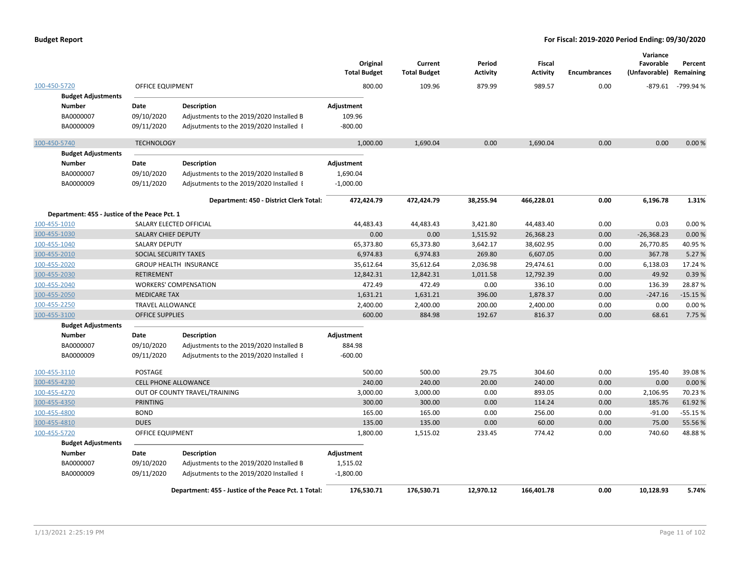|                                                                      |                                  |                                                                                                            | Original<br><b>Total Budget</b>       | Current<br><b>Total Budget</b> | Period<br><b>Activity</b> | <b>Fiscal</b><br><b>Activity</b> | <b>Encumbrances</b> | Variance<br>Favorable<br>(Unfavorable) | Percent<br>Remaining |
|----------------------------------------------------------------------|----------------------------------|------------------------------------------------------------------------------------------------------------|---------------------------------------|--------------------------------|---------------------------|----------------------------------|---------------------|----------------------------------------|----------------------|
| 100-450-5720                                                         | <b>OFFICE EQUIPMENT</b>          |                                                                                                            | 800.00                                | 109.96                         | 879.99                    | 989.57                           | 0.00                | $-879.61$                              | -799.94 %            |
| <b>Budget Adjustments</b><br><b>Number</b><br>BA0000007<br>BA0000009 | Date<br>09/10/2020<br>09/11/2020 | Description<br>Adjustments to the 2019/2020 Installed B<br>Adjsutments to the 2019/2020 Installed I        | Adjustment<br>109.96<br>$-800.00$     |                                |                           |                                  |                     |                                        |                      |
| 100-450-5740                                                         | <b>TECHNOLOGY</b>                |                                                                                                            | 1,000.00                              | 1,690.04                       | 0.00                      | 1,690.04                         | 0.00                | 0.00                                   | 0.00%                |
| <b>Budget Adjustments</b>                                            |                                  |                                                                                                            |                                       |                                |                           |                                  |                     |                                        |                      |
| Number<br>BA0000007<br>BA0000009                                     | Date<br>09/10/2020<br>09/11/2020 | <b>Description</b><br>Adjustments to the 2019/2020 Installed B<br>Adjsutments to the 2019/2020 Installed I | Adjustment<br>1,690.04<br>$-1,000.00$ |                                |                           |                                  |                     |                                        |                      |
|                                                                      |                                  | Department: 450 - District Clerk Total:                                                                    | 472,424.79                            | 472,424.79                     | 38,255.94                 | 466,228.01                       | 0.00                | 6,196.78                               | 1.31%                |
| Department: 455 - Justice of the Peace Pct. 1                        |                                  |                                                                                                            |                                       |                                |                           |                                  |                     |                                        |                      |
| 100-455-1010                                                         |                                  | SALARY ELECTED OFFICIAL                                                                                    | 44,483.43                             | 44,483.43                      | 3,421.80                  | 44,483.40                        | 0.00                | 0.03                                   | 0.00%                |
| 100-455-1030                                                         | SALARY CHIEF DEPUTY              |                                                                                                            | 0.00                                  | 0.00                           | 1,515.92                  | 26,368.23                        | 0.00                | $-26,368.23$                           | 0.00%                |
| 100-455-1040                                                         | <b>SALARY DEPUTY</b>             |                                                                                                            | 65,373.80                             | 65,373.80                      | 3,642.17                  | 38,602.95                        | 0.00                | 26,770.85                              | 40.95%               |
| 100-455-2010                                                         | SOCIAL SECURITY TAXES            |                                                                                                            | 6,974.83                              | 6,974.83                       | 269.80                    | 6,607.05                         | 0.00                | 367.78                                 | 5.27 %               |
| 100-455-2020                                                         |                                  | <b>GROUP HEALTH INSURANCE</b>                                                                              | 35,612.64                             | 35,612.64                      | 2,036.98                  | 29,474.61                        | 0.00                | 6,138.03                               | 17.24 %              |
| 100-455-2030                                                         | RETIREMENT                       |                                                                                                            | 12,842.31                             | 12,842.31                      | 1,011.58                  | 12,792.39                        | 0.00                | 49.92                                  | 0.39%                |
| 100-455-2040                                                         |                                  | <b>WORKERS' COMPENSATION</b>                                                                               | 472.49                                | 472.49                         | 0.00                      | 336.10                           | 0.00                | 136.39                                 | 28.87%               |
| 100-455-2050                                                         | <b>MEDICARE TAX</b>              |                                                                                                            | 1,631.21                              | 1,631.21                       | 396.00                    | 1,878.37                         | 0.00                | $-247.16$                              | $-15.15%$            |
| 100-455-2250                                                         | <b>TRAVEL ALLOWANCE</b>          |                                                                                                            | 2,400.00                              | 2,400.00                       | 200.00                    | 2,400.00                         | 0.00                | 0.00                                   | 0.00%                |
| 100-455-3100                                                         | <b>OFFICE SUPPLIES</b>           |                                                                                                            | 600.00                                | 884.98                         | 192.67                    | 816.37                           | 0.00                | 68.61                                  | 7.75 %               |
| <b>Budget Adjustments</b>                                            |                                  |                                                                                                            |                                       |                                |                           |                                  |                     |                                        |                      |
| <b>Number</b>                                                        | Date                             | <b>Description</b>                                                                                         | Adjustment                            |                                |                           |                                  |                     |                                        |                      |
| BA0000007                                                            | 09/10/2020                       | Adjustments to the 2019/2020 Installed B                                                                   | 884.98                                |                                |                           |                                  |                     |                                        |                      |
| BA0000009                                                            | 09/11/2020                       | Adjsutments to the 2019/2020 Installed I                                                                   | $-600.00$                             |                                |                           |                                  |                     |                                        |                      |
| 100-455-3110                                                         | POSTAGE                          |                                                                                                            | 500.00                                | 500.00                         | 29.75                     | 304.60                           | 0.00                | 195.40                                 | 39.08%               |
| 100-455-4230                                                         | <b>CELL PHONE ALLOWANCE</b>      |                                                                                                            | 240.00                                | 240.00                         | 20.00                     | 240.00                           | 0.00                | 0.00                                   | 0.00%                |
| 100-455-4270                                                         |                                  | OUT OF COUNTY TRAVEL/TRAINING                                                                              | 3,000.00                              | 3,000.00                       | 0.00                      | 893.05                           | 0.00                | 2,106.95                               | 70.23%               |
| 100-455-4350                                                         | PRINTING                         |                                                                                                            | 300.00                                | 300.00                         | 0.00                      | 114.24                           | 0.00                | 185.76                                 | 61.92%               |
| 100-455-4800                                                         | <b>BOND</b>                      |                                                                                                            | 165.00                                | 165.00                         | 0.00                      | 256.00                           | 0.00                | $-91.00$                               | $-55.15%$            |
| 100-455-4810                                                         | <b>DUES</b>                      |                                                                                                            | 135.00                                | 135.00                         | 0.00                      | 60.00                            | 0.00                | 75.00                                  | 55.56%               |
| 100-455-5720                                                         | OFFICE EQUIPMENT                 |                                                                                                            | 1,800.00                              | 1,515.02                       | 233.45                    | 774.42                           | 0.00                | 740.60                                 | 48.88%               |
| <b>Budget Adjustments</b>                                            |                                  |                                                                                                            |                                       |                                |                           |                                  |                     |                                        |                      |
| <b>Number</b>                                                        | Date                             | <b>Description</b>                                                                                         | Adjustment                            |                                |                           |                                  |                     |                                        |                      |
| BA0000007                                                            | 09/10/2020                       | Adjustments to the 2019/2020 Installed B                                                                   | 1,515.02                              |                                |                           |                                  |                     |                                        |                      |
| BA0000009                                                            | 09/11/2020                       | Adjsutments to the 2019/2020 Installed I                                                                   | $-1,800.00$                           |                                |                           |                                  |                     |                                        |                      |
|                                                                      |                                  | Department: 455 - Justice of the Peace Pct. 1 Total:                                                       | 176,530.71                            | 176,530.71                     | 12,970.12                 | 166,401.78                       | 0.00                | 10,128.93                              | 5.74%                |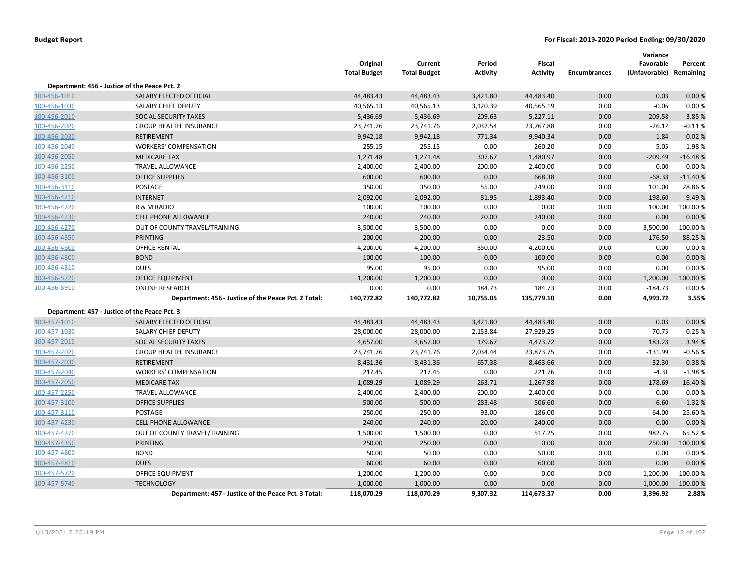|              |                                                      | Original<br><b>Total Budget</b> | Current<br><b>Total Budget</b> | Period<br><b>Activity</b> | <b>Fiscal</b><br><b>Activity</b> | <b>Encumbrances</b> | Variance<br>Favorable<br>(Unfavorable) Remaining | Percent   |
|--------------|------------------------------------------------------|---------------------------------|--------------------------------|---------------------------|----------------------------------|---------------------|--------------------------------------------------|-----------|
|              | Department: 456 - Justice of the Peace Pct. 2        |                                 |                                |                           |                                  |                     |                                                  |           |
| 100-456-1010 | SALARY ELECTED OFFICIAL                              | 44,483.43                       | 44,483.43                      | 3,421.80                  | 44,483.40                        | 0.00                | 0.03                                             | 0.00%     |
| 100-456-1030 | SALARY CHIEF DEPUTY                                  | 40,565.13                       | 40,565.13                      | 3,120.39                  | 40,565.19                        | 0.00                | $-0.06$                                          | 0.00%     |
| 100-456-2010 | SOCIAL SECURITY TAXES                                | 5,436.69                        | 5,436.69                       | 209.63                    | 5,227.11                         | 0.00                | 209.58                                           | 3.85 %    |
| 100-456-2020 | <b>GROUP HEALTH INSURANCE</b>                        | 23,741.76                       | 23,741.76                      | 2,032.54                  | 23,767.88                        | 0.00                | $-26.12$                                         | $-0.11%$  |
| 100-456-2030 | RETIREMENT                                           | 9,942.18                        | 9,942.18                       | 771.34                    | 9,940.34                         | 0.00                | 1.84                                             | 0.02%     |
| 100-456-2040 | <b>WORKERS' COMPENSATION</b>                         | 255.15                          | 255.15                         | 0.00                      | 260.20                           | 0.00                | $-5.05$                                          | $-1.98%$  |
| 100-456-2050 | <b>MEDICARE TAX</b>                                  | 1,271.48                        | 1,271.48                       | 307.67                    | 1,480.97                         | 0.00                | $-209.49$                                        | $-16.48%$ |
| 100-456-2250 | <b>TRAVEL ALLOWANCE</b>                              | 2,400.00                        | 2,400.00                       | 200.00                    | 2,400.00                         | 0.00                | 0.00                                             | 0.00%     |
| 100-456-3100 | <b>OFFICE SUPPLIES</b>                               | 600.00                          | 600.00                         | 0.00                      | 668.38                           | 0.00                | $-68.38$                                         | $-11.40%$ |
| 100-456-3110 | POSTAGE                                              | 350.00                          | 350.00                         | 55.00                     | 249.00                           | 0.00                | 101.00                                           | 28.86%    |
| 100-456-4210 | <b>INTERNET</b>                                      | 2,092.00                        | 2,092.00                       | 81.95                     | 1,893.40                         | 0.00                | 198.60                                           | 9.49%     |
| 100-456-4220 | R & M RADIO                                          | 100.00                          | 100.00                         | 0.00                      | 0.00                             | 0.00                | 100.00                                           | 100.00%   |
| 100-456-4230 | <b>CELL PHONE ALLOWANCE</b>                          | 240.00                          | 240.00                         | 20.00                     | 240.00                           | 0.00                | 0.00                                             | 0.00%     |
| 100-456-4270 | OUT OF COUNTY TRAVEL/TRAINING                        | 3,500.00                        | 3,500.00                       | 0.00                      | 0.00                             | 0.00                | 3,500.00                                         | 100.00%   |
| 100-456-4350 | <b>PRINTING</b>                                      | 200.00                          | 200.00                         | 0.00                      | 23.50                            | 0.00                | 176.50                                           | 88.25 %   |
| 100-456-4600 | <b>OFFICE RENTAL</b>                                 | 4,200.00                        | 4,200.00                       | 350.00                    | 4,200.00                         | 0.00                | 0.00                                             | 0.00%     |
| 100-456-4800 | <b>BOND</b>                                          | 100.00                          | 100.00                         | 0.00                      | 100.00                           | 0.00                | 0.00                                             | 0.00%     |
| 100-456-4810 | <b>DUES</b>                                          | 95.00                           | 95.00                          | 0.00                      | 95.00                            | 0.00                | 0.00                                             | 0.00%     |
| 100-456-5720 | <b>OFFICE EQUIPMENT</b>                              | 1,200.00                        | 1,200.00                       | 0.00                      | 0.00                             | 0.00                | 1,200.00                                         | 100.00%   |
| 100-456-5910 | <b>ONLINE RESEARCH</b>                               | 0.00                            | 0.00                           | 184.73                    | 184.73                           | 0.00                | $-184.73$                                        | 0.00%     |
|              | Department: 456 - Justice of the Peace Pct. 2 Total: | 140,772.82                      | 140,772.82                     | 10,755.05                 | 135,779.10                       | 0.00                | 4,993.72                                         | 3.55%     |
|              | Department: 457 - Justice of the Peace Pct. 3        |                                 |                                |                           |                                  |                     |                                                  |           |
| 100-457-1010 | SALARY ELECTED OFFICIAL                              | 44,483.43                       | 44,483.43                      | 3,421.80                  | 44,483.40                        | 0.00                | 0.03                                             | 0.00%     |
| 100-457-1030 | SALARY CHIEF DEPUTY                                  | 28,000.00                       | 28,000.00                      | 2,153.84                  | 27,929.25                        | 0.00                | 70.75                                            | 0.25 %    |
| 100-457-2010 | SOCIAL SECURITY TAXES                                | 4,657.00                        | 4,657.00                       | 179.67                    | 4,473.72                         | 0.00                | 183.28                                           | 3.94 %    |
| 100-457-2020 | <b>GROUP HEALTH INSURANCE</b>                        | 23,741.76                       | 23,741.76                      | 2,034.44                  | 23,873.75                        | 0.00                | $-131.99$                                        | $-0.56%$  |
| 100-457-2030 | <b>RETIREMENT</b>                                    | 8,431.36                        | 8,431.36                       | 657.38                    | 8,463.66                         | 0.00                | $-32.30$                                         | $-0.38%$  |
| 100-457-2040 | <b>WORKERS' COMPENSATION</b>                         | 217.45                          | 217.45                         | 0.00                      | 221.76                           | 0.00                | $-4.31$                                          | $-1.98%$  |
| 100-457-2050 | <b>MEDICARE TAX</b>                                  | 1,089.29                        | 1,089.29                       | 263.71                    | 1,267.98                         | 0.00                | $-178.69$                                        | $-16.40%$ |
| 100-457-2250 | <b>TRAVEL ALLOWANCE</b>                              | 2,400.00                        | 2,400.00                       | 200.00                    | 2,400.00                         | 0.00                | 0.00                                             | 0.00%     |
| 100-457-3100 | <b>OFFICE SUPPLIES</b>                               | 500.00                          | 500.00                         | 283.48                    | 506.60                           | 0.00                | $-6.60$                                          | $-1.32%$  |
| 100-457-3110 | POSTAGE                                              | 250.00                          | 250.00                         | 93.00                     | 186.00                           | 0.00                | 64.00                                            | 25.60%    |
| 100-457-4230 | <b>CELL PHONE ALLOWANCE</b>                          | 240.00                          | 240.00                         | 20.00                     | 240.00                           | 0.00                | 0.00                                             | 0.00%     |
| 100-457-4270 | OUT OF COUNTY TRAVEL/TRAINING                        | 1,500.00                        | 1,500.00                       | 0.00                      | 517.25                           | 0.00                | 982.75                                           | 65.52%    |
| 100-457-4350 | <b>PRINTING</b>                                      | 250.00                          | 250.00                         | 0.00                      | 0.00                             | 0.00                | 250.00                                           | 100.00%   |
| 100-457-4800 | <b>BOND</b>                                          | 50.00                           | 50.00                          | 0.00                      | 50.00                            | 0.00                | 0.00                                             | 0.00%     |
| 100-457-4810 | <b>DUES</b>                                          | 60.00                           | 60.00                          | 0.00                      | 60.00                            | 0.00                | 0.00                                             | 0.00%     |
| 100-457-5720 | OFFICE EQUIPMENT                                     | 1,200.00                        | 1,200.00                       | 0.00                      | 0.00                             | 0.00                | 1,200.00                                         | 100.00%   |
| 100-457-5740 | <b>TECHNOLOGY</b>                                    | 1,000.00                        | 1,000.00                       | 0.00                      | 0.00                             | 0.00                | 1,000.00                                         | 100.00 %  |
|              | Department: 457 - Justice of the Peace Pct. 3 Total: | 118,070.29                      | 118,070.29                     | 9,307.32                  | 114,673.37                       | 0.00                | 3,396.92                                         | 2.88%     |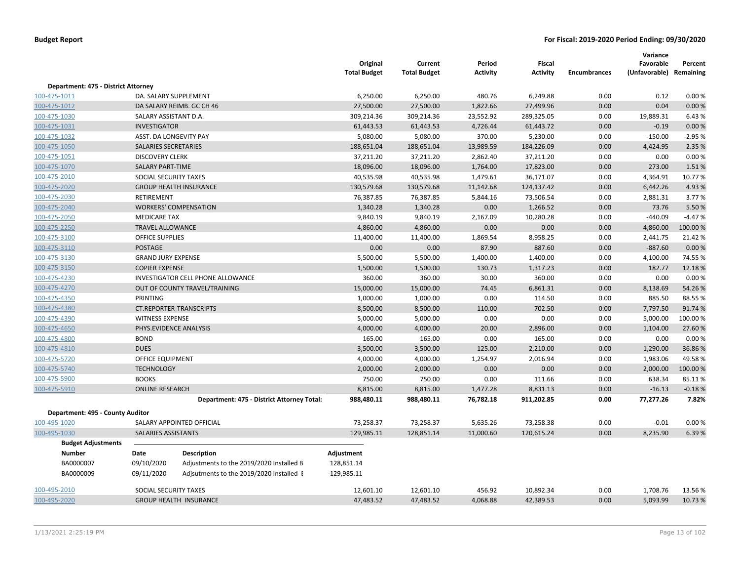|                                     |                           |                                            | Original<br><b>Total Budget</b> | Current<br><b>Total Budget</b> | Period<br><b>Activity</b> | <b>Fiscal</b><br><b>Activity</b> | <b>Encumbrances</b> | Variance<br>Favorable<br>(Unfavorable) | Percent<br>Remaining |
|-------------------------------------|---------------------------|--------------------------------------------|---------------------------------|--------------------------------|---------------------------|----------------------------------|---------------------|----------------------------------------|----------------------|
| Department: 475 - District Attorney |                           |                                            |                                 |                                |                           |                                  |                     |                                        |                      |
| 100-475-1011                        |                           | DA. SALARY SUPPLEMENT                      | 6,250.00                        | 6,250.00                       | 480.76                    | 6,249.88                         | 0.00                | 0.12                                   | 0.00%                |
| 100-475-1012                        |                           | DA SALARY REIMB. GC CH 46                  | 27,500.00                       | 27,500.00                      | 1,822.66                  | 27,499.96                        | 0.00                | 0.04                                   | 0.00%                |
| 100-475-1030                        | SALARY ASSISTANT D.A.     |                                            | 309,214.36                      | 309,214.36                     | 23,552.92                 | 289,325.05                       | 0.00                | 19,889.31                              | 6.43%                |
| 100-475-1031                        | <b>INVESTIGATOR</b>       |                                            | 61,443.53                       | 61,443.53                      | 4,726.44                  | 61,443.72                        | 0.00                | $-0.19$                                | 0.00%                |
| 100-475-1032                        |                           | ASST. DA LONGEVITY PAY                     | 5,080.00                        | 5,080.00                       | 370.00                    | 5,230.00                         | 0.00                | $-150.00$                              | $-2.95%$             |
| 100-475-1050                        | SALARIES SECRETARIES      |                                            | 188,651.04                      | 188,651.04                     | 13,989.59                 | 184,226.09                       | 0.00                | 4,424.95                               | 2.35 %               |
| 100-475-1051                        | <b>DISCOVERY CLERK</b>    |                                            | 37,211.20                       | 37,211.20                      | 2,862.40                  | 37,211.20                        | 0.00                | 0.00                                   | 0.00%                |
| 100-475-1070                        | <b>SALARY PART-TIME</b>   |                                            | 18,096.00                       | 18,096.00                      | 1,764.00                  | 17,823.00                        | 0.00                | 273.00                                 | 1.51%                |
| 100-475-2010                        | SOCIAL SECURITY TAXES     |                                            | 40,535.98                       | 40,535.98                      | 1,479.61                  | 36,171.07                        | 0.00                | 4,364.91                               | 10.77%               |
| 100-475-2020                        |                           | <b>GROUP HEALTH INSURANCE</b>              | 130,579.68                      | 130,579.68                     | 11,142.68                 | 124,137.42                       | 0.00                | 6,442.26                               | 4.93%                |
| 100-475-2030                        | RETIREMENT                |                                            | 76,387.85                       | 76,387.85                      | 5,844.16                  | 73,506.54                        | 0.00                | 2,881.31                               | 3.77%                |
| 100-475-2040                        |                           | <b>WORKERS' COMPENSATION</b>               | 1,340.28                        | 1,340.28                       | 0.00                      | 1,266.52                         | 0.00                | 73.76                                  | 5.50%                |
| 100-475-2050                        | <b>MEDICARE TAX</b>       |                                            | 9,840.19                        | 9,840.19                       | 2,167.09                  | 10,280.28                        | 0.00                | $-440.09$                              | $-4.47%$             |
| 100-475-2250                        | <b>TRAVEL ALLOWANCE</b>   |                                            | 4,860.00                        | 4,860.00                       | 0.00                      | 0.00                             | 0.00                | 4,860.00                               | 100.00%              |
| 100-475-3100                        | <b>OFFICE SUPPLIES</b>    |                                            | 11,400.00                       | 11,400.00                      | 1,869.54                  | 8,958.25                         | 0.00                | 2,441.75                               | 21.42%               |
| 100-475-3110                        | <b>POSTAGE</b>            |                                            | 0.00                            | 0.00                           | 87.90                     | 887.60                           | 0.00                | $-887.60$                              | 0.00%                |
| 100-475-3130                        | <b>GRAND JURY EXPENSE</b> |                                            | 5,500.00                        | 5,500.00                       | 1,400.00                  | 1,400.00                         | 0.00                | 4,100.00                               | 74.55%               |
| 100-475-3150                        | <b>COPIER EXPENSE</b>     |                                            | 1,500.00                        | 1,500.00                       | 130.73                    | 1,317.23                         | 0.00                | 182.77                                 | 12.18%               |
| 100-475-4230                        |                           | INVESTIGATOR CELL PHONE ALLOWANCE          | 360.00                          | 360.00                         | 30.00                     | 360.00                           | 0.00                | 0.00                                   | 0.00%                |
| 100-475-4270                        |                           | OUT OF COUNTY TRAVEL/TRAINING              | 15,000.00                       | 15,000.00                      | 74.45                     | 6,861.31                         | 0.00                | 8,138.69                               | 54.26%               |
| 100-475-4350                        | <b>PRINTING</b>           |                                            | 1,000.00                        | 1,000.00                       | 0.00                      | 114.50                           | 0.00                | 885.50                                 | 88.55%               |
| 100-475-4380                        |                           | <b>CT.REPORTER-TRANSCRIPTS</b>             | 8,500.00                        | 8,500.00                       | 110.00                    | 702.50                           | 0.00                | 7,797.50                               | 91.74%               |
| 100-475-4390                        | <b>WITNESS EXPENSE</b>    |                                            | 5,000.00                        | 5,000.00                       | 0.00                      | 0.00                             | 0.00                | 5,000.00                               | 100.00%              |
| 100-475-4650                        |                           | PHYS.EVIDENCE ANALYSIS                     | 4,000.00                        | 4,000.00                       | 20.00                     | 2,896.00                         | 0.00                | 1,104.00                               | 27.60%               |
| 100-475-4800                        | <b>BOND</b>               |                                            | 165.00                          | 165.00                         | 0.00                      | 165.00                           | 0.00                | 0.00                                   | 0.00%                |
| 100-475-4810                        | <b>DUES</b>               |                                            | 3,500.00                        | 3,500.00                       | 125.00                    | 2,210.00                         | 0.00                | 1,290.00                               | 36.86%               |
| 100-475-5720                        | <b>OFFICE EQUIPMENT</b>   |                                            | 4,000.00                        | 4,000.00                       | 1,254.97                  | 2,016.94                         | 0.00                | 1,983.06                               | 49.58%               |
| 100-475-5740                        | <b>TECHNOLOGY</b>         |                                            | 2,000.00                        | 2,000.00                       | 0.00                      | 0.00                             | 0.00                | 2,000.00                               | 100.00 %             |
| 100-475-5900                        | <b>BOOKS</b>              |                                            | 750.00                          | 750.00                         | 0.00                      | 111.66                           | 0.00                | 638.34                                 | 85.11%               |
| 100-475-5910                        | <b>ONLINE RESEARCH</b>    |                                            | 8,815.00                        | 8,815.00                       | 1,477.28                  | 8,831.13                         | 0.00                | $-16.13$                               | $-0.18%$             |
|                                     |                           | Department: 475 - District Attorney Total: | 988,480.11                      | 988,480.11                     | 76,782.18                 | 911,202.85                       | 0.00                | 77,277.26                              | 7.82%                |
| Department: 495 - County Auditor    |                           |                                            |                                 |                                |                           |                                  |                     |                                        |                      |
| 100-495-1020                        |                           | SALARY APPOINTED OFFICIAL                  | 73,258.37                       | 73,258.37                      | 5,635.26                  | 73,258.38                        | 0.00                | $-0.01$                                | 0.00%                |
| 100-495-1030                        | SALARIES ASSISTANTS       |                                            | 129,985.11                      | 128,851.14                     | 11,000.60                 | 120,615.24                       | 0.00                | 8,235.90                               | 6.39%                |
| <b>Budget Adjustments</b>           |                           |                                            |                                 |                                |                           |                                  |                     |                                        |                      |
| <b>Number</b>                       | Date                      | Description                                | Adjustment                      |                                |                           |                                  |                     |                                        |                      |
| BA0000007                           | 09/10/2020                | Adjustments to the 2019/2020 Installed B   | 128,851.14                      |                                |                           |                                  |                     |                                        |                      |
| BA0000009                           | 09/11/2020                | Adjsutments to the 2019/2020 Installed I   | $-129,985.11$                   |                                |                           |                                  |                     |                                        |                      |
| 100-495-2010                        | SOCIAL SECURITY TAXES     |                                            | 12,601.10                       | 12,601.10                      | 456.92                    | 10,892.34                        | 0.00                | 1,708.76                               | 13.56 %              |
| 100-495-2020                        |                           | <b>GROUP HEALTH INSURANCE</b>              | 47,483.52                       | 47,483.52                      | 4,068.88                  | 42,389.53                        | 0.00                | 5,093.99                               | 10.73 %              |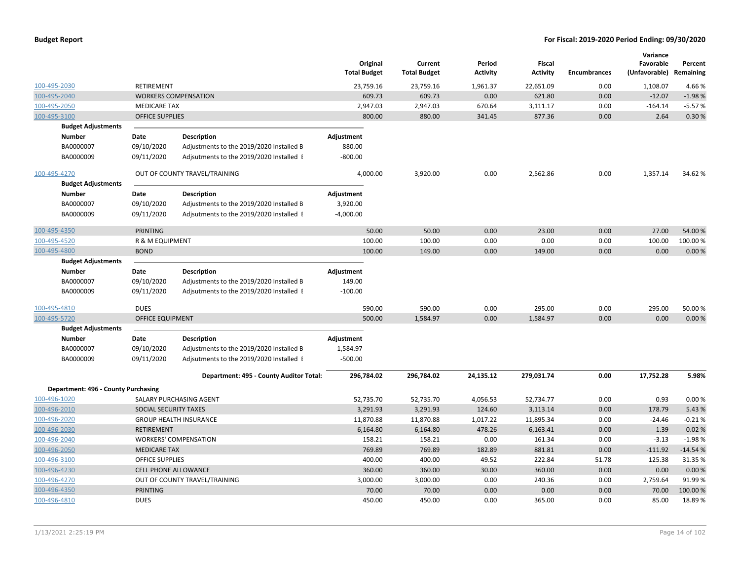|                                     |                            |                                          | Original<br><b>Total Budget</b> | Current<br><b>Total Budget</b> | Period<br><b>Activity</b> | Fiscal<br><b>Activity</b> | <b>Encumbrances</b> | Variance<br>Favorable<br>(Unfavorable) Remaining | Percent   |
|-------------------------------------|----------------------------|------------------------------------------|---------------------------------|--------------------------------|---------------------------|---------------------------|---------------------|--------------------------------------------------|-----------|
| 100-495-2030                        | <b>RETIREMENT</b>          |                                          | 23,759.16                       | 23,759.16                      | 1,961.37                  | 22,651.09                 | 0.00                | 1,108.07                                         | 4.66%     |
| 100-495-2040                        |                            | <b>WORKERS COMPENSATION</b>              | 609.73                          | 609.73                         | 0.00                      | 621.80                    | 0.00                | $-12.07$                                         | $-1.98%$  |
| 100-495-2050                        | <b>MEDICARE TAX</b>        |                                          | 2,947.03                        | 2,947.03                       | 670.64                    | 3,111.17                  | 0.00                | $-164.14$                                        | $-5.57%$  |
| 100-495-3100                        | <b>OFFICE SUPPLIES</b>     |                                          | 800.00                          | 880.00                         | 341.45                    | 877.36                    | 0.00                | 2.64                                             | 0.30%     |
| <b>Budget Adjustments</b>           |                            |                                          |                                 |                                |                           |                           |                     |                                                  |           |
| <b>Number</b>                       | Date                       | <b>Description</b>                       | Adjustment                      |                                |                           |                           |                     |                                                  |           |
| BA0000007                           | 09/10/2020                 | Adjustments to the 2019/2020 Installed B | 880.00                          |                                |                           |                           |                     |                                                  |           |
| BA0000009                           | 09/11/2020                 | Adjsutments to the 2019/2020 Installed I | $-800.00$                       |                                |                           |                           |                     |                                                  |           |
| 100-495-4270                        |                            | OUT OF COUNTY TRAVEL/TRAINING            | 4,000.00                        | 3,920.00                       | 0.00                      | 2,562.86                  | 0.00                | 1,357.14                                         | 34.62%    |
| <b>Budget Adjustments</b>           |                            |                                          |                                 |                                |                           |                           |                     |                                                  |           |
| <b>Number</b>                       | Date                       | <b>Description</b>                       | Adjustment                      |                                |                           |                           |                     |                                                  |           |
| BA0000007                           | 09/10/2020                 | Adjustments to the 2019/2020 Installed B | 3,920.00                        |                                |                           |                           |                     |                                                  |           |
| BA0000009                           | 09/11/2020                 | Adjsutments to the 2019/2020 Installed I | $-4,000.00$                     |                                |                           |                           |                     |                                                  |           |
| 100-495-4350                        | <b>PRINTING</b>            |                                          | 50.00                           | 50.00                          | 0.00                      | 23.00                     | 0.00                | 27.00                                            | 54.00 %   |
| 100-495-4520                        | <b>R &amp; M EQUIPMENT</b> |                                          | 100.00                          | 100.00                         | 0.00                      | 0.00                      | 0.00                | 100.00                                           | 100.00%   |
| 100-495-4800                        | <b>BOND</b>                |                                          | 100.00                          | 149.00                         | 0.00                      | 149.00                    | 0.00                | 0.00                                             | 0.00%     |
| <b>Budget Adjustments</b>           |                            |                                          |                                 |                                |                           |                           |                     |                                                  |           |
| <b>Number</b>                       | Date                       | <b>Description</b>                       | Adjustment                      |                                |                           |                           |                     |                                                  |           |
| BA0000007                           | 09/10/2020                 | Adjustments to the 2019/2020 Installed B | 149.00                          |                                |                           |                           |                     |                                                  |           |
| BA0000009                           | 09/11/2020                 | Adjsutments to the 2019/2020 Installed I | $-100.00$                       |                                |                           |                           |                     |                                                  |           |
| 100-495-4810                        | <b>DUES</b>                |                                          | 590.00                          | 590.00                         | 0.00                      | 295.00                    | 0.00                | 295.00                                           | 50.00%    |
| 100-495-5720                        | OFFICE EQUIPMENT           |                                          | 500.00                          | 1,584.97                       | 0.00                      | 1,584.97                  | 0.00                | 0.00                                             | 0.00%     |
| <b>Budget Adjustments</b>           |                            |                                          |                                 |                                |                           |                           |                     |                                                  |           |
| <b>Number</b>                       | Date                       | <b>Description</b>                       | Adjustment                      |                                |                           |                           |                     |                                                  |           |
| BA0000007                           | 09/10/2020                 | Adjustments to the 2019/2020 Installed B | 1,584.97                        |                                |                           |                           |                     |                                                  |           |
| BA0000009                           | 09/11/2020                 | Adjsutments to the 2019/2020 Installed I | $-500.00$                       |                                |                           |                           |                     |                                                  |           |
|                                     |                            | Department: 495 - County Auditor Total:  | 296,784.02                      | 296,784.02                     | 24,135.12                 | 279,031.74                | 0.00                | 17,752.28                                        | 5.98%     |
| Department: 496 - County Purchasing |                            |                                          |                                 |                                |                           |                           |                     |                                                  |           |
| 100-496-1020                        |                            | SALARY PURCHASING AGENT                  | 52,735.70                       | 52,735.70                      | 4,056.53                  | 52,734.77                 | 0.00                | 0.93                                             | 0.00%     |
| 100-496-2010                        | SOCIAL SECURITY TAXES      |                                          | 3,291.93                        | 3,291.93                       | 124.60                    | 3,113.14                  | 0.00                | 178.79                                           | 5.43%     |
| 100-496-2020                        |                            | <b>GROUP HEALTH INSURANCE</b>            | 11,870.88                       | 11,870.88                      | 1,017.22                  | 11,895.34                 | 0.00                | $-24.46$                                         | $-0.21%$  |
| 100-496-2030                        | <b>RETIREMENT</b>          |                                          | 6,164.80                        | 6,164.80                       | 478.26                    | 6,163.41                  | 0.00                | 1.39                                             | 0.02%     |
| 100-496-2040                        |                            | <b>WORKERS' COMPENSATION</b>             | 158.21                          | 158.21                         | 0.00                      | 161.34                    | 0.00                | $-3.13$                                          | $-1.98%$  |
| 100-496-2050                        | <b>MEDICARE TAX</b>        |                                          | 769.89                          | 769.89                         | 182.89                    | 881.81                    | 0.00                | $-111.92$                                        | $-14.54%$ |
| 100-496-3100                        | <b>OFFICE SUPPLIES</b>     |                                          | 400.00                          | 400.00                         | 49.52                     | 222.84                    | 51.78               | 125.38                                           | 31.35 %   |
| 100-496-4230                        |                            | <b>CELL PHONE ALLOWANCE</b>              | 360.00                          | 360.00                         | 30.00                     | 360.00                    | 0.00                | 0.00                                             | 0.00%     |
| 100-496-4270                        |                            | OUT OF COUNTY TRAVEL/TRAINING            | 3,000.00                        | 3,000.00                       | 0.00                      | 240.36                    | 0.00                | 2,759.64                                         | 91.99%    |
| 100-496-4350                        | <b>PRINTING</b>            |                                          | 70.00                           | 70.00                          | 0.00                      | 0.00                      | 0.00                | 70.00                                            | 100.00 %  |
| 100-496-4810                        | <b>DUES</b>                |                                          | 450.00                          | 450.00                         | 0.00                      | 365.00                    | 0.00                | 85.00                                            | 18.89%    |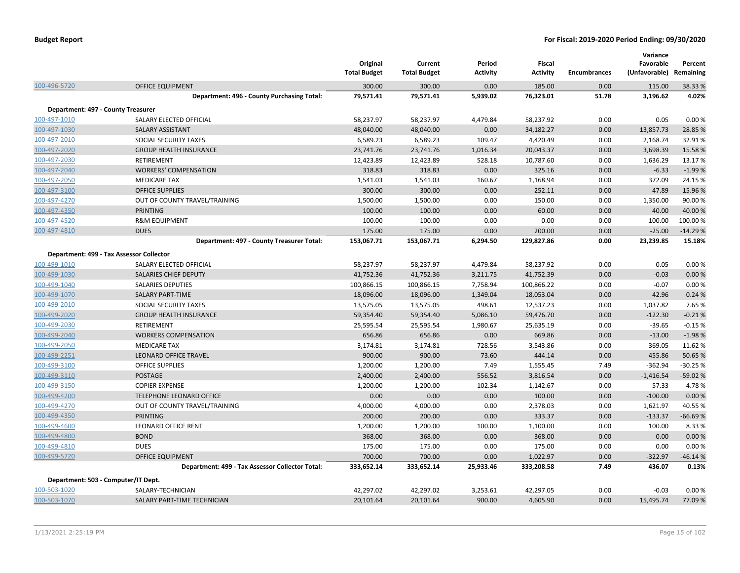|                                    |                                                 | Original<br><b>Total Budget</b> | Current<br><b>Total Budget</b> | Period<br><b>Activity</b> | Fiscal<br><b>Activity</b> | <b>Encumbrances</b> | Variance<br>Favorable<br>(Unfavorable) | Percent<br>Remaining |
|------------------------------------|-------------------------------------------------|---------------------------------|--------------------------------|---------------------------|---------------------------|---------------------|----------------------------------------|----------------------|
| 100-496-5720                       | <b>OFFICE EQUIPMENT</b>                         | 300.00                          | 300.00                         | 0.00                      | 185.00                    | 0.00                | 115.00                                 | 38.33 %              |
|                                    | Department: 496 - County Purchasing Total:      | 79,571.41                       | 79,571.41                      | 5,939.02                  | 76,323.01                 | 51.78               | 3,196.62                               | 4.02%                |
| Department: 497 - County Treasurer |                                                 |                                 |                                |                           |                           |                     |                                        |                      |
| 100-497-1010                       | SALARY ELECTED OFFICIAL                         | 58,237.97                       | 58,237.97                      | 4,479.84                  | 58,237.92                 | 0.00                | 0.05                                   | 0.00%                |
| 100-497-1030                       | <b>SALARY ASSISTANT</b>                         | 48,040.00                       | 48,040.00                      | 0.00                      | 34,182.27                 | 0.00                | 13,857.73                              | 28.85 %              |
| 100-497-2010                       | <b>SOCIAL SECURITY TAXES</b>                    | 6,589.23                        | 6,589.23                       | 109.47                    | 4,420.49                  | 0.00                | 2,168.74                               | 32.91%               |
| 100-497-2020                       | <b>GROUP HEALTH INSURANCE</b>                   | 23,741.76                       | 23,741.76                      | 1,016.34                  | 20,043.37                 | 0.00                | 3,698.39                               | 15.58%               |
| 100-497-2030                       | <b>RETIREMENT</b>                               | 12,423.89                       | 12,423.89                      | 528.18                    | 10,787.60                 | 0.00                | 1,636.29                               | 13.17%               |
| 100-497-2040                       | <b>WORKERS' COMPENSATION</b>                    | 318.83                          | 318.83                         | 0.00                      | 325.16                    | 0.00                | $-6.33$                                | $-1.99%$             |
| 100-497-2050                       | <b>MEDICARE TAX</b>                             | 1,541.03                        | 1,541.03                       | 160.67                    | 1,168.94                  | 0.00                | 372.09                                 | 24.15 %              |
| 100-497-3100                       | <b>OFFICE SUPPLIES</b>                          | 300.00                          | 300.00                         | 0.00                      | 252.11                    | 0.00                | 47.89                                  | 15.96 %              |
| 100-497-4270                       | OUT OF COUNTY TRAVEL/TRAINING                   | 1,500.00                        | 1,500.00                       | 0.00                      | 150.00                    | 0.00                | 1,350.00                               | 90.00 %              |
| 100-497-4350                       | PRINTING                                        | 100.00                          | 100.00                         | 0.00                      | 60.00                     | 0.00                | 40.00                                  | 40.00 %              |
| 100-497-4520                       | <b>R&amp;M EQUIPMENT</b>                        | 100.00                          | 100.00                         | 0.00                      | 0.00                      | 0.00                | 100.00                                 | 100.00%              |
| 100-497-4810                       | <b>DUES</b>                                     | 175.00                          | 175.00                         | 0.00                      | 200.00                    | 0.00                | $-25.00$                               | $-14.29%$            |
|                                    | Department: 497 - County Treasurer Total:       | 153,067.71                      | 153,067.71                     | 6,294.50                  | 129,827.86                | 0.00                | 23,239.85                              | 15.18%               |
|                                    | Department: 499 - Tax Assessor Collector        |                                 |                                |                           |                           |                     |                                        |                      |
| 100-499-1010                       | SALARY ELECTED OFFICIAL                         | 58,237.97                       | 58,237.97                      | 4,479.84                  | 58,237.92                 | 0.00                | 0.05                                   | 0.00%                |
| 100-499-1030                       | SALARIES CHIEF DEPUTY                           | 41,752.36                       | 41,752.36                      | 3,211.75                  | 41,752.39                 | 0.00                | $-0.03$                                | 0.00%                |
| 100-499-1040                       | <b>SALARIES DEPUTIES</b>                        | 100,866.15                      | 100,866.15                     | 7,758.94                  | 100,866.22                | 0.00                | $-0.07$                                | 0.00%                |
| 100-499-1070                       | <b>SALARY PART-TIME</b>                         | 18,096.00                       | 18,096.00                      | 1,349.04                  | 18,053.04                 | 0.00                | 42.96                                  | 0.24%                |
| 100-499-2010                       | SOCIAL SECURITY TAXES                           | 13,575.05                       | 13,575.05                      | 498.61                    | 12,537.23                 | 0.00                | 1,037.82                               | 7.65 %               |
| 100-499-2020                       | <b>GROUP HEALTH INSURANCE</b>                   | 59,354.40                       | 59,354.40                      | 5,086.10                  | 59,476.70                 | 0.00                | $-122.30$                              | $-0.21%$             |
| 100-499-2030                       | RETIREMENT                                      | 25,595.54                       | 25,595.54                      | 1,980.67                  | 25,635.19                 | 0.00                | $-39.65$                               | $-0.15%$             |
| 100-499-2040                       | <b>WORKERS COMPENSATION</b>                     | 656.86                          | 656.86                         | 0.00                      | 669.86                    | 0.00                | $-13.00$                               | $-1.98%$             |
| 100-499-2050                       | <b>MEDICARE TAX</b>                             | 3,174.81                        | 3,174.81                       | 728.56                    | 3,543.86                  | 0.00                | $-369.05$                              | $-11.62%$            |
| 100-499-2251                       | LEONARD OFFICE TRAVEL                           | 900.00                          | 900.00                         | 73.60                     | 444.14                    | 0.00                | 455.86                                 | 50.65 %              |
| 100-499-3100                       | <b>OFFICE SUPPLIES</b>                          | 1,200.00                        | 1,200.00                       | 7.49                      | 1,555.45                  | 7.49                | $-362.94$                              | $-30.25%$            |
| 100-499-3110                       | <b>POSTAGE</b>                                  | 2,400.00                        | 2,400.00                       | 556.52                    | 3,816.54                  | 0.00                | $-1,416.54$                            | -59.02 %             |
| 100-499-3150                       | <b>COPIER EXPENSE</b>                           | 1,200.00                        | 1,200.00                       | 102.34                    | 1,142.67                  | 0.00                | 57.33                                  | 4.78%                |
| 100-499-4200                       | TELEPHONE LEONARD OFFICE                        | 0.00                            | 0.00                           | 0.00                      | 100.00                    | 0.00                | $-100.00$                              | 0.00%                |
| 100-499-4270                       | OUT OF COUNTY TRAVEL/TRAINING                   | 4,000.00                        | 4,000.00                       | 0.00                      | 2,378.03                  | 0.00                | 1,621.97                               | 40.55 %              |
| 100-499-4350                       | <b>PRINTING</b>                                 | 200.00                          | 200.00                         | 0.00                      | 333.37                    | 0.00                | $-133.37$                              | $-66.69%$            |
| 100-499-4600                       | <b>LEONARD OFFICE RENT</b>                      | 1,200.00                        | 1,200.00                       | 100.00                    | 1,100.00                  | 0.00                | 100.00                                 | 8.33 %               |
| 100-499-4800                       | <b>BOND</b>                                     | 368.00                          | 368.00                         | 0.00                      | 368.00                    | 0.00                | 0.00                                   | 0.00%                |
| 100-499-4810                       | <b>DUES</b>                                     | 175.00                          | 175.00                         | 0.00                      | 175.00                    | 0.00                | 0.00                                   | 0.00%                |
| 100-499-5720                       | <b>OFFICE EQUIPMENT</b>                         | 700.00                          | 700.00                         | 0.00                      | 1,022.97                  | 0.00                | $-322.97$                              | $-46.14%$            |
|                                    | Department: 499 - Tax Assessor Collector Total: | 333,652.14                      | 333,652.14                     | 25,933.46                 | 333,208.58                | 7.49                | 436.07                                 | 0.13%                |
|                                    | Department: 503 - Computer/IT Dept.             |                                 |                                |                           |                           |                     |                                        |                      |
| 100-503-1020                       | SALARY-TECHNICIAN                               | 42,297.02                       | 42,297.02                      | 3,253.61                  | 42,297.05                 | 0.00                | $-0.03$                                | 0.00%                |
| 100-503-1070                       | SALARY PART-TIME TECHNICIAN                     | 20,101.64                       | 20,101.64                      | 900.00                    | 4,605.90                  | 0.00                | 15,495.74                              | 77.09 %              |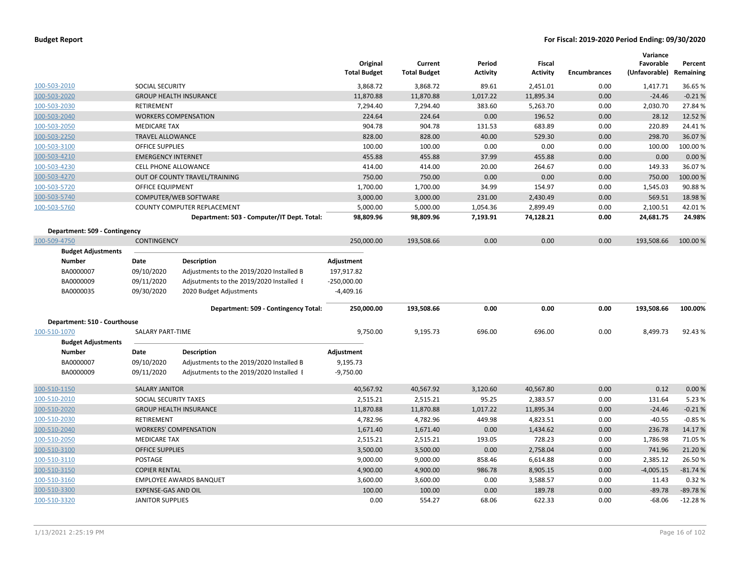| <b>Budget Report</b> |  |
|----------------------|--|
|----------------------|--|

|                               |                            |                                            | Original            | Current             | Period          | Fiscal          |                     | Variance<br>Favorable   | Percent   |
|-------------------------------|----------------------------|--------------------------------------------|---------------------|---------------------|-----------------|-----------------|---------------------|-------------------------|-----------|
|                               |                            |                                            | <b>Total Budget</b> | <b>Total Budget</b> | <b>Activity</b> | <b>Activity</b> | <b>Encumbrances</b> | (Unfavorable) Remaining |           |
| 100-503-2010                  | SOCIAL SECURITY            |                                            | 3,868.72            | 3,868.72            | 89.61           | 2,451.01        | 0.00                | 1,417.71                | 36.65%    |
| 100-503-2020                  |                            | <b>GROUP HEALTH INSURANCE</b>              | 11,870.88           | 11,870.88           | 1,017.22        | 11,895.34       | 0.00                | $-24.46$                | $-0.21%$  |
| 100-503-2030                  | RETIREMENT                 |                                            | 7,294.40            | 7,294.40            | 383.60          | 5,263.70        | 0.00                | 2,030.70                | 27.84 %   |
| 100-503-2040                  |                            | <b>WORKERS COMPENSATION</b>                | 224.64              | 224.64              | 0.00            | 196.52          | 0.00                | 28.12                   | 12.52 %   |
| 100-503-2050                  | <b>MEDICARE TAX</b>        |                                            | 904.78              | 904.78              | 131.53          | 683.89          | 0.00                | 220.89                  | 24.41%    |
| 100-503-2250                  | <b>TRAVEL ALLOWANCE</b>    |                                            | 828.00              | 828.00              | 40.00           | 529.30          | 0.00                | 298.70                  | 36.07%    |
| 100-503-3100                  | OFFICE SUPPLIES            |                                            | 100.00              | 100.00              | 0.00            | 0.00            | 0.00                | 100.00                  | 100.00%   |
| 100-503-4210                  | <b>EMERGENCY INTERNET</b>  |                                            | 455.88              | 455.88              | 37.99           | 455.88          | 0.00                | 0.00                    | 0.00%     |
| 100-503-4230                  | CELL PHONE ALLOWANCE       |                                            | 414.00              | 414.00              | 20.00           | 264.67          | 0.00                | 149.33                  | 36.07%    |
| 100-503-4270                  |                            | OUT OF COUNTY TRAVEL/TRAINING              | 750.00              | 750.00              | 0.00            | 0.00            | 0.00                | 750.00                  | 100.00 %  |
| 100-503-5720                  | OFFICE EQUIPMENT           |                                            | 1,700.00            | 1,700.00            | 34.99           | 154.97          | 0.00                | 1,545.03                | 90.88%    |
| 100-503-5740                  |                            | COMPUTER/WEB SOFTWARE                      | 3,000.00            | 3,000.00            | 231.00          | 2,430.49        | 0.00                | 569.51                  | 18.98%    |
| 100-503-5760                  |                            | COUNTY COMPUTER REPLACEMENT                | 5,000.00            | 5,000.00            | 1,054.36        | 2,899.49        | 0.00                | 2,100.51                | 42.01%    |
|                               |                            | Department: 503 - Computer/IT Dept. Total: | 98,809.96           | 98,809.96           | 7,193.91        | 74,128.21       | 0.00                | 24,681.75               | 24.98%    |
| Department: 509 - Contingency |                            |                                            |                     |                     |                 |                 |                     |                         |           |
| 100-509-4750                  | <b>CONTINGENCY</b>         |                                            | 250,000.00          | 193,508.66          | 0.00            | 0.00            | 0.00                | 193,508.66              | 100.00%   |
| <b>Budget Adjustments</b>     |                            |                                            |                     |                     |                 |                 |                     |                         |           |
| <b>Number</b>                 | Date                       | <b>Description</b>                         | Adjustment          |                     |                 |                 |                     |                         |           |
| BA0000007                     | 09/10/2020                 | Adjustments to the 2019/2020 Installed B   | 197,917.82          |                     |                 |                 |                     |                         |           |
| BA0000009                     | 09/11/2020                 | Adjsutments to the 2019/2020 Installed I   | $-250,000.00$       |                     |                 |                 |                     |                         |           |
| BA0000035                     | 09/30/2020                 | 2020 Budget Adjustments                    | $-4,409.16$         |                     |                 |                 |                     |                         |           |
|                               |                            | Department: 509 - Contingency Total:       | 250,000.00          | 193,508.66          | 0.00            | 0.00            | 0.00                | 193,508.66              | 100.00%   |
| Department: 510 - Courthouse  |                            |                                            |                     |                     |                 |                 |                     |                         |           |
| 100-510-1070                  | <b>SALARY PART-TIME</b>    |                                            | 9,750.00            | 9,195.73            | 696.00          | 696.00          | 0.00                | 8,499.73                | 92.43%    |
| <b>Budget Adjustments</b>     |                            |                                            |                     |                     |                 |                 |                     |                         |           |
| <b>Number</b>                 | Date                       | <b>Description</b>                         | Adjustment          |                     |                 |                 |                     |                         |           |
| BA0000007                     | 09/10/2020                 | Adjustments to the 2019/2020 Installed B   | 9,195.73            |                     |                 |                 |                     |                         |           |
| BA0000009                     | 09/11/2020                 | Adjsutments to the 2019/2020 Installed I   | $-9,750.00$         |                     |                 |                 |                     |                         |           |
| 100-510-1150                  | <b>SALARY JANITOR</b>      |                                            | 40,567.92           | 40,567.92           | 3,120.60        | 40,567.80       | 0.00                | 0.12                    | 0.00%     |
| 100-510-2010                  | SOCIAL SECURITY TAXES      |                                            | 2,515.21            | 2,515.21            | 95.25           | 2,383.57        | 0.00                | 131.64                  | 5.23 %    |
| 100-510-2020                  |                            | <b>GROUP HEALTH INSURANCE</b>              | 11,870.88           | 11,870.88           | 1,017.22        | 11,895.34       | 0.00                | $-24.46$                | $-0.21%$  |
| 100-510-2030                  | <b>RETIREMENT</b>          |                                            | 4,782.96            | 4,782.96            | 449.98          | 4,823.51        | 0.00                | $-40.55$                | $-0.85%$  |
| 100-510-2040                  |                            | <b>WORKERS' COMPENSATION</b>               | 1,671.40            | 1,671.40            | 0.00            | 1,434.62        | 0.00                | 236.78                  | 14.17%    |
| 100-510-2050                  | <b>MEDICARE TAX</b>        |                                            | 2,515.21            | 2,515.21            | 193.05          | 728.23          | 0.00                | 1,786.98                | 71.05%    |
| 100-510-3100                  | <b>OFFICE SUPPLIES</b>     |                                            | 3,500.00            | 3,500.00            | 0.00            | 2,758.04        | 0.00                | 741.96                  | 21.20%    |
| 100-510-3110                  | POSTAGE                    |                                            | 9,000.00            | 9,000.00            | 858.46          | 6,614.88        | 0.00                | 2,385.12                | 26.50%    |
| 100-510-3150                  | <b>COPIER RENTAL</b>       |                                            | 4,900.00            | 4,900.00            | 986.78          | 8,905.15        | 0.00                | $-4,005.15$             | $-81.74%$ |
| 100-510-3160                  |                            | <b>EMPLOYEE AWARDS BANQUET</b>             | 3,600.00            | 3,600.00            | 0.00            | 3,588.57        | 0.00                | 11.43                   | 0.32%     |
| 100-510-3300                  | <b>EXPENSE-GAS AND OIL</b> |                                            | 100.00              | 100.00              | 0.00            | 189.78          | 0.00                | $-89.78$                | $-89.78%$ |
| 100-510-3320                  | <b>JANITOR SUPPLIES</b>    |                                            | 0.00                | 554.27              | 68.06           | 622.33          | 0.00                | $-68.06$                | $-12.28%$ |
|                               |                            |                                            |                     |                     |                 |                 |                     |                         |           |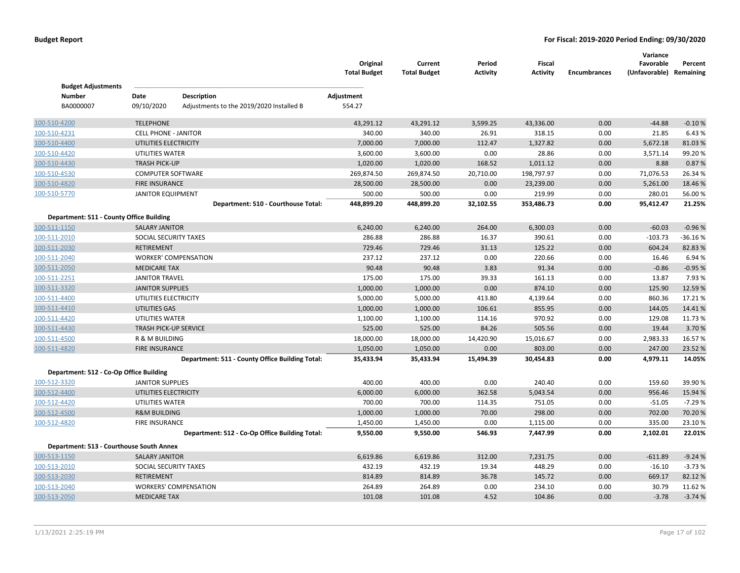| <b>Budget Adjustments</b>                |                              |                                                 | Original<br><b>Total Budget</b> | Current<br><b>Total Budget</b> | Period<br>Activity | <b>Fiscal</b><br><b>Activity</b> | <b>Encumbrances</b> | Variance<br>Favorable<br>(Unfavorable) Remaining | Percent   |
|------------------------------------------|------------------------------|-------------------------------------------------|---------------------------------|--------------------------------|--------------------|----------------------------------|---------------------|--------------------------------------------------|-----------|
| <b>Number</b>                            | Date                         | <b>Description</b>                              | Adjustment                      |                                |                    |                                  |                     |                                                  |           |
| BA0000007                                | 09/10/2020                   | Adjustments to the 2019/2020 Installed B        | 554.27                          |                                |                    |                                  |                     |                                                  |           |
| 100-510-4200                             | <b>TELEPHONE</b>             |                                                 | 43,291.12                       | 43,291.12                      | 3,599.25           | 43,336.00                        | 0.00                | $-44.88$                                         | $-0.10%$  |
| 100-510-4231                             | <b>CELL PHONE - JANITOR</b>  |                                                 | 340.00                          | 340.00                         | 26.91              | 318.15                           | 0.00                | 21.85                                            | 6.43%     |
| 100-510-4400                             | UTILITIES ELECTRICITY        |                                                 | 7,000.00                        | 7,000.00                       | 112.47             | 1,327.82                         | 0.00                | 5,672.18                                         | 81.03%    |
| 100-510-4420                             | UTILITIES WATER              |                                                 | 3,600.00                        | 3,600.00                       | 0.00               | 28.86                            | 0.00                | 3,571.14                                         | 99.20%    |
| 100-510-4430                             | <b>TRASH PICK-UP</b>         |                                                 | 1,020.00                        | 1,020.00                       | 168.52             | 1,011.12                         | 0.00                | 8.88                                             | 0.87%     |
| 100-510-4530                             | <b>COMPUTER SOFTWARE</b>     |                                                 | 269,874.50                      | 269,874.50                     | 20,710.00          | 198,797.97                       | 0.00                | 71,076.53                                        | 26.34%    |
| 100-510-4820                             | <b>FIRE INSURANCE</b>        |                                                 | 28,500.00                       | 28,500.00                      | 0.00               | 23,239.00                        | 0.00                | 5,261.00                                         | 18.46 %   |
| 100-510-5770                             | <b>JANITOR EQUIPMENT</b>     |                                                 | 500.00                          | 500.00                         | 0.00               | 219.99                           | 0.00                | 280.01                                           | 56.00%    |
|                                          |                              | Department: 510 - Courthouse Total:             | 448,899.20                      | 448,899.20                     | 32,102.55          | 353,486.73                       | 0.00                | 95,412.47                                        | 21.25%    |
| Department: 511 - County Office Building |                              |                                                 |                                 |                                |                    |                                  |                     |                                                  |           |
| 100-511-1150                             | <b>SALARY JANITOR</b>        |                                                 | 6,240.00                        | 6,240.00                       | 264.00             | 6,300.03                         | 0.00                | $-60.03$                                         | $-0.96%$  |
| 100-511-2010                             | SOCIAL SECURITY TAXES        |                                                 | 286.88                          | 286.88                         | 16.37              | 390.61                           | 0.00                | $-103.73$                                        | $-36.16%$ |
| 100-511-2030                             | <b>RETIREMENT</b>            |                                                 | 729.46                          | 729.46                         | 31.13              | 125.22                           | 0.00                | 604.24                                           | 82.83%    |
| 100-511-2040                             |                              | <b>WORKER' COMPENSATION</b>                     | 237.12                          | 237.12                         | 0.00               | 220.66                           | 0.00                | 16.46                                            | 6.94%     |
| 100-511-2050                             | <b>MEDICARE TAX</b>          |                                                 | 90.48                           | 90.48                          | 3.83               | 91.34                            | 0.00                | $-0.86$                                          | $-0.95%$  |
| 100-511-2251                             | <b>JANITOR TRAVEL</b>        |                                                 | 175.00                          | 175.00                         | 39.33              | 161.13                           | 0.00                | 13.87                                            | 7.93%     |
| 100-511-3320                             | <b>JANITOR SUPPLIES</b>      |                                                 | 1,000.00                        | 1,000.00                       | 0.00               | 874.10                           | 0.00                | 125.90                                           | 12.59%    |
| 100-511-4400                             | UTILITIES ELECTRICITY        |                                                 | 5,000.00                        | 5,000.00                       | 413.80             | 4,139.64                         | 0.00                | 860.36                                           | 17.21%    |
| 100-511-4410                             | <b>UTILITIES GAS</b>         |                                                 | 1,000.00                        | 1,000.00                       | 106.61             | 855.95                           | 0.00                | 144.05                                           | 14.41%    |
| 100-511-4420                             | UTILITIES WATER              |                                                 | 1,100.00                        | 1,100.00                       | 114.16             | 970.92                           | 0.00                | 129.08                                           | 11.73 %   |
| 100-511-4430                             | <b>TRASH PICK-UP SERVICE</b> |                                                 | 525.00                          | 525.00                         | 84.26              | 505.56                           | 0.00                | 19.44                                            | 3.70%     |
| 100-511-4500                             | R & M BUILDING               |                                                 | 18,000.00                       | 18,000.00                      | 14,420.90          | 15,016.67                        | 0.00                | 2,983.33                                         | 16.57%    |
| 100-511-4820                             | <b>FIRE INSURANCE</b>        |                                                 | 1,050.00                        | 1,050.00                       | 0.00               | 803.00                           | 0.00                | 247.00                                           | 23.52 %   |
|                                          |                              | Department: 511 - County Office Building Total: | 35,433.94                       | 35,433.94                      | 15,494.39          | 30,454.83                        | 0.00                | 4,979.11                                         | 14.05%    |
| Department: 512 - Co-Op Office Building  |                              |                                                 |                                 |                                |                    |                                  |                     |                                                  |           |
| 100-512-3320                             | <b>JANITOR SUPPLIES</b>      |                                                 | 400.00                          | 400.00                         | 0.00               | 240.40                           | 0.00                | 159.60                                           | 39.90 %   |
| 100-512-4400                             | UTILITIES ELECTRICITY        |                                                 | 6,000.00                        | 6,000.00                       | 362.58             | 5,043.54                         | 0.00                | 956.46                                           | 15.94 %   |
| 100-512-4420                             | UTILITIES WATER              |                                                 | 700.00                          | 700.00                         | 114.35             | 751.05                           | 0.00                | $-51.05$                                         | $-7.29%$  |
| 100-512-4500                             | <b>R&amp;M BUILDING</b>      |                                                 | 1,000.00                        | 1,000.00                       | 70.00              | 298.00                           | 0.00                | 702.00                                           | 70.20%    |
| 100-512-4820                             | <b>FIRE INSURANCE</b>        |                                                 | 1,450.00                        | 1,450.00                       | 0.00               | 1,115.00                         | 0.00                | 335.00                                           | 23.10%    |
|                                          |                              | Department: 512 - Co-Op Office Building Total:  | 9,550.00                        | 9,550.00                       | 546.93             | 7,447.99                         | 0.00                | 2,102.01                                         | 22.01%    |
| Department: 513 - Courthouse South Annex |                              |                                                 |                                 |                                |                    |                                  |                     |                                                  |           |
| 100-513-1150                             | <b>SALARY JANITOR</b>        |                                                 | 6,619.86                        | 6,619.86                       | 312.00             | 7,231.75                         | 0.00                | $-611.89$                                        | $-9.24%$  |
| 100-513-2010                             | SOCIAL SECURITY TAXES        |                                                 | 432.19                          | 432.19                         | 19.34              | 448.29                           | 0.00                | $-16.10$                                         | $-3.73%$  |
| 100-513-2030                             | <b>RETIREMENT</b>            |                                                 | 814.89                          | 814.89                         | 36.78              | 145.72                           | 0.00                | 669.17                                           | 82.12%    |
| 100-513-2040                             |                              | <b>WORKERS' COMPENSATION</b>                    | 264.89                          | 264.89                         | 0.00               | 234.10                           | 0.00                | 30.79                                            | 11.62%    |
| 100-513-2050                             | <b>MEDICARE TAX</b>          |                                                 | 101.08                          | 101.08                         | 4.52               | 104.86                           | 0.00                | $-3.78$                                          | $-3.74%$  |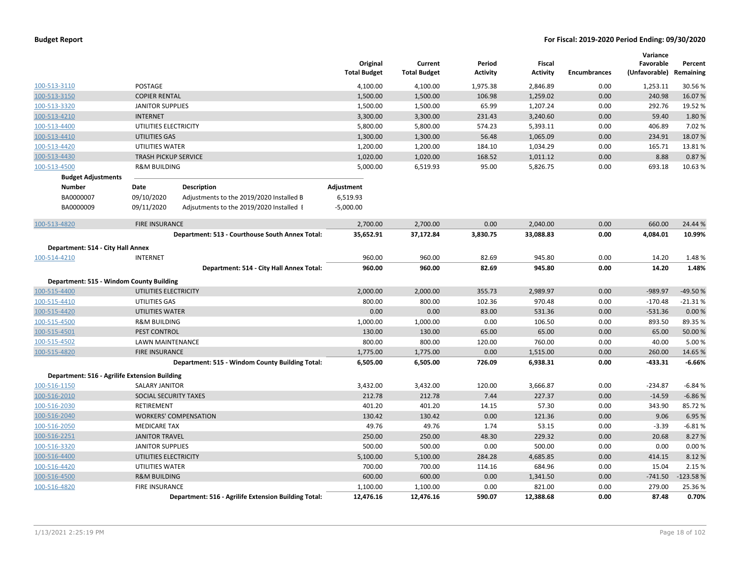|                                               |                             |                                                      | Original<br><b>Total Budget</b> | Current<br><b>Total Budget</b> | Period<br><b>Activity</b> | Fiscal<br><b>Activity</b> | <b>Encumbrances</b> | Variance<br>Favorable<br>(Unfavorable) | Percent<br>Remaining |
|-----------------------------------------------|-----------------------------|------------------------------------------------------|---------------------------------|--------------------------------|---------------------------|---------------------------|---------------------|----------------------------------------|----------------------|
| 100-513-3110                                  | POSTAGE                     |                                                      | 4,100.00                        | 4,100.00                       | 1,975.38                  | 2,846.89                  | 0.00                | 1,253.11                               | 30.56 %              |
| 100-513-3150                                  | <b>COPIER RENTAL</b>        |                                                      | 1,500.00                        | 1,500.00                       | 106.98                    | 1,259.02                  | 0.00                | 240.98                                 | 16.07%               |
| 100-513-3320                                  | <b>JANITOR SUPPLIES</b>     |                                                      | 1,500.00                        | 1,500.00                       | 65.99                     | 1,207.24                  | 0.00                | 292.76                                 | 19.52 %              |
| 100-513-4210                                  | <b>INTERNET</b>             |                                                      | 3,300.00                        | 3,300.00                       | 231.43                    | 3,240.60                  | 0.00                | 59.40                                  | 1.80%                |
| 100-513-4400                                  | UTILITIES ELECTRICITY       |                                                      | 5,800.00                        | 5,800.00                       | 574.23                    | 5,393.11                  | 0.00                | 406.89                                 | 7.02%                |
| 100-513-4410                                  | UTILITIES GAS               |                                                      | 1,300.00                        | 1,300.00                       | 56.48                     | 1,065.09                  | 0.00                | 234.91                                 | 18.07%               |
| 100-513-4420                                  | UTILITIES WATER             |                                                      | 1,200.00                        | 1,200.00                       | 184.10                    | 1,034.29                  | 0.00                | 165.71                                 | 13.81%               |
| 100-513-4430                                  | <b>TRASH PICKUP SERVICE</b> |                                                      | 1,020.00                        | 1,020.00                       | 168.52                    | 1,011.12                  | 0.00                | 8.88                                   | 0.87%                |
| 100-513-4500                                  | <b>R&amp;M BUILDING</b>     |                                                      | 5,000.00                        | 6,519.93                       | 95.00                     | 5,826.75                  | 0.00                | 693.18                                 | 10.63%               |
| <b>Budget Adjustments</b>                     |                             |                                                      |                                 |                                |                           |                           |                     |                                        |                      |
| Number                                        | Date                        | Description                                          | Adjustment                      |                                |                           |                           |                     |                                        |                      |
| BA0000007                                     | 09/10/2020                  | Adjustments to the 2019/2020 Installed B             | 6,519.93                        |                                |                           |                           |                     |                                        |                      |
| BA0000009                                     | 09/11/2020                  | Adjsutments to the 2019/2020 Installed I             | $-5,000.00$                     |                                |                           |                           |                     |                                        |                      |
| 100-513-4820                                  | <b>FIRE INSURANCE</b>       |                                                      | 2,700.00                        | 2,700.00                       | 0.00                      | 2,040.00                  | 0.00                | 660.00                                 | 24.44 %              |
|                                               |                             | Department: 513 - Courthouse South Annex Total:      | 35,652.91                       | 37,172.84                      | 3,830.75                  | 33,088.83                 | 0.00                | 4,084.01                               | 10.99%               |
| Department: 514 - City Hall Annex             |                             |                                                      |                                 |                                |                           |                           |                     |                                        |                      |
| 100-514-4210                                  | <b>INTERNET</b>             |                                                      | 960.00                          | 960.00                         | 82.69                     | 945.80                    | 0.00                | 14.20                                  | 1.48%                |
|                                               |                             | Department: 514 - City Hall Annex Total:             | 960.00                          | 960.00                         | 82.69                     | 945.80                    | 0.00                | 14.20                                  | 1.48%                |
|                                               |                             |                                                      |                                 |                                |                           |                           |                     |                                        |                      |
| Department: 515 - Windom County Building      |                             |                                                      |                                 |                                |                           |                           |                     |                                        |                      |
| 100-515-4400                                  | UTILITIES ELECTRICITY       |                                                      | 2,000.00                        | 2,000.00<br>800.00             | 355.73                    | 2,989.97                  | 0.00                | $-989.97$                              | -49.50%              |
| 100-515-4410                                  | UTILITIES GAS               |                                                      | 800.00<br>0.00                  | 0.00                           | 102.36                    | 970.48                    | 0.00<br>0.00        | $-170.48$                              | $-21.31%$            |
| 100-515-4420                                  | UTILITIES WATER             |                                                      |                                 |                                | 83.00                     | 531.36                    |                     | $-531.36$                              | 0.00%                |
| 100-515-4500                                  | <b>R&amp;M BUILDING</b>     |                                                      | 1,000.00                        | 1,000.00                       | 0.00                      | 106.50                    | 0.00                | 893.50                                 | 89.35 %              |
| 100-515-4501                                  | <b>PEST CONTROL</b>         |                                                      | 130.00                          | 130.00                         | 65.00                     | 65.00                     | 0.00                | 65.00                                  | 50.00 %              |
| 100-515-4502                                  | LAWN MAINTENANCE            |                                                      | 800.00                          | 800.00                         | 120.00                    | 760.00                    | 0.00                | 40.00                                  | 5.00 %               |
| 100-515-4820                                  | <b>FIRE INSURANCE</b>       | Department: 515 - Windom County Building Total:      | 1,775.00<br>6,505.00            | 1,775.00<br>6,505.00           | 0.00<br>726.09            | 1,515.00<br>6,938.31      | 0.00<br>0.00        | 260.00<br>$-433.31$                    | 14.65%<br>$-6.66%$   |
| Department: 516 - Agrilife Extension Building |                             |                                                      |                                 |                                |                           |                           |                     |                                        |                      |
| 100-516-1150                                  | <b>SALARY JANITOR</b>       |                                                      | 3,432.00                        | 3,432.00                       | 120.00                    | 3,666.87                  | 0.00                | $-234.87$                              | $-6.84%$             |
| 100-516-2010                                  | SOCIAL SECURITY TAXES       |                                                      | 212.78                          | 212.78                         | 7.44                      | 227.37                    | 0.00                | $-14.59$                               | $-6.86%$             |
| 100-516-2030                                  | <b>RETIREMENT</b>           |                                                      | 401.20                          | 401.20                         | 14.15                     | 57.30                     | 0.00                | 343.90                                 | 85.72%               |
| 100-516-2040                                  |                             | <b>WORKERS' COMPENSATION</b>                         | 130.42                          | 130.42                         | 0.00                      | 121.36                    | 0.00                | 9.06                                   | 6.95 %               |
| 100-516-2050                                  | <b>MEDICARE TAX</b>         |                                                      | 49.76                           | 49.76                          | 1.74                      | 53.15                     | 0.00                | $-3.39$                                | $-6.81%$             |
| 100-516-2251                                  | <b>JANITOR TRAVEL</b>       |                                                      | 250.00                          | 250.00                         | 48.30                     | 229.32                    | 0.00                | 20.68                                  | 8.27 %               |
| 100-516-3320                                  | <b>JANITOR SUPPLIES</b>     |                                                      | 500.00                          | 500.00                         | 0.00                      | 500.00                    | 0.00                | 0.00                                   | 0.00%                |
| 100-516-4400                                  | UTILITIES ELECTRICITY       |                                                      | 5,100.00                        | 5,100.00                       | 284.28                    | 4,685.85                  | 0.00                | 414.15                                 | 8.12%                |
| 100-516-4420                                  | UTILITIES WATER             |                                                      | 700.00                          | 700.00                         | 114.16                    | 684.96                    | 0.00                | 15.04                                  | 2.15 %               |
| 100-516-4500                                  | <b>R&amp;M BUILDING</b>     |                                                      | 600.00                          | 600.00                         | 0.00                      | 1,341.50                  | 0.00                | $-741.50$                              | $-123.58%$           |
| 100-516-4820                                  | <b>FIRE INSURANCE</b>       |                                                      | 1,100.00                        | 1,100.00                       | 0.00                      | 821.00                    | 0.00                | 279.00                                 | 25.36 %              |
|                                               |                             | Department: 516 - Agrilife Extension Building Total: | 12,476.16                       | 12,476.16                      | 590.07                    | 12,388.68                 | 0.00                | 87.48                                  | 0.70%                |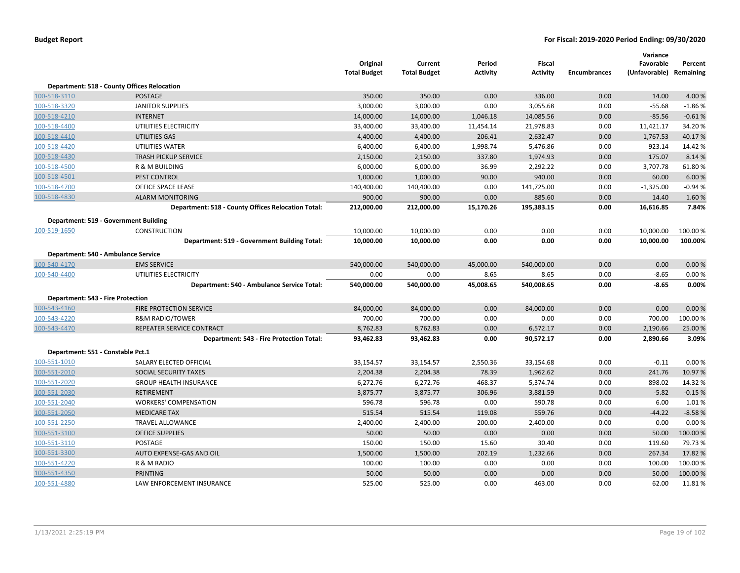|                                          |                                                           | Original<br><b>Total Budget</b> | Current<br><b>Total Budget</b> | Period<br>Activity | Fiscal<br><b>Activity</b> | <b>Encumbrances</b> | Variance<br>Favorable<br>(Unfavorable) Remaining | Percent  |
|------------------------------------------|-----------------------------------------------------------|---------------------------------|--------------------------------|--------------------|---------------------------|---------------------|--------------------------------------------------|----------|
|                                          | <b>Department: 518 - County Offices Relocation</b>        |                                 |                                |                    |                           |                     |                                                  |          |
| 100-518-3110                             | <b>POSTAGE</b>                                            | 350.00                          | 350.00                         | 0.00               | 336.00                    | 0.00                | 14.00                                            | 4.00%    |
| 100-518-3320                             | <b>JANITOR SUPPLIES</b>                                   | 3,000.00                        | 3,000.00                       | 0.00               | 3,055.68                  | 0.00                | $-55.68$                                         | $-1.86%$ |
| 100-518-4210                             | <b>INTERNET</b>                                           | 14,000.00                       | 14,000.00                      | 1,046.18           | 14,085.56                 | 0.00                | $-85.56$                                         | $-0.61%$ |
| 100-518-4400                             | UTILITIES ELECTRICITY                                     | 33,400.00                       | 33,400.00                      | 11,454.14          | 21,978.83                 | 0.00                | 11,421.17                                        | 34.20%   |
| 100-518-4410                             | UTILITIES GAS                                             | 4,400.00                        | 4,400.00                       | 206.41             | 2,632.47                  | 0.00                | 1,767.53                                         | 40.17%   |
| 100-518-4420                             | UTILITIES WATER                                           | 6,400.00                        | 6,400.00                       | 1,998.74           | 5,476.86                  | 0.00                | 923.14                                           | 14.42 %  |
| 100-518-4430                             | <b>TRASH PICKUP SERVICE</b>                               | 2,150.00                        | 2,150.00                       | 337.80             | 1,974.93                  | 0.00                | 175.07                                           | 8.14 %   |
| 100-518-4500                             | R & M BUILDING                                            | 6,000.00                        | 6,000.00                       | 36.99              | 2,292.22                  | 0.00                | 3,707.78                                         | 61.80%   |
| 100-518-4501                             | PEST CONTROL                                              | 1,000.00                        | 1,000.00                       | 90.00              | 940.00                    | 0.00                | 60.00                                            | 6.00%    |
| 100-518-4700                             | OFFICE SPACE LEASE                                        | 140,400.00                      | 140,400.00                     | 0.00               | 141,725.00                | 0.00                | $-1,325.00$                                      | $-0.94%$ |
| 100-518-4830                             | <b>ALARM MONITORING</b>                                   | 900.00                          | 900.00                         | 0.00               | 885.60                    | 0.00                | 14.40                                            | 1.60%    |
|                                          | <b>Department: 518 - County Offices Relocation Total:</b> | 212,000.00                      | 212,000.00                     | 15,170.26          | 195,383.15                | 0.00                | 16,616.85                                        | 7.84%    |
|                                          | Department: 519 - Government Building                     |                                 |                                |                    |                           |                     |                                                  |          |
| 100-519-1650                             | <b>CONSTRUCTION</b>                                       | 10,000.00                       | 10,000.00                      | 0.00               | 0.00                      | 0.00                | 10,000.00                                        | 100.00%  |
|                                          | Department: 519 - Government Building Total:              | 10,000.00                       | 10,000.00                      | 0.00               | 0.00                      | 0.00                | 10,000.00                                        | 100.00%  |
|                                          | Department: 540 - Ambulance Service                       |                                 |                                |                    |                           |                     |                                                  |          |
| 100-540-4170                             | <b>EMS SERVICE</b>                                        | 540,000.00                      | 540,000.00                     | 45,000.00          | 540,000.00                | 0.00                | 0.00                                             | 0.00%    |
| 100-540-4400                             | UTILITIES ELECTRICITY                                     | 0.00                            | 0.00                           | 8.65               | 8.65                      | 0.00                | $-8.65$                                          | 0.00%    |
|                                          | Department: 540 - Ambulance Service Total:                | 540,000.00                      | 540,000.00                     | 45,008.65          | 540,008.65                | 0.00                | $-8.65$                                          | 0.00%    |
| <b>Department: 543 - Fire Protection</b> |                                                           |                                 |                                |                    |                           |                     |                                                  |          |
| 100-543-4160                             | <b>FIRE PROTECTION SERVICE</b>                            | 84,000.00                       | 84,000.00                      | 0.00               | 84,000.00                 | 0.00                | 0.00                                             | 0.00%    |
| 100-543-4220                             | <b>R&amp;M RADIO/TOWER</b>                                | 700.00                          | 700.00                         | 0.00               | 0.00                      | 0.00                | 700.00                                           | 100.00%  |
| 100-543-4470                             | REPEATER SERVICE CONTRACT                                 | 8,762.83                        | 8,762.83                       | 0.00               | 6,572.17                  | 0.00                | 2,190.66                                         | 25.00 %  |
|                                          | Department: 543 - Fire Protection Total:                  | 93,462.83                       | 93,462.83                      | 0.00               | 90,572.17                 | 0.00                | 2,890.66                                         | 3.09%    |
| Department: 551 - Constable Pct.1        |                                                           |                                 |                                |                    |                           |                     |                                                  |          |
| 100-551-1010                             | SALARY ELECTED OFFICIAL                                   | 33,154.57                       | 33,154.57                      | 2,550.36           | 33,154.68                 | 0.00                | $-0.11$                                          | 0.00%    |
| 100-551-2010                             | SOCIAL SECURITY TAXES                                     | 2,204.38                        | 2,204.38                       | 78.39              | 1,962.62                  | 0.00                | 241.76                                           | 10.97%   |
| 100-551-2020                             | <b>GROUP HEALTH INSURANCE</b>                             | 6,272.76                        | 6,272.76                       | 468.37             | 5,374.74                  | 0.00                | 898.02                                           | 14.32 %  |
| 100-551-2030                             | <b>RETIREMENT</b>                                         | 3,875.77                        | 3,875.77                       | 306.96             | 3,881.59                  | 0.00                | $-5.82$                                          | $-0.15%$ |
| 100-551-2040                             | <b>WORKERS' COMPENSATION</b>                              | 596.78                          | 596.78                         | 0.00               | 590.78                    | 0.00                | 6.00                                             | 1.01%    |
| 100-551-2050                             | <b>MEDICARE TAX</b>                                       | 515.54                          | 515.54                         | 119.08             | 559.76                    | 0.00                | $-44.22$                                         | $-8.58%$ |
| 100-551-2250                             | <b>TRAVEL ALLOWANCE</b>                                   | 2,400.00                        | 2,400.00                       | 200.00             | 2,400.00                  | 0.00                | 0.00                                             | 0.00%    |
| 100-551-3100                             | <b>OFFICE SUPPLIES</b>                                    | 50.00                           | 50.00                          | 0.00               | 0.00                      | 0.00                | 50.00                                            | 100.00%  |
| 100-551-3110                             | POSTAGE                                                   | 150.00                          | 150.00                         | 15.60              | 30.40                     | 0.00                | 119.60                                           | 79.73 %  |
| 100-551-3300                             | AUTO EXPENSE-GAS AND OIL                                  | 1,500.00                        | 1,500.00                       | 202.19             | 1,232.66                  | 0.00                | 267.34                                           | 17.82 %  |
| 100-551-4220                             | R & M RADIO                                               | 100.00                          | 100.00                         | 0.00               | 0.00                      | 0.00                | 100.00                                           | 100.00%  |
| 100-551-4350                             | <b>PRINTING</b>                                           | 50.00                           | 50.00                          | 0.00               | 0.00                      | 0.00                | 50.00                                            | 100.00%  |
| 100-551-4880                             | <b>LAW ENFORCEMENT INSURANCE</b>                          | 525.00                          | 525.00                         | 0.00               | 463.00                    | 0.00                | 62.00                                            | 11.81%   |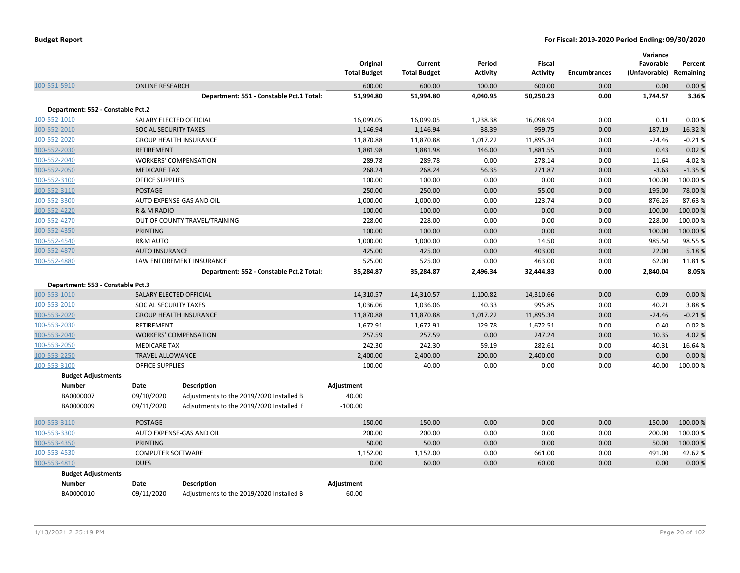|                                            |                          |                                          | Original<br><b>Total Budget</b> | Current<br><b>Total Budget</b> | Period<br><b>Activity</b> | <b>Fiscal</b><br><b>Activity</b> | <b>Encumbrances</b> | Variance<br>Favorable<br>(Unfavorable) Remaining | Percent        |
|--------------------------------------------|--------------------------|------------------------------------------|---------------------------------|--------------------------------|---------------------------|----------------------------------|---------------------|--------------------------------------------------|----------------|
| 100-551-5910                               | <b>ONLINE RESEARCH</b>   |                                          | 600.00                          | 600.00                         | 100.00                    | 600.00                           | 0.00                | 0.00                                             | 0.00%          |
|                                            |                          | Department: 551 - Constable Pct.1 Total: | 51,994.80                       | 51,994.80                      | 4,040.95                  | 50,250.23                        | 0.00                | 1,744.57                                         | 3.36%          |
| Department: 552 - Constable Pct.2          |                          |                                          |                                 |                                |                           |                                  |                     |                                                  |                |
| 100-552-1010                               |                          | SALARY ELECTED OFFICIAL                  | 16,099.05                       | 16,099.05                      | 1,238.38                  | 16,098.94                        | 0.00                | 0.11                                             | 0.00%          |
| 100-552-2010                               | SOCIAL SECURITY TAXES    |                                          | 1,146.94                        | 1,146.94                       | 38.39                     | 959.75                           | 0.00                | 187.19                                           | 16.32%         |
| 100-552-2020                               |                          | <b>GROUP HEALTH INSURANCE</b>            | 11,870.88                       | 11,870.88                      | 1,017.22                  | 11,895.34                        | 0.00                | $-24.46$                                         | $-0.21%$       |
| 100-552-2030                               | <b>RETIREMENT</b>        |                                          | 1,881.98                        | 1,881.98                       | 146.00                    | 1,881.55                         | 0.00                | 0.43                                             | 0.02%          |
| 100-552-2040                               |                          | <b>WORKERS' COMPENSATION</b>             | 289.78                          | 289.78                         | 0.00                      | 278.14                           | 0.00                | 11.64                                            | 4.02%          |
| 100-552-2050                               | <b>MEDICARE TAX</b>      |                                          | 268.24                          | 268.24                         | 56.35                     | 271.87                           | 0.00                | $-3.63$                                          | $-1.35%$       |
| 100-552-3100                               | <b>OFFICE SUPPLIES</b>   |                                          | 100.00                          | 100.00                         | 0.00                      | 0.00                             | 0.00                | 100.00                                           | 100.00%        |
| 100-552-3110                               | <b>POSTAGE</b>           |                                          | 250.00                          | 250.00                         | 0.00                      | 55.00                            | 0.00                | 195.00                                           | 78.00 %        |
| 100-552-3300                               |                          | AUTO EXPENSE-GAS AND OIL                 | 1,000.00                        | 1,000.00                       | 0.00                      | 123.74                           | 0.00                | 876.26                                           | 87.63%         |
| 100-552-4220                               | R & M RADIO              |                                          | 100.00                          | 100.00                         | 0.00                      | 0.00                             | 0.00                | 100.00                                           | 100.00 %       |
| 100-552-4270                               |                          | OUT OF COUNTY TRAVEL/TRAINING            | 228.00                          | 228.00                         | 0.00                      | 0.00                             | 0.00                | 228.00                                           | 100.00 %       |
| 100-552-4350                               | <b>PRINTING</b>          |                                          | 100.00                          | 100.00                         | 0.00                      | 0.00                             | 0.00                | 100.00                                           | 100.00%        |
| 100-552-4540                               | <b>R&amp;M AUTO</b>      |                                          | 1,000.00                        | 1,000.00                       | 0.00                      | 14.50                            | 0.00                | 985.50                                           | 98.55%         |
| 100-552-4870                               | <b>AUTO INSURANCE</b>    |                                          | 425.00                          | 425.00                         | 0.00                      | 403.00                           | 0.00                | 22.00                                            | 5.18%          |
| 100-552-4880                               |                          | LAW ENFOREMENT INSURANCE                 | 525.00                          | 525.00                         | 0.00                      | 463.00                           | 0.00                | 62.00                                            | 11.81%         |
|                                            |                          | Department: 552 - Constable Pct.2 Total: | 35,284.87                       | 35,284.87                      | 2,496.34                  | 32,444.83                        | 0.00                | 2,840.04                                         | 8.05%          |
|                                            |                          |                                          |                                 |                                |                           |                                  |                     |                                                  |                |
| Department: 553 - Constable Pct.3          |                          |                                          |                                 |                                |                           |                                  | 0.00                | $-0.09$                                          | 0.00%          |
| 100-553-1010                               |                          | SALARY ELECTED OFFICIAL                  | 14,310.57                       | 14,310.57                      | 1,100.82                  | 14,310.66                        |                     |                                                  |                |
| 100-553-2010                               | SOCIAL SECURITY TAXES    |                                          | 1,036.06                        | 1,036.06                       | 40.33                     | 995.85                           | 0.00                | 40.21                                            | 3.88%          |
| 100-553-2020                               |                          | <b>GROUP HEALTH INSURANCE</b>            | 11,870.88                       | 11,870.88                      | 1,017.22                  | 11,895.34                        | 0.00                | $-24.46$                                         | $-0.21%$       |
| 100-553-2030                               | <b>RETIREMENT</b>        |                                          | 1,672.91<br>257.59              | 1,672.91<br>257.59             | 129.78                    | 1,672.51<br>247.24               | 0.00<br>0.00        | 0.40                                             | 0.02%<br>4.02% |
| 100-553-2040                               |                          | <b>WORKERS' COMPENSATION</b>             | 242.30                          |                                | 0.00                      | 282.61                           |                     | 10.35<br>$-40.31$                                | $-16.64%$      |
| 100-553-2050                               | <b>MEDICARE TAX</b>      |                                          |                                 | 242.30                         | 59.19                     |                                  | 0.00                |                                                  |                |
| 100-553-2250                               | <b>TRAVEL ALLOWANCE</b>  |                                          | 2,400.00                        | 2,400.00                       | 200.00                    | 2,400.00                         | 0.00                | 0.00                                             | 0.00%          |
| 100-553-3100                               | <b>OFFICE SUPPLIES</b>   |                                          | 100.00                          | 40.00                          | 0.00                      | 0.00                             | 0.00                | 40.00                                            | 100.00 %       |
| <b>Budget Adjustments</b><br><b>Number</b> | Date                     | <b>Description</b>                       |                                 |                                |                           |                                  |                     |                                                  |                |
| BA0000007                                  | 09/10/2020               |                                          | Adjustment<br>40.00             |                                |                           |                                  |                     |                                                  |                |
| BA0000009                                  |                          | Adjustments to the 2019/2020 Installed B | $-100.00$                       |                                |                           |                                  |                     |                                                  |                |
|                                            | 09/11/2020               | Adjsutments to the 2019/2020 Installed I |                                 |                                |                           |                                  |                     |                                                  |                |
| 100-553-3110                               | POSTAGE                  |                                          | 150.00                          | 150.00                         | 0.00                      | 0.00                             | 0.00                | 150.00                                           | 100.00 %       |
| 100-553-3300                               |                          | AUTO EXPENSE-GAS AND OIL                 | 200.00                          | 200.00                         | 0.00                      | 0.00                             | 0.00                | 200.00                                           | 100.00 %       |
| 100-553-4350                               | <b>PRINTING</b>          |                                          | 50.00                           | 50.00                          | 0.00                      | 0.00                             | 0.00                | 50.00                                            | 100.00 %       |
| 100-553-4530                               | <b>COMPUTER SOFTWARE</b> |                                          | 1,152.00                        | 1,152.00                       | 0.00                      | 661.00                           | 0.00                | 491.00                                           | 42.62%         |
| 100-553-4810                               | <b>DUES</b>              |                                          | 0.00                            | 60.00                          | 0.00                      | 60.00                            | 0.00                | 0.00                                             | 0.00%          |
| <b>Budget Adjustments</b>                  |                          |                                          |                                 |                                |                           |                                  |                     |                                                  |                |
| <b>Number</b>                              | Date                     | <b>Description</b>                       | Adjustment                      |                                |                           |                                  |                     |                                                  |                |
| BA0000010                                  | 09/11/2020               | Adjustments to the 2019/2020 Installed B | 60.00                           |                                |                           |                                  |                     |                                                  |                |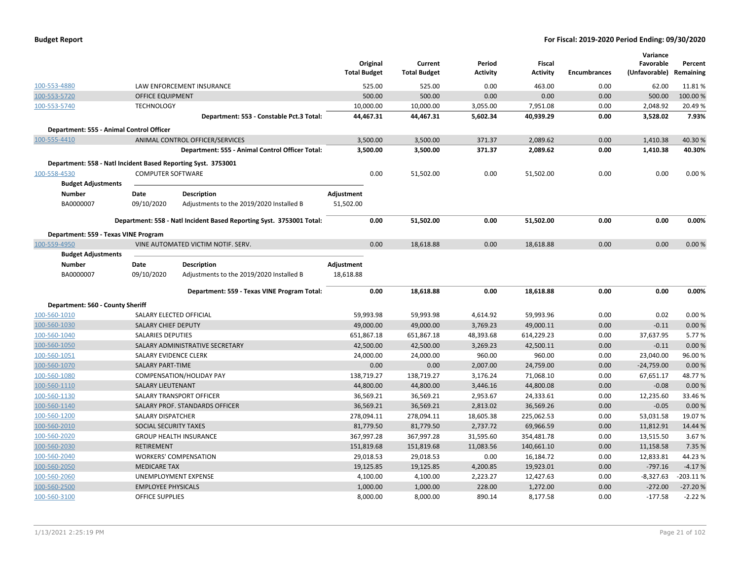| <b>Budget Report</b> |  |
|----------------------|--|
|----------------------|--|

|                                                               |                           |                                                                      |                     | Original   | Current             | Period          | <b>Fiscal</b>   |                     | Variance<br>Favorable | Percent    |
|---------------------------------------------------------------|---------------------------|----------------------------------------------------------------------|---------------------|------------|---------------------|-----------------|-----------------|---------------------|-----------------------|------------|
|                                                               |                           |                                                                      | <b>Total Budget</b> |            | <b>Total Budget</b> | <b>Activity</b> | <b>Activity</b> | <b>Encumbrances</b> | (Unfavorable)         | Remaining  |
| 100-553-4880                                                  |                           | LAW ENFORCEMENT INSURANCE                                            |                     | 525.00     | 525.00              | 0.00            | 463.00          | 0.00                | 62.00                 | 11.81%     |
| 100-553-5720                                                  | <b>OFFICE EQUIPMENT</b>   |                                                                      |                     | 500.00     | 500.00              | 0.00            | 0.00            | 0.00                | 500.00                | 100.00 %   |
| 100-553-5740                                                  | <b>TECHNOLOGY</b>         |                                                                      |                     | 10,000.00  | 10,000.00           | 3,055.00        | 7,951.08        | 0.00                | 2,048.92              | 20.49%     |
|                                                               |                           | Department: 553 - Constable Pct.3 Total:                             |                     | 44,467.31  | 44,467.31           | 5,602.34        | 40,939.29       | 0.00                | 3,528.02              | 7.93%      |
| Department: 555 - Animal Control Officer                      |                           |                                                                      |                     |            |                     |                 |                 |                     |                       |            |
| 100-555-4410                                                  |                           | ANIMAL CONTROL OFFICER/SERVICES                                      |                     | 3,500.00   | 3,500.00            | 371.37          | 2,089.62        | 0.00                | 1,410.38              | 40.30%     |
|                                                               |                           | Department: 555 - Animal Control Officer Total:                      |                     | 3,500.00   | 3,500.00            | 371.37          | 2,089.62        | 0.00                | 1,410.38              | 40.30%     |
| Department: 558 - Natl Incident Based Reporting Syst. 3753001 |                           |                                                                      |                     |            |                     |                 |                 |                     |                       |            |
| 100-558-4530                                                  | <b>COMPUTER SOFTWARE</b>  |                                                                      |                     | 0.00       | 51,502.00           | 0.00            | 51,502.00       | 0.00                | 0.00                  | 0.00%      |
| <b>Budget Adjustments</b>                                     |                           |                                                                      |                     |            |                     |                 |                 |                     |                       |            |
| <b>Number</b>                                                 | Date                      | <b>Description</b>                                                   | Adjustment          |            |                     |                 |                 |                     |                       |            |
| BA0000007                                                     | 09/10/2020                | Adjustments to the 2019/2020 Installed B                             | 51,502.00           |            |                     |                 |                 |                     |                       |            |
|                                                               |                           | Department: 558 - Natl Incident Based Reporting Syst. 3753001 Total: |                     | 0.00       | 51,502.00           | 0.00            | 51,502.00       | 0.00                | 0.00                  | 0.00%      |
| Department: 559 - Texas VINE Program                          |                           |                                                                      |                     |            |                     |                 |                 |                     |                       |            |
| 100-559-4950                                                  |                           | VINE AUTOMATED VICTIM NOTIF. SERV.                                   |                     | 0.00       | 18,618.88           | 0.00            | 18,618.88       | 0.00                | 0.00                  | 0.00%      |
| <b>Budget Adjustments</b>                                     |                           |                                                                      |                     |            |                     |                 |                 |                     |                       |            |
| <b>Number</b>                                                 | Date                      | <b>Description</b>                                                   | Adjustment          |            |                     |                 |                 |                     |                       |            |
| BA0000007                                                     | 09/10/2020                | Adjustments to the 2019/2020 Installed B                             | 18,618.88           |            |                     |                 |                 |                     |                       |            |
|                                                               |                           |                                                                      |                     |            |                     |                 |                 |                     |                       |            |
|                                                               |                           | Department: 559 - Texas VINE Program Total:                          |                     | 0.00       | 18,618.88           | 0.00            | 18,618.88       | 0.00                | 0.00                  | 0.00%      |
| Department: 560 - County Sheriff                              |                           |                                                                      |                     |            |                     |                 |                 |                     |                       |            |
| 100-560-1010                                                  | SALARY ELECTED OFFICIAL   |                                                                      |                     | 59,993.98  | 59,993.98           | 4,614.92        | 59,993.96       | 0.00                | 0.02                  | 0.00%      |
| 100-560-1030                                                  | SALARY CHIEF DEPUTY       |                                                                      |                     | 49,000.00  | 49,000.00           | 3,769.23        | 49,000.11       | 0.00                | $-0.11$               | 0.00%      |
| 100-560-1040                                                  | <b>SALARIES DEPUTIES</b>  |                                                                      |                     | 651,867.18 | 651,867.18          | 48,393.68       | 614,229.23      | 0.00                | 37,637.95             | 5.77%      |
| 100-560-1050                                                  |                           | SALARY ADMINISTRATIVE SECRETARY                                      |                     | 42,500.00  | 42,500.00           | 3,269.23        | 42,500.11       | 0.00                | $-0.11$               | 0.00%      |
| 100-560-1051                                                  | SALARY EVIDENCE CLERK     |                                                                      |                     | 24,000.00  | 24,000.00           | 960.00          | 960.00          | 0.00                | 23,040.00             | 96.00%     |
| 100-560-1070                                                  | <b>SALARY PART-TIME</b>   |                                                                      |                     | 0.00       | 0.00                | 2,007.00        | 24,759.00       | 0.00                | $-24,759.00$          | 0.00%      |
| 100-560-1080                                                  |                           | COMPENSATION/HOLIDAY PAY                                             |                     | 138,719.27 | 138,719.27          | 3,176.24        | 71,068.10       | 0.00                | 67,651.17             | 48.77%     |
| 100-560-1110                                                  | <b>SALARY LIEUTENANT</b>  |                                                                      |                     | 44,800.00  | 44,800.00           | 3,446.16        | 44,800.08       | 0.00                | $-0.08$               | 0.00%      |
| 100-560-1130                                                  |                           | SALARY TRANSPORT OFFICER                                             |                     | 36,569.21  | 36,569.21           | 2,953.67        | 24,333.61       | 0.00                | 12,235.60             | 33.46%     |
| 100-560-1140                                                  |                           | SALARY PROF. STANDARDS OFFICER                                       |                     | 36,569.21  | 36,569.21           | 2,813.02        | 36,569.26       | 0.00                | $-0.05$               | 0.00%      |
| 100-560-1200                                                  | <b>SALARY DISPATCHER</b>  |                                                                      |                     | 278,094.11 | 278,094.11          | 18,605.38       | 225,062.53      | 0.00                | 53,031.58             | 19.07%     |
| 100-560-2010                                                  | SOCIAL SECURITY TAXES     |                                                                      |                     | 81,779.50  | 81,779.50           | 2,737.72        | 69,966.59       | 0.00                | 11,812.91             | 14.44 %    |
| 100-560-2020                                                  |                           | <b>GROUP HEALTH INSURANCE</b>                                        |                     | 367,997.28 | 367,997.28          | 31,595.60       | 354,481.78      | 0.00                | 13,515.50             | 3.67%      |
| 100-560-2030                                                  | <b>RETIREMENT</b>         |                                                                      |                     | 151,819.68 | 151,819.68          | 11,083.56       | 140,661.10      | 0.00                | 11,158.58             | 7.35 %     |
| 100-560-2040                                                  |                           | <b>WORKERS' COMPENSATION</b>                                         |                     | 29,018.53  | 29,018.53           | 0.00            | 16,184.72       | 0.00                | 12,833.81             | 44.23%     |
| 100-560-2050                                                  | <b>MEDICARE TAX</b>       |                                                                      |                     | 19,125.85  | 19,125.85           | 4,200.85        | 19,923.01       | 0.00                | $-797.16$             | $-4.17%$   |
| 100-560-2060                                                  |                           | UNEMPLOYMENT EXPENSE                                                 |                     | 4,100.00   | 4,100.00            | 2,223.27        | 12,427.63       | 0.00                | $-8,327.63$           | $-203.11%$ |
| 100-560-2500                                                  | <b>EMPLOYEE PHYSICALS</b> |                                                                      |                     | 1,000.00   | 1,000.00            | 228.00          | 1,272.00        | 0.00                | $-272.00$             | $-27.20%$  |
| 100-560-3100                                                  | <b>OFFICE SUPPLIES</b>    |                                                                      |                     | 8,000.00   | 8,000.00            | 890.14          | 8,177.58        | 0.00                | $-177.58$             | $-2.22%$   |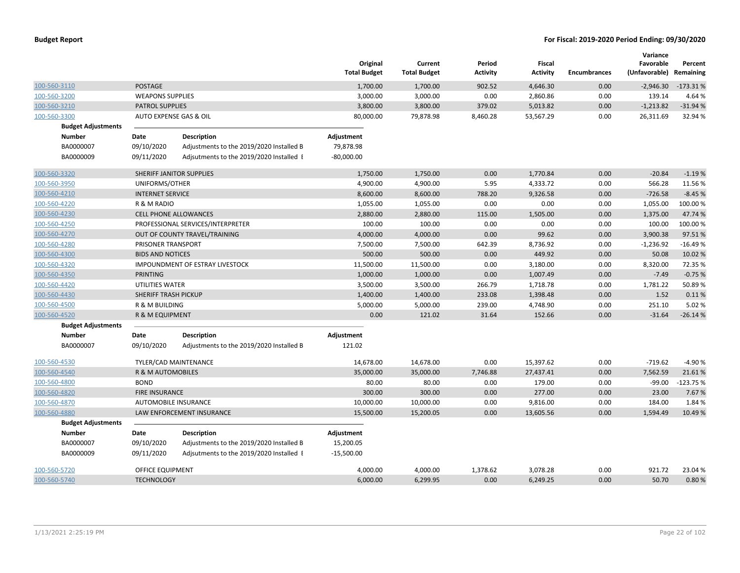|                           |                              |                                          | Original<br><b>Total Budget</b> | Current<br><b>Total Budget</b> | Period<br><b>Activity</b> | Fiscal<br><b>Activity</b> | <b>Encumbrances</b> | Variance<br>Favorable<br>(Unfavorable) | Percent<br>Remaining |
|---------------------------|------------------------------|------------------------------------------|---------------------------------|--------------------------------|---------------------------|---------------------------|---------------------|----------------------------------------|----------------------|
| 100-560-3110              | <b>POSTAGE</b>               |                                          | 1,700.00                        | 1,700.00                       | 902.52                    | 4,646.30                  | 0.00                | $-2,946.30$                            | $-173.31%$           |
| 100-560-3200              | <b>WEAPONS SUPPLIES</b>      |                                          | 3,000.00                        | 3,000.00                       | 0.00                      | 2,860.86                  | 0.00                | 139.14                                 | 4.64 %               |
| 100-560-3210              | <b>PATROL SUPPLIES</b>       |                                          | 3,800.00                        | 3,800.00                       | 379.02                    | 5,013.82                  | 0.00                | $-1,213.82$                            | $-31.94%$            |
| 100-560-3300              | AUTO EXPENSE GAS & OIL       |                                          | 80,000.00                       | 79,878.98                      | 8,460.28                  | 53,567.29                 | 0.00                | 26,311.69                              | 32.94 %              |
| <b>Budget Adjustments</b> |                              |                                          |                                 |                                |                           |                           |                     |                                        |                      |
| <b>Number</b>             | Date                         | <b>Description</b>                       | Adjustment                      |                                |                           |                           |                     |                                        |                      |
| BA0000007                 | 09/10/2020                   | Adjustments to the 2019/2020 Installed B | 79,878.98                       |                                |                           |                           |                     |                                        |                      |
| BA0000009                 | 09/11/2020                   | Adjsutments to the 2019/2020 Installed I | $-80,000.00$                    |                                |                           |                           |                     |                                        |                      |
| 100-560-3320              |                              | SHERIFF JANITOR SUPPLIES                 | 1,750.00                        | 1,750.00                       | 0.00                      | 1,770.84                  | 0.00                | $-20.84$                               | $-1.19%$             |
| 100-560-3950              | UNIFORMS/OTHER               |                                          | 4,900.00                        | 4,900.00                       | 5.95                      | 4,333.72                  | 0.00                | 566.28                                 | 11.56 %              |
| 100-560-4210              | <b>INTERNET SERVICE</b>      |                                          | 8,600.00                        | 8,600.00                       | 788.20                    | 9,326.58                  | 0.00                | $-726.58$                              | $-8.45%$             |
| 100-560-4220              | R & M RADIO                  |                                          | 1,055.00                        | 1,055.00                       | 0.00                      | 0.00                      | 0.00                | 1,055.00                               | 100.00%              |
| 100-560-4230              |                              | <b>CELL PHONE ALLOWANCES</b>             | 2,880.00                        | 2,880.00                       | 115.00                    | 1,505.00                  | 0.00                | 1,375.00                               | 47.74 %              |
| 100-560-4250              |                              | PROFESSIONAL SERVICES/INTERPRETER        | 100.00                          | 100.00                         | 0.00                      | 0.00                      | 0.00                | 100.00                                 | 100.00%              |
| 100-560-4270              |                              | OUT OF COUNTY TRAVEL/TRAINING            | 4,000.00                        | 4,000.00                       | 0.00                      | 99.62                     | 0.00                | 3,900.38                               | 97.51%               |
| 100-560-4280              | PRISONER TRANSPORT           |                                          | 7,500.00                        | 7,500.00                       | 642.39                    | 8,736.92                  | 0.00                | $-1,236.92$                            | $-16.49%$            |
| 100-560-4300              | <b>BIDS AND NOTICES</b>      |                                          | 500.00                          | 500.00                         | 0.00                      | 449.92                    | 0.00                | 50.08                                  | 10.02 %              |
| 100-560-4320              |                              | IMPOUNDMENT OF ESTRAY LIVESTOCK          | 11,500.00                       | 11,500.00                      | 0.00                      | 3,180.00                  | 0.00                | 8,320.00                               | 72.35 %              |
| 100-560-4350              | <b>PRINTING</b>              |                                          | 1,000.00                        | 1,000.00                       | 0.00                      | 1,007.49                  | 0.00                | $-7.49$                                | $-0.75%$             |
| 100-560-4420              | UTILITIES WATER              |                                          | 3,500.00                        | 3,500.00                       | 266.79                    | 1,718.78                  | 0.00                | 1,781.22                               | 50.89%               |
| 100-560-4430              | SHERIFF TRASH PICKUP         |                                          | 1,400.00                        | 1,400.00                       | 233.08                    | 1,398.48                  | 0.00                | 1.52                                   | 0.11%                |
| 100-560-4500              | R & M BUILDING               |                                          | 5,000.00                        | 5,000.00                       | 239.00                    | 4,748.90                  | 0.00                | 251.10                                 | 5.02%                |
| 100-560-4520              | R & M EQUIPMENT              |                                          | 0.00                            | 121.02                         | 31.64                     | 152.66                    | 0.00                | $-31.64$                               | $-26.14%$            |
| <b>Budget Adjustments</b> |                              |                                          |                                 |                                |                           |                           |                     |                                        |                      |
| <b>Number</b>             | Date                         | <b>Description</b>                       | Adjustment                      |                                |                           |                           |                     |                                        |                      |
| BA0000007                 | 09/10/2020                   | Adjustments to the 2019/2020 Installed B | 121.02                          |                                |                           |                           |                     |                                        |                      |
| 100-560-4530              |                              | TYLER/CAD MAINTENANCE                    | 14,678.00                       | 14,678.00                      | 0.00                      | 15,397.62                 | 0.00                | $-719.62$                              | $-4.90%$             |
| 100-560-4540              | <b>R &amp; M AUTOMOBILES</b> |                                          | 35,000.00                       | 35,000.00                      | 7,746.88                  | 27,437.41                 | 0.00                | 7,562.59                               | 21.61%               |
| 100-560-4800              | <b>BOND</b>                  |                                          | 80.00                           | 80.00                          | 0.00                      | 179.00                    | 0.00                | $-99.00$                               | $-123.75%$           |
| 100-560-4820              | <b>FIRE INSURANCE</b>        |                                          | 300.00                          | 300.00                         | 0.00                      | 277.00                    | 0.00                | 23.00                                  | 7.67%                |
| 100-560-4870              | AUTOMOBILE INSURANCE         |                                          | 10,000.00                       | 10,000.00                      | 0.00                      | 9,816.00                  | 0.00                | 184.00                                 | 1.84 %               |
| 100-560-4880              |                              | LAW ENFORCEMENT INSURANCE                | 15,500.00                       | 15,200.05                      | 0.00                      | 13,605.56                 | 0.00                | 1,594.49                               | 10.49 %              |
| <b>Budget Adjustments</b> |                              |                                          |                                 |                                |                           |                           |                     |                                        |                      |
| <b>Number</b>             | Date                         | Description                              | Adjustment                      |                                |                           |                           |                     |                                        |                      |
| BA0000007                 | 09/10/2020                   | Adjustments to the 2019/2020 Installed B | 15,200.05                       |                                |                           |                           |                     |                                        |                      |
| BA0000009                 | 09/11/2020                   | Adjsutments to the 2019/2020 Installed I | $-15,500.00$                    |                                |                           |                           |                     |                                        |                      |
| 100-560-5720              | OFFICE EQUIPMENT             |                                          | 4,000.00                        | 4,000.00                       | 1,378.62                  | 3,078.28                  | 0.00                | 921.72                                 | 23.04 %              |
| 100-560-5740              | <b>TECHNOLOGY</b>            |                                          | 6,000.00                        | 6,299.95                       | 0.00                      | 6,249.25                  | 0.00                | 50.70                                  | 0.80%                |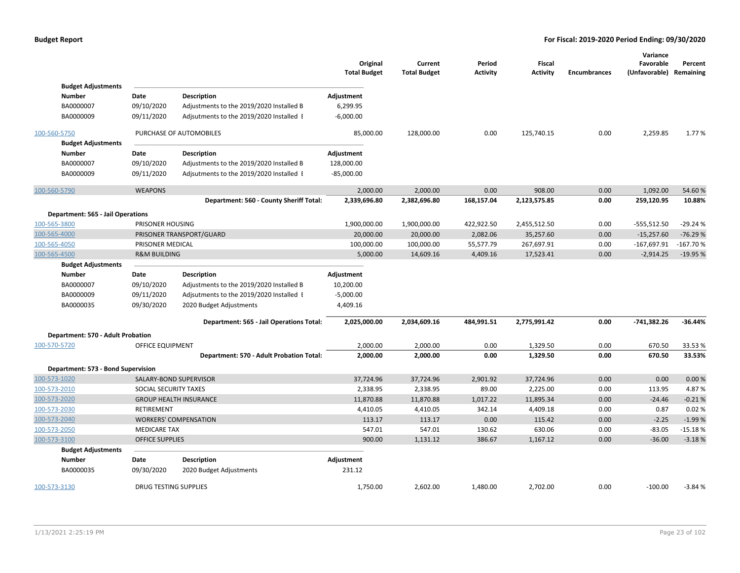|                                          |                              |                                                                                      | Original<br><b>Total Budget</b> | Current<br><b>Total Budget</b> | Period<br><b>Activity</b> | Fiscal<br><b>Activity</b> | <b>Encumbrances</b> | Variance<br>Favorable<br>(Unfavorable) Remaining | Percent    |
|------------------------------------------|------------------------------|--------------------------------------------------------------------------------------|---------------------------------|--------------------------------|---------------------------|---------------------------|---------------------|--------------------------------------------------|------------|
| <b>Budget Adjustments</b>                |                              |                                                                                      |                                 |                                |                           |                           |                     |                                                  |            |
| Number                                   | Date                         | <b>Description</b>                                                                   | Adjustment                      |                                |                           |                           |                     |                                                  |            |
| BA0000007<br>BA0000009                   | 09/10/2020<br>09/11/2020     | Adjustments to the 2019/2020 Installed B<br>Adjsutments to the 2019/2020 Installed I | 6,299.95<br>$-6,000.00$         |                                |                           |                           |                     |                                                  |            |
|                                          |                              |                                                                                      |                                 |                                |                           |                           |                     |                                                  |            |
| 100-560-5750                             |                              | PURCHASE OF AUTOMOBILES                                                              | 85,000.00                       | 128,000.00                     | 0.00                      | 125,740.15                | 0.00                | 2,259.85                                         | 1.77 %     |
| <b>Budget Adjustments</b>                |                              |                                                                                      |                                 |                                |                           |                           |                     |                                                  |            |
| Number                                   | Date                         | <b>Description</b>                                                                   | Adjustment                      |                                |                           |                           |                     |                                                  |            |
| BA0000007                                | 09/10/2020                   | Adjustments to the 2019/2020 Installed B                                             | 128,000.00                      |                                |                           |                           |                     |                                                  |            |
| BA0000009                                | 09/11/2020                   | Adjsutments to the 2019/2020 Installed I                                             | $-85,000.00$                    |                                |                           |                           |                     |                                                  |            |
| 100-560-5790                             | <b>WEAPONS</b>               |                                                                                      | 2,000.00                        | 2,000.00                       | 0.00                      | 908.00                    | 0.00                | 1,092.00                                         | 54.60%     |
|                                          |                              | Department: 560 - County Sheriff Total:                                              | 2,339,696.80                    | 2,382,696.80                   | 168,157.04                | 2,123,575.85              | 0.00                | 259,120.95                                       | 10.88%     |
| <b>Department: 565 - Jail Operations</b> |                              |                                                                                      |                                 |                                |                           |                           |                     |                                                  |            |
| 100-565-3800                             | PRISONER HOUSING             |                                                                                      | 1,900,000.00                    | 1,900,000.00                   | 422,922.50                | 2,455,512.50              | 0.00                | $-555,512.50$                                    | $-29.24%$  |
| 100-565-4000                             |                              | PRISONER TRANSPORT/GUARD                                                             | 20,000.00                       | 20,000.00                      | 2,082.06                  | 35,257.60                 | 0.00                | $-15,257.60$                                     | $-76.29%$  |
| 100-565-4050                             | PRISONER MEDICAL             |                                                                                      | 100,000.00                      | 100,000.00                     | 55,577.79                 | 267,697.91                | 0.00                | $-167,697.91$                                    | $-167.70%$ |
| 100-565-4500                             |                              | <b>R&amp;M BUILDING</b>                                                              |                                 | 14,609.16                      | 4,409.16                  | 17,523.41                 | 0.00                | $-2,914.25$                                      | $-19.95%$  |
| <b>Budget Adjustments</b>                |                              |                                                                                      |                                 |                                |                           |                           |                     |                                                  |            |
| <b>Number</b>                            | Date                         | <b>Description</b>                                                                   | Adjustment                      |                                |                           |                           |                     |                                                  |            |
| BA0000007                                | 09/10/2020                   | Adjustments to the 2019/2020 Installed B                                             | 10,200.00                       |                                |                           |                           |                     |                                                  |            |
| BA0000009                                | 09/11/2020                   | Adjsutments to the 2019/2020 Installed I                                             | $-5,000.00$                     |                                |                           |                           |                     |                                                  |            |
| BA0000035                                | 09/30/2020                   | 2020 Budget Adjustments                                                              | 4,409.16                        |                                |                           |                           |                     |                                                  |            |
|                                          |                              | Department: 565 - Jail Operations Total:                                             | 2,025,000.00                    | 2,034,609.16                   | 484,991.51                | 2,775,991.42              | 0.00                | $-741,382.26$                                    | $-36.44%$  |
| Department: 570 - Adult Probation        |                              |                                                                                      |                                 |                                |                           |                           |                     |                                                  |            |
| 100-570-5720                             | OFFICE EQUIPMENT             |                                                                                      | 2,000.00                        | 2,000.00                       | 0.00                      | 1,329.50                  | 0.00                | 670.50                                           | 33.53 %    |
|                                          |                              | Department: 570 - Adult Probation Total:                                             | 2,000.00                        | 2,000.00                       | 0.00                      | 1,329.50                  | 0.00                | 670.50                                           | 33.53%     |
| Department: 573 - Bond Supervision       |                              |                                                                                      |                                 |                                |                           |                           |                     |                                                  |            |
| 100-573-1020                             |                              | SALARY-BOND SUPERVISOR                                                               | 37,724.96                       | 37,724.96                      | 2,901.92                  | 37,724.96                 | 0.00                | 0.00                                             | 0.00 %     |
| 100-573-2010                             | SOCIAL SECURITY TAXES        |                                                                                      | 2,338.95                        | 2,338.95                       | 89.00                     | 2,225.00                  | 0.00                | 113.95                                           | 4.87%      |
| 100-573-2020                             |                              | <b>GROUP HEALTH INSURANCE</b>                                                        | 11,870.88                       | 11,870.88                      | 1,017.22                  | 11,895.34                 | 0.00                | $-24.46$                                         | $-0.21%$   |
| 100-573-2030                             | <b>RETIREMENT</b>            |                                                                                      | 4,410.05                        | 4,410.05                       | 342.14                    | 4,409.18                  | 0.00                | 0.87                                             | 0.02%      |
| 100-573-2040                             |                              | <b>WORKERS' COMPENSATION</b>                                                         | 113.17                          | 113.17                         | 0.00                      | 115.42                    | 0.00                | $-2.25$                                          | $-1.99%$   |
| 100-573-2050                             | <b>MEDICARE TAX</b>          |                                                                                      | 547.01                          | 547.01                         | 130.62                    | 630.06                    | 0.00                | $-83.05$                                         | $-15.18%$  |
| 100-573-3100                             | <b>OFFICE SUPPLIES</b>       |                                                                                      | 900.00                          | 1,131.12                       | 386.67                    | 1,167.12                  | 0.00                | $-36.00$                                         | $-3.18%$   |
| <b>Budget Adjustments</b>                |                              |                                                                                      |                                 |                                |                           |                           |                     |                                                  |            |
| Number                                   | Date                         | <b>Description</b>                                                                   | Adjustment                      |                                |                           |                           |                     |                                                  |            |
| BA0000035                                | 09/30/2020                   | 2020 Budget Adjustments                                                              | 231.12                          |                                |                           |                           |                     |                                                  |            |
| 100-573-3130                             | <b>DRUG TESTING SUPPLIES</b> |                                                                                      | 1,750.00                        | 2,602.00                       | 1,480.00                  | 2,702.00                  | 0.00                | $-100.00$                                        | $-3.84%$   |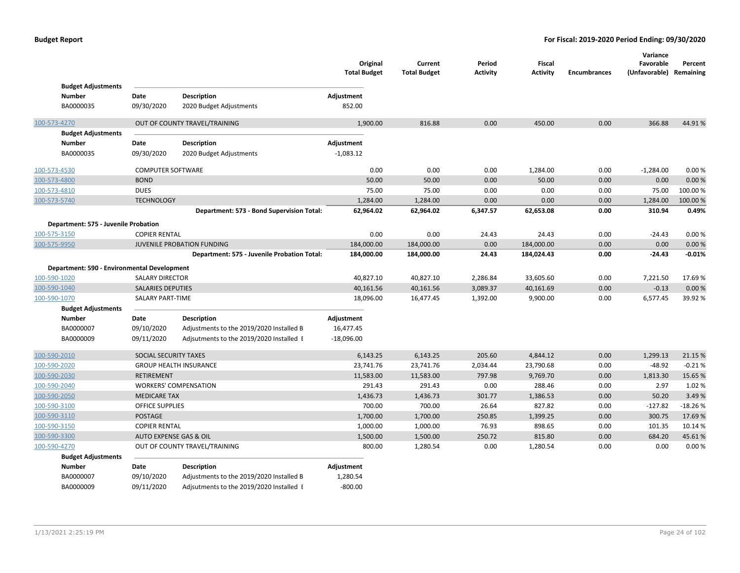|              | <b>Budget Adjustments</b>                   |                          |                                                                                      | Original<br><b>Total Budget</b> | Current<br><b>Total Budget</b> | Period<br><b>Activity</b> | <b>Fiscal</b><br><b>Activity</b> | <b>Encumbrances</b> | Variance<br>Favorable<br>(Unfavorable) Remaining | Percent   |
|--------------|---------------------------------------------|--------------------------|--------------------------------------------------------------------------------------|---------------------------------|--------------------------------|---------------------------|----------------------------------|---------------------|--------------------------------------------------|-----------|
|              | Number                                      | Date                     | <b>Description</b>                                                                   | Adjustment                      |                                |                           |                                  |                     |                                                  |           |
|              | BA0000035                                   | 09/30/2020               | 2020 Budget Adjustments                                                              | 852.00                          |                                |                           |                                  |                     |                                                  |           |
|              |                                             |                          |                                                                                      |                                 |                                |                           |                                  |                     |                                                  |           |
| 100-573-4270 |                                             |                          | OUT OF COUNTY TRAVEL/TRAINING                                                        | 1,900.00                        | 816.88                         | 0.00                      | 450.00                           | 0.00                | 366.88                                           | 44.91%    |
|              | <b>Budget Adjustments</b>                   |                          |                                                                                      |                                 |                                |                           |                                  |                     |                                                  |           |
|              | <b>Number</b>                               | Date                     | <b>Description</b>                                                                   | Adjustment                      |                                |                           |                                  |                     |                                                  |           |
|              | BA0000035                                   | 09/30/2020               | 2020 Budget Adjustments                                                              | $-1,083.12$                     |                                |                           |                                  |                     |                                                  |           |
| 100-573-4530 |                                             | <b>COMPUTER SOFTWARE</b> |                                                                                      | 0.00                            | 0.00                           | 0.00                      | 1,284.00                         | 0.00                | $-1,284.00$                                      | 0.00%     |
| 100-573-4800 |                                             | <b>BOND</b>              |                                                                                      | 50.00                           | 50.00                          | 0.00                      | 50.00                            | 0.00                | 0.00                                             | 0.00%     |
| 100-573-4810 |                                             | <b>DUES</b>              |                                                                                      | 75.00                           | 75.00                          | 0.00                      | 0.00                             | 0.00                | 75.00                                            | 100.00%   |
| 100-573-5740 |                                             | <b>TECHNOLOGY</b>        |                                                                                      | 1,284.00                        | 1,284.00                       | 0.00                      | 0.00                             | 0.00                | 1,284.00                                         | 100.00 %  |
|              |                                             |                          | Department: 573 - Bond Supervision Total:                                            | 62,964.02                       | 62,964.02                      | 6,347.57                  | 62,653.08                        | 0.00                | 310.94                                           | 0.49%     |
|              | Department: 575 - Juvenile Probation        |                          |                                                                                      |                                 |                                |                           |                                  |                     |                                                  |           |
| 100-575-3150 |                                             | <b>COPIER RENTAL</b>     |                                                                                      | 0.00                            | 0.00                           | 24.43                     | 24.43                            | 0.00                | $-24.43$                                         | 0.00%     |
| 100-575-9950 |                                             |                          | JUVENILE PROBATION FUNDING                                                           | 184,000.00                      | 184,000.00                     | 0.00                      | 184,000.00                       | 0.00                | 0.00                                             | 0.00%     |
|              |                                             |                          | Department: 575 - Juvenile Probation Total:                                          | 184,000.00                      | 184,000.00                     | 24.43                     | 184,024.43                       | 0.00                | $-24.43$                                         | $-0.01%$  |
|              | Department: 590 - Environmental Development |                          |                                                                                      |                                 |                                |                           |                                  |                     |                                                  |           |
| 100-590-1020 |                                             | <b>SALARY DIRECTOR</b>   |                                                                                      | 40,827.10                       | 40,827.10                      | 2,286.84                  | 33,605.60                        | 0.00                | 7,221.50                                         | 17.69%    |
| 100-590-1040 |                                             | <b>SALARIES DEPUTIES</b> |                                                                                      | 40,161.56                       | 40,161.56                      | 3,089.37                  | 40,161.69                        | 0.00                | $-0.13$                                          | 0.00%     |
| 100-590-1070 |                                             | <b>SALARY PART-TIME</b>  |                                                                                      | 18,096.00                       | 16,477.45                      | 1,392.00                  | 9,900.00                         | 0.00                | 6,577.45                                         | 39.92%    |
|              | <b>Budget Adjustments</b>                   |                          |                                                                                      |                                 |                                |                           |                                  |                     |                                                  |           |
|              | Number                                      | Date                     | <b>Description</b>                                                                   | Adjustment                      |                                |                           |                                  |                     |                                                  |           |
|              | BA0000007                                   | 09/10/2020               | Adjustments to the 2019/2020 Installed B                                             | 16,477.45                       |                                |                           |                                  |                     |                                                  |           |
|              | BA0000009                                   | 09/11/2020               | Adjsutments to the 2019/2020 Installed I                                             | $-18,096.00$                    |                                |                           |                                  |                     |                                                  |           |
| 100-590-2010 |                                             | SOCIAL SECURITY TAXES    |                                                                                      | 6,143.25                        | 6,143.25                       | 205.60                    | 4,844.12                         | 0.00                | 1,299.13                                         | 21.15 %   |
| 100-590-2020 |                                             |                          | <b>GROUP HEALTH INSURANCE</b>                                                        | 23,741.76                       | 23,741.76                      | 2,034.44                  | 23,790.68                        | 0.00                | $-48.92$                                         | $-0.21%$  |
| 100-590-2030 |                                             | <b>RETIREMENT</b>        |                                                                                      | 11,583.00                       | 11,583.00                      | 797.98                    | 9,769.70                         | 0.00                | 1,813.30                                         | 15.65 %   |
| 100-590-2040 |                                             |                          | <b>WORKERS' COMPENSATION</b>                                                         | 291.43                          | 291.43                         | 0.00                      | 288.46                           | 0.00                | 2.97                                             | 1.02%     |
| 100-590-2050 |                                             | <b>MEDICARE TAX</b>      |                                                                                      | 1,436.73                        | 1,436.73                       | 301.77                    | 1,386.53                         | 0.00                | 50.20                                            | 3.49%     |
| 100-590-3100 |                                             | <b>OFFICE SUPPLIES</b>   |                                                                                      | 700.00                          | 700.00                         | 26.64                     | 827.82                           | 0.00                | $-127.82$                                        | $-18.26%$ |
| 100-590-3110 |                                             | <b>POSTAGE</b>           |                                                                                      | 1,700.00                        | 1,700.00                       | 250.85                    | 1,399.25                         | 0.00                | 300.75                                           | 17.69%    |
| 100-590-3150 |                                             | <b>COPIER RENTAL</b>     |                                                                                      | 1,000.00                        | 1,000.00                       | 76.93                     | 898.65                           | 0.00                | 101.35                                           | 10.14 %   |
| 100-590-3300 |                                             | AUTO EXPENSE GAS & OIL   |                                                                                      | 1,500.00                        | 1,500.00                       | 250.72                    | 815.80                           | 0.00                | 684.20                                           | 45.61%    |
| 100-590-4270 |                                             |                          | OUT OF COUNTY TRAVEL/TRAINING                                                        | 800.00                          | 1,280.54                       | 0.00                      | 1,280.54                         | 0.00                | 0.00                                             | 0.00%     |
|              | <b>Budget Adjustments</b>                   |                          |                                                                                      |                                 |                                |                           |                                  |                     |                                                  |           |
|              | Number<br>BA0000007                         | Date                     | <b>Description</b>                                                                   | Adjustment                      |                                |                           |                                  |                     |                                                  |           |
|              | BA0000009                                   | 09/10/2020<br>09/11/2020 | Adjustments to the 2019/2020 Installed B<br>Adjsutments to the 2019/2020 Installed I | 1,280.54<br>$-800.00$           |                                |                           |                                  |                     |                                                  |           |
|              |                                             |                          |                                                                                      |                                 |                                |                           |                                  |                     |                                                  |           |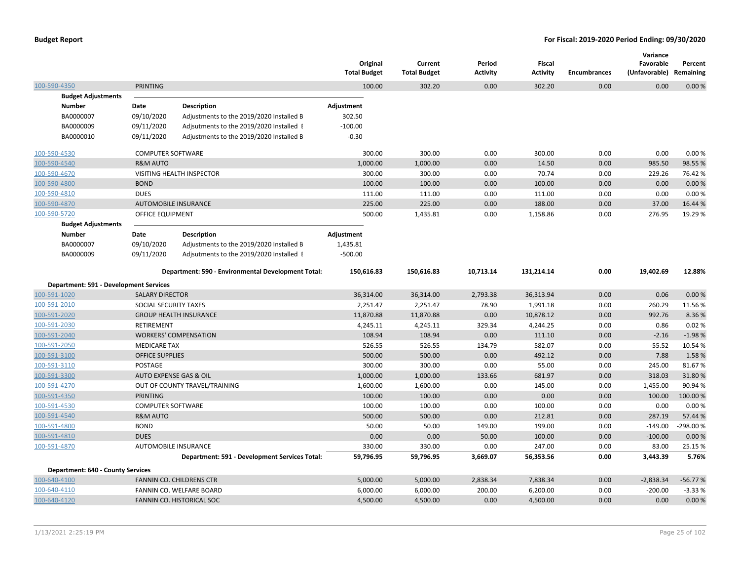|                                          |                             |                                                    | Original<br><b>Total Budget</b> | Current<br><b>Total Budget</b> | Period<br><b>Activity</b> | Fiscal<br><b>Activity</b> | <b>Encumbrances</b> | Variance<br>Favorable<br>(Unfavorable) Remaining | Percent   |
|------------------------------------------|-----------------------------|----------------------------------------------------|---------------------------------|--------------------------------|---------------------------|---------------------------|---------------------|--------------------------------------------------|-----------|
| 100-590-4350                             | <b>PRINTING</b>             |                                                    | 100.00                          | 302.20                         | 0.00                      | 302.20                    | 0.00                | 0.00                                             | 0.00%     |
| <b>Budget Adjustments</b>                |                             |                                                    |                                 |                                |                           |                           |                     |                                                  |           |
| <b>Number</b>                            | Date                        | <b>Description</b>                                 | Adjustment                      |                                |                           |                           |                     |                                                  |           |
| BA0000007                                | 09/10/2020                  | Adjustments to the 2019/2020 Installed B           | 302.50                          |                                |                           |                           |                     |                                                  |           |
| BA0000009                                | 09/11/2020                  | Adjsutments to the 2019/2020 Installed I           | $-100.00$                       |                                |                           |                           |                     |                                                  |           |
| BA0000010                                | 09/11/2020                  | Adjustments to the 2019/2020 Installed B           | $-0.30$                         |                                |                           |                           |                     |                                                  |           |
| 100-590-4530                             | <b>COMPUTER SOFTWARE</b>    |                                                    | 300.00                          | 300.00                         | 0.00                      | 300.00                    | 0.00                | 0.00                                             | 0.00%     |
| 100-590-4540                             | <b>R&amp;M AUTO</b>         |                                                    | 1,000.00                        | 1,000.00                       | 0.00                      | 14.50                     | 0.00                | 985.50                                           | 98.55%    |
| 100-590-4670                             |                             | VISITING HEALTH INSPECTOR                          | 300.00                          | 300.00                         | 0.00                      | 70.74                     | 0.00                | 229.26                                           | 76.42%    |
| 100-590-4800                             | <b>BOND</b>                 |                                                    | 100.00                          | 100.00                         | 0.00                      | 100.00                    | 0.00                | 0.00                                             | 0.00%     |
| 100-590-4810                             | <b>DUES</b>                 |                                                    | 111.00                          | 111.00                         | 0.00                      | 111.00                    | 0.00                | 0.00                                             | 0.00%     |
| 100-590-4870                             | <b>AUTOMOBILE INSURANCE</b> |                                                    | 225.00                          | 225.00                         | 0.00                      | 188.00                    | 0.00                | 37.00                                            | 16.44 %   |
| 100-590-5720                             | OFFICE EQUIPMENT            |                                                    | 500.00                          | 1,435.81                       | 0.00                      | 1,158.86                  | 0.00                | 276.95                                           | 19.29 %   |
| <b>Budget Adjustments</b>                |                             |                                                    |                                 |                                |                           |                           |                     |                                                  |           |
| <b>Number</b>                            | Date                        | <b>Description</b>                                 | Adjustment                      |                                |                           |                           |                     |                                                  |           |
| BA0000007                                | 09/10/2020                  | Adjustments to the 2019/2020 Installed B           | 1,435.81                        |                                |                           |                           |                     |                                                  |           |
| BA0000009                                | 09/11/2020                  | Adjsutments to the 2019/2020 Installed I           | $-500.00$                       |                                |                           |                           |                     |                                                  |           |
|                                          |                             | Department: 590 - Environmental Development Total: | 150,616.83                      | 150,616.83                     | 10,713.14                 | 131,214.14                | 0.00                | 19,402.69                                        | 12.88%    |
| Department: 591 - Development Services   |                             |                                                    |                                 |                                |                           |                           |                     |                                                  |           |
| 100-591-1020                             | <b>SALARY DIRECTOR</b>      |                                                    | 36,314.00                       | 36,314.00                      | 2,793.38                  | 36,313.94                 | 0.00                | 0.06                                             | 0.00%     |
| 100-591-2010                             | SOCIAL SECURITY TAXES       |                                                    | 2,251.47                        | 2,251.47                       | 78.90                     | 1,991.18                  | 0.00                | 260.29                                           | 11.56%    |
| 100-591-2020                             |                             | <b>GROUP HEALTH INSURANCE</b>                      | 11,870.88                       | 11,870.88                      | 0.00                      | 10,878.12                 | 0.00                | 992.76                                           | 8.36%     |
| 100-591-2030                             | RETIREMENT                  |                                                    | 4,245.11                        | 4,245.11                       | 329.34                    | 4,244.25                  | 0.00                | 0.86                                             | 0.02%     |
| 100-591-2040                             |                             | <b>WORKERS' COMPENSATION</b>                       | 108.94                          | 108.94                         | 0.00                      | 111.10                    | 0.00                | $-2.16$                                          | $-1.98%$  |
| 100-591-2050                             | <b>MEDICARE TAX</b>         |                                                    | 526.55                          | 526.55                         | 134.79                    | 582.07                    | 0.00                | $-55.52$                                         | $-10.54%$ |
| 100-591-3100                             | <b>OFFICE SUPPLIES</b>      |                                                    | 500.00                          | 500.00                         | 0.00                      | 492.12                    | 0.00                | 7.88                                             | 1.58%     |
| 100-591-3110                             | POSTAGE                     |                                                    | 300.00                          | 300.00                         | 0.00                      | 55.00                     | 0.00                | 245.00                                           | 81.67%    |
| 100-591-3300                             | AUTO EXPENSE GAS & OIL      |                                                    | 1,000.00                        | 1,000.00                       | 133.66                    | 681.97                    | 0.00                | 318.03                                           | 31.80%    |
| 100-591-4270                             |                             | OUT OF COUNTY TRAVEL/TRAINING                      | 1,600.00                        | 1,600.00                       | 0.00                      | 145.00                    | 0.00                | 1,455.00                                         | 90.94%    |
| 100-591-4350                             | <b>PRINTING</b>             |                                                    | 100.00                          | 100.00                         | 0.00                      | 0.00                      | 0.00                | 100.00                                           | 100.00%   |
| 100-591-4530                             | <b>COMPUTER SOFTWARE</b>    |                                                    | 100.00                          | 100.00                         | 0.00                      | 100.00                    | 0.00                | 0.00                                             | 0.00%     |
| 100-591-4540                             | <b>R&amp;M AUTO</b>         |                                                    | 500.00                          | 500.00                         | 0.00                      | 212.81                    | 0.00                | 287.19                                           | 57.44 %   |
| 100-591-4800                             | <b>BOND</b>                 |                                                    | 50.00                           | 50.00                          | 149.00                    | 199.00                    | 0.00                | $-149.00$                                        | -298.00%  |
| 100-591-4810                             | <b>DUES</b>                 |                                                    | 0.00                            | 0.00                           | 50.00                     | 100.00                    | 0.00                | $-100.00$                                        | 0.00%     |
| 100-591-4870                             | AUTOMOBILE INSURANCE        |                                                    | 330.00                          | 330.00                         | 0.00                      | 247.00                    | 0.00                | 83.00                                            | 25.15 %   |
|                                          |                             | Department: 591 - Development Services Total:      | 59,796.95                       | 59,796.95                      | 3,669.07                  | 56,353.56                 | 0.00                | 3,443.39                                         | 5.76%     |
| <b>Department: 640 - County Services</b> |                             |                                                    |                                 |                                |                           |                           |                     |                                                  |           |
| 100-640-4100                             |                             | FANNIN CO. CHILDRENS CTR                           | 5,000.00                        | 5,000.00                       | 2,838.34                  | 7,838.34                  | 0.00                | $-2,838.34$                                      | $-56.77%$ |
| 100-640-4110                             |                             | FANNIN CO. WELFARE BOARD                           | 6,000.00                        | 6,000.00                       | 200.00                    | 6,200.00                  | 0.00                | $-200.00$                                        | $-3.33%$  |
| 100-640-4120                             |                             | <b>FANNIN CO. HISTORICAL SOC</b>                   | 4,500.00                        | 4,500.00                       | 0.00                      | 4,500.00                  | 0.00                | 0.00                                             | 0.00%     |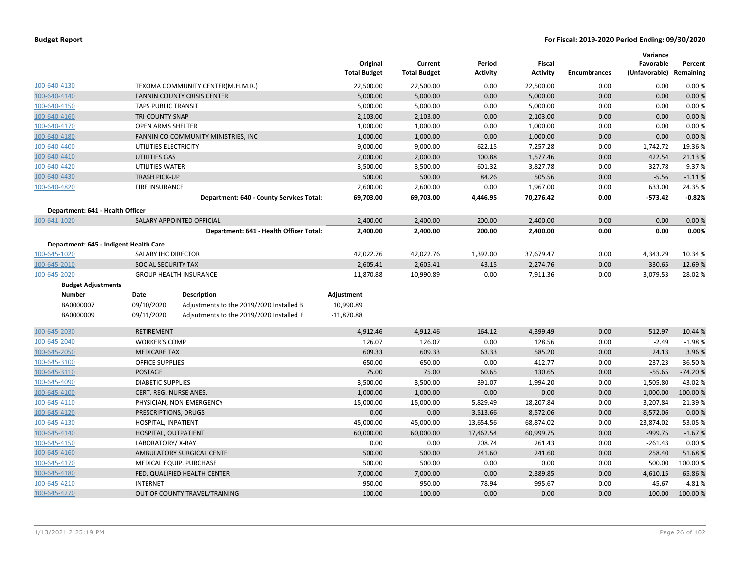|                                        |                               |                                          | Original<br><b>Total Budget</b> | Current<br><b>Total Budget</b> | Period<br><b>Activity</b> | <b>Fiscal</b><br><b>Activity</b> | <b>Encumbrances</b> | Variance<br>Favorable<br>(Unfavorable) Remaining | Percent   |
|----------------------------------------|-------------------------------|------------------------------------------|---------------------------------|--------------------------------|---------------------------|----------------------------------|---------------------|--------------------------------------------------|-----------|
| 100-640-4130                           |                               | TEXOMA COMMUNITY CENTER(M.H.M.R.)        | 22,500.00                       | 22,500.00                      | 0.00                      | 22,500.00                        | 0.00                | 0.00                                             | 0.00%     |
| 100-640-4140                           |                               | <b>FANNIN COUNTY CRISIS CENTER</b>       | 5,000.00                        | 5,000.00                       | 0.00                      | 5,000.00                         | 0.00                | 0.00                                             | 0.00%     |
| 100-640-4150                           | <b>TAPS PUBLIC TRANSIT</b>    |                                          | 5,000.00                        | 5,000.00                       | 0.00                      | 5,000.00                         | 0.00                | 0.00                                             | 0.00%     |
| 100-640-4160                           | <b>TRI-COUNTY SNAP</b>        |                                          | 2,103.00                        | 2,103.00                       | 0.00                      | 2,103.00                         | 0.00                | 0.00                                             | 0.00%     |
| 100-640-4170                           | <b>OPEN ARMS SHELTER</b>      |                                          | 1,000.00                        | 1,000.00                       | 0.00                      | 1,000.00                         | 0.00                | 0.00                                             | 0.00%     |
| 100-640-4180                           |                               | FANNIN CO COMMUNITY MINISTRIES, INC.     | 1,000.00                        | 1,000.00                       | 0.00                      | 1,000.00                         | 0.00                | 0.00                                             | 0.00%     |
| 100-640-4400                           | UTILITIES ELECTRICITY         |                                          | 9,000.00                        | 9,000.00                       | 622.15                    | 7,257.28                         | 0.00                | 1,742.72                                         | 19.36 %   |
| 100-640-4410                           | <b>UTILITIES GAS</b>          |                                          | 2,000.00                        | 2,000.00                       | 100.88                    | 1,577.46                         | 0.00                | 422.54                                           | 21.13 %   |
| 100-640-4420                           | UTILITIES WATER               |                                          | 3,500.00                        | 3,500.00                       | 601.32                    | 3,827.78                         | 0.00                | $-327.78$                                        | $-9.37%$  |
| 100-640-4430                           | <b>TRASH PICK-UP</b>          |                                          | 500.00                          | 500.00                         | 84.26                     | 505.56                           | 0.00                | $-5.56$                                          | $-1.11%$  |
| 100-640-4820                           | <b>FIRE INSURANCE</b>         |                                          | 2,600.00                        | 2,600.00                       | 0.00                      | 1,967.00                         | 0.00                | 633.00                                           | 24.35 %   |
|                                        |                               | Department: 640 - County Services Total: | 69,703.00                       | 69,703.00                      | 4,446.95                  | 70,276.42                        | 0.00                | $-573.42$                                        | $-0.82%$  |
| Department: 641 - Health Officer       |                               |                                          |                                 |                                |                           |                                  |                     |                                                  |           |
| 100-641-1020                           |                               | SALARY APPOINTED OFFICIAL                | 2,400.00                        | 2,400.00                       | 200.00                    | 2,400.00                         | 0.00                | 0.00                                             | 0.00%     |
|                                        |                               | Department: 641 - Health Officer Total:  | 2,400.00                        | 2,400.00                       | 200.00                    | 2,400.00                         | 0.00                | 0.00                                             | 0.00%     |
| Department: 645 - Indigent Health Care |                               |                                          |                                 |                                |                           |                                  |                     |                                                  |           |
| 100-645-1020                           | SALARY IHC DIRECTOR           |                                          | 42,022.76                       | 42,022.76                      | 1,392.00                  | 37,679.47                        | 0.00                | 4,343.29                                         | 10.34 %   |
| 100-645-2010                           |                               | SOCIAL SECURITY TAX                      |                                 | 2,605.41                       | 43.15                     | 2,274.76                         | 0.00                | 330.65                                           | 12.69%    |
| 100-645-2020                           | <b>GROUP HEALTH INSURANCE</b> |                                          | 11,870.88                       | 10,990.89                      | 0.00                      | 7,911.36                         | 0.00                | 3,079.53                                         | 28.02%    |
| <b>Budget Adjustments</b>              |                               |                                          |                                 |                                |                           |                                  |                     |                                                  |           |
| <b>Number</b>                          | Date                          | <b>Description</b>                       | Adjustment                      |                                |                           |                                  |                     |                                                  |           |
| BA0000007                              | 09/10/2020                    | Adjustments to the 2019/2020 Installed B | 10,990.89                       |                                |                           |                                  |                     |                                                  |           |
| BA0000009                              | 09/11/2020                    | Adjsutments to the 2019/2020 Installed I | $-11,870.88$                    |                                |                           |                                  |                     |                                                  |           |
| 100-645-2030                           | RETIREMENT                    |                                          | 4,912.46                        | 4,912.46                       | 164.12                    | 4,399.49                         | 0.00                | 512.97                                           | 10.44 %   |
| 100-645-2040                           | <b>WORKER'S COMP</b>          |                                          | 126.07                          | 126.07                         | 0.00                      | 128.56                           | 0.00                | $-2.49$                                          | $-1.98%$  |
| 100-645-2050                           | <b>MEDICARE TAX</b>           |                                          | 609.33                          | 609.33                         | 63.33                     | 585.20                           | 0.00                | 24.13                                            | 3.96 %    |
| 100-645-3100                           | <b>OFFICE SUPPLIES</b>        |                                          | 650.00                          | 650.00                         | 0.00                      | 412.77                           | 0.00                | 237.23                                           | 36.50%    |
| 100-645-3110                           | <b>POSTAGE</b>                |                                          | 75.00                           | 75.00                          | 60.65                     | 130.65                           | 0.00                | $-55.65$                                         | $-74.20%$ |
| 100-645-4090                           | <b>DIABETIC SUPPLIES</b>      |                                          | 3,500.00                        | 3,500.00                       | 391.07                    | 1,994.20                         | 0.00                | 1,505.80                                         | 43.02%    |
| 100-645-4100                           | <b>CERT. REG. NURSE ANES.</b> |                                          | 1,000.00                        | 1,000.00                       | 0.00                      | 0.00                             | 0.00                | 1,000.00                                         | 100.00 %  |
| 100-645-4110                           |                               | PHYSICIAN, NON-EMERGENCY                 | 15,000.00                       | 15,000.00                      | 5,829.49                  | 18,207.84                        | 0.00                | $-3,207.84$                                      | $-21.39%$ |
| 100-645-4120                           | PRESCRIPTIONS, DRUGS          |                                          | 0.00                            | 0.00                           | 3,513.66                  | 8,572.06                         | 0.00                | $-8,572.06$                                      | 0.00%     |
| 100-645-4130                           | HOSPITAL, INPATIENT           |                                          | 45,000.00                       | 45,000.00                      | 13,654.56                 | 68,874.02                        | 0.00                | $-23,874.02$                                     | $-53.05%$ |
| 100-645-4140                           | HOSPITAL, OUTPATIENT          |                                          | 60,000.00                       | 60,000.00                      | 17,462.54                 | 60,999.75                        | 0.00                | $-999.75$                                        | $-1.67%$  |
| 100-645-4150                           | LABORATORY/X-RAY              |                                          | 0.00                            | 0.00                           | 208.74                    | 261.43                           | 0.00                | $-261.43$                                        | 0.00%     |
| 100-645-4160                           |                               | AMBULATORY SURGICAL CENTE                | 500.00                          | 500.00                         | 241.60                    | 241.60                           | 0.00                | 258.40                                           | 51.68%    |
| 100-645-4170                           |                               | MEDICAL EQUIP. PURCHASE                  | 500.00                          | 500.00                         | 0.00                      | 0.00                             | 0.00                | 500.00                                           | 100.00%   |
| 100-645-4180                           |                               | FED. QUALIFIED HEALTH CENTER             | 7,000.00                        | 7,000.00                       | 0.00                      | 2,389.85                         | 0.00                | 4,610.15                                         | 65.86%    |
| 100-645-4210                           | <b>INTERNET</b>               |                                          | 950.00                          | 950.00                         | 78.94                     | 995.67                           | 0.00                | $-45.67$                                         | $-4.81%$  |
| 100-645-4270                           |                               | OUT OF COUNTY TRAVEL/TRAINING            | 100.00                          | 100.00                         | 0.00                      | 0.00                             | 0.00                | 100.00                                           | 100.00%   |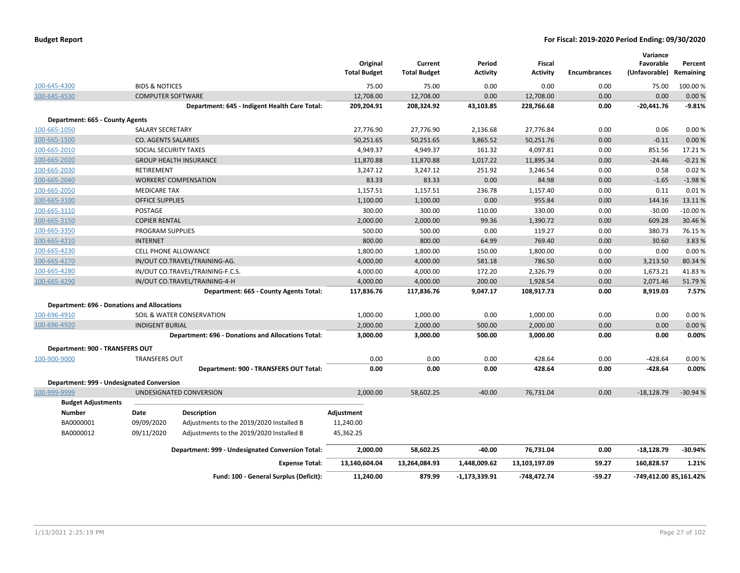|                                                    |                                  |                                                    | Original<br><b>Total Budget</b> | Current<br><b>Total Budget</b> | Period<br>Activity | Fiscal<br><b>Activity</b> | <b>Encumbrances</b> | Variance<br>Favorable<br>(Unfavorable) Remaining | Percent   |
|----------------------------------------------------|----------------------------------|----------------------------------------------------|---------------------------------|--------------------------------|--------------------|---------------------------|---------------------|--------------------------------------------------|-----------|
| 100-645-4300                                       | <b>BIDS &amp; NOTICES</b>        |                                                    | 75.00                           | 75.00                          | 0.00               | 0.00                      | 0.00                | 75.00                                            | 100.00 %  |
| 100-645-4530                                       | <b>COMPUTER SOFTWARE</b>         |                                                    | 12,708.00                       | 12,708.00                      | 0.00               | 12,708.00                 | 0.00                | 0.00                                             | 0.00%     |
|                                                    |                                  | Department: 645 - Indigent Health Care Total:      | 209,204.91                      | 208,324.92                     | 43,103.85          | 228,766.68                | 0.00                | $-20,441.76$                                     | $-9.81%$  |
| Department: 665 - County Agents                    |                                  |                                                    |                                 |                                |                    |                           |                     |                                                  |           |
| 100-665-1050                                       | SALARY SECRETARY                 |                                                    | 27,776.90                       | 27,776.90                      | 2,136.68           | 27,776.84                 | 0.00                | 0.06                                             | 0.00%     |
| 100-665-1500                                       | <b>CO. AGENTS SALARIES</b>       |                                                    | 50,251.65                       | 50,251.65                      | 3,865.52           | 50,251.76                 | 0.00                | $-0.11$                                          | 0.00%     |
| 100-665-2010                                       | SOCIAL SECURITY TAXES            |                                                    | 4,949.37                        | 4,949.37                       | 161.32             | 4,097.81                  | 0.00                | 851.56                                           | 17.21%    |
| 100-665-2020                                       |                                  | <b>GROUP HEALTH INSURANCE</b>                      | 11,870.88                       | 11,870.88                      | 1,017.22           | 11,895.34                 | 0.00                | $-24.46$                                         | $-0.21%$  |
| 100-665-2030                                       | RETIREMENT                       |                                                    | 3,247.12                        | 3,247.12                       | 251.92             | 3,246.54                  | 0.00                | 0.58                                             | 0.02%     |
| 100-665-2040                                       |                                  | <b>WORKERS' COMPENSATION</b>                       | 83.33                           | 83.33                          | 0.00               | 84.98                     | 0.00                | $-1.65$                                          | $-1.98%$  |
| 100-665-2050                                       | <b>MEDICARE TAX</b>              |                                                    | 1,157.51                        | 1,157.51                       | 236.78             | 1,157.40                  | 0.00                | 0.11                                             | 0.01%     |
| 100-665-3100                                       | <b>OFFICE SUPPLIES</b>           |                                                    | 1,100.00                        | 1,100.00                       | 0.00               | 955.84                    | 0.00                | 144.16                                           | 13.11%    |
| 100-665-3110                                       | POSTAGE                          |                                                    | 300.00                          | 300.00                         | 110.00             | 330.00                    | 0.00                | $-30.00$                                         | $-10.00%$ |
| 100-665-3150                                       | <b>COPIER RENTAL</b>             |                                                    | 2,000.00                        | 2,000.00                       | 99.36              | 1,390.72                  | 0.00                | 609.28                                           | 30.46%    |
| 100-665-3350                                       | <b>PROGRAM SUPPLIES</b>          |                                                    | 500.00                          | 500.00                         | 0.00               | 119.27                    | 0.00                | 380.73                                           | 76.15%    |
| 100-665-4210                                       | <b>INTERNET</b>                  |                                                    | 800.00                          | 800.00                         | 64.99              | 769.40                    | 0.00                | 30.60                                            | 3.83%     |
| 100-665-4230                                       |                                  | CELL PHONE ALLOWANCE                               |                                 | 1,800.00                       | 150.00             | 1,800.00                  | 0.00                | 0.00                                             | 0.00%     |
| 100-665-4270                                       |                                  | IN/OUT CO.TRAVEL/TRAINING-AG.                      |                                 | 4,000.00                       | 581.18             | 786.50                    | 0.00                | 3,213.50                                         | 80.34 %   |
| 100-665-4280                                       | IN/OUT CO.TRAVEL/TRAINING-F.C.S. |                                                    | 4,000.00                        | 4,000.00                       | 172.20             | 2,326.79                  | 0.00                | 1,673.21                                         | 41.83%    |
| 100-665-4290                                       | IN/OUT CO.TRAVEL/TRAINING-4-H    |                                                    | 4,000.00                        | 4,000.00                       | 200.00             | 1,928.54                  | 0.00                | 2,071.46                                         | 51.79%    |
|                                                    |                                  | Department: 665 - County Agents Total:             | 117,836.76                      | 117,836.76                     | 9,047.17           | 108,917.73                | 0.00                | 8,919.03                                         | 7.57%     |
| <b>Department: 696 - Donations and Allocations</b> |                                  |                                                    |                                 |                                |                    |                           |                     |                                                  |           |
| 100-696-4910                                       |                                  | SOIL & WATER CONSERVATION                          | 1,000.00                        | 1,000.00                       | 0.00               | 1,000.00                  | 0.00                | 0.00                                             | 0.00%     |
| 100-696-4920                                       | <b>INDIGENT BURIAL</b>           |                                                    | 2,000.00                        | 2,000.00                       | 500.00             | 2,000.00                  | 0.00                | 0.00                                             | 0.00%     |
|                                                    |                                  | Department: 696 - Donations and Allocations Total: | 3,000.00                        | 3,000.00                       | 500.00             | 3,000.00                  | 0.00                | 0.00                                             | 0.00%     |
| Department: 900 - TRANSFERS OUT                    |                                  |                                                    |                                 |                                |                    |                           |                     |                                                  |           |
| 100-900-9000                                       | <b>TRANSFERS OUT</b>             |                                                    | 0.00                            | 0.00                           | 0.00               | 428.64                    | 0.00                | $-428.64$                                        | 0.00%     |
|                                                    |                                  | Department: 900 - TRANSFERS OUT Total:             | 0.00                            | 0.00                           | 0.00               | 428.64                    | 0.00                | -428.64                                          | 0.00%     |
| Department: 999 - Undesignated Conversion          |                                  |                                                    |                                 |                                |                    |                           |                     |                                                  |           |
| 100-999-9999                                       |                                  | UNDESIGNATED CONVERSION                            | 2.000.00                        | 58.602.25                      | $-40.00$           | 76,731.04                 | 0.00                | $-18.128.79$                                     | $-30.94%$ |
| <b>Budget Adjustments</b>                          |                                  |                                                    |                                 |                                |                    |                           |                     |                                                  |           |
| <b>Number</b>                                      | Date                             | <b>Description</b>                                 | Adjustment                      |                                |                    |                           |                     |                                                  |           |
| BA0000001                                          | 09/09/2020                       | Adjustments to the 2019/2020 Installed B           | 11,240.00                       |                                |                    |                           |                     |                                                  |           |
| BA0000012                                          | 09/11/2020                       | Adjustments to the 2019/2020 Installed B           | 45,362.25                       |                                |                    |                           |                     |                                                  |           |
|                                                    |                                  | Department: 999 - Undesignated Conversion Total:   | 2,000.00                        | 58,602.25                      | $-40.00$           | 76,731.04                 | 0.00                | $-18,128.79$                                     | $-30.94%$ |
|                                                    |                                  | <b>Expense Total:</b>                              | 13,140,604.04                   | 13,264,084.93                  | 1,448,009.62       | 13,103,197.09             | 59.27               | 160,828.57                                       | 1.21%     |
|                                                    |                                  | Fund: 100 - General Surplus (Deficit):             | 11,240.00                       | 879.99                         | $-1, 173, 339.91$  | -748,472.74               | $-59.27$            | -749,412.00 85,161.42%                           |           |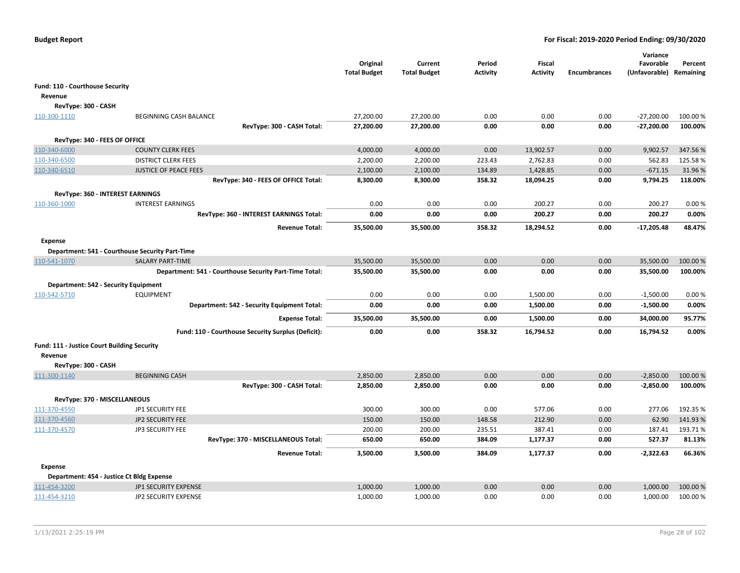|                                               |                                                        | Original<br><b>Total Budget</b> | Current<br><b>Total Budget</b> | Period<br>Activity | Fiscal<br><b>Activity</b> | <b>Encumbrances</b> | Variance<br>Favorable<br>(Unfavorable) Remaining | Percent  |
|-----------------------------------------------|--------------------------------------------------------|---------------------------------|--------------------------------|--------------------|---------------------------|---------------------|--------------------------------------------------|----------|
| Fund: 110 - Courthouse Security               |                                                        |                                 |                                |                    |                           |                     |                                                  |          |
| Revenue                                       |                                                        |                                 |                                |                    |                           |                     |                                                  |          |
| RevType: 300 - CASH                           |                                                        |                                 |                                |                    |                           |                     |                                                  |          |
| 110-300-1110                                  | BEGINNING CASH BALANCE                                 | 27,200.00                       | 27,200.00                      | 0.00               | 0.00                      | 0.00                | $-27,200.00$                                     | 100.00 % |
|                                               | RevType: 300 - CASH Total:                             | 27,200.00                       | 27,200.00                      | 0.00               | 0.00                      | 0.00                | $-27,200.00$                                     | 100.00%  |
|                                               |                                                        |                                 |                                |                    |                           |                     |                                                  |          |
| RevType: 340 - FEES OF OFFICE<br>110-340-6000 | <b>COUNTY CLERK FEES</b>                               | 4,000.00                        | 4,000.00                       | 0.00               | 13,902.57                 | 0.00                | 9,902.57                                         | 347.56%  |
| 110-340-6500                                  | <b>DISTRICT CLERK FEES</b>                             | 2,200.00                        | 2,200.00                       | 223.43             | 2,762.83                  | 0.00                | 562.83                                           | 125.58%  |
| 110-340-6510                                  | <b>JUSTICE OF PEACE FEES</b>                           | 2,100.00                        | 2,100.00                       | 134.89             | 1,428.85                  | 0.00                | $-671.15$                                        | 31.96%   |
|                                               | RevType: 340 - FEES OF OFFICE Total:                   | 8,300.00                        | 8,300.00                       | 358.32             | 18,094.25                 | 0.00                | 9,794.25                                         | 118.00%  |
|                                               |                                                        |                                 |                                |                    |                           |                     |                                                  |          |
|                                               | RevType: 360 - INTEREST EARNINGS                       |                                 |                                |                    |                           |                     |                                                  |          |
| 110-360-1000                                  | <b>INTEREST EARNINGS</b>                               | 0.00                            | 0.00                           | 0.00               | 200.27                    | 0.00                | 200.27                                           | 0.00%    |
|                                               | RevType: 360 - INTEREST EARNINGS Total:                | 0.00                            | 0.00                           | 0.00               | 200.27                    | 0.00                | 200.27                                           | 0.00%    |
|                                               | <b>Revenue Total:</b>                                  | 35,500.00                       | 35,500.00                      | 358.32             | 18,294.52                 | 0.00                | $-17,205.48$                                     | 48.47%   |
| <b>Expense</b>                                |                                                        |                                 |                                |                    |                           |                     |                                                  |          |
|                                               | Department: 541 - Courthouse Security Part-Time        |                                 |                                |                    |                           |                     |                                                  |          |
| 110-541-1070                                  | <b>SALARY PART-TIME</b>                                | 35,500.00                       | 35,500.00                      | 0.00               | 0.00                      | 0.00                | 35,500.00                                        | 100.00 % |
|                                               | Department: 541 - Courthouse Security Part-Time Total: | 35,500.00                       | 35,500.00                      | 0.00               | 0.00                      | 0.00                | 35,500.00                                        | 100.00%  |
|                                               |                                                        |                                 |                                |                    |                           |                     |                                                  |          |
|                                               | Department: 542 - Security Equipment                   |                                 |                                |                    |                           |                     |                                                  |          |
| 110-542-5710                                  | <b>EQUIPMENT</b>                                       | 0.00                            | 0.00                           | 0.00               | 1,500.00                  | 0.00                | $-1,500.00$                                      | 0.00%    |
|                                               | Department: 542 - Security Equipment Total:            | 0.00                            | 0.00                           | 0.00               | 1,500.00                  | 0.00                | $-1,500.00$                                      | 0.00%    |
|                                               | <b>Expense Total:</b>                                  | 35,500.00                       | 35,500.00                      | 0.00               | 1,500.00                  | 0.00                | 34,000.00                                        | 95.77%   |
|                                               | Fund: 110 - Courthouse Security Surplus (Deficit):     | 0.00                            | 0.00                           | 358.32             | 16,794.52                 | 0.00                | 16,794.52                                        | 0.00%    |
| Fund: 111 - Justice Court Building Security   |                                                        |                                 |                                |                    |                           |                     |                                                  |          |
| Revenue                                       |                                                        |                                 |                                |                    |                           |                     |                                                  |          |
| RevType: 300 - CASH                           |                                                        |                                 |                                |                    |                           |                     |                                                  |          |
| 111-300-1140                                  | <b>BEGINNING CASH</b>                                  | 2,850.00                        | 2,850.00                       | 0.00               | 0.00                      | 0.00                | $-2,850.00$                                      | 100.00%  |
|                                               | RevType: 300 - CASH Total:                             | 2,850.00                        | 2,850.00                       | 0.00               | 0.00                      | 0.00                | $-2,850.00$                                      | 100.00%  |
|                                               |                                                        |                                 |                                |                    |                           |                     |                                                  |          |
| RevType: 370 - MISCELLANEOUS                  |                                                        |                                 |                                |                    |                           |                     |                                                  |          |
| 111-370-4550                                  | JP1 SECURITY FEE                                       | 300.00                          | 300.00                         | 0.00               | 577.06                    | 0.00                | 277.06                                           | 192.35 % |
| 111-370-4560                                  | <b>JP2 SECURITY FEE</b>                                | 150.00                          | 150.00                         | 148.58             | 212.90                    | 0.00                | 62.90                                            | 141.93%  |
| 111-370-4570                                  | <b>JP3 SECURITY FEE</b>                                | 200.00                          | 200.00                         | 235.51             | 387.41                    | 0.00                | 187.41                                           | 193.71%  |
|                                               | RevType: 370 - MISCELLANEOUS Total:                    | 650.00                          | 650.00                         | 384.09             | 1,177.37                  | 0.00                | 527.37                                           | 81.13%   |
|                                               | <b>Revenue Total:</b>                                  | 3,500.00                        | 3,500.00                       | 384.09             | 1,177.37                  | 0.00                | $-2,322.63$                                      | 66.36%   |
| <b>Expense</b>                                |                                                        |                                 |                                |                    |                           |                     |                                                  |          |
|                                               | Department: 454 - Justice Ct Bldg Expense              |                                 |                                |                    |                           |                     |                                                  |          |
| 111-454-3200                                  | JP1 SECURITY EXPENSE                                   | 1,000.00                        | 1,000.00                       | 0.00               | 0.00                      | 0.00                | 1,000.00                                         | 100.00%  |
| 111-454-3210                                  | JP2 SECURITY EXPENSE                                   | 1,000.00                        | 1,000.00                       | 0.00               | 0.00                      | 0.00                | 1,000.00                                         | 100.00 % |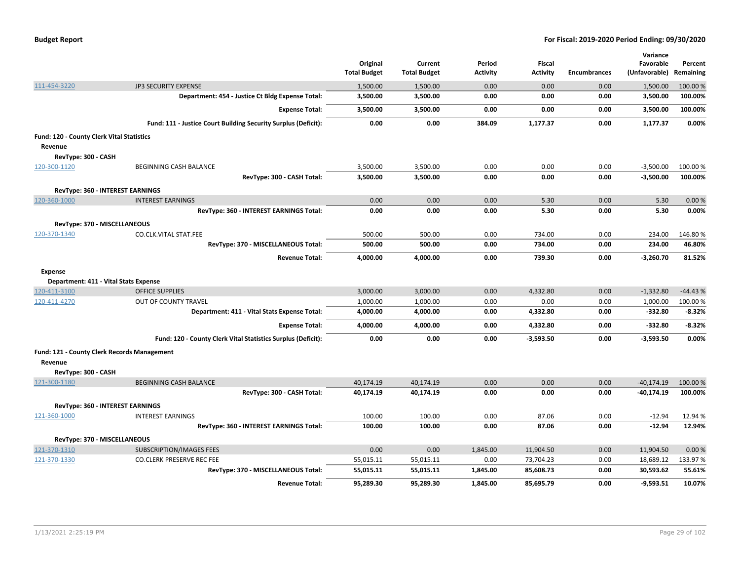| <b>Budget Report</b> |  |
|----------------------|--|
|----------------------|--|

|                                           |                                                                | Original<br><b>Total Budget</b> | Current<br><b>Total Budget</b> | Period<br>Activity | Fiscal<br><b>Activity</b> | <b>Encumbrances</b> | Variance<br>Favorable<br>(Unfavorable) | Percent<br>Remaining |
|-------------------------------------------|----------------------------------------------------------------|---------------------------------|--------------------------------|--------------------|---------------------------|---------------------|----------------------------------------|----------------------|
| 111-454-3220                              | <b>JP3 SECURITY EXPENSE</b>                                    | 1,500.00                        | 1,500.00                       | 0.00               | 0.00                      | 0.00                | 1,500.00                               | 100.00%              |
|                                           | Department: 454 - Justice Ct Bldg Expense Total:               | 3,500.00                        | 3,500.00                       | 0.00               | 0.00                      | 0.00                | 3,500.00                               | 100.00%              |
|                                           | <b>Expense Total:</b>                                          | 3,500.00                        | 3,500.00                       | 0.00               | 0.00                      | 0.00                | 3,500.00                               | 100.00%              |
|                                           | Fund: 111 - Justice Court Building Security Surplus (Deficit): | 0.00                            | 0.00                           | 384.09             | 1,177.37                  | 0.00                | 1,177.37                               | 0.00%                |
| Fund: 120 - County Clerk Vital Statistics |                                                                |                                 |                                |                    |                           |                     |                                        |                      |
| Revenue                                   |                                                                |                                 |                                |                    |                           |                     |                                        |                      |
| RevType: 300 - CASH                       |                                                                |                                 |                                |                    |                           |                     |                                        |                      |
| 120-300-1120                              | BEGINNING CASH BALANCE                                         | 3,500.00                        | 3,500.00                       | 0.00               | 0.00                      | 0.00                | $-3,500.00$                            | 100.00%              |
|                                           | RevType: 300 - CASH Total:                                     | 3,500.00                        | 3,500.00                       | 0.00               | 0.00                      | 0.00                | $-3,500.00$                            | 100.00%              |
|                                           | RevType: 360 - INTEREST EARNINGS                               |                                 |                                |                    |                           |                     |                                        |                      |
| 120-360-1000                              | <b>INTEREST EARNINGS</b>                                       | 0.00                            | 0.00                           | 0.00               | 5.30                      | 0.00                | 5.30                                   | 0.00%                |
|                                           | RevType: 360 - INTEREST EARNINGS Total:                        | 0.00                            | 0.00                           | 0.00               | 5.30                      | 0.00                | 5.30                                   | 0.00%                |
|                                           | RevType: 370 - MISCELLANEOUS                                   |                                 |                                |                    |                           |                     |                                        |                      |
| 120-370-1340                              | CO.CLK.VITAL STAT.FEE                                          | 500.00                          | 500.00                         | 0.00               | 734.00                    | 0.00                | 234.00                                 | 146.80%              |
|                                           | RevType: 370 - MISCELLANEOUS Total:                            | 500.00                          | 500.00                         | 0.00               | 734.00                    | 0.00                | 234.00                                 | 46.80%               |
|                                           | <b>Revenue Total:</b>                                          | 4,000.00                        | 4,000.00                       | 0.00               | 739.30                    | 0.00                | $-3,260.70$                            | 81.52%               |
| <b>Expense</b>                            |                                                                |                                 |                                |                    |                           |                     |                                        |                      |
|                                           | Department: 411 - Vital Stats Expense                          |                                 |                                |                    |                           |                     |                                        |                      |
| 120-411-3100                              | <b>OFFICE SUPPLIES</b>                                         | 3,000.00                        | 3,000.00                       | 0.00               | 4,332.80                  | 0.00                | $-1,332.80$                            | $-44.43%$            |
| 120-411-4270                              | OUT OF COUNTY TRAVEL                                           | 1,000.00                        | 1,000.00                       | 0.00               | 0.00                      | 0.00                | 1,000.00                               | 100.00%              |
|                                           | Department: 411 - Vital Stats Expense Total:                   | 4,000.00                        | 4,000.00                       | 0.00               | 4,332.80                  | 0.00                | $-332.80$                              | $-8.32%$             |
|                                           | <b>Expense Total:</b>                                          | 4,000.00                        | 4,000.00                       | 0.00               | 4,332.80                  | 0.00                | $-332.80$                              | $-8.32%$             |
|                                           | Fund: 120 - County Clerk Vital Statistics Surplus (Deficit):   | 0.00                            | 0.00                           | 0.00               | $-3,593.50$               | 0.00                | $-3,593.50$                            | 0.00%                |
|                                           | Fund: 121 - County Clerk Records Management                    |                                 |                                |                    |                           |                     |                                        |                      |
| Revenue                                   |                                                                |                                 |                                |                    |                           |                     |                                        |                      |
| RevType: 300 - CASH                       |                                                                |                                 |                                |                    |                           |                     |                                        |                      |
| 121-300-1180                              | <b>BEGINNING CASH BALANCE</b>                                  | 40,174.19                       | 40,174.19                      | 0.00               | 0.00                      | 0.00                | $-40,174.19$                           | 100.00%              |
|                                           | RevType: 300 - CASH Total:                                     | 40,174.19                       | 40,174.19                      | 0.00               | 0.00                      | 0.00                | $-40,174.19$                           | 100.00%              |
|                                           | RevType: 360 - INTEREST EARNINGS                               |                                 |                                |                    |                           |                     |                                        |                      |
| 121-360-1000                              | <b>INTEREST EARNINGS</b>                                       | 100.00                          | 100.00                         | 0.00               | 87.06                     | 0.00                | $-12.94$                               | 12.94 %              |
|                                           | RevType: 360 - INTEREST EARNINGS Total:                        | 100.00                          | 100.00                         | 0.00               | 87.06                     | 0.00                | $-12.94$                               | 12.94%               |
|                                           | RevType: 370 - MISCELLANEOUS                                   |                                 |                                |                    |                           |                     |                                        |                      |
| 121-370-1310                              | <b>SUBSCRIPTION/IMAGES FEES</b>                                | 0.00                            | 0.00                           | 1,845.00           | 11,904.50                 | 0.00                | 11,904.50                              | 0.00%                |
| 121-370-1330                              | <b>CO.CLERK PRESERVE REC FEE</b>                               | 55,015.11                       | 55,015.11                      | 0.00               | 73,704.23                 | 0.00                | 18,689.12                              | 133.97 %             |
|                                           | RevType: 370 - MISCELLANEOUS Total:                            | 55,015.11                       | 55,015.11                      | 1,845.00           | 85,608.73                 | 0.00                | 30,593.62                              | 55.61%               |
|                                           | <b>Revenue Total:</b>                                          | 95,289.30                       | 95,289.30                      | 1,845.00           | 85,695.79                 | 0.00                | $-9,593.51$                            | 10.07%               |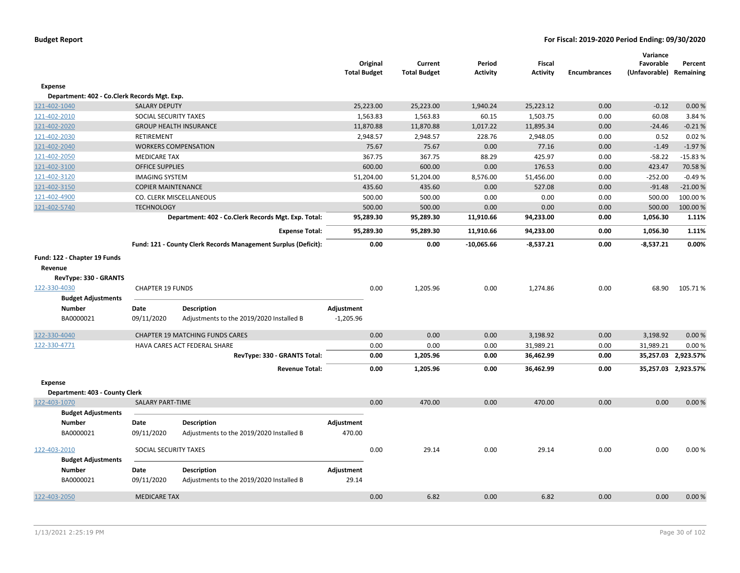|                                              |                           |                                                                | <b>Total Budget</b> | Original  | Current<br><b>Total Budget</b> | Period<br><b>Activity</b> | Fiscal<br><b>Activity</b> | <b>Encumbrances</b> | Variance<br>Favorable<br>(Unfavorable) | Percent<br>Remaining |
|----------------------------------------------|---------------------------|----------------------------------------------------------------|---------------------|-----------|--------------------------------|---------------------------|---------------------------|---------------------|----------------------------------------|----------------------|
| Expense                                      |                           |                                                                |                     |           |                                |                           |                           |                     |                                        |                      |
| Department: 402 - Co.Clerk Records Mgt. Exp. |                           |                                                                |                     |           |                                |                           |                           |                     |                                        |                      |
| 121-402-1040                                 | <b>SALARY DEPUTY</b>      |                                                                |                     | 25,223.00 | 25,223.00                      | 1,940.24                  | 25,223.12                 | 0.00                | $-0.12$                                | 0.00%                |
| 121-402-2010                                 | SOCIAL SECURITY TAXES     |                                                                |                     | 1,563.83  | 1,563.83                       | 60.15                     | 1,503.75                  | 0.00                | 60.08                                  | 3.84 %               |
| 121-402-2020                                 |                           | <b>GROUP HEALTH INSURANCE</b>                                  |                     | 11,870.88 | 11,870.88                      | 1,017.22                  | 11,895.34                 | 0.00                | $-24.46$                               | $-0.21%$             |
| 121-402-2030                                 | <b>RETIREMENT</b>         |                                                                |                     | 2,948.57  | 2,948.57                       | 228.76                    | 2,948.05                  | 0.00                | 0.52                                   | 0.02%                |
| 121-402-2040                                 |                           | <b>WORKERS COMPENSATION</b>                                    |                     | 75.67     | 75.67                          | 0.00                      | 77.16                     | 0.00                | $-1.49$                                | $-1.97%$             |
| 121-402-2050                                 | <b>MEDICARE TAX</b>       |                                                                |                     | 367.75    | 367.75                         | 88.29                     | 425.97                    | 0.00                | $-58.22$                               | $-15.83%$            |
| 121-402-3100                                 | <b>OFFICE SUPPLIES</b>    |                                                                |                     | 600.00    | 600.00                         | 0.00                      | 176.53                    | 0.00                | 423.47                                 | 70.58%               |
| 121-402-3120                                 | <b>IMAGING SYSTEM</b>     |                                                                |                     | 51,204.00 | 51,204.00                      | 8,576.00                  | 51,456.00                 | 0.00                | $-252.00$                              | $-0.49%$             |
| 121-402-3150                                 | <b>COPIER MAINTENANCE</b> |                                                                |                     | 435.60    | 435.60                         | 0.00                      | 527.08                    | 0.00                | $-91.48$                               | $-21.00%$            |
| 121-402-4900                                 |                           | CO. CLERK MISCELLANEOUS                                        |                     | 500.00    | 500.00                         | 0.00                      | 0.00                      | 0.00                | 500.00                                 | 100.00%              |
| 121-402-5740                                 | <b>TECHNOLOGY</b>         |                                                                |                     | 500.00    | 500.00                         | 0.00                      | 0.00                      | 0.00                | 500.00                                 | 100.00 %             |
|                                              |                           | Department: 402 - Co.Clerk Records Mgt. Exp. Total:            |                     | 95,289.30 | 95,289.30                      | 11,910.66                 | 94,233.00                 | 0.00                | 1,056.30                               | 1.11%                |
|                                              |                           | <b>Expense Total:</b>                                          |                     | 95,289.30 | 95,289.30                      | 11,910.66                 | 94,233.00                 | 0.00                | 1,056.30                               | 1.11%                |
|                                              |                           | Fund: 121 - County Clerk Records Management Surplus (Deficit): |                     | 0.00      | 0.00                           | $-10,065.66$              | $-8,537.21$               | 0.00                | $-8,537.21$                            | 0.00%                |
|                                              |                           |                                                                |                     |           |                                |                           |                           |                     |                                        |                      |
| Fund: 122 - Chapter 19 Funds                 |                           |                                                                |                     |           |                                |                           |                           |                     |                                        |                      |
| Revenue                                      |                           |                                                                |                     |           |                                |                           |                           |                     |                                        |                      |
| RevType: 330 - GRANTS                        |                           |                                                                |                     |           |                                |                           |                           |                     |                                        |                      |
| 122-330-4030                                 | <b>CHAPTER 19 FUNDS</b>   |                                                                |                     | 0.00      | 1,205.96                       | 0.00                      | 1,274.86                  | 0.00                | 68.90                                  | 105.71%              |
| <b>Budget Adjustments</b>                    |                           |                                                                |                     |           |                                |                           |                           |                     |                                        |                      |
| <b>Number</b>                                | Date                      | <b>Description</b>                                             | Adjustment          |           |                                |                           |                           |                     |                                        |                      |
| BA0000021                                    | 09/11/2020                | Adjustments to the 2019/2020 Installed B                       | $-1,205.96$         |           |                                |                           |                           |                     |                                        |                      |
| 122-330-4040                                 |                           | <b>CHAPTER 19 MATCHING FUNDS CARES</b>                         |                     | 0.00      | 0.00                           | 0.00                      | 3,198.92                  | 0.00                | 3,198.92                               | 0.00%                |
| 122-330-4771                                 |                           | HAVA CARES ACT FEDERAL SHARE                                   |                     | 0.00      | 0.00                           | 0.00                      | 31,989.21                 | 0.00                | 31,989.21                              | 0.00%                |
|                                              |                           | RevType: 330 - GRANTS Total:                                   |                     | 0.00      | 1,205.96                       | 0.00                      | 36,462.99                 | 0.00                |                                        | 35,257.03 2,923.57%  |
|                                              |                           | <b>Revenue Total:</b>                                          |                     | 0.00      | 1,205.96                       | 0.00                      | 36,462.99                 | 0.00                |                                        | 35,257.03 2,923.57%  |
| Expense                                      |                           |                                                                |                     |           |                                |                           |                           |                     |                                        |                      |
| Department: 403 - County Clerk               |                           |                                                                |                     |           |                                |                           |                           |                     |                                        |                      |
| 122-403-1070                                 | SALARY PART-TIME          |                                                                |                     | 0.00      | 470.00                         | 0.00                      | 470.00                    | 0.00                | 0.00                                   | 0.00%                |
| <b>Budget Adjustments</b>                    |                           |                                                                |                     |           |                                |                           |                           |                     |                                        |                      |
| <b>Number</b>                                | Date                      | <b>Description</b>                                             | Adjustment          |           |                                |                           |                           |                     |                                        |                      |
| BA0000021                                    | 09/11/2020                | Adjustments to the 2019/2020 Installed B                       | 470.00              |           |                                |                           |                           |                     |                                        |                      |
| 122-403-2010                                 | SOCIAL SECURITY TAXES     |                                                                |                     | 0.00      | 29.14                          | 0.00                      | 29.14                     | 0.00                | 0.00                                   | 0.00%                |
| <b>Budget Adjustments</b>                    |                           |                                                                |                     |           |                                |                           |                           |                     |                                        |                      |
| <b>Number</b>                                | Date                      | <b>Description</b>                                             | Adjustment          |           |                                |                           |                           |                     |                                        |                      |
| BA0000021                                    | 09/11/2020                | Adjustments to the 2019/2020 Installed B                       | 29.14               |           |                                |                           |                           |                     |                                        |                      |
| 122-403-2050                                 | <b>MEDICARE TAX</b>       |                                                                |                     | 0.00      | 6.82                           | 0.00                      | 6.82                      | 0.00                | 0.00                                   | 0.00%                |
|                                              |                           |                                                                |                     |           |                                |                           |                           |                     |                                        |                      |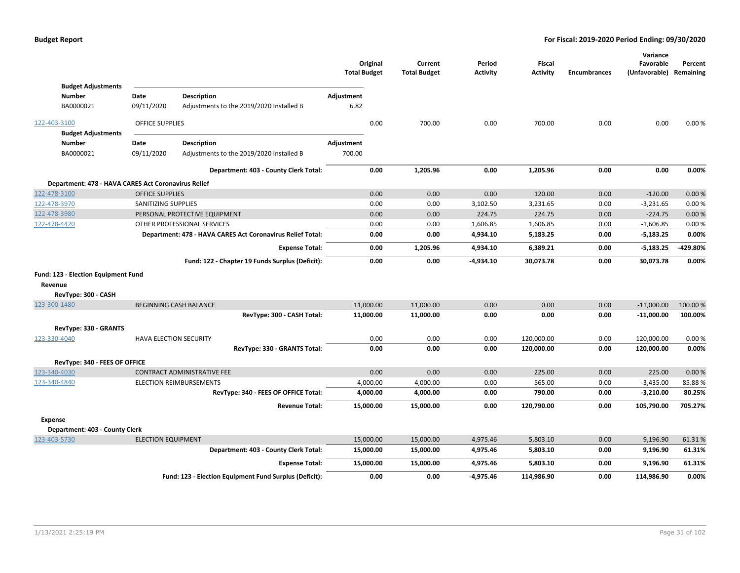|                                                     |                               |                                                            | <b>Total Budget</b> | Original  | Current<br><b>Total Budget</b> | Period<br><b>Activity</b> | Fiscal<br><b>Activity</b> | <b>Encumbrances</b> | Variance<br>Favorable<br>(Unfavorable) | Percent<br>Remaining |
|-----------------------------------------------------|-------------------------------|------------------------------------------------------------|---------------------|-----------|--------------------------------|---------------------------|---------------------------|---------------------|----------------------------------------|----------------------|
| <b>Budget Adjustments</b>                           |                               |                                                            |                     |           |                                |                           |                           |                     |                                        |                      |
| Number                                              | Date                          | <b>Description</b>                                         | Adjustment          |           |                                |                           |                           |                     |                                        |                      |
| BA0000021                                           | 09/11/2020                    | Adjustments to the 2019/2020 Installed B                   | 6.82                |           |                                |                           |                           |                     |                                        |                      |
| 122-403-3100                                        | <b>OFFICE SUPPLIES</b>        |                                                            |                     | 0.00      | 700.00                         | 0.00                      | 700.00                    | 0.00                | 0.00                                   | 0.00%                |
| <b>Budget Adjustments</b>                           |                               |                                                            |                     |           |                                |                           |                           |                     |                                        |                      |
| Number                                              | Date                          | <b>Description</b>                                         | Adjustment          |           |                                |                           |                           |                     |                                        |                      |
| BA0000021                                           | 09/11/2020                    | Adjustments to the 2019/2020 Installed B                   | 700.00              |           |                                |                           |                           |                     |                                        |                      |
|                                                     |                               | Department: 403 - County Clerk Total:                      |                     | 0.00      | 1,205.96                       | 0.00                      | 1,205.96                  | 0.00                | 0.00                                   | 0.00%                |
| Department: 478 - HAVA CARES Act Coronavirus Relief |                               |                                                            |                     |           |                                |                           |                           |                     |                                        |                      |
| 122-478-3100                                        | <b>OFFICE SUPPLIES</b>        |                                                            |                     | 0.00      | 0.00                           | 0.00                      | 120.00                    | 0.00                | $-120.00$                              | 0.00%                |
| 122-478-3970                                        | SANITIZING SUPPLIES           |                                                            |                     | 0.00      | 0.00                           | 3,102.50                  | 3,231.65                  | 0.00                | $-3,231.65$                            | 0.00%                |
| 122-478-3980                                        |                               | PERSONAL PROTECTIVE EQUIPMENT                              |                     | 0.00      | 0.00                           | 224.75                    | 224.75                    | 0.00                | $-224.75$                              | 0.00%                |
| 122-478-4420                                        |                               | OTHER PROFESSIONAL SERVICES                                |                     | 0.00      | 0.00                           | 1,606.85                  | 1,606.85                  | 0.00                | $-1,606.85$                            | 0.00%                |
|                                                     |                               | Department: 478 - HAVA CARES Act Coronavirus Relief Total: |                     | 0.00      | 0.00                           | 4,934.10                  | 5,183.25                  | 0.00                | $-5,183.25$                            | 0.00%                |
|                                                     |                               | <b>Expense Total:</b>                                      |                     | 0.00      | 1,205.96                       | 4,934.10                  | 6,389.21                  | 0.00                | $-5,183.25$                            | -429.80%             |
|                                                     |                               | Fund: 122 - Chapter 19 Funds Surplus (Deficit):            |                     | 0.00      | 0.00                           | $-4,934.10$               | 30,073.78                 | 0.00                | 30,073.78                              | 0.00%                |
| Fund: 123 - Election Equipment Fund<br>Revenue      |                               |                                                            |                     |           |                                |                           |                           |                     |                                        |                      |
| RevType: 300 - CASH                                 |                               |                                                            |                     |           |                                |                           |                           |                     |                                        |                      |
| 123-300-1480                                        |                               | <b>BEGINNING CASH BALANCE</b>                              | 11,000.00           |           | 11,000.00                      | 0.00                      | 0.00                      | 0.00                | $-11,000.00$                           | 100.00 %             |
|                                                     |                               | RevType: 300 - CASH Total:                                 | 11,000.00           |           | 11,000.00                      | 0.00                      | 0.00                      | 0.00                | $-11,000.00$                           | 100.00%              |
| RevType: 330 - GRANTS                               |                               |                                                            |                     |           |                                |                           |                           |                     |                                        |                      |
| 123-330-4040                                        | <b>HAVA ELECTION SECURITY</b> |                                                            |                     | 0.00      | 0.00                           | 0.00                      | 120,000.00                | 0.00                | 120,000.00                             | 0.00%                |
|                                                     |                               | RevType: 330 - GRANTS Total:                               |                     | 0.00      | 0.00                           | 0.00                      | 120,000.00                | 0.00                | 120,000.00                             | 0.00%                |
| RevType: 340 - FEES OF OFFICE                       |                               |                                                            |                     |           |                                |                           |                           |                     |                                        |                      |
| 123-340-4030                                        |                               | <b>CONTRACT ADMINISTRATIVE FEE</b>                         |                     | 0.00      | 0.00                           | 0.00                      | 225.00                    | 0.00                | 225.00                                 | 0.00%                |
| 123-340-4840                                        |                               | ELECTION REIMBURSEMENTS                                    |                     | 4,000.00  | 4,000.00                       | 0.00                      | 565.00                    | 0.00                | $-3,435.00$                            | 85.88%               |
|                                                     |                               | RevType: 340 - FEES OF OFFICE Total:                       |                     | 4,000.00  | 4,000.00                       | 0.00                      | 790.00                    | 0.00                | $-3,210.00$                            | 80.25%               |
|                                                     |                               | <b>Revenue Total:</b>                                      |                     | 15,000.00 | 15,000.00                      | 0.00                      | 120,790.00                | 0.00                | 105,790.00                             | 705.27%              |
| <b>Expense</b>                                      |                               |                                                            |                     |           |                                |                           |                           |                     |                                        |                      |
| Department: 403 - County Clerk                      |                               |                                                            |                     |           |                                |                           |                           |                     |                                        |                      |
| 123-403-5730                                        | <b>ELECTION EQUIPMENT</b>     |                                                            | 15,000.00           |           | 15,000.00                      | 4,975.46                  | 5,803.10                  | 0.00                | 9,196.90                               | 61.31%               |
|                                                     |                               | Department: 403 - County Clerk Total:                      | 15,000.00           |           | 15,000.00                      | 4,975.46                  | 5,803.10                  | 0.00                | 9,196.90                               | 61.31%               |
|                                                     |                               | <b>Expense Total:</b>                                      | 15,000.00           |           | 15,000.00                      | 4,975.46                  | 5,803.10                  | 0.00                | 9,196.90                               | 61.31%               |
|                                                     |                               | Fund: 123 - Election Equipment Fund Surplus (Deficit):     |                     | 0.00      | 0.00                           | -4,975.46                 | 114,986.90                | 0.00                | 114,986.90                             | 0.00%                |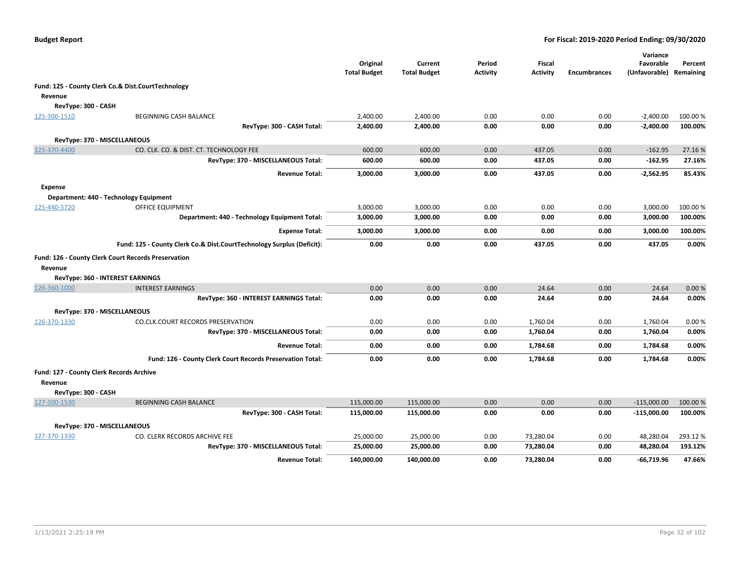|                                                                                                                                                                                                              |                                                                       | Original<br><b>Total Budget</b> | Current<br><b>Total Budget</b> | Period<br><b>Activity</b> | <b>Fiscal</b><br><b>Activity</b> | <b>Encumbrances</b> | Variance<br>Favorable<br>(Unfavorable) | Percent<br>Remaining |
|--------------------------------------------------------------------------------------------------------------------------------------------------------------------------------------------------------------|-----------------------------------------------------------------------|---------------------------------|--------------------------------|---------------------------|----------------------------------|---------------------|----------------------------------------|----------------------|
|                                                                                                                                                                                                              | Fund: 125 - County Clerk Co.& Dist.CourtTechnology                    |                                 |                                |                           |                                  |                     |                                        |                      |
| Revenue                                                                                                                                                                                                      |                                                                       |                                 |                                |                           |                                  |                     |                                        |                      |
| RevType: 300 - CASH                                                                                                                                                                                          |                                                                       |                                 |                                |                           |                                  |                     |                                        |                      |
| 125-300-1510                                                                                                                                                                                                 | BEGINNING CASH BALANCE                                                | 2,400.00                        | 2,400.00                       | 0.00                      | 0.00                             | 0.00                | $-2,400.00$                            | 100.00 %             |
|                                                                                                                                                                                                              | RevType: 300 - CASH Total:                                            | 2,400.00                        | 2,400.00                       | 0.00                      | 0.00                             | 0.00                | $-2,400.00$                            | 100.00%              |
|                                                                                                                                                                                                              | RevType: 370 - MISCELLANEOUS                                          |                                 |                                |                           |                                  |                     |                                        |                      |
| 125-370-4400                                                                                                                                                                                                 | CO. CLK. CO. & DIST. CT. TECHNOLOGY FEE                               | 600.00                          | 600.00                         | 0.00                      | 437.05                           | 0.00                | $-162.95$                              | 27.16%               |
|                                                                                                                                                                                                              | RevType: 370 - MISCELLANEOUS Total:                                   | 600.00                          | 600.00                         | 0.00                      | 437.05                           | 0.00                | $-162.95$                              | 27.16%               |
|                                                                                                                                                                                                              | <b>Revenue Total:</b>                                                 | 3,000.00                        | 3,000.00                       | 0.00                      | 437.05                           | 0.00                | $-2,562.95$                            | 85.43%               |
| Expense                                                                                                                                                                                                      |                                                                       |                                 |                                |                           |                                  |                     |                                        |                      |
|                                                                                                                                                                                                              |                                                                       |                                 |                                |                           |                                  |                     |                                        |                      |
| Department: 440 - Technology Equipment<br>125-440-5720<br>Fund: 126 - County Clerk Court Records Preservation<br>Revenue<br>RevType: 360 - INTEREST EARNINGS<br>126-360-1000<br>RevType: 370 - MISCELLANEOUS | OFFICE EQUIPMENT                                                      | 3,000.00                        | 3,000.00                       | 0.00                      | 0.00                             | 0.00                | 3,000.00                               | 100.00%              |
|                                                                                                                                                                                                              | Department: 440 - Technology Equipment Total:                         | 3,000.00                        | 3,000.00                       | 0.00                      | 0.00                             | 0.00                | 3,000.00                               | 100.00%              |
|                                                                                                                                                                                                              | <b>Expense Total:</b>                                                 | 3,000.00                        | 3,000.00                       | 0.00                      | 0.00                             | 0.00                | 3,000.00                               | 100.00%              |
|                                                                                                                                                                                                              | Fund: 125 - County Clerk Co.& Dist.CourtTechnology Surplus (Deficit): | 0.00                            | 0.00                           | 0.00                      | 437.05                           | 0.00                | 437.05                                 | 0.00%                |
|                                                                                                                                                                                                              |                                                                       |                                 |                                |                           |                                  |                     |                                        |                      |
|                                                                                                                                                                                                              |                                                                       |                                 |                                |                           |                                  |                     |                                        |                      |
|                                                                                                                                                                                                              |                                                                       |                                 |                                |                           |                                  |                     |                                        |                      |
|                                                                                                                                                                                                              | <b>INTEREST EARNINGS</b>                                              | 0.00                            | 0.00                           | 0.00                      | 24.64                            | 0.00                | 24.64                                  | 0.00%                |
|                                                                                                                                                                                                              | RevType: 360 - INTEREST EARNINGS Total:                               | 0.00                            | 0.00                           | 0.00                      | 24.64                            | 0.00                | 24.64                                  | 0.00%                |
|                                                                                                                                                                                                              |                                                                       |                                 |                                |                           |                                  |                     |                                        |                      |
| 126-370-1330                                                                                                                                                                                                 | CO.CLK.COURT RECORDS PRESERVATION                                     | 0.00                            | 0.00                           | 0.00                      | 1,760.04                         | 0.00                | 1,760.04                               | 0.00%                |
|                                                                                                                                                                                                              | RevType: 370 - MISCELLANEOUS Total:                                   | 0.00                            | 0.00                           | 0.00                      | 1,760.04                         | 0.00                | 1,760.04                               | 0.00%                |
|                                                                                                                                                                                                              | <b>Revenue Total:</b>                                                 | 0.00                            | 0.00                           | 0.00                      | 1,784.68                         | 0.00                | 1,784.68                               | 0.00%                |
|                                                                                                                                                                                                              | Fund: 126 - County Clerk Court Records Preservation Total:            | 0.00                            | 0.00                           | 0.00                      | 1,784.68                         | 0.00                | 1,784.68                               | 0.00%                |
| Fund: 127 - County Clerk Records Archive                                                                                                                                                                     |                                                                       |                                 |                                |                           |                                  |                     |                                        |                      |
| Revenue                                                                                                                                                                                                      |                                                                       |                                 |                                |                           |                                  |                     |                                        |                      |
| RevType: 300 - CASH                                                                                                                                                                                          |                                                                       |                                 |                                |                           |                                  |                     |                                        |                      |
| 127-300-1530                                                                                                                                                                                                 | <b>BEGINNING CASH BALANCE</b>                                         | 115,000.00                      | 115,000.00                     | 0.00                      | 0.00                             | 0.00                | $-115,000.00$                          | 100.00%              |
|                                                                                                                                                                                                              | RevType: 300 - CASH Total:                                            | 115,000.00                      | 115,000.00                     | 0.00                      | 0.00                             | 0.00                | $-115,000.00$                          | 100.00%              |
|                                                                                                                                                                                                              | RevType: 370 - MISCELLANEOUS                                          |                                 |                                |                           |                                  |                     |                                        |                      |
| 127-370-1330                                                                                                                                                                                                 | CO. CLERK RECORDS ARCHIVE FEE                                         | 25,000.00                       | 25,000.00                      | 0.00                      | 73,280.04                        | 0.00                | 48,280.04                              | 293.12%              |
|                                                                                                                                                                                                              | RevType: 370 - MISCELLANEOUS Total:                                   | 25,000.00                       | 25,000.00                      | 0.00                      | 73,280.04                        | 0.00                | 48,280.04                              | 193.12%              |
|                                                                                                                                                                                                              | <b>Revenue Total:</b>                                                 | 140,000.00                      | 140,000.00                     | 0.00                      | 73,280.04                        | 0.00                | $-66,719.96$                           | 47.66%               |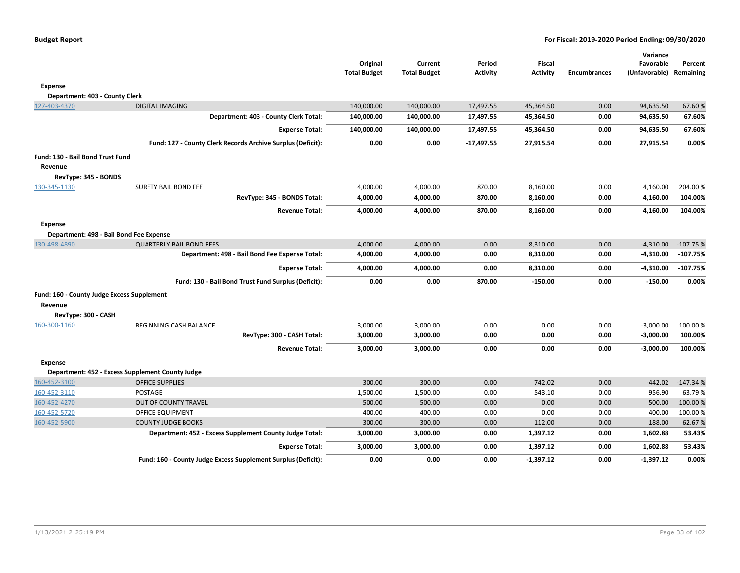| <b>Budget Report</b> |  |
|----------------------|--|
|----------------------|--|

|                                            |                                                               | Original<br><b>Total Budget</b> | Current<br><b>Total Budget</b> | Period<br><b>Activity</b> | <b>Fiscal</b><br><b>Activity</b> | <b>Encumbrances</b> | Variance<br>Favorable<br>(Unfavorable) Remaining | Percent    |
|--------------------------------------------|---------------------------------------------------------------|---------------------------------|--------------------------------|---------------------------|----------------------------------|---------------------|--------------------------------------------------|------------|
| <b>Expense</b>                             |                                                               |                                 |                                |                           |                                  |                     |                                                  |            |
| Department: 403 - County Clerk             |                                                               |                                 |                                |                           |                                  |                     |                                                  |            |
| 127-403-4370                               | <b>DIGITAL IMAGING</b>                                        | 140,000.00                      | 140,000.00                     | 17,497.55                 | 45,364.50                        | 0.00                | 94,635.50                                        | 67.60%     |
|                                            | Department: 403 - County Clerk Total:                         | 140,000.00                      | 140,000.00                     | 17,497.55                 | 45,364.50                        | 0.00                | 94,635.50                                        | 67.60%     |
|                                            | <b>Expense Total:</b>                                         | 140,000.00                      | 140,000.00                     | 17,497.55                 | 45,364.50                        | 0.00                | 94,635.50                                        | 67.60%     |
|                                            | Fund: 127 - County Clerk Records Archive Surplus (Deficit):   | 0.00                            | 0.00                           | $-17,497.55$              | 27,915.54                        | 0.00                | 27,915.54                                        | 0.00%      |
| Fund: 130 - Bail Bond Trust Fund           |                                                               |                                 |                                |                           |                                  |                     |                                                  |            |
| Revenue                                    |                                                               |                                 |                                |                           |                                  |                     |                                                  |            |
| RevType: 345 - BONDS                       |                                                               |                                 |                                |                           |                                  |                     |                                                  |            |
| 130-345-1130                               | <b>SURETY BAIL BOND FEE</b>                                   | 4,000.00                        | 4,000.00                       | 870.00                    | 8,160.00                         | 0.00                | 4,160.00                                         | 204.00%    |
|                                            | RevType: 345 - BONDS Total:                                   | 4,000.00                        | 4,000.00                       | 870.00                    | 8,160.00                         | 0.00                | 4,160.00                                         | 104.00%    |
|                                            | <b>Revenue Total:</b>                                         | 4,000.00                        | 4,000.00                       | 870.00                    | 8,160.00                         | 0.00                | 4,160.00                                         | 104.00%    |
| <b>Expense</b>                             |                                                               |                                 |                                |                           |                                  |                     |                                                  |            |
| Department: 498 - Bail Bond Fee Expense    |                                                               |                                 |                                |                           |                                  |                     |                                                  |            |
| 130-498-4890                               | <b>QUARTERLY BAIL BOND FEES</b>                               | 4,000.00                        | 4,000.00                       | 0.00                      | 8,310.00                         | 0.00                | $-4,310.00$                                      | $-107.75%$ |
|                                            | Department: 498 - Bail Bond Fee Expense Total:                | 4,000.00                        | 4,000.00                       | 0.00                      | 8,310.00                         | 0.00                | $-4,310.00$                                      | $-107.75%$ |
|                                            | <b>Expense Total:</b>                                         | 4,000.00                        | 4,000.00                       | 0.00                      | 8,310.00                         | 0.00                | $-4,310.00$                                      | $-107.75%$ |
|                                            | Fund: 130 - Bail Bond Trust Fund Surplus (Deficit):           | 0.00                            | 0.00                           | 870.00                    | $-150.00$                        | 0.00                | $-150.00$                                        | 0.00%      |
| Fund: 160 - County Judge Excess Supplement |                                                               |                                 |                                |                           |                                  |                     |                                                  |            |
| Revenue                                    |                                                               |                                 |                                |                           |                                  |                     |                                                  |            |
| RevType: 300 - CASH                        |                                                               |                                 |                                |                           |                                  |                     |                                                  |            |
| 160-300-1160                               | <b>BEGINNING CASH BALANCE</b>                                 | 3,000.00                        | 3,000.00                       | 0.00                      | 0.00                             | 0.00                | $-3,000.00$                                      | 100.00 %   |
|                                            | RevType: 300 - CASH Total:                                    | 3,000.00                        | 3,000.00                       | 0.00                      | 0.00                             | 0.00                | $-3,000.00$                                      | 100.00%    |
|                                            | <b>Revenue Total:</b>                                         | 3,000.00                        | 3,000.00                       | 0.00                      | 0.00                             | 0.00                | $-3,000.00$                                      | 100.00%    |
| <b>Expense</b>                             |                                                               |                                 |                                |                           |                                  |                     |                                                  |            |
|                                            | Department: 452 - Excess Supplement County Judge              |                                 |                                |                           |                                  |                     |                                                  |            |
| 160-452-3100                               | <b>OFFICE SUPPLIES</b>                                        | 300.00                          | 300.00                         | 0.00                      | 742.02                           | 0.00                | $-442.02$                                        | $-147.34%$ |
| 160-452-3110                               | POSTAGE                                                       | 1,500.00                        | 1,500.00                       | 0.00                      | 543.10                           | 0.00                | 956.90                                           | 63.79%     |
| 160-452-4270                               | OUT OF COUNTY TRAVEL                                          | 500.00                          | 500.00                         | 0.00                      | 0.00                             | 0.00                | 500.00                                           | 100.00 %   |
| 160-452-5720                               | <b>OFFICE EQUIPMENT</b>                                       | 400.00                          | 400.00                         | 0.00                      | 0.00                             | 0.00                | 400.00                                           | 100.00%    |
| 160-452-5900                               | <b>COUNTY JUDGE BOOKS</b>                                     | 300.00                          | 300.00                         | 0.00                      | 112.00                           | 0.00                | 188.00                                           | 62.67%     |
|                                            | Department: 452 - Excess Supplement County Judge Total:       | 3,000.00                        | 3,000.00                       | 0.00                      | 1,397.12                         | 0.00                | 1,602.88                                         | 53.43%     |
|                                            | <b>Expense Total:</b>                                         | 3,000.00                        | 3,000.00                       | 0.00                      | 1,397.12                         | 0.00                | 1,602.88                                         | 53.43%     |
|                                            | Fund: 160 - County Judge Excess Supplement Surplus (Deficit): | 0.00                            | 0.00                           | 0.00                      | $-1,397.12$                      | 0.00                | $-1,397.12$                                      | 0.00%      |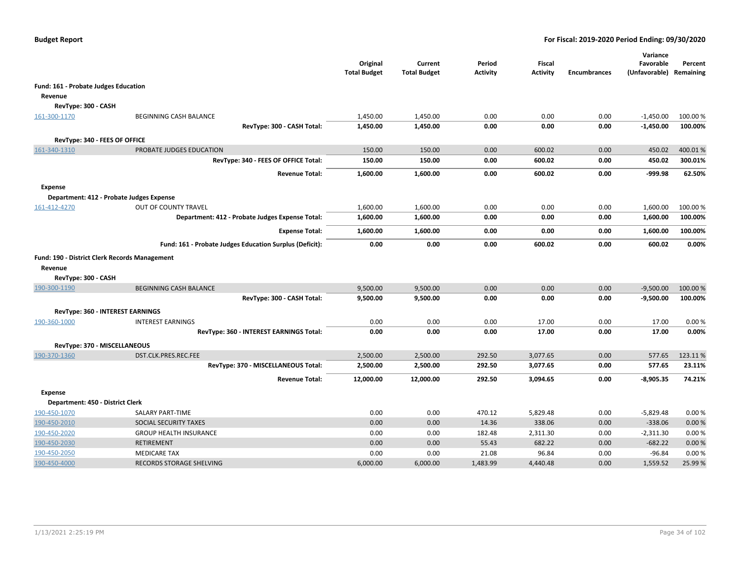|                                                                                                                                                                                                                                                                                                                                                                                   |                                                         | Original<br><b>Total Budget</b> | Current<br><b>Total Budget</b> | Period<br>Activity | <b>Fiscal</b><br><b>Activity</b> | <b>Encumbrances</b> | Variance<br>Favorable<br>(Unfavorable) | Percent<br>Remaining |
|-----------------------------------------------------------------------------------------------------------------------------------------------------------------------------------------------------------------------------------------------------------------------------------------------------------------------------------------------------------------------------------|---------------------------------------------------------|---------------------------------|--------------------------------|--------------------|----------------------------------|---------------------|----------------------------------------|----------------------|
|                                                                                                                                                                                                                                                                                                                                                                                   |                                                         |                                 |                                |                    |                                  |                     |                                        |                      |
| Revenue                                                                                                                                                                                                                                                                                                                                                                           |                                                         |                                 |                                |                    |                                  |                     |                                        |                      |
|                                                                                                                                                                                                                                                                                                                                                                                   |                                                         |                                 |                                |                    |                                  |                     |                                        |                      |
| 161-300-1170                                                                                                                                                                                                                                                                                                                                                                      | BEGINNING CASH BALANCE                                  | 1,450.00                        | 1,450.00                       | 0.00               | 0.00                             | 0.00                | $-1,450.00$                            | 100.00%              |
|                                                                                                                                                                                                                                                                                                                                                                                   | RevType: 300 - CASH Total:                              | 1,450.00                        | 1,450.00                       | 0.00               | 0.00                             | 0.00                | $-1,450.00$                            | 100.00%              |
|                                                                                                                                                                                                                                                                                                                                                                                   |                                                         |                                 |                                |                    |                                  |                     |                                        |                      |
| 161-340-1310                                                                                                                                                                                                                                                                                                                                                                      | PROBATE JUDGES EDUCATION                                | 150.00                          | 150.00                         | 0.00               | 600.02                           | 0.00                | 450.02                                 | 400.01%              |
|                                                                                                                                                                                                                                                                                                                                                                                   | RevType: 340 - FEES OF OFFICE Total:                    | 150.00                          | 150.00                         | 0.00               | 600.02                           | 0.00                | 450.02                                 | 300.01%              |
|                                                                                                                                                                                                                                                                                                                                                                                   | <b>Revenue Total:</b>                                   | 1,600.00                        | 1,600.00                       | 0.00               | 600.02                           | 0.00                | -999.98                                | 62.50%               |
| <b>Expense</b>                                                                                                                                                                                                                                                                                                                                                                    |                                                         |                                 |                                |                    |                                  |                     |                                        |                      |
|                                                                                                                                                                                                                                                                                                                                                                                   |                                                         |                                 |                                |                    |                                  |                     |                                        |                      |
| Fund: 161 - Probate Judges Education<br>RevType: 300 - CASH<br>RevType: 340 - FEES OF OFFICE<br>Department: 412 - Probate Judges Expense<br>161-412-4270<br>Fund: 190 - District Clerk Records Management<br>Revenue<br>RevType: 300 - CASH<br>190-300-1190<br>RevType: 360 - INTEREST EARNINGS<br>190-360-1000<br>RevType: 370 - MISCELLANEOUS<br>190-370-1360<br><b>Expense</b> | OUT OF COUNTY TRAVEL                                    | 1,600.00                        | 1,600.00                       | 0.00               | 0.00                             | 0.00                | 1,600.00                               | 100.00%              |
|                                                                                                                                                                                                                                                                                                                                                                                   | Department: 412 - Probate Judges Expense Total:         | 1,600.00                        | 1,600.00                       | 0.00               | 0.00                             | 0.00                | 1,600.00                               | 100.00%              |
|                                                                                                                                                                                                                                                                                                                                                                                   | <b>Expense Total:</b>                                   | 1,600.00                        | 1,600.00                       | 0.00               | 0.00                             | 0.00                | 1,600.00                               | 100.00%              |
|                                                                                                                                                                                                                                                                                                                                                                                   | Fund: 161 - Probate Judges Education Surplus (Deficit): | 0.00                            | 0.00                           | 0.00               | 600.02                           | 0.00                | 600.02                                 | 0.00%                |
|                                                                                                                                                                                                                                                                                                                                                                                   |                                                         |                                 |                                |                    |                                  |                     |                                        |                      |
|                                                                                                                                                                                                                                                                                                                                                                                   |                                                         |                                 |                                |                    |                                  |                     |                                        |                      |
|                                                                                                                                                                                                                                                                                                                                                                                   |                                                         |                                 |                                |                    |                                  |                     |                                        |                      |
|                                                                                                                                                                                                                                                                                                                                                                                   | <b>BEGINNING CASH BALANCE</b>                           | 9,500.00                        | 9,500.00                       | 0.00               | 0.00                             | 0.00                | $-9,500.00$                            | 100.00%              |
|                                                                                                                                                                                                                                                                                                                                                                                   | RevType: 300 - CASH Total:                              | 9,500.00                        | 9,500.00                       | 0.00               | 0.00                             | 0.00                | $-9,500.00$                            | 100.00%              |
|                                                                                                                                                                                                                                                                                                                                                                                   |                                                         |                                 |                                |                    |                                  |                     |                                        |                      |
|                                                                                                                                                                                                                                                                                                                                                                                   | <b>INTEREST EARNINGS</b>                                | 0.00                            | 0.00                           | 0.00               | 17.00                            | 0.00                | 17.00                                  | 0.00%                |
|                                                                                                                                                                                                                                                                                                                                                                                   | RevType: 360 - INTEREST EARNINGS Total:                 | 0.00                            | 0.00                           | 0.00               | 17.00                            | 0.00                | 17.00                                  | 0.00%                |
|                                                                                                                                                                                                                                                                                                                                                                                   |                                                         |                                 |                                |                    |                                  |                     |                                        |                      |
|                                                                                                                                                                                                                                                                                                                                                                                   | DST.CLK.PRES.REC.FEE                                    | 2,500.00                        | 2,500.00                       | 292.50             | 3,077.65                         | 0.00                | 577.65                                 | 123.11%              |
|                                                                                                                                                                                                                                                                                                                                                                                   | RevType: 370 - MISCELLANEOUS Total:                     | 2,500.00                        | 2,500.00                       | 292.50             | 3,077.65                         | 0.00                | 577.65                                 | 23.11%               |
|                                                                                                                                                                                                                                                                                                                                                                                   | <b>Revenue Total:</b>                                   | 12,000.00                       | 12,000.00                      | 292.50             | 3,094.65                         | 0.00                | $-8,905.35$                            | 74.21%               |
|                                                                                                                                                                                                                                                                                                                                                                                   |                                                         |                                 |                                |                    |                                  |                     |                                        |                      |
| Department: 450 - District Clerk                                                                                                                                                                                                                                                                                                                                                  |                                                         |                                 |                                |                    |                                  |                     |                                        |                      |
| 190-450-1070                                                                                                                                                                                                                                                                                                                                                                      | SALARY PART-TIME                                        | 0.00                            | 0.00                           | 470.12             | 5,829.48                         | 0.00                | $-5,829.48$                            | 0.00%                |
| 190-450-2010                                                                                                                                                                                                                                                                                                                                                                      | <b>SOCIAL SECURITY TAXES</b>                            | 0.00                            | 0.00                           | 14.36              | 338.06                           | 0.00                | $-338.06$                              | 0.00 %               |
| 190-450-2020                                                                                                                                                                                                                                                                                                                                                                      | <b>GROUP HEALTH INSURANCE</b>                           | 0.00                            | 0.00                           | 182.48             | 2,311.30                         | 0.00                | $-2,311.30$                            | 0.00%                |
| 190-450-2030                                                                                                                                                                                                                                                                                                                                                                      | <b>RETIREMENT</b>                                       | 0.00                            | 0.00                           | 55.43              | 682.22                           | 0.00                | $-682.22$                              | 0.00%                |
| 190-450-2050                                                                                                                                                                                                                                                                                                                                                                      | <b>MEDICARE TAX</b>                                     | 0.00                            | 0.00                           | 21.08              | 96.84                            | 0.00                | $-96.84$                               | 0.00%                |
| 190-450-4000                                                                                                                                                                                                                                                                                                                                                                      | RECORDS STORAGE SHELVING                                | 6,000.00                        | 6,000.00                       | 1,483.99           | 4,440.48                         | 0.00                | 1,559.52                               | 25.99%               |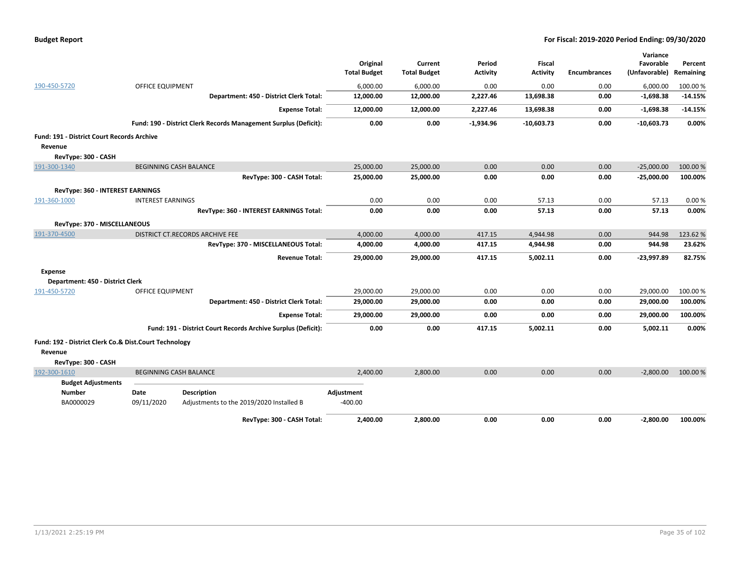| <b>Budget Report</b> |  |
|----------------------|--|
|----------------------|--|

|                                                                  |                          |                                                                  |                     |                     |                 |                 |                     | Variance      |           |
|------------------------------------------------------------------|--------------------------|------------------------------------------------------------------|---------------------|---------------------|-----------------|-----------------|---------------------|---------------|-----------|
|                                                                  |                          |                                                                  | Original            | Current             | Period          | <b>Fiscal</b>   |                     | Favorable     | Percent   |
|                                                                  |                          |                                                                  | <b>Total Budget</b> | <b>Total Budget</b> | <b>Activity</b> | <b>Activity</b> | <b>Encumbrances</b> | (Unfavorable) | Remaining |
| 190-450-5720                                                     | <b>OFFICE EQUIPMENT</b>  |                                                                  | 6,000.00            | 6,000.00            | 0.00            | 0.00            | 0.00                | 6,000.00      | 100.00%   |
|                                                                  |                          | Department: 450 - District Clerk Total:                          | 12,000.00           | 12,000.00           | 2,227.46        | 13,698.38       | 0.00                | $-1,698.38$   | $-14.15%$ |
|                                                                  |                          | <b>Expense Total:</b>                                            | 12,000.00           | 12,000.00           | 2,227.46        | 13,698.38       | 0.00                | $-1,698.38$   | $-14.15%$ |
|                                                                  |                          | Fund: 190 - District Clerk Records Management Surplus (Deficit): | 0.00                | 0.00                | $-1,934.96$     | $-10.603.73$    | 0.00                | $-10,603.73$  | 0.00%     |
| <b>Fund: 191 - District Court Records Archive</b>                |                          |                                                                  |                     |                     |                 |                 |                     |               |           |
| Revenue                                                          |                          |                                                                  |                     |                     |                 |                 |                     |               |           |
| RevType: 300 - CASH                                              |                          |                                                                  |                     |                     |                 |                 |                     |               |           |
| 191-300-1340                                                     |                          | <b>BEGINNING CASH BALANCE</b>                                    | 25,000.00           | 25,000.00           | 0.00            | 0.00            | 0.00                | $-25,000.00$  | 100.00%   |
|                                                                  |                          | RevType: 300 - CASH Total:                                       | 25,000.00           | 25,000.00           | 0.00            | 0.00            | 0.00                | $-25,000.00$  | 100.00%   |
| RevType: 360 - INTEREST EARNINGS                                 |                          |                                                                  |                     |                     |                 |                 |                     |               |           |
| 191-360-1000                                                     | <b>INTEREST EARNINGS</b> |                                                                  | 0.00                | 0.00                | 0.00            | 57.13           | 0.00                | 57.13         | 0.00%     |
|                                                                  |                          | RevType: 360 - INTEREST EARNINGS Total:                          | 0.00                | 0.00                | 0.00            | 57.13           | 0.00                | 57.13         | 0.00%     |
| RevType: 370 - MISCELLANEOUS                                     |                          |                                                                  |                     |                     |                 |                 |                     |               |           |
| 191-370-4500                                                     |                          | DISTRICT CT.RECORDS ARCHIVE FEE                                  | 4,000.00            | 4,000.00            | 417.15          | 4,944.98        | 0.00                | 944.98        | 123.62%   |
|                                                                  |                          | RevType: 370 - MISCELLANEOUS Total:                              | 4,000.00            | 4,000.00            | 417.15          | 4,944.98        | 0.00                | 944.98        | 23.62%    |
|                                                                  |                          | <b>Revenue Total:</b>                                            | 29,000.00           | 29,000.00           | 417.15          | 5,002.11        | 0.00                | $-23,997.89$  | 82.75%    |
| <b>Expense</b>                                                   |                          |                                                                  |                     |                     |                 |                 |                     |               |           |
| Department: 450 - District Clerk                                 |                          |                                                                  |                     |                     |                 |                 |                     |               |           |
| 191-450-5720                                                     | OFFICE EQUIPMENT         |                                                                  | 29,000.00           | 29,000.00           | 0.00            | 0.00            | 0.00                | 29,000.00     | 100.00 %  |
|                                                                  |                          | Department: 450 - District Clerk Total:                          | 29,000.00           | 29,000.00           | 0.00            | 0.00            | 0.00                | 29,000.00     | 100.00%   |
|                                                                  |                          | <b>Expense Total:</b>                                            | 29,000.00           | 29,000.00           | 0.00            | 0.00            | 0.00                | 29,000.00     | 100.00%   |
|                                                                  |                          | Fund: 191 - District Court Records Archive Surplus (Deficit):    | 0.00                | 0.00                | 417.15          | 5,002.11        | 0.00                | 5,002.11      | 0.00%     |
| Fund: 192 - District Clerk Co.& Dist.Court Technology<br>Revenue |                          |                                                                  |                     |                     |                 |                 |                     |               |           |
| RevType: 300 - CASH                                              |                          |                                                                  |                     |                     |                 |                 |                     |               |           |
| 192-300-1610                                                     |                          | <b>BEGINNING CASH BALANCE</b>                                    | 2,400.00            | 2,800.00            | 0.00            | 0.00            | 0.00                | $-2,800.00$   | 100.00%   |
| <b>Budget Adjustments</b>                                        |                          |                                                                  |                     |                     |                 |                 |                     |               |           |
| <b>Number</b>                                                    | Date                     | <b>Description</b>                                               | Adjustment          |                     |                 |                 |                     |               |           |
| BA0000029                                                        | 09/11/2020               | Adjustments to the 2019/2020 Installed B                         | $-400.00$           |                     |                 |                 |                     |               |           |
|                                                                  |                          | RevType: 300 - CASH Total:                                       | 2,400.00            | 2,800.00            | 0.00            | 0.00            | 0.00                | $-2,800.00$   | 100.00%   |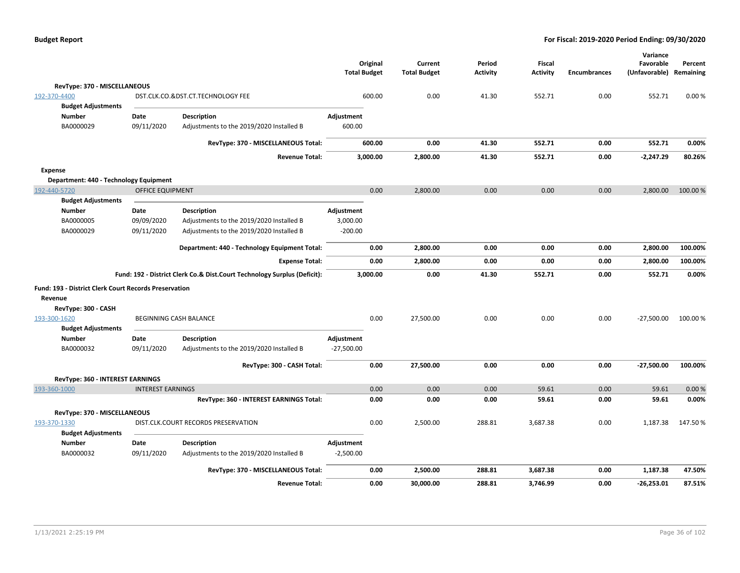|                                                       |                          |                                                                          | <b>Total Budget</b> | Original | Current<br><b>Total Budget</b> | Period<br><b>Activity</b> | Fiscal<br><b>Activity</b> | <b>Encumbrances</b> | Variance<br>Favorable<br>(Unfavorable) Remaining | Percent  |
|-------------------------------------------------------|--------------------------|--------------------------------------------------------------------------|---------------------|----------|--------------------------------|---------------------------|---------------------------|---------------------|--------------------------------------------------|----------|
| RevType: 370 - MISCELLANEOUS                          |                          |                                                                          |                     |          |                                |                           |                           |                     |                                                  |          |
| 192-370-4400                                          |                          | DST.CLK.CO.&DST.CT.TECHNOLOGY FEE                                        |                     | 600.00   | 0.00                           | 41.30                     | 552.71                    | 0.00                | 552.71                                           | 0.00%    |
| <b>Budget Adjustments</b>                             |                          |                                                                          |                     |          |                                |                           |                           |                     |                                                  |          |
| <b>Number</b>                                         | Date                     | <b>Description</b>                                                       | Adjustment          |          |                                |                           |                           |                     |                                                  |          |
| BA0000029                                             | 09/11/2020               | Adjustments to the 2019/2020 Installed B                                 | 600.00              |          |                                |                           |                           |                     |                                                  |          |
|                                                       |                          | RevType: 370 - MISCELLANEOUS Total:                                      |                     | 600.00   | 0.00                           | 41.30                     | 552.71                    | 0.00                | 552.71                                           | 0.00%    |
|                                                       |                          |                                                                          |                     |          |                                |                           |                           |                     |                                                  |          |
|                                                       |                          | <b>Revenue Total:</b>                                                    |                     | 3,000.00 | 2,800.00                       | 41.30                     | 552.71                    | 0.00                | $-2,247.29$                                      | 80.26%   |
| <b>Expense</b>                                        |                          |                                                                          |                     |          |                                |                           |                           |                     |                                                  |          |
| Department: 440 - Technology Equipment                |                          |                                                                          |                     |          |                                |                           |                           |                     |                                                  |          |
| 192-440-5720<br><b>Budget Adjustments</b>             | <b>OFFICE EQUIPMENT</b>  |                                                                          |                     | 0.00     | 2,800.00                       | 0.00                      | 0.00                      | 0.00                | 2,800.00                                         | 100.00 % |
| Number                                                | Date                     | <b>Description</b>                                                       | Adjustment          |          |                                |                           |                           |                     |                                                  |          |
| BA0000005                                             | 09/09/2020               | Adjustments to the 2019/2020 Installed B                                 | 3,000.00            |          |                                |                           |                           |                     |                                                  |          |
| BA0000029                                             | 09/11/2020               | Adjustments to the 2019/2020 Installed B                                 | $-200.00$           |          |                                |                           |                           |                     |                                                  |          |
|                                                       |                          |                                                                          |                     |          |                                |                           |                           |                     |                                                  |          |
|                                                       |                          | Department: 440 - Technology Equipment Total:                            |                     | 0.00     | 2,800.00                       | 0.00                      | 0.00                      | 0.00                | 2,800.00                                         | 100.00%  |
|                                                       |                          | <b>Expense Total:</b>                                                    |                     | 0.00     | 2,800.00                       | 0.00                      | 0.00                      | 0.00                | 2,800.00                                         | 100.00%  |
|                                                       |                          | Fund: 192 - District Clerk Co.& Dist.Court Technology Surplus (Deficit): |                     | 3,000.00 | 0.00                           | 41.30                     | 552.71                    | 0.00                | 552.71                                           | 0.00%    |
| Fund: 193 - District Clerk Court Records Preservation |                          |                                                                          |                     |          |                                |                           |                           |                     |                                                  |          |
| Revenue                                               |                          |                                                                          |                     |          |                                |                           |                           |                     |                                                  |          |
| RevType: 300 - CASH                                   |                          |                                                                          |                     |          |                                |                           |                           |                     |                                                  |          |
| 193-300-1620                                          |                          | <b>BEGINNING CASH BALANCE</b>                                            |                     | 0.00     | 27,500.00                      | 0.00                      | 0.00                      | 0.00                | $-27,500.00$                                     | 100.00%  |
| <b>Budget Adjustments</b>                             |                          |                                                                          |                     |          |                                |                           |                           |                     |                                                  |          |
| <b>Number</b>                                         | Date                     | <b>Description</b>                                                       | Adjustment          |          |                                |                           |                           |                     |                                                  |          |
| BA0000032                                             | 09/11/2020               | Adjustments to the 2019/2020 Installed B                                 | $-27,500.00$        |          |                                |                           |                           |                     |                                                  |          |
|                                                       |                          | RevType: 300 - CASH Total:                                               |                     | 0.00     | 27,500.00                      | 0.00                      | 0.00                      | 0.00                | $-27,500.00$                                     | 100.00%  |
| <b>RevType: 360 - INTEREST EARNINGS</b>               |                          |                                                                          |                     |          |                                |                           |                           |                     |                                                  |          |
| 193-360-1000                                          | <b>INTEREST EARNINGS</b> |                                                                          |                     | 0.00     | 0.00                           | 0.00                      | 59.61                     | 0.00                | 59.61                                            | 0.00%    |
|                                                       |                          | RevType: 360 - INTEREST EARNINGS Total:                                  |                     | 0.00     | 0.00                           | 0.00                      | 59.61                     | 0.00                | 59.61                                            | 0.00%    |
| RevType: 370 - MISCELLANEOUS                          |                          |                                                                          |                     |          |                                |                           |                           |                     |                                                  |          |
| 193-370-1330                                          |                          | DIST.CLK.COURT RECORDS PRESERVATION                                      |                     | 0.00     | 2,500.00                       | 288.81                    | 3,687.38                  | 0.00                | 1,187.38                                         | 147.50%  |
| <b>Budget Adjustments</b>                             |                          |                                                                          |                     |          |                                |                           |                           |                     |                                                  |          |
| Number                                                | Date                     | <b>Description</b>                                                       | Adjustment          |          |                                |                           |                           |                     |                                                  |          |
| BA0000032                                             | 09/11/2020               | Adjustments to the 2019/2020 Installed B                                 | $-2,500.00$         |          |                                |                           |                           |                     |                                                  |          |
|                                                       |                          |                                                                          |                     |          |                                |                           |                           |                     |                                                  |          |
|                                                       |                          | RevType: 370 - MISCELLANEOUS Total:                                      |                     | 0.00     | 2,500.00                       | 288.81                    | 3,687.38                  | 0.00                | 1,187.38                                         | 47.50%   |
|                                                       |                          | <b>Revenue Total:</b>                                                    |                     | 0.00     | 30,000.00                      | 288.81                    | 3,746.99                  | 0.00                | $-26,253.01$                                     | 87.51%   |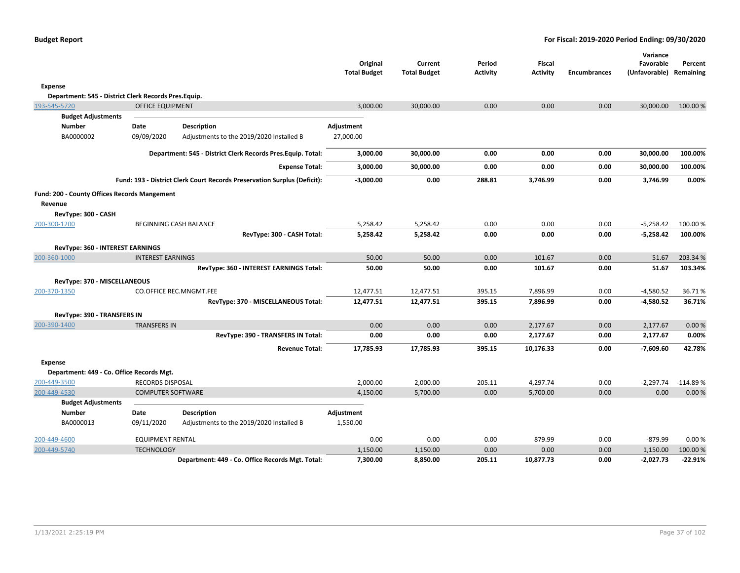|                                                      |                          |                                                                          | Original<br><b>Total Budget</b> | Current<br><b>Total Budget</b> | Period<br><b>Activity</b> | <b>Fiscal</b><br><b>Activity</b> | <b>Encumbrances</b> | Variance<br>Favorable<br>(Unfavorable) Remaining | Percent    |
|------------------------------------------------------|--------------------------|--------------------------------------------------------------------------|---------------------------------|--------------------------------|---------------------------|----------------------------------|---------------------|--------------------------------------------------|------------|
| <b>Expense</b>                                       |                          |                                                                          |                                 |                                |                           |                                  |                     |                                                  |            |
| Department: 545 - District Clerk Records Pres.Equip. |                          |                                                                          |                                 |                                |                           |                                  |                     |                                                  |            |
| 193-545-5720                                         | <b>OFFICE EQUIPMENT</b>  |                                                                          | 3,000.00                        | 30,000.00                      | 0.00                      | 0.00                             | 0.00                | 30,000.00                                        | 100.00 %   |
| <b>Budget Adjustments</b>                            |                          |                                                                          |                                 |                                |                           |                                  |                     |                                                  |            |
| <b>Number</b>                                        | Date                     | <b>Description</b>                                                       | Adjustment                      |                                |                           |                                  |                     |                                                  |            |
| BA0000002                                            | 09/09/2020               | Adjustments to the 2019/2020 Installed B                                 | 27,000.00                       |                                |                           |                                  |                     |                                                  |            |
|                                                      |                          | Department: 545 - District Clerk Records Pres. Equip. Total:             | 3,000.00                        | 30,000.00                      | 0.00                      | 0.00                             | 0.00                | 30,000.00                                        | 100.00%    |
|                                                      |                          | <b>Expense Total:</b>                                                    | 3,000.00                        | 30,000.00                      | 0.00                      | 0.00                             | 0.00                | 30,000.00                                        | 100.00%    |
|                                                      |                          | Fund: 193 - District Clerk Court Records Preservation Surplus (Deficit): | $-3,000.00$                     | 0.00                           | 288.81                    | 3,746.99                         | 0.00                | 3,746.99                                         | 0.00%      |
| Fund: 200 - County Offices Records Mangement         |                          |                                                                          |                                 |                                |                           |                                  |                     |                                                  |            |
| Revenue                                              |                          |                                                                          |                                 |                                |                           |                                  |                     |                                                  |            |
| RevType: 300 - CASH                                  |                          |                                                                          |                                 |                                |                           |                                  |                     |                                                  |            |
| 200-300-1200                                         |                          | <b>BEGINNING CASH BALANCE</b>                                            | 5,258.42                        | 5,258.42                       | 0.00                      | 0.00                             | 0.00                | $-5,258.42$                                      | 100.00%    |
|                                                      |                          | RevType: 300 - CASH Total:                                               | 5,258.42                        | 5,258.42                       | 0.00                      | 0.00                             | 0.00                | $-5,258.42$                                      | 100.00%    |
| RevType: 360 - INTEREST EARNINGS                     |                          |                                                                          |                                 |                                |                           |                                  |                     |                                                  |            |
| 200-360-1000                                         | <b>INTEREST EARNINGS</b> |                                                                          | 50.00                           | 50.00                          | 0.00                      | 101.67                           | 0.00                | 51.67                                            | 203.34 %   |
|                                                      |                          | RevType: 360 - INTEREST EARNINGS Total:                                  | 50.00                           | 50.00                          | 0.00                      | 101.67                           | 0.00                | 51.67                                            | 103.34%    |
| RevType: 370 - MISCELLANEOUS                         |                          |                                                                          |                                 |                                |                           |                                  |                     |                                                  |            |
| 200-370-1350                                         |                          | CO.OFFICE REC.MNGMT.FEE                                                  | 12,477.51                       | 12,477.51                      | 395.15                    | 7,896.99                         | 0.00                | $-4,580.52$                                      | 36.71%     |
|                                                      |                          | RevType: 370 - MISCELLANEOUS Total:                                      | 12,477.51                       | 12,477.51                      | 395.15                    | 7,896.99                         | 0.00                | -4,580.52                                        | 36.71%     |
| <b>RevType: 390 - TRANSFERS IN</b>                   |                          |                                                                          |                                 |                                |                           |                                  |                     |                                                  |            |
| 200-390-1400                                         | <b>TRANSFERS IN</b>      |                                                                          | 0.00                            | 0.00                           | 0.00                      | 2,177.67                         | 0.00                | 2,177.67                                         | 0.00%      |
|                                                      |                          | RevType: 390 - TRANSFERS IN Total:                                       | 0.00                            | 0.00                           | 0.00                      | 2,177.67                         | 0.00                | 2,177.67                                         | 0.00%      |
|                                                      |                          | <b>Revenue Total:</b>                                                    | 17,785.93                       | 17,785.93                      | 395.15                    | 10,176.33                        | 0.00                | -7,609.60                                        | 42.78%     |
| <b>Expense</b>                                       |                          |                                                                          |                                 |                                |                           |                                  |                     |                                                  |            |
| Department: 449 - Co. Office Records Mgt.            |                          |                                                                          |                                 |                                |                           |                                  |                     |                                                  |            |
| 200-449-3500                                         | <b>RECORDS DISPOSAL</b>  |                                                                          | 2,000.00                        | 2,000.00                       | 205.11                    | 4,297.74                         | 0.00                | $-2,297.74$                                      | $-114.89%$ |
| 200-449-4530                                         | <b>COMPUTER SOFTWARE</b> |                                                                          | 4,150.00                        | 5,700.00                       | 0.00                      | 5,700.00                         | 0.00                | 0.00                                             | 0.00%      |
| <b>Budget Adjustments</b>                            |                          |                                                                          |                                 |                                |                           |                                  |                     |                                                  |            |
| <b>Number</b>                                        | Date                     | <b>Description</b>                                                       | Adjustment                      |                                |                           |                                  |                     |                                                  |            |
| BA0000013                                            | 09/11/2020               | Adjustments to the 2019/2020 Installed B                                 | 1,550.00                        |                                |                           |                                  |                     |                                                  |            |
| 200-449-4600                                         | <b>EQUIPMENT RENTAL</b>  |                                                                          | 0.00                            | 0.00                           | 0.00                      | 879.99                           | 0.00                | $-879.99$                                        | 0.00%      |
| 200-449-5740                                         | <b>TECHNOLOGY</b>        |                                                                          | 1,150.00                        | 1,150.00                       | 0.00                      | 0.00                             | 0.00                | 1,150.00                                         | 100.00%    |
|                                                      |                          | Department: 449 - Co. Office Records Mgt. Total:                         | 7,300.00                        | 8,850.00                       | 205.11                    | 10,877.73                        | 0.00                | -2,027.73                                        | -22.91%    |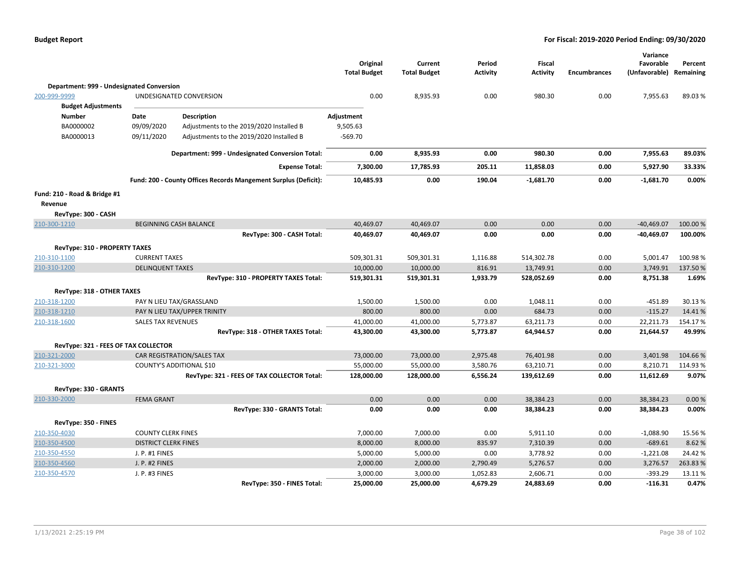|                                           |                             |                                                                 | Original<br><b>Total Budget</b> | Current<br><b>Total Budget</b> | Period<br>Activity | <b>Fiscal</b><br><b>Activity</b> | <b>Encumbrances</b> | Variance<br>Favorable<br>(Unfavorable) | Percent<br>Remaining |
|-------------------------------------------|-----------------------------|-----------------------------------------------------------------|---------------------------------|--------------------------------|--------------------|----------------------------------|---------------------|----------------------------------------|----------------------|
| Department: 999 - Undesignated Conversion |                             |                                                                 |                                 |                                |                    |                                  |                     |                                        |                      |
| 200-999-9999                              |                             | UNDESIGNATED CONVERSION                                         | 0.00                            | 8,935.93                       | 0.00               | 980.30                           | 0.00                | 7,955.63                               | 89.03%               |
| <b>Budget Adjustments</b>                 |                             |                                                                 |                                 |                                |                    |                                  |                     |                                        |                      |
| <b>Number</b>                             | Date                        | <b>Description</b>                                              | Adjustment                      |                                |                    |                                  |                     |                                        |                      |
| BA0000002                                 | 09/09/2020                  | Adjustments to the 2019/2020 Installed B                        | 9,505.63                        |                                |                    |                                  |                     |                                        |                      |
| BA0000013                                 | 09/11/2020                  | Adjustments to the 2019/2020 Installed B                        | $-569.70$                       |                                |                    |                                  |                     |                                        |                      |
|                                           |                             | Department: 999 - Undesignated Conversion Total:                | 0.00                            | 8,935.93                       | 0.00               | 980.30                           | 0.00                | 7,955.63                               | 89.03%               |
|                                           |                             | <b>Expense Total:</b>                                           | 7,300.00                        | 17,785.93                      | 205.11             | 11,858.03                        | 0.00                | 5,927.90                               | 33.33%               |
|                                           |                             | Fund: 200 - County Offices Records Mangement Surplus (Deficit): | 10,485.93                       | 0.00                           | 190.04             | $-1,681.70$                      | 0.00                | $-1,681.70$                            | 0.00%                |
| Fund: 210 - Road & Bridge #1              |                             |                                                                 |                                 |                                |                    |                                  |                     |                                        |                      |
| Revenue                                   |                             |                                                                 |                                 |                                |                    |                                  |                     |                                        |                      |
| RevType: 300 - CASH                       |                             |                                                                 |                                 |                                |                    |                                  |                     |                                        |                      |
| 210-300-1210                              |                             | <b>BEGINNING CASH BALANCE</b>                                   | 40,469.07                       | 40,469.07                      | 0.00               | 0.00                             | 0.00                | $-40,469.07$                           | 100.00%              |
|                                           |                             | RevType: 300 - CASH Total:                                      | 40,469.07                       | 40,469.07                      | 0.00               | 0.00                             | 0.00                | $-40,469.07$                           | 100.00%              |
| RevType: 310 - PROPERTY TAXES             |                             |                                                                 |                                 |                                |                    |                                  |                     |                                        |                      |
| 210-310-1100                              | <b>CURRENT TAXES</b>        |                                                                 | 509,301.31                      | 509,301.31                     | 1,116.88           | 514,302.78                       | 0.00                | 5,001.47                               | 100.98%              |
| 210-310-1200                              | <b>DELINQUENT TAXES</b>     |                                                                 | 10,000.00                       | 10,000.00                      | 816.91             | 13,749.91                        | 0.00                | 3,749.91                               | 137.50%              |
|                                           |                             | RevType: 310 - PROPERTY TAXES Total:                            | 519,301.31                      | 519,301.31                     | 1,933.79           | 528,052.69                       | 0.00                | 8,751.38                               | 1.69%                |
| RevType: 318 - OTHER TAXES                |                             |                                                                 |                                 |                                |                    |                                  |                     |                                        |                      |
| 210-318-1200                              |                             | PAY N LIEU TAX/GRASSLAND                                        | 1,500.00                        | 1,500.00                       | 0.00               | 1,048.11                         | 0.00                | $-451.89$                              | 30.13%               |
| 210-318-1210                              |                             | PAY N LIEU TAX/UPPER TRINITY                                    | 800.00                          | 800.00                         | 0.00               | 684.73                           | 0.00                | $-115.27$                              | 14.41%               |
| 210-318-1600                              | <b>SALES TAX REVENUES</b>   |                                                                 | 41,000.00                       | 41,000.00                      | 5,773.87           | 63,211.73                        | 0.00                | 22,211.73                              | 154.17%              |
|                                           |                             | RevType: 318 - OTHER TAXES Total:                               | 43,300.00                       | 43,300.00                      | 5,773.87           | 64,944.57                        | 0.00                | 21,644.57                              | 49.99%               |
| RevType: 321 - FEES OF TAX COLLECTOR      |                             |                                                                 |                                 |                                |                    |                                  |                     |                                        |                      |
| 210-321-2000                              |                             | CAR REGISTRATION/SALES TAX                                      | 73,000.00                       | 73,000.00                      | 2,975.48           | 76,401.98                        | 0.00                | 3,401.98                               | 104.66%              |
| 210-321-3000                              |                             | COUNTY'S ADDITIONAL \$10                                        | 55,000.00                       | 55,000.00                      | 3,580.76           | 63,210.71                        | 0.00                | 8,210.71                               | 114.93%              |
|                                           |                             | RevType: 321 - FEES OF TAX COLLECTOR Total:                     | 128,000.00                      | 128,000.00                     | 6,556.24           | 139,612.69                       | 0.00                | 11,612.69                              | 9.07%                |
| RevType: 330 - GRANTS                     |                             |                                                                 |                                 |                                |                    |                                  |                     |                                        |                      |
| 210-330-2000                              | <b>FEMA GRANT</b>           |                                                                 | 0.00                            | 0.00                           | 0.00               | 38,384.23                        | 0.00                | 38,384.23                              | 0.00%                |
|                                           |                             | RevType: 330 - GRANTS Total:                                    | 0.00                            | 0.00                           | 0.00               | 38,384.23                        | 0.00                | 38,384.23                              | 0.00%                |
| RevType: 350 - FINES                      |                             |                                                                 |                                 |                                |                    |                                  |                     |                                        |                      |
| 210-350-4030                              | <b>COUNTY CLERK FINES</b>   |                                                                 | 7,000.00                        | 7,000.00                       | 0.00               | 5,911.10                         | 0.00                | $-1,088.90$                            | 15.56 %              |
| 210-350-4500                              | <b>DISTRICT CLERK FINES</b> |                                                                 | 8,000.00                        | 8,000.00                       | 835.97             | 7,310.39                         | 0.00                | $-689.61$                              | 8.62%                |
| 210-350-4550                              | J. P. #1 FINES              |                                                                 | 5,000.00                        | 5,000.00                       | 0.00               | 3,778.92                         | 0.00                | $-1,221.08$                            | 24.42%               |
| 210-350-4560                              | J. P. #2 FINES              |                                                                 | 2,000.00                        | 2,000.00                       | 2,790.49           | 5,276.57                         | 0.00                | 3,276.57                               | 263.83%              |
| 210-350-4570                              | J. P. #3 FINES              |                                                                 | 3,000.00                        | 3,000.00                       | 1,052.83           | 2,606.71                         | 0.00                | -393.29                                | 13.11%               |
|                                           |                             | RevType: 350 - FINES Total:                                     | 25,000.00                       | 25,000.00                      | 4,679.29           | 24,883.69                        | 0.00                | $-116.31$                              | 0.47%                |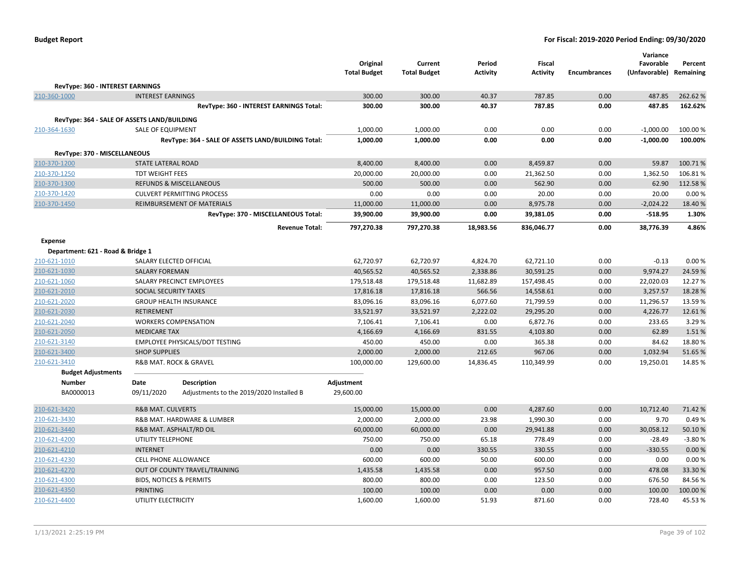| <b>Budget Report</b> |  |
|----------------------|--|
|----------------------|--|

|                                             |                                    |                                                    | Original<br><b>Total Budget</b> | Current<br><b>Total Budget</b> | Period<br>Activity | <b>Fiscal</b><br><b>Activity</b> | <b>Encumbrances</b> | Variance<br>Favorable<br>(Unfavorable) Remaining | Percent  |
|---------------------------------------------|------------------------------------|----------------------------------------------------|---------------------------------|--------------------------------|--------------------|----------------------------------|---------------------|--------------------------------------------------|----------|
| RevType: 360 - INTEREST EARNINGS            |                                    |                                                    |                                 |                                |                    |                                  |                     |                                                  |          |
| 210-360-1000                                | <b>INTEREST EARNINGS</b>           |                                                    | 300.00                          | 300.00                         | 40.37              | 787.85                           | 0.00                | 487.85                                           | 262.62%  |
|                                             |                                    | RevType: 360 - INTEREST EARNINGS Total:            | 300.00                          | 300.00                         | 40.37              | 787.85                           | 0.00                | 487.85                                           | 162.62%  |
| RevType: 364 - SALE OF ASSETS LAND/BUILDING |                                    |                                                    |                                 |                                |                    |                                  |                     |                                                  |          |
| 210-364-1630                                | SALE OF EQUIPMENT                  |                                                    | 1,000.00                        | 1,000.00                       | 0.00               | 0.00                             | 0.00                | $-1,000.00$                                      | 100.00 % |
|                                             |                                    | RevType: 364 - SALE OF ASSETS LAND/BUILDING Total: | 1,000.00                        | 1,000.00                       | 0.00               | 0.00                             | 0.00                | $-1,000.00$                                      | 100.00%  |
|                                             |                                    |                                                    |                                 |                                |                    |                                  |                     |                                                  |          |
| RevType: 370 - MISCELLANEOUS                |                                    |                                                    |                                 |                                |                    |                                  |                     |                                                  |          |
| 210-370-1200                                | <b>STATE LATERAL ROAD</b>          |                                                    | 8,400.00                        | 8,400.00                       | 0.00               | 8,459.87                         | 0.00                | 59.87                                            | 100.71%  |
| 210-370-1250                                | <b>TDT WEIGHT FEES</b>             |                                                    | 20,000.00                       | 20,000.00                      | 0.00               | 21,362.50                        | 0.00                | 1,362.50                                         | 106.81%  |
| 210-370-1300                                |                                    | REFUNDS & MISCELLANEOUS                            | 500.00                          | 500.00                         | 0.00               | 562.90                           | 0.00                | 62.90                                            | 112.58%  |
| 210-370-1420                                |                                    | <b>CULVERT PERMITTING PROCESS</b>                  | 0.00                            | 0.00                           | 0.00               | 20.00                            | 0.00                | 20.00                                            | 0.00%    |
| 210-370-1450                                |                                    | REIMBURSEMENT OF MATERIALS                         | 11,000.00                       | 11,000.00                      | 0.00               | 8,975.78                         | 0.00                | $-2,024.22$                                      | 18.40 %  |
|                                             |                                    | RevType: 370 - MISCELLANEOUS Total:                | 39,900.00                       | 39,900.00                      | 0.00               | 39,381.05                        | 0.00                | $-518.95$                                        | 1.30%    |
|                                             |                                    | <b>Revenue Total:</b>                              | 797,270.38                      | 797,270.38                     | 18,983.56          | 836,046.77                       | 0.00                | 38,776.39                                        | 4.86%    |
| <b>Expense</b>                              |                                    |                                                    |                                 |                                |                    |                                  |                     |                                                  |          |
| Department: 621 - Road & Bridge 1           |                                    |                                                    |                                 |                                |                    |                                  |                     |                                                  |          |
| 210-621-1010                                | SALARY ELECTED OFFICIAL            |                                                    | 62,720.97                       | 62,720.97                      | 4,824.70           | 62,721.10                        | 0.00                | $-0.13$                                          | 0.00%    |
| 210-621-1030                                | <b>SALARY FOREMAN</b>              |                                                    | 40,565.52                       | 40,565.52                      | 2,338.86           | 30,591.25                        | 0.00                | 9,974.27                                         | 24.59%   |
| 210-621-1060                                |                                    | SALARY PRECINCT EMPLOYEES                          | 179,518.48                      | 179,518.48                     | 11,682.89          | 157,498.45                       | 0.00                | 22,020.03                                        | 12.27%   |
| 210-621-2010                                | SOCIAL SECURITY TAXES              |                                                    | 17,816.18                       | 17,816.18                      | 566.56             | 14,558.61                        | 0.00                | 3,257.57                                         | 18.28 %  |
| 210-621-2020                                |                                    | <b>GROUP HEALTH INSURANCE</b>                      | 83,096.16                       | 83,096.16                      | 6,077.60           | 71,799.59                        | 0.00                | 11,296.57                                        | 13.59 %  |
| 210-621-2030                                | <b>RETIREMENT</b>                  |                                                    | 33,521.97                       | 33,521.97                      | 2,222.02           | 29,295.20                        | 0.00                | 4,226.77                                         | 12.61%   |
| 210-621-2040                                | <b>WORKERS COMPENSATION</b>        |                                                    | 7,106.41                        | 7,106.41                       | 0.00               | 6,872.76                         | 0.00                | 233.65                                           | 3.29 %   |
| 210-621-2050                                | <b>MEDICARE TAX</b>                |                                                    | 4,166.69                        | 4,166.69                       | 831.55             | 4,103.80                         | 0.00                | 62.89                                            | 1.51%    |
| 210-621-3140                                |                                    | EMPLOYEE PHYSICALS/DOT TESTING                     | 450.00                          | 450.00                         | 0.00               | 365.38                           | 0.00                | 84.62                                            | 18.80%   |
| 210-621-3400                                | <b>SHOP SUPPLIES</b>               |                                                    | 2,000.00                        | 2,000.00                       | 212.65             | 967.06                           | 0.00                | 1,032.94                                         | 51.65%   |
| 210-621-3410                                | R&B MAT. ROCK & GRAVEL             |                                                    | 100,000.00                      | 129,600.00                     | 14,836.45          | 110,349.99                       | 0.00                | 19,250.01                                        | 14.85 %  |
| <b>Budget Adjustments</b>                   |                                    |                                                    |                                 |                                |                    |                                  |                     |                                                  |          |
| Number                                      | Date                               | <b>Description</b>                                 | Adjustment                      |                                |                    |                                  |                     |                                                  |          |
| BA0000013                                   | 09/11/2020                         | Adjustments to the 2019/2020 Installed B           | 29,600.00                       |                                |                    |                                  |                     |                                                  |          |
| 210-621-3420                                | <b>R&amp;B MAT. CULVERTS</b>       |                                                    | 15,000.00                       | 15,000.00                      | 0.00               | 4,287.60                         | 0.00                | 10,712.40                                        | 71.42%   |
| 210-621-3430                                |                                    | R&B MAT. HARDWARE & LUMBER                         | 2,000.00                        | 2,000.00                       | 23.98              | 1,990.30                         | 0.00                | 9.70                                             | 0.49%    |
| 210-621-3440                                | R&B MAT. ASPHALT/RD OIL            |                                                    | 60,000.00                       | 60,000.00                      | 0.00               | 29,941.88                        | 0.00                | 30,058.12                                        | 50.10%   |
| 210-621-4200                                | UTILITY TELEPHONE                  |                                                    | 750.00                          | 750.00                         | 65.18              | 778.49                           | 0.00                | $-28.49$                                         | $-3.80%$ |
| 210-621-4210                                | <b>INTERNET</b>                    |                                                    | 0.00                            | 0.00                           | 330.55             | 330.55                           | 0.00                | $-330.55$                                        | 0.00%    |
| 210-621-4230                                | CELL PHONE ALLOWANCE               |                                                    | 600.00                          | 600.00                         | 50.00              | 600.00                           | 0.00                | 0.00                                             | 0.00%    |
| 210-621-4270                                |                                    | OUT OF COUNTY TRAVEL/TRAINING                      | 1,435.58                        | 1,435.58                       | 0.00               | 957.50                           | 0.00                | 478.08                                           | 33.30%   |
| 210-621-4300                                | <b>BIDS, NOTICES &amp; PERMITS</b> |                                                    | 800.00                          | 800.00                         | 0.00               | 123.50                           | 0.00                | 676.50                                           | 84.56%   |
| 210-621-4350                                | <b>PRINTING</b>                    |                                                    | 100.00                          | 100.00                         | 0.00               | 0.00                             | 0.00                | 100.00                                           | 100.00%  |
| 210-621-4400                                | UTILITY ELECTRICITY                |                                                    | 1,600.00                        | 1,600.00                       | 51.93              | 871.60                           | 0.00                | 728.40                                           | 45.53%   |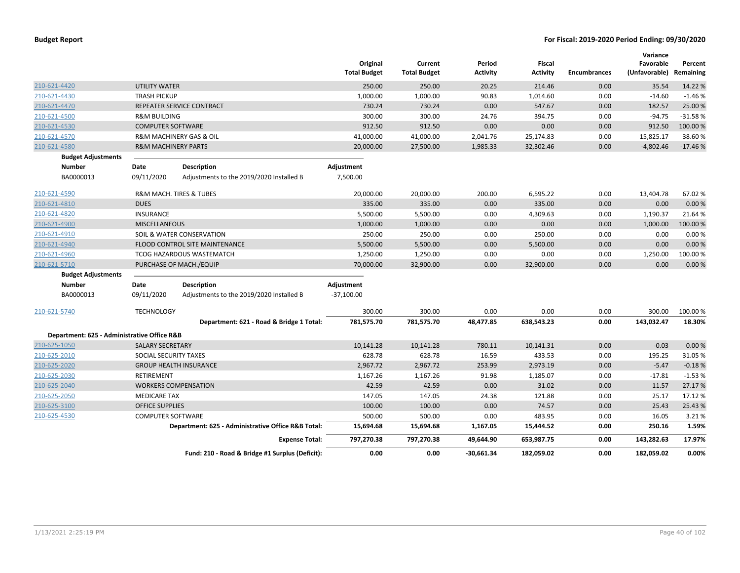|                                             |                                |                                                    | Original<br><b>Total Budget</b> | Current<br><b>Total Budget</b> | Period<br>Activity | <b>Fiscal</b><br><b>Activity</b> | <b>Encumbrances</b> | Variance<br>Favorable<br>(Unfavorable) | Percent<br>Remaining |
|---------------------------------------------|--------------------------------|----------------------------------------------------|---------------------------------|--------------------------------|--------------------|----------------------------------|---------------------|----------------------------------------|----------------------|
| 210-621-4420                                | <b>UTILITY WATER</b>           |                                                    | 250.00                          | 250.00                         | 20.25              | 214.46                           | 0.00                | 35.54                                  | 14.22 %              |
| 210-621-4430                                | <b>TRASH PICKUP</b>            |                                                    | 1,000.00                        | 1,000.00                       | 90.83              | 1,014.60                         | 0.00                | $-14.60$                               | $-1.46%$             |
| 210-621-4470                                |                                | REPEATER SERVICE CONTRACT                          | 730.24                          | 730.24                         | 0.00               | 547.67                           | 0.00                | 182.57                                 | 25.00 %              |
| 210-621-4500                                | <b>R&amp;M BUILDING</b>        |                                                    | 300.00                          | 300.00                         | 24.76              | 394.75                           | 0.00                | $-94.75$                               | $-31.58%$            |
| 210-621-4530                                | <b>COMPUTER SOFTWARE</b>       |                                                    | 912.50                          | 912.50                         | 0.00               | 0.00                             | 0.00                | 912.50                                 | 100.00 %             |
| 210-621-4570                                |                                | <b>R&amp;M MACHINERY GAS &amp; OIL</b>             | 41,000.00                       | 41,000.00                      | 2,041.76           | 25,174.83                        | 0.00                | 15,825.17                              | 38.60%               |
| 210-621-4580                                | <b>R&amp;M MACHINERY PARTS</b> |                                                    | 20,000.00                       | 27,500.00                      | 1,985.33           | 32,302.46                        | 0.00                | $-4,802.46$                            | $-17.46%$            |
| <b>Budget Adjustments</b>                   |                                |                                                    |                                 |                                |                    |                                  |                     |                                        |                      |
| Number                                      | Date                           | <b>Description</b>                                 | Adjustment                      |                                |                    |                                  |                     |                                        |                      |
| BA0000013                                   | 09/11/2020                     | Adjustments to the 2019/2020 Installed B           | 7,500.00                        |                                |                    |                                  |                     |                                        |                      |
| 210-621-4590                                |                                | <b>R&amp;M MACH. TIRES &amp; TUBES</b>             | 20,000.00                       | 20,000.00                      | 200.00             | 6,595.22                         | 0.00                | 13,404.78                              | 67.02%               |
| 210-621-4810                                | <b>DUES</b>                    |                                                    | 335.00                          | 335.00                         | 0.00               | 335.00                           | 0.00                | 0.00                                   | 0.00%                |
| 210-621-4820                                | <b>INSURANCE</b>               |                                                    | 5,500.00                        | 5,500.00                       | 0.00               | 4,309.63                         | 0.00                | 1,190.37                               | 21.64%               |
| 210-621-4900                                | <b>MISCELLANEOUS</b>           |                                                    | 1,000.00                        | 1,000.00                       | 0.00               | 0.00                             | 0.00                | 1,000.00                               | 100.00%              |
| 210-621-4910                                |                                | SOIL & WATER CONSERVATION                          | 250.00                          | 250.00                         | 0.00               | 250.00                           | 0.00                | 0.00                                   | 0.00%                |
| 210-621-4940                                |                                | FLOOD CONTROL SITE MAINTENANCE                     | 5,500.00                        | 5,500.00                       | 0.00               | 5,500.00                         | 0.00                | 0.00                                   | 0.00%                |
| 210-621-4960                                |                                | TCOG HAZARDOUS WASTEMATCH                          | 1,250.00                        | 1,250.00                       | 0.00               | 0.00                             | 0.00                | 1,250.00                               | 100.00%              |
| 210-621-5710                                |                                | PURCHASE OF MACH./EQUIP                            | 70,000.00                       | 32,900.00                      | 0.00               | 32,900.00                        | 0.00                | 0.00                                   | 0.00%                |
| <b>Budget Adjustments</b>                   |                                |                                                    |                                 |                                |                    |                                  |                     |                                        |                      |
| <b>Number</b>                               | Date                           | <b>Description</b>                                 | Adjustment                      |                                |                    |                                  |                     |                                        |                      |
| BA0000013                                   | 09/11/2020                     | Adjustments to the 2019/2020 Installed B           | $-37,100.00$                    |                                |                    |                                  |                     |                                        |                      |
| 210-621-5740                                | <b>TECHNOLOGY</b>              |                                                    | 300.00                          | 300.00                         | 0.00               | 0.00                             | 0.00                | 300.00                                 | 100.00 %             |
|                                             |                                | Department: 621 - Road & Bridge 1 Total:           | 781,575.70                      | 781,575.70                     | 48,477.85          | 638,543.23                       | 0.00                | 143,032.47                             | 18.30%               |
| Department: 625 - Administrative Office R&B |                                |                                                    |                                 |                                |                    |                                  |                     |                                        |                      |
| 210-625-1050                                | <b>SALARY SECRETARY</b>        |                                                    | 10,141.28                       | 10,141.28                      | 780.11             | 10,141.31                        | 0.00                | $-0.03$                                | 0.00%                |
| 210-625-2010                                | SOCIAL SECURITY TAXES          |                                                    | 628.78                          | 628.78                         | 16.59              | 433.53                           | 0.00                | 195.25                                 | 31.05 %              |
| 210-625-2020                                |                                | <b>GROUP HEALTH INSURANCE</b>                      | 2,967.72                        | 2,967.72                       | 253.99             | 2,973.19                         | 0.00                | $-5.47$                                | $-0.18%$             |
| 210-625-2030                                | <b>RETIREMENT</b>              |                                                    | 1,167.26                        | 1,167.26                       | 91.98              | 1,185.07                         | 0.00                | $-17.81$                               | $-1.53%$             |
| 210-625-2040                                |                                | <b>WORKERS COMPENSATION</b>                        | 42.59                           | 42.59                          | 0.00               | 31.02                            | 0.00                | 11.57                                  | 27.17%               |
| 210-625-2050                                | <b>MEDICARE TAX</b>            |                                                    | 147.05                          | 147.05                         | 24.38              | 121.88                           | 0.00                | 25.17                                  | 17.12 %              |
| 210-625-3100                                | <b>OFFICE SUPPLIES</b>         |                                                    | 100.00                          | 100.00                         | 0.00               | 74.57                            | 0.00                | 25.43                                  | 25.43%               |
| 210-625-4530                                | <b>COMPUTER SOFTWARE</b>       |                                                    | 500.00                          | 500.00                         | 0.00               | 483.95                           | 0.00                | 16.05                                  | 3.21 %               |
|                                             |                                | Department: 625 - Administrative Office R&B Total: | 15,694.68                       | 15,694.68                      | 1,167.05           | 15,444.52                        | 0.00                | 250.16                                 | 1.59%                |
|                                             |                                | <b>Expense Total:</b>                              | 797,270.38                      | 797,270.38                     | 49,644.90          | 653,987.75                       | 0.00                | 143,282.63                             | 17.97%               |
|                                             |                                | Fund: 210 - Road & Bridge #1 Surplus (Deficit):    | 0.00                            | 0.00                           | $-30,661.34$       | 182,059.02                       | 0.00                | 182,059.02                             | 0.00%                |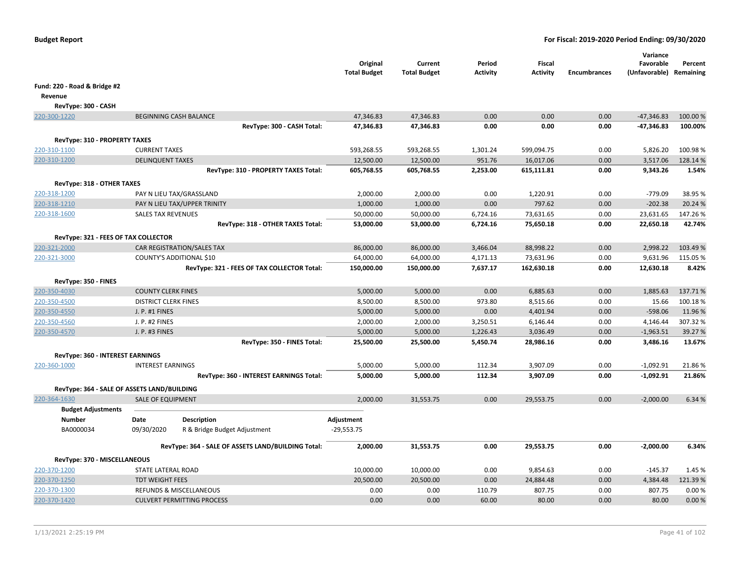|                                               |                                                    | Original<br><b>Total Budget</b> | Current<br><b>Total Budget</b> | Period<br><b>Activity</b> | <b>Fiscal</b><br><b>Activity</b> | <b>Encumbrances</b> | Variance<br>Favorable<br>(Unfavorable) Remaining | Percent           |
|-----------------------------------------------|----------------------------------------------------|---------------------------------|--------------------------------|---------------------------|----------------------------------|---------------------|--------------------------------------------------|-------------------|
| Fund: 220 - Road & Bridge #2                  |                                                    |                                 |                                |                           |                                  |                     |                                                  |                   |
| Revenue                                       |                                                    |                                 |                                |                           |                                  |                     |                                                  |                   |
| RevType: 300 - CASH                           |                                                    |                                 |                                |                           |                                  |                     |                                                  |                   |
| 220-300-1220                                  | <b>BEGINNING CASH BALANCE</b>                      | 47,346.83                       | 47,346.83                      | 0.00                      | 0.00                             | 0.00                | $-47,346.83$                                     | 100.00 %          |
|                                               | RevType: 300 - CASH Total:                         | 47,346.83                       | 47,346.83                      | 0.00                      | 0.00                             | 0.00                | -47,346.83                                       | 100.00%           |
|                                               |                                                    |                                 |                                |                           |                                  |                     |                                                  |                   |
| RevType: 310 - PROPERTY TAXES<br>220-310-1100 | <b>CURRENT TAXES</b>                               | 593,268.55                      | 593,268.55                     | 1,301.24                  | 599,094.75                       | 0.00                | 5,826.20                                         | 100.98%           |
| 220-310-1200                                  | <b>DELINQUENT TAXES</b>                            | 12,500.00                       | 12,500.00                      | 951.76                    | 16,017.06                        | 0.00                | 3,517.06                                         | 128.14 %          |
|                                               | RevType: 310 - PROPERTY TAXES Total:               | 605,768.55                      | 605,768.55                     | 2,253.00                  | 615,111.81                       | 0.00                | 9,343.26                                         | 1.54%             |
|                                               |                                                    |                                 |                                |                           |                                  |                     |                                                  |                   |
| RevType: 318 - OTHER TAXES                    |                                                    |                                 |                                |                           |                                  |                     |                                                  |                   |
| 220-318-1200                                  | PAY N LIEU TAX/GRASSLAND                           | 2,000.00                        | 2,000.00                       | 0.00                      | 1,220.91                         | 0.00                | $-779.09$                                        | 38.95 %           |
| 220-318-1210                                  | PAY N LIEU TAX/UPPER TRINITY                       | 1,000.00                        | 1,000.00                       | 0.00                      | 797.62                           | 0.00                | $-202.38$                                        | 20.24 %           |
| 220-318-1600                                  | <b>SALES TAX REVENUES</b>                          | 50,000.00                       | 50,000.00                      | 6,724.16                  | 73,631.65                        | 0.00                | 23,631.65                                        | 147.26%<br>42.74% |
|                                               | RevType: 318 - OTHER TAXES Total:                  | 53,000.00                       | 53,000.00                      | 6,724.16                  | 75,650.18                        | 0.00                | 22,650.18                                        |                   |
| RevType: 321 - FEES OF TAX COLLECTOR          |                                                    |                                 |                                |                           |                                  |                     |                                                  |                   |
| 220-321-2000                                  | CAR REGISTRATION/SALES TAX                         | 86,000.00                       | 86,000.00                      | 3,466.04                  | 88,998.22                        | 0.00                | 2,998.22                                         | 103.49%           |
| 220-321-3000                                  | COUNTY'S ADDITIONAL \$10                           | 64,000.00                       | 64,000.00                      | 4,171.13                  | 73,631.96                        | 0.00                | 9,631.96                                         | 115.05 %          |
|                                               | RevType: 321 - FEES OF TAX COLLECTOR Total:        | 150,000.00                      | 150,000.00                     | 7,637.17                  | 162,630.18                       | 0.00                | 12,630.18                                        | 8.42%             |
| RevType: 350 - FINES                          |                                                    |                                 |                                |                           |                                  |                     |                                                  |                   |
| 220-350-4030                                  | <b>COUNTY CLERK FINES</b>                          | 5,000.00                        | 5,000.00                       | 0.00                      | 6,885.63                         | 0.00                | 1,885.63                                         | 137.71%           |
| 220-350-4500                                  | <b>DISTRICT CLERK FINES</b>                        | 8,500.00                        | 8,500.00                       | 973.80                    | 8,515.66                         | 0.00                | 15.66                                            | 100.18%           |
| 220-350-4550                                  | J. P. #1 FINES                                     | 5,000.00                        | 5,000.00                       | 0.00                      | 4,401.94                         | 0.00                | $-598.06$                                        | 11.96%            |
| 220-350-4560                                  | J. P. #2 FINES                                     | 2,000.00                        | 2,000.00                       | 3,250.51                  | 6,146.44                         | 0.00                | 4,146.44                                         | 307.32%           |
| 220-350-4570                                  | J. P. #3 FINES                                     | 5,000.00                        | 5,000.00                       | 1,226.43                  | 3,036.49                         | 0.00                | $-1,963.51$                                      | 39.27 %           |
|                                               | RevType: 350 - FINES Total:                        | 25,500.00                       | 25,500.00                      | 5,450.74                  | 28,986.16                        | 0.00                | 3,486.16                                         | 13.67%            |
| RevType: 360 - INTEREST EARNINGS              |                                                    |                                 |                                |                           |                                  |                     |                                                  |                   |
| 220-360-1000                                  | <b>INTEREST EARNINGS</b>                           | 5,000.00                        | 5,000.00                       | 112.34                    | 3,907.09                         | 0.00                | $-1,092.91$                                      | 21.86%            |
|                                               | RevType: 360 - INTEREST EARNINGS Total:            | 5,000.00                        | 5,000.00                       | 112.34                    | 3,907.09                         | 0.00                | $-1,092.91$                                      | 21.86%            |
| RevType: 364 - SALE OF ASSETS LAND/BUILDING   |                                                    |                                 |                                |                           |                                  |                     |                                                  |                   |
| 220-364-1630                                  | <b>SALE OF EQUIPMENT</b>                           | 2,000.00                        | 31,553.75                      | 0.00                      | 29,553.75                        | 0.00                | $-2,000.00$                                      | 6.34 %            |
| <b>Budget Adjustments</b>                     |                                                    |                                 |                                |                           |                                  |                     |                                                  |                   |
| <b>Number</b>                                 | Date<br><b>Description</b>                         | Adjustment                      |                                |                           |                                  |                     |                                                  |                   |
| BA0000034                                     | 09/30/2020<br>R & Bridge Budget Adjustment         | $-29,553.75$                    |                                |                           |                                  |                     |                                                  |                   |
|                                               |                                                    |                                 |                                |                           |                                  |                     |                                                  |                   |
|                                               | RevType: 364 - SALE OF ASSETS LAND/BUILDING Total: | 2,000.00                        | 31,553.75                      | 0.00                      | 29,553.75                        | 0.00                | $-2,000.00$                                      | 6.34%             |
| RevType: 370 - MISCELLANEOUS                  |                                                    |                                 |                                |                           |                                  |                     |                                                  |                   |
| 220-370-1200                                  | STATE LATERAL ROAD                                 | 10,000.00                       | 10,000.00                      | 0.00                      | 9,854.63                         | 0.00                | $-145.37$                                        | 1.45 %            |
| 220-370-1250                                  | <b>TDT WEIGHT FEES</b>                             | 20,500.00                       | 20,500.00                      | 0.00                      | 24,884.48                        | 0.00                | 4,384.48                                         | 121.39%           |
| 220-370-1300                                  | REFUNDS & MISCELLANEOUS                            | 0.00                            | 0.00                           | 110.79                    | 807.75                           | 0.00                | 807.75                                           | 0.00%             |
| 220-370-1420                                  | <b>CULVERT PERMITTING PROCESS</b>                  | 0.00                            | 0.00                           | 60.00                     | 80.00                            | 0.00                | 80.00                                            | 0.00%             |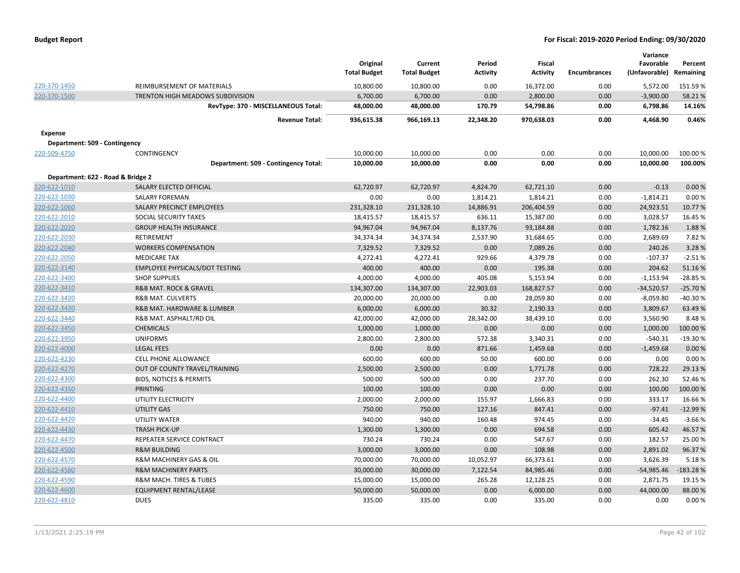|  |  |  | <b>Budget Report</b> |
|--|--|--|----------------------|
|--|--|--|----------------------|

|                                   |                                       | Original<br><b>Total Budget</b> | Current<br><b>Total Budget</b> | Period<br><b>Activity</b> | Fiscal<br><b>Activity</b> | <b>Encumbrances</b> | Variance<br>Favorable<br>(Unfavorable) | Percent<br>Remaining |
|-----------------------------------|---------------------------------------|---------------------------------|--------------------------------|---------------------------|---------------------------|---------------------|----------------------------------------|----------------------|
| 220-370-1450                      | REIMBURSEMENT OF MATERIALS            | 10,800.00                       | 10,800.00                      | 0.00                      | 16,372.00                 | 0.00                | 5,572.00                               | 151.59%              |
| 220-370-1500                      | TRENTON HIGH MEADOWS SUBDIVISION      | 6,700.00                        | 6,700.00                       | 0.00                      | 2,800.00                  | 0.00                | $-3,900.00$                            | 58.21%               |
|                                   | RevType: 370 - MISCELLANEOUS Total:   | 48,000.00                       | 48,000.00                      | 170.79                    | 54,798.86                 | 0.00                | 6,798.86                               | 14.16%               |
|                                   | <b>Revenue Total:</b>                 | 936,615.38                      | 966,169.13                     | 22,348.20                 | 970,638.03                | 0.00                | 4,468.90                               | 0.46%                |
| <b>Expense</b>                    |                                       |                                 |                                |                           |                           |                     |                                        |                      |
| Department: 509 - Contingency     |                                       |                                 |                                |                           |                           |                     |                                        |                      |
| 220-509-4750                      | <b>CONTINGENCY</b>                    | 10,000.00                       | 10,000.00                      | 0.00                      | 0.00                      | 0.00                | 10,000.00                              | 100.00%              |
|                                   | Department: 509 - Contingency Total:  | 10,000.00                       | 10,000.00                      | 0.00                      | 0.00                      | 0.00                | 10,000.00                              | 100.00%              |
| Department: 622 - Road & Bridge 2 |                                       |                                 |                                |                           |                           |                     |                                        |                      |
| 220-622-1010                      | SALARY ELECTED OFFICIAL               | 62,720.97                       | 62,720.97                      | 4,824.70                  | 62,721.10                 | 0.00                | $-0.13$                                | 0.00%                |
| 220-622-1030                      | <b>SALARY FOREMAN</b>                 | 0.00                            | 0.00                           | 1,814.21                  | 1,814.21                  | 0.00                | $-1,814.21$                            | 0.00%                |
| 220-622-1060                      | SALARY PRECINCT EMPLOYEES             | 231,328.10                      | 231,328.10                     | 14,886.91                 | 206,404.59                | 0.00                | 24,923.51                              | 10.77%               |
| 220-622-2010                      | SOCIAL SECURITY TAXES                 | 18,415.57                       | 18,415.57                      | 636.11                    | 15,387.00                 | 0.00                | 3,028.57                               | 16.45 %              |
| 220-622-2020                      | <b>GROUP HEALTH INSURANCE</b>         | 94,967.04                       | 94,967.04                      | 8,137.76                  | 93,184.88                 | 0.00                | 1,782.16                               | 1.88%                |
| 220-622-2030                      | RETIREMENT                            | 34,374.34                       | 34,374.34                      | 2,537.90                  | 31,684.65                 | 0.00                | 2,689.69                               | 7.82%                |
| 220-622-2040                      | <b>WORKERS COMPENSATION</b>           | 7,329.52                        | 7,329.52                       | 0.00                      | 7,089.26                  | 0.00                | 240.26                                 | 3.28%                |
| 220-622-2050                      | <b>MEDICARE TAX</b>                   | 4,272.41                        | 4,272.41                       | 929.66                    | 4,379.78                  | 0.00                | $-107.37$                              | $-2.51%$             |
| 220-622-3140                      | <b>EMPLOYEE PHYSICALS/DOT TESTING</b> | 400.00                          | 400.00                         | 0.00                      | 195.38                    | 0.00                | 204.62                                 | 51.16%               |
| 220-622-3400                      | <b>SHOP SUPPLIES</b>                  | 4,000.00                        | 4,000.00                       | 405.08                    | 5,153.94                  | 0.00                | $-1,153.94$                            | $-28.85%$            |
| 220-622-3410                      | <b>R&amp;B MAT. ROCK &amp; GRAVEL</b> | 134,307.00                      | 134,307.00                     | 22,903.03                 | 168,827.57                | 0.00                | $-34,520.57$                           | $-25.70%$            |
| 220-622-3420                      | <b>R&amp;B MAT. CULVERTS</b>          | 20,000.00                       | 20,000.00                      | 0.00                      | 28,059.80                 | 0.00                | $-8,059.80$                            | -40.30%              |
| 220-622-3430                      | R&B MAT. HARDWARE & LUMBER            | 6,000.00                        | 6,000.00                       | 30.32                     | 2,190.33                  | 0.00                | 3,809.67                               | 63.49%               |
| 220-622-3440                      | R&B MAT. ASPHALT/RD OIL               | 42,000.00                       | 42,000.00                      | 28,342.00                 | 38,439.10                 | 0.00                | 3,560.90                               | 8.48%                |
| 220-622-3450                      | <b>CHEMICALS</b>                      | 1,000.00                        | 1,000.00                       | 0.00                      | 0.00                      | 0.00                | 1,000.00                               | 100.00 %             |
| 220-622-3950                      | <b>UNIFORMS</b>                       | 2,800.00                        | 2,800.00                       | 572.38                    | 3,340.31                  | 0.00                | $-540.31$                              | $-19.30%$            |
| 220-622-4000                      | <b>LEGAL FEES</b>                     | 0.00                            | 0.00                           | 871.66                    | 1,459.68                  | 0.00                | $-1,459.68$                            | 0.00%                |
| 220-622-4230                      | CELL PHONE ALLOWANCE                  | 600.00                          | 600.00                         | 50.00                     | 600.00                    | 0.00                | 0.00                                   | 0.00%                |
| 220-622-4270                      | OUT OF COUNTY TRAVEL/TRAINING         | 2,500.00                        | 2,500.00                       | 0.00                      | 1,771.78                  | 0.00                | 728.22                                 | 29.13 %              |
| 220-622-4300                      | <b>BIDS, NOTICES &amp; PERMITS</b>    | 500.00                          | 500.00                         | 0.00                      | 237.70                    | 0.00                | 262.30                                 | 52.46%               |
| 220-622-4350                      | <b>PRINTING</b>                       | 100.00                          | 100.00                         | 0.00                      | 0.00                      | 0.00                | 100.00                                 | 100.00 %             |
| 220-622-4400                      | UTILITY ELECTRICITY                   | 2,000.00                        | 2,000.00                       | 155.97                    | 1,666.83                  | 0.00                | 333.17                                 | 16.66%               |
| 220-622-4410                      | <b>UTILITY GAS</b>                    | 750.00                          | 750.00                         | 127.16                    | 847.41                    | 0.00                | $-97.41$                               | $-12.99%$            |
| 220-622-4420                      | UTILITY WATER                         | 940.00                          | 940.00                         | 160.48                    | 974.45                    | 0.00                | $-34.45$                               | $-3.66%$             |
| 220-622-4430                      | <b>TRASH PICK-UP</b>                  | 1,300.00                        | 1,300.00                       | 0.00                      | 694.58                    | 0.00                | 605.42                                 | 46.57%               |
| 220-622-4470                      | REPEATER SERVICE CONTRACT             | 730.24                          | 730.24                         | 0.00                      | 547.67                    | 0.00                | 182.57                                 | 25.00%               |
| 220-622-4500                      | <b>R&amp;M BUILDING</b>               | 3,000.00                        | 3,000.00                       | 0.00                      | 108.98                    | 0.00                | 2,891.02                               | 96.37%               |
| 220-622-4570                      | R&M MACHINERY GAS & OIL               | 70,000.00                       | 70,000.00                      | 10,052.97                 | 66,373.61                 | 0.00                | 3,626.39                               | 5.18%                |
| 220-622-4580                      | <b>R&amp;M MACHINERY PARTS</b>        | 30,000.00                       | 30,000.00                      | 7,122.54                  | 84,985.46                 | 0.00                | $-54,985.46$                           | $-183.28%$           |
| 220-622-4590                      | R&M MACH. TIRES & TUBES               | 15,000.00                       | 15,000.00                      | 265.28                    | 12,128.25                 | 0.00                | 2,871.75                               | 19.15 %              |
| 220-622-4600                      | <b>EQUIPMENT RENTAL/LEASE</b>         | 50,000.00                       | 50,000.00                      | 0.00                      | 6,000.00                  | 0.00                | 44,000.00                              | 88.00%               |
| 220-622-4810                      | <b>DUES</b>                           | 335.00                          | 335.00                         | 0.00                      | 335.00                    | 0.00                | 0.00                                   | 0.00%                |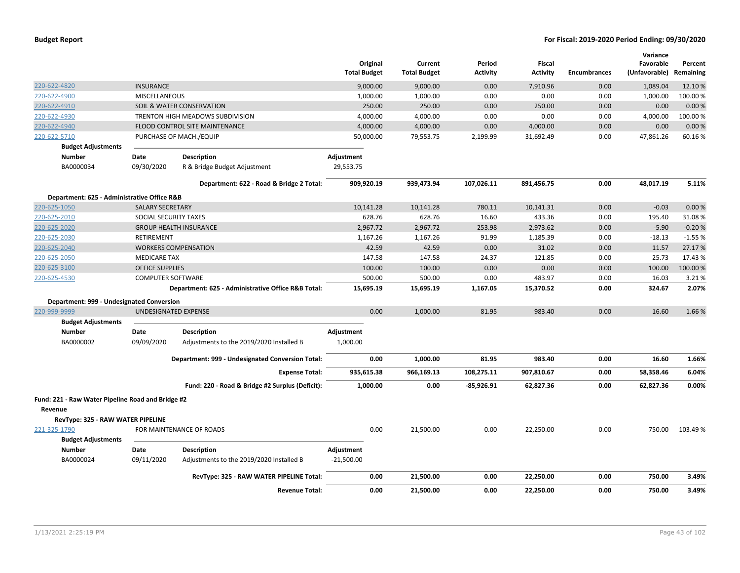|                                                              |                          |                                                    | <b>Total Budget</b> | Original  | Current<br><b>Total Budget</b> | Period<br>Activity | <b>Fiscal</b><br><b>Activity</b> | <b>Encumbrances</b> | Variance<br>Favorable<br>(Unfavorable) Remaining | Percent  |
|--------------------------------------------------------------|--------------------------|----------------------------------------------------|---------------------|-----------|--------------------------------|--------------------|----------------------------------|---------------------|--------------------------------------------------|----------|
| 220-622-4820                                                 | <b>INSURANCE</b>         |                                                    |                     | 9,000.00  | 9,000.00                       | 0.00               | 7,910.96                         | 0.00                | 1,089.04                                         | 12.10 %  |
| 220-622-4900                                                 | <b>MISCELLANEOUS</b>     |                                                    |                     | 1,000.00  | 1,000.00                       | 0.00               | 0.00                             | 0.00                | 1,000.00                                         | 100.00%  |
| 220-622-4910                                                 |                          | SOIL & WATER CONSERVATION                          |                     | 250.00    | 250.00                         | 0.00               | 250.00                           | 0.00                | 0.00                                             | 0.00%    |
| 220-622-4930                                                 |                          | <b>TRENTON HIGH MEADOWS SUBDIVISION</b>            |                     | 4,000.00  | 4,000.00                       | 0.00               | 0.00                             | 0.00                | 4,000.00                                         | 100.00%  |
| 220-622-4940                                                 |                          | <b>FLOOD CONTROL SITE MAINTENANCE</b>              |                     | 4,000.00  | 4,000.00                       | 0.00               | 4,000.00                         | 0.00                | 0.00                                             | 0.00%    |
| 220-622-5710                                                 |                          | PURCHASE OF MACH./EQUIP                            |                     | 50,000.00 | 79,553.75                      | 2,199.99           | 31,692.49                        | 0.00                | 47,861.26                                        | 60.16%   |
| <b>Budget Adjustments</b>                                    |                          |                                                    |                     |           |                                |                    |                                  |                     |                                                  |          |
| <b>Number</b>                                                | Date                     | <b>Description</b>                                 | Adjustment          |           |                                |                    |                                  |                     |                                                  |          |
| BA0000034                                                    | 09/30/2020               | R & Bridge Budget Adjustment                       | 29,553.75           |           |                                |                    |                                  |                     |                                                  |          |
|                                                              |                          | Department: 622 - Road & Bridge 2 Total:           | 909,920.19          |           | 939,473.94                     | 107,026.11         | 891,456.75                       | 0.00                | 48,017.19                                        | 5.11%    |
| Department: 625 - Administrative Office R&B                  |                          |                                                    |                     |           |                                |                    |                                  |                     |                                                  |          |
| 220-625-1050                                                 | <b>SALARY SECRETARY</b>  |                                                    |                     | 10,141.28 | 10,141.28                      | 780.11             | 10,141.31                        | 0.00                | $-0.03$                                          | 0.00%    |
| 220-625-2010                                                 | SOCIAL SECURITY TAXES    |                                                    |                     | 628.76    | 628.76                         | 16.60              | 433.36                           | 0.00                | 195.40                                           | 31.08%   |
| 220-625-2020                                                 |                          | <b>GROUP HEALTH INSURANCE</b>                      |                     | 2,967.72  | 2,967.72                       | 253.98             | 2,973.62                         | 0.00                | $-5.90$                                          | $-0.20%$ |
| 220-625-2030                                                 | RETIREMENT               |                                                    |                     | 1,167.26  | 1,167.26                       | 91.99              | 1,185.39                         | 0.00                | $-18.13$                                         | $-1.55%$ |
| 220-625-2040                                                 |                          | <b>WORKERS COMPENSATION</b>                        |                     | 42.59     | 42.59                          | 0.00               | 31.02                            | 0.00                | 11.57                                            | 27.17 %  |
| 220-625-2050                                                 | <b>MEDICARE TAX</b>      |                                                    |                     | 147.58    | 147.58                         | 24.37              | 121.85                           | 0.00                | 25.73                                            | 17.43 %  |
| 220-625-3100                                                 | <b>OFFICE SUPPLIES</b>   |                                                    |                     | 100.00    | 100.00                         | 0.00               | 0.00                             | 0.00                | 100.00                                           | 100.00 % |
| 220-625-4530                                                 | <b>COMPUTER SOFTWARE</b> |                                                    |                     | 500.00    | 500.00                         | 0.00               | 483.97                           | 0.00                | 16.03                                            | 3.21%    |
|                                                              |                          | Department: 625 - Administrative Office R&B Total: |                     | 15,695.19 | 15,695.19                      | 1,167.05           | 15,370.52                        | 0.00                | 324.67                                           | 2.07%    |
| Department: 999 - Undesignated Conversion                    |                          |                                                    |                     |           |                                |                    |                                  |                     |                                                  |          |
| 220-999-9999                                                 | UNDESIGNATED EXPENSE     |                                                    |                     | 0.00      | 1,000.00                       | 81.95              | 983.40                           | 0.00                | 16.60                                            | 1.66%    |
| <b>Budget Adjustments</b>                                    |                          |                                                    |                     |           |                                |                    |                                  |                     |                                                  |          |
| <b>Number</b>                                                | Date                     | <b>Description</b>                                 | Adjustment          |           |                                |                    |                                  |                     |                                                  |          |
| BA0000002                                                    | 09/09/2020               | Adjustments to the 2019/2020 Installed B           | 1,000.00            |           |                                |                    |                                  |                     |                                                  |          |
|                                                              |                          | Department: 999 - Undesignated Conversion Total:   |                     | 0.00      | 1,000.00                       | 81.95              | 983.40                           | 0.00                | 16.60                                            | 1.66%    |
|                                                              |                          | <b>Expense Total:</b>                              | 935,615.38          |           | 966,169.13                     | 108,275.11         | 907,810.67                       | 0.00                | 58,358.46                                        | 6.04%    |
|                                                              |                          | Fund: 220 - Road & Bridge #2 Surplus (Deficit):    |                     | 1,000.00  | 0.00                           | $-85,926.91$       | 62,827.36                        | 0.00                | 62,827.36                                        | 0.00%    |
| Fund: 221 - Raw Water Pipeline Road and Bridge #2<br>Revenue |                          |                                                    |                     |           |                                |                    |                                  |                     |                                                  |          |
| RevType: 325 - RAW WATER PIPELINE                            |                          |                                                    |                     |           |                                |                    |                                  |                     |                                                  |          |
| 221-325-1790                                                 |                          | FOR MAINTENANCE OF ROADS                           |                     | 0.00      | 21,500.00                      | 0.00               | 22,250.00                        | 0.00                | 750.00                                           | 103.49%  |
| <b>Budget Adjustments</b>                                    |                          |                                                    |                     |           |                                |                    |                                  |                     |                                                  |          |
| <b>Number</b>                                                | Date                     | <b>Description</b>                                 | Adjustment          |           |                                |                    |                                  |                     |                                                  |          |
| BA0000024                                                    | 09/11/2020               | Adjustments to the 2019/2020 Installed B           | $-21,500.00$        |           |                                |                    |                                  |                     |                                                  |          |
|                                                              |                          | RevType: 325 - RAW WATER PIPELINE Total:           |                     | 0.00      | 21,500.00                      | 0.00               | 22,250.00                        | 0.00                | 750.00                                           | 3.49%    |
|                                                              |                          | <b>Revenue Total:</b>                              |                     | 0.00      | 21,500.00                      | 0.00               | 22,250.00                        | 0.00                | 750.00                                           | 3.49%    |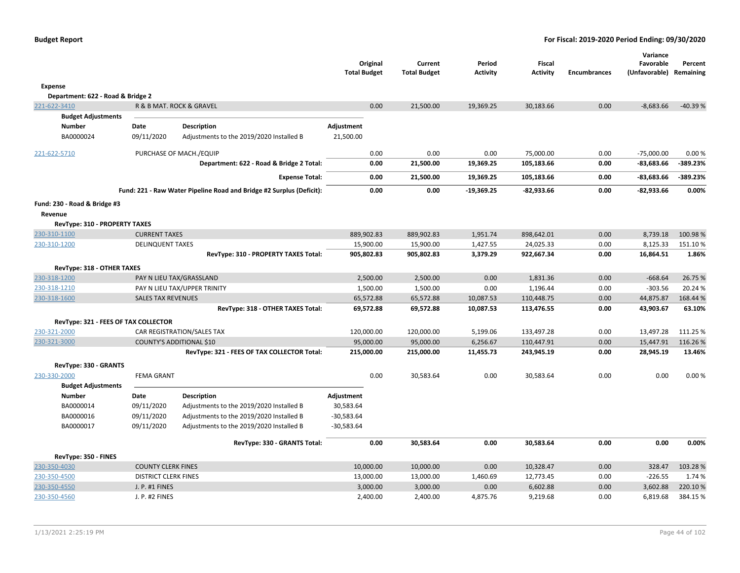|                                      |                             |                                                                      | Original            | Current             | Period          | Fiscal          |                     | Variance<br>Favorable | Percent   |
|--------------------------------------|-----------------------------|----------------------------------------------------------------------|---------------------|---------------------|-----------------|-----------------|---------------------|-----------------------|-----------|
|                                      |                             |                                                                      | <b>Total Budget</b> | <b>Total Budget</b> | <b>Activity</b> | <b>Activity</b> | <b>Encumbrances</b> | (Unfavorable)         | Remaining |
| <b>Expense</b>                       |                             |                                                                      |                     |                     |                 |                 |                     |                       |           |
| Department: 622 - Road & Bridge 2    |                             |                                                                      |                     |                     |                 |                 |                     |                       |           |
| 221-622-3410                         |                             | R & B MAT. ROCK & GRAVEL                                             | 0.00                | 21,500.00           | 19,369.25       | 30,183.66       | 0.00                | $-8,683.66$           | $-40.39%$ |
| <b>Budget Adjustments</b>            |                             |                                                                      |                     |                     |                 |                 |                     |                       |           |
| <b>Number</b>                        | Date                        | <b>Description</b>                                                   | Adjustment          |                     |                 |                 |                     |                       |           |
| BA0000024                            | 09/11/2020                  | Adjustments to the 2019/2020 Installed B                             | 21,500.00           |                     |                 |                 |                     |                       |           |
| 221-622-5710                         |                             | PURCHASE OF MACH./EQUIP                                              | 0.00                | 0.00                | 0.00            | 75,000.00       | 0.00                | $-75,000.00$          | 0.00%     |
|                                      |                             | Department: 622 - Road & Bridge 2 Total:                             | 0.00                | 21,500.00           | 19,369.25       | 105,183.66      | 0.00                | $-83,683.66$          | -389.23%  |
|                                      |                             | <b>Expense Total:</b>                                                | 0.00                | 21,500.00           | 19,369.25       | 105,183.66      | 0.00                | $-83,683.66$          | -389.23%  |
|                                      |                             | Fund: 221 - Raw Water Pipeline Road and Bridge #2 Surplus (Deficit): | 0.00                | 0.00                | $-19,369.25$    | $-82,933.66$    | 0.00                | $-82,933.66$          | 0.00%     |
| Fund: 230 - Road & Bridge #3         |                             |                                                                      |                     |                     |                 |                 |                     |                       |           |
| Revenue                              |                             |                                                                      |                     |                     |                 |                 |                     |                       |           |
| RevType: 310 - PROPERTY TAXES        |                             |                                                                      |                     |                     |                 |                 |                     |                       |           |
| 230-310-1100                         | <b>CURRENT TAXES</b>        |                                                                      | 889,902.83          | 889,902.83          | 1,951.74        | 898,642.01      | 0.00                | 8,739.18              | 100.98%   |
| 230-310-1200                         | <b>DELINQUENT TAXES</b>     |                                                                      | 15,900.00           | 15,900.00           | 1,427.55        | 24,025.33       | 0.00                | 8,125.33              | 151.10%   |
|                                      |                             | RevType: 310 - PROPERTY TAXES Total:                                 | 905,802.83          | 905,802.83          | 3,379.29        | 922,667.34      | 0.00                | 16,864.51             | 1.86%     |
| RevType: 318 - OTHER TAXES           |                             |                                                                      |                     |                     |                 |                 |                     |                       |           |
| 230-318-1200                         |                             | PAY N LIEU TAX/GRASSLAND                                             | 2,500.00            | 2,500.00            | 0.00            | 1,831.36        | 0.00                | $-668.64$             | 26.75 %   |
| 230-318-1210                         |                             | PAY N LIEU TAX/UPPER TRINITY                                         | 1,500.00            | 1,500.00            | 0.00            | 1,196.44        | 0.00                | $-303.56$             | 20.24 %   |
| 230-318-1600                         | <b>SALES TAX REVENUES</b>   |                                                                      | 65,572.88           | 65,572.88           | 10,087.53       | 110,448.75      | 0.00                | 44,875.87             | 168.44 %  |
|                                      |                             | RevType: 318 - OTHER TAXES Total:                                    | 69,572.88           | 69,572.88           | 10,087.53       | 113,476.55      | 0.00                | 43,903.67             | 63.10%    |
| RevType: 321 - FEES OF TAX COLLECTOR |                             |                                                                      |                     |                     |                 |                 |                     |                       |           |
| 230-321-2000                         |                             | CAR REGISTRATION/SALES TAX                                           | 120,000.00          | 120,000.00          | 5,199.06        | 133,497.28      | 0.00                | 13,497.28             | 111.25 %  |
| 230-321-3000                         |                             | <b>COUNTY'S ADDITIONAL \$10</b>                                      | 95,000.00           | 95,000.00           | 6,256.67        | 110,447.91      | 0.00                | 15,447.91             | 116.26%   |
|                                      |                             | RevType: 321 - FEES OF TAX COLLECTOR Total:                          | 215,000.00          | 215,000.00          | 11,455.73       | 243,945.19      | 0.00                | 28,945.19             | 13.46%    |
| RevType: 330 - GRANTS                |                             |                                                                      |                     |                     |                 |                 |                     |                       |           |
| 230-330-2000                         | <b>FEMA GRANT</b>           |                                                                      | 0.00                | 30,583.64           | 0.00            | 30,583.64       | 0.00                | 0.00                  | 0.00%     |
| <b>Budget Adjustments</b>            |                             |                                                                      |                     |                     |                 |                 |                     |                       |           |
| <b>Number</b>                        | Date                        | Description                                                          | Adjustment          |                     |                 |                 |                     |                       |           |
| BA0000014                            | 09/11/2020                  | Adjustments to the 2019/2020 Installed B                             | 30,583.64           |                     |                 |                 |                     |                       |           |
| BA0000016                            | 09/11/2020                  | Adjustments to the 2019/2020 Installed B                             | $-30,583.64$        |                     |                 |                 |                     |                       |           |
| BA0000017                            | 09/11/2020                  | Adjustments to the 2019/2020 Installed B                             | $-30,583.64$        |                     |                 |                 |                     |                       |           |
|                                      |                             | RevType: 330 - GRANTS Total:                                         | 0.00                | 30,583.64           | 0.00            | 30,583.64       | 0.00                | 0.00                  | 0.00%     |
| RevType: 350 - FINES                 |                             |                                                                      |                     |                     |                 |                 |                     |                       |           |
| 230-350-4030                         | <b>COUNTY CLERK FINES</b>   |                                                                      | 10,000.00           | 10,000.00           | 0.00            | 10,328.47       | 0.00                | 328.47                | 103.28%   |
| 230-350-4500                         | <b>DISTRICT CLERK FINES</b> |                                                                      | 13,000.00           | 13,000.00           | 1,460.69        | 12,773.45       | 0.00                | $-226.55$             | 1.74 %    |
| 230-350-4550                         | J. P. #1 FINES              |                                                                      | 3,000.00            | 3,000.00            | 0.00            | 6,602.88        | 0.00                | 3,602.88              | 220.10%   |
| 230-350-4560                         | J. P. #2 FINES              |                                                                      | 2,400.00            | 2,400.00            | 4,875.76        | 9,219.68        | 0.00                | 6,819.68              | 384.15 %  |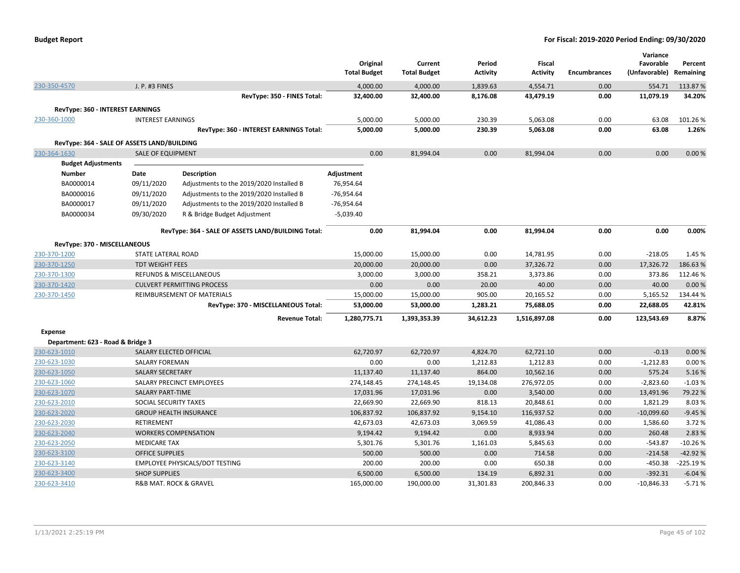|                                             |                           |                                                    | Original<br><b>Total Budget</b> | Current<br><b>Total Budget</b> | Period<br>Activity | Fiscal<br><b>Activity</b> | <b>Encumbrances</b> | Variance<br>Favorable<br>(Unfavorable) Remaining | Percent    |
|---------------------------------------------|---------------------------|----------------------------------------------------|---------------------------------|--------------------------------|--------------------|---------------------------|---------------------|--------------------------------------------------|------------|
| 230-350-4570                                | J. P. #3 FINES            |                                                    | 4,000.00                        | 4,000.00                       | 1,839.63           | 4,554.71                  | 0.00                | 554.71                                           | 113.87%    |
|                                             |                           | RevType: 350 - FINES Total:                        | 32,400.00                       | 32,400.00                      | 8,176.08           | 43,479.19                 | 0.00                | 11,079.19                                        | 34.20%     |
| <b>RevType: 360 - INTEREST EARNINGS</b>     |                           |                                                    |                                 |                                |                    |                           |                     |                                                  |            |
| 230-360-1000                                | <b>INTEREST EARNINGS</b>  |                                                    | 5,000.00                        | 5,000.00                       | 230.39             | 5,063.08                  | 0.00                | 63.08                                            | 101.26%    |
|                                             |                           | RevType: 360 - INTEREST EARNINGS Total:            | 5,000.00                        | 5,000.00                       | 230.39             | 5,063.08                  | 0.00                | 63.08                                            | 1.26%      |
| RevType: 364 - SALE OF ASSETS LAND/BUILDING |                           |                                                    |                                 |                                |                    |                           |                     |                                                  |            |
| 230-364-1630                                | <b>SALE OF EQUIPMENT</b>  |                                                    | 0.00                            | 81,994.04                      | 0.00               | 81,994.04                 | 0.00                | 0.00                                             | 0.00%      |
| <b>Budget Adjustments</b>                   |                           |                                                    |                                 |                                |                    |                           |                     |                                                  |            |
| Number                                      | Date                      | <b>Description</b>                                 | Adjustment                      |                                |                    |                           |                     |                                                  |            |
| BA0000014                                   | 09/11/2020                | Adjustments to the 2019/2020 Installed B           | 76,954.64                       |                                |                    |                           |                     |                                                  |            |
| BA0000016                                   | 09/11/2020                | Adjustments to the 2019/2020 Installed B           | $-76,954.64$                    |                                |                    |                           |                     |                                                  |            |
| BA0000017                                   | 09/11/2020                | Adjustments to the 2019/2020 Installed B           | -76,954.64                      |                                |                    |                           |                     |                                                  |            |
| BA0000034                                   | 09/30/2020                | R & Bridge Budget Adjustment                       | $-5,039.40$                     |                                |                    |                           |                     |                                                  |            |
|                                             |                           |                                                    |                                 |                                |                    |                           |                     |                                                  |            |
|                                             |                           | RevType: 364 - SALE OF ASSETS LAND/BUILDING Total: | 0.00                            | 81,994.04                      | 0.00               | 81,994.04                 | 0.00                | 0.00                                             | 0.00%      |
| RevType: 370 - MISCELLANEOUS                |                           |                                                    |                                 |                                |                    |                           |                     |                                                  |            |
| 230-370-1200                                | <b>STATE LATERAL ROAD</b> |                                                    | 15,000.00                       | 15,000.00                      | 0.00               | 14,781.95                 | 0.00                | $-218.05$                                        | 1.45 %     |
| 230-370-1250                                | <b>TDT WEIGHT FEES</b>    |                                                    | 20,000.00                       | 20,000.00                      | 0.00               | 37,326.72                 | 0.00                | 17,326.72                                        | 186.63%    |
| 230-370-1300                                |                           | <b>REFUNDS &amp; MISCELLANEOUS</b>                 | 3,000.00                        | 3,000.00                       | 358.21             | 3,373.86                  | 0.00                | 373.86                                           | 112.46%    |
| 230-370-1420                                |                           | <b>CULVERT PERMITTING PROCESS</b>                  | 0.00                            | 0.00                           | 20.00              | 40.00                     | 0.00                | 40.00                                            | 0.00%      |
| 230-370-1450                                |                           | REIMBURSEMENT OF MATERIALS                         | 15,000.00                       | 15,000.00                      | 905.00             | 20,165.52                 | 0.00                | 5,165.52                                         | 134.44 %   |
|                                             |                           | RevType: 370 - MISCELLANEOUS Total:                | 53,000.00                       | 53,000.00                      | 1,283.21           | 75,688.05                 | 0.00                | 22,688.05                                        | 42.81%     |
|                                             |                           | <b>Revenue Total:</b>                              | 1,280,775.71                    | 1,393,353.39                   | 34,612.23          | 1,516,897.08              | 0.00                | 123,543.69                                       | 8.87%      |
| <b>Expense</b>                              |                           |                                                    |                                 |                                |                    |                           |                     |                                                  |            |
| Department: 623 - Road & Bridge 3           |                           |                                                    |                                 |                                |                    |                           |                     |                                                  |            |
| 230-623-1010                                | SALARY ELECTED OFFICIAL   |                                                    | 62,720.97                       | 62,720.97                      | 4,824.70           | 62,721.10                 | 0.00                | $-0.13$                                          | 0.00%      |
| 230-623-1030                                | <b>SALARY FOREMAN</b>     |                                                    | 0.00                            | 0.00                           | 1,212.83           | 1,212.83                  | 0.00                | $-1,212.83$                                      | 0.00%      |
| 230-623-1050                                | <b>SALARY SECRETARY</b>   |                                                    | 11,137.40                       | 11,137.40                      | 864.00             | 10,562.16                 | 0.00                | 575.24                                           | 5.16%      |
| 230-623-1060                                |                           | SALARY PRECINCT EMPLOYEES                          | 274,148.45                      | 274,148.45                     | 19,134.08          | 276,972.05                | 0.00                | $-2,823.60$                                      | $-1.03%$   |
| 230-623-1070                                | <b>SALARY PART-TIME</b>   |                                                    | 17,031.96                       | 17,031.96                      | 0.00               | 3,540.00                  | 0.00                | 13,491.96                                        | 79.22 %    |
| 230-623-2010                                | SOCIAL SECURITY TAXES     |                                                    | 22,669.90                       | 22,669.90                      | 818.13             | 20,848.61                 | 0.00                | 1,821.29                                         | 8.03%      |
| 230-623-2020                                |                           | <b>GROUP HEALTH INSURANCE</b>                      | 106,837.92                      | 106,837.92                     | 9,154.10           | 116,937.52                | 0.00                | $-10,099.60$                                     | $-9.45%$   |
| 230-623-2030                                | RETIREMENT                |                                                    | 42,673.03                       | 42,673.03                      | 3,069.59           | 41,086.43                 | 0.00                | 1,586.60                                         | 3.72 %     |
| 230-623-2040                                |                           | <b>WORKERS COMPENSATION</b>                        | 9,194.42                        | 9,194.42                       | 0.00               | 8,933.94                  | 0.00                | 260.48                                           | 2.83 %     |
| 230-623-2050                                | <b>MEDICARE TAX</b>       |                                                    | 5,301.76                        | 5,301.76                       | 1,161.03           | 5,845.63                  | 0.00                | $-543.87$                                        | $-10.26%$  |
| 230-623-3100                                | <b>OFFICE SUPPLIES</b>    |                                                    | 500.00                          | 500.00                         | 0.00               | 714.58                    | 0.00                | $-214.58$                                        | $-42.92%$  |
| 230-623-3140                                |                           | EMPLOYEE PHYSICALS/DOT TESTING                     | 200.00                          | 200.00                         | 0.00               | 650.38                    | 0.00                | $-450.38$                                        | $-225.19%$ |
| 230-623-3400                                | <b>SHOP SUPPLIES</b>      |                                                    | 6,500.00                        | 6,500.00                       | 134.19             | 6,892.31                  | 0.00                | $-392.31$                                        | $-6.04%$   |
| 230-623-3410                                |                           | R&B MAT. ROCK & GRAVEL                             | 165,000.00                      | 190,000.00                     | 31,301.83          | 200,846.33                | 0.00                | $-10,846.33$                                     | $-5.71%$   |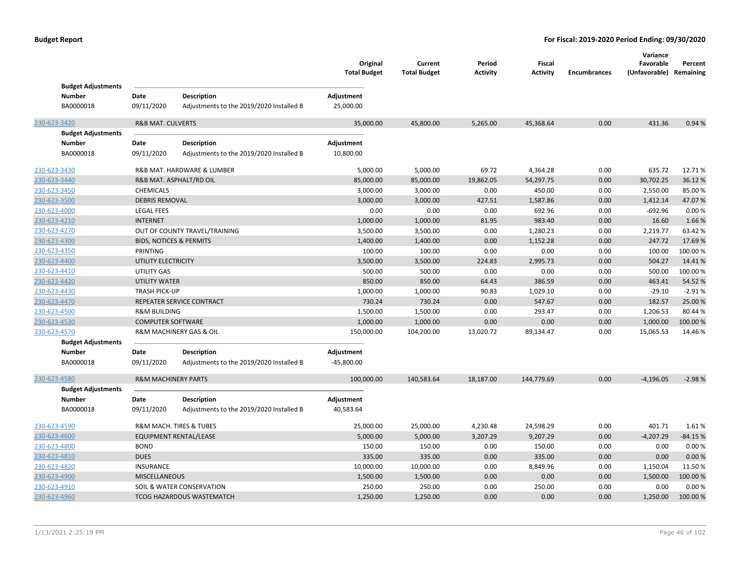| <b>Budget Adjustments</b> |                                    |                                          | Original<br><b>Total Budget</b> | Current<br><b>Total Budget</b> | Period<br><b>Activity</b> | Fiscal<br><b>Activity</b> | <b>Encumbrances</b> | Variance<br>Favorable<br>(Unfavorable) | Percent<br>Remaining |
|---------------------------|------------------------------------|------------------------------------------|---------------------------------|--------------------------------|---------------------------|---------------------------|---------------------|----------------------------------------|----------------------|
| <b>Number</b>             | Date                               | <b>Description</b>                       | Adjustment                      |                                |                           |                           |                     |                                        |                      |
| BA0000018                 | 09/11/2020                         | Adjustments to the 2019/2020 Installed B | 25,000.00                       |                                |                           |                           |                     |                                        |                      |
| 230-623-3420              | <b>R&amp;B MAT. CULVERTS</b>       |                                          | 35,000.00                       | 45,800.00                      | 5,265.00                  | 45,368.64                 | 0.00                | 431.36                                 | 0.94 %               |
| <b>Budget Adjustments</b> |                                    |                                          |                                 |                                |                           |                           |                     |                                        |                      |
| <b>Number</b>             | Date                               | <b>Description</b>                       | Adjustment                      |                                |                           |                           |                     |                                        |                      |
| BA0000018                 | 09/11/2020                         | Adjustments to the 2019/2020 Installed B | 10,800.00                       |                                |                           |                           |                     |                                        |                      |
| 230-623-3430              |                                    | R&B MAT. HARDWARE & LUMBER               | 5,000.00                        | 5,000.00                       | 69.72                     | 4,364.28                  | 0.00                | 635.72                                 | 12.71%               |
| 230-623-3440              |                                    | R&B MAT. ASPHALT/RD OIL                  | 85,000.00                       | 85,000.00                      | 19,862.05                 | 54,297.75                 | 0.00                | 30,702.25                              | 36.12%               |
| 230-623-3450              | CHEMICALS                          |                                          | 3,000.00                        | 3,000.00                       | 0.00                      | 450.00                    | 0.00                | 2,550.00                               | 85.00 %              |
| 230-623-3500              | <b>DEBRIS REMOVAL</b>              |                                          | 3,000.00                        | 3,000.00                       | 427.51                    | 1,587.86                  | 0.00                | 1,412.14                               | 47.07%               |
| 230-623-4000              | <b>LEGAL FEES</b>                  |                                          | 0.00                            | 0.00                           | 0.00                      | 692.96                    | 0.00                | $-692.96$                              | 0.00%                |
| 230-623-4210              | <b>INTERNET</b>                    |                                          | 1,000.00                        | 1,000.00                       | 81.95                     | 983.40                    | 0.00                | 16.60                                  | 1.66%                |
| 230-623-4270              |                                    | OUT OF COUNTY TRAVEL/TRAINING            | 3,500.00                        | 3,500.00                       | 0.00                      | 1,280.23                  | 0.00                | 2,219.77                               | 63.42%               |
| 230-623-4300              | <b>BIDS, NOTICES &amp; PERMITS</b> |                                          | 1,400.00                        | 1,400.00                       | 0.00                      | 1,152.28                  | 0.00                | 247.72                                 | 17.69%               |
| 230-623-4350              | PRINTING                           |                                          | 100.00                          | 100.00                         | 0.00                      | 0.00                      | 0.00                | 100.00                                 | 100.00%              |
| 230-623-4400              | UTILITY ELECTRICITY                |                                          | 3,500.00                        | 3,500.00                       | 224.83                    | 2,995.73                  | 0.00                | 504.27                                 | 14.41%               |
| 230-623-4410              | UTILITY GAS                        |                                          | 500.00                          | 500.00                         | 0.00                      | 0.00                      | 0.00                | 500.00                                 | 100.00%              |
| 230-623-4420              | <b>UTILITY WATER</b>               |                                          | 850.00                          | 850.00                         | 64.43                     | 386.59                    | 0.00                | 463.41                                 | 54.52%               |
| 230-623-4430              | <b>TRASH PICK-UP</b>               |                                          | 1,000.00                        | 1,000.00                       | 90.83                     | 1,029.10                  | 0.00                | $-29.10$                               | $-2.91%$             |
| 230-623-4470              |                                    | REPEATER SERVICE CONTRACT                | 730.24                          | 730.24                         | 0.00                      | 547.67                    | 0.00                | 182.57                                 | 25.00 %              |
| 230-623-4500              | <b>R&amp;M BUILDING</b>            |                                          | 1,500.00                        | 1,500.00                       | 0.00                      | 293.47                    | 0.00                | 1,206.53                               | 80.44 %              |
| 230-623-4530              | <b>COMPUTER SOFTWARE</b>           |                                          | 1,000.00                        | 1,000.00                       | 0.00                      | 0.00                      | 0.00                | 1,000.00                               | 100.00%              |
| 230-623-4570              |                                    | R&M MACHINERY GAS & OIL                  | 150,000.00                      | 104,200.00                     | 13,020.72                 | 89,134.47                 | 0.00                | 15,065.53                              | 14.46%               |
| <b>Budget Adjustments</b> |                                    |                                          |                                 |                                |                           |                           |                     |                                        |                      |
| Number                    | Date                               | <b>Description</b>                       | Adjustment                      |                                |                           |                           |                     |                                        |                      |
| BA0000018                 | 09/11/2020                         | Adjustments to the 2019/2020 Installed B | $-45,800.00$                    |                                |                           |                           |                     |                                        |                      |
| 230-623-4580              | <b>R&amp;M MACHINERY PARTS</b>     |                                          | 100,000.00                      | 140,583.64                     | 18,187.00                 | 144,779.69                | 0.00                | $-4,196.05$                            | $-2.98%$             |
| <b>Budget Adjustments</b> |                                    |                                          |                                 |                                |                           |                           |                     |                                        |                      |
| <b>Number</b>             | Date                               | <b>Description</b>                       | Adjustment                      |                                |                           |                           |                     |                                        |                      |
| BA0000018                 | 09/11/2020                         | Adjustments to the 2019/2020 Installed B | 40,583.64                       |                                |                           |                           |                     |                                        |                      |
| 230-623-4590              |                                    | R&M MACH. TIRES & TUBES                  | 25,000.00                       | 25,000.00                      | 4,230.48                  | 24,598.29                 | 0.00                | 401.71                                 | 1.61%                |
| 230-623-4600              |                                    | <b>EQUIPMENT RENTAL/LEASE</b>            | 5,000.00                        | 5,000.00                       | 3,207.29                  | 9,207.29                  | 0.00                | $-4,207.29$                            | $-84.15%$            |
| 230-623-4800              | <b>BOND</b>                        |                                          | 150.00                          | 150.00                         | 0.00                      | 150.00                    | 0.00                | 0.00                                   | 0.00%                |
| 230-623-4810              | <b>DUES</b>                        |                                          | 335.00                          | 335.00                         | 0.00                      | 335.00                    | 0.00                | 0.00                                   | 0.00 %               |
| 230-623-4820              | INSURANCE                          |                                          | 10,000.00                       | 10,000.00                      | 0.00                      | 8,849.96                  | 0.00                | 1,150.04                               | 11.50%               |
| 230-623-4900              | <b>MISCELLANEOUS</b>               |                                          | 1,500.00                        | 1,500.00                       | 0.00                      | 0.00                      | 0.00                | 1,500.00                               | 100.00%              |
| 230-623-4910              |                                    | SOIL & WATER CONSERVATION                | 250.00                          | 250.00                         | 0.00                      | 250.00                    | 0.00                | 0.00                                   | 0.00%                |
| 230-623-4960              |                                    | TCOG HAZARDOUS WASTEMATCH                | 1,250.00                        | 1,250.00                       | 0.00                      | 0.00                      | 0.00                | 1,250.00                               | 100.00 %             |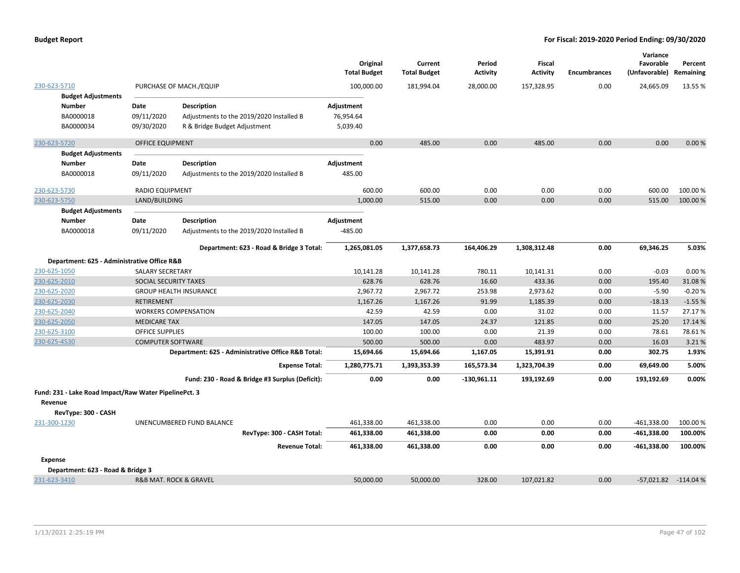|                                                       |                          |                                                    | Original<br><b>Total Budget</b> | Current<br><b>Total Budget</b> | Period<br><b>Activity</b> | Fiscal<br><b>Activity</b> | <b>Encumbrances</b> | Variance<br>Favorable<br>(Unfavorable) Remaining | Percent  |
|-------------------------------------------------------|--------------------------|----------------------------------------------------|---------------------------------|--------------------------------|---------------------------|---------------------------|---------------------|--------------------------------------------------|----------|
| 230-623-5710                                          |                          | PURCHASE OF MACH./EQUIP                            | 100,000.00                      | 181,994.04                     | 28,000.00                 | 157,328.95                | 0.00                | 24,665.09                                        | 13.55 %  |
| <b>Budget Adjustments</b>                             |                          |                                                    |                                 |                                |                           |                           |                     |                                                  |          |
| <b>Number</b>                                         | Date                     | <b>Description</b>                                 | Adjustment                      |                                |                           |                           |                     |                                                  |          |
| BA0000018                                             | 09/11/2020               | Adjustments to the 2019/2020 Installed B           | 76,954.64                       |                                |                           |                           |                     |                                                  |          |
| BA0000034                                             | 09/30/2020               | R & Bridge Budget Adjustment                       | 5,039.40                        |                                |                           |                           |                     |                                                  |          |
| 230-623-5720                                          | <b>OFFICE EQUIPMENT</b>  |                                                    | 0.00                            | 485.00                         | 0.00                      | 485.00                    | 0.00                | 0.00                                             | 0.00%    |
| <b>Budget Adjustments</b>                             |                          |                                                    |                                 |                                |                           |                           |                     |                                                  |          |
| <b>Number</b>                                         | Date                     | Description                                        | Adjustment                      |                                |                           |                           |                     |                                                  |          |
| BA0000018                                             | 09/11/2020               | Adjustments to the 2019/2020 Installed B           | 485.00                          |                                |                           |                           |                     |                                                  |          |
| 230-623-5730                                          | <b>RADIO EQUIPMENT</b>   |                                                    | 600.00                          | 600.00                         | 0.00                      | 0.00                      | 0.00                | 600.00                                           | 100.00%  |
| 230-623-5750                                          | LAND/BUILDING            |                                                    | 1,000.00                        | 515.00                         | 0.00                      | 0.00                      | 0.00                | 515.00                                           | 100.00%  |
| <b>Budget Adjustments</b>                             |                          |                                                    |                                 |                                |                           |                           |                     |                                                  |          |
| <b>Number</b>                                         | Date                     | Description                                        | Adjustment                      |                                |                           |                           |                     |                                                  |          |
| BA0000018                                             | 09/11/2020               | Adjustments to the 2019/2020 Installed B           | $-485.00$                       |                                |                           |                           |                     |                                                  |          |
|                                                       |                          | Department: 623 - Road & Bridge 3 Total:           | 1,265,081.05                    | 1,377,658.73                   | 164,406.29                | 1,308,312.48              | 0.00                | 69,346.25                                        | 5.03%    |
| Department: 625 - Administrative Office R&B           |                          |                                                    |                                 |                                |                           |                           |                     |                                                  |          |
| 230-625-1050                                          | <b>SALARY SECRETARY</b>  |                                                    | 10,141.28                       | 10,141.28                      | 780.11                    | 10,141.31                 | 0.00                | $-0.03$                                          | 0.00%    |
| 230-625-2010                                          | SOCIAL SECURITY TAXES    |                                                    | 628.76                          | 628.76                         | 16.60                     | 433.36                    | 0.00                | 195.40                                           | 31.08%   |
| 230-625-2020                                          |                          | <b>GROUP HEALTH INSURANCE</b>                      | 2,967.72                        | 2,967.72                       | 253.98                    | 2,973.62                  | 0.00                | $-5.90$                                          | $-0.20%$ |
| 230-625-2030                                          | RETIREMENT               |                                                    | 1,167.26                        | 1,167.26                       | 91.99                     | 1,185.39                  | 0.00                | $-18.13$                                         | $-1.55%$ |
| 230-625-2040                                          |                          | <b>WORKERS COMPENSATION</b>                        | 42.59                           | 42.59                          | 0.00                      | 31.02                     | 0.00                | 11.57                                            | 27.17%   |
| 230-625-2050                                          | <b>MEDICARE TAX</b>      |                                                    | 147.05                          | 147.05                         | 24.37                     | 121.85                    | 0.00                | 25.20                                            | 17.14 %  |
| 230-625-3100                                          | <b>OFFICE SUPPLIES</b>   |                                                    | 100.00                          | 100.00                         | 0.00                      | 21.39                     | 0.00                | 78.61                                            | 78.61%   |
| 230-625-4530                                          | <b>COMPUTER SOFTWARE</b> |                                                    | 500.00                          | 500.00                         | 0.00                      | 483.97                    | 0.00                | 16.03                                            | 3.21%    |
|                                                       |                          | Department: 625 - Administrative Office R&B Total: | 15,694.66                       | 15,694.66                      | 1,167.05                  | 15,391.91                 | 0.00                | 302.75                                           | 1.93%    |
|                                                       |                          | <b>Expense Total:</b>                              | 1,280,775.71                    | 1,393,353.39                   | 165,573.34                | 1,323,704.39              | 0.00                | 69,649.00                                        | 5.00%    |
|                                                       |                          | Fund: 230 - Road & Bridge #3 Surplus (Deficit):    | 0.00                            | 0.00                           | $-130,961.11$             | 193,192.69                | 0.00                | 193,192.69                                       | 0.00%    |
| Fund: 231 - Lake Road Impact/Raw Water PipelinePct. 3 |                          |                                                    |                                 |                                |                           |                           |                     |                                                  |          |
| Revenue                                               |                          |                                                    |                                 |                                |                           |                           |                     |                                                  |          |
| RevType: 300 - CASH                                   |                          |                                                    |                                 |                                |                           |                           |                     |                                                  |          |
| 231-300-1230                                          |                          | UNENCUMBERED FUND BALANCE                          | 461,338.00                      | 461,338.00                     | 0.00                      | 0.00                      | 0.00                | $-461,338.00$                                    | 100.00%  |
|                                                       |                          | RevType: 300 - CASH Total:                         | 461,338.00                      | 461,338.00                     | 0.00                      | 0.00                      | 0.00                | $-461,338.00$                                    | 100.00%  |
|                                                       |                          | <b>Revenue Total:</b>                              | 461,338.00                      | 461,338.00                     | 0.00                      | 0.00                      | 0.00                | $-461,338.00$                                    | 100.00%  |
| <b>Expense</b>                                        |                          |                                                    |                                 |                                |                           |                           |                     |                                                  |          |
| Department: 623 - Road & Bridge 3                     |                          |                                                    |                                 |                                |                           |                           |                     |                                                  |          |
| 231-623-3410                                          |                          | <b>R&amp;B MAT. ROCK &amp; GRAVEL</b>              | 50,000.00                       | 50,000.00                      | 328.00                    | 107,021.82                | 0.00                | -57,021.82 -114.04 %                             |          |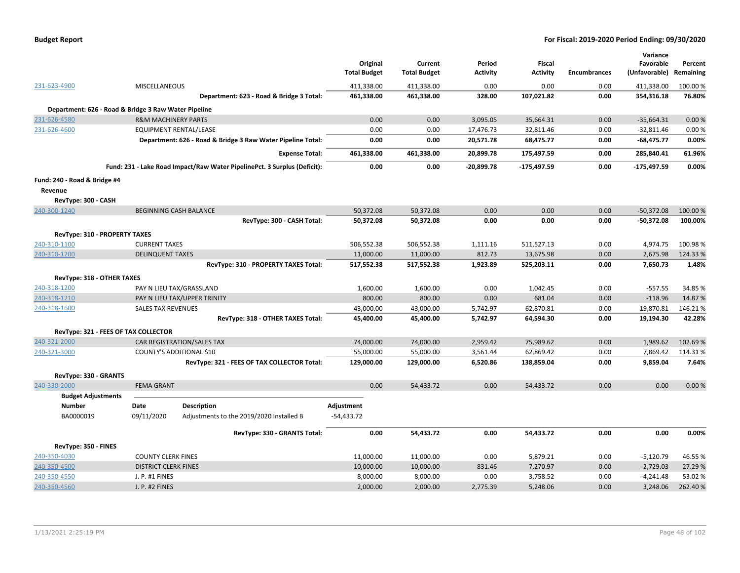| <b>Budget Report</b> |  |  |
|----------------------|--|--|
|----------------------|--|--|

|                                                      |                                |                                                                          |                     |                     |                 |                 |                     | Variance      |           |
|------------------------------------------------------|--------------------------------|--------------------------------------------------------------------------|---------------------|---------------------|-----------------|-----------------|---------------------|---------------|-----------|
|                                                      |                                |                                                                          | Original            | Current             | Period          | <b>Fiscal</b>   |                     | Favorable     | Percent   |
|                                                      |                                |                                                                          | <b>Total Budget</b> | <b>Total Budget</b> | <b>Activity</b> | <b>Activity</b> | <b>Encumbrances</b> | (Unfavorable) | Remaining |
| 231-623-4900                                         | MISCELLANEOUS                  |                                                                          | 411,338.00          | 411,338.00          | 0.00            | 0.00            | 0.00                | 411,338.00    | 100.00 %  |
|                                                      |                                | Department: 623 - Road & Bridge 3 Total:                                 | 461,338.00          | 461,338.00          | 328.00          | 107,021.82      | 0.00                | 354,316.18    | 76.80%    |
| Department: 626 - Road & Bridge 3 Raw Water Pipeline |                                |                                                                          |                     |                     |                 |                 |                     |               |           |
| 231-626-4580                                         | <b>R&amp;M MACHINERY PARTS</b> |                                                                          | 0.00                | 0.00                | 3,095.05        | 35,664.31       | 0.00                | $-35,664.31$  | 0.00%     |
| 231-626-4600                                         |                                | <b>EQUIPMENT RENTAL/LEASE</b>                                            | 0.00                | 0.00                | 17,476.73       | 32,811.46       | 0.00                | $-32,811.46$  | 0.00%     |
|                                                      |                                | Department: 626 - Road & Bridge 3 Raw Water Pipeline Total:              | 0.00                | 0.00                | 20,571.78       | 68,475.77       | 0.00                | $-68,475.77$  | 0.00%     |
|                                                      |                                | <b>Expense Total:</b>                                                    | 461,338.00          | 461,338.00          | 20,899.78       | 175,497.59      | 0.00                | 285,840.41    | 61.96%    |
|                                                      |                                | Fund: 231 - Lake Road Impact/Raw Water PipelinePct. 3 Surplus (Deficit): | 0.00                | 0.00                | $-20,899.78$    | $-175,497.59$   | 0.00                | $-175,497.59$ | 0.00%     |
| Fund: 240 - Road & Bridge #4                         |                                |                                                                          |                     |                     |                 |                 |                     |               |           |
| Revenue                                              |                                |                                                                          |                     |                     |                 |                 |                     |               |           |
| RevType: 300 - CASH                                  |                                |                                                                          |                     |                     |                 |                 |                     |               |           |
| 240-300-1240                                         |                                | <b>BEGINNING CASH BALANCE</b>                                            | 50,372.08           | 50,372.08           | 0.00            | 0.00            | 0.00                | $-50,372.08$  | 100.00 %  |
|                                                      |                                | RevType: 300 - CASH Total:                                               | 50,372.08           | 50,372.08           | 0.00            | 0.00            | 0.00                | $-50,372.08$  | 100.00%   |
| RevType: 310 - PROPERTY TAXES                        |                                |                                                                          |                     |                     |                 |                 |                     |               |           |
| 240-310-1100                                         | <b>CURRENT TAXES</b>           |                                                                          | 506,552.38          | 506,552.38          | 1,111.16        | 511,527.13      | 0.00                | 4,974.75      | 100.98%   |
| 240-310-1200                                         | <b>DELINQUENT TAXES</b>        |                                                                          | 11,000.00           | 11,000.00           | 812.73          | 13,675.98       | 0.00                | 2,675.98      | 124.33%   |
|                                                      |                                | RevType: 310 - PROPERTY TAXES Total:                                     | 517,552.38          | 517,552.38          | 1,923.89        | 525,203.11      | 0.00                | 7,650.73      | 1.48%     |
|                                                      |                                |                                                                          |                     |                     |                 |                 |                     |               |           |
| RevType: 318 - OTHER TAXES                           |                                |                                                                          |                     |                     |                 |                 |                     |               |           |
| 240-318-1200                                         |                                | PAY N LIEU TAX/GRASSLAND                                                 | 1,600.00            | 1,600.00            | 0.00            | 1,042.45        | 0.00                | $-557.55$     | 34.85%    |
| 240-318-1210                                         |                                | PAY N LIEU TAX/UPPER TRINITY                                             | 800.00              | 800.00              | 0.00            | 681.04          | 0.00                | $-118.96$     | 14.87%    |
| 240-318-1600                                         | <b>SALES TAX REVENUES</b>      |                                                                          | 43,000.00           | 43,000.00           | 5,742.97        | 62,870.81       | 0.00                | 19,870.81     | 146.21%   |
|                                                      |                                | RevType: 318 - OTHER TAXES Total:                                        | 45,400.00           | 45,400.00           | 5,742.97        | 64,594.30       | 0.00                | 19,194.30     | 42.28%    |
| RevType: 321 - FEES OF TAX COLLECTOR                 |                                |                                                                          |                     |                     |                 |                 |                     |               |           |
| 240-321-2000                                         |                                | CAR REGISTRATION/SALES TAX                                               | 74,000.00           | 74,000.00           | 2,959.42        | 75,989.62       | 0.00                | 1,989.62      | 102.69%   |
| 240-321-3000                                         |                                | COUNTY'S ADDITIONAL \$10                                                 | 55,000.00           | 55,000.00           | 3,561.44        | 62,869.42       | 0.00                | 7,869.42      | 114.31%   |
|                                                      |                                | RevType: 321 - FEES OF TAX COLLECTOR Total:                              | 129,000.00          | 129,000.00          | 6,520.86        | 138,859.04      | 0.00                | 9,859.04      | 7.64%     |
| RevType: 330 - GRANTS                                |                                |                                                                          |                     |                     |                 |                 |                     |               |           |
| 240-330-2000                                         | <b>FEMA GRANT</b>              |                                                                          | 0.00                | 54,433.72           | 0.00            | 54,433.72       | 0.00                | 0.00          | 0.00%     |
| <b>Budget Adjustments</b>                            |                                |                                                                          |                     |                     |                 |                 |                     |               |           |
| <b>Number</b>                                        | Date                           | <b>Description</b>                                                       | Adjustment          |                     |                 |                 |                     |               |           |
| BA0000019                                            | 09/11/2020                     | Adjustments to the 2019/2020 Installed B                                 | $-54,433.72$        |                     |                 |                 |                     |               |           |
|                                                      |                                |                                                                          |                     |                     |                 |                 |                     |               |           |
|                                                      |                                | RevType: 330 - GRANTS Total:                                             | 0.00                | 54,433.72           | 0.00            | 54,433.72       | 0.00                | 0.00          | 0.00%     |
| RevType: 350 - FINES                                 |                                |                                                                          |                     |                     |                 |                 |                     |               |           |
| 240-350-4030                                         | <b>COUNTY CLERK FINES</b>      |                                                                          | 11,000.00           | 11,000.00           | 0.00            | 5,879.21        | 0.00                | $-5,120.79$   | 46.55%    |
| 240-350-4500                                         | <b>DISTRICT CLERK FINES</b>    |                                                                          | 10,000.00           | 10,000.00           | 831.46          | 7,270.97        | 0.00                | $-2,729.03$   | 27.29 %   |
| 240-350-4550                                         | J. P. #1 FINES                 |                                                                          | 8,000.00            | 8,000.00            | 0.00            | 3,758.52        | 0.00                | $-4,241.48$   | 53.02%    |
| 240-350-4560                                         | J. P. #2 FINES                 |                                                                          | 2,000.00            | 2,000.00            | 2,775.39        | 5,248.06        | 0.00                | 3,248.06      | 262.40%   |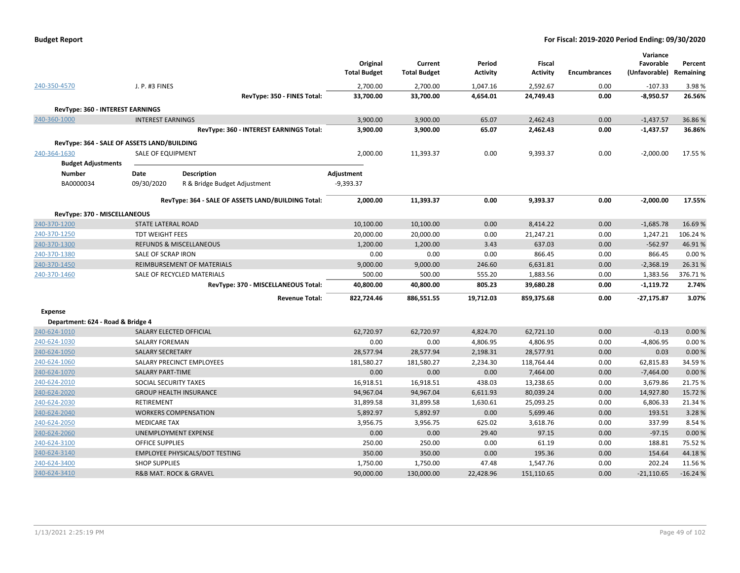| <b>Budget Report</b> |  |
|----------------------|--|
|----------------------|--|

|                                             |                                       |                                                    | Original<br><b>Total Budget</b> | Current<br><b>Total Budget</b> | Period<br><b>Activity</b> | <b>Fiscal</b><br><b>Activity</b> | <b>Encumbrances</b> | Variance<br>Favorable<br>(Unfavorable) | Percent<br>Remaining |
|---------------------------------------------|---------------------------------------|----------------------------------------------------|---------------------------------|--------------------------------|---------------------------|----------------------------------|---------------------|----------------------------------------|----------------------|
| 240-350-4570                                | J. P. #3 FINES                        |                                                    | 2,700.00                        | 2,700.00                       | 1,047.16                  | 2,592.67                         | 0.00                | $-107.33$                              | 3.98%                |
|                                             |                                       | RevType: 350 - FINES Total:                        | 33,700.00                       | 33,700.00                      | 4,654.01                  | 24,749.43                        | 0.00                | $-8,950.57$                            | 26.56%               |
| RevType: 360 - INTEREST EARNINGS            |                                       |                                                    |                                 |                                |                           |                                  |                     |                                        |                      |
| 240-360-1000                                | <b>INTEREST EARNINGS</b>              |                                                    | 3,900.00                        | 3,900.00                       | 65.07                     | 2,462.43                         | 0.00                | $-1,437.57$                            | 36.86%               |
|                                             |                                       | RevType: 360 - INTEREST EARNINGS Total:            | 3,900.00                        | 3,900.00                       | 65.07                     | 2,462.43                         | 0.00                | $-1,437.57$                            | 36.86%               |
| RevType: 364 - SALE OF ASSETS LAND/BUILDING |                                       |                                                    |                                 |                                |                           |                                  |                     |                                        |                      |
| 240-364-1630                                | SALE OF EQUIPMENT                     |                                                    | 2,000.00                        | 11,393.37                      | 0.00                      | 9,393.37                         | 0.00                | $-2,000.00$                            | 17.55 %              |
| <b>Budget Adjustments</b>                   |                                       |                                                    |                                 |                                |                           |                                  |                     |                                        |                      |
| Number                                      | Date                                  | <b>Description</b>                                 | Adjustment                      |                                |                           |                                  |                     |                                        |                      |
| BA0000034                                   | 09/30/2020                            | R & Bridge Budget Adjustment                       | $-9,393.37$                     |                                |                           |                                  |                     |                                        |                      |
|                                             |                                       |                                                    |                                 |                                |                           |                                  |                     |                                        |                      |
|                                             |                                       | RevType: 364 - SALE OF ASSETS LAND/BUILDING Total: | 2,000.00                        | 11,393.37                      | 0.00                      | 9,393.37                         | 0.00                | $-2,000.00$                            | 17.55%               |
| RevType: 370 - MISCELLANEOUS                |                                       |                                                    |                                 |                                |                           |                                  |                     |                                        |                      |
| 240-370-1200                                | STATE LATERAL ROAD                    |                                                    | 10,100.00                       | 10,100.00                      | 0.00                      | 8,414.22                         | 0.00                | $-1,685.78$                            | 16.69%               |
| 240-370-1250                                | <b>TDT WEIGHT FEES</b>                |                                                    | 20,000.00                       | 20,000.00                      | 0.00                      | 21,247.21                        | 0.00                | 1,247.21                               | 106.24%              |
| 240-370-1300                                |                                       | <b>REFUNDS &amp; MISCELLANEOUS</b>                 | 1,200.00                        | 1,200.00                       | 3.43                      | 637.03                           | 0.00                | $-562.97$                              | 46.91%               |
| 240-370-1380                                | SALE OF SCRAP IRON                    |                                                    | 0.00                            | 0.00                           | 0.00                      | 866.45                           | 0.00                | 866.45                                 | 0.00%                |
| 240-370-1450                                |                                       | <b>REIMBURSEMENT OF MATERIALS</b>                  | 9,000.00                        | 9,000.00                       | 246.60                    | 6,631.81                         | 0.00                | $-2,368.19$                            | 26.31%               |
| 240-370-1460                                |                                       | SALE OF RECYCLED MATERIALS                         | 500.00                          | 500.00                         | 555.20                    | 1,883.56                         | 0.00                | 1,383.56                               | 376.71%              |
|                                             |                                       | RevType: 370 - MISCELLANEOUS Total:                | 40,800.00                       | 40,800.00                      | 805.23                    | 39,680.28                        | 0.00                | $-1,119.72$                            | 2.74%                |
|                                             |                                       | <b>Revenue Total:</b>                              | 822,724.46                      | 886,551.55                     | 19,712.03                 | 859,375.68                       | 0.00                | $-27,175.87$                           | 3.07%                |
| <b>Expense</b>                              |                                       |                                                    |                                 |                                |                           |                                  |                     |                                        |                      |
| Department: 624 - Road & Bridge 4           |                                       |                                                    |                                 |                                |                           |                                  |                     |                                        |                      |
| 240-624-1010                                | SALARY ELECTED OFFICIAL               |                                                    | 62,720.97                       | 62,720.97                      | 4,824.70                  | 62,721.10                        | 0.00                | $-0.13$                                | 0.00%                |
| 240-624-1030                                | <b>SALARY FOREMAN</b>                 |                                                    | 0.00                            | 0.00                           | 4,806.95                  | 4,806.95                         | 0.00                | $-4,806.95$                            | 0.00%                |
| 240-624-1050                                | <b>SALARY SECRETARY</b>               |                                                    | 28,577.94                       | 28,577.94                      | 2,198.31                  | 28,577.91                        | 0.00                | 0.03                                   | 0.00%                |
| 240-624-1060                                |                                       | SALARY PRECINCT EMPLOYEES                          | 181,580.27                      | 181,580.27                     | 2,234.30                  | 118,764.44                       | 0.00                | 62,815.83                              | 34.59%               |
| 240-624-1070                                | <b>SALARY PART-TIME</b>               |                                                    | 0.00                            | 0.00                           | 0.00                      | 7,464.00                         | 0.00                | $-7,464.00$                            | 0.00%                |
| 240-624-2010                                | SOCIAL SECURITY TAXES                 |                                                    | 16,918.51                       | 16,918.51                      | 438.03                    | 13,238.65                        | 0.00                | 3,679.86                               | 21.75 %              |
| 240-624-2020                                | <b>GROUP HEALTH INSURANCE</b>         |                                                    | 94,967.04                       | 94,967.04                      | 6,611.93                  | 80,039.24                        | 0.00                | 14,927.80                              | 15.72 %              |
| 240-624-2030                                | RETIREMENT                            |                                                    | 31,899.58                       | 31,899.58                      | 1,630.61                  | 25,093.25                        | 0.00                | 6,806.33                               | 21.34 %              |
| 240-624-2040                                | <b>WORKERS COMPENSATION</b>           |                                                    | 5,892.97                        | 5,892.97                       | 0.00                      | 5,699.46                         | 0.00                | 193.51                                 | 3.28%                |
| 240-624-2050                                | <b>MEDICARE TAX</b>                   |                                                    | 3,956.75                        | 3,956.75                       | 625.02                    | 3,618.76                         | 0.00                | 337.99                                 | 8.54%                |
| 240-624-2060                                | UNEMPLOYMENT EXPENSE                  |                                                    | 0.00                            | 0.00                           | 29.40                     | 97.15                            | 0.00                | $-97.15$                               | 0.00%                |
| 240-624-3100                                | <b>OFFICE SUPPLIES</b>                |                                                    | 250.00                          | 250.00                         | 0.00                      | 61.19                            | 0.00                | 188.81                                 | 75.52 %              |
| 240-624-3140                                |                                       | <b>EMPLOYEE PHYSICALS/DOT TESTING</b>              | 350.00                          | 350.00                         | 0.00                      | 195.36                           | 0.00                | 154.64                                 | 44.18%               |
| 240-624-3400                                | <b>SHOP SUPPLIES</b>                  |                                                    | 1,750.00                        | 1,750.00                       | 47.48                     | 1,547.76                         | 0.00                | 202.24                                 | 11.56%               |
| 240-624-3410                                | <b>R&amp;B MAT. ROCK &amp; GRAVEL</b> |                                                    | 90,000.00                       | 130,000.00                     | 22,428.96                 | 151,110.65                       | 0.00                | $-21,110.65$                           | $-16.24%$            |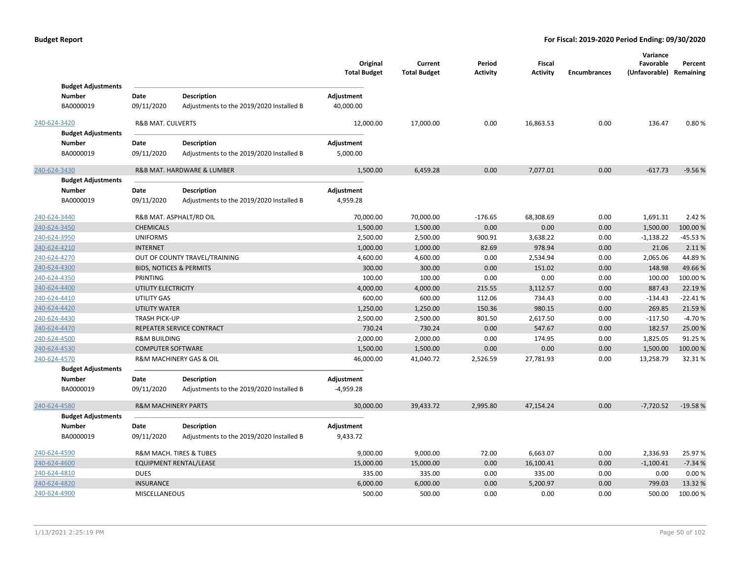|              |                                                         |                                    |                                                                | Original<br><b>Total Budget</b> | Current<br><b>Total Budget</b> | Period<br><b>Activity</b> | Fiscal<br><b>Activity</b> | <b>Encumbrances</b> | Variance<br>Favorable<br>(Unfavorable) Remaining | Percent   |
|--------------|---------------------------------------------------------|------------------------------------|----------------------------------------------------------------|---------------------------------|--------------------------------|---------------------------|---------------------------|---------------------|--------------------------------------------------|-----------|
|              | <b>Budget Adjustments</b><br>Number<br>BA0000019        | Date<br>09/11/2020                 | Description<br>Adjustments to the 2019/2020 Installed B        | Adjustment<br>40,000.00         |                                |                           |                           |                     |                                                  |           |
| 240-624-3420 | <b>Budget Adjustments</b>                               | R&B MAT. CULVERTS                  |                                                                | 12,000.00                       | 17,000.00                      | 0.00                      | 16,863.53                 | 0.00                | 136.47                                           | 0.80%     |
|              | <b>Number</b><br>BA0000019                              | Date<br>09/11/2020                 | Description<br>Adjustments to the 2019/2020 Installed B        | Adjustment<br>5,000.00          |                                |                           |                           |                     |                                                  |           |
| 240-624-3430 |                                                         |                                    | R&B MAT. HARDWARE & LUMBER                                     | 1,500.00                        | 6,459.28                       | 0.00                      | 7,077.01                  | 0.00                | $-617.73$                                        | $-9.56%$  |
|              | <b>Budget Adjustments</b><br><b>Number</b><br>BA0000019 | Date<br>09/11/2020                 | Description<br>Adjustments to the 2019/2020 Installed B        | Adjustment<br>4,959.28          |                                |                           |                           |                     |                                                  |           |
| 240-624-3440 |                                                         |                                    | R&B MAT. ASPHALT/RD OIL                                        | 70,000.00                       | 70,000.00                      | $-176.65$                 | 68,308.69                 | 0.00                | 1,691.31                                         | 2.42 %    |
| 240-624-3450 |                                                         | <b>CHEMICALS</b>                   |                                                                | 1,500.00                        | 1,500.00                       | 0.00                      | 0.00                      | 0.00                | 1,500.00                                         | 100.00 %  |
| 240-624-3950 |                                                         | <b>UNIFORMS</b>                    |                                                                | 2,500.00                        | 2,500.00                       | 900.91                    | 3,638.22                  | 0.00                | $-1,138.22$                                      | $-45.53%$ |
| 240-624-4210 |                                                         | <b>INTERNET</b>                    |                                                                | 1,000.00                        | 1,000.00                       | 82.69                     | 978.94                    | 0.00                | 21.06                                            | 2.11%     |
| 240-624-4270 |                                                         |                                    | OUT OF COUNTY TRAVEL/TRAINING                                  | 4,600.00                        | 4,600.00                       | 0.00                      | 2,534.94                  | 0.00                | 2,065.06                                         | 44.89%    |
| 240-624-4300 |                                                         | <b>BIDS, NOTICES &amp; PERMITS</b> |                                                                | 300.00                          | 300.00                         | 0.00                      | 151.02                    | 0.00                | 148.98                                           | 49.66%    |
| 240-624-4350 |                                                         | PRINTING                           |                                                                | 100.00                          | 100.00                         | 0.00                      | 0.00                      | 0.00                | 100.00                                           | 100.00%   |
| 240-624-4400 |                                                         | UTILITY ELECTRICITY                |                                                                | 4,000.00                        | 4,000.00                       | 215.55                    | 3,112.57                  | 0.00                | 887.43                                           | 22.19 %   |
| 240-624-4410 |                                                         | <b>UTILITY GAS</b>                 |                                                                | 600.00                          | 600.00                         | 112.06                    | 734.43                    | 0.00                | $-134.43$                                        | $-22.41%$ |
| 240-624-4420 |                                                         | <b>UTILITY WATER</b>               |                                                                | 1,250.00                        | 1,250.00                       | 150.36                    | 980.15                    | 0.00                | 269.85                                           | 21.59%    |
| 240-624-4430 |                                                         | <b>TRASH PICK-UP</b>               |                                                                | 2,500.00                        | 2,500.00                       | 801.50                    | 2,617.50                  | 0.00                | $-117.50$                                        | $-4.70%$  |
| 240-624-4470 |                                                         |                                    | REPEATER SERVICE CONTRACT                                      | 730.24                          | 730.24                         | 0.00                      | 547.67                    | 0.00                | 182.57                                           | 25.00 %   |
| 240-624-4500 |                                                         | <b>R&amp;M BUILDING</b>            |                                                                | 2,000.00                        | 2,000.00                       | 0.00                      | 174.95                    | 0.00                | 1,825.05                                         | 91.25%    |
| 240-624-4530 |                                                         | <b>COMPUTER SOFTWARE</b>           |                                                                | 1,500.00                        | 1,500.00                       | 0.00                      | 0.00                      | 0.00                | 1,500.00                                         | 100.00%   |
| 240-624-4570 |                                                         |                                    | R&M MACHINERY GAS & OIL                                        | 46,000.00                       | 41,040.72                      | 2,526.59                  | 27,781.93                 | 0.00                | 13,258.79                                        | 32.31%    |
|              | <b>Budget Adjustments</b>                               |                                    |                                                                |                                 |                                |                           |                           |                     |                                                  |           |
|              | <b>Number</b>                                           | Date                               | <b>Description</b>                                             | Adjustment                      |                                |                           |                           |                     |                                                  |           |
|              | BA0000019                                               | 09/11/2020                         | Adjustments to the 2019/2020 Installed B                       | $-4,959.28$                     |                                |                           |                           |                     |                                                  |           |
| 240-624-4580 |                                                         | <b>R&amp;M MACHINERY PARTS</b>     |                                                                | 30,000.00                       | 39,433.72                      | 2,995.80                  | 47,154.24                 | 0.00                | $-7,720.52$                                      | $-19.58%$ |
|              | <b>Budget Adjustments</b>                               |                                    |                                                                |                                 |                                |                           |                           |                     |                                                  |           |
|              | <b>Number</b><br>BA0000019                              | Date<br>09/11/2020                 | <b>Description</b><br>Adjustments to the 2019/2020 Installed B | Adjustment<br>9,433.72          |                                |                           |                           |                     |                                                  |           |
| 240-624-4590 |                                                         |                                    | R&M MACH. TIRES & TUBES                                        | 9,000.00                        | 9,000.00                       | 72.00                     | 6,663.07                  | 0.00                | 2,336.93                                         | 25.97%    |
| 240-624-4600 |                                                         |                                    | <b>EQUIPMENT RENTAL/LEASE</b>                                  | 15,000.00                       | 15,000.00                      | 0.00                      | 16,100.41                 | 0.00                | $-1,100.41$                                      | $-7.34%$  |
| 240-624-4810 |                                                         | <b>DUES</b>                        |                                                                | 335.00                          | 335.00                         | 0.00                      | 335.00                    | 0.00                | 0.00                                             | 0.00%     |
| 240-624-4820 |                                                         | <b>INSURANCE</b>                   |                                                                | 6,000.00                        | 6,000.00                       | 0.00                      | 5,200.97                  | 0.00                | 799.03                                           | 13.32 %   |
| 240-624-4900 |                                                         | MISCELLANEOUS                      |                                                                | 500.00                          | 500.00                         | 0.00                      | 0.00                      | 0.00                | 500.00                                           | 100.00%   |
|              |                                                         |                                    |                                                                |                                 |                                |                           |                           |                     |                                                  |           |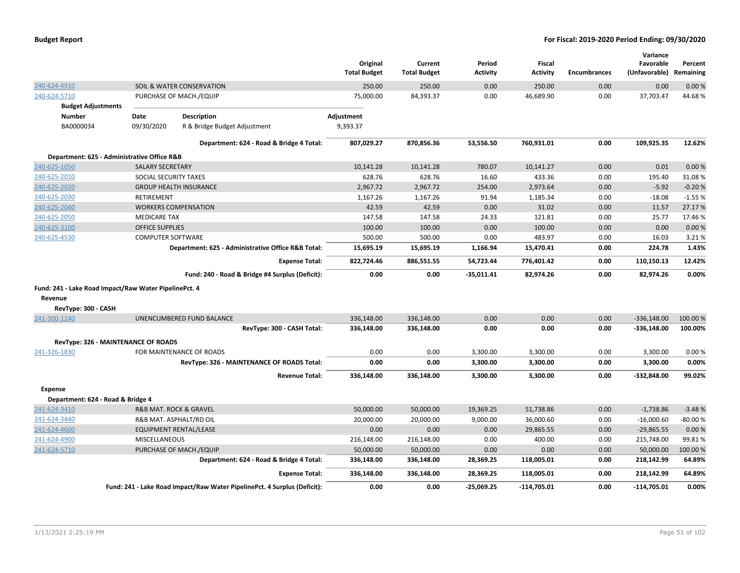|                                                       |                          |                                                                          | Original<br><b>Total Budget</b> | Current<br><b>Total Budget</b> | Period<br>Activity | <b>Fiscal</b><br><b>Activity</b> | <b>Encumbrances</b> | Variance<br>Favorable<br>(Unfavorable) Remaining | Percent   |
|-------------------------------------------------------|--------------------------|--------------------------------------------------------------------------|---------------------------------|--------------------------------|--------------------|----------------------------------|---------------------|--------------------------------------------------|-----------|
| 240-624-4910                                          |                          | SOIL & WATER CONSERVATION                                                | 250.00                          | 250.00                         | 0.00               | 250.00                           | 0.00                | 0.00                                             | 0.00%     |
| 240-624-5710                                          |                          | PURCHASE OF MACH./EQUIP                                                  | 75,000.00                       | 84,393.37                      | 0.00               | 46,689.90                        | 0.00                | 37,703.47                                        | 44.68%    |
| <b>Budget Adjustments</b>                             |                          |                                                                          |                                 |                                |                    |                                  |                     |                                                  |           |
| <b>Number</b>                                         | Date                     | <b>Description</b>                                                       | Adjustment                      |                                |                    |                                  |                     |                                                  |           |
| BA0000034                                             | 09/30/2020               | R & Bridge Budget Adjustment                                             | 9,393.37                        |                                |                    |                                  |                     |                                                  |           |
|                                                       |                          | Department: 624 - Road & Bridge 4 Total:                                 | 807,029.27                      | 870,856.36                     | 53,556.50          | 760,931.01                       | 0.00                | 109,925.35                                       | 12.62%    |
| Department: 625 - Administrative Office R&B           |                          |                                                                          |                                 |                                |                    |                                  |                     |                                                  |           |
| 240-625-1050                                          | <b>SALARY SECRETARY</b>  |                                                                          | 10,141.28                       | 10,141.28                      | 780.07             | 10,141.27                        | 0.00                | 0.01                                             | 0.00%     |
| 240-625-2010                                          | SOCIAL SECURITY TAXES    |                                                                          | 628.76                          | 628.76                         | 16.60              | 433.36                           | 0.00                | 195.40                                           | 31.08%    |
| 240-625-2020                                          |                          | <b>GROUP HEALTH INSURANCE</b>                                            | 2,967.72                        | 2,967.72                       | 254.00             | 2,973.64                         | 0.00                | $-5.92$                                          | $-0.20%$  |
| 240-625-2030                                          | <b>RETIREMENT</b>        |                                                                          | 1,167.26                        | 1,167.26                       | 91.94              | 1,185.34                         | 0.00                | $-18.08$                                         | $-1.55%$  |
| 240-625-2040                                          |                          | <b>WORKERS COMPENSATION</b>                                              | 42.59                           | 42.59                          | 0.00               | 31.02                            | 0.00                | 11.57                                            | 27.17%    |
| 240-625-2050                                          | <b>MEDICARE TAX</b>      |                                                                          | 147.58                          | 147.58                         | 24.33              | 121.81                           | 0.00                | 25.77                                            | 17.46%    |
| 240-625-3100                                          | <b>OFFICE SUPPLIES</b>   |                                                                          | 100.00                          | 100.00                         | 0.00               | 100.00                           | 0.00                | 0.00                                             | 0.00%     |
| 240-625-4530                                          | <b>COMPUTER SOFTWARE</b> |                                                                          | 500.00                          | 500.00                         | 0.00               | 483.97                           | 0.00                | 16.03                                            | 3.21 %    |
|                                                       |                          | Department: 625 - Administrative Office R&B Total:                       | 15,695.19                       | 15,695.19                      | 1,166.94           | 15,470.41                        | 0.00                | 224.78                                           | 1.43%     |
|                                                       |                          | <b>Expense Total:</b>                                                    | 822,724.46                      | 886,551.55                     | 54,723.44          | 776,401.42                       | 0.00                | 110,150.13                                       | 12.42%    |
|                                                       |                          | Fund: 240 - Road & Bridge #4 Surplus (Deficit):                          | 0.00                            | 0.00                           | $-35,011.41$       | 82,974.26                        | 0.00                | 82,974.26                                        | 0.00%     |
| Fund: 241 - Lake Road Impact/Raw Water PipelinePct. 4 |                          |                                                                          |                                 |                                |                    |                                  |                     |                                                  |           |
| Revenue                                               |                          |                                                                          |                                 |                                |                    |                                  |                     |                                                  |           |
| RevType: 300 - CASH                                   |                          |                                                                          |                                 |                                |                    |                                  |                     |                                                  |           |
| 241-300-1240                                          |                          | UNENCUMBERED FUND BALANCE                                                | 336,148.00                      | 336,148.00                     | 0.00               | 0.00                             | 0.00                | $-336,148.00$                                    | 100.00 %  |
|                                                       |                          | RevType: 300 - CASH Total:                                               | 336,148.00                      | 336,148.00                     | 0.00               | 0.00                             | 0.00                | $-336,148.00$                                    | 100.00%   |
| RevType: 326 - MAINTENANCE OF ROADS                   |                          |                                                                          |                                 |                                |                    |                                  |                     |                                                  |           |
| 241-326-1830                                          |                          | FOR MAINTENANCE OF ROADS                                                 | 0.00                            | 0.00                           | 3,300.00           | 3,300.00                         | 0.00                | 3,300.00                                         | 0.00%     |
|                                                       |                          | RevType: 326 - MAINTENANCE OF ROADS Total:                               | 0.00                            | 0.00                           | 3,300.00           | 3,300.00                         | 0.00                | 3,300.00                                         | 0.00%     |
|                                                       |                          | <b>Revenue Total:</b>                                                    | 336,148.00                      | 336,148.00                     | 3,300.00           | 3,300.00                         | 0.00                | $-332,848.00$                                    | 99.02%    |
| Expense                                               |                          |                                                                          |                                 |                                |                    |                                  |                     |                                                  |           |
| Department: 624 - Road & Bridge 4                     |                          |                                                                          |                                 |                                |                    |                                  |                     |                                                  |           |
| 241-624-3410                                          |                          | R&B MAT. ROCK & GRAVEL                                                   | 50,000.00                       | 50,000.00                      | 19,369.25          | 51,738.86                        | 0.00                | $-1,738.86$                                      | $-3.48%$  |
| 241-624-3440                                          |                          | R&B MAT. ASPHALT/RD OIL                                                  | 20,000.00                       | 20,000.00                      | 9,000.00           | 36,000.60                        | 0.00                | $-16,000.60$                                     | $-80.00%$ |
| 241-624-4600                                          |                          | <b>EQUIPMENT RENTAL/LEASE</b>                                            | 0.00                            | 0.00                           | 0.00               | 29,865.55                        | 0.00                | $-29,865.55$                                     | 0.00%     |
| 241-624-4900                                          | <b>MISCELLANEOUS</b>     |                                                                          | 216,148.00                      | 216,148.00                     | 0.00               | 400.00                           | 0.00                | 215,748.00                                       | 99.81%    |
| 241-624-5710                                          |                          | PURCHASE OF MACH./EQUIP                                                  | 50,000.00                       | 50,000.00                      | 0.00               | 0.00                             | 0.00                | 50,000.00                                        | 100.00 %  |
|                                                       |                          | Department: 624 - Road & Bridge 4 Total:                                 | 336,148.00                      | 336,148.00                     | 28,369.25          | 118,005.01                       | 0.00                | 218,142.99                                       | 64.89%    |
|                                                       |                          | <b>Expense Total:</b>                                                    | 336,148.00                      | 336,148.00                     | 28,369.25          | 118,005.01                       | 0.00                | 218,142.99                                       | 64.89%    |
|                                                       |                          | Fund: 241 - Lake Road Impact/Raw Water PipelinePct. 4 Surplus (Deficit): | 0.00                            | 0.00                           | $-25,069.25$       | -114,705.01                      | 0.00                | $-114,705.01$                                    | 0.00%     |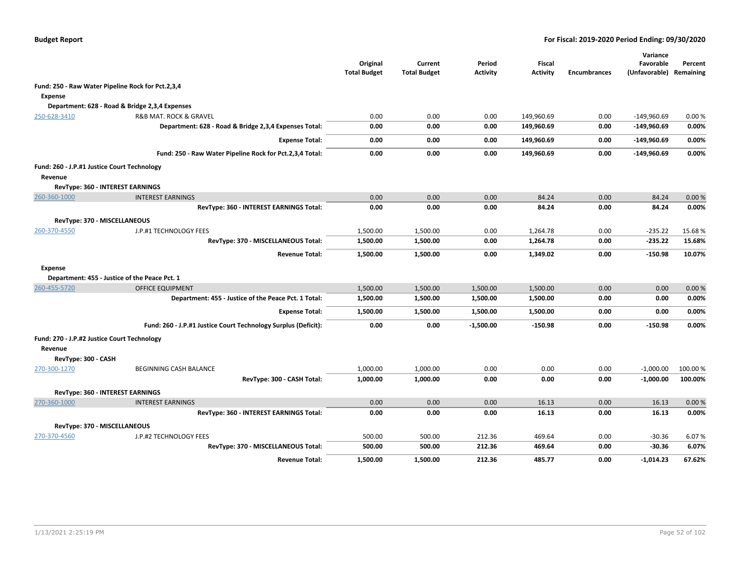|                                             |                                                                | Original<br><b>Total Budget</b> | Current<br><b>Total Budget</b> | Period<br><b>Activity</b> | <b>Fiscal</b><br><b>Activity</b> | <b>Encumbrances</b> | Variance<br>Favorable<br>(Unfavorable) | Percent<br>Remaining |
|---------------------------------------------|----------------------------------------------------------------|---------------------------------|--------------------------------|---------------------------|----------------------------------|---------------------|----------------------------------------|----------------------|
|                                             | Fund: 250 - Raw Water Pipeline Rock for Pct.2,3,4              |                                 |                                |                           |                                  |                     |                                        |                      |
| Expense                                     |                                                                |                                 |                                |                           |                                  |                     |                                        |                      |
|                                             | Department: 628 - Road & Bridge 2,3,4 Expenses                 |                                 |                                |                           |                                  |                     |                                        |                      |
| 250-628-3410                                | R&B MAT. ROCK & GRAVEL                                         | 0.00                            | 0.00                           | 0.00                      | 149,960.69                       | 0.00                | -149,960.69                            | 0.00%                |
|                                             | Department: 628 - Road & Bridge 2,3,4 Expenses Total:          | 0.00                            | 0.00                           | 0.00                      | 149,960.69                       | 0.00                | $-149,960.69$                          | 0.00%                |
|                                             | <b>Expense Total:</b>                                          | 0.00                            | 0.00                           | 0.00                      | 149,960.69                       | 0.00                | $-149,960.69$                          | 0.00%                |
|                                             | Fund: 250 - Raw Water Pipeline Rock for Pct.2,3,4 Total:       | 0.00                            | 0.00                           | 0.00                      | 149,960.69                       | 0.00                | -149,960.69                            | 0.00%                |
| Fund: 260 - J.P.#1 Justice Court Technology |                                                                |                                 |                                |                           |                                  |                     |                                        |                      |
| Revenue                                     |                                                                |                                 |                                |                           |                                  |                     |                                        |                      |
|                                             | RevType: 360 - INTEREST EARNINGS                               |                                 |                                |                           |                                  |                     |                                        |                      |
| 260-360-1000                                | <b>INTEREST EARNINGS</b>                                       | 0.00                            | 0.00                           | 0.00                      | 84.24                            | 0.00                | 84.24                                  | 0.00%                |
|                                             | RevType: 360 - INTEREST EARNINGS Total:                        | 0.00                            | 0.00                           | 0.00                      | 84.24                            | 0.00                | 84.24                                  | 0.00%                |
| RevType: 370 - MISCELLANEOUS                |                                                                |                                 |                                |                           |                                  |                     |                                        |                      |
| 260-370-4550                                | J.P.#1 TECHNOLOGY FEES                                         | 1,500.00                        | 1,500.00                       | 0.00                      | 1,264.78                         | 0.00                | $-235.22$                              | 15.68%               |
|                                             | RevType: 370 - MISCELLANEOUS Total:                            | 1,500.00                        | 1,500.00                       | 0.00                      | 1,264.78                         | 0.00                | $-235.22$                              | 15.68%               |
|                                             | <b>Revenue Total:</b>                                          | 1,500.00                        | 1,500.00                       | 0.00                      | 1,349.02                         | 0.00                | $-150.98$                              | 10.07%               |
| <b>Expense</b>                              |                                                                |                                 |                                |                           |                                  |                     |                                        |                      |
|                                             | Department: 455 - Justice of the Peace Pct. 1                  |                                 |                                |                           |                                  |                     |                                        |                      |
| 260-455-5720                                | <b>OFFICE EQUIPMENT</b>                                        | 1,500.00                        | 1,500.00                       | 1,500.00                  | 1,500.00                         | 0.00                | 0.00                                   | 0.00%                |
|                                             | Department: 455 - Justice of the Peace Pct. 1 Total:           | 1,500.00                        | 1,500.00                       | 1,500.00                  | 1,500.00                         | 0.00                | 0.00                                   | 0.00%                |
|                                             | <b>Expense Total:</b>                                          | 1,500.00                        | 1,500.00                       | 1,500.00                  | 1,500.00                         | 0.00                | 0.00                                   | 0.00%                |
|                                             | Fund: 260 - J.P.#1 Justice Court Technology Surplus (Deficit): | 0.00                            | 0.00                           | $-1,500.00$               | $-150.98$                        | 0.00                | $-150.98$                              | 0.00%                |
| Fund: 270 - J.P.#2 Justice Court Technology |                                                                |                                 |                                |                           |                                  |                     |                                        |                      |
| Revenue                                     |                                                                |                                 |                                |                           |                                  |                     |                                        |                      |
| RevType: 300 - CASH                         |                                                                |                                 |                                |                           |                                  |                     |                                        |                      |
| 270-300-1270                                | BEGINNING CASH BALANCE                                         | 1,000.00                        | 1,000.00                       | 0.00                      | 0.00                             | 0.00                | $-1,000.00$                            | 100.00%              |
|                                             | RevType: 300 - CASH Total:                                     | 1,000.00                        | 1,000.00                       | 0.00                      | 0.00                             | 0.00                | $-1,000.00$                            | 100.00%              |
|                                             | <b>RevType: 360 - INTEREST EARNINGS</b>                        |                                 |                                |                           |                                  |                     |                                        |                      |
| 270-360-1000                                | <b>INTEREST EARNINGS</b>                                       | 0.00                            | 0.00                           | 0.00                      | 16.13                            | 0.00                | 16.13                                  | 0.00%                |
|                                             | RevType: 360 - INTEREST EARNINGS Total:                        | 0.00                            | 0.00                           | 0.00                      | 16.13                            | 0.00                | 16.13                                  | 0.00%                |
| RevType: 370 - MISCELLANEOUS                |                                                                |                                 |                                |                           |                                  |                     |                                        |                      |
| 270-370-4560                                | J.P.#2 TECHNOLOGY FEES                                         | 500.00                          | 500.00                         | 212.36                    | 469.64                           | 0.00                | $-30.36$                               | 6.07%                |
|                                             | RevType: 370 - MISCELLANEOUS Total:                            | 500.00                          | 500.00                         | 212.36                    | 469.64                           | 0.00                | $-30.36$                               | 6.07%                |
|                                             | <b>Revenue Total:</b>                                          | 1,500.00                        | 1,500.00                       | 212.36                    | 485.77                           | 0.00                | $-1,014.23$                            | 67.62%               |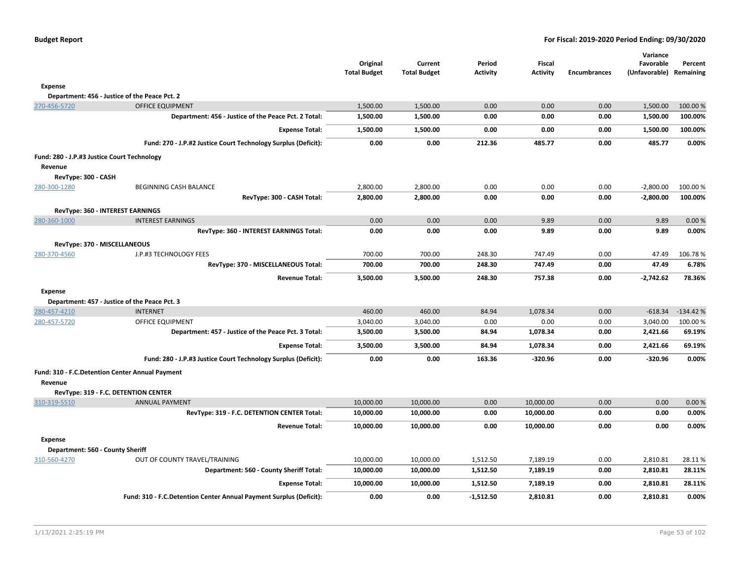| <b>Budget Report</b> |  |  |
|----------------------|--|--|
|----------------------|--|--|

|                                             |                                                                    | Original<br><b>Total Budget</b> | Current<br><b>Total Budget</b> | Period<br><b>Activity</b> | <b>Fiscal</b><br><b>Activity</b> | <b>Encumbrances</b> | Variance<br>Favorable<br>(Unfavorable) Remaining | Percent          |
|---------------------------------------------|--------------------------------------------------------------------|---------------------------------|--------------------------------|---------------------------|----------------------------------|---------------------|--------------------------------------------------|------------------|
| <b>Expense</b>                              |                                                                    |                                 |                                |                           |                                  |                     |                                                  |                  |
|                                             | Department: 456 - Justice of the Peace Pct. 2                      |                                 |                                |                           |                                  |                     |                                                  |                  |
| 270-456-5720                                | <b>OFFICE EQUIPMENT</b>                                            | 1,500.00                        | 1,500.00                       | 0.00                      | 0.00                             | 0.00                | 1,500.00                                         | 100.00%          |
|                                             | Department: 456 - Justice of the Peace Pct. 2 Total:               | 1,500.00                        | 1,500.00                       | 0.00                      | 0.00                             | 0.00                | 1,500.00                                         | 100.00%          |
|                                             | <b>Expense Total:</b>                                              | 1,500.00                        | 1,500.00                       | 0.00                      | 0.00                             | 0.00                | 1,500.00                                         | 100.00%          |
|                                             | Fund: 270 - J.P.#2 Justice Court Technology Surplus (Deficit):     | 0.00                            | 0.00                           | 212.36                    | 485.77                           | 0.00                | 485.77                                           | 0.00%            |
| Fund: 280 - J.P.#3 Justice Court Technology |                                                                    |                                 |                                |                           |                                  |                     |                                                  |                  |
| Revenue                                     |                                                                    |                                 |                                |                           |                                  |                     |                                                  |                  |
| RevType: 300 - CASH                         |                                                                    |                                 |                                |                           |                                  |                     |                                                  |                  |
| 280-300-1280                                | BEGINNING CASH BALANCE                                             | 2,800.00                        | 2,800.00                       | 0.00                      | 0.00                             | 0.00                | $-2,800.00$                                      | 100.00 %         |
|                                             | RevType: 300 - CASH Total:                                         | 2,800.00                        | 2,800.00                       | 0.00                      | 0.00                             | 0.00                | $-2,800.00$                                      | 100.00%          |
|                                             | RevType: 360 - INTEREST EARNINGS                                   |                                 |                                |                           |                                  |                     |                                                  |                  |
| 280-360-1000                                | <b>INTEREST EARNINGS</b>                                           | 0.00                            | 0.00                           | 0.00                      | 9.89                             | 0.00                | 9.89                                             | 0.00%            |
|                                             | RevType: 360 - INTEREST EARNINGS Total:                            | 0.00                            | 0.00                           | 0.00                      | 9.89                             | 0.00                | 9.89                                             | 0.00%            |
|                                             | RevType: 370 - MISCELLANEOUS                                       |                                 |                                |                           |                                  |                     |                                                  |                  |
| 280-370-4560                                | J.P.#3 TECHNOLOGY FEES                                             | 700.00                          | 700.00                         | 248.30                    | 747.49                           | 0.00                | 47.49                                            | 106.78%          |
|                                             | RevType: 370 - MISCELLANEOUS Total:                                | 700.00                          | 700.00                         | 248.30                    | 747.49                           | 0.00                | 47.49                                            | 6.78%            |
|                                             | <b>Revenue Total:</b>                                              | 3,500.00                        | 3,500.00                       | 248.30                    | 757.38                           | 0.00                | $-2,742.62$                                      | 78.36%           |
| <b>Expense</b>                              |                                                                    |                                 |                                |                           |                                  |                     |                                                  |                  |
|                                             | Department: 457 - Justice of the Peace Pct. 3                      |                                 |                                |                           |                                  |                     |                                                  |                  |
| 280-457-4210                                | <b>INTERNET</b>                                                    | 460.00                          | 460.00                         | 84.94                     | 1,078.34                         | 0.00                | $-618.34$                                        | $-134.42%$       |
| 280-457-5720                                | <b>OFFICE EQUIPMENT</b>                                            | 3,040.00                        | 3,040.00                       | 0.00                      | 0.00                             | 0.00                | 3,040.00                                         | 100.00%          |
|                                             | Department: 457 - Justice of the Peace Pct. 3 Total:               | 3,500.00                        | 3,500.00                       | 84.94                     | 1,078.34                         | 0.00                | 2,421.66                                         | 69.19%           |
|                                             | <b>Expense Total:</b>                                              | 3,500.00                        | 3,500.00                       | 84.94                     | 1,078.34                         | 0.00                | 2,421.66                                         | 69.19%           |
|                                             | Fund: 280 - J.P.#3 Justice Court Technology Surplus (Deficit):     | 0.00                            | 0.00                           | 163.36                    | $-320.96$                        | 0.00                | $-320.96$                                        | 0.00%            |
|                                             | Fund: 310 - F.C. Detention Center Annual Payment                   |                                 |                                |                           |                                  |                     |                                                  |                  |
| Revenue                                     |                                                                    |                                 |                                |                           |                                  |                     |                                                  |                  |
|                                             | RevType: 319 - F.C. DETENTION CENTER                               |                                 |                                |                           |                                  |                     |                                                  |                  |
| 310-319-5510                                | <b>ANNUAL PAYMENT</b>                                              | 10,000.00                       | 10,000.00                      | 0.00                      | 10,000.00                        | 0.00                | 0.00                                             | 0.00%            |
|                                             | RevType: 319 - F.C. DETENTION CENTER Total:                        | 10,000.00                       | 10,000.00                      | 0.00                      | 10,000.00                        | 0.00                | 0.00                                             | 0.00%            |
|                                             | <b>Revenue Total:</b>                                              | 10,000.00                       | 10,000.00                      | 0.00                      | 10,000.00                        | 0.00                | 0.00                                             | 0.00%            |
| <b>Expense</b>                              |                                                                    |                                 |                                |                           |                                  |                     |                                                  |                  |
| Department: 560 - County Sheriff            |                                                                    |                                 |                                |                           |                                  |                     |                                                  |                  |
| 310-560-4270                                | OUT OF COUNTY TRAVEL/TRAINING                                      | 10,000.00                       | 10,000.00                      | 1,512.50                  | 7,189.19                         | 0.00<br>0.00        | 2,810.81                                         | 28.11%<br>28.11% |
|                                             | Department: 560 - County Sheriff Total:                            | 10,000.00                       | 10,000.00                      | 1,512.50                  | 7,189.19                         |                     | 2,810.81                                         |                  |
|                                             | <b>Expense Total:</b>                                              | 10,000.00                       | 10,000.00                      | 1,512.50                  | 7,189.19                         | 0.00                | 2,810.81                                         | 28.11%           |
|                                             | Fund: 310 - F.C.Detention Center Annual Payment Surplus (Deficit): | 0.00                            | 0.00                           | $-1,512.50$               | 2,810.81                         | 0.00                | 2,810.81                                         | 0.00%            |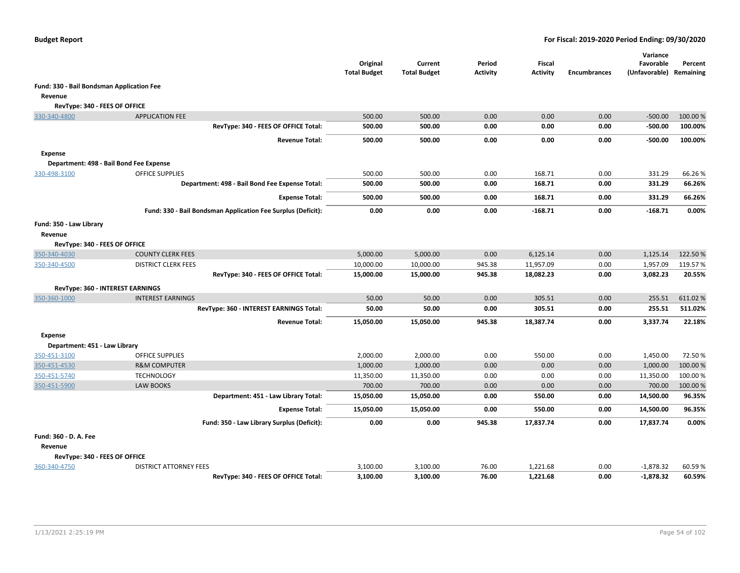|                                           |                                                              | Original<br><b>Total Budget</b> | Current<br><b>Total Budget</b> | Period<br>Activity | <b>Fiscal</b><br><b>Activity</b> | <b>Encumbrances</b> | Variance<br>Favorable<br>(Unfavorable) Remaining | Percent  |
|-------------------------------------------|--------------------------------------------------------------|---------------------------------|--------------------------------|--------------------|----------------------------------|---------------------|--------------------------------------------------|----------|
| Fund: 330 - Bail Bondsman Application Fee |                                                              |                                 |                                |                    |                                  |                     |                                                  |          |
| Revenue                                   |                                                              |                                 |                                |                    |                                  |                     |                                                  |          |
| RevType: 340 - FEES OF OFFICE             |                                                              |                                 |                                |                    |                                  |                     |                                                  |          |
| 330-340-4800                              | <b>APPLICATION FEE</b>                                       | 500.00                          | 500.00                         | 0.00               | 0.00                             | 0.00                | $-500.00$                                        | 100.00 % |
|                                           | RevType: 340 - FEES OF OFFICE Total:                         | 500.00                          | 500.00                         | 0.00               | 0.00                             | 0.00                | $-500.00$                                        | 100.00%  |
|                                           | <b>Revenue Total:</b>                                        | 500.00                          | 500.00                         | 0.00               | 0.00                             | 0.00                | $-500.00$                                        | 100.00%  |
| <b>Expense</b>                            |                                                              |                                 |                                |                    |                                  |                     |                                                  |          |
|                                           | Department: 498 - Bail Bond Fee Expense                      |                                 |                                |                    |                                  |                     |                                                  |          |
| 330-498-3100                              | <b>OFFICE SUPPLIES</b>                                       | 500.00                          | 500.00                         | 0.00               | 168.71                           | 0.00                | 331.29                                           | 66.26%   |
|                                           | Department: 498 - Bail Bond Fee Expense Total:               | 500.00                          | 500.00                         | 0.00               | 168.71                           | 0.00                | 331.29                                           | 66.26%   |
|                                           | <b>Expense Total:</b>                                        | 500.00                          | 500.00                         | 0.00               | 168.71                           | 0.00                | 331.29                                           | 66.26%   |
|                                           | Fund: 330 - Bail Bondsman Application Fee Surplus (Deficit): | 0.00                            | 0.00                           | 0.00               | $-168.71$                        | 0.00                | $-168.71$                                        | 0.00%    |
| Fund: 350 - Law Library                   |                                                              |                                 |                                |                    |                                  |                     |                                                  |          |
| Revenue                                   |                                                              |                                 |                                |                    |                                  |                     |                                                  |          |
| RevType: 340 - FEES OF OFFICE             |                                                              |                                 |                                |                    |                                  |                     |                                                  |          |
| 350-340-4030                              | <b>COUNTY CLERK FEES</b>                                     | 5,000.00                        | 5,000.00                       | 0.00               | 6,125.14                         | 0.00                | 1,125.14                                         | 122.50%  |
| 350-340-4500                              | <b>DISTRICT CLERK FEES</b>                                   | 10,000.00                       | 10,000.00                      | 945.38             | 11,957.09                        | 0.00                | 1,957.09                                         | 119.57%  |
|                                           | RevType: 340 - FEES OF OFFICE Total:                         | 15,000.00                       | 15,000.00                      | 945.38             | 18,082.23                        | 0.00                | 3,082.23                                         | 20.55%   |
|                                           | RevType: 360 - INTEREST EARNINGS                             |                                 |                                |                    |                                  |                     |                                                  |          |
| 350-360-1000                              | <b>INTEREST EARNINGS</b>                                     | 50.00                           | 50.00                          | 0.00               | 305.51                           | 0.00                | 255.51                                           | 611.02%  |
|                                           | RevType: 360 - INTEREST EARNINGS Total:                      | 50.00                           | 50.00                          | 0.00               | 305.51                           | 0.00                | 255.51                                           | 511.02%  |
|                                           | <b>Revenue Total:</b>                                        | 15,050.00                       | 15,050.00                      | 945.38             | 18,387.74                        | 0.00                | 3,337.74                                         | 22.18%   |
| <b>Expense</b>                            |                                                              |                                 |                                |                    |                                  |                     |                                                  |          |
| Department: 451 - Law Library             |                                                              |                                 |                                |                    |                                  |                     |                                                  |          |
| 350-451-3100                              | <b>OFFICE SUPPLIES</b>                                       | 2,000.00                        | 2,000.00                       | 0.00               | 550.00                           | 0.00                | 1,450.00                                         | 72.50%   |
| 350-451-4530                              | <b>R&amp;M COMPUTER</b>                                      | 1,000.00                        | 1,000.00                       | 0.00               | 0.00                             | 0.00                | 1,000.00                                         | 100.00%  |
| 350-451-5740                              | <b>TECHNOLOGY</b>                                            | 11,350.00                       | 11,350.00                      | 0.00               | 0.00                             | 0.00                | 11,350.00                                        | 100.00 % |
| 350-451-5900                              | <b>LAW BOOKS</b>                                             | 700.00                          | 700.00                         | 0.00               | 0.00                             | 0.00                | 700.00                                           | 100.00 % |
|                                           | Department: 451 - Law Library Total:                         | 15,050.00                       | 15,050.00                      | 0.00               | 550.00                           | 0.00                | 14,500.00                                        | 96.35%   |
|                                           | <b>Expense Total:</b>                                        | 15,050.00                       | 15,050.00                      | 0.00               | 550.00                           | 0.00                | 14,500.00                                        | 96.35%   |
|                                           | Fund: 350 - Law Library Surplus (Deficit):                   | 0.00                            | 0.00                           | 945.38             | 17,837.74                        | 0.00                | 17,837.74                                        | 0.00%    |
| Fund: 360 - D. A. Fee                     |                                                              |                                 |                                |                    |                                  |                     |                                                  |          |
| Revenue                                   |                                                              |                                 |                                |                    |                                  |                     |                                                  |          |
| RevType: 340 - FEES OF OFFICE             |                                                              |                                 |                                |                    |                                  |                     |                                                  |          |
| 360-340-4750                              | <b>DISTRICT ATTORNEY FEES</b>                                | 3,100.00                        | 3,100.00                       | 76.00              | 1,221.68                         | 0.00                | $-1,878.32$                                      | 60.59%   |
|                                           | RevType: 340 - FEES OF OFFICE Total:                         | 3,100.00                        | 3,100.00                       | 76.00              | 1,221.68                         | 0.00                | $-1,878.32$                                      | 60.59%   |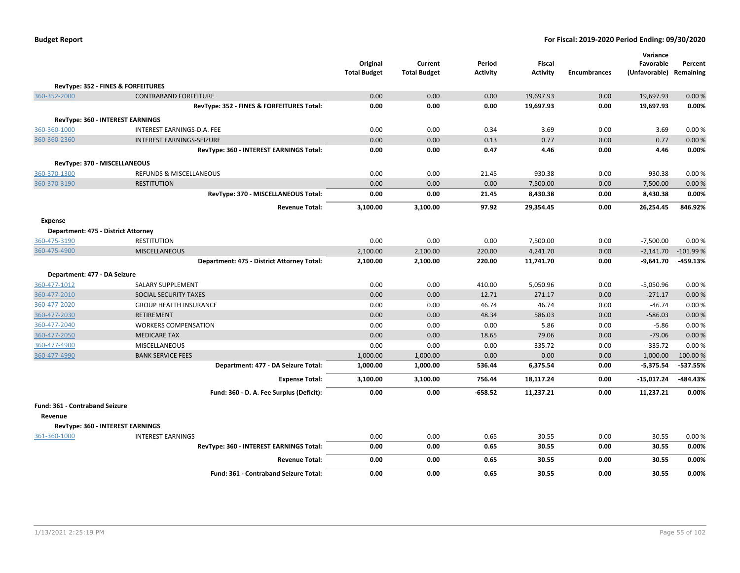|                                     |                                              | Original<br><b>Total Budget</b> | Current<br><b>Total Budget</b> | Period<br><b>Activity</b> | <b>Fiscal</b><br><b>Activity</b> | <b>Encumbrances</b> | Variance<br>Favorable<br>(Unfavorable) | Percent<br>Remaining |
|-------------------------------------|----------------------------------------------|---------------------------------|--------------------------------|---------------------------|----------------------------------|---------------------|----------------------------------------|----------------------|
|                                     | RevType: 352 - FINES & FORFEITURES           |                                 |                                |                           |                                  |                     |                                        |                      |
| 360-352-2000                        | <b>CONTRABAND FORFEITURE</b>                 | 0.00                            | 0.00                           | 0.00                      | 19,697.93                        | 0.00                | 19,697.93                              | 0.00%                |
|                                     | RevType: 352 - FINES & FORFEITURES Total:    | 0.00                            | 0.00                           | 0.00                      | 19,697.93                        | 0.00                | 19,697.93                              | 0.00%                |
|                                     | <b>RevType: 360 - INTEREST EARNINGS</b>      |                                 |                                |                           |                                  |                     |                                        |                      |
| 360-360-1000                        | INTEREST EARNINGS-D.A. FEE                   | 0.00                            | 0.00                           | 0.34                      | 3.69                             | 0.00                | 3.69                                   | 0.00%                |
| 360-360-2360                        | <b>INTEREST EARNINGS-SEIZURE</b>             | 0.00                            | 0.00                           | 0.13                      | 0.77                             | 0.00                | 0.77                                   | 0.00%                |
|                                     | RevType: 360 - INTEREST EARNINGS Total:      | 0.00                            | 0.00                           | 0.47                      | 4.46                             | 0.00                | 4.46                                   | 0.00%                |
| RevType: 370 - MISCELLANEOUS        |                                              |                                 |                                |                           |                                  |                     |                                        |                      |
| 360-370-1300                        | REFUNDS & MISCELLANEOUS                      | 0.00                            | 0.00                           | 21.45                     | 930.38                           | 0.00                | 930.38                                 | 0.00%                |
| 360-370-3190                        | <b>RESTITUTION</b>                           | 0.00                            | 0.00                           | 0.00                      | 7,500.00                         | 0.00                | 7,500.00                               | 0.00%                |
|                                     | RevType: 370 - MISCELLANEOUS Total:          | 0.00                            | 0.00                           | 21.45                     | 8,430.38                         | 0.00                | 8,430.38                               | 0.00%                |
|                                     | <b>Revenue Total:</b>                        | 3,100.00                        | 3,100.00                       | 97.92                     | 29,354.45                        | 0.00                | 26,254.45                              | 846.92%              |
| <b>Expense</b>                      |                                              |                                 |                                |                           |                                  |                     |                                        |                      |
| Department: 475 - District Attorney |                                              |                                 |                                |                           |                                  |                     |                                        |                      |
| 360-475-3190                        | <b>RESTITUTION</b>                           | 0.00                            | 0.00                           | 0.00                      | 7,500.00                         | 0.00                | $-7,500.00$                            | 0.00%                |
| 360-475-4900                        | <b>MISCELLANEOUS</b>                         | 2,100.00                        | 2,100.00                       | 220.00                    | 4,241.70                         | 0.00                | $-2,141.70$                            | $-101.99%$           |
|                                     | Department: 475 - District Attorney Total:   | 2,100.00                        | 2,100.00                       | 220.00                    | 11,741.70                        | 0.00                | $-9,641.70$                            | $-459.13%$           |
| Department: 477 - DA Seizure        |                                              |                                 |                                |                           |                                  |                     |                                        |                      |
| 360-477-1012                        | <b>SALARY SUPPLEMENT</b>                     | 0.00                            | 0.00                           | 410.00                    | 5,050.96                         | 0.00                | $-5,050.96$                            | 0.00%                |
| 360-477-2010                        | SOCIAL SECURITY TAXES                        | 0.00                            | 0.00                           | 12.71                     | 271.17                           | 0.00                | $-271.17$                              | 0.00%                |
| 360-477-2020                        | <b>GROUP HEALTH INSURANCE</b>                | 0.00                            | 0.00                           | 46.74                     | 46.74                            | 0.00                | $-46.74$                               | 0.00%                |
| 360-477-2030                        | <b>RETIREMENT</b>                            | 0.00                            | 0.00                           | 48.34                     | 586.03                           | 0.00                | $-586.03$                              | 0.00%                |
| 360-477-2040                        | <b>WORKERS COMPENSATION</b>                  | 0.00                            | 0.00                           | 0.00                      | 5.86                             | 0.00                | $-5.86$                                | 0.00%                |
| 360-477-2050                        | <b>MEDICARE TAX</b>                          | 0.00                            | 0.00                           | 18.65                     | 79.06                            | 0.00                | $-79.06$                               | 0.00%                |
| 360-477-4900                        | MISCELLANEOUS                                | 0.00                            | 0.00                           | 0.00                      | 335.72                           | 0.00                | $-335.72$                              | 0.00%                |
| 360-477-4990                        | <b>BANK SERVICE FEES</b>                     | 1,000.00                        | 1,000.00                       | 0.00                      | 0.00                             | 0.00                | 1,000.00                               | 100.00 %             |
|                                     | Department: 477 - DA Seizure Total:          | 1,000.00                        | 1,000.00                       | 536.44                    | 6,375.54                         | 0.00                | $-5,375.54$                            | $-537.55%$           |
|                                     | <b>Expense Total:</b>                        | 3,100.00                        | 3,100.00                       | 756.44                    | 18,117.24                        | 0.00                | -15,017.24                             | -484.43%             |
|                                     | Fund: 360 - D. A. Fee Surplus (Deficit):     | 0.00                            | 0.00                           | $-658.52$                 | 11,237.21                        | 0.00                | 11,237.21                              | 0.00%                |
| Fund: 361 - Contraband Seizure      |                                              |                                 |                                |                           |                                  |                     |                                        |                      |
| Revenue                             |                                              |                                 |                                |                           |                                  |                     |                                        |                      |
|                                     | RevType: 360 - INTEREST EARNINGS             |                                 |                                |                           |                                  |                     |                                        |                      |
| 361-360-1000                        | <b>INTEREST EARNINGS</b>                     | 0.00                            | 0.00                           | 0.65                      | 30.55                            | 0.00                | 30.55                                  | 0.00%                |
|                                     | RevType: 360 - INTEREST EARNINGS Total:      | 0.00                            | 0.00                           | 0.65                      | 30.55                            | 0.00                | 30.55                                  | 0.00%                |
|                                     | <b>Revenue Total:</b>                        | 0.00                            | 0.00                           | 0.65                      | 30.55                            | 0.00                | 30.55                                  | 0.00%                |
|                                     | <b>Fund: 361 - Contraband Seizure Total:</b> | 0.00                            | 0.00                           | 0.65                      | 30.55                            | 0.00                | 30.55                                  | 0.00%                |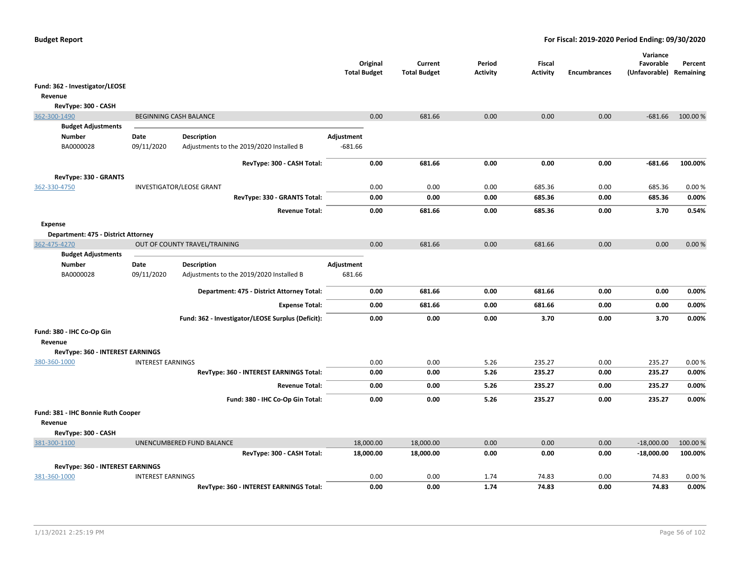|                                      |                          |                                                   | <b>Total Budget</b> | Original  | Current<br><b>Total Budget</b> | Period<br><b>Activity</b> | Fiscal<br><b>Activity</b> | <b>Encumbrances</b> | Variance<br>Favorable<br>(Unfavorable) Remaining | Percent  |
|--------------------------------------|--------------------------|---------------------------------------------------|---------------------|-----------|--------------------------------|---------------------------|---------------------------|---------------------|--------------------------------------------------|----------|
| Fund: 362 - Investigator/LEOSE       |                          |                                                   |                     |           |                                |                           |                           |                     |                                                  |          |
| Revenue                              |                          |                                                   |                     |           |                                |                           |                           |                     |                                                  |          |
| RevType: 300 - CASH                  |                          |                                                   |                     |           |                                |                           |                           |                     |                                                  |          |
| 362-300-1490                         |                          | BEGINNING CASH BALANCE                            |                     | 0.00      | 681.66                         | 0.00                      | 0.00                      | 0.00                | $-681.66$                                        | 100.00%  |
| <b>Budget Adjustments</b>            |                          |                                                   |                     |           |                                |                           |                           |                     |                                                  |          |
| <b>Number</b>                        | Date                     | <b>Description</b>                                | Adjustment          |           |                                |                           |                           |                     |                                                  |          |
| BA0000028                            | 09/11/2020               | Adjustments to the 2019/2020 Installed B          | $-681.66$           |           |                                |                           |                           |                     |                                                  |          |
|                                      |                          | RevType: 300 - CASH Total:                        |                     | 0.00      | 681.66                         | 0.00                      | 0.00                      | 0.00                | $-681.66$                                        | 100.00%  |
| RevType: 330 - GRANTS                |                          |                                                   |                     |           |                                |                           |                           |                     |                                                  |          |
| 362-330-4750                         |                          | <b>INVESTIGATOR/LEOSE GRANT</b>                   |                     | 0.00      | 0.00                           | 0.00                      | 685.36                    | 0.00                | 685.36                                           | 0.00%    |
|                                      |                          | RevType: 330 - GRANTS Total:                      |                     | 0.00      | 0.00                           | 0.00                      | 685.36                    | 0.00                | 685.36                                           | 0.00%    |
|                                      |                          | <b>Revenue Total:</b>                             |                     | 0.00      | 681.66                         | 0.00                      | 685.36                    | 0.00                | 3.70                                             | 0.54%    |
| <b>Expense</b>                       |                          |                                                   |                     |           |                                |                           |                           |                     |                                                  |          |
| Department: 475 - District Attorney  |                          |                                                   |                     |           |                                |                           |                           |                     |                                                  |          |
| 362-475-4270                         |                          | OUT OF COUNTY TRAVEL/TRAINING                     |                     | 0.00      | 681.66                         | 0.00                      | 681.66                    | 0.00                | 0.00                                             | 0.00%    |
| <b>Budget Adjustments</b>            |                          |                                                   |                     |           |                                |                           |                           |                     |                                                  |          |
| Number                               | Date                     | <b>Description</b>                                | Adjustment          |           |                                |                           |                           |                     |                                                  |          |
| BA0000028                            | 09/11/2020               | Adjustments to the 2019/2020 Installed B          | 681.66              |           |                                |                           |                           |                     |                                                  |          |
|                                      |                          | Department: 475 - District Attorney Total:        |                     | 0.00      | 681.66                         | 0.00                      | 681.66                    | 0.00                | 0.00                                             | 0.00%    |
|                                      |                          | <b>Expense Total:</b>                             |                     | 0.00      | 681.66                         | 0.00                      | 681.66                    | 0.00                | 0.00                                             | 0.00%    |
|                                      |                          | Fund: 362 - Investigator/LEOSE Surplus (Deficit): |                     | 0.00      | 0.00                           | 0.00                      | 3.70                      | 0.00                | 3.70                                             | 0.00%    |
| Fund: 380 - IHC Co-Op Gin<br>Revenue |                          |                                                   |                     |           |                                |                           |                           |                     |                                                  |          |
| RevType: 360 - INTEREST EARNINGS     |                          |                                                   |                     |           |                                |                           |                           |                     |                                                  |          |
| 380-360-1000                         | <b>INTEREST EARNINGS</b> |                                                   |                     | 0.00      | 0.00                           | 5.26                      | 235.27                    | 0.00                | 235.27                                           | 0.00%    |
|                                      |                          | RevType: 360 - INTEREST EARNINGS Total:           |                     | 0.00      | 0.00                           | 5.26                      | 235.27                    | 0.00                | 235.27                                           | 0.00%    |
|                                      |                          | <b>Revenue Total:</b>                             |                     | 0.00      | 0.00                           | 5.26                      | 235.27                    | 0.00                | 235.27                                           | 0.00%    |
|                                      |                          | Fund: 380 - IHC Co-Op Gin Total:                  |                     | 0.00      | 0.00                           | 5.26                      | 235.27                    | 0.00                | 235.27                                           | 0.00%    |
| Fund: 381 - IHC Bonnie Ruth Cooper   |                          |                                                   |                     |           |                                |                           |                           |                     |                                                  |          |
| Revenue                              |                          |                                                   |                     |           |                                |                           |                           |                     |                                                  |          |
| RevType: 300 - CASH                  |                          |                                                   |                     |           |                                |                           |                           |                     |                                                  |          |
| 381-300-1100                         |                          | UNENCUMBERED FUND BALANCE                         |                     | 18,000.00 | 18,000.00                      | 0.00                      | 0.00                      | 0.00                | $-18,000.00$                                     | 100.00 % |
|                                      |                          | RevType: 300 - CASH Total:                        |                     | 18,000.00 | 18,000.00                      | 0.00                      | 0.00                      | 0.00                | $-18,000.00$                                     | 100.00%  |
| RevType: 360 - INTEREST EARNINGS     |                          |                                                   |                     |           |                                |                           |                           |                     |                                                  |          |
| 381-360-1000                         | <b>INTEREST EARNINGS</b> |                                                   |                     | 0.00      | 0.00                           | 1.74                      | 74.83                     | 0.00                | 74.83                                            | 0.00%    |
|                                      |                          | RevType: 360 - INTEREST EARNINGS Total:           |                     | 0.00      | 0.00                           | 1.74                      | 74.83                     | 0.00                | 74.83                                            | 0.00%    |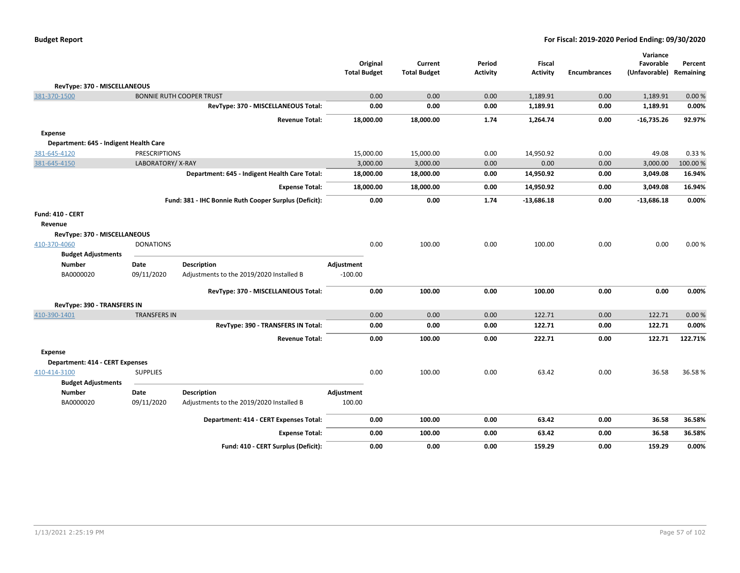| <b>Budget Report</b> |  |
|----------------------|--|
|----------------------|--|

|                                        |                      |                                                       | <b>Total Budget</b> | Original  | Current<br><b>Total Budget</b> | Period<br><b>Activity</b> | <b>Fiscal</b><br><b>Activity</b> | <b>Encumbrances</b> | Variance<br>Favorable<br>(Unfavorable) Remaining | Percent |
|----------------------------------------|----------------------|-------------------------------------------------------|---------------------|-----------|--------------------------------|---------------------------|----------------------------------|---------------------|--------------------------------------------------|---------|
| RevType: 370 - MISCELLANEOUS           |                      |                                                       |                     |           |                                |                           |                                  |                     |                                                  |         |
| 381-370-1500                           |                      | <b>BONNIE RUTH COOPER TRUST</b>                       |                     | 0.00      | 0.00                           | 0.00                      | 1,189.91                         | 0.00                | 1,189.91                                         | 0.00%   |
|                                        |                      | RevType: 370 - MISCELLANEOUS Total:                   |                     | 0.00      | 0.00                           | 0.00                      | 1,189.91                         | 0.00                | 1,189.91                                         | 0.00%   |
|                                        |                      | <b>Revenue Total:</b>                                 |                     | 18,000.00 | 18,000.00                      | 1.74                      | 1,264.74                         | 0.00                | $-16,735.26$                                     | 92.97%  |
| <b>Expense</b>                         |                      |                                                       |                     |           |                                |                           |                                  |                     |                                                  |         |
| Department: 645 - Indigent Health Care |                      |                                                       |                     |           |                                |                           |                                  |                     |                                                  |         |
| 381-645-4120                           | <b>PRESCRIPTIONS</b> |                                                       |                     | 15,000.00 | 15,000.00                      | 0.00                      | 14,950.92                        | 0.00                | 49.08                                            | 0.33 %  |
| 381-645-4150                           | LABORATORY/X-RAY     |                                                       |                     | 3,000.00  | 3,000.00                       | 0.00                      | 0.00                             | 0.00                | 3,000.00                                         | 100.00% |
|                                        |                      | Department: 645 - Indigent Health Care Total:         |                     | 18,000.00 | 18,000.00                      | 0.00                      | 14,950.92                        | 0.00                | 3,049.08                                         | 16.94%  |
|                                        |                      | <b>Expense Total:</b>                                 |                     | 18,000.00 | 18,000.00                      | 0.00                      | 14,950.92                        | 0.00                | 3,049.08                                         | 16.94%  |
|                                        |                      | Fund: 381 - IHC Bonnie Ruth Cooper Surplus (Deficit): |                     | 0.00      | 0.00                           | 1.74                      | $-13,686.18$                     | 0.00                | $-13,686.18$                                     | 0.00%   |
| Fund: 410 - CERT                       |                      |                                                       |                     |           |                                |                           |                                  |                     |                                                  |         |
| Revenue                                |                      |                                                       |                     |           |                                |                           |                                  |                     |                                                  |         |
| RevType: 370 - MISCELLANEOUS           |                      |                                                       |                     |           |                                |                           |                                  |                     |                                                  |         |
| 410-370-4060                           | <b>DONATIONS</b>     |                                                       |                     | 0.00      | 100.00                         | 0.00                      | 100.00                           | 0.00                | 0.00                                             | 0.00%   |
| <b>Budget Adjustments</b>              |                      |                                                       |                     |           |                                |                           |                                  |                     |                                                  |         |
| <b>Number</b>                          | <b>Date</b>          | <b>Description</b>                                    | Adjustment          |           |                                |                           |                                  |                     |                                                  |         |
| BA0000020                              | 09/11/2020           | Adjustments to the 2019/2020 Installed B              | $-100.00$           |           |                                |                           |                                  |                     |                                                  |         |
|                                        |                      | RevType: 370 - MISCELLANEOUS Total:                   |                     | 0.00      | 100.00                         | 0.00                      | 100.00                           | 0.00                | 0.00                                             | 0.00%   |
| RevType: 390 - TRANSFERS IN            |                      |                                                       |                     |           |                                |                           |                                  |                     |                                                  |         |
| 410-390-1401                           | <b>TRANSFERS IN</b>  |                                                       |                     | 0.00      | 0.00                           | 0.00                      | 122.71                           | 0.00                | 122.71                                           | 0.00%   |
|                                        |                      | RevType: 390 - TRANSFERS IN Total:                    |                     | 0.00      | 0.00                           | 0.00                      | 122.71                           | 0.00                | 122.71                                           | 0.00%   |
|                                        |                      | <b>Revenue Total:</b>                                 |                     | 0.00      | 100.00                         | 0.00                      | 222.71                           | 0.00                | 122.71                                           | 122.71% |
| <b>Expense</b>                         |                      |                                                       |                     |           |                                |                           |                                  |                     |                                                  |         |
| Department: 414 - CERT Expenses        |                      |                                                       |                     |           |                                |                           |                                  |                     |                                                  |         |
| 410-414-3100                           | <b>SUPPLIES</b>      |                                                       |                     | 0.00      | 100.00                         | 0.00                      | 63.42                            | 0.00                | 36.58                                            | 36.58%  |
| <b>Budget Adjustments</b>              |                      |                                                       |                     |           |                                |                           |                                  |                     |                                                  |         |
| <b>Number</b>                          | Date                 | <b>Description</b>                                    | Adjustment          |           |                                |                           |                                  |                     |                                                  |         |
| BA0000020                              | 09/11/2020           | Adjustments to the 2019/2020 Installed B              | 100.00              |           |                                |                           |                                  |                     |                                                  |         |
|                                        |                      | Department: 414 - CERT Expenses Total:                |                     | 0.00      | 100.00                         | 0.00                      | 63.42                            | 0.00                | 36.58                                            | 36.58%  |
|                                        |                      | <b>Expense Total:</b>                                 |                     | 0.00      | 100.00                         | 0.00                      | 63.42                            | 0.00                | 36.58                                            | 36.58%  |
|                                        |                      | Fund: 410 - CERT Surplus (Deficit):                   |                     | 0.00      | 0.00                           | 0.00                      | 159.29                           | 0.00                | 159.29                                           | 0.00%   |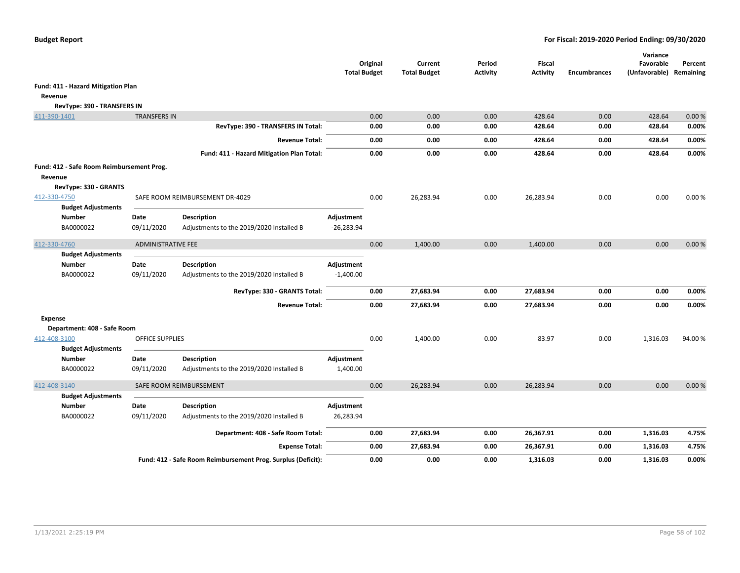|                                                      |                           |                                                                | <b>Total Budget</b>        | Original | Current<br><b>Total Budget</b> | Period<br><b>Activity</b> | Fiscal<br><b>Activity</b> | <b>Encumbrances</b> | Variance<br>Favorable<br>(Unfavorable) | Percent<br>Remaining |
|------------------------------------------------------|---------------------------|----------------------------------------------------------------|----------------------------|----------|--------------------------------|---------------------------|---------------------------|---------------------|----------------------------------------|----------------------|
| Fund: 411 - Hazard Mitigation Plan                   |                           |                                                                |                            |          |                                |                           |                           |                     |                                        |                      |
| Revenue                                              |                           |                                                                |                            |          |                                |                           |                           |                     |                                        |                      |
| RevType: 390 - TRANSFERS IN                          |                           |                                                                |                            |          |                                |                           |                           |                     |                                        |                      |
| 411-390-1401                                         | <b>TRANSFERS IN</b>       |                                                                |                            | 0.00     | 0.00                           | 0.00                      | 428.64                    | 0.00                | 428.64                                 | 0.00%                |
|                                                      |                           | RevType: 390 - TRANSFERS IN Total:                             |                            | 0.00     | 0.00                           | 0.00                      | 428.64                    | 0.00                | 428.64                                 | 0.00%                |
|                                                      |                           | <b>Revenue Total:</b>                                          |                            | 0.00     | 0.00                           | 0.00                      | 428.64                    | 0.00                | 428.64                                 | 0.00%                |
|                                                      |                           | Fund: 411 - Hazard Mitigation Plan Total:                      |                            | 0.00     | 0.00                           | 0.00                      | 428.64                    | 0.00                | 428.64                                 | 0.00%                |
| Fund: 412 - Safe Room Reimbursement Prog.<br>Revenue |                           |                                                                |                            |          |                                |                           |                           |                     |                                        |                      |
| RevType: 330 - GRANTS<br>412-330-4750                |                           | SAFE ROOM REIMBURSEMENT DR-4029                                |                            | 0.00     | 26,283.94                      | 0.00                      | 26,283.94                 | 0.00                | 0.00                                   | 0.00%                |
| <b>Budget Adjustments</b><br>Number<br>BA0000022     | Date<br>09/11/2020        | <b>Description</b><br>Adjustments to the 2019/2020 Installed B | Adjustment<br>$-26,283.94$ |          |                                |                           |                           |                     |                                        |                      |
| 412-330-4760                                         | <b>ADMINISTRATIVE FEE</b> |                                                                |                            | 0.00     | 1,400.00                       | 0.00                      | 1,400.00                  | 0.00                | 0.00                                   | 0.00%                |
| <b>Budget Adjustments</b>                            |                           |                                                                |                            |          |                                |                           |                           |                     |                                        |                      |
| <b>Number</b>                                        | Date                      | <b>Description</b>                                             | Adjustment                 |          |                                |                           |                           |                     |                                        |                      |
| BA0000022                                            | 09/11/2020                | Adjustments to the 2019/2020 Installed B                       | $-1,400.00$                |          |                                |                           |                           |                     |                                        |                      |
|                                                      |                           | RevType: 330 - GRANTS Total:                                   |                            | 0.00     | 27,683.94                      | 0.00                      | 27,683.94                 | 0.00                | 0.00                                   | 0.00%                |
|                                                      |                           | <b>Revenue Total:</b>                                          |                            | 0.00     | 27,683.94                      | 0.00                      | 27,683.94                 | 0.00                | 0.00                                   | 0.00%                |
| <b>Expense</b>                                       |                           |                                                                |                            |          |                                |                           |                           |                     |                                        |                      |
| Department: 408 - Safe Room                          |                           |                                                                |                            |          |                                |                           |                           |                     |                                        |                      |
| 412-408-3100<br><b>Budget Adjustments</b>            | <b>OFFICE SUPPLIES</b>    |                                                                |                            | 0.00     | 1,400.00                       | 0.00                      | 83.97                     | 0.00                | 1,316.03                               | 94.00%               |
| <b>Number</b><br>BA0000022                           | Date<br>09/11/2020        | <b>Description</b><br>Adjustments to the 2019/2020 Installed B | Adjustment<br>1,400.00     |          |                                |                           |                           |                     |                                        |                      |
| 412-408-3140                                         |                           | SAFE ROOM REIMBURSEMENT                                        |                            | 0.00     | 26,283.94                      | 0.00                      | 26,283.94                 | 0.00                | 0.00                                   | 0.00%                |
| <b>Budget Adjustments</b>                            |                           |                                                                |                            |          |                                |                           |                           |                     |                                        |                      |
| <b>Number</b><br>BA0000022                           | Date<br>09/11/2020        | <b>Description</b><br>Adjustments to the 2019/2020 Installed B | Adjustment<br>26,283.94    |          |                                |                           |                           |                     |                                        |                      |
|                                                      |                           | Department: 408 - Safe Room Total:                             |                            | 0.00     | 27,683.94                      | 0.00                      | 26,367.91                 | 0.00                | 1,316.03                               | 4.75%                |
|                                                      |                           | <b>Expense Total:</b>                                          |                            | 0.00     | 27,683.94                      | 0.00                      | 26,367.91                 | 0.00                | 1,316.03                               | 4.75%                |
|                                                      |                           | Fund: 412 - Safe Room Reimbursement Prog. Surplus (Deficit):   |                            | 0.00     | 0.00                           | 0.00                      | 1,316.03                  | 0.00                | 1,316.03                               | 0.00%                |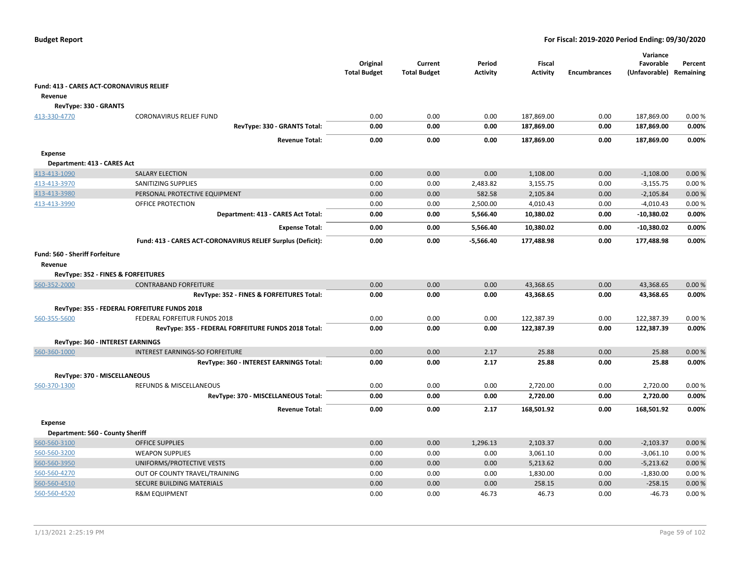|                                                 |                                                             | Original<br><b>Total Budget</b> | Current<br><b>Total Budget</b> | Period<br><b>Activity</b> | <b>Fiscal</b><br><b>Activity</b> | <b>Encumbrances</b> | Variance<br>Favorable<br>(Unfavorable) Remaining | Percent        |
|-------------------------------------------------|-------------------------------------------------------------|---------------------------------|--------------------------------|---------------------------|----------------------------------|---------------------|--------------------------------------------------|----------------|
| <b>Fund: 413 - CARES ACT-CORONAVIRUS RELIEF</b> |                                                             |                                 |                                |                           |                                  |                     |                                                  |                |
| Revenue                                         |                                                             |                                 |                                |                           |                                  |                     |                                                  |                |
| RevType: 330 - GRANTS                           |                                                             |                                 |                                |                           |                                  |                     |                                                  |                |
| 413-330-4770                                    | <b>CORONAVIRUS RELIEF FUND</b>                              | 0.00                            | 0.00                           | 0.00                      | 187,869.00                       | 0.00                | 187,869.00                                       | 0.00%          |
|                                                 | RevType: 330 - GRANTS Total:                                | 0.00                            | 0.00                           | 0.00                      | 187,869.00                       | 0.00                | 187,869.00                                       | 0.00%          |
|                                                 | <b>Revenue Total:</b>                                       | 0.00                            | 0.00                           | 0.00                      | 187,869.00                       | 0.00                | 187,869.00                                       | 0.00%          |
| Expense                                         |                                                             |                                 |                                |                           |                                  |                     |                                                  |                |
| Department: 413 - CARES Act                     |                                                             |                                 |                                |                           |                                  |                     |                                                  |                |
| 413-413-1090                                    | <b>SALARY ELECTION</b>                                      | 0.00                            | 0.00                           | 0.00                      | 1,108.00                         | 0.00                | $-1,108.00$                                      | 0.00%          |
| 413-413-3970                                    | SANITIZING SUPPLIES                                         | 0.00                            | 0.00                           | 2,483.82                  | 3,155.75                         | 0.00                | $-3,155.75$                                      | 0.00%          |
| 413-413-3980                                    | PERSONAL PROTECTIVE EQUIPMENT                               | 0.00                            | 0.00                           | 582.58                    | 2,105.84                         | 0.00                | $-2,105.84$                                      | 0.00%          |
| 413-413-3990                                    | OFFICE PROTECTION                                           | 0.00                            | 0.00                           | 2,500.00                  | 4,010.43                         | 0.00                | $-4,010.43$                                      | 0.00%          |
|                                                 | Department: 413 - CARES Act Total:                          | 0.00                            | 0.00                           | 5,566.40                  | 10,380.02                        | 0.00                | $-10,380.02$                                     | 0.00%          |
|                                                 | <b>Expense Total:</b>                                       | 0.00                            | 0.00                           | 5,566.40                  | 10,380.02                        | 0.00                | $-10,380.02$                                     | 0.00%          |
|                                                 | Fund: 413 - CARES ACT-CORONAVIRUS RELIEF Surplus (Deficit): | 0.00                            | 0.00                           | $-5,566.40$               | 177,488.98                       | 0.00                | 177,488.98                                       | 0.00%          |
| <b>Fund: 560 - Sheriff Forfeiture</b>           |                                                             |                                 |                                |                           |                                  |                     |                                                  |                |
| Revenue                                         |                                                             |                                 |                                |                           |                                  |                     |                                                  |                |
| RevType: 352 - FINES & FORFEITURES              |                                                             |                                 |                                |                           |                                  |                     |                                                  |                |
| 560-352-2000                                    | <b>CONTRABAND FORFEITURE</b>                                | 0.00                            | 0.00                           | 0.00                      | 43,368.65                        | 0.00                | 43,368.65                                        | 0.00%          |
|                                                 | RevType: 352 - FINES & FORFEITURES Total:                   | 0.00                            | 0.00                           | 0.00                      | 43,368.65                        | 0.00                | 43,368.65                                        | 0.00%          |
|                                                 | RevType: 355 - FEDERAL FORFEITURE FUNDS 2018                |                                 |                                |                           |                                  |                     |                                                  |                |
| 560-355-5600                                    | FEDERAL FORFEITUR FUNDS 2018                                | 0.00                            | 0.00                           | 0.00                      | 122,387.39                       | 0.00                | 122,387.39                                       | 0.00%          |
|                                                 | RevType: 355 - FEDERAL FORFEITURE FUNDS 2018 Total:         | 0.00                            | 0.00                           | 0.00                      | 122,387.39                       | 0.00                | 122,387.39                                       | 0.00%          |
|                                                 |                                                             |                                 |                                |                           |                                  |                     |                                                  |                |
| RevType: 360 - INTEREST EARNINGS                |                                                             |                                 |                                |                           |                                  |                     |                                                  |                |
| 560-360-1000                                    | <b>INTEREST EARNINGS-SO FORFEITURE</b>                      | 0.00<br>0.00                    | 0.00                           | 2.17<br>2.17              | 25.88<br>25.88                   | 0.00<br>0.00        | 25.88<br>25.88                                   | 0.00%<br>0.00% |
|                                                 | RevType: 360 - INTEREST EARNINGS Total:                     |                                 | 0.00                           |                           |                                  |                     |                                                  |                |
| RevType: 370 - MISCELLANEOUS                    |                                                             |                                 |                                |                           |                                  |                     |                                                  |                |
| 560-370-1300                                    | REFUNDS & MISCELLANEOUS                                     | 0.00                            | 0.00                           | 0.00                      | 2,720.00                         | 0.00                | 2,720.00                                         | 0.00%          |
|                                                 | RevType: 370 - MISCELLANEOUS Total:                         | 0.00                            | 0.00                           | 0.00                      | 2,720.00                         | 0.00                | 2,720.00                                         | 0.00%          |
|                                                 | <b>Revenue Total:</b>                                       | 0.00                            | 0.00                           | 2.17                      | 168,501.92                       | 0.00                | 168,501.92                                       | 0.00%          |
| Expense                                         |                                                             |                                 |                                |                           |                                  |                     |                                                  |                |
| Department: 560 - County Sheriff                |                                                             |                                 |                                |                           |                                  |                     |                                                  |                |
| 560-560-3100                                    | <b>OFFICE SUPPLIES</b>                                      | 0.00                            | 0.00                           | 1,296.13                  | 2,103.37                         | 0.00                | $-2,103.37$                                      | 0.00%          |
| 560-560-3200                                    | <b>WEAPON SUPPLIES</b>                                      | 0.00                            | 0.00                           | 0.00                      | 3,061.10                         | 0.00                | $-3,061.10$                                      | 0.00%          |
| 560-560-3950                                    | UNIFORMS/PROTECTIVE VESTS                                   | 0.00                            | 0.00                           | 0.00                      | 5,213.62                         | 0.00                | $-5,213.62$                                      | 0.00%          |
| 560-560-4270                                    | OUT OF COUNTY TRAVEL/TRAINING                               | 0.00                            | 0.00                           | 0.00                      | 1,830.00                         | 0.00                | $-1,830.00$                                      | 0.00%          |
| 560-560-4510                                    | <b>SECURE BUILDING MATERIALS</b>                            | 0.00                            | 0.00                           | 0.00                      | 258.15                           | 0.00                | $-258.15$                                        | 0.00%          |
| 560-560-4520                                    | <b>R&amp;M EQUIPMENT</b>                                    | 0.00                            | 0.00                           | 46.73                     | 46.73                            | 0.00                | $-46.73$                                         | 0.00%          |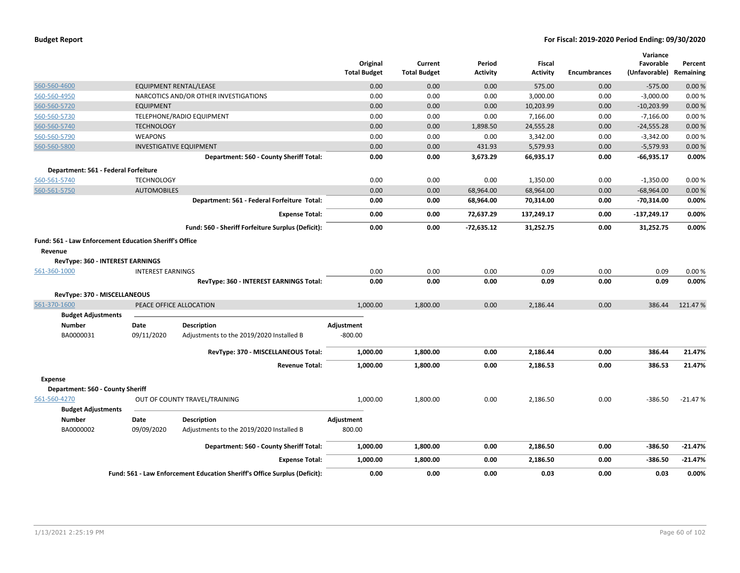|                                                                                                              |                          |                                                                           | Original<br><b>Total Budget</b> | Current<br><b>Total Budget</b> | Period<br><b>Activity</b> | <b>Fiscal</b><br><b>Activity</b> | <b>Encumbrances</b> | Variance<br>Favorable<br>(Unfavorable) | Percent<br>Remaining |
|--------------------------------------------------------------------------------------------------------------|--------------------------|---------------------------------------------------------------------------|---------------------------------|--------------------------------|---------------------------|----------------------------------|---------------------|----------------------------------------|----------------------|
| 560-560-4600                                                                                                 |                          | <b>EQUIPMENT RENTAL/LEASE</b>                                             | 0.00                            | 0.00                           | 0.00                      | 575.00                           | 0.00                | $-575.00$                              | 0.00%                |
| 560-560-4950                                                                                                 |                          | NARCOTICS AND/OR OTHER INVESTIGATIONS                                     | 0.00                            | 0.00                           | 0.00                      | 3,000.00                         | 0.00                | $-3,000.00$                            | 0.00%                |
| 560-560-5720                                                                                                 | <b>EQUIPMENT</b>         |                                                                           | 0.00                            | 0.00                           | 0.00                      | 10,203.99                        | 0.00                | $-10,203.99$                           | 0.00%                |
| 560-560-5730                                                                                                 |                          | TELEPHONE/RADIO EQUIPMENT                                                 | 0.00                            | 0.00                           | 0.00                      | 7,166.00                         | 0.00                | $-7,166.00$                            | 0.00%                |
| 560-560-5740                                                                                                 | <b>TECHNOLOGY</b>        |                                                                           | 0.00                            | 0.00                           | 1,898.50                  | 24,555.28                        | 0.00                | $-24,555.28$                           | 0.00%                |
| 560-560-5790                                                                                                 | <b>WEAPONS</b>           |                                                                           | 0.00                            | 0.00                           | 0.00                      | 3,342.00                         | 0.00                | $-3,342.00$                            | 0.00%                |
| 560-560-5800                                                                                                 |                          | <b>INVESTIGATIVE EQUIPMENT</b>                                            | 0.00                            | 0.00                           | 431.93                    | 5,579.93                         | 0.00                | $-5,579.93$                            | 0.00%                |
|                                                                                                              |                          | Department: 560 - County Sheriff Total:                                   | 0.00                            | 0.00                           | 3,673.29                  | 66,935.17                        | 0.00                | $-66,935.17$                           | 0.00%                |
| Department: 561 - Federal Forfeiture                                                                         |                          |                                                                           |                                 |                                |                           |                                  |                     |                                        |                      |
| 560-561-5740                                                                                                 | <b>TECHNOLOGY</b>        |                                                                           | 0.00                            | 0.00                           | 0.00                      | 1,350.00                         | 0.00                | $-1,350.00$                            | 0.00%                |
| 560-561-5750                                                                                                 | <b>AUTOMOBILES</b>       |                                                                           | 0.00                            | 0.00                           | 68,964.00                 | 68,964.00                        | 0.00                | $-68,964.00$                           | 0.00%                |
|                                                                                                              |                          | Department: 561 - Federal Forfeiture Total:                               | 0.00                            | 0.00                           | 68,964.00                 | 70,314.00                        | 0.00                | -70,314.00                             | 0.00%                |
|                                                                                                              |                          | <b>Expense Total:</b>                                                     | 0.00                            | 0.00                           | 72,637.29                 | 137,249.17                       | 0.00                | $-137,249.17$                          | 0.00%                |
|                                                                                                              |                          | Fund: 560 - Sheriff Forfeiture Surplus (Deficit):                         | 0.00                            | 0.00                           | $-72,635.12$              | 31,252.75                        | 0.00                | 31,252.75                              | 0.00%                |
| Fund: 561 - Law Enforcement Education Sheriff's Office<br>Revenue<br><b>RevType: 360 - INTEREST EARNINGS</b> |                          |                                                                           |                                 |                                |                           |                                  |                     |                                        |                      |
| 561-360-1000                                                                                                 | <b>INTEREST EARNINGS</b> |                                                                           | 0.00                            | 0.00                           | 0.00                      | 0.09                             | 0.00                | 0.09                                   | 0.00%                |
|                                                                                                              |                          | RevType: 360 - INTEREST EARNINGS Total:                                   | 0.00                            | 0.00                           | 0.00                      | 0.09                             | 0.00                | 0.09                                   | 0.00%                |
| RevType: 370 - MISCELLANEOUS                                                                                 |                          |                                                                           |                                 |                                |                           |                                  |                     |                                        |                      |
| 561-370-1600                                                                                                 |                          | PEACE OFFICE ALLOCATION                                                   | 1,000.00                        | 1,800.00                       | 0.00                      | 2,186.44                         | 0.00                | 386.44                                 | 121.47%              |
| <b>Budget Adjustments</b>                                                                                    |                          |                                                                           |                                 |                                |                           |                                  |                     |                                        |                      |
| <b>Number</b>                                                                                                | Date                     | <b>Description</b>                                                        | Adjustment                      |                                |                           |                                  |                     |                                        |                      |
| BA0000031                                                                                                    | 09/11/2020               | Adjustments to the 2019/2020 Installed B                                  | $-800.00$                       |                                |                           |                                  |                     |                                        |                      |
|                                                                                                              |                          | RevType: 370 - MISCELLANEOUS Total:                                       | 1,000.00                        | 1,800.00                       | 0.00                      | 2,186.44                         | 0.00                | 386.44                                 | 21.47%               |
|                                                                                                              |                          | <b>Revenue Total:</b>                                                     | 1,000.00                        | 1,800.00                       | 0.00                      | 2,186.53                         | 0.00                | 386.53                                 | 21.47%               |
| <b>Expense</b>                                                                                               |                          |                                                                           |                                 |                                |                           |                                  |                     |                                        |                      |
| Department: 560 - County Sheriff                                                                             |                          |                                                                           |                                 |                                |                           |                                  |                     |                                        |                      |
| 561-560-4270                                                                                                 |                          | OUT OF COUNTY TRAVEL/TRAINING                                             | 1,000.00                        | 1,800.00                       | 0.00                      | 2,186.50                         | 0.00                | $-386.50$                              | $-21.47%$            |
| <b>Budget Adjustments</b>                                                                                    |                          |                                                                           |                                 |                                |                           |                                  |                     |                                        |                      |
| <b>Number</b>                                                                                                | Date                     | <b>Description</b>                                                        | Adjustment                      |                                |                           |                                  |                     |                                        |                      |
| BA0000002                                                                                                    | 09/09/2020               | Adjustments to the 2019/2020 Installed B                                  | 800.00                          |                                |                           |                                  |                     |                                        |                      |
|                                                                                                              |                          | Department: 560 - County Sheriff Total:                                   | 1,000.00                        | 1,800.00                       | 0.00                      | 2,186.50                         | 0.00                | $-386.50$                              | $-21.47%$            |
|                                                                                                              |                          | <b>Expense Total:</b>                                                     | 1,000.00                        | 1,800.00                       | 0.00                      | 2,186.50                         | 0.00                | $-386.50$                              | $-21.47%$            |
|                                                                                                              |                          | Fund: 561 - Law Enforcement Education Sheriff's Office Surplus (Deficit): | 0.00                            | 0.00                           | 0.00                      | 0.03                             | 0.00                | 0.03                                   | 0.00%                |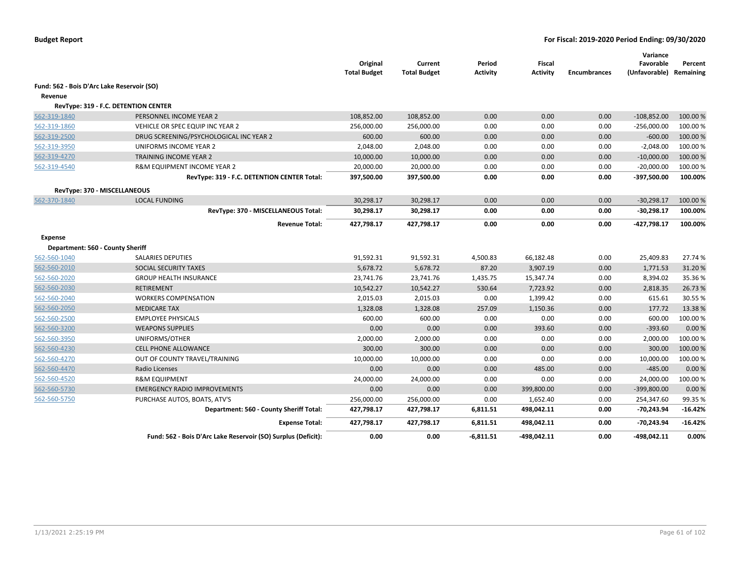|                                            |                                                               | Original<br><b>Total Budget</b> | Current<br><b>Total Budget</b> | Period<br><b>Activity</b> | Fiscal<br><b>Activity</b> | <b>Encumbrances</b> | Variance<br>Favorable<br>(Unfavorable) Remaining | Percent   |
|--------------------------------------------|---------------------------------------------------------------|---------------------------------|--------------------------------|---------------------------|---------------------------|---------------------|--------------------------------------------------|-----------|
| Fund: 562 - Bois D'Arc Lake Reservoir (SO) |                                                               |                                 |                                |                           |                           |                     |                                                  |           |
| Revenue                                    |                                                               |                                 |                                |                           |                           |                     |                                                  |           |
|                                            | RevType: 319 - F.C. DETENTION CENTER                          |                                 |                                |                           |                           |                     |                                                  |           |
| 562-319-1840                               | PERSONNEL INCOME YEAR 2                                       | 108,852.00                      | 108,852.00                     | 0.00                      | 0.00                      | 0.00                | $-108,852.00$                                    | 100.00 %  |
| 562-319-1860                               | VEHICLE OR SPEC EQUIP INC YEAR 2                              | 256,000.00                      | 256,000.00                     | 0.00                      | 0.00                      | 0.00                | $-256,000.00$                                    | 100.00 %  |
| 562-319-2500                               | DRUG SCREENING/PSYCHOLOGICAL INC YEAR 2                       | 600.00                          | 600.00                         | 0.00                      | 0.00                      | 0.00                | $-600.00$                                        | 100.00 %  |
| 562-319-3950                               | UNIFORMS INCOME YEAR 2                                        | 2,048.00                        | 2,048.00                       | 0.00                      | 0.00                      | 0.00                | $-2,048.00$                                      | 100.00%   |
| 562-319-4270                               | <b>TRAINING INCOME YEAR 2</b>                                 | 10,000.00                       | 10,000.00                      | 0.00                      | 0.00                      | 0.00                | $-10,000.00$                                     | 100.00 %  |
| 562-319-4540                               | R&M EQUIPMENT INCOME YEAR 2                                   | 20,000.00                       | 20,000.00                      | 0.00                      | 0.00                      | 0.00                | $-20,000.00$                                     | 100.00 %  |
|                                            | RevType: 319 - F.C. DETENTION CENTER Total:                   | 397,500.00                      | 397,500.00                     | 0.00                      | 0.00                      | 0.00                | -397,500.00                                      | 100.00%   |
|                                            | RevType: 370 - MISCELLANEOUS                                  |                                 |                                |                           |                           |                     |                                                  |           |
| 562-370-1840                               | <b>LOCAL FUNDING</b>                                          | 30,298.17                       | 30,298.17                      | 0.00                      | 0.00                      | 0.00                | $-30,298.17$                                     | 100.00 %  |
|                                            | RevType: 370 - MISCELLANEOUS Total:                           | 30,298.17                       | 30,298.17                      | 0.00                      | 0.00                      | 0.00                | $-30,298.17$                                     | 100.00%   |
|                                            | <b>Revenue Total:</b>                                         | 427,798.17                      | 427,798.17                     | 0.00                      | 0.00                      | 0.00                | -427,798.17                                      | 100.00%   |
| <b>Expense</b>                             |                                                               |                                 |                                |                           |                           |                     |                                                  |           |
| Department: 560 - County Sheriff           |                                                               |                                 |                                |                           |                           |                     |                                                  |           |
| 562-560-1040                               | <b>SALARIES DEPUTIES</b>                                      | 91,592.31                       | 91,592.31                      | 4,500.83                  | 66,182.48                 | 0.00                | 25,409.83                                        | 27.74 %   |
| 562-560-2010                               | SOCIAL SECURITY TAXES                                         | 5,678.72                        | 5,678.72                       | 87.20                     | 3,907.19                  | 0.00                | 1,771.53                                         | 31.20%    |
| 562-560-2020                               | <b>GROUP HEALTH INSURANCE</b>                                 | 23,741.76                       | 23,741.76                      | 1,435.75                  | 15,347.74                 | 0.00                | 8,394.02                                         | 35.36%    |
| 562-560-2030                               | RETIREMENT                                                    | 10,542.27                       | 10,542.27                      | 530.64                    | 7,723.92                  | 0.00                | 2,818.35                                         | 26.73%    |
| 562-560-2040                               | <b>WORKERS COMPENSATION</b>                                   | 2,015.03                        | 2,015.03                       | 0.00                      | 1,399.42                  | 0.00                | 615.61                                           | 30.55 %   |
| 562-560-2050                               | <b>MEDICARE TAX</b>                                           | 1,328.08                        | 1,328.08                       | 257.09                    | 1,150.36                  | 0.00                | 177.72                                           | 13.38%    |
| 562-560-2500                               | <b>EMPLOYEE PHYSICALS</b>                                     | 600.00                          | 600.00                         | 0.00                      | 0.00                      | 0.00                | 600.00                                           | 100.00 %  |
| 562-560-3200                               | <b>WEAPONS SUPPLIES</b>                                       | 0.00                            | 0.00                           | 0.00                      | 393.60                    | 0.00                | $-393.60$                                        | 0.00%     |
| 562-560-3950                               | UNIFORMS/OTHER                                                | 2,000.00                        | 2,000.00                       | 0.00                      | 0.00                      | 0.00                | 2,000.00                                         | 100.00 %  |
| 562-560-4230                               | <b>CELL PHONE ALLOWANCE</b>                                   | 300.00                          | 300.00                         | 0.00                      | 0.00                      | 0.00                | 300.00                                           | 100.00 %  |
| 562-560-4270                               | OUT OF COUNTY TRAVEL/TRAINING                                 | 10,000.00                       | 10,000.00                      | 0.00                      | 0.00                      | 0.00                | 10,000.00                                        | 100.00 %  |
| 562-560-4470                               | Radio Licenses                                                | 0.00                            | 0.00                           | 0.00                      | 485.00                    | 0.00                | $-485.00$                                        | 0.00%     |
| 562-560-4520                               | <b>R&amp;M EQUIPMENT</b>                                      | 24,000.00                       | 24,000.00                      | 0.00                      | 0.00                      | 0.00                | 24,000.00                                        | 100.00 %  |
| 562-560-5730                               | <b>EMERGENCY RADIO IMPROVEMENTS</b>                           | 0.00                            | 0.00                           | 0.00                      | 399,800.00                | 0.00                | $-399,800.00$                                    | 0.00%     |
| 562-560-5750                               | PURCHASE AUTOS, BOATS, ATV'S                                  | 256,000.00                      | 256,000.00                     | 0.00                      | 1,652.40                  | 0.00                | 254,347.60                                       | 99.35 %   |
|                                            | Department: 560 - County Sheriff Total:                       | 427,798.17                      | 427,798.17                     | 6,811.51                  | 498,042.11                | 0.00                | $-70,243.94$                                     | $-16.42%$ |
|                                            | <b>Expense Total:</b>                                         | 427,798.17                      | 427,798.17                     | 6,811.51                  | 498,042.11                | 0.00                | $-70,243.94$                                     | $-16.42%$ |
|                                            | Fund: 562 - Bois D'Arc Lake Reservoir (SO) Surplus (Deficit): | 0.00                            | 0.00                           | $-6,811.51$               | $-498,042.11$             | 0.00                | -498,042.11                                      | 0.00%     |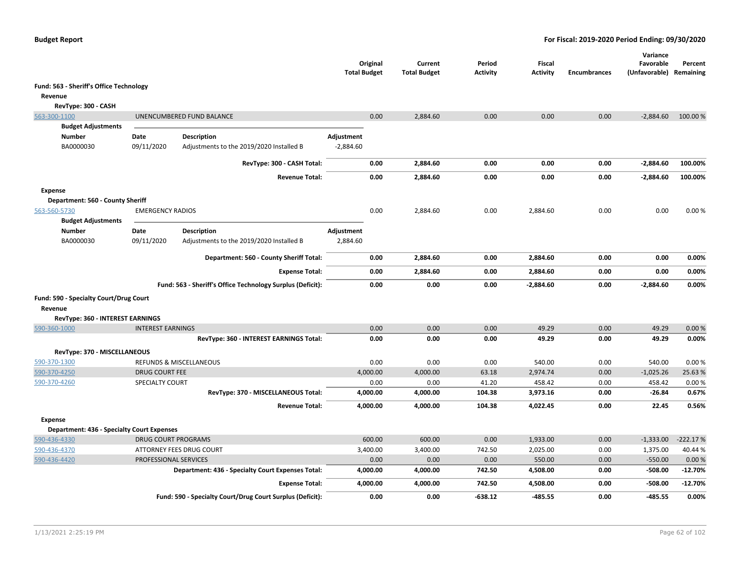|                                                                     |                          |                                                            | Original<br><b>Total Budget</b> | Current<br><b>Total Budget</b> | Period<br><b>Activity</b> | Fiscal<br><b>Activity</b> | <b>Encumbrances</b> | Variance<br>Favorable<br>(Unfavorable) Remaining | Percent        |
|---------------------------------------------------------------------|--------------------------|------------------------------------------------------------|---------------------------------|--------------------------------|---------------------------|---------------------------|---------------------|--------------------------------------------------|----------------|
| Fund: 563 - Sheriff's Office Technology                             |                          |                                                            |                                 |                                |                           |                           |                     |                                                  |                |
| Revenue                                                             |                          |                                                            |                                 |                                |                           |                           |                     |                                                  |                |
| RevType: 300 - CASH                                                 |                          |                                                            |                                 |                                |                           |                           |                     |                                                  |                |
| 563-300-1100                                                        |                          | UNENCUMBERED FUND BALANCE                                  | 0.00                            | 2,884.60                       | 0.00                      | 0.00                      | 0.00                | $-2,884.60$                                      | 100.00 %       |
| <b>Budget Adjustments</b>                                           |                          |                                                            |                                 |                                |                           |                           |                     |                                                  |                |
| <b>Number</b>                                                       | Date                     | <b>Description</b>                                         | Adjustment                      |                                |                           |                           |                     |                                                  |                |
| BA0000030                                                           | 09/11/2020               | Adjustments to the 2019/2020 Installed B                   | $-2,884.60$                     |                                |                           |                           |                     |                                                  |                |
|                                                                     |                          | RevType: 300 - CASH Total:                                 | 0.00                            | 2,884.60                       | 0.00                      | 0.00                      | 0.00                | $-2,884.60$                                      | 100.00%        |
|                                                                     |                          | <b>Revenue Total:</b>                                      | 0.00                            | 2,884.60                       | 0.00                      | 0.00                      | 0.00                | $-2,884.60$                                      | 100.00%        |
| <b>Expense</b>                                                      |                          |                                                            |                                 |                                |                           |                           |                     |                                                  |                |
| Department: 560 - County Sheriff                                    |                          |                                                            |                                 |                                |                           |                           |                     |                                                  |                |
| 563-560-5730<br><b>Budget Adjustments</b>                           | <b>EMERGENCY RADIOS</b>  |                                                            | 0.00                            | 2,884.60                       | 0.00                      | 2,884.60                  | 0.00                | 0.00                                             | 0.00%          |
| <b>Number</b>                                                       | Date                     | <b>Description</b>                                         | Adjustment                      |                                |                           |                           |                     |                                                  |                |
| BA0000030                                                           | 09/11/2020               | Adjustments to the 2019/2020 Installed B                   | 2,884.60                        |                                |                           |                           |                     |                                                  |                |
|                                                                     |                          | Department: 560 - County Sheriff Total:                    | 0.00                            | 2,884.60                       | 0.00                      | 2,884.60                  | 0.00                | 0.00                                             | 0.00%          |
|                                                                     |                          | <b>Expense Total:</b>                                      | 0.00                            | 2,884.60                       | 0.00                      | 2,884.60                  | 0.00                | 0.00                                             | 0.00%          |
|                                                                     |                          | Fund: 563 - Sheriff's Office Technology Surplus (Deficit): | 0.00                            | 0.00                           | 0.00                      | $-2,884.60$               | 0.00                | $-2,884.60$                                      | $0.00\%$       |
| Fund: 590 - Specialty Court/Drug Court                              |                          |                                                            |                                 |                                |                           |                           |                     |                                                  |                |
| Revenue                                                             |                          |                                                            |                                 |                                |                           |                           |                     |                                                  |                |
| RevType: 360 - INTEREST EARNINGS                                    |                          |                                                            |                                 |                                |                           |                           |                     |                                                  |                |
| 590-360-1000                                                        | <b>INTEREST EARNINGS</b> |                                                            | 0.00                            | 0.00                           | 0.00                      | 49.29                     | 0.00                | 49.29                                            | 0.00 %         |
|                                                                     |                          | RevType: 360 - INTEREST EARNINGS Total:                    | 0.00                            | 0.00                           | 0.00                      | 49.29                     | 0.00                | 49.29                                            | 0.00%          |
| RevType: 370 - MISCELLANEOUS                                        |                          |                                                            |                                 |                                |                           |                           |                     |                                                  |                |
| 590-370-1300                                                        |                          | REFUNDS & MISCELLANEOUS                                    | 0.00                            | 0.00                           | 0.00                      | 540.00                    | 0.00                | 540.00                                           | 0.00%          |
| 590-370-4250                                                        | <b>DRUG COURT FEE</b>    |                                                            | 4,000.00                        | 4,000.00                       | 63.18                     | 2,974.74                  | 0.00                | $-1,025.26$                                      | 25.63%         |
| 590-370-4260                                                        | <b>SPECIALTY COURT</b>   | RevType: 370 - MISCELLANEOUS Total:                        | 0.00<br>4,000.00                | 0.00<br>4,000.00               | 41.20<br>104.38           | 458.42<br>3,973.16        | 0.00<br>0.00        | 458.42<br>$-26.84$                               | 0.00%<br>0.67% |
|                                                                     |                          | <b>Revenue Total:</b>                                      | 4,000.00                        | 4,000.00                       | 104.38                    | 4,022.45                  | 0.00                | 22.45                                            | 0.56%          |
|                                                                     |                          |                                                            |                                 |                                |                           |                           |                     |                                                  |                |
| <b>Expense</b><br><b>Department: 436 - Specialty Court Expenses</b> |                          |                                                            |                                 |                                |                           |                           |                     |                                                  |                |
| 590-436-4330                                                        | DRUG COURT PROGRAMS      |                                                            | 600.00                          | 600.00                         | 0.00                      | 1,933.00                  | 0.00                | $-1,333.00$                                      | $-222.17%$     |
| 590-436-4370                                                        |                          | ATTORNEY FEES DRUG COURT                                   | 3,400.00                        | 3,400.00                       | 742.50                    | 2,025.00                  | 0.00                | 1,375.00                                         | 40.44 %        |
| 590-436-4420                                                        | PROFESSIONAL SERVICES    |                                                            | 0.00                            | 0.00                           | 0.00                      | 550.00                    | 0.00                | $-550.00$                                        | 0.00%          |
|                                                                     |                          | Department: 436 - Specialty Court Expenses Total:          | 4,000.00                        | 4,000.00                       | 742.50                    | 4,508.00                  | 0.00                | $-508.00$                                        | $-12.70%$      |
|                                                                     |                          | <b>Expense Total:</b>                                      | 4,000.00                        | 4,000.00                       | 742.50                    | 4,508.00                  | 0.00                | -508.00                                          | $-12.70%$      |
|                                                                     |                          | Fund: 590 - Specialty Court/Drug Court Surplus (Deficit):  | 0.00                            | 0.00                           | $-638.12$                 | $-485.55$                 | 0.00                | $-485.55$                                        | 0.00%          |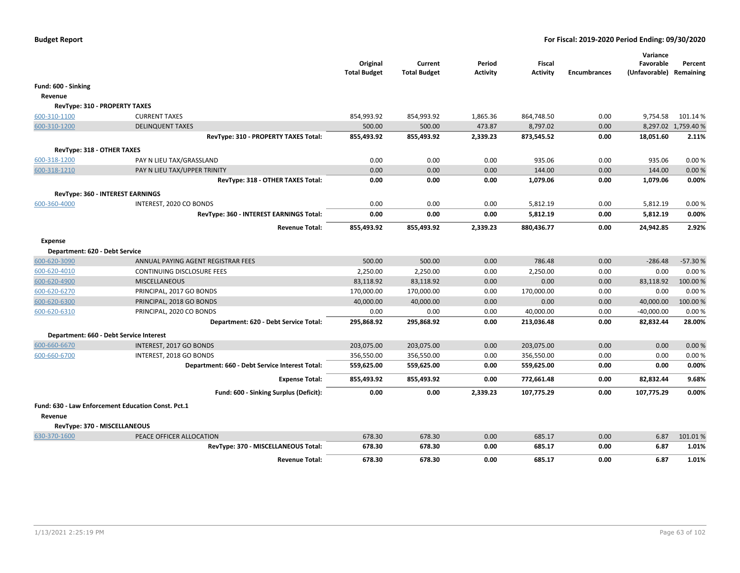|                                |                                                    | Original<br><b>Total Budget</b> | Current<br><b>Total Budget</b> | Period<br><b>Activity</b> | Fiscal<br><b>Activity</b> | <b>Encumbrances</b> | Variance<br>Favorable<br>(Unfavorable) Remaining | Percent             |
|--------------------------------|----------------------------------------------------|---------------------------------|--------------------------------|---------------------------|---------------------------|---------------------|--------------------------------------------------|---------------------|
| Fund: 600 - Sinking            |                                                    |                                 |                                |                           |                           |                     |                                                  |                     |
| Revenue                        |                                                    |                                 |                                |                           |                           |                     |                                                  |                     |
| RevType: 310 - PROPERTY TAXES  |                                                    |                                 |                                |                           |                           |                     |                                                  |                     |
| 600-310-1100                   | <b>CURRENT TAXES</b>                               | 854,993.92                      | 854,993.92                     | 1,865.36                  | 864,748.50                | 0.00                | 9,754.58                                         | 101.14%             |
| 600-310-1200                   | <b>DELINQUENT TAXES</b>                            | 500.00                          | 500.00                         | 473.87                    | 8,797.02                  | 0.00                |                                                  | 8,297.02 1,759.40 % |
|                                | RevType: 310 - PROPERTY TAXES Total:               | 855,493.92                      | 855,493.92                     | 2,339.23                  | 873,545.52                | 0.00                | 18,051.60                                        | 2.11%               |
| RevType: 318 - OTHER TAXES     |                                                    |                                 |                                |                           |                           |                     |                                                  |                     |
| 600-318-1200                   | PAY N LIEU TAX/GRASSLAND                           | 0.00                            | 0.00                           | 0.00                      | 935.06                    | 0.00                | 935.06                                           | 0.00%               |
| 600-318-1210                   | PAY N LIEU TAX/UPPER TRINITY                       | 0.00                            | 0.00                           | 0.00                      | 144.00                    | 0.00                | 144.00                                           | 0.00%               |
|                                | RevType: 318 - OTHER TAXES Total:                  | 0.00                            | 0.00                           | 0.00                      | 1,079.06                  | 0.00                | 1,079.06                                         | 0.00%               |
|                                |                                                    |                                 |                                |                           |                           |                     |                                                  |                     |
|                                | RevType: 360 - INTEREST EARNINGS                   |                                 |                                |                           |                           |                     |                                                  |                     |
| 600-360-4000                   | INTEREST, 2020 CO BONDS                            | 0.00                            | 0.00                           | 0.00                      | 5,812.19                  | 0.00                | 5,812.19                                         | 0.00%               |
|                                | RevType: 360 - INTEREST EARNINGS Total:            | 0.00                            | 0.00                           | 0.00                      | 5,812.19                  | 0.00                | 5,812.19                                         | 0.00%               |
|                                | <b>Revenue Total:</b>                              | 855,493.92                      | 855,493.92                     | 2,339.23                  | 880,436.77                | 0.00                | 24,942.85                                        | 2.92%               |
| <b>Expense</b>                 |                                                    |                                 |                                |                           |                           |                     |                                                  |                     |
| Department: 620 - Debt Service |                                                    |                                 |                                |                           |                           |                     |                                                  |                     |
| 600-620-3090                   | ANNUAL PAYING AGENT REGISTRAR FEES                 | 500.00                          | 500.00                         | 0.00                      | 786.48                    | 0.00                | $-286.48$                                        | $-57.30%$           |
| 600-620-4010                   | <b>CONTINUING DISCLOSURE FEES</b>                  | 2,250.00                        | 2,250.00                       | 0.00                      | 2,250.00                  | 0.00                | 0.00                                             | 0.00%               |
| 600-620-4900                   | <b>MISCELLANEOUS</b>                               | 83,118.92                       | 83,118.92                      | 0.00                      | 0.00                      | 0.00                | 83,118.92                                        | 100.00%             |
| 600-620-6270                   | PRINCIPAL, 2017 GO BONDS                           | 170,000.00                      | 170,000.00                     | 0.00                      | 170,000.00                | 0.00                | 0.00                                             | 0.00%               |
| 600-620-6300                   | PRINCIPAL, 2018 GO BONDS                           | 40,000.00                       | 40,000.00                      | 0.00                      | 0.00                      | 0.00                | 40,000.00                                        | 100.00%             |
| 600-620-6310                   | PRINCIPAL, 2020 CO BONDS                           | 0.00                            | 0.00                           | 0.00                      | 40,000.00                 | 0.00                | $-40,000.00$                                     | 0.00%               |
|                                | Department: 620 - Debt Service Total:              | 295,868.92                      | 295,868.92                     | 0.00                      | 213,036.48                | 0.00                | 82,832.44                                        | 28.00%              |
|                                | Department: 660 - Debt Service Interest            |                                 |                                |                           |                           |                     |                                                  |                     |
| 600-660-6670                   | INTEREST, 2017 GO BONDS                            | 203,075.00                      | 203,075.00                     | 0.00                      | 203,075.00                | 0.00                | 0.00                                             | 0.00 %              |
| 600-660-6700                   | INTEREST, 2018 GO BONDS                            | 356,550.00                      | 356,550.00                     | 0.00                      | 356,550.00                | 0.00                | 0.00                                             | 0.00%               |
|                                | Department: 660 - Debt Service Interest Total:     | 559,625.00                      | 559,625.00                     | 0.00                      | 559,625.00                | 0.00                | 0.00                                             | 0.00%               |
|                                | <b>Expense Total:</b>                              | 855,493.92                      | 855,493.92                     | 0.00                      | 772,661.48                | 0.00                | 82,832.44                                        | 9.68%               |
|                                | Fund: 600 - Sinking Surplus (Deficit):             | 0.00                            | 0.00                           | 2,339.23                  | 107,775.29                | 0.00                | 107,775.29                                       | 0.00%               |
|                                | Fund: 630 - Law Enforcement Education Const. Pct.1 |                                 |                                |                           |                           |                     |                                                  |                     |
| Revenue                        |                                                    |                                 |                                |                           |                           |                     |                                                  |                     |
| RevType: 370 - MISCELLANEOUS   |                                                    |                                 |                                |                           |                           |                     |                                                  |                     |
| 630-370-1600                   | PEACE OFFICER ALLOCATION                           | 678.30                          | 678.30                         | 0.00                      | 685.17                    | 0.00                | 6.87                                             | 101.01%             |
|                                | RevType: 370 - MISCELLANEOUS Total:                | 678.30                          | 678.30                         | 0.00                      | 685.17                    | 0.00                | 6.87                                             | 1.01%               |
|                                | <b>Revenue Total:</b>                              | 678.30                          | 678.30                         | 0.00                      | 685.17                    | 0.00                | 6.87                                             | 1.01%               |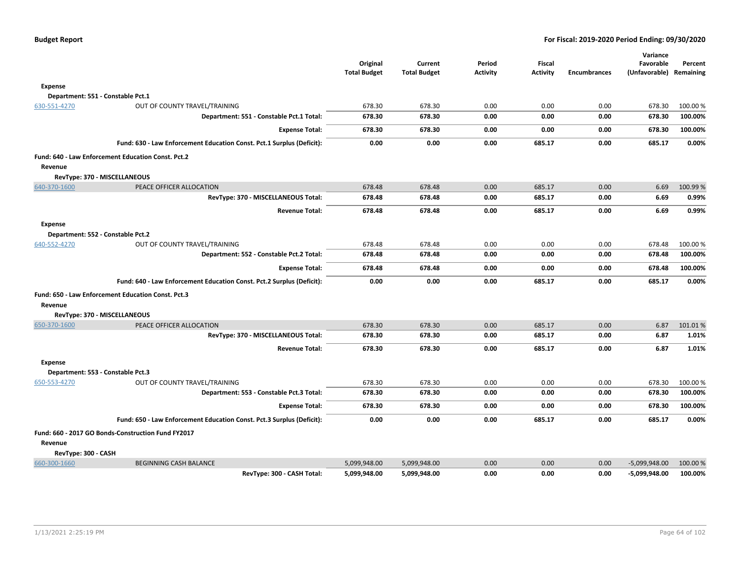|                     |                                                                       | Original            | Current             | Period          | <b>Fiscal</b>   |                     | Variance<br>Favorable | Percent   |
|---------------------|-----------------------------------------------------------------------|---------------------|---------------------|-----------------|-----------------|---------------------|-----------------------|-----------|
|                     |                                                                       | <b>Total Budget</b> | <b>Total Budget</b> | <b>Activity</b> | <b>Activity</b> | <b>Encumbrances</b> | (Unfavorable)         | Remaining |
| <b>Expense</b>      |                                                                       |                     |                     |                 |                 |                     |                       |           |
|                     | Department: 551 - Constable Pct.1                                     |                     |                     |                 |                 |                     |                       |           |
| 630-551-4270        | OUT OF COUNTY TRAVEL/TRAINING                                         | 678.30              | 678.30              | 0.00            | 0.00            | 0.00                | 678.30                | 100.00%   |
|                     | Department: 551 - Constable Pct.1 Total:                              | 678.30              | 678.30              | 0.00            | 0.00            | 0.00                | 678.30                | 100.00%   |
|                     | <b>Expense Total:</b>                                                 | 678.30              | 678.30              | 0.00            | 0.00            | 0.00                | 678.30                | 100.00%   |
|                     | Fund: 630 - Law Enforcement Education Const. Pct.1 Surplus (Deficit): | 0.00                | 0.00                | 0.00            | 685.17          | 0.00                | 685.17                | 0.00%     |
|                     | Fund: 640 - Law Enforcement Education Const. Pct.2                    |                     |                     |                 |                 |                     |                       |           |
| Revenue             |                                                                       |                     |                     |                 |                 |                     |                       |           |
|                     | RevType: 370 - MISCELLANEOUS                                          |                     |                     |                 |                 |                     |                       |           |
| 640-370-1600        | PEACE OFFICER ALLOCATION                                              | 678.48              | 678.48              | 0.00            | 685.17          | 0.00                | 6.69                  | 100.99%   |
|                     | RevType: 370 - MISCELLANEOUS Total:                                   | 678.48              | 678.48              | 0.00            | 685.17          | 0.00                | 6.69                  | 0.99%     |
|                     | <b>Revenue Total:</b>                                                 | 678.48              | 678.48              | 0.00            | 685.17          | 0.00                | 6.69                  | 0.99%     |
| <b>Expense</b>      |                                                                       |                     |                     |                 |                 |                     |                       |           |
|                     | Department: 552 - Constable Pct.2                                     |                     |                     |                 |                 |                     |                       |           |
| 640-552-4270        | OUT OF COUNTY TRAVEL/TRAINING                                         | 678.48              | 678.48              | 0.00            | 0.00            | 0.00                | 678.48                | 100.00 %  |
|                     | Department: 552 - Constable Pct.2 Total:                              | 678.48              | 678.48              | 0.00            | 0.00            | 0.00                | 678.48                | 100.00%   |
|                     | <b>Expense Total:</b>                                                 | 678.48              | 678.48              | 0.00            | 0.00            | 0.00                | 678.48                | 100.00%   |
|                     | Fund: 640 - Law Enforcement Education Const. Pct.2 Surplus (Deficit): | 0.00                | 0.00                | 0.00            | 685.17          | 0.00                | 685.17                | 0.00%     |
|                     | Fund: 650 - Law Enforcement Education Const. Pct.3                    |                     |                     |                 |                 |                     |                       |           |
| Revenue             |                                                                       |                     |                     |                 |                 |                     |                       |           |
|                     | RevType: 370 - MISCELLANEOUS                                          |                     |                     |                 |                 |                     |                       |           |
| 650-370-1600        | PEACE OFFICER ALLOCATION                                              | 678.30              | 678.30              | 0.00            | 685.17          | 0.00                | 6.87                  | 101.01%   |
|                     | RevType: 370 - MISCELLANEOUS Total:                                   | 678.30              | 678.30              | 0.00            | 685.17          | 0.00                | 6.87                  | 1.01%     |
|                     | <b>Revenue Total:</b>                                                 | 678.30              | 678.30              | 0.00            | 685.17          | 0.00                | 6.87                  | 1.01%     |
| <b>Expense</b>      |                                                                       |                     |                     |                 |                 |                     |                       |           |
|                     | Department: 553 - Constable Pct.3                                     |                     |                     |                 |                 |                     |                       |           |
| 650-553-4270        | OUT OF COUNTY TRAVEL/TRAINING                                         | 678.30              | 678.30              | 0.00            | 0.00            | 0.00                | 678.30                | 100.00%   |
|                     | Department: 553 - Constable Pct.3 Total:                              | 678.30              | 678.30              | 0.00            | 0.00            | 0.00                | 678.30                | 100.00%   |
|                     | <b>Expense Total:</b>                                                 | 678.30              | 678.30              | 0.00            | 0.00            | 0.00                | 678.30                | 100.00%   |
|                     | Fund: 650 - Law Enforcement Education Const. Pct.3 Surplus (Deficit): | 0.00                | 0.00                | 0.00            | 685.17          | 0.00                | 685.17                | 0.00%     |
|                     | Fund: 660 - 2017 GO Bonds-Construction Fund FY2017                    |                     |                     |                 |                 |                     |                       |           |
| Revenue             |                                                                       |                     |                     |                 |                 |                     |                       |           |
| RevType: 300 - CASH |                                                                       |                     |                     |                 |                 |                     |                       |           |
| 660-300-1660        | <b>BEGINNING CASH BALANCE</b>                                         | 5,099,948.00        | 5,099,948.00        | 0.00            | 0.00            | 0.00                | $-5,099,948.00$       | 100.00 %  |
|                     | RevTvpe: 300 - CASH Total:                                            | 5.099.948.00        | 5.099.948.00        | 0.00            | 0.00            | 0.00                | -5,099,948.00         | 100.00%   |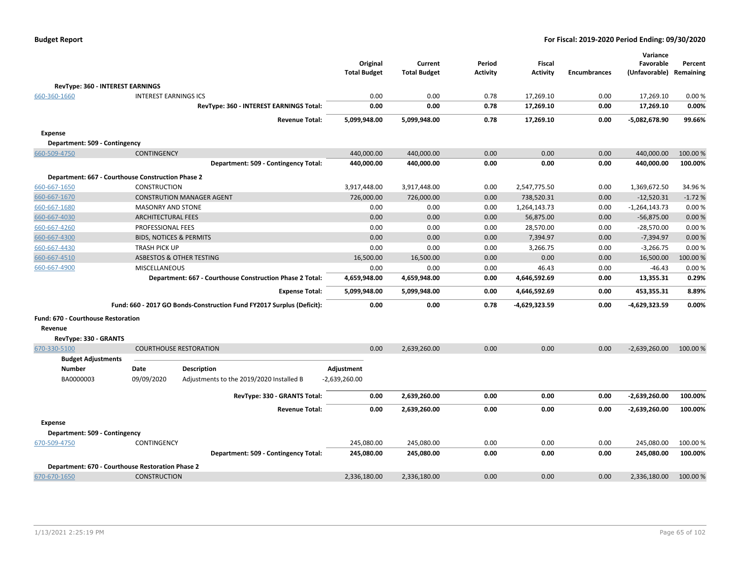| <b>Budget Report</b> |  |
|----------------------|--|
|----------------------|--|

|                                                   |                                    |                                                                       |                                 |                                |                           |                                  |                     | Variance                   |                      |
|---------------------------------------------------|------------------------------------|-----------------------------------------------------------------------|---------------------------------|--------------------------------|---------------------------|----------------------------------|---------------------|----------------------------|----------------------|
|                                                   |                                    |                                                                       | Original<br><b>Total Budget</b> | Current<br><b>Total Budget</b> | Period<br><b>Activity</b> | <b>Fiscal</b><br><b>Activity</b> | <b>Encumbrances</b> | Favorable<br>(Unfavorable) | Percent<br>Remaining |
|                                                   |                                    |                                                                       |                                 |                                |                           |                                  |                     |                            |                      |
| RevType: 360 - INTEREST EARNINGS                  |                                    |                                                                       |                                 |                                |                           |                                  |                     |                            |                      |
| 660-360-1660                                      | <b>INTEREST EARNINGS ICS</b>       |                                                                       | 0.00                            | 0.00                           | 0.78                      | 17,269.10                        | 0.00                | 17,269.10                  | 0.00%                |
|                                                   |                                    | RevType: 360 - INTEREST EARNINGS Total:                               | 0.00                            | 0.00                           | 0.78                      | 17,269.10                        | 0.00                | 17,269.10                  | 0.00%                |
|                                                   |                                    | <b>Revenue Total:</b>                                                 | 5,099,948.00                    | 5,099,948.00                   | 0.78                      | 17,269.10                        | 0.00                | -5,082,678.90              | 99.66%               |
| <b>Expense</b>                                    |                                    |                                                                       |                                 |                                |                           |                                  |                     |                            |                      |
| Department: 509 - Contingency                     |                                    |                                                                       |                                 |                                |                           |                                  |                     |                            |                      |
| 660-509-4750                                      | <b>CONTINGENCY</b>                 |                                                                       | 440,000.00                      | 440,000.00                     | 0.00                      | 0.00                             | 0.00                | 440,000.00                 | 100.00 %             |
|                                                   |                                    | Department: 509 - Contingency Total:                                  | 440,000.00                      | 440,000.00                     | 0.00                      | 0.00                             | 0.00                | 440,000.00                 | 100.00%              |
| Department: 667 - Courthouse Construction Phase 2 |                                    |                                                                       |                                 |                                |                           |                                  |                     |                            |                      |
| 660-667-1650                                      | <b>CONSTRUCTION</b>                |                                                                       | 3,917,448.00                    | 3,917,448.00                   | 0.00                      | 2,547,775.50                     | 0.00                | 1,369,672.50               | 34.96%               |
| 660-667-1670                                      |                                    | <b>CONSTRUTION MANAGER AGENT</b>                                      | 726,000.00                      | 726,000.00                     | 0.00                      | 738,520.31                       | 0.00                | $-12,520.31$               | $-1.72%$             |
| 660-667-1680                                      | <b>MASONRY AND STONE</b>           |                                                                       | 0.00                            | 0.00                           | 0.00                      | 1,264,143.73                     | 0.00                | $-1,264,143.73$            | 0.00%                |
| 660-667-4030                                      | <b>ARCHITECTURAL FEES</b>          |                                                                       | 0.00                            | 0.00                           | 0.00                      | 56,875.00                        | 0.00                | $-56,875.00$               | 0.00%                |
| 660-667-4260                                      | PROFESSIONAL FEES                  |                                                                       | 0.00                            | 0.00                           | 0.00                      | 28,570.00                        | 0.00                | $-28,570.00$               | 0.00%                |
| 660-667-4300                                      | <b>BIDS, NOTICES &amp; PERMITS</b> |                                                                       | 0.00                            | 0.00                           | 0.00                      | 7.394.97                         | 0.00                | $-7,394.97$                | 0.00%                |
| 660-667-4430                                      | <b>TRASH PICK UP</b>               |                                                                       | 0.00                            | 0.00                           | 0.00                      | 3,266.75                         | 0.00                | $-3,266.75$                | 0.00%                |
| 660-667-4510                                      |                                    | ASBESTOS & OTHER TESTING                                              | 16,500.00                       | 16,500.00                      | 0.00                      | 0.00                             | 0.00                | 16,500.00                  | 100.00%              |
| 660-667-4900                                      | MISCELLANEOUS                      |                                                                       | 0.00                            | 0.00                           | 0.00                      | 46.43                            | 0.00                | $-46.43$                   | 0.00%                |
|                                                   |                                    | Department: 667 - Courthouse Construction Phase 2 Total:              | 4,659,948.00                    | 4,659,948.00                   | 0.00                      | 4,646,592.69                     | 0.00                | 13,355.31                  | 0.29%                |
|                                                   |                                    | <b>Expense Total:</b>                                                 | 5,099,948.00                    | 5,099,948.00                   | 0.00                      | 4,646,592.69                     | 0.00                | 453,355.31                 | 8.89%                |
|                                                   |                                    | Fund: 660 - 2017 GO Bonds-Construction Fund FY2017 Surplus (Deficit): | 0.00                            | 0.00                           | 0.78                      | -4,629,323.59                    | 0.00                | -4,629,323.59              | 0.00%                |
| Fund: 670 - Courthouse Restoration                |                                    |                                                                       |                                 |                                |                           |                                  |                     |                            |                      |
| Revenue                                           |                                    |                                                                       |                                 |                                |                           |                                  |                     |                            |                      |
| RevType: 330 - GRANTS                             |                                    |                                                                       |                                 |                                |                           |                                  |                     |                            |                      |
| 670-330-5100                                      |                                    | <b>COURTHOUSE RESTORATION</b>                                         | 0.00                            | 2,639,260.00                   | 0.00                      | 0.00                             | 0.00                | $-2,639,260.00$            | 100.00%              |
| <b>Budget Adjustments</b>                         |                                    |                                                                       |                                 |                                |                           |                                  |                     |                            |                      |
| <b>Number</b>                                     | Date                               | <b>Description</b>                                                    | Adjustment                      |                                |                           |                                  |                     |                            |                      |
| BA0000003                                         | 09/09/2020                         | Adjustments to the 2019/2020 Installed B                              | $-2,639,260.00$                 |                                |                           |                                  |                     |                            |                      |
|                                                   |                                    | RevType: 330 - GRANTS Total:                                          | 0.00                            | 2,639,260.00                   | 0.00                      | 0.00                             | 0.00                | $-2,639,260.00$            | 100.00%              |
|                                                   |                                    | <b>Revenue Total:</b>                                                 | 0.00                            | 2,639,260.00                   | 0.00                      | 0.00                             | 0.00                | -2,639,260.00              | 100.00%              |
| <b>Expense</b>                                    |                                    |                                                                       |                                 |                                |                           |                                  |                     |                            |                      |
| Department: 509 - Contingency                     |                                    |                                                                       |                                 |                                |                           |                                  |                     |                            |                      |
| 670-509-4750                                      | CONTINGENCY                        |                                                                       | 245,080.00                      | 245,080.00                     | 0.00                      | 0.00                             | 0.00                | 245,080.00                 | 100.00 %             |
|                                                   |                                    | Department: 509 - Contingency Total:                                  | 245,080.00                      | 245,080.00                     | 0.00                      | 0.00                             | 0.00                | 245,080.00                 | 100.00%              |
| Department: 670 - Courthouse Restoration Phase 2  |                                    |                                                                       |                                 |                                |                           |                                  |                     |                            |                      |
| 670-670-1650                                      | <b>CONSTRUCTION</b>                |                                                                       | 2,336,180.00                    | 2,336,180.00                   | 0.00                      | 0.00                             | 0.00                | 2,336,180.00               | 100.00 %             |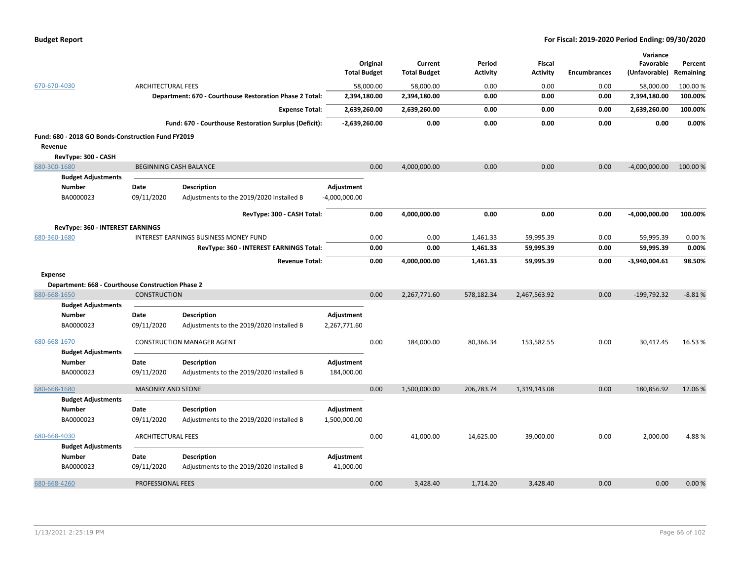|                                                    |                           |                                                         | <b>Total Budget</b> | Original  | Current<br><b>Total Budget</b> | Period<br><b>Activity</b> | <b>Fiscal</b><br><b>Activity</b> | <b>Encumbrances</b> | Variance<br>Favorable<br>(Unfavorable) | Percent<br>Remaining |
|----------------------------------------------------|---------------------------|---------------------------------------------------------|---------------------|-----------|--------------------------------|---------------------------|----------------------------------|---------------------|----------------------------------------|----------------------|
| 670-670-4030                                       | <b>ARCHITECTURAL FEES</b> |                                                         |                     | 58,000.00 | 58,000.00                      | 0.00                      | 0.00                             | 0.00                | 58,000.00                              | 100.00 %             |
|                                                    |                           | Department: 670 - Courthouse Restoration Phase 2 Total: | 2,394,180.00        |           | 2,394,180.00                   | 0.00                      | 0.00                             | 0.00                | 2,394,180.00                           | 100.00%              |
|                                                    |                           | <b>Expense Total:</b>                                   | 2,639,260.00        |           | 2,639,260.00                   | 0.00                      | 0.00                             | 0.00                | 2,639,260.00                           | 100.00%              |
|                                                    |                           | Fund: 670 - Courthouse Restoration Surplus (Deficit):   | $-2,639,260.00$     |           | 0.00                           | 0.00                      | 0.00                             | 0.00                | 0.00                                   | 0.00%                |
| Fund: 680 - 2018 GO Bonds-Construction Fund FY2019 |                           |                                                         |                     |           |                                |                           |                                  |                     |                                        |                      |
| Revenue                                            |                           |                                                         |                     |           |                                |                           |                                  |                     |                                        |                      |
| RevType: 300 - CASH                                |                           |                                                         |                     |           |                                |                           |                                  |                     |                                        |                      |
| 680-300-1680                                       |                           | <b>BEGINNING CASH BALANCE</b>                           |                     | 0.00      | 4,000,000.00                   | 0.00                      | 0.00                             | 0.00                | $-4,000,000.00$                        | 100.00 %             |
| <b>Budget Adjustments</b>                          |                           |                                                         |                     |           |                                |                           |                                  |                     |                                        |                      |
| <b>Number</b>                                      | Date                      | Description                                             | Adjustment          |           |                                |                           |                                  |                     |                                        |                      |
| BA0000023                                          | 09/11/2020                | Adjustments to the 2019/2020 Installed B                | -4,000,000.00       |           |                                |                           |                                  |                     |                                        |                      |
|                                                    |                           | RevType: 300 - CASH Total:                              |                     | 0.00      | 4,000,000.00                   | 0.00                      | 0.00                             | 0.00                | $-4,000,000.00$                        | 100.00%              |
|                                                    |                           |                                                         |                     |           |                                |                           |                                  |                     |                                        |                      |
| RevType: 360 - INTEREST EARNINGS                   |                           |                                                         |                     |           |                                |                           |                                  |                     |                                        |                      |
| 680-360-1680                                       |                           | INTEREST EARNINGS BUSINESS MONEY FUND                   |                     | 0.00      | 0.00                           | 1,461.33                  | 59,995.39                        | 0.00                | 59,995.39                              | 0.00%                |
|                                                    |                           | RevType: 360 - INTEREST EARNINGS Total:                 |                     | 0.00      | 0.00                           | 1,461.33                  | 59,995.39                        | 0.00                | 59,995.39                              | 0.00%                |
|                                                    |                           | <b>Revenue Total:</b>                                   |                     | 0.00      | 4,000,000.00                   | 1,461.33                  | 59,995.39                        | 0.00                | $-3,940,004.61$                        | 98.50%               |
| Expense                                            |                           |                                                         |                     |           |                                |                           |                                  |                     |                                        |                      |
| Department: 668 - Courthouse Construction Phase 2  |                           |                                                         |                     |           |                                |                           |                                  |                     |                                        |                      |
| 680-668-1650                                       | <b>CONSTRUCTION</b>       |                                                         |                     | 0.00      | 2,267,771.60                   | 578,182.34                | 2,467,563.92                     | 0.00                | $-199,792.32$                          | $-8.81%$             |
| <b>Budget Adjustments</b>                          |                           |                                                         |                     |           |                                |                           |                                  |                     |                                        |                      |
| <b>Number</b>                                      | Date                      | <b>Description</b>                                      | Adjustment          |           |                                |                           |                                  |                     |                                        |                      |
| BA0000023                                          | 09/11/2020                | Adjustments to the 2019/2020 Installed B                | 2,267,771.60        |           |                                |                           |                                  |                     |                                        |                      |
|                                                    |                           |                                                         |                     |           |                                |                           |                                  |                     |                                        |                      |
| 680-668-1670                                       |                           | <b>CONSTRUCTION MANAGER AGENT</b>                       |                     | 0.00      | 184,000.00                     | 80,366.34                 | 153,582.55                       | 0.00                | 30,417.45                              | 16.53 %              |
| <b>Budget Adjustments</b><br><b>Number</b>         | Date                      | Description                                             | Adjustment          |           |                                |                           |                                  |                     |                                        |                      |
| BA0000023                                          | 09/11/2020                | Adjustments to the 2019/2020 Installed B                | 184,000.00          |           |                                |                           |                                  |                     |                                        |                      |
|                                                    |                           |                                                         |                     |           |                                |                           |                                  |                     |                                        |                      |
| 680-668-1680                                       | <b>MASONRY AND STONE</b>  |                                                         |                     | 0.00      | 1,500,000.00                   | 206,783.74                | 1,319,143.08                     | 0.00                | 180,856.92                             | 12.06%               |
| <b>Budget Adjustments</b>                          |                           |                                                         |                     |           |                                |                           |                                  |                     |                                        |                      |
| <b>Number</b>                                      | Date                      | <b>Description</b>                                      | Adjustment          |           |                                |                           |                                  |                     |                                        |                      |
| BA0000023                                          | 09/11/2020                | Adjustments to the 2019/2020 Installed B                | 1,500,000.00        |           |                                |                           |                                  |                     |                                        |                      |
| 680-668-4030                                       | <b>ARCHITECTURAL FEES</b> |                                                         |                     | 0.00      | 41,000.00                      | 14,625.00                 | 39,000.00                        | 0.00                | 2,000.00                               | 4.88%                |
| <b>Budget Adjustments</b>                          |                           |                                                         |                     |           |                                |                           |                                  |                     |                                        |                      |
| <b>Number</b>                                      | Date                      | Description                                             | Adjustment          |           |                                |                           |                                  |                     |                                        |                      |
| BA0000023                                          | 09/11/2020                | Adjustments to the 2019/2020 Installed B                | 41,000.00           |           |                                |                           |                                  |                     |                                        |                      |
|                                                    |                           |                                                         |                     |           |                                |                           |                                  |                     |                                        |                      |
| 680-668-4260                                       | PROFESSIONAL FEES         |                                                         |                     | 0.00      | 3,428.40                       | 1,714.20                  | 3,428.40                         | 0.00                | 0.00                                   | 0.00%                |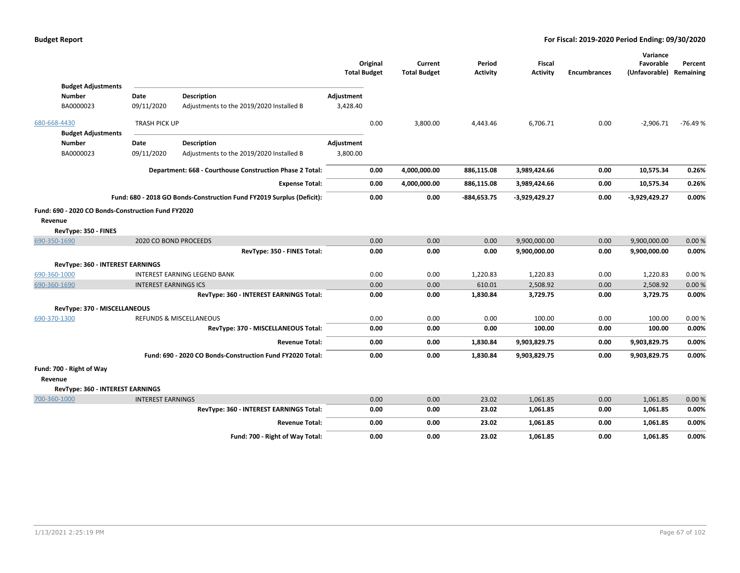|              |                                                                            |                              |                                                                       | <b>Total Budget</b>    | Original | Current<br><b>Total Budget</b> | Period<br><b>Activity</b> | Fiscal<br><b>Activity</b> | <b>Encumbrances</b> | Variance<br>Favorable<br>(Unfavorable) Remaining | Percent   |
|--------------|----------------------------------------------------------------------------|------------------------------|-----------------------------------------------------------------------|------------------------|----------|--------------------------------|---------------------------|---------------------------|---------------------|--------------------------------------------------|-----------|
|              | <b>Budget Adjustments</b><br><b>Number</b><br>BA0000023                    | Date<br>09/11/2020           | Description<br>Adjustments to the 2019/2020 Installed B               | Adjustment<br>3,428.40 |          |                                |                           |                           |                     |                                                  |           |
| 680-668-4430 | <b>Budget Adjustments</b>                                                  | <b>TRASH PICK UP</b>         |                                                                       |                        | 0.00     | 3,800.00                       | 4,443.46                  | 6,706.71                  | 0.00                | $-2,906.71$                                      | $-76.49%$ |
|              | <b>Number</b><br>BA0000023                                                 | Date<br>09/11/2020           | <b>Description</b><br>Adjustments to the 2019/2020 Installed B        | Adjustment<br>3,800.00 |          |                                |                           |                           |                     |                                                  |           |
|              |                                                                            |                              | Department: 668 - Courthouse Construction Phase 2 Total:              |                        |          | 4,000,000.00                   | 886,115.08                | 3,989,424.66              | 0.00                | 10,575.34                                        | 0.26%     |
|              |                                                                            |                              | <b>Expense Total:</b>                                                 |                        | 0.00     | 4,000,000.00                   | 886,115.08                | 3,989,424.66              | 0.00                | 10,575.34                                        | 0.26%     |
|              |                                                                            |                              | Fund: 680 - 2018 GO Bonds-Construction Fund FY2019 Surplus (Deficit): |                        | 0.00     | 0.00                           | $-884,653.75$             | $-3,929,429.27$           | 0.00                | -3,929,429.27                                    | 0.00%     |
| Revenue      | Fund: 690 - 2020 CO Bonds-Construction Fund FY2020<br>RevType: 350 - FINES |                              |                                                                       |                        |          |                                |                           |                           |                     |                                                  |           |
| 690-350-1690 |                                                                            | 2020 CO BOND PROCEEDS        |                                                                       |                        | 0.00     | 0.00                           | 0.00                      | 9,900,000.00              | 0.00                | 9,900,000.00                                     | 0.00%     |
|              |                                                                            |                              | RevType: 350 - FINES Total:                                           |                        | 0.00     | 0.00                           | 0.00                      | 9,900,000.00              | 0.00                | 9,900,000.00                                     | 0.00%     |
| 690-360-1000 | <b>RevType: 360 - INTEREST EARNINGS</b>                                    |                              | <b>INTEREST EARNING LEGEND BANK</b>                                   |                        | 0.00     | 0.00                           | 1,220.83                  | 1,220.83                  | 0.00                | 1,220.83                                         | 0.00%     |
| 690-360-1690 |                                                                            | <b>INTEREST EARNINGS ICS</b> |                                                                       |                        | 0.00     | 0.00                           | 610.01                    | 2,508.92                  | 0.00                | 2,508.92                                         | 0.00%     |
|              |                                                                            |                              | RevType: 360 - INTEREST EARNINGS Total:                               |                        | 0.00     | 0.00                           | 1,830.84                  | 3,729.75                  | 0.00                | 3,729.75                                         | 0.00%     |
|              | RevType: 370 - MISCELLANEOUS                                               |                              |                                                                       |                        |          |                                |                           |                           |                     |                                                  |           |
| 690-370-1300 |                                                                            |                              | <b>REFUNDS &amp; MISCELLANEOUS</b>                                    |                        | 0.00     | 0.00                           | 0.00                      | 100.00                    | 0.00                | 100.00                                           | 0.00%     |
|              |                                                                            |                              | RevType: 370 - MISCELLANEOUS Total:                                   |                        | 0.00     | 0.00                           | 0.00                      | 100.00                    | 0.00                | 100.00                                           | 0.00%     |
|              |                                                                            |                              | <b>Revenue Total:</b>                                                 |                        | 0.00     | 0.00                           | 1,830.84                  | 9,903,829.75              | 0.00                | 9,903,829.75                                     | 0.00%     |
|              |                                                                            |                              | Fund: 690 - 2020 CO Bonds-Construction Fund FY2020 Total:             |                        | 0.00     | 0.00                           | 1,830.84                  | 9,903,829.75              | 0.00                | 9,903,829.75                                     | 0.00%     |
| Revenue      | Fund: 700 - Right of Way<br>RevType: 360 - INTEREST EARNINGS               |                              |                                                                       |                        |          |                                |                           |                           |                     |                                                  |           |
| 700-360-1000 |                                                                            | <b>INTEREST EARNINGS</b>     |                                                                       |                        | 0.00     | 0.00                           | 23.02                     | 1,061.85                  | 0.00                | 1,061.85                                         | 0.00%     |
|              |                                                                            |                              | RevType: 360 - INTEREST EARNINGS Total:                               |                        | 0.00     | 0.00                           | 23.02                     | 1,061.85                  | 0.00                | 1,061.85                                         | 0.00%     |
|              |                                                                            |                              | <b>Revenue Total:</b>                                                 |                        | 0.00     | 0.00                           | 23.02                     | 1,061.85                  | 0.00                | 1,061.85                                         | 0.00%     |
|              |                                                                            |                              | Fund: 700 - Right of Way Total:                                       |                        | 0.00     | 0.00                           | 23.02                     | 1,061.85                  | 0.00                | 1,061.85                                         | 0.00%     |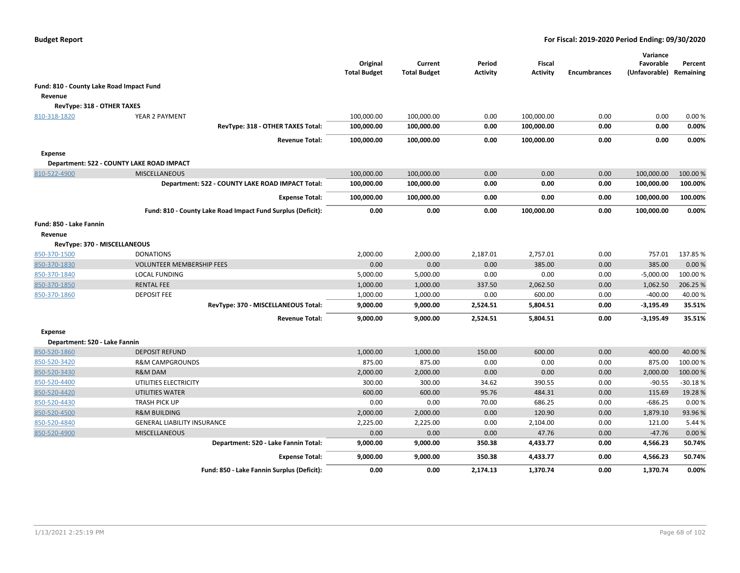|                                          |                                                             | Original<br><b>Total Budget</b> | Current<br><b>Total Budget</b> | Period<br><b>Activity</b> | Fiscal<br><b>Activity</b> | <b>Encumbrances</b> | Variance<br>Favorable<br>(Unfavorable) | Percent<br>Remaining |
|------------------------------------------|-------------------------------------------------------------|---------------------------------|--------------------------------|---------------------------|---------------------------|---------------------|----------------------------------------|----------------------|
| Fund: 810 - County Lake Road Impact Fund |                                                             |                                 |                                |                           |                           |                     |                                        |                      |
| Revenue                                  |                                                             |                                 |                                |                           |                           |                     |                                        |                      |
| RevType: 318 - OTHER TAXES               |                                                             |                                 |                                |                           |                           |                     |                                        |                      |
| 810-318-1820                             | YEAR 2 PAYMENT                                              | 100,000.00                      | 100,000.00                     | 0.00                      | 100,000.00                | 0.00                | 0.00                                   | 0.00%                |
|                                          | RevType: 318 - OTHER TAXES Total:                           | 100,000.00                      | 100,000.00                     | 0.00                      | 100,000.00                | 0.00                | 0.00                                   | 0.00%                |
|                                          | <b>Revenue Total:</b>                                       | 100,000.00                      | 100,000.00                     | 0.00                      | 100,000.00                | 0.00                | 0.00                                   | 0.00%                |
| <b>Expense</b>                           |                                                             |                                 |                                |                           |                           |                     |                                        |                      |
|                                          | Department: 522 - COUNTY LAKE ROAD IMPACT                   |                                 |                                |                           |                           |                     |                                        |                      |
| 810-522-4900                             | <b>MISCELLANEOUS</b>                                        | 100,000.00                      | 100,000.00                     | 0.00                      | 0.00                      | 0.00                | 100,000.00                             | 100.00 %             |
|                                          | Department: 522 - COUNTY LAKE ROAD IMPACT Total:            | 100,000.00                      | 100,000.00                     | 0.00                      | 0.00                      | 0.00                | 100,000.00                             | 100.00%              |
|                                          | <b>Expense Total:</b>                                       | 100,000.00                      | 100,000.00                     | 0.00                      | 0.00                      | 0.00                | 100,000.00                             | 100.00%              |
|                                          | Fund: 810 - County Lake Road Impact Fund Surplus (Deficit): | 0.00                            | 0.00                           | 0.00                      | 100,000.00                | 0.00                | 100,000.00                             | 0.00%                |
| Fund: 850 - Lake Fannin                  |                                                             |                                 |                                |                           |                           |                     |                                        |                      |
| Revenue                                  |                                                             |                                 |                                |                           |                           |                     |                                        |                      |
|                                          | RevType: 370 - MISCELLANEOUS                                |                                 |                                |                           |                           |                     |                                        |                      |
| 850-370-1500                             | <b>DONATIONS</b>                                            | 2,000.00                        | 2,000.00                       | 2,187.01                  | 2,757.01                  | 0.00                | 757.01                                 | 137.85%              |
| 850-370-1830                             | <b>VOLUNTEER MEMBERSHIP FEES</b>                            | 0.00                            | 0.00                           | 0.00                      | 385.00                    | 0.00                | 385.00                                 | 0.00%                |
| 850-370-1840                             | <b>LOCAL FUNDING</b>                                        | 5,000.00                        | 5,000.00                       | 0.00                      | 0.00                      | 0.00                | $-5,000.00$                            | 100.00%              |
| 850-370-1850                             | <b>RENTAL FEE</b>                                           | 1,000.00                        | 1,000.00                       | 337.50                    | 2,062.50                  | 0.00                | 1,062.50                               | 206.25 %             |
| 850-370-1860                             | <b>DEPOSIT FEE</b>                                          | 1,000.00                        | 1,000.00                       | 0.00                      | 600.00                    | 0.00                | $-400.00$                              | 40.00%               |
|                                          | RevType: 370 - MISCELLANEOUS Total:                         | 9,000.00                        | 9,000.00                       | 2,524.51                  | 5,804.51                  | 0.00                | $-3,195.49$                            | 35.51%               |
|                                          | <b>Revenue Total:</b>                                       | 9,000.00                        | 9,000.00                       | 2,524.51                  | 5,804.51                  | 0.00                | $-3,195.49$                            | 35.51%               |
| <b>Expense</b>                           |                                                             |                                 |                                |                           |                           |                     |                                        |                      |
| Department: 520 - Lake Fannin            |                                                             |                                 |                                |                           |                           |                     |                                        |                      |
| 850-520-1860                             | <b>DEPOSIT REFUND</b>                                       | 1,000.00                        | 1,000.00                       | 150.00                    | 600.00                    | 0.00                | 400.00                                 | 40.00%               |
| 850-520-3420                             | <b>R&amp;M CAMPGROUNDS</b>                                  | 875.00                          | 875.00                         | 0.00                      | 0.00                      | 0.00                | 875.00                                 | 100.00 %             |
| 850-520-3430                             | R&M DAM                                                     | 2,000.00                        | 2,000.00                       | 0.00                      | 0.00                      | 0.00                | 2,000.00                               | 100.00 %             |
| 850-520-4400                             | UTILITIES ELECTRICITY                                       | 300.00                          | 300.00                         | 34.62                     | 390.55                    | 0.00                | $-90.55$                               | $-30.18%$            |
| 850-520-4420                             | UTILITIES WATER                                             | 600.00                          | 600.00                         | 95.76                     | 484.31                    | 0.00                | 115.69                                 | 19.28 %              |
| 850-520-4430                             | <b>TRASH PICK UP</b>                                        | 0.00                            | 0.00                           | 70.00                     | 686.25                    | 0.00                | $-686.25$                              | 0.00%                |
| 850-520-4500                             | <b>R&amp;M BUILDING</b>                                     | 2,000.00                        | 2,000.00                       | 0.00                      | 120.90                    | 0.00                | 1,879.10                               | 93.96%               |
| 850-520-4840                             | <b>GENERAL LIABILITY INSURANCE</b>                          | 2,225.00                        | 2,225.00                       | 0.00                      | 2,104.00                  | 0.00                | 121.00                                 | 5.44 %               |
| 850-520-4900                             | <b>MISCELLANEOUS</b>                                        | 0.00                            | 0.00                           | 0.00                      | 47.76                     | 0.00                | $-47.76$                               | 0.00%                |
|                                          | Department: 520 - Lake Fannin Total:                        | 9,000.00                        | 9,000.00                       | 350.38                    | 4,433.77                  | 0.00                | 4,566.23                               | 50.74%               |
|                                          | <b>Expense Total:</b>                                       | 9,000.00                        | 9,000.00                       | 350.38                    | 4,433.77                  | 0.00                | 4,566.23                               | 50.74%               |
|                                          | Fund: 850 - Lake Fannin Surplus (Deficit):                  | 0.00                            | 0.00                           | 2,174.13                  | 1,370.74                  | 0.00                | 1,370.74                               | 0.00%                |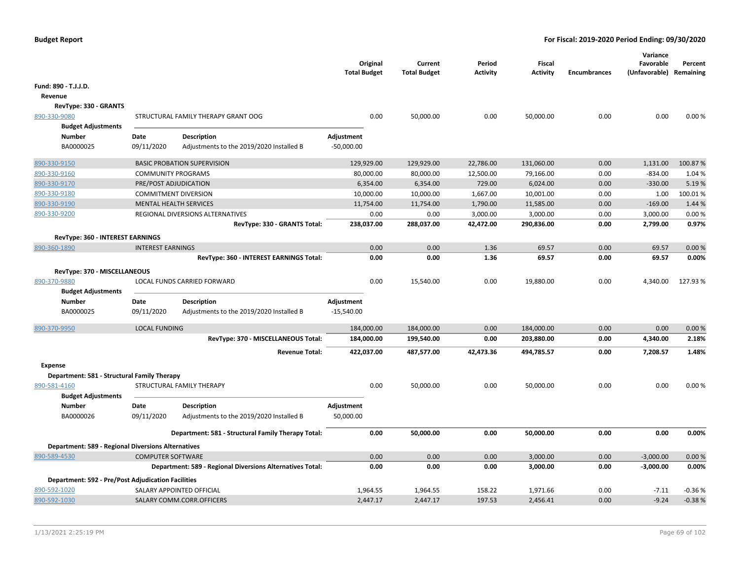|                                                           |                          |                                                           | Original<br><b>Total Budget</b> | Current<br><b>Total Budget</b> | Period<br><b>Activity</b> | <b>Fiscal</b><br><b>Activity</b> | <b>Encumbrances</b> | Variance<br>Favorable<br>(Unfavorable) Remaining | Percent  |
|-----------------------------------------------------------|--------------------------|-----------------------------------------------------------|---------------------------------|--------------------------------|---------------------------|----------------------------------|---------------------|--------------------------------------------------|----------|
| Fund: 890 - T.J.J.D.                                      |                          |                                                           |                                 |                                |                           |                                  |                     |                                                  |          |
| Revenue                                                   |                          |                                                           |                                 |                                |                           |                                  |                     |                                                  |          |
| RevType: 330 - GRANTS                                     |                          |                                                           |                                 |                                |                           |                                  |                     |                                                  |          |
| 890-330-9080                                              |                          | STRUCTURAL FAMILY THERAPY GRANT OOG                       | 0.00                            | 50,000.00                      | 0.00                      | 50,000.00                        | 0.00                | 0.00                                             | 0.00%    |
| <b>Budget Adjustments</b>                                 |                          |                                                           |                                 |                                |                           |                                  |                     |                                                  |          |
| <b>Number</b>                                             | Date                     | Description                                               | Adjustment                      |                                |                           |                                  |                     |                                                  |          |
| BA0000025                                                 | 09/11/2020               | Adjustments to the 2019/2020 Installed B                  | $-50,000.00$                    |                                |                           |                                  |                     |                                                  |          |
| 890-330-9150                                              |                          | <b>BASIC PROBATION SUPERVISION</b>                        | 129,929.00                      | 129,929.00                     | 22,786.00                 | 131,060.00                       | 0.00                | 1,131.00                                         | 100.87%  |
| 890-330-9160                                              |                          | <b>COMMUNITY PROGRAMS</b>                                 | 80,000.00                       | 80,000.00                      | 12,500.00                 | 79,166.00                        | 0.00                | $-834.00$                                        | 1.04 %   |
| 890-330-9170                                              |                          | PRE/POST ADJUDICATION                                     | 6,354.00                        | 6,354.00                       | 729.00                    | 6,024.00                         | 0.00                | $-330.00$                                        | 5.19%    |
| 890-330-9180                                              |                          | <b>COMMITMENT DIVERSION</b>                               | 10,000.00                       | 10,000.00                      | 1,667.00                  | 10,001.00                        | 0.00                | 1.00                                             | 100.01%  |
| 890-330-9190                                              |                          | <b>MENTAL HEALTH SERVICES</b>                             | 11,754.00                       | 11,754.00                      | 1,790.00                  | 11,585.00                        | 0.00                | $-169.00$                                        | 1.44 %   |
| 890-330-9200                                              |                          | REGIONAL DIVERSIONS ALTERNATIVES                          | 0.00                            | 0.00                           | 3,000.00                  | 3,000.00                         | 0.00                | 3,000.00                                         | 0.00%    |
|                                                           |                          | RevType: 330 - GRANTS Total:                              | 238,037.00                      | 288,037.00                     | 42,472.00                 | 290,836.00                       | 0.00                | 2,799.00                                         | 0.97%    |
| RevType: 360 - INTEREST EARNINGS                          |                          |                                                           |                                 |                                |                           |                                  |                     |                                                  |          |
| 890-360-1890                                              | <b>INTEREST EARNINGS</b> |                                                           | 0.00                            | 0.00                           | 1.36                      | 69.57                            | 0.00                | 69.57                                            | 0.00%    |
|                                                           |                          | RevType: 360 - INTEREST EARNINGS Total:                   | 0.00                            | 0.00                           | 1.36                      | 69.57                            | 0.00                | 69.57                                            | 0.00%    |
| RevType: 370 - MISCELLANEOUS                              |                          |                                                           |                                 |                                |                           |                                  |                     |                                                  |          |
| 890-370-9880                                              |                          | LOCAL FUNDS CARRIED FORWARD                               | 0.00                            | 15,540.00                      | 0.00                      | 19,880.00                        | 0.00                | 4,340.00                                         | 127.93%  |
| <b>Budget Adjustments</b>                                 |                          |                                                           |                                 |                                |                           |                                  |                     |                                                  |          |
| <b>Number</b>                                             | Date                     | <b>Description</b>                                        | Adjustment                      |                                |                           |                                  |                     |                                                  |          |
| BA0000025                                                 | 09/11/2020               | Adjustments to the 2019/2020 Installed B                  | $-15,540.00$                    |                                |                           |                                  |                     |                                                  |          |
| 890-370-9950                                              | <b>LOCAL FUNDING</b>     |                                                           | 184,000.00                      | 184,000.00                     | 0.00                      | 184,000.00                       | 0.00                | 0.00                                             | 0.00%    |
|                                                           |                          | RevType: 370 - MISCELLANEOUS Total:                       | 184,000.00                      | 199,540.00                     | 0.00                      | 203,880.00                       | 0.00                | 4,340.00                                         | 2.18%    |
|                                                           |                          | <b>Revenue Total:</b>                                     | 422,037.00                      | 487,577.00                     | 42,473.36                 | 494,785.57                       | 0.00                | 7,208.57                                         | 1.48%    |
| <b>Expense</b>                                            |                          |                                                           |                                 |                                |                           |                                  |                     |                                                  |          |
| Department: 581 - Structural Family Therapy               |                          |                                                           |                                 |                                |                           |                                  |                     |                                                  |          |
| 890-581-4160                                              |                          | STRUCTURAL FAMILY THERAPY                                 | 0.00                            | 50,000.00                      | 0.00                      | 50,000.00                        | 0.00                | 0.00                                             | 0.00%    |
| <b>Budget Adjustments</b>                                 |                          |                                                           |                                 |                                |                           |                                  |                     |                                                  |          |
| <b>Number</b>                                             | Date                     | <b>Description</b>                                        | Adjustment                      |                                |                           |                                  |                     |                                                  |          |
| BA0000026                                                 | 09/11/2020               | Adjustments to the 2019/2020 Installed B                  | 50,000.00                       |                                |                           |                                  |                     |                                                  |          |
|                                                           |                          | Department: 581 - Structural Family Therapy Total:        | 0.00                            | 50,000.00                      | 0.00                      | 50,000.00                        | 0.00                | 0.00                                             | 0.00%    |
| <b>Department: 589 - Regional Diversions Alternatives</b> |                          |                                                           |                                 |                                |                           |                                  |                     |                                                  |          |
| 890-589-4530                                              | <b>COMPUTER SOFTWARE</b> |                                                           | 0.00                            | 0.00                           | 0.00                      | 3,000.00                         | 0.00                | $-3,000.00$                                      | 0.00%    |
|                                                           |                          | Department: 589 - Regional Diversions Alternatives Total: | 0.00                            | 0.00                           | 0.00                      | 3,000.00                         | 0.00                | $-3,000.00$                                      | 0.00%    |
| Department: 592 - Pre/Post Adjudication Facilities        |                          |                                                           |                                 |                                |                           |                                  |                     |                                                  |          |
| 890-592-1020                                              |                          | SALARY APPOINTED OFFICIAL                                 | 1,964.55                        | 1,964.55                       | 158.22                    | 1,971.66                         | 0.00                | $-7.11$                                          | $-0.36%$ |
| 890-592-1030                                              |                          | SALARY COMM.CORR.OFFICERS                                 | 2,447.17                        | 2,447.17                       | 197.53                    | 2,456.41                         | 0.00                | $-9.24$                                          | $-0.38%$ |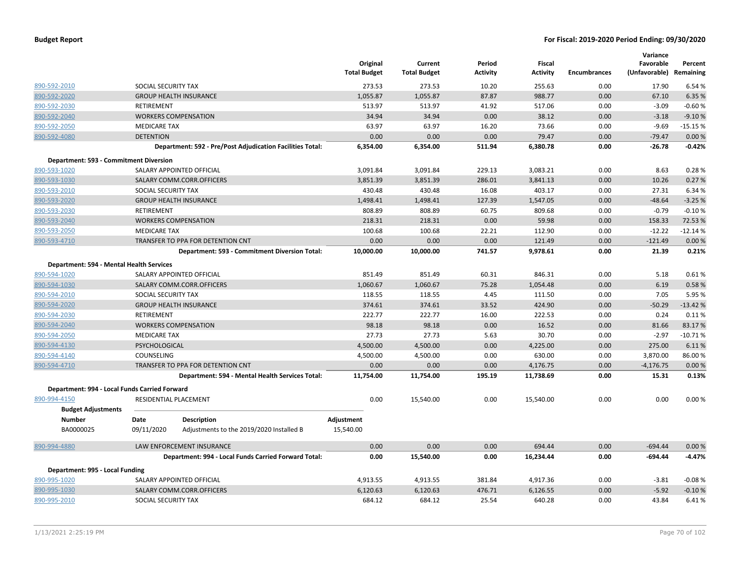|                                               |                       |                                                           | Original<br><b>Total Budget</b> | Current<br><b>Total Budget</b> | Period<br><b>Activity</b> | Fiscal<br><b>Activity</b> | <b>Encumbrances</b> | Variance<br>Favorable<br>(Unfavorable) Remaining | Percent   |
|-----------------------------------------------|-----------------------|-----------------------------------------------------------|---------------------------------|--------------------------------|---------------------------|---------------------------|---------------------|--------------------------------------------------|-----------|
| 890-592-2010                                  | SOCIAL SECURITY TAX   |                                                           | 273.53                          | 273.53                         | 10.20                     | 255.63                    | 0.00                | 17.90                                            | 6.54 %    |
| 890-592-2020                                  |                       | <b>GROUP HEALTH INSURANCE</b>                             | 1,055.87                        | 1,055.87                       | 87.87                     | 988.77                    | 0.00                | 67.10                                            | 6.35 %    |
| 890-592-2030                                  | <b>RETIREMENT</b>     |                                                           | 513.97                          | 513.97                         | 41.92                     | 517.06                    | 0.00                | $-3.09$                                          | $-0.60%$  |
| 890-592-2040                                  |                       | <b>WORKERS COMPENSATION</b>                               | 34.94                           | 34.94                          | 0.00                      | 38.12                     | 0.00                | $-3.18$                                          | $-9.10%$  |
| 890-592-2050                                  | <b>MEDICARE TAX</b>   |                                                           | 63.97                           | 63.97                          | 16.20                     | 73.66                     | 0.00                | $-9.69$                                          | $-15.15%$ |
| 890-592-4080                                  | <b>DETENTION</b>      |                                                           | 0.00                            | 0.00                           | 0.00                      | 79.47                     | 0.00                | $-79.47$                                         | 0.00%     |
|                                               |                       | Department: 592 - Pre/Post Adjudication Facilities Total: | 6,354.00                        | 6,354.00                       | 511.94                    | 6,380.78                  | 0.00                | $-26.78$                                         | $-0.42%$  |
| Department: 593 - Commitment Diversion        |                       |                                                           |                                 |                                |                           |                           |                     |                                                  |           |
| 890-593-1020                                  |                       | SALARY APPOINTED OFFICIAL                                 | 3,091.84                        | 3,091.84                       | 229.13                    | 3,083.21                  | 0.00                | 8.63                                             | 0.28%     |
| 890-593-1030                                  |                       | SALARY COMM.CORR.OFFICERS                                 | 3,851.39                        | 3,851.39                       | 286.01                    | 3,841.13                  | 0.00                | 10.26                                            | 0.27%     |
| 890-593-2010                                  | SOCIAL SECURITY TAX   |                                                           | 430.48                          | 430.48                         | 16.08                     | 403.17                    | 0.00                | 27.31                                            | 6.34%     |
| 890-593-2020                                  |                       | <b>GROUP HEALTH INSURANCE</b>                             | 1,498.41                        | 1,498.41                       | 127.39                    | 1,547.05                  | 0.00                | $-48.64$                                         | $-3.25%$  |
| 890-593-2030                                  | RETIREMENT            |                                                           | 808.89                          | 808.89                         | 60.75                     | 809.68                    | 0.00                | $-0.79$                                          | $-0.10%$  |
| 890-593-2040                                  |                       | <b>WORKERS COMPENSATION</b>                               | 218.31                          | 218.31                         | 0.00                      | 59.98                     | 0.00                | 158.33                                           | 72.53 %   |
| 890-593-2050                                  | <b>MEDICARE TAX</b>   |                                                           | 100.68                          | 100.68                         | 22.21                     | 112.90                    | 0.00                | $-12.22$                                         | $-12.14%$ |
| 890-593-4710                                  |                       | TRANSFER TO PPA FOR DETENTION CNT                         | 0.00                            | 0.00                           | 0.00                      | 121.49                    | 0.00                | $-121.49$                                        | 0.00%     |
|                                               |                       | Department: 593 - Commitment Diversion Total:             | 10,000.00                       | 10,000.00                      | 741.57                    | 9,978.61                  | 0.00                | 21.39                                            | 0.21%     |
| Department: 594 - Mental Health Services      |                       |                                                           |                                 |                                |                           |                           |                     |                                                  |           |
| 890-594-1020                                  |                       | SALARY APPOINTED OFFICIAL                                 | 851.49                          | 851.49                         | 60.31                     | 846.31                    | 0.00                | 5.18                                             | 0.61%     |
| 890-594-1030                                  |                       | SALARY COMM.CORR.OFFICERS                                 | 1,060.67                        | 1,060.67                       | 75.28                     | 1,054.48                  | 0.00                | 6.19                                             | 0.58%     |
| 890-594-2010                                  | SOCIAL SECURITY TAX   |                                                           | 118.55                          | 118.55                         | 4.45                      | 111.50                    | 0.00                | 7.05                                             | 5.95 %    |
| 890-594-2020                                  |                       | <b>GROUP HEALTH INSURANCE</b>                             | 374.61                          | 374.61                         | 33.52                     | 424.90                    | 0.00                | $-50.29$                                         | $-13.42%$ |
| 890-594-2030                                  | RETIREMENT            |                                                           | 222.77                          | 222.77                         | 16.00                     | 222.53                    | 0.00                | 0.24                                             | 0.11%     |
| 890-594-2040                                  |                       | <b>WORKERS COMPENSATION</b>                               | 98.18                           | 98.18                          | 0.00                      | 16.52                     | 0.00                | 81.66                                            | 83.17%    |
| 890-594-2050                                  | <b>MEDICARE TAX</b>   |                                                           | 27.73                           | 27.73                          | 5.63                      | 30.70                     | 0.00                | $-2.97$                                          | $-10.71%$ |
| 890-594-4130                                  | PSYCHOLOGICAL         |                                                           | 4,500.00                        | 4,500.00                       | 0.00                      | 4,225.00                  | 0.00                | 275.00                                           | 6.11%     |
| 890-594-4140                                  | COUNSELING            |                                                           | 4,500.00                        | 4,500.00                       | 0.00                      | 630.00                    | 0.00                | 3,870.00                                         | 86.00%    |
| 890-594-4710                                  |                       | TRANSFER TO PPA FOR DETENTION CNT                         | 0.00                            | 0.00                           | 0.00                      | 4,176.75                  | 0.00                | $-4,176.75$                                      | 0.00%     |
|                                               |                       | Department: 594 - Mental Health Services Total:           | 11,754.00                       | 11,754.00                      | 195.19                    | 11,738.69                 | 0.00                | 15.31                                            | 0.13%     |
| Department: 994 - Local Funds Carried Forward |                       |                                                           |                                 |                                |                           |                           |                     |                                                  |           |
| 890-994-4150                                  | RESIDENTIAL PLACEMENT |                                                           | 0.00                            | 15,540.00                      | 0.00                      | 15,540.00                 | 0.00                | 0.00                                             | 0.00%     |
| <b>Budget Adjustments</b>                     |                       |                                                           |                                 |                                |                           |                           |                     |                                                  |           |
| <b>Number</b>                                 | Date                  | <b>Description</b>                                        | Adjustment                      |                                |                           |                           |                     |                                                  |           |
| BA0000025                                     | 09/11/2020            | Adjustments to the 2019/2020 Installed B                  | 15,540.00                       |                                |                           |                           |                     |                                                  |           |
| 890-994-4880                                  |                       | LAW ENFORCEMENT INSURANCE                                 | 0.00                            | 0.00                           | 0.00                      | 694.44                    | 0.00                | $-694.44$                                        | 0.00%     |
|                                               |                       | Department: 994 - Local Funds Carried Forward Total:      | 0.00                            | 15,540.00                      | 0.00                      | 16,234.44                 | 0.00                | $-694.44$                                        | $-4.47%$  |
| Department: 995 - Local Funding               |                       |                                                           |                                 |                                |                           |                           |                     |                                                  |           |
| 890-995-1020                                  |                       | SALARY APPOINTED OFFICIAL                                 | 4,913.55                        | 4,913.55                       | 381.84                    | 4,917.36                  | 0.00                | $-3.81$                                          | $-0.08%$  |
| 890-995-1030                                  |                       | SALARY COMM.CORR.OFFICERS                                 | 6,120.63                        | 6,120.63                       | 476.71                    | 6,126.55                  | 0.00                | $-5.92$                                          | $-0.10%$  |
| 890-995-2010                                  | SOCIAL SECURITY TAX   |                                                           | 684.12                          | 684.12                         | 25.54                     | 640.28                    | 0.00                | 43.84                                            | 6.41%     |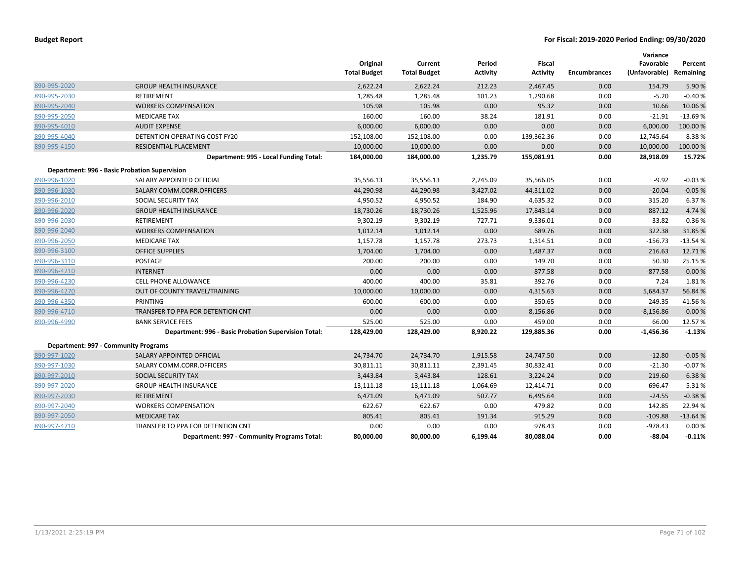|              |                                                      | Original<br><b>Total Budget</b> | Current<br><b>Total Budget</b> | Period<br><b>Activity</b> | <b>Fiscal</b><br><b>Activity</b> | <b>Encumbrances</b> | Variance<br>Favorable<br>(Unfavorable) Remaining | Percent   |
|--------------|------------------------------------------------------|---------------------------------|--------------------------------|---------------------------|----------------------------------|---------------------|--------------------------------------------------|-----------|
| 890-995-2020 | <b>GROUP HEALTH INSURANCE</b>                        | 2,622.24                        | 2,622.24                       | 212.23                    | 2,467.45                         | 0.00                | 154.79                                           | 5.90%     |
| 890-995-2030 | <b>RETIREMENT</b>                                    | 1,285.48                        | 1,285.48                       | 101.23                    | 1,290.68                         | 0.00                | $-5.20$                                          | $-0.40%$  |
| 890-995-2040 | <b>WORKERS COMPENSATION</b>                          | 105.98                          | 105.98                         | 0.00                      | 95.32                            | 0.00                | 10.66                                            | 10.06%    |
| 890-995-2050 | <b>MEDICARE TAX</b>                                  | 160.00                          | 160.00                         | 38.24                     | 181.91                           | 0.00                | $-21.91$                                         | $-13.69%$ |
| 890-995-4010 | <b>AUDIT EXPENSE</b>                                 | 6,000.00                        | 6,000.00                       | 0.00                      | 0.00                             | 0.00                | 6,000.00                                         | 100.00%   |
| 890-995-4040 | <b>DETENTION OPERATING COST FY20</b>                 | 152,108.00                      | 152,108.00                     | 0.00                      | 139,362.36                       | 0.00                | 12,745.64                                        | 8.38%     |
| 890-995-4150 | RESIDENTIAL PLACEMENT                                | 10,000.00                       | 10,000.00                      | 0.00                      | 0.00                             | 0.00                | 10,000.00                                        | 100.00%   |
|              | Department: 995 - Local Funding Total:               | 184,000.00                      | 184,000.00                     | 1,235.79                  | 155,081.91                       | 0.00                | 28,918.09                                        | 15.72%    |
|              | <b>Department: 996 - Basic Probation Supervision</b> |                                 |                                |                           |                                  |                     |                                                  |           |
| 890-996-1020 | SALARY APPOINTED OFFICIAL                            | 35,556.13                       | 35,556.13                      | 2,745.09                  | 35,566.05                        | 0.00                | $-9.92$                                          | $-0.03%$  |
| 890-996-1030 | SALARY COMM.CORR.OFFICERS                            | 44,290.98                       | 44,290.98                      | 3,427.02                  | 44,311.02                        | 0.00                | $-20.04$                                         | $-0.05%$  |
| 890-996-2010 | SOCIAL SECURITY TAX                                  | 4,950.52                        | 4,950.52                       | 184.90                    | 4,635.32                         | 0.00                | 315.20                                           | 6.37 %    |
| 890-996-2020 | <b>GROUP HEALTH INSURANCE</b>                        | 18,730.26                       | 18,730.26                      | 1,525.96                  | 17,843.14                        | 0.00                | 887.12                                           | 4.74 %    |
| 890-996-2030 | <b>RETIREMENT</b>                                    | 9,302.19                        | 9,302.19                       | 727.71                    | 9,336.01                         | 0.00                | $-33.82$                                         | $-0.36%$  |
| 890-996-2040 | <b>WORKERS COMPENSATION</b>                          | 1,012.14                        | 1,012.14                       | 0.00                      | 689.76                           | 0.00                | 322.38                                           | 31.85 %   |
| 890-996-2050 | <b>MEDICARE TAX</b>                                  | 1,157.78                        | 1,157.78                       | 273.73                    | 1,314.51                         | 0.00                | $-156.73$                                        | $-13.54%$ |
| 890-996-3100 | <b>OFFICE SUPPLIES</b>                               | 1,704.00                        | 1,704.00                       | 0.00                      | 1,487.37                         | 0.00                | 216.63                                           | 12.71%    |
| 890-996-3110 | POSTAGE                                              | 200.00                          | 200.00                         | 0.00                      | 149.70                           | 0.00                | 50.30                                            | 25.15 %   |
| 890-996-4210 | <b>INTERNET</b>                                      | 0.00                            | 0.00                           | 0.00                      | 877.58                           | 0.00                | $-877.58$                                        | 0.00%     |
| 890-996-4230 | <b>CELL PHONE ALLOWANCE</b>                          | 400.00                          | 400.00                         | 35.81                     | 392.76                           | 0.00                | 7.24                                             | 1.81%     |
| 890-996-4270 | OUT OF COUNTY TRAVEL/TRAINING                        | 10,000.00                       | 10,000.00                      | 0.00                      | 4,315.63                         | 0.00                | 5,684.37                                         | 56.84 %   |
| 890-996-4350 | <b>PRINTING</b>                                      | 600.00                          | 600.00                         | 0.00                      | 350.65                           | 0.00                | 249.35                                           | 41.56%    |
| 890-996-4710 | TRANSFER TO PPA FOR DETENTION CNT                    | 0.00                            | 0.00                           | 0.00                      | 8,156.86                         | 0.00                | $-8,156.86$                                      | 0.00%     |
| 890-996-4990 | <b>BANK SERVICE FEES</b>                             | 525.00                          | 525.00                         | 0.00                      | 459.00                           | 0.00                | 66.00                                            | 12.57%    |
|              | Department: 996 - Basic Probation Supervision Total: | 128,429.00                      | 128,429.00                     | 8,920.22                  | 129,885.36                       | 0.00                | -1,456.36                                        | $-1.13%$  |
|              | Department: 997 - Community Programs                 |                                 |                                |                           |                                  |                     |                                                  |           |
| 890-997-1020 | SALARY APPOINTED OFFICIAL                            | 24,734.70                       | 24,734.70                      | 1,915.58                  | 24,747.50                        | 0.00                | $-12.80$                                         | $-0.05%$  |
| 890-997-1030 | SALARY COMM.CORR.OFFICERS                            | 30,811.11                       | 30,811.11                      | 2,391.45                  | 30,832.41                        | 0.00                | $-21.30$                                         | $-0.07%$  |
| 890-997-2010 | SOCIAL SECURITY TAX                                  | 3,443.84                        | 3,443.84                       | 128.61                    | 3,224.24                         | 0.00                | 219.60                                           | 6.38%     |
| 890-997-2020 | <b>GROUP HEALTH INSURANCE</b>                        | 13,111.18                       | 13,111.18                      | 1,064.69                  | 12,414.71                        | 0.00                | 696.47                                           | 5.31%     |
| 890-997-2030 | <b>RETIREMENT</b>                                    | 6,471.09                        | 6,471.09                       | 507.77                    | 6,495.64                         | 0.00                | $-24.55$                                         | $-0.38%$  |
| 890-997-2040 | <b>WORKERS COMPENSATION</b>                          | 622.67                          | 622.67                         | 0.00                      | 479.82                           | 0.00                | 142.85                                           | 22.94 %   |
| 890-997-2050 | <b>MEDICARE TAX</b>                                  | 805.41                          | 805.41                         | 191.34                    | 915.29                           | 0.00                | $-109.88$                                        | $-13.64%$ |
| 890-997-4710 | <b>TRANSFER TO PPA FOR DETENTION CNT</b>             | 0.00                            | 0.00                           | 0.00                      | 978.43                           | 0.00                | $-978.43$                                        | 0.00%     |
|              | Department: 997 - Community Programs Total:          | 80,000.00                       | 80,000.00                      | 6,199.44                  | 80,088.04                        | 0.00                | $-88.04$                                         | $-0.11%$  |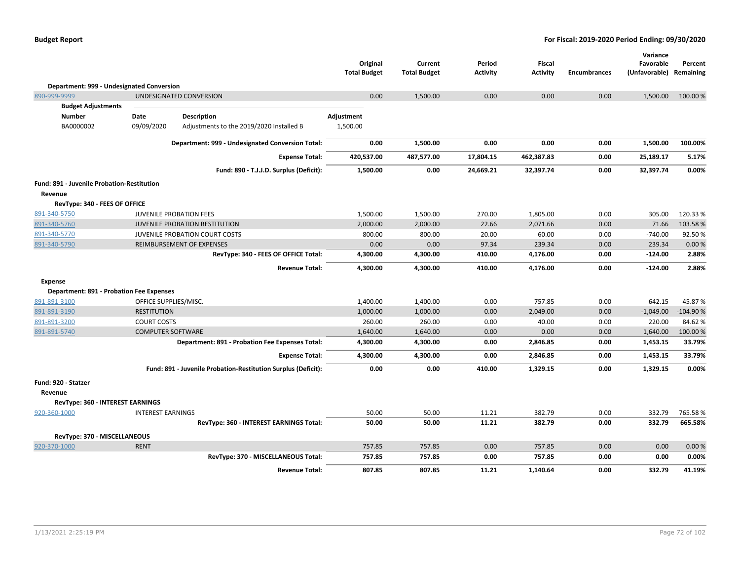|                                                   |                          |                                                               | Original<br><b>Total Budget</b> | Current<br><b>Total Budget</b> | Period<br><b>Activity</b> | Fiscal<br><b>Activity</b> | <b>Encumbrances</b> | Variance<br>Favorable<br>(Unfavorable) | Percent<br>Remaining |
|---------------------------------------------------|--------------------------|---------------------------------------------------------------|---------------------------------|--------------------------------|---------------------------|---------------------------|---------------------|----------------------------------------|----------------------|
| Department: 999 - Undesignated Conversion         |                          |                                                               |                                 |                                |                           |                           |                     |                                        |                      |
| 890-999-9999                                      |                          | UNDESIGNATED CONVERSION                                       | 0.00                            | 1,500.00                       | 0.00                      | 0.00                      | 0.00                | 1,500.00                               | 100.00 %             |
| <b>Budget Adjustments</b>                         |                          |                                                               |                                 |                                |                           |                           |                     |                                        |                      |
| <b>Number</b>                                     | Date                     | <b>Description</b>                                            | Adjustment                      |                                |                           |                           |                     |                                        |                      |
| BA0000002                                         | 09/09/2020               | Adjustments to the 2019/2020 Installed B                      | 1,500.00                        |                                |                           |                           |                     |                                        |                      |
|                                                   |                          | Department: 999 - Undesignated Conversion Total:              | 0.00                            | 1,500.00                       | 0.00                      | 0.00                      | 0.00                | 1,500.00                               | 100.00%              |
|                                                   |                          | <b>Expense Total:</b>                                         | 420,537.00                      | 487,577.00                     | 17,804.15                 | 462,387.83                | 0.00                | 25,189.17                              | 5.17%                |
|                                                   |                          | Fund: 890 - T.J.J.D. Surplus (Deficit):                       | 1,500.00                        | 0.00                           | 24,669.21                 | 32,397.74                 | 0.00                | 32,397.74                              | 0.00%                |
| <b>Fund: 891 - Juvenile Probation-Restitution</b> |                          |                                                               |                                 |                                |                           |                           |                     |                                        |                      |
| Revenue                                           |                          |                                                               |                                 |                                |                           |                           |                     |                                        |                      |
| RevType: 340 - FEES OF OFFICE                     |                          |                                                               |                                 |                                |                           |                           |                     |                                        |                      |
| 891-340-5750                                      |                          | JUVENILE PROBATION FEES                                       | 1,500.00                        | 1,500.00                       | 270.00                    | 1,805.00                  | 0.00                | 305.00                                 | 120.33%              |
| 891-340-5760                                      |                          | <b>JUVENILE PROBATION RESTITUTION</b>                         | 2,000.00                        | 2,000.00                       | 22.66                     | 2,071.66                  | 0.00                | 71.66                                  | 103.58%              |
| 891-340-5770                                      |                          | JUVENILE PROBATION COURT COSTS                                | 800.00                          | 800.00                         | 20.00                     | 60.00                     | 0.00                | $-740.00$                              | 92.50%               |
| 891-340-5790                                      |                          | REIMBURSEMENT OF EXPENSES                                     | 0.00                            | 0.00                           | 97.34                     | 239.34                    | 0.00                | 239.34                                 | 0.00 %               |
|                                                   |                          | RevType: 340 - FEES OF OFFICE Total:                          | 4,300.00                        | 4,300.00                       | 410.00                    | 4,176.00                  | 0.00                | $-124.00$                              | 2.88%                |
|                                                   |                          | <b>Revenue Total:</b>                                         | 4,300.00                        | 4,300.00                       | 410.00                    | 4,176.00                  | 0.00                | $-124.00$                              | 2.88%                |
| <b>Expense</b>                                    |                          |                                                               |                                 |                                |                           |                           |                     |                                        |                      |
| <b>Department: 891 - Probation Fee Expenses</b>   |                          |                                                               |                                 |                                |                           |                           |                     |                                        |                      |
| 891-891-3100                                      | OFFICE SUPPLIES/MISC.    |                                                               | 1,400.00                        | 1,400.00                       | 0.00                      | 757.85                    | 0.00                | 642.15                                 | 45.87%               |
| 891-891-3190                                      | <b>RESTITUTION</b>       |                                                               | 1,000.00                        | 1,000.00                       | 0.00                      | 2,049.00                  | 0.00                | $-1,049.00$                            | $-104.90%$           |
| 891-891-3200                                      | <b>COURT COSTS</b>       |                                                               | 260.00                          | 260.00                         | 0.00                      | 40.00                     | 0.00                | 220.00                                 | 84.62%               |
| 891-891-5740                                      | <b>COMPUTER SOFTWARE</b> |                                                               | 1,640.00                        | 1,640.00                       | 0.00                      | 0.00                      | 0.00                | 1,640.00                               | 100.00 %             |
|                                                   |                          | Department: 891 - Probation Fee Expenses Total:               | 4,300.00                        | 4,300.00                       | 0.00                      | 2,846.85                  | 0.00                | 1,453.15                               | 33.79%               |
|                                                   |                          | <b>Expense Total:</b>                                         | 4,300.00                        | 4,300.00                       | 0.00                      | 2,846.85                  | 0.00                | 1,453.15                               | 33.79%               |
|                                                   |                          | Fund: 891 - Juvenile Probation-Restitution Surplus (Deficit): | 0.00                            | 0.00                           | 410.00                    | 1,329.15                  | 0.00                | 1,329.15                               | 0.00%                |
| Fund: 920 - Statzer                               |                          |                                                               |                                 |                                |                           |                           |                     |                                        |                      |
| Revenue                                           |                          |                                                               |                                 |                                |                           |                           |                     |                                        |                      |
| RevType: 360 - INTEREST EARNINGS                  |                          |                                                               |                                 |                                |                           |                           |                     |                                        |                      |
| 920-360-1000                                      | <b>INTEREST EARNINGS</b> |                                                               | 50.00                           | 50.00                          | 11.21                     | 382.79                    | 0.00                | 332.79                                 | 765.58%              |
|                                                   |                          | RevType: 360 - INTEREST EARNINGS Total:                       | 50.00                           | 50.00                          | 11.21                     | 382.79                    | 0.00                | 332.79                                 | 665.58%              |
| RevType: 370 - MISCELLANEOUS                      |                          |                                                               |                                 |                                |                           |                           |                     |                                        |                      |
| 920-370-1000                                      | <b>RENT</b>              |                                                               | 757.85                          | 757.85                         | 0.00                      | 757.85                    | 0.00                | 0.00                                   | 0.00%                |
|                                                   |                          | RevType: 370 - MISCELLANEOUS Total:                           | 757.85                          | 757.85                         | 0.00                      | 757.85                    | 0.00                | 0.00                                   | 0.00%                |
|                                                   |                          | <b>Revenue Total:</b>                                         | 807.85                          | 807.85                         | 11.21                     | 1,140.64                  | 0.00                | 332.79                                 | 41.19%               |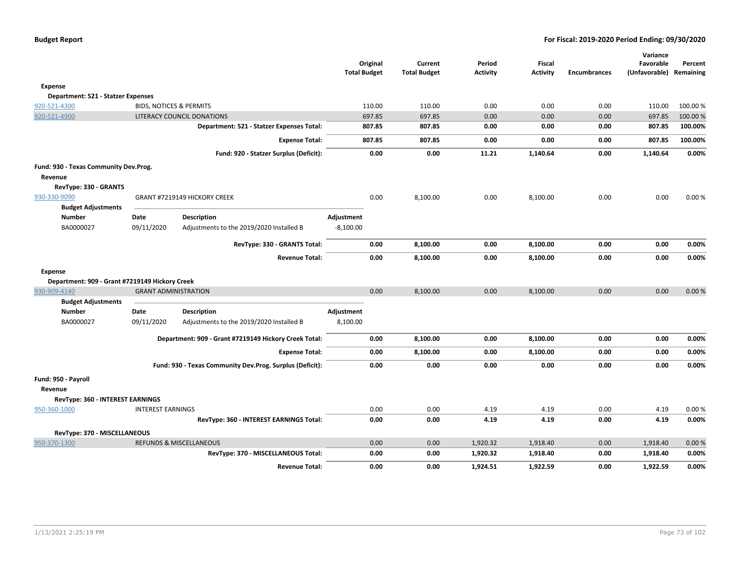|                                                |                             |                                                          | Original<br><b>Total Budget</b> | Current<br><b>Total Budget</b> | Period<br><b>Activity</b> | <b>Fiscal</b><br><b>Activity</b> | <b>Encumbrances</b> | Variance<br>Favorable<br>(Unfavorable) Remaining | Percent  |
|------------------------------------------------|-----------------------------|----------------------------------------------------------|---------------------------------|--------------------------------|---------------------------|----------------------------------|---------------------|--------------------------------------------------|----------|
| <b>Expense</b>                                 |                             |                                                          |                                 |                                |                           |                                  |                     |                                                  |          |
| Department: 521 - Statzer Expenses             |                             |                                                          |                                 |                                |                           |                                  |                     |                                                  |          |
| 920-521-4300                                   |                             | <b>BIDS, NOTICES &amp; PERMITS</b>                       | 110.00                          | 110.00                         | 0.00                      | 0.00                             | 0.00                | 110.00                                           | 100.00 % |
| 920-521-4900                                   |                             | LITERACY COUNCIL DONATIONS                               | 697.85                          | 697.85                         | 0.00                      | 0.00                             | 0.00                | 697.85                                           | 100.00 % |
|                                                |                             | Department: 521 - Statzer Expenses Total:                | 807.85                          | 807.85                         | 0.00                      | 0.00                             | 0.00                | 807.85                                           | 100.00%  |
|                                                |                             | <b>Expense Total:</b>                                    | 807.85                          | 807.85                         | 0.00                      | 0.00                             | 0.00                | 807.85                                           | 100.00%  |
|                                                |                             | Fund: 920 - Statzer Surplus (Deficit):                   |                                 | 0.00                           | 0.00<br>11.21             | 1,140.64                         | 0.00                | 1,140.64                                         | 0.00%    |
| Fund: 930 - Texas Community Dev.Prog.          |                             |                                                          |                                 |                                |                           |                                  |                     |                                                  |          |
| Revenue                                        |                             |                                                          |                                 |                                |                           |                                  |                     |                                                  |          |
| RevType: 330 - GRANTS                          |                             |                                                          |                                 |                                |                           |                                  |                     |                                                  |          |
| 930-330-9090                                   |                             | GRANT #7219149 HICKORY CREEK                             |                                 | 0.00<br>8,100.00               | 0.00                      | 8,100.00                         | 0.00                | 0.00                                             | 0.00%    |
| <b>Budget Adjustments</b>                      |                             |                                                          |                                 |                                |                           |                                  |                     |                                                  |          |
| <b>Number</b>                                  | Date                        | <b>Description</b>                                       | Adjustment                      |                                |                           |                                  |                     |                                                  |          |
| BA0000027                                      | 09/11/2020                  | Adjustments to the 2019/2020 Installed B                 | $-8,100.00$                     |                                |                           |                                  |                     |                                                  |          |
|                                                |                             | RevType: 330 - GRANTS Total:                             |                                 | 0.00<br>8,100.00               | 0.00                      | 8,100.00                         | 0.00                | 0.00                                             | 0.00%    |
|                                                |                             | <b>Revenue Total:</b>                                    |                                 | 0.00<br>8,100.00               | 0.00                      | 8,100.00                         | 0.00                | 0.00                                             | 0.00%    |
| <b>Expense</b>                                 |                             |                                                          |                                 |                                |                           |                                  |                     |                                                  |          |
| Department: 909 - Grant #7219149 Hickory Creek |                             |                                                          |                                 |                                |                           |                                  |                     |                                                  |          |
| 930-909-4140                                   | <b>GRANT ADMINISTRATION</b> |                                                          |                                 | 0.00<br>8,100.00               | 0.00                      | 8,100.00                         | 0.00                | 0.00                                             | 0.00%    |
| <b>Budget Adjustments</b>                      |                             |                                                          |                                 |                                |                           |                                  |                     |                                                  |          |
| <b>Number</b>                                  | Date                        | <b>Description</b>                                       | Adjustment                      |                                |                           |                                  |                     |                                                  |          |
| BA0000027                                      | 09/11/2020                  | Adjustments to the 2019/2020 Installed B                 | 8,100.00                        |                                |                           |                                  |                     |                                                  |          |
|                                                |                             | Department: 909 - Grant #7219149 Hickory Creek Total:    |                                 | 0.00<br>8,100.00               | 0.00                      | 8,100.00                         | 0.00                | 0.00                                             | 0.00%    |
|                                                |                             | <b>Expense Total:</b>                                    |                                 | 0.00<br>8,100.00               | 0.00                      | 8,100.00                         | 0.00                | 0.00                                             | 0.00%    |
|                                                |                             | Fund: 930 - Texas Community Dev.Prog. Surplus (Deficit): |                                 | 0.00                           | 0.00<br>0.00              | 0.00                             | 0.00                | 0.00                                             | 0.00%    |
| Fund: 950 - Payroll                            |                             |                                                          |                                 |                                |                           |                                  |                     |                                                  |          |
| Revenue                                        |                             |                                                          |                                 |                                |                           |                                  |                     |                                                  |          |
| RevType: 360 - INTEREST EARNINGS               |                             |                                                          |                                 |                                |                           |                                  |                     |                                                  |          |
| 950-360-1000                                   | <b>INTEREST EARNINGS</b>    |                                                          |                                 | 0.00                           | 0.00<br>4.19              | 4.19                             | 0.00                | 4.19                                             | 0.00%    |
|                                                |                             | RevType: 360 - INTEREST EARNINGS Total:                  |                                 | 0.00                           | 0.00<br>4.19              | 4.19                             | 0.00                | 4.19                                             | 0.00%    |
| RevType: 370 - MISCELLANEOUS                   |                             |                                                          |                                 |                                |                           |                                  |                     |                                                  |          |
| 950-370-1300                                   |                             | <b>REFUNDS &amp; MISCELLANEOUS</b>                       |                                 | 0.00                           | 1,920.32<br>0.00          | 1,918.40                         | 0.00                | 1,918.40                                         | 0.00%    |
|                                                |                             | RevType: 370 - MISCELLANEOUS Total:                      |                                 | 0.00                           | 1,920.32<br>0.00          | 1,918.40                         | 0.00                | 1,918.40                                         | 0.00%    |
|                                                |                             | <b>Revenue Total:</b>                                    |                                 | 0.00                           | 0.00<br>1,924.51          | 1,922.59                         | 0.00                | 1,922.59                                         | 0.00%    |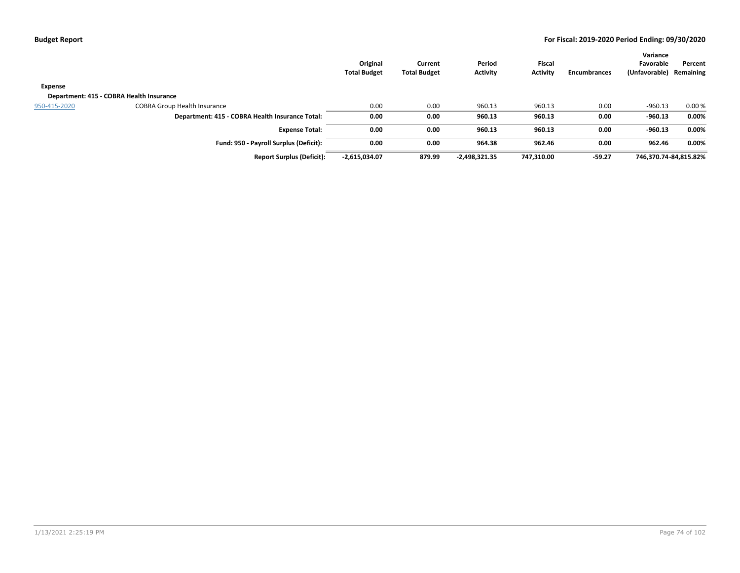|                                          |                                                 | Original<br><b>Total Budget</b> | Current<br><b>Total Budget</b> | Period<br><b>Activity</b> | <b>Fiscal</b><br><b>Activity</b> | Encumbrances | Variance<br>Favorable<br>(Unfavorable) Remaining | Percent |
|------------------------------------------|-------------------------------------------------|---------------------------------|--------------------------------|---------------------------|----------------------------------|--------------|--------------------------------------------------|---------|
| Expense                                  |                                                 |                                 |                                |                           |                                  |              |                                                  |         |
| Department: 415 - COBRA Health Insurance |                                                 |                                 |                                |                           |                                  |              |                                                  |         |
| 950-415-2020                             | <b>COBRA Group Health Insurance</b>             | 0.00                            | 0.00                           | 960.13                    | 960.13                           | 0.00         | $-960.13$                                        | 0.00%   |
|                                          | Department: 415 - COBRA Health Insurance Total: | 0.00                            | 0.00                           | 960.13                    | 960.13                           | 0.00         | $-960.13$                                        | 0.00%   |
|                                          | <b>Expense Total:</b>                           | 0.00                            | 0.00                           | 960.13                    | 960.13                           | 0.00         | $-960.13$                                        | 0.00%   |
|                                          | Fund: 950 - Payroll Surplus (Deficit):          | 0.00                            | 0.00                           | 964.38                    | 962.46                           | 0.00         | 962.46                                           | 0.00%   |
|                                          | <b>Report Surplus (Deficit):</b>                | $-2,615,034.07$                 | 879.99                         | $-2,498,321.35$           | 747,310.00                       | $-59.27$     | 746,370.74-84,815.82%                            |         |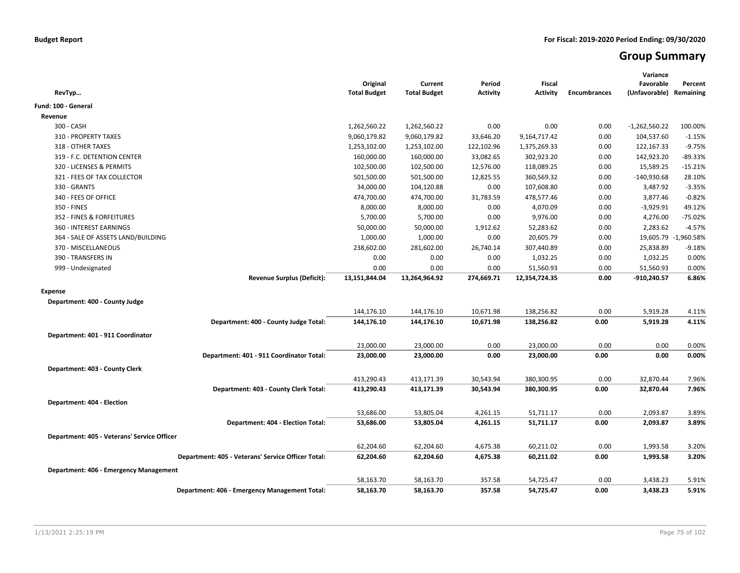# **Group Summary**

| RevTyp                                             | Original<br><b>Total Budget</b> | Current<br><b>Total Budget</b> | Period<br><b>Activity</b> | <b>Fiscal</b><br><b>Activity</b> | <b>Encumbrances</b> | Variance<br>Favorable<br>(Unfavorable) | Percent<br>Remaining |
|----------------------------------------------------|---------------------------------|--------------------------------|---------------------------|----------------------------------|---------------------|----------------------------------------|----------------------|
| Fund: 100 - General                                |                                 |                                |                           |                                  |                     |                                        |                      |
| Revenue                                            |                                 |                                |                           |                                  |                     |                                        |                      |
| 300 - CASH                                         | 1,262,560.22                    | 1,262,560.22                   | 0.00                      | 0.00                             | 0.00                | $-1,262,560.22$                        | 100.00%              |
| 310 - PROPERTY TAXES                               | 9,060,179.82                    | 9,060,179.82                   | 33,646.20                 | 9,164,717.42                     | 0.00                | 104,537.60                             | $-1.15%$             |
| 318 - OTHER TAXES                                  | 1,253,102.00                    | 1,253,102.00                   | 122,102.96                | 1,375,269.33                     | 0.00                | 122,167.33                             | $-9.75%$             |
| 319 - F.C. DETENTION CENTER                        | 160,000.00                      | 160,000.00                     | 33,082.65                 | 302,923.20                       | 0.00                | 142,923.20                             | -89.33%              |
| 320 - LICENSES & PERMITS                           | 102,500.00                      | 102,500.00                     | 12,576.00                 | 118,089.25                       | 0.00                | 15,589.25                              | $-15.21%$            |
| 321 - FEES OF TAX COLLECTOR                        | 501,500.00                      | 501,500.00                     | 12,825.55                 | 360,569.32                       | 0.00                | $-140,930.68$                          | 28.10%               |
| 330 - GRANTS                                       | 34,000.00                       | 104,120.88                     | 0.00                      | 107,608.80                       | 0.00                | 3,487.92                               | $-3.35%$             |
| 340 - FEES OF OFFICE                               | 474,700.00                      | 474,700.00                     | 31,783.59                 | 478,577.46                       | 0.00                | 3,877.46                               | $-0.82%$             |
| 350 - FINES                                        | 8,000.00                        | 8,000.00                       | 0.00                      | 4,070.09                         | 0.00                | $-3,929.91$                            | 49.12%               |
| 352 - FINES & FORFEITURES                          | 5,700.00                        | 5,700.00                       | 0.00                      | 9,976.00                         | 0.00                | 4,276.00                               | $-75.02%$            |
| 360 - INTEREST EARNINGS                            | 50,000.00                       | 50,000.00                      | 1,912.62                  | 52,283.62                        | 0.00                | 2,283.62                               | $-4.57%$             |
| 364 - SALE OF ASSETS LAND/BUILDING                 | 1,000.00                        | 1,000.00                       | 0.00                      | 20,605.79                        | 0.00                |                                        | 19,605.79 -1,960.58% |
| 370 - MISCELLANEOUS                                | 238,602.00                      | 281,602.00                     | 26,740.14                 | 307,440.89                       | 0.00                | 25,838.89                              | $-9.18%$             |
| 390 - TRANSFERS IN                                 | 0.00                            | 0.00                           | 0.00                      | 1,032.25                         | 0.00                | 1,032.25                               | 0.00%                |
| 999 - Undesignated                                 | 0.00                            | 0.00                           | 0.00                      | 51,560.93                        | 0.00                | 51,560.93                              | 0.00%                |
| <b>Revenue Surplus (Deficit):</b>                  | 13,151,844.04                   | 13,264,964.92                  | 274,669.71                | 12,354,724.35                    | 0.00                | $-910,240.57$                          | 6.86%                |
| Expense                                            |                                 |                                |                           |                                  |                     |                                        |                      |
| Department: 400 - County Judge                     |                                 |                                |                           |                                  |                     |                                        |                      |
|                                                    | 144,176.10                      | 144,176.10                     | 10,671.98                 | 138,256.82                       | 0.00                | 5,919.28                               | 4.11%                |
| Department: 400 - County Judge Total:              | 144,176.10                      | 144,176.10                     | 10,671.98                 | 138,256.82                       | 0.00                | 5,919.28                               | 4.11%                |
|                                                    |                                 |                                |                           |                                  |                     |                                        |                      |
| Department: 401 - 911 Coordinator                  |                                 |                                | 0.00                      | 23,000.00                        |                     |                                        |                      |
|                                                    | 23,000.00                       | 23,000.00                      | 0.00                      |                                  | 0.00                | 0.00<br>0.00                           | 0.00%<br>0.00%       |
| Department: 401 - 911 Coordinator Total:           | 23,000.00                       | 23,000.00                      |                           | 23,000.00                        | 0.00                |                                        |                      |
| Department: 403 - County Clerk                     |                                 |                                |                           |                                  |                     |                                        |                      |
|                                                    | 413,290.43                      | 413,171.39                     | 30,543.94                 | 380,300.95                       | 0.00                | 32,870.44                              | 7.96%                |
| Department: 403 - County Clerk Total:              | 413,290.43                      | 413,171.39                     | 30,543.94                 | 380,300.95                       | 0.00                | 32,870.44                              | 7.96%                |
| Department: 404 - Election                         |                                 |                                |                           |                                  |                     |                                        |                      |
|                                                    | 53,686.00                       | 53,805.04                      | 4,261.15                  | 51,711.17                        | 0.00                | 2,093.87                               | 3.89%                |
| Department: 404 - Election Total:                  | 53,686.00                       | 53,805.04                      | 4,261.15                  | 51,711.17                        | 0.00                | 2,093.87                               | 3.89%                |
|                                                    |                                 |                                |                           |                                  |                     |                                        |                      |
| Department: 405 - Veterans' Service Officer        |                                 |                                |                           |                                  |                     |                                        |                      |
|                                                    | 62,204.60                       | 62,204.60                      | 4,675.38                  | 60,211.02                        | 0.00                | 1,993.58                               | 3.20%                |
| Department: 405 - Veterans' Service Officer Total: | 62,204.60                       | 62,204.60                      | 4,675.38                  | 60,211.02                        | 0.00                | 1,993.58                               | 3.20%                |
| Department: 406 - Emergency Management             |                                 |                                |                           |                                  |                     |                                        |                      |
|                                                    | 58,163.70                       | 58,163.70                      | 357.58                    | 54,725.47                        | 0.00                | 3,438.23                               | 5.91%                |
| Department: 406 - Emergency Management Total:      | 58,163.70                       | 58,163.70                      | 357.58                    | 54,725.47                        | 0.00                | 3,438.23                               | 5.91%                |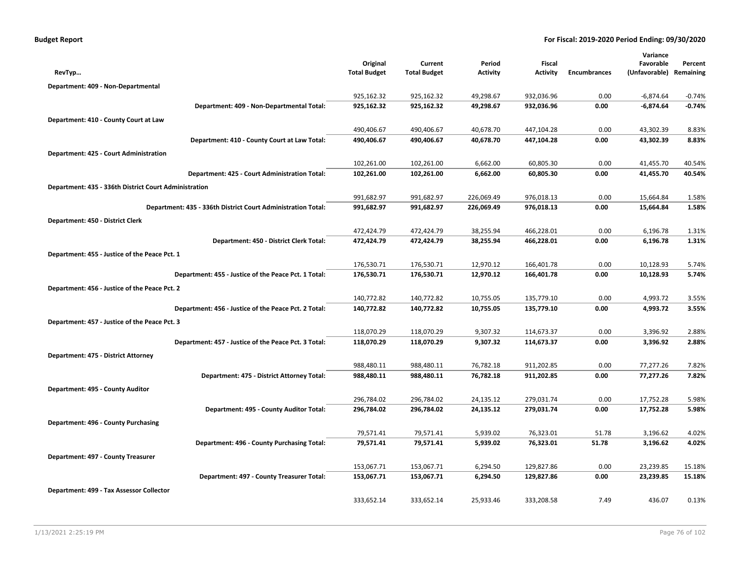| <b>Budget Report</b> |  |  |  |  |
|----------------------|--|--|--|--|
|----------------------|--|--|--|--|

|                                                              |                                 |                                |            |                                  |                     | Variance                   |           |
|--------------------------------------------------------------|---------------------------------|--------------------------------|------------|----------------------------------|---------------------|----------------------------|-----------|
|                                                              | Original<br><b>Total Budget</b> | Current<br><b>Total Budget</b> | Period     | <b>Fiscal</b><br><b>Activity</b> |                     | Favorable<br>(Unfavorable) | Percent   |
| RevTyp                                                       |                                 |                                | Activity   |                                  | <b>Encumbrances</b> |                            | Remaining |
| Department: 409 - Non-Departmental                           |                                 |                                |            |                                  |                     |                            |           |
|                                                              | 925,162.32                      | 925,162.32                     | 49,298.67  | 932,036.96                       | 0.00                | $-6,874.64$                | $-0.74%$  |
| Department: 409 - Non-Departmental Total:                    | 925,162.32                      | 925,162.32                     | 49,298.67  | 932,036.96                       | 0.00                | $-6,874.64$                | $-0.74%$  |
| Department: 410 - County Court at Law                        |                                 |                                |            |                                  |                     |                            |           |
|                                                              | 490,406.67                      | 490,406.67                     | 40,678.70  | 447,104.28                       | 0.00                | 43,302.39                  | 8.83%     |
| Department: 410 - County Court at Law Total:                 | 490,406.67                      | 490,406.67                     | 40,678.70  | 447,104.28                       | 0.00                | 43,302.39                  | 8.83%     |
| Department: 425 - Court Administration                       |                                 |                                |            |                                  |                     |                            |           |
|                                                              | 102,261.00                      | 102,261.00                     | 6,662.00   | 60,805.30                        | 0.00                | 41,455.70                  | 40.54%    |
| Department: 425 - Court Administration Total:                | 102,261.00                      | 102,261.00                     | 6,662.00   | 60,805.30                        | 0.00                | 41,455.70                  | 40.54%    |
| Department: 435 - 336th District Court Administration        |                                 |                                |            |                                  |                     |                            |           |
|                                                              | 991,682.97                      | 991,682.97                     | 226,069.49 | 976,018.13                       | 0.00                | 15,664.84                  | 1.58%     |
| Department: 435 - 336th District Court Administration Total: | 991,682.97                      | 991,682.97                     | 226,069.49 | 976,018.13                       | 0.00                | 15,664.84                  | 1.58%     |
| Department: 450 - District Clerk                             |                                 |                                |            |                                  |                     |                            |           |
|                                                              | 472,424.79                      | 472,424.79                     | 38,255.94  | 466,228.01                       | 0.00                | 6,196.78                   | 1.31%     |
| Department: 450 - District Clerk Total:                      | 472,424.79                      | 472,424.79                     | 38,255.94  | 466,228.01                       | 0.00                | 6,196.78                   | 1.31%     |
| Department: 455 - Justice of the Peace Pct. 1                |                                 |                                |            |                                  |                     |                            |           |
|                                                              | 176,530.71                      | 176,530.71                     | 12,970.12  | 166,401.78                       | 0.00                | 10,128.93                  | 5.74%     |
| Department: 455 - Justice of the Peace Pct. 1 Total:         | 176,530.71                      | 176,530.71                     | 12,970.12  | 166,401.78                       | 0.00                | 10,128.93                  | 5.74%     |
| Department: 456 - Justice of the Peace Pct. 2                |                                 |                                |            |                                  |                     |                            |           |
|                                                              | 140,772.82                      | 140,772.82                     | 10,755.05  | 135,779.10                       | 0.00                | 4,993.72                   | 3.55%     |
| Department: 456 - Justice of the Peace Pct. 2 Total:         | 140,772.82                      | 140,772.82                     | 10,755.05  | 135,779.10                       | 0.00                | 4,993.72                   | 3.55%     |
| Department: 457 - Justice of the Peace Pct. 3                |                                 |                                |            |                                  |                     |                            |           |
|                                                              | 118,070.29                      | 118,070.29                     | 9,307.32   | 114,673.37                       | 0.00                | 3,396.92                   | 2.88%     |
| Department: 457 - Justice of the Peace Pct. 3 Total:         | 118,070.29                      | 118,070.29                     | 9,307.32   | 114,673.37                       | 0.00                | 3,396.92                   | 2.88%     |
| Department: 475 - District Attorney                          |                                 |                                |            |                                  |                     |                            |           |
|                                                              | 988,480.11                      | 988,480.11                     | 76,782.18  | 911,202.85                       | 0.00                | 77,277.26                  | 7.82%     |
| Department: 475 - District Attorney Total:                   | 988,480.11                      | 988,480.11                     | 76,782.18  | 911,202.85                       | 0.00                | 77,277.26                  | 7.82%     |
| Department: 495 - County Auditor                             |                                 |                                |            |                                  |                     |                            |           |
|                                                              | 296,784.02                      | 296,784.02                     | 24,135.12  | 279,031.74                       | 0.00                | 17,752.28                  | 5.98%     |
| Department: 495 - County Auditor Total:                      | 296,784.02                      | 296,784.02                     | 24,135.12  | 279,031.74                       | 0.00                | 17,752.28                  | 5.98%     |
| Department: 496 - County Purchasing                          |                                 |                                |            |                                  |                     |                            |           |
|                                                              | 79,571.41                       | 79,571.41                      | 5,939.02   | 76,323.01                        | 51.78               | 3,196.62                   | 4.02%     |
| Department: 496 - County Purchasing Total:                   | 79,571.41                       | 79,571.41                      | 5,939.02   | 76,323.01                        | 51.78               | 3,196.62                   | 4.02%     |
| Department: 497 - County Treasurer                           |                                 |                                |            |                                  |                     |                            |           |
|                                                              | 153,067.71                      | 153,067.71                     | 6,294.50   | 129,827.86                       | 0.00                | 23,239.85                  | 15.18%    |
| Department: 497 - County Treasurer Total:                    | 153,067.71                      | 153,067.71                     | 6,294.50   | 129,827.86                       | 0.00                | 23,239.85                  | 15.18%    |
| Department: 499 - Tax Assessor Collector                     |                                 |                                |            |                                  |                     |                            |           |
|                                                              | 333,652.14                      | 333,652.14                     | 25,933.46  | 333,208.58                       | 7.49                | 436.07                     | 0.13%     |
|                                                              |                                 |                                |            |                                  |                     |                            |           |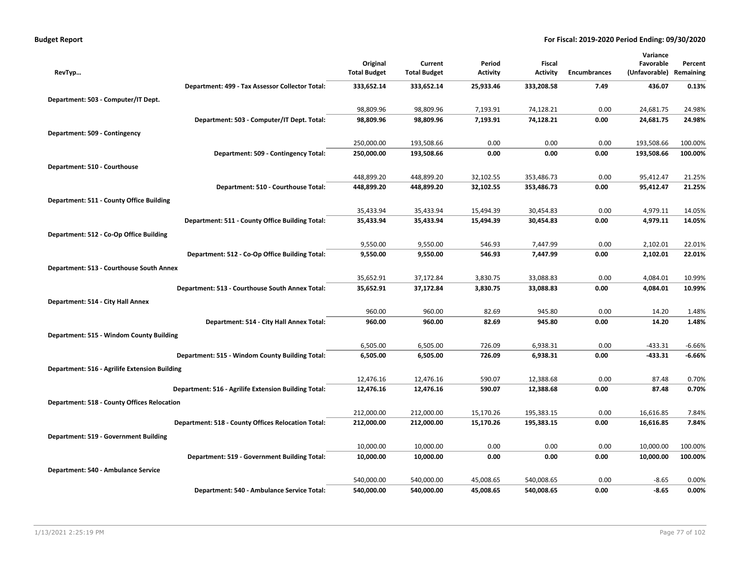| <b>Budget Report</b> |  |  |  |  |
|----------------------|--|--|--|--|
|----------------------|--|--|--|--|

|                                                      |                     |                     |                 |                 |                     | Variance      |           |
|------------------------------------------------------|---------------------|---------------------|-----------------|-----------------|---------------------|---------------|-----------|
|                                                      | Original            | Current             | Period          | Fiscal          |                     | Favorable     | Percent   |
| RevTyp                                               | <b>Total Budget</b> | <b>Total Budget</b> | <b>Activity</b> | <b>Activity</b> | <b>Encumbrances</b> | (Unfavorable) | Remaining |
| Department: 499 - Tax Assessor Collector Total:      | 333,652.14          | 333,652.14          | 25,933.46       | 333,208.58      | 7.49                | 436.07        | 0.13%     |
| Department: 503 - Computer/IT Dept.                  |                     |                     |                 |                 |                     |               |           |
|                                                      | 98,809.96           | 98,809.96           | 7,193.91        | 74,128.21       | 0.00                | 24,681.75     | 24.98%    |
| Department: 503 - Computer/IT Dept. Total:           | 98,809.96           | 98,809.96           | 7,193.91        | 74,128.21       | 0.00                | 24,681.75     | 24.98%    |
| Department: 509 - Contingency                        |                     |                     |                 |                 |                     |               |           |
|                                                      | 250,000.00          | 193,508.66          | 0.00            | 0.00            | 0.00                | 193,508.66    | 100.00%   |
| Department: 509 - Contingency Total:                 | 250,000.00          | 193,508.66          | 0.00            | 0.00            | 0.00                | 193,508.66    | 100.00%   |
| Department: 510 - Courthouse                         |                     |                     |                 |                 |                     |               |           |
|                                                      | 448,899.20          | 448,899.20          | 32,102.55       | 353,486.73      | 0.00                | 95,412.47     | 21.25%    |
| Department: 510 - Courthouse Total:                  | 448,899.20          | 448,899.20          | 32,102.55       | 353,486.73      | 0.00                | 95,412.47     | 21.25%    |
| Department: 511 - County Office Building             |                     |                     |                 |                 |                     |               |           |
|                                                      | 35,433.94           | 35,433.94           | 15,494.39       | 30,454.83       | 0.00                | 4,979.11      | 14.05%    |
| Department: 511 - County Office Building Total:      | 35,433.94           | 35,433.94           | 15,494.39       | 30,454.83       | 0.00                | 4,979.11      | 14.05%    |
| Department: 512 - Co-Op Office Building              |                     |                     |                 |                 |                     |               |           |
|                                                      | 9,550.00            | 9,550.00            | 546.93          | 7,447.99        | 0.00                | 2,102.01      | 22.01%    |
| Department: 512 - Co-Op Office Building Total:       | 9,550.00            | 9,550.00            | 546.93          | 7,447.99        | 0.00                | 2,102.01      | 22.01%    |
| Department: 513 - Courthouse South Annex             |                     |                     |                 |                 |                     |               |           |
|                                                      | 35,652.91           | 37,172.84           | 3,830.75        | 33,088.83       | 0.00                | 4,084.01      | 10.99%    |
| Department: 513 - Courthouse South Annex Total:      | 35,652.91           | 37,172.84           | 3,830.75        | 33,088.83       | 0.00                | 4,084.01      | 10.99%    |
| Department: 514 - City Hall Annex                    |                     |                     |                 |                 |                     |               |           |
|                                                      | 960.00              | 960.00              | 82.69           | 945.80          | 0.00                | 14.20         | 1.48%     |
| Department: 514 - City Hall Annex Total:             | 960.00              | 960.00              | 82.69           | 945.80          | 0.00                | 14.20         | 1.48%     |
| Department: 515 - Windom County Building             |                     |                     |                 |                 |                     |               |           |
|                                                      | 6,505.00            | 6,505.00            | 726.09          | 6,938.31        | 0.00                | $-433.31$     | $-6.66%$  |
| Department: 515 - Windom County Building Total:      | 6,505.00            | 6,505.00            | 726.09          | 6,938.31        | 0.00                | $-433.31$     | -6.66%    |
| Department: 516 - Agrilife Extension Building        |                     |                     |                 |                 |                     |               |           |
|                                                      | 12,476.16           | 12,476.16           | 590.07          | 12,388.68       | 0.00                | 87.48         | 0.70%     |
| Department: 516 - Agrilife Extension Building Total: | 12,476.16           | 12,476.16           | 590.07          | 12,388.68       | 0.00                | 87.48         | 0.70%     |
| <b>Department: 518 - County Offices Relocation</b>   |                     |                     |                 |                 |                     |               |           |
|                                                      | 212,000.00          | 212,000.00          | 15,170.26       | 195,383.15      | 0.00                | 16,616.85     | 7.84%     |
| Department: 518 - County Offices Relocation Total:   | 212,000.00          | 212,000.00          | 15,170.26       | 195,383.15      | 0.00                | 16,616.85     | 7.84%     |
| Department: 519 - Government Building                |                     |                     |                 |                 |                     |               |           |
|                                                      | 10,000.00           | 10,000.00           | 0.00            | 0.00            | 0.00                | 10,000.00     | 100.00%   |
| Department: 519 - Government Building Total:         | 10,000.00           | 10,000.00           | 0.00            | 0.00            | 0.00                | 10,000.00     | 100.00%   |
| Department: 540 - Ambulance Service                  |                     |                     |                 |                 |                     |               |           |
|                                                      | 540,000.00          | 540,000.00          | 45,008.65       | 540,008.65      | 0.00                | $-8.65$       | 0.00%     |
| Department: 540 - Ambulance Service Total:           | 540,000.00          | 540,000.00          | 45,008.65       | 540,008.65      | 0.00                | -8.65         | 0.00%     |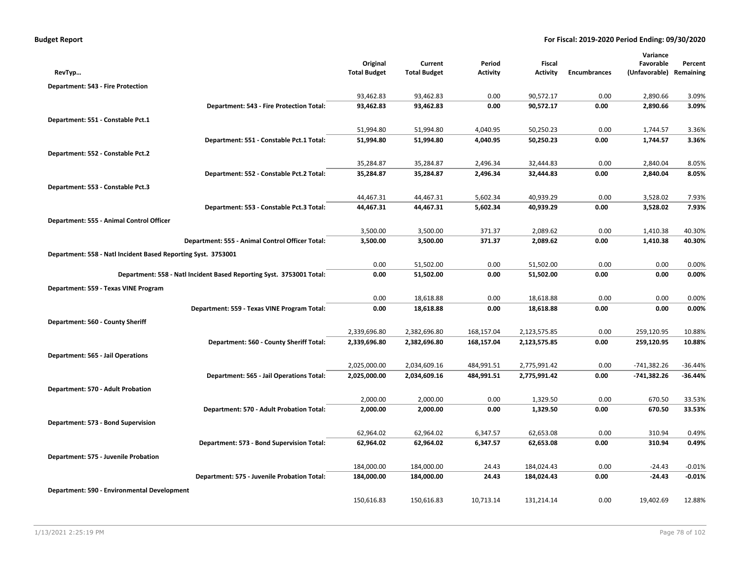|                                                               |                                                                      | Original            | Current             | Period          | <b>Fiscal</b>   |                     | Variance<br>Favorable | Percent   |
|---------------------------------------------------------------|----------------------------------------------------------------------|---------------------|---------------------|-----------------|-----------------|---------------------|-----------------------|-----------|
| RevTyp                                                        |                                                                      | <b>Total Budget</b> | <b>Total Budget</b> | <b>Activity</b> | <b>Activity</b> | <b>Encumbrances</b> | (Unfavorable)         | Remaining |
| Department: 543 - Fire Protection                             |                                                                      |                     |                     |                 |                 |                     |                       |           |
|                                                               |                                                                      | 93,462.83           | 93,462.83           | 0.00            | 90,572.17       | 0.00                | 2,890.66              | 3.09%     |
|                                                               | Department: 543 - Fire Protection Total:                             | 93,462.83           | 93,462.83           | 0.00            | 90,572.17       | 0.00                | 2,890.66              | 3.09%     |
| Department: 551 - Constable Pct.1                             |                                                                      |                     |                     |                 |                 |                     |                       |           |
|                                                               |                                                                      | 51,994.80           | 51,994.80           | 4,040.95        | 50,250.23       | 0.00                | 1,744.57              | 3.36%     |
|                                                               | Department: 551 - Constable Pct.1 Total:                             | 51,994.80           | 51,994.80           | 4,040.95        | 50,250.23       | 0.00                | 1,744.57              | 3.36%     |
| Department: 552 - Constable Pct.2                             |                                                                      |                     |                     |                 |                 |                     |                       |           |
|                                                               |                                                                      | 35,284.87           | 35,284.87           | 2,496.34        | 32,444.83       | 0.00                | 2,840.04              | 8.05%     |
|                                                               | Department: 552 - Constable Pct.2 Total:                             | 35,284.87           | 35,284.87           | 2,496.34        | 32,444.83       | 0.00                | 2,840.04              | 8.05%     |
| Department: 553 - Constable Pct.3                             |                                                                      |                     |                     |                 |                 |                     |                       |           |
|                                                               |                                                                      | 44,467.31           | 44,467.31           | 5,602.34        | 40,939.29       | 0.00                | 3,528.02              | 7.93%     |
|                                                               | Department: 553 - Constable Pct.3 Total:                             | 44,467.31           | 44,467.31           | 5,602.34        | 40,939.29       | 0.00                | 3,528.02              | 7.93%     |
| Department: 555 - Animal Control Officer                      |                                                                      |                     |                     |                 |                 |                     |                       |           |
|                                                               |                                                                      | 3,500.00            | 3,500.00            | 371.37          | 2,089.62        | 0.00                | 1,410.38              | 40.30%    |
|                                                               | Department: 555 - Animal Control Officer Total:                      | 3,500.00            | 3,500.00            | 371.37          | 2,089.62        | 0.00                | 1,410.38              | 40.30%    |
| Department: 558 - Natl Incident Based Reporting Syst. 3753001 |                                                                      |                     |                     |                 |                 |                     |                       |           |
|                                                               |                                                                      | 0.00                | 51,502.00           | 0.00            | 51,502.00       | 0.00                | 0.00                  | 0.00%     |
|                                                               | Department: 558 - Natl Incident Based Reporting Syst. 3753001 Total: | 0.00                | 51,502.00           | 0.00            | 51,502.00       | 0.00                | 0.00                  | 0.00%     |
| Department: 559 - Texas VINE Program                          |                                                                      |                     |                     |                 |                 |                     |                       |           |
|                                                               |                                                                      | 0.00                | 18,618.88           | 0.00            | 18,618.88       | 0.00                | 0.00                  | 0.00%     |
|                                                               | Department: 559 - Texas VINE Program Total:                          | 0.00                | 18,618.88           | 0.00            | 18,618.88       | 0.00                | 0.00                  | 0.00%     |
| Department: 560 - County Sheriff                              |                                                                      |                     |                     |                 |                 |                     |                       |           |
|                                                               |                                                                      | 2,339,696.80        | 2,382,696.80        | 168,157.04      | 2,123,575.85    | 0.00                | 259,120.95            | 10.88%    |
|                                                               | Department: 560 - County Sheriff Total:                              | 2,339,696.80        | 2,382,696.80        | 168,157.04      | 2,123,575.85    | 0.00                | 259,120.95            | 10.88%    |
| <b>Department: 565 - Jail Operations</b>                      |                                                                      |                     |                     |                 |                 |                     |                       |           |
|                                                               |                                                                      | 2,025,000.00        | 2,034,609.16        | 484,991.51      | 2,775,991.42    | 0.00                | $-741,382.26$         | $-36.44%$ |
|                                                               | Department: 565 - Jail Operations Total:                             | 2,025,000.00        | 2,034,609.16        | 484,991.51      | 2,775,991.42    | 0.00                | -741,382.26           | -36.44%   |
| Department: 570 - Adult Probation                             |                                                                      |                     |                     |                 |                 |                     |                       |           |
|                                                               |                                                                      | 2,000.00            | 2,000.00            | 0.00            | 1,329.50        | 0.00                | 670.50                | 33.53%    |
|                                                               | Department: 570 - Adult Probation Total:                             | 2,000.00            | 2,000.00            | 0.00            | 1,329.50        | 0.00                | 670.50                | 33.53%    |
| Department: 573 - Bond Supervision                            |                                                                      |                     |                     |                 |                 |                     |                       |           |
|                                                               |                                                                      | 62,964.02           | 62,964.02           | 6,347.57        | 62,653.08       | 0.00                | 310.94                | 0.49%     |
|                                                               | Department: 573 - Bond Supervision Total:                            | 62,964.02           | 62,964.02           | 6,347.57        | 62,653.08       | 0.00                | 310.94                | 0.49%     |
| Department: 575 - Juvenile Probation                          |                                                                      |                     |                     |                 |                 |                     |                       |           |
|                                                               |                                                                      | 184,000.00          | 184,000.00          | 24.43           | 184,024.43      | 0.00                | $-24.43$              | $-0.01%$  |
|                                                               | Department: 575 - Juvenile Probation Total:                          | 184,000.00          | 184,000.00          | 24.43           | 184,024.43      | 0.00                | $-24.43$              | $-0.01%$  |
| Department: 590 - Environmental Development                   |                                                                      |                     |                     |                 |                 |                     |                       |           |
|                                                               |                                                                      | 150,616.83          | 150,616.83          | 10,713.14       | 131,214.14      | 0.00                | 19,402.69             | 12.88%    |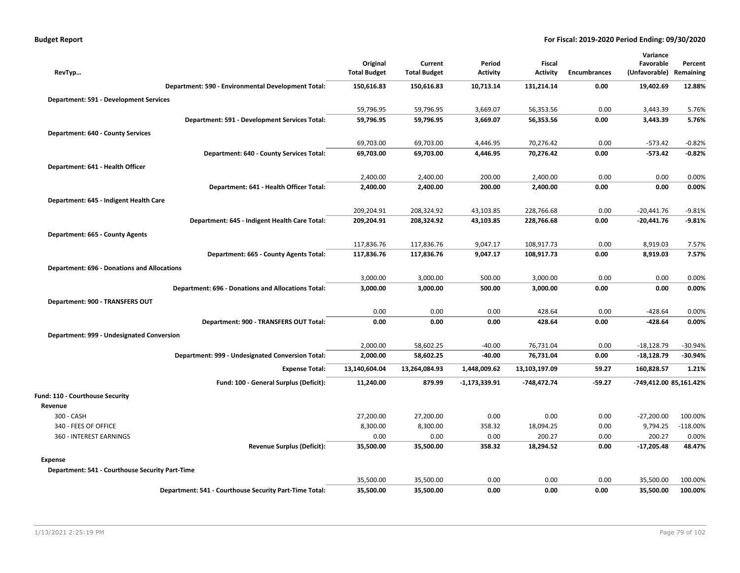|                                                    |                                                        |                                 |                                |                           |                           |                     | Variance                   |                      |
|----------------------------------------------------|--------------------------------------------------------|---------------------------------|--------------------------------|---------------------------|---------------------------|---------------------|----------------------------|----------------------|
| RevTyp                                             |                                                        | Original<br><b>Total Budget</b> | Current<br><b>Total Budget</b> | Period<br><b>Activity</b> | Fiscal<br><b>Activity</b> | <b>Encumbrances</b> | Favorable<br>(Unfavorable) | Percent<br>Remaining |
|                                                    |                                                        |                                 |                                |                           |                           |                     |                            |                      |
|                                                    | Department: 590 - Environmental Development Total:     | 150,616.83                      | 150,616.83                     | 10,713.14                 | 131,214.14                | 0.00                | 19,402.69                  | 12.88%               |
| <b>Department: 591 - Development Services</b>      |                                                        |                                 |                                |                           |                           |                     |                            |                      |
|                                                    |                                                        | 59,796.95                       | 59,796.95                      | 3,669.07                  | 56,353.56                 | 0.00                | 3,443.39                   | 5.76%                |
|                                                    | Department: 591 - Development Services Total:          | 59,796.95                       | 59,796.95                      | 3,669.07                  | 56,353.56                 | 0.00                | 3,443.39                   | 5.76%                |
| <b>Department: 640 - County Services</b>           |                                                        |                                 |                                |                           |                           |                     |                            |                      |
|                                                    |                                                        | 69,703.00                       | 69,703.00                      | 4,446.95                  | 70,276.42                 | 0.00                | $-573.42$                  | $-0.82%$             |
|                                                    | Department: 640 - County Services Total:               | 69,703.00                       | 69,703.00                      | 4,446.95                  | 70,276.42                 | 0.00                | $-573.42$                  | $-0.82%$             |
| Department: 641 - Health Officer                   |                                                        |                                 |                                |                           |                           |                     |                            |                      |
|                                                    |                                                        | 2,400.00                        | 2,400.00                       | 200.00                    | 2,400.00                  | 0.00                | 0.00                       | 0.00%                |
|                                                    | Department: 641 - Health Officer Total:                | 2,400.00                        | 2,400.00                       | 200.00                    | 2,400.00                  | 0.00                | 0.00                       | 0.00%                |
| Department: 645 - Indigent Health Care             |                                                        |                                 |                                |                           |                           |                     |                            |                      |
|                                                    |                                                        | 209,204.91                      | 208,324.92                     | 43,103.85                 | 228,766.68                | 0.00                | $-20,441.76$               | $-9.81%$             |
|                                                    | Department: 645 - Indigent Health Care Total:          | 209,204.91                      | 208,324.92                     | 43,103.85                 | 228,766.68                | 0.00                | $-20,441.76$               | $-9.81%$             |
| Department: 665 - County Agents                    |                                                        |                                 |                                |                           |                           |                     |                            |                      |
|                                                    |                                                        | 117,836.76                      | 117,836.76                     | 9,047.17                  | 108,917.73                | 0.00                | 8,919.03                   | 7.57%                |
|                                                    | Department: 665 - County Agents Total:                 | 117,836.76                      | 117,836.76                     | 9,047.17                  | 108,917.73                | 0.00                | 8,919.03                   | 7.57%                |
| <b>Department: 696 - Donations and Allocations</b> |                                                        |                                 |                                |                           |                           |                     |                            |                      |
|                                                    |                                                        | 3,000.00                        | 3,000.00                       | 500.00                    | 3,000.00                  | 0.00                | 0.00                       | 0.00%                |
|                                                    | Department: 696 - Donations and Allocations Total:     | 3,000.00                        | 3,000.00                       | 500.00                    | 3,000.00                  | 0.00                | 0.00                       | 0.00%                |
| Department: 900 - TRANSFERS OUT                    |                                                        |                                 |                                |                           |                           |                     |                            |                      |
|                                                    |                                                        | 0.00                            | 0.00                           | 0.00                      | 428.64                    | 0.00                | $-428.64$                  | 0.00%                |
|                                                    | Department: 900 - TRANSFERS OUT Total:                 | 0.00                            | 0.00                           | 0.00                      | 428.64                    | 0.00                | $-428.64$                  | 0.00%                |
| Department: 999 - Undesignated Conversion          |                                                        |                                 |                                |                           |                           |                     |                            |                      |
|                                                    |                                                        | 2,000.00                        | 58,602.25                      | $-40.00$                  | 76,731.04                 | 0.00                | $-18,128.79$               | $-30.94%$            |
|                                                    | Department: 999 - Undesignated Conversion Total:       | 2,000.00                        | 58,602.25                      | $-40.00$                  | 76,731.04                 | 0.00                | $-18,128.79$               | $-30.94%$            |
|                                                    | <b>Expense Total:</b>                                  | 13,140,604.04                   | 13,264,084.93                  | 1,448,009.62              | 13,103,197.09             | 59.27               | 160,828.57                 | 1.21%                |
|                                                    | Fund: 100 - General Surplus (Deficit):                 | 11,240.00                       | 879.99                         | $-1,173,339.91$           | -748,472.74               | $-59.27$            | -749,412.00 85,161.42%     |                      |
| Fund: 110 - Courthouse Security                    |                                                        |                                 |                                |                           |                           |                     |                            |                      |
| Revenue                                            |                                                        |                                 |                                |                           |                           |                     |                            |                      |
| 300 - CASH                                         |                                                        | 27,200.00                       | 27,200.00                      | 0.00                      | 0.00                      | 0.00                | $-27,200.00$               | 100.00%              |
| 340 - FEES OF OFFICE                               |                                                        | 8,300.00                        | 8,300.00                       | 358.32                    | 18,094.25                 | 0.00                | 9,794.25                   | $-118.00%$           |
| 360 - INTEREST EARNINGS                            |                                                        | 0.00                            | 0.00                           | 0.00                      | 200.27                    | 0.00                | 200.27                     | 0.00%                |
|                                                    | <b>Revenue Surplus (Deficit):</b>                      | 35,500.00                       | 35,500.00                      | 358.32                    | 18,294.52                 | 0.00                | $-17,205.48$               | 48.47%               |
| <b>Expense</b>                                     |                                                        |                                 |                                |                           |                           |                     |                            |                      |
| Department: 541 - Courthouse Security Part-Time    |                                                        |                                 |                                |                           |                           |                     |                            |                      |
|                                                    |                                                        | 35,500.00                       | 35,500.00                      | 0.00                      | 0.00                      | 0.00                | 35,500.00                  | 100.00%              |
|                                                    | Department: 541 - Courthouse Security Part-Time Total: | 35,500.00                       | 35,500.00                      | 0.00                      | 0.00                      | 0.00                | 35,500.00                  | 100.00%              |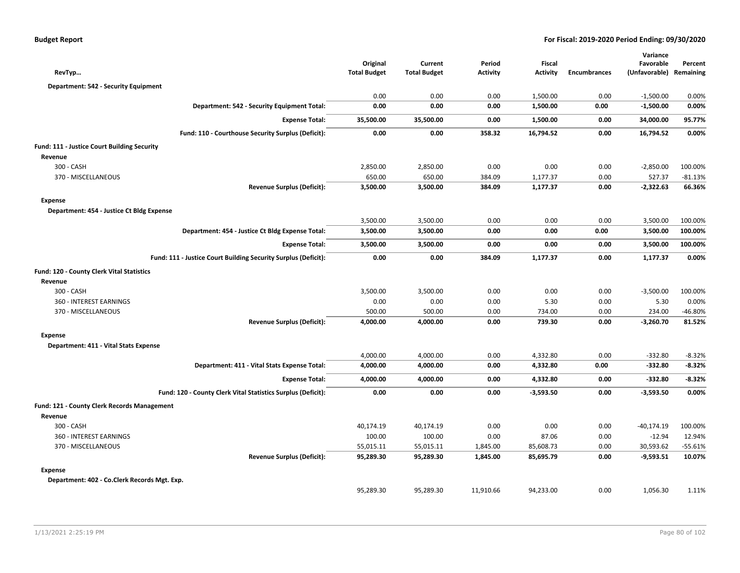| <b>Budget Report</b> |  |  |  |  |
|----------------------|--|--|--|--|
|----------------------|--|--|--|--|

| RevTyp                                       |                                                                | Original<br><b>Total Budget</b> | Current<br><b>Total Budget</b> | Period<br><b>Activity</b> | Fiscal<br><b>Activity</b> | <b>Encumbrances</b> | Variance<br>Favorable<br>(Unfavorable) | Percent<br>Remaining |
|----------------------------------------------|----------------------------------------------------------------|---------------------------------|--------------------------------|---------------------------|---------------------------|---------------------|----------------------------------------|----------------------|
| Department: 542 - Security Equipment         |                                                                |                                 |                                |                           |                           |                     |                                        |                      |
|                                              |                                                                | 0.00                            | 0.00                           | 0.00                      | 1,500.00                  | 0.00                | $-1,500.00$                            | 0.00%                |
|                                              | Department: 542 - Security Equipment Total:                    | 0.00                            | 0.00                           | 0.00                      | 1,500.00                  | 0.00                | $-1,500.00$                            | 0.00%                |
|                                              | <b>Expense Total:</b>                                          | 35,500.00                       | 35,500.00                      | 0.00                      | 1,500.00                  | 0.00                | 34,000.00                              | 95.77%               |
|                                              | Fund: 110 - Courthouse Security Surplus (Deficit):             | 0.00                            | 0.00                           | 358.32                    | 16,794.52                 | 0.00                | 16,794.52                              | 0.00%                |
| Fund: 111 - Justice Court Building Security  |                                                                |                                 |                                |                           |                           |                     |                                        |                      |
| Revenue                                      |                                                                |                                 |                                |                           |                           |                     |                                        |                      |
| 300 - CASH                                   |                                                                | 2,850.00                        | 2,850.00                       | 0.00                      | 0.00                      | 0.00                | $-2,850.00$                            | 100.00%              |
| 370 - MISCELLANEOUS                          |                                                                | 650.00                          | 650.00                         | 384.09                    | 1,177.37                  | 0.00                | 527.37                                 | $-81.13%$            |
|                                              | <b>Revenue Surplus (Deficit):</b>                              | 3,500.00                        | 3,500.00                       | 384.09                    | 1,177.37                  | 0.00                | $-2,322.63$                            | 66.36%               |
| <b>Expense</b>                               |                                                                |                                 |                                |                           |                           |                     |                                        |                      |
| Department: 454 - Justice Ct Bldg Expense    |                                                                |                                 |                                |                           |                           |                     |                                        |                      |
|                                              |                                                                | 3,500.00                        | 3,500.00                       | 0.00                      | 0.00                      | 0.00                | 3,500.00                               | 100.00%              |
|                                              | Department: 454 - Justice Ct Bldg Expense Total:               | 3,500.00                        | 3,500.00                       | 0.00                      | 0.00                      | 0.00                | 3,500.00                               | 100.00%              |
|                                              | <b>Expense Total:</b>                                          | 3,500.00                        | 3,500.00                       | 0.00                      | 0.00                      | 0.00                | 3,500.00                               | 100.00%              |
|                                              | Fund: 111 - Justice Court Building Security Surplus (Deficit): | 0.00                            | 0.00                           | 384.09                    | 1,177.37                  | 0.00                | 1,177.37                               | 0.00%                |
| Fund: 120 - County Clerk Vital Statistics    |                                                                |                                 |                                |                           |                           |                     |                                        |                      |
| Revenue                                      |                                                                |                                 |                                |                           |                           |                     |                                        |                      |
| 300 - CASH                                   |                                                                | 3,500.00                        | 3,500.00                       | 0.00                      | 0.00                      | 0.00                | $-3,500.00$                            | 100.00%              |
| 360 - INTEREST EARNINGS                      |                                                                | 0.00                            | 0.00                           | 0.00                      | 5.30                      | 0.00                | 5.30                                   | 0.00%                |
| 370 - MISCELLANEOUS                          |                                                                | 500.00                          | 500.00                         | 0.00                      | 734.00                    | 0.00                | 234.00                                 | $-46.80%$            |
|                                              | <b>Revenue Surplus (Deficit):</b>                              | 4,000.00                        | 4,000.00                       | 0.00                      | 739.30                    | 0.00                | $-3,260.70$                            | 81.52%               |
| <b>Expense</b>                               |                                                                |                                 |                                |                           |                           |                     |                                        |                      |
| Department: 411 - Vital Stats Expense        |                                                                |                                 |                                |                           |                           |                     |                                        |                      |
|                                              |                                                                | 4,000.00                        | 4,000.00                       | 0.00                      | 4,332.80                  | 0.00                | $-332.80$                              | $-8.32%$             |
|                                              | Department: 411 - Vital Stats Expense Total:                   | 4,000.00                        | 4,000.00                       | 0.00                      | 4,332.80                  | 0.00                | $-332.80$                              | $-8.32%$             |
|                                              | <b>Expense Total:</b>                                          | 4,000.00                        | 4,000.00                       | 0.00                      | 4,332.80                  | 0.00                | $-332.80$                              | $-8.32%$             |
|                                              | Fund: 120 - County Clerk Vital Statistics Surplus (Deficit):   | 0.00                            | 0.00                           | 0.00                      | $-3,593.50$               | 0.00                | $-3,593.50$                            | 0.00%                |
| Fund: 121 - County Clerk Records Management  |                                                                |                                 |                                |                           |                           |                     |                                        |                      |
| Revenue                                      |                                                                |                                 |                                |                           |                           |                     |                                        |                      |
| 300 - CASH                                   |                                                                | 40,174.19                       | 40,174.19                      | 0.00                      | 0.00                      | 0.00                | $-40,174.19$                           | 100.00%              |
| 360 - INTEREST EARNINGS                      |                                                                | 100.00                          | 100.00                         | 0.00                      | 87.06                     | 0.00                | $-12.94$                               | 12.94%               |
| 370 - MISCELLANEOUS                          |                                                                | 55,015.11                       | 55,015.11                      | 1,845.00                  | 85,608.73                 | 0.00                | 30,593.62                              | $-55.61%$            |
|                                              | <b>Revenue Surplus (Deficit):</b>                              | 95,289.30                       | 95,289.30                      | 1,845.00                  | 85,695.79                 | 0.00                | $-9,593.51$                            | 10.07%               |
| <b>Expense</b>                               |                                                                |                                 |                                |                           |                           |                     |                                        |                      |
| Department: 402 - Co.Clerk Records Mgt. Exp. |                                                                |                                 |                                |                           |                           |                     |                                        |                      |
|                                              |                                                                | 95,289.30                       | 95,289.30                      | 11,910.66                 | 94,233.00                 | 0.00                | 1,056.30                               | 1.11%                |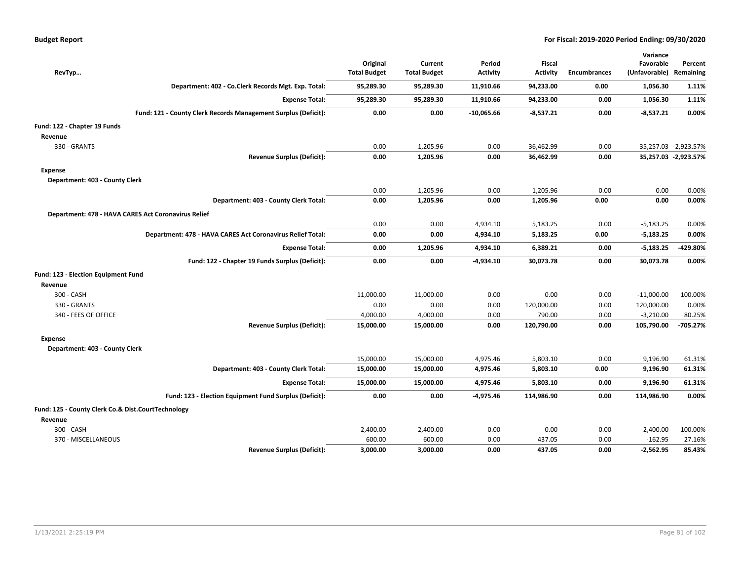|  |  | Budget Report |  |  |
|--|--|---------------|--|--|
|  |  |               |  |  |

| RevTyp                                              |                                                                | Original<br><b>Total Budget</b> | Current<br><b>Total Budget</b> | Period<br><b>Activity</b> | <b>Fiscal</b><br><b>Activity</b> | <b>Encumbrances</b> | Variance<br>Favorable<br>(Unfavorable) Remaining | Percent              |
|-----------------------------------------------------|----------------------------------------------------------------|---------------------------------|--------------------------------|---------------------------|----------------------------------|---------------------|--------------------------------------------------|----------------------|
|                                                     | Department: 402 - Co.Clerk Records Mgt. Exp. Total:            | 95,289.30                       | 95,289.30                      | 11,910.66                 | 94,233.00                        | 0.00                | 1,056.30                                         | 1.11%                |
|                                                     | <b>Expense Total:</b>                                          | 95,289.30                       | 95,289.30                      | 11,910.66                 | 94,233.00                        | 0.00                | 1,056.30                                         | 1.11%                |
|                                                     | Fund: 121 - County Clerk Records Management Surplus (Deficit): | 0.00                            | 0.00                           | $-10,065.66$              | $-8,537.21$                      | 0.00                | $-8,537.21$                                      | 0.00%                |
| Fund: 122 - Chapter 19 Funds                        |                                                                |                                 |                                |                           |                                  |                     |                                                  |                      |
| Revenue                                             |                                                                |                                 |                                |                           |                                  |                     |                                                  |                      |
| 330 - GRANTS                                        |                                                                | 0.00                            | 1,205.96                       | 0.00                      | 36,462.99                        | 0.00                |                                                  | 35,257.03 -2,923.57% |
|                                                     | <b>Revenue Surplus (Deficit):</b>                              | 0.00                            | 1,205.96                       | 0.00                      | 36,462.99                        | 0.00                |                                                  | 35,257.03 -2,923.57% |
| Expense                                             |                                                                |                                 |                                |                           |                                  |                     |                                                  |                      |
| Department: 403 - County Clerk                      |                                                                |                                 |                                |                           |                                  |                     |                                                  |                      |
|                                                     |                                                                | 0.00                            | 1,205.96                       | 0.00                      | 1,205.96                         | 0.00                | 0.00                                             | 0.00%                |
|                                                     | Department: 403 - County Clerk Total:                          | 0.00                            | 1,205.96                       | 0.00                      | 1,205.96                         | 0.00                | 0.00                                             | 0.00%                |
| Department: 478 - HAVA CARES Act Coronavirus Relief |                                                                |                                 |                                |                           |                                  |                     |                                                  |                      |
|                                                     |                                                                | 0.00                            | 0.00                           | 4,934.10                  | 5,183.25                         | 0.00                | $-5,183.25$                                      | 0.00%                |
|                                                     | Department: 478 - HAVA CARES Act Coronavirus Relief Total:     | 0.00                            | 0.00                           | 4,934.10                  | 5,183.25                         | 0.00                | $-5,183.25$                                      | 0.00%                |
|                                                     | <b>Expense Total:</b>                                          | 0.00                            | 1,205.96                       | 4,934.10                  | 6,389.21                         | 0.00                | $-5,183.25$                                      | -429.80%             |
|                                                     | Fund: 122 - Chapter 19 Funds Surplus (Deficit):                | 0.00                            | 0.00                           | $-4,934.10$               | 30,073.78                        | 0.00                | 30,073.78                                        | 0.00%                |
| Fund: 123 - Election Equipment Fund                 |                                                                |                                 |                                |                           |                                  |                     |                                                  |                      |
| Revenue                                             |                                                                |                                 |                                |                           |                                  |                     |                                                  |                      |
| 300 - CASH                                          |                                                                | 11,000.00                       | 11,000.00                      | 0.00                      | 0.00                             | 0.00                | $-11,000.00$                                     | 100.00%              |
| 330 - GRANTS                                        |                                                                | 0.00                            | 0.00                           | 0.00                      | 120,000.00                       | 0.00                | 120,000.00                                       | 0.00%                |
| 340 - FEES OF OFFICE                                |                                                                | 4,000.00                        | 4,000.00                       | 0.00                      | 790.00                           | 0.00                | $-3,210.00$                                      | 80.25%               |
|                                                     | <b>Revenue Surplus (Deficit):</b>                              | 15,000.00                       | 15,000.00                      | 0.00                      | 120,790.00                       | 0.00                | 105,790.00                                       | $-705.27%$           |
| <b>Expense</b>                                      |                                                                |                                 |                                |                           |                                  |                     |                                                  |                      |
| Department: 403 - County Clerk                      |                                                                |                                 |                                |                           |                                  |                     |                                                  |                      |
|                                                     |                                                                | 15,000.00                       | 15,000.00                      | 4,975.46                  | 5,803.10                         | 0.00                | 9,196.90                                         | 61.31%               |
|                                                     | Department: 403 - County Clerk Total:                          | 15,000.00                       | 15,000.00                      | 4,975.46                  | 5,803.10                         | 0.00                | 9,196.90                                         | 61.31%               |
|                                                     | <b>Expense Total:</b>                                          | 15,000.00                       | 15,000.00                      | 4,975.46                  | 5,803.10                         | 0.00                | 9,196.90                                         | 61.31%               |
|                                                     | Fund: 123 - Election Equipment Fund Surplus (Deficit):         | 0.00                            | 0.00                           | $-4,975.46$               | 114,986.90                       | 0.00                | 114,986.90                                       | 0.00%                |
| Fund: 125 - County Clerk Co.& Dist.CourtTechnology  |                                                                |                                 |                                |                           |                                  |                     |                                                  |                      |
| Revenue                                             |                                                                |                                 |                                |                           |                                  |                     |                                                  |                      |
| 300 - CASH                                          |                                                                | 2,400.00                        | 2,400.00                       | 0.00                      | 0.00                             | 0.00                | $-2,400.00$                                      | 100.00%              |
| 370 - MISCELLANEOUS                                 |                                                                | 600.00                          | 600.00                         | 0.00                      | 437.05                           | 0.00                | $-162.95$                                        | 27.16%               |
|                                                     | <b>Revenue Surplus (Deficit):</b>                              | 3,000.00                        | 3,000.00                       | 0.00                      | 437.05                           | 0.00                | $-2,562.95$                                      | 85.43%               |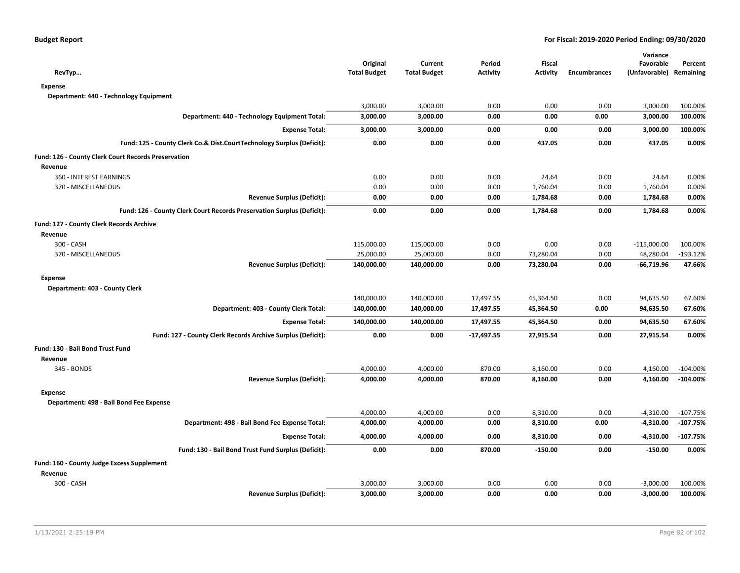| RevTyp                                                                 | Original<br><b>Total Budget</b> | Current<br><b>Total Budget</b> | Period<br><b>Activity</b> | <b>Fiscal</b><br><b>Activity</b> | <b>Encumbrances</b> | Variance<br>Favorable<br>(Unfavorable) | Percent<br>Remaining |
|------------------------------------------------------------------------|---------------------------------|--------------------------------|---------------------------|----------------------------------|---------------------|----------------------------------------|----------------------|
| <b>Expense</b>                                                         |                                 |                                |                           |                                  |                     |                                        |                      |
| Department: 440 - Technology Equipment                                 |                                 |                                |                           |                                  |                     |                                        |                      |
|                                                                        | 3,000.00                        | 3,000.00                       | 0.00                      | 0.00                             | 0.00                | 3,000.00                               | 100.00%              |
| Department: 440 - Technology Equipment Total:                          | 3,000.00                        | 3,000.00                       | 0.00                      | 0.00                             | 0.00                | 3,000.00                               | 100.00%              |
| <b>Expense Total:</b>                                                  | 3,000.00                        | 3,000.00                       | 0.00                      | 0.00                             | 0.00                | 3,000.00                               | 100.00%              |
| Fund: 125 - County Clerk Co.& Dist.CourtTechnology Surplus (Deficit):  | 0.00                            | 0.00                           | 0.00                      | 437.05                           | 0.00                | 437.05                                 | 0.00%                |
| Fund: 126 - County Clerk Court Records Preservation                    |                                 |                                |                           |                                  |                     |                                        |                      |
| Revenue                                                                |                                 |                                |                           |                                  |                     |                                        |                      |
| 360 - INTEREST EARNINGS                                                | 0.00                            | 0.00                           | 0.00                      | 24.64                            | 0.00                | 24.64                                  | 0.00%                |
| 370 - MISCELLANEOUS                                                    | 0.00                            | 0.00                           | 0.00                      | 1,760.04                         | 0.00                | 1,760.04                               | 0.00%                |
| <b>Revenue Surplus (Deficit):</b>                                      | 0.00                            | 0.00                           | 0.00                      | 1,784.68                         | 0.00                | 1,784.68                               | 0.00%                |
| Fund: 126 - County Clerk Court Records Preservation Surplus (Deficit): | 0.00                            | 0.00                           | 0.00                      | 1,784.68                         | 0.00                | 1,784.68                               | 0.00%                |
| Fund: 127 - County Clerk Records Archive                               |                                 |                                |                           |                                  |                     |                                        |                      |
| Revenue                                                                |                                 |                                |                           |                                  |                     |                                        |                      |
| 300 - CASH                                                             | 115,000.00                      | 115,000.00                     | 0.00                      | 0.00                             | 0.00                | $-115,000.00$                          | 100.00%              |
| 370 - MISCELLANEOUS                                                    | 25,000.00                       | 25,000.00                      | 0.00                      | 73,280.04                        | 0.00                | 48,280.04                              | $-193.12%$           |
| <b>Revenue Surplus (Deficit):</b>                                      | 140,000.00                      | 140,000.00                     | 0.00                      | 73,280.04                        | 0.00                | -66,719.96                             | 47.66%               |
| <b>Expense</b>                                                         |                                 |                                |                           |                                  |                     |                                        |                      |
| Department: 403 - County Clerk                                         |                                 |                                |                           |                                  |                     |                                        |                      |
|                                                                        | 140,000.00                      | 140,000.00                     | 17,497.55                 | 45,364.50                        | 0.00                | 94,635.50                              | 67.60%               |
| Department: 403 - County Clerk Total:                                  | 140,000.00                      | 140,000.00                     | 17,497.55                 | 45,364.50                        | 0.00                | 94,635.50                              | 67.60%               |
| <b>Expense Total:</b>                                                  | 140,000.00                      | 140,000.00                     | 17,497.55                 | 45,364.50                        | 0.00                | 94,635.50                              | 67.60%               |
| Fund: 127 - County Clerk Records Archive Surplus (Deficit):            | 0.00                            | 0.00                           | $-17.497.55$              | 27,915.54                        | 0.00                | 27,915.54                              | 0.00%                |
| Fund: 130 - Bail Bond Trust Fund                                       |                                 |                                |                           |                                  |                     |                                        |                      |
| Revenue                                                                |                                 |                                |                           |                                  |                     |                                        |                      |
| 345 - BONDS                                                            | 4,000.00                        | 4,000.00                       | 870.00                    | 8,160.00                         | 0.00                | 4,160.00                               | $-104.00%$           |
| <b>Revenue Surplus (Deficit):</b>                                      | 4,000.00                        | 4,000.00                       | 870.00                    | 8,160.00                         | 0.00                | 4,160.00                               | $-104.00%$           |
| <b>Expense</b>                                                         |                                 |                                |                           |                                  |                     |                                        |                      |
| Department: 498 - Bail Bond Fee Expense                                |                                 |                                |                           |                                  |                     |                                        |                      |
|                                                                        | 4,000.00                        | 4,000.00                       | 0.00                      | 8,310.00                         | 0.00                | $-4,310.00$                            | $-107.75%$           |
| Department: 498 - Bail Bond Fee Expense Total:                         | 4,000.00                        | 4,000.00                       | 0.00                      | 8,310.00                         | 0.00                | $-4,310.00$                            | $-107.75%$           |
| <b>Expense Total:</b>                                                  | 4,000.00                        | 4,000.00                       | 0.00                      | 8,310.00                         | 0.00                | $-4,310.00$                            | $-107.75%$           |
| Fund: 130 - Bail Bond Trust Fund Surplus (Deficit):                    | 0.00                            | 0.00                           | 870.00                    | $-150.00$                        | 0.00                | $-150.00$                              | 0.00%                |
| Fund: 160 - County Judge Excess Supplement                             |                                 |                                |                           |                                  |                     |                                        |                      |
| Revenue                                                                |                                 |                                |                           |                                  |                     |                                        |                      |
| 300 - CASH                                                             | 3,000.00                        | 3,000.00                       | 0.00                      | 0.00                             | 0.00                | $-3,000.00$                            | 100.00%              |
| <b>Revenue Surplus (Deficit):</b>                                      | 3,000.00                        | 3,000.00                       | 0.00                      | 0.00                             | 0.00                | $-3,000.00$                            | 100.00%              |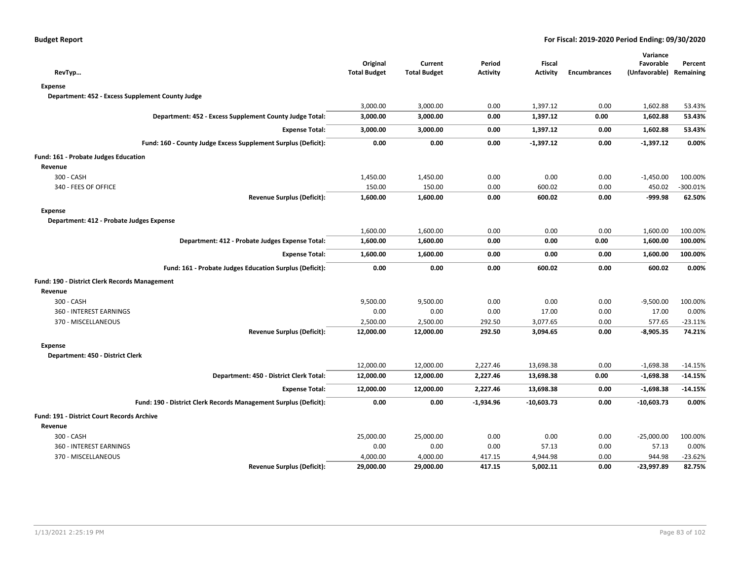| RevTyp                                                           | Original<br><b>Total Budget</b> | Current<br><b>Total Budget</b> | Period<br><b>Activity</b> | <b>Fiscal</b><br><b>Activity</b> | <b>Encumbrances</b> | Variance<br>Favorable<br>(Unfavorable) | Percent<br>Remaining |
|------------------------------------------------------------------|---------------------------------|--------------------------------|---------------------------|----------------------------------|---------------------|----------------------------------------|----------------------|
| <b>Expense</b>                                                   |                                 |                                |                           |                                  |                     |                                        |                      |
| Department: 452 - Excess Supplement County Judge                 |                                 |                                |                           |                                  |                     |                                        |                      |
|                                                                  | 3,000.00                        | 3,000.00                       | 0.00                      | 1,397.12                         | 0.00                | 1,602.88                               | 53.43%               |
| Department: 452 - Excess Supplement County Judge Total:          | 3,000.00                        | 3,000.00                       | 0.00                      | 1,397.12                         | 0.00                | 1,602.88                               | 53.43%               |
| <b>Expense Total:</b>                                            | 3,000.00                        | 3,000.00                       | 0.00                      | 1,397.12                         | 0.00                | 1,602.88                               | 53.43%               |
| Fund: 160 - County Judge Excess Supplement Surplus (Deficit):    | 0.00                            | 0.00                           | 0.00                      | $-1,397.12$                      | 0.00                | $-1,397.12$                            | 0.00%                |
| Fund: 161 - Probate Judges Education                             |                                 |                                |                           |                                  |                     |                                        |                      |
| Revenue                                                          |                                 |                                |                           |                                  |                     |                                        |                      |
| 300 - CASH                                                       | 1,450.00                        | 1,450.00                       | 0.00                      | 0.00                             | 0.00                | $-1,450.00$                            | 100.00%              |
| 340 - FEES OF OFFICE                                             | 150.00                          | 150.00                         | 0.00                      | 600.02                           | 0.00                | 450.02                                 | $-300.01%$           |
| <b>Revenue Surplus (Deficit):</b>                                | 1,600.00                        | 1,600.00                       | 0.00                      | 600.02                           | 0.00                | -999.98                                | 62.50%               |
| <b>Expense</b>                                                   |                                 |                                |                           |                                  |                     |                                        |                      |
| Department: 412 - Probate Judges Expense                         |                                 |                                |                           |                                  |                     |                                        |                      |
|                                                                  | 1,600.00                        | 1,600.00                       | 0.00                      | 0.00                             | 0.00                | 1,600.00                               | 100.00%              |
| Department: 412 - Probate Judges Expense Total:                  | 1,600.00                        | 1,600.00                       | 0.00                      | 0.00                             | 0.00                | 1,600.00                               | 100.00%              |
| <b>Expense Total:</b>                                            | 1,600.00                        | 1,600.00                       | 0.00                      | 0.00                             | 0.00                | 1,600.00                               | 100.00%              |
| Fund: 161 - Probate Judges Education Surplus (Deficit):          | 0.00                            | 0.00                           | 0.00                      | 600.02                           | 0.00                | 600.02                                 | 0.00%                |
| Fund: 190 - District Clerk Records Management                    |                                 |                                |                           |                                  |                     |                                        |                      |
| Revenue                                                          |                                 |                                |                           |                                  |                     |                                        |                      |
| 300 - CASH                                                       | 9,500.00                        | 9,500.00                       | 0.00                      | 0.00                             | 0.00                | $-9,500.00$                            | 100.00%              |
| 360 - INTEREST EARNINGS                                          | 0.00                            | 0.00                           | 0.00                      | 17.00                            | 0.00                | 17.00                                  | 0.00%                |
| 370 - MISCELLANEOUS                                              | 2,500.00                        | 2,500.00                       | 292.50                    | 3,077.65                         | 0.00                | 577.65                                 | $-23.11%$            |
| <b>Revenue Surplus (Deficit):</b>                                | 12,000.00                       | 12,000.00                      | 292.50                    | 3,094.65                         | 0.00                | $-8,905.35$                            | 74.21%               |
| <b>Expense</b>                                                   |                                 |                                |                           |                                  |                     |                                        |                      |
| Department: 450 - District Clerk                                 |                                 |                                |                           |                                  |                     |                                        |                      |
|                                                                  | 12,000.00                       | 12,000.00                      | 2,227.46                  | 13,698.38                        | 0.00                | $-1,698.38$                            | $-14.15%$            |
| Department: 450 - District Clerk Total:                          | 12,000.00                       | 12,000.00                      | 2,227.46                  | 13,698.38                        | 0.00                | $-1,698.38$                            | $-14.15%$            |
| <b>Expense Total:</b>                                            | 12,000.00                       | 12,000.00                      | 2,227.46                  | 13,698.38                        | 0.00                | $-1,698.38$                            | $-14.15%$            |
| Fund: 190 - District Clerk Records Management Surplus (Deficit): | 0.00                            | 0.00                           | $-1,934.96$               | $-10,603.73$                     | 0.00                | -10,603.73                             | 0.00%                |
| Fund: 191 - District Court Records Archive                       |                                 |                                |                           |                                  |                     |                                        |                      |
| Revenue                                                          |                                 |                                |                           |                                  |                     |                                        |                      |
| 300 - CASH                                                       | 25,000.00                       | 25,000.00                      | 0.00                      | 0.00                             | 0.00                | $-25,000.00$                           | 100.00%              |
| 360 - INTEREST EARNINGS                                          | 0.00                            | 0.00                           | 0.00                      | 57.13                            | 0.00                | 57.13                                  | 0.00%                |
| 370 - MISCELLANEOUS                                              | 4,000.00                        | 4,000.00                       | 417.15                    | 4,944.98                         | 0.00                | 944.98                                 | -23.62%              |
| <b>Revenue Surplus (Deficit):</b>                                | 29,000.00                       | 29,000.00                      | 417.15                    | 5,002.11                         | 0.00                | -23,997.89                             | 82.75%               |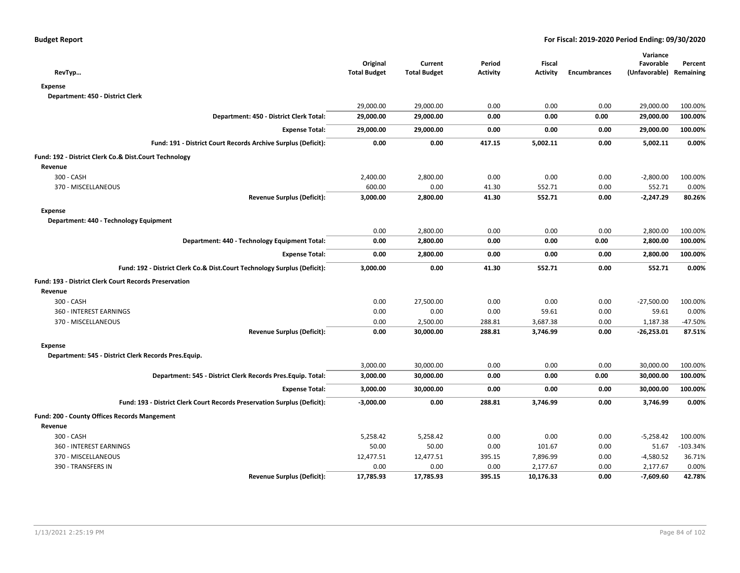| RevTyp                                                                   | Original<br><b>Total Budget</b> | Current<br><b>Total Budget</b> | Period<br><b>Activity</b> | <b>Fiscal</b><br><b>Activity</b> | <b>Encumbrances</b> | Variance<br>Favorable<br>(Unfavorable) Remaining | Percent    |
|--------------------------------------------------------------------------|---------------------------------|--------------------------------|---------------------------|----------------------------------|---------------------|--------------------------------------------------|------------|
| <b>Expense</b>                                                           |                                 |                                |                           |                                  |                     |                                                  |            |
| Department: 450 - District Clerk                                         |                                 |                                |                           |                                  |                     |                                                  |            |
|                                                                          | 29,000.00                       | 29,000.00                      | 0.00                      | 0.00                             | 0.00                | 29,000.00                                        | 100.00%    |
| Department: 450 - District Clerk Total:                                  | 29,000.00                       | 29,000.00                      | 0.00                      | 0.00                             | 0.00                | 29,000.00                                        | 100.00%    |
| <b>Expense Total:</b>                                                    | 29,000.00                       | 29,000.00                      | 0.00                      | 0.00                             | 0.00                | 29,000.00                                        | 100.00%    |
| Fund: 191 - District Court Records Archive Surplus (Deficit):            | 0.00                            | 0.00                           | 417.15                    | 5,002.11                         | 0.00                | 5,002.11                                         | 0.00%      |
| Fund: 192 - District Clerk Co.& Dist.Court Technology                    |                                 |                                |                           |                                  |                     |                                                  |            |
| Revenue                                                                  |                                 |                                |                           |                                  |                     |                                                  |            |
| 300 - CASH                                                               | 2,400.00                        | 2,800.00                       | 0.00                      | 0.00                             | 0.00                | $-2,800.00$                                      | 100.00%    |
| 370 - MISCELLANEOUS                                                      | 600.00                          | 0.00                           | 41.30                     | 552.71                           | 0.00                | 552.71                                           | 0.00%      |
| <b>Revenue Surplus (Deficit):</b>                                        | 3,000.00                        | 2,800.00                       | 41.30                     | 552.71                           | 0.00                | $-2,247.29$                                      | 80.26%     |
| <b>Expense</b>                                                           |                                 |                                |                           |                                  |                     |                                                  |            |
| Department: 440 - Technology Equipment                                   |                                 |                                |                           |                                  |                     |                                                  |            |
|                                                                          | 0.00                            | 2,800.00                       | 0.00                      | 0.00                             | 0.00                | 2,800.00                                         | 100.00%    |
| Department: 440 - Technology Equipment Total:                            | 0.00                            | 2,800.00                       | 0.00                      | 0.00                             | 0.00                | 2,800.00                                         | 100.00%    |
| <b>Expense Total:</b>                                                    | 0.00                            | 2,800.00                       | 0.00                      | 0.00                             | 0.00                | 2,800.00                                         | 100.00%    |
| Fund: 192 - District Clerk Co.& Dist.Court Technology Surplus (Deficit): | 3,000.00                        | 0.00                           | 41.30                     | 552.71                           | 0.00                | 552.71                                           | 0.00%      |
| Fund: 193 - District Clerk Court Records Preservation                    |                                 |                                |                           |                                  |                     |                                                  |            |
| Revenue                                                                  |                                 |                                |                           |                                  |                     |                                                  |            |
| 300 - CASH                                                               | 0.00                            | 27,500.00                      | 0.00                      | 0.00                             | 0.00                | $-27,500.00$                                     | 100.00%    |
| 360 - INTEREST EARNINGS                                                  | 0.00                            | 0.00                           | 0.00                      | 59.61                            | 0.00                | 59.61                                            | 0.00%      |
| 370 - MISCELLANEOUS                                                      | 0.00                            | 2,500.00                       | 288.81                    | 3,687.38                         | 0.00                | 1,187.38                                         | $-47.50%$  |
| <b>Revenue Surplus (Deficit):</b>                                        | 0.00                            | 30,000.00                      | 288.81                    | 3,746.99                         | 0.00                | $-26,253.01$                                     | 87.51%     |
| <b>Expense</b>                                                           |                                 |                                |                           |                                  |                     |                                                  |            |
| Department: 545 - District Clerk Records Pres.Equip.                     |                                 |                                |                           |                                  |                     |                                                  |            |
|                                                                          | 3,000.00                        | 30,000.00                      | 0.00                      | 0.00                             | 0.00                | 30,000.00                                        | 100.00%    |
| Department: 545 - District Clerk Records Pres. Equip. Total:             | 3,000.00                        | 30,000.00                      | 0.00                      | 0.00                             | 0.00                | 30,000.00                                        | 100.00%    |
| <b>Expense Total:</b>                                                    | 3,000.00                        | 30,000.00                      | 0.00                      | 0.00                             | 0.00                | 30,000.00                                        | 100.00%    |
| Fund: 193 - District Clerk Court Records Preservation Surplus (Deficit): | $-3,000.00$                     | 0.00                           | 288.81                    | 3,746.99                         | 0.00                | 3,746.99                                         | 0.00%      |
| Fund: 200 - County Offices Records Mangement                             |                                 |                                |                           |                                  |                     |                                                  |            |
| Revenue                                                                  |                                 |                                |                           |                                  |                     |                                                  |            |
| 300 - CASH                                                               | 5,258.42                        | 5,258.42                       | 0.00                      | 0.00                             | 0.00                | $-5,258.42$                                      | 100.00%    |
| 360 - INTEREST EARNINGS                                                  | 50.00                           | 50.00                          | 0.00                      | 101.67                           | 0.00                | 51.67                                            | $-103.34%$ |
| 370 - MISCELLANEOUS                                                      | 12,477.51                       | 12,477.51                      | 395.15                    | 7,896.99                         | 0.00                | $-4,580.52$                                      | 36.71%     |
| 390 - TRANSFERS IN                                                       | 0.00                            | 0.00                           | 0.00                      | 2,177.67                         | 0.00                | 2,177.67                                         | 0.00%      |
| <b>Revenue Surplus (Deficit):</b>                                        | 17,785.93                       | 17,785.93                      | 395.15                    | 10,176.33                        | 0.00                | $-7,609.60$                                      | 42.78%     |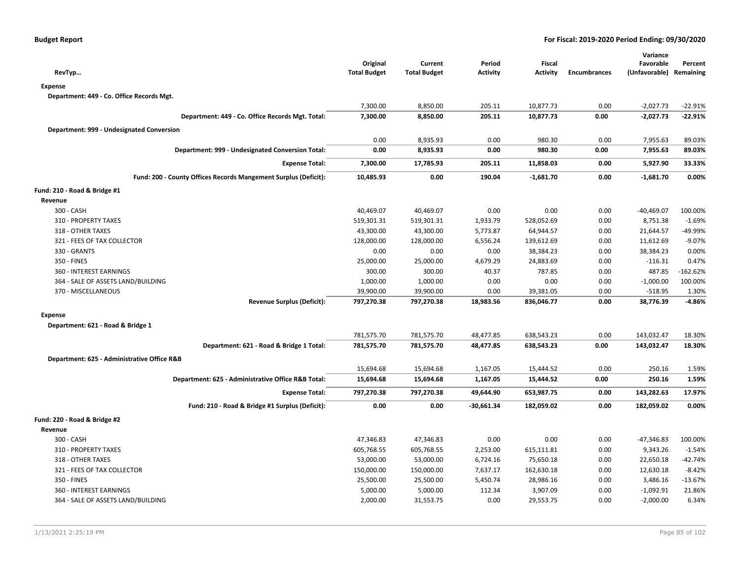|                                             |                                                                 | Original            | Current             | Period          | <b>Fiscal</b>   |                     | Variance<br>Favorable   | Percent    |
|---------------------------------------------|-----------------------------------------------------------------|---------------------|---------------------|-----------------|-----------------|---------------------|-------------------------|------------|
| RevTyp                                      |                                                                 | <b>Total Budget</b> | <b>Total Budget</b> | <b>Activity</b> | <b>Activity</b> | <b>Encumbrances</b> | (Unfavorable) Remaining |            |
| <b>Expense</b>                              |                                                                 |                     |                     |                 |                 |                     |                         |            |
| Department: 449 - Co. Office Records Mgt.   |                                                                 |                     |                     |                 |                 |                     |                         |            |
|                                             |                                                                 | 7,300.00            | 8,850.00            | 205.11          | 10,877.73       | 0.00                | $-2,027.73$             | $-22.91%$  |
|                                             | Department: 449 - Co. Office Records Mgt. Total:                | 7,300.00            | 8,850.00            | 205.11          | 10,877.73       | 0.00                | $-2,027.73$             | $-22.91%$  |
| Department: 999 - Undesignated Conversion   |                                                                 |                     |                     |                 |                 |                     |                         |            |
|                                             |                                                                 | 0.00                | 8,935.93            | 0.00            | 980.30          | 0.00                | 7,955.63                | 89.03%     |
|                                             | Department: 999 - Undesignated Conversion Total:                | 0.00                | 8,935.93            | 0.00            | 980.30          | 0.00                | 7,955.63                | 89.03%     |
|                                             | <b>Expense Total:</b>                                           | 7,300.00            | 17,785.93           | 205.11          | 11,858.03       | 0.00                | 5,927.90                | 33.33%     |
|                                             | Fund: 200 - County Offices Records Mangement Surplus (Deficit): | 10,485.93           | 0.00                | 190.04          | $-1,681.70$     | 0.00                | $-1,681.70$             | 0.00%      |
| Fund: 210 - Road & Bridge #1                |                                                                 |                     |                     |                 |                 |                     |                         |            |
| Revenue                                     |                                                                 |                     |                     |                 |                 |                     |                         |            |
| 300 - CASH                                  |                                                                 | 40,469.07           | 40,469.07           | 0.00            | 0.00            | 0.00                | $-40,469.07$            | 100.00%    |
| 310 - PROPERTY TAXES                        |                                                                 | 519,301.31          | 519,301.31          | 1,933.79        | 528,052.69      | 0.00                | 8,751.38                | $-1.69%$   |
| 318 - OTHER TAXES                           |                                                                 | 43,300.00           | 43,300.00           | 5,773.87        | 64,944.57       | 0.00                | 21,644.57               | -49.99%    |
| 321 - FEES OF TAX COLLECTOR                 |                                                                 | 128,000.00          | 128,000.00          | 6,556.24        | 139,612.69      | 0.00                | 11,612.69               | $-9.07%$   |
| 330 - GRANTS                                |                                                                 | 0.00                | 0.00                | 0.00            | 38,384.23       | 0.00                | 38,384.23               | 0.00%      |
| 350 - FINES                                 |                                                                 | 25,000.00           | 25,000.00           | 4,679.29        | 24,883.69       | 0.00                | $-116.31$               | 0.47%      |
| 360 - INTEREST EARNINGS                     |                                                                 | 300.00              | 300.00              | 40.37           | 787.85          | 0.00                | 487.85                  | $-162.62%$ |
| 364 - SALE OF ASSETS LAND/BUILDING          |                                                                 | 1,000.00            | 1,000.00            | 0.00            | 0.00            | 0.00                | $-1,000.00$             | 100.00%    |
| 370 - MISCELLANEOUS                         |                                                                 | 39,900.00           | 39,900.00           | 0.00            | 39,381.05       | 0.00                | $-518.95$               | 1.30%      |
|                                             | <b>Revenue Surplus (Deficit):</b>                               | 797,270.38          | 797,270.38          | 18,983.56       | 836,046.77      | 0.00                | 38,776.39               | $-4.86%$   |
| <b>Expense</b>                              |                                                                 |                     |                     |                 |                 |                     |                         |            |
| Department: 621 - Road & Bridge 1           |                                                                 |                     |                     |                 |                 |                     |                         |            |
|                                             |                                                                 | 781,575.70          | 781,575.70          | 48,477.85       | 638,543.23      | 0.00                | 143,032.47              | 18.30%     |
|                                             | Department: 621 - Road & Bridge 1 Total:                        | 781,575.70          | 781,575.70          | 48,477.85       | 638,543.23      | 0.00                | 143,032.47              | 18.30%     |
| Department: 625 - Administrative Office R&B |                                                                 |                     |                     |                 |                 |                     |                         |            |
|                                             |                                                                 | 15,694.68           | 15,694.68           | 1,167.05        | 15,444.52       | 0.00                | 250.16                  | 1.59%      |
|                                             | Department: 625 - Administrative Office R&B Total:              | 15,694.68           | 15,694.68           | 1,167.05        | 15,444.52       | 0.00                | 250.16                  | 1.59%      |
|                                             | <b>Expense Total:</b>                                           | 797,270.38          | 797,270.38          | 49,644.90       | 653,987.75      | 0.00                | 143,282.63              | 17.97%     |
|                                             | Fund: 210 - Road & Bridge #1 Surplus (Deficit):                 | 0.00                | 0.00                | $-30,661.34$    | 182,059.02      | 0.00                | 182,059.02              | 0.00%      |
| Fund: 220 - Road & Bridge #2                |                                                                 |                     |                     |                 |                 |                     |                         |            |
| Revenue                                     |                                                                 |                     |                     |                 |                 |                     |                         |            |
| 300 - CASH                                  |                                                                 | 47,346.83           | 47,346.83           | 0.00            | 0.00            | 0.00                | $-47,346.83$            | 100.00%    |
| 310 - PROPERTY TAXES                        |                                                                 | 605,768.55          | 605,768.55          | 2,253.00        | 615,111.81      | 0.00                | 9,343.26                | $-1.54%$   |
| 318 - OTHER TAXES                           |                                                                 | 53,000.00           | 53,000.00           | 6,724.16        | 75,650.18       | 0.00                | 22,650.18               | $-42.74%$  |
| 321 - FEES OF TAX COLLECTOR                 |                                                                 | 150,000.00          | 150,000.00          | 7,637.17        | 162,630.18      | 0.00                | 12,630.18               | $-8.42%$   |
| 350 - FINES                                 |                                                                 | 25,500.00           | 25,500.00           | 5,450.74        | 28,986.16       | 0.00                | 3,486.16                | $-13.67%$  |
| 360 - INTEREST EARNINGS                     |                                                                 | 5,000.00            | 5,000.00            | 112.34          | 3,907.09        | 0.00                | $-1,092.91$             | 21.86%     |
| 364 - SALE OF ASSETS LAND/BUILDING          |                                                                 | 2,000.00            | 31,553.75           | 0.00            | 29,553.75       | 0.00                | $-2,000.00$             | 6.34%      |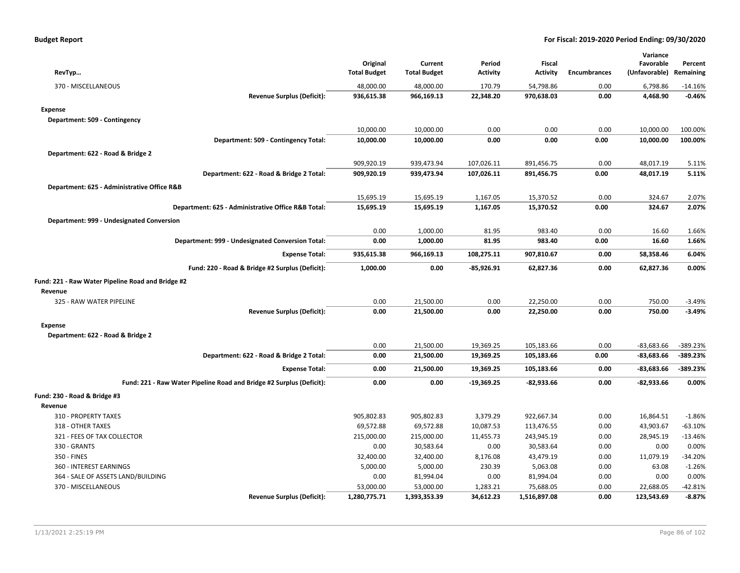| <b>Budget Report</b> |  |
|----------------------|--|
|----------------------|--|

| RevTyp                                                               | Original<br><b>Total Budget</b> | Current<br><b>Total Budget</b> | Period<br>Activity | Fiscal<br><b>Activity</b> | <b>Encumbrances</b> | Variance<br>Favorable<br>(Unfavorable) | Percent<br>Remaining |
|----------------------------------------------------------------------|---------------------------------|--------------------------------|--------------------|---------------------------|---------------------|----------------------------------------|----------------------|
| 370 - MISCELLANEOUS                                                  | 48,000.00                       | 48,000.00                      | 170.79             | 54,798.86                 | 0.00                | 6,798.86                               | $-14.16%$            |
| <b>Revenue Surplus (Deficit):</b>                                    | 936,615.38                      | 966,169.13                     | 22,348.20          | 970,638.03                | 0.00                | 4,468.90                               | $-0.46%$             |
| <b>Expense</b>                                                       |                                 |                                |                    |                           |                     |                                        |                      |
| Department: 509 - Contingency                                        |                                 |                                |                    |                           |                     |                                        |                      |
|                                                                      | 10,000.00                       | 10,000.00                      | 0.00               | 0.00                      | 0.00                | 10,000.00                              | 100.00%              |
| Department: 509 - Contingency Total:                                 | 10,000.00                       | 10,000.00                      | 0.00               | 0.00                      | 0.00                | 10,000.00                              | 100.00%              |
| Department: 622 - Road & Bridge 2                                    |                                 |                                |                    |                           |                     |                                        |                      |
|                                                                      | 909,920.19                      | 939,473.94                     | 107,026.11         | 891,456.75                | 0.00                | 48,017.19                              | 5.11%                |
| Department: 622 - Road & Bridge 2 Total:                             | 909,920.19                      | 939,473.94                     | 107,026.11         | 891,456.75                | 0.00                | 48,017.19                              | 5.11%                |
| Department: 625 - Administrative Office R&B                          |                                 |                                |                    |                           |                     |                                        |                      |
|                                                                      | 15,695.19                       | 15,695.19                      | 1,167.05           | 15,370.52                 | 0.00                | 324.67                                 | 2.07%                |
| Department: 625 - Administrative Office R&B Total:                   | 15,695.19                       | 15,695.19                      | 1,167.05           | 15,370.52                 | 0.00                | 324.67                                 | 2.07%                |
| Department: 999 - Undesignated Conversion                            |                                 |                                |                    |                           |                     |                                        |                      |
|                                                                      | 0.00                            | 1,000.00                       | 81.95              | 983.40                    | 0.00                | 16.60                                  | 1.66%                |
| Department: 999 - Undesignated Conversion Total:                     | 0.00                            | 1,000.00                       | 81.95              | 983.40                    | 0.00                | 16.60                                  | 1.66%                |
|                                                                      | 935,615.38                      | 966,169.13                     | 108,275.11         | 907,810.67                | 0.00                | 58,358.46                              | 6.04%                |
| <b>Expense Total:</b>                                                |                                 |                                |                    |                           |                     |                                        |                      |
| Fund: 220 - Road & Bridge #2 Surplus (Deficit):                      | 1,000.00                        | 0.00                           | $-85,926.91$       | 62,827.36                 | 0.00                | 62,827.36                              | 0.00%                |
| Fund: 221 - Raw Water Pipeline Road and Bridge #2                    |                                 |                                |                    |                           |                     |                                        |                      |
| Revenue                                                              |                                 |                                |                    |                           |                     |                                        |                      |
| 325 - RAW WATER PIPELINE                                             | 0.00                            | 21,500.00                      | 0.00               | 22,250.00                 | 0.00                | 750.00                                 | $-3.49%$             |
| <b>Revenue Surplus (Deficit):</b>                                    | 0.00                            | 21,500.00                      | 0.00               | 22,250.00                 | 0.00                | 750.00                                 | $-3.49%$             |
| <b>Expense</b>                                                       |                                 |                                |                    |                           |                     |                                        |                      |
| Department: 622 - Road & Bridge 2                                    |                                 |                                |                    |                           |                     |                                        |                      |
|                                                                      | 0.00                            | 21,500.00                      | 19,369.25          | 105,183.66                | 0.00                | $-83,683.66$                           | $-389.23%$           |
| Department: 622 - Road & Bridge 2 Total:                             | 0.00                            | 21,500.00                      | 19,369.25          | 105,183.66                | 0.00                | $-83,683.66$                           | $-389.23%$           |
| <b>Expense Total:</b>                                                | 0.00                            | 21,500.00                      | 19,369.25          | 105,183.66                | 0.00                | $-83,683.66$                           | $-389.23%$           |
| Fund: 221 - Raw Water Pipeline Road and Bridge #2 Surplus (Deficit): | 0.00                            | 0.00                           | -19,369.25         | $-82,933.66$              | 0.00                | $-82,933.66$                           | 0.00%                |
| Fund: 230 - Road & Bridge #3                                         |                                 |                                |                    |                           |                     |                                        |                      |
| Revenue                                                              |                                 |                                |                    |                           |                     |                                        |                      |
| 310 - PROPERTY TAXES                                                 | 905,802.83                      | 905,802.83                     | 3,379.29           | 922,667.34                | 0.00                | 16,864.51                              | $-1.86%$             |
| 318 - OTHER TAXES                                                    | 69,572.88                       | 69,572.88                      | 10,087.53          | 113,476.55                | 0.00                | 43,903.67                              | $-63.10%$            |
| 321 - FEES OF TAX COLLECTOR                                          | 215,000.00                      | 215,000.00                     | 11,455.73          | 243,945.19                | 0.00                | 28,945.19                              | $-13.46%$            |
| 330 - GRANTS                                                         | 0.00                            | 30,583.64                      | 0.00               | 30,583.64                 | 0.00                | 0.00                                   | 0.00%                |
| 350 - FINES                                                          | 32,400.00                       | 32,400.00                      | 8,176.08           | 43,479.19                 | 0.00                | 11,079.19                              | $-34.20%$            |
| 360 - INTEREST EARNINGS                                              | 5,000.00                        | 5,000.00                       | 230.39             | 5,063.08                  | 0.00                | 63.08                                  | $-1.26%$             |
| 364 - SALE OF ASSETS LAND/BUILDING                                   | 0.00                            | 81,994.04                      | 0.00               | 81,994.04                 | 0.00                | 0.00                                   | 0.00%                |
| 370 - MISCELLANEOUS                                                  | 53,000.00                       | 53,000.00                      | 1,283.21           | 75,688.05                 | 0.00                | 22,688.05                              | $-42.81%$            |
| <b>Revenue Surplus (Deficit):</b>                                    | 1,280,775.71                    | 1,393,353.39                   | 34,612.23          | 1,516,897.08              | 0.00                | 123,543.69                             | $-8.87%$             |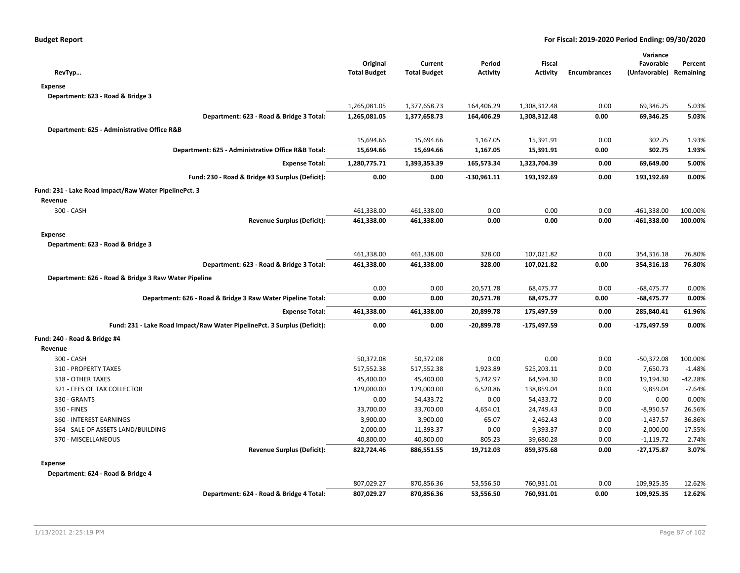| RevTyp                                                                   | Original<br><b>Total Budget</b> | Current<br><b>Total Budget</b> | Period<br><b>Activity</b> | Fiscal<br><b>Activity</b> | <b>Encumbrances</b> | Variance<br>Favorable<br>(Unfavorable) | Percent<br>Remaining |
|--------------------------------------------------------------------------|---------------------------------|--------------------------------|---------------------------|---------------------------|---------------------|----------------------------------------|----------------------|
| <b>Expense</b>                                                           |                                 |                                |                           |                           |                     |                                        |                      |
| Department: 623 - Road & Bridge 3                                        |                                 |                                |                           |                           |                     |                                        |                      |
|                                                                          | 1,265,081.05                    | 1,377,658.73                   | 164,406.29                | 1,308,312.48              | 0.00                | 69,346.25                              | 5.03%                |
| Department: 623 - Road & Bridge 3 Total:                                 | 1,265,081.05                    | 1,377,658.73                   | 164,406.29                | 1,308,312.48              | 0.00                | 69,346.25                              | 5.03%                |
| Department: 625 - Administrative Office R&B                              |                                 |                                |                           |                           |                     |                                        |                      |
|                                                                          | 15,694.66                       | 15,694.66                      | 1,167.05                  | 15,391.91                 | 0.00                | 302.75                                 | 1.93%                |
| Department: 625 - Administrative Office R&B Total:                       | 15,694.66                       | 15,694.66                      | 1,167.05                  | 15,391.91                 | 0.00                | 302.75                                 | 1.93%                |
| <b>Expense Total:</b>                                                    | 1,280,775.71                    | 1,393,353.39                   | 165,573.34                | 1,323,704.39              | 0.00                | 69,649.00                              | 5.00%                |
|                                                                          | 0.00                            | 0.00                           | $-130,961.11$             |                           | 0.00                | 193,192.69                             | 0.00%                |
| Fund: 230 - Road & Bridge #3 Surplus (Deficit):                          |                                 |                                |                           | 193,192.69                |                     |                                        |                      |
| Fund: 231 - Lake Road Impact/Raw Water PipelinePct. 3                    |                                 |                                |                           |                           |                     |                                        |                      |
| Revenue                                                                  |                                 |                                |                           |                           |                     |                                        |                      |
| 300 - CASH                                                               | 461,338.00                      | 461,338.00                     | 0.00                      | 0.00                      | 0.00                | $-461,338.00$                          | 100.00%              |
| <b>Revenue Surplus (Deficit):</b>                                        | 461,338.00                      | 461,338.00                     | 0.00                      | 0.00                      | 0.00                | -461,338.00                            | 100.00%              |
| <b>Expense</b>                                                           |                                 |                                |                           |                           |                     |                                        |                      |
| Department: 623 - Road & Bridge 3                                        |                                 |                                |                           |                           |                     |                                        |                      |
|                                                                          | 461,338.00                      | 461,338.00                     | 328.00                    | 107,021.82                | 0.00                | 354,316.18                             | 76.80%               |
| Department: 623 - Road & Bridge 3 Total:                                 | 461,338.00                      | 461,338.00                     | 328.00                    | 107,021.82                | 0.00                | 354,316.18                             | 76.80%               |
| Department: 626 - Road & Bridge 3 Raw Water Pipeline                     |                                 |                                |                           |                           |                     |                                        |                      |
|                                                                          | 0.00                            | 0.00                           | 20,571.78                 | 68,475.77                 | 0.00                | $-68,475.77$                           | 0.00%                |
| Department: 626 - Road & Bridge 3 Raw Water Pipeline Total:              | 0.00                            | 0.00                           | 20,571.78                 | 68,475.77                 | 0.00                | $-68,475.77$                           | 0.00%                |
| <b>Expense Total:</b>                                                    | 461,338.00                      | 461,338.00                     | 20,899.78                 | 175,497.59                | 0.00                | 285,840.41                             | 61.96%               |
| Fund: 231 - Lake Road Impact/Raw Water PipelinePct. 3 Surplus (Deficit): | 0.00                            | 0.00                           | $-20,899.78$              | $-175,497.59$             | 0.00                | -175,497.59                            | 0.00%                |
| Fund: 240 - Road & Bridge #4                                             |                                 |                                |                           |                           |                     |                                        |                      |
| Revenue                                                                  |                                 |                                |                           |                           |                     |                                        |                      |
| 300 - CASH                                                               | 50,372.08                       | 50,372.08                      | 0.00                      | 0.00                      | 0.00                | $-50,372.08$                           | 100.00%              |
| 310 - PROPERTY TAXES                                                     | 517,552.38                      | 517,552.38                     | 1,923.89                  | 525,203.11                | 0.00                | 7,650.73                               | $-1.48%$             |
| 318 - OTHER TAXES                                                        | 45,400.00                       | 45,400.00                      | 5,742.97                  | 64,594.30                 | 0.00                | 19,194.30                              | $-42.28%$            |
| 321 - FEES OF TAX COLLECTOR                                              | 129,000.00                      | 129,000.00                     | 6,520.86                  | 138,859.04                | 0.00                | 9,859.04                               | $-7.64%$             |
| 330 - GRANTS                                                             | 0.00                            | 54,433.72                      | 0.00                      | 54,433.72                 | 0.00                | 0.00                                   | 0.00%                |
| 350 - FINES                                                              | 33,700.00                       | 33,700.00                      | 4,654.01                  | 24,749.43                 | 0.00                | $-8,950.57$                            | 26.56%               |
| 360 - INTEREST EARNINGS                                                  | 3,900.00                        | 3,900.00                       | 65.07                     | 2,462.43                  | 0.00                | $-1,437.57$                            | 36.86%               |
| 364 - SALE OF ASSETS LAND/BUILDING                                       | 2,000.00                        | 11,393.37                      | 0.00                      | 9,393.37                  | 0.00                | $-2,000.00$                            | 17.55%               |
| 370 - MISCELLANEOUS                                                      | 40,800.00                       | 40,800.00                      | 805.23                    | 39,680.28                 | 0.00                | $-1,119.72$                            | 2.74%                |
| <b>Revenue Surplus (Deficit):</b>                                        | 822,724.46                      | 886,551.55                     | 19,712.03                 | 859,375.68                | 0.00                | $-27,175.87$                           | 3.07%                |
| <b>Expense</b>                                                           |                                 |                                |                           |                           |                     |                                        |                      |
| Department: 624 - Road & Bridge 4                                        |                                 |                                |                           |                           |                     |                                        |                      |
|                                                                          | 807,029.27                      | 870,856.36                     | 53,556.50                 | 760,931.01                | 0.00                | 109,925.35                             | 12.62%               |
| Department: 624 - Road & Bridge 4 Total:                                 | 807,029.27                      | 870,856.36                     | 53,556.50                 | 760,931.01                | 0.00                | 109,925.35                             | 12.62%               |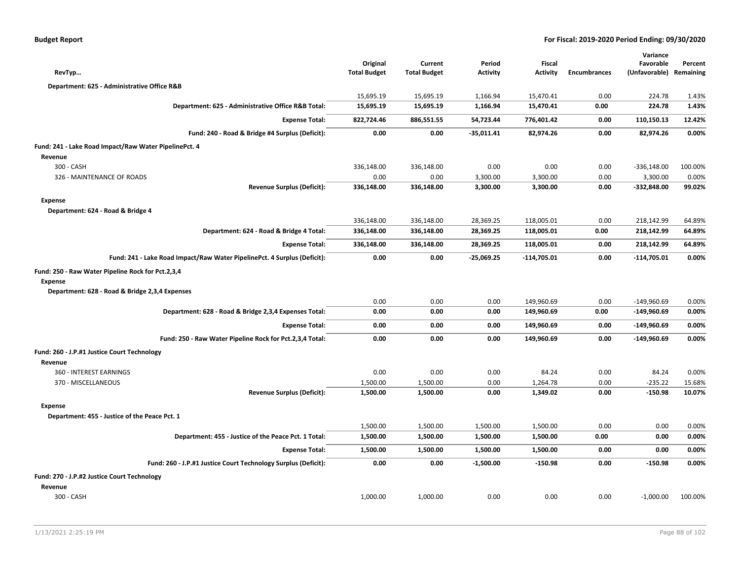| <b>Budget Report</b> |  |
|----------------------|--|
|----------------------|--|

| RevTyp                                                                   | Original<br><b>Total Budget</b> | Current<br><b>Total Budget</b> | Period<br><b>Activity</b> | <b>Fiscal</b><br><b>Activity</b> | <b>Encumbrances</b> | Variance<br>Favorable<br>(Unfavorable) | Percent<br>Remaining |
|--------------------------------------------------------------------------|---------------------------------|--------------------------------|---------------------------|----------------------------------|---------------------|----------------------------------------|----------------------|
| Department: 625 - Administrative Office R&B                              |                                 |                                |                           |                                  |                     |                                        |                      |
|                                                                          | 15,695.19                       | 15,695.19                      | 1,166.94                  | 15,470.41                        | 0.00                | 224.78                                 | 1.43%                |
| Department: 625 - Administrative Office R&B Total:                       | 15,695.19                       | 15,695.19                      | 1,166.94                  | 15,470.41                        | 0.00                | 224.78                                 | 1.43%                |
| <b>Expense Total:</b>                                                    | 822,724.46                      | 886,551.55                     | 54,723.44                 | 776,401.42                       | 0.00                | 110,150.13                             | 12.42%               |
| Fund: 240 - Road & Bridge #4 Surplus (Deficit):                          | 0.00                            | 0.00                           | $-35,011.41$              | 82,974.26                        | 0.00                | 82,974.26                              | 0.00%                |
| Fund: 241 - Lake Road Impact/Raw Water PipelinePct. 4                    |                                 |                                |                           |                                  |                     |                                        |                      |
| Revenue                                                                  |                                 |                                |                           |                                  |                     |                                        |                      |
| 300 - CASH                                                               | 336,148.00                      | 336,148.00                     | 0.00                      | 0.00                             | 0.00                | $-336,148.00$                          | 100.00%              |
| 326 - MAINTENANCE OF ROADS                                               | 0.00                            | 0.00                           | 3,300.00                  | 3,300.00                         | 0.00                | 3,300.00                               | 0.00%                |
| <b>Revenue Surplus (Deficit):</b>                                        | 336,148.00                      | 336,148.00                     | 3,300.00                  | 3,300.00                         | 0.00                | $-332,848.00$                          | 99.02%               |
| <b>Expense</b>                                                           |                                 |                                |                           |                                  |                     |                                        |                      |
| Department: 624 - Road & Bridge 4                                        |                                 |                                |                           |                                  |                     |                                        |                      |
|                                                                          | 336,148.00                      | 336,148.00                     | 28,369.25                 | 118,005.01                       | 0.00                | 218,142.99                             | 64.89%               |
| Department: 624 - Road & Bridge 4 Total:                                 | 336,148.00                      | 336,148.00                     | 28,369.25                 | 118,005.01                       | 0.00                | 218,142.99                             | 64.89%               |
| <b>Expense Total:</b>                                                    | 336,148.00                      | 336,148.00                     | 28,369.25                 | 118,005.01                       | 0.00                | 218,142.99                             | 64.89%               |
| Fund: 241 - Lake Road Impact/Raw Water PipelinePct. 4 Surplus (Deficit): | 0.00                            | 0.00                           | $-25,069.25$              | $-114,705.01$                    | 0.00                | $-114,705.01$                          | 0.00%                |
| Fund: 250 - Raw Water Pipeline Rock for Pct.2,3,4                        |                                 |                                |                           |                                  |                     |                                        |                      |
| <b>Expense</b><br>Department: 628 - Road & Bridge 2,3,4 Expenses         |                                 |                                |                           |                                  |                     |                                        |                      |
|                                                                          | 0.00                            | 0.00                           | 0.00                      | 149,960.69                       | 0.00                | $-149,960.69$                          | 0.00%                |
| Department: 628 - Road & Bridge 2,3,4 Expenses Total:                    | 0.00                            | 0.00                           | 0.00                      | 149,960.69                       | 0.00                | -149,960.69                            | 0.00%                |
| <b>Expense Total:</b>                                                    | 0.00                            | 0.00                           | 0.00                      | 149,960.69                       | 0.00                | $-149,960.69$                          | 0.00%                |
| Fund: 250 - Raw Water Pipeline Rock for Pct.2,3,4 Total:                 | 0.00                            | 0.00                           | 0.00                      | 149,960.69                       | 0.00                | $-149,960.69$                          | 0.00%                |
| Fund: 260 - J.P.#1 Justice Court Technology                              |                                 |                                |                           |                                  |                     |                                        |                      |
| Revenue                                                                  |                                 |                                |                           |                                  |                     |                                        |                      |
| 360 - INTEREST EARNINGS                                                  | 0.00                            | 0.00                           | 0.00                      | 84.24                            | 0.00                | 84.24                                  | 0.00%                |
| 370 - MISCELLANEOUS                                                      | 1,500.00                        | 1,500.00                       | 0.00                      | 1,264.78                         | 0.00                | $-235.22$                              | 15.68%               |
| <b>Revenue Surplus (Deficit):</b>                                        | 1,500.00                        | 1,500.00                       | 0.00                      | 1,349.02                         | 0.00                | $-150.98$                              | 10.07%               |
| <b>Expense</b>                                                           |                                 |                                |                           |                                  |                     |                                        |                      |
| Department: 455 - Justice of the Peace Pct. 1                            |                                 |                                |                           |                                  |                     |                                        |                      |
|                                                                          | 1,500.00                        | 1,500.00                       | 1,500.00                  | 1,500.00                         | 0.00                | 0.00                                   | 0.00%                |
| Department: 455 - Justice of the Peace Pct. 1 Total:                     | 1,500.00                        | 1,500.00                       | 1,500.00                  | 1,500.00                         | 0.00                | 0.00                                   | 0.00%                |
| <b>Expense Total:</b>                                                    | 1,500.00                        | 1,500.00                       | 1,500.00                  | 1,500.00                         | 0.00                | 0.00                                   | 0.00%                |
| Fund: 260 - J.P.#1 Justice Court Technology Surplus (Deficit):           | 0.00                            | 0.00                           | $-1,500.00$               | -150.98                          | 0.00                | $-150.98$                              | 0.00%                |
| Fund: 270 - J.P.#2 Justice Court Technology                              |                                 |                                |                           |                                  |                     |                                        |                      |
| Revenue                                                                  |                                 |                                |                           |                                  |                     |                                        |                      |
| 300 - CASH                                                               | 1,000.00                        | 1,000.00                       | 0.00                      | 0.00                             | 0.00                | $-1,000.00$                            | 100.00%              |
|                                                                          |                                 |                                |                           |                                  |                     |                                        |                      |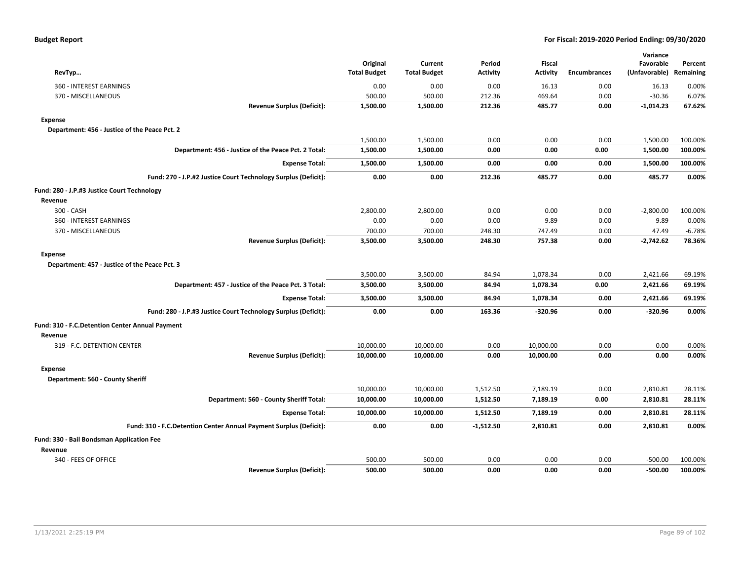| RevTyp                                                             | Original<br><b>Total Budget</b> | Current<br><b>Total Budget</b> | Period<br>Activity | <b>Fiscal</b><br><b>Activity</b> | <b>Encumbrances</b> | Variance<br>Favorable<br>(Unfavorable) Remaining | Percent  |
|--------------------------------------------------------------------|---------------------------------|--------------------------------|--------------------|----------------------------------|---------------------|--------------------------------------------------|----------|
| 360 - INTEREST EARNINGS                                            | 0.00                            | 0.00                           | 0.00               | 16.13                            | 0.00                | 16.13                                            | 0.00%    |
| 370 - MISCELLANEOUS                                                | 500.00                          | 500.00                         | 212.36             | 469.64                           | 0.00                | $-30.36$                                         | 6.07%    |
| <b>Revenue Surplus (Deficit):</b>                                  | 1,500.00                        | 1,500.00                       | 212.36             | 485.77                           | 0.00                | $-1,014.23$                                      | 67.62%   |
| <b>Expense</b>                                                     |                                 |                                |                    |                                  |                     |                                                  |          |
| Department: 456 - Justice of the Peace Pct. 2                      |                                 |                                |                    |                                  |                     |                                                  |          |
|                                                                    | 1,500.00                        | 1,500.00                       | 0.00               | 0.00                             | 0.00                | 1,500.00                                         | 100.00%  |
| Department: 456 - Justice of the Peace Pct. 2 Total:               | 1,500.00                        | 1,500.00                       | 0.00               | 0.00                             | 0.00                | 1,500.00                                         | 100.00%  |
| <b>Expense Total:</b>                                              | 1,500.00                        | 1,500.00                       | 0.00               | 0.00                             | 0.00                | 1,500.00                                         | 100.00%  |
| Fund: 270 - J.P.#2 Justice Court Technology Surplus (Deficit):     | 0.00                            | 0.00                           | 212.36             | 485.77                           | 0.00                | 485.77                                           | 0.00%    |
| Fund: 280 - J.P.#3 Justice Court Technology                        |                                 |                                |                    |                                  |                     |                                                  |          |
| Revenue                                                            |                                 |                                |                    |                                  |                     |                                                  |          |
| 300 - CASH                                                         | 2,800.00                        | 2,800.00                       | 0.00               | 0.00                             | 0.00                | $-2,800.00$                                      | 100.00%  |
| 360 - INTEREST EARNINGS                                            | 0.00                            | 0.00                           | 0.00               | 9.89                             | 0.00                | 9.89                                             | 0.00%    |
| 370 - MISCELLANEOUS                                                | 700.00                          | 700.00                         | 248.30             | 747.49                           | 0.00                | 47.49                                            | $-6.78%$ |
| <b>Revenue Surplus (Deficit):</b>                                  | 3,500.00                        | 3,500.00                       | 248.30             | 757.38                           | 0.00                | $-2,742.62$                                      | 78.36%   |
| <b>Expense</b>                                                     |                                 |                                |                    |                                  |                     |                                                  |          |
| Department: 457 - Justice of the Peace Pct. 3                      |                                 |                                |                    |                                  |                     |                                                  |          |
|                                                                    | 3,500.00                        | 3,500.00                       | 84.94              | 1,078.34                         | 0.00                | 2,421.66                                         | 69.19%   |
| Department: 457 - Justice of the Peace Pct. 3 Total:               | 3,500.00                        | 3,500.00                       | 84.94              | 1,078.34                         | 0.00                | 2,421.66                                         | 69.19%   |
| <b>Expense Total:</b>                                              | 3,500.00                        | 3,500.00                       | 84.94              | 1,078.34                         | 0.00                | 2,421.66                                         | 69.19%   |
| Fund: 280 - J.P.#3 Justice Court Technology Surplus (Deficit):     | 0.00                            | 0.00                           | 163.36             | $-320.96$                        | 0.00                | $-320.96$                                        | 0.00%    |
| Fund: 310 - F.C.Detention Center Annual Payment                    |                                 |                                |                    |                                  |                     |                                                  |          |
| Revenue                                                            |                                 |                                |                    |                                  |                     |                                                  |          |
| 319 - F.C. DETENTION CENTER                                        | 10,000.00                       | 10,000.00                      | 0.00               | 10,000.00                        | 0.00                | 0.00                                             | 0.00%    |
| <b>Revenue Surplus (Deficit):</b>                                  | 10,000.00                       | 10,000.00                      | 0.00               | 10,000.00                        | 0.00                | 0.00                                             | 0.00%    |
| <b>Expense</b>                                                     |                                 |                                |                    |                                  |                     |                                                  |          |
| Department: 560 - County Sheriff                                   |                                 |                                |                    |                                  |                     |                                                  |          |
|                                                                    | 10,000.00                       | 10,000.00                      | 1,512.50           | 7,189.19                         | 0.00                | 2,810.81                                         | 28.11%   |
| Department: 560 - County Sheriff Total:                            | 10,000.00                       | 10,000.00                      | 1,512.50           | 7,189.19                         | 0.00                | 2,810.81                                         | 28.11%   |
| <b>Expense Total:</b>                                              | 10,000.00                       | 10,000.00                      | 1,512.50           | 7,189.19                         | 0.00                | 2,810.81                                         | 28.11%   |
| Fund: 310 - F.C.Detention Center Annual Payment Surplus (Deficit): | 0.00                            | 0.00                           | $-1,512.50$        | 2,810.81                         | 0.00                | 2,810.81                                         | 0.00%    |
| Fund: 330 - Bail Bondsman Application Fee                          |                                 |                                |                    |                                  |                     |                                                  |          |
| Revenue                                                            |                                 |                                |                    |                                  |                     |                                                  |          |
| 340 - FEES OF OFFICE                                               | 500.00                          | 500.00                         | 0.00               | 0.00                             | 0.00                | $-500.00$                                        | 100.00%  |
| <b>Revenue Surplus (Deficit):</b>                                  | 500.00                          | 500.00                         | 0.00               | 0.00                             | 0.00                | $-500.00$                                        | 100.00%  |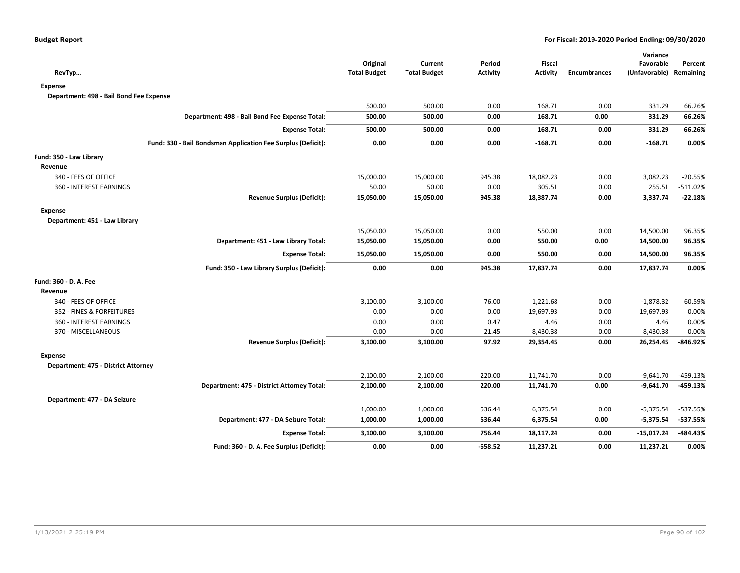|                                                              |                                 |                                |                           |                           |                     | Variance                   |                      |
|--------------------------------------------------------------|---------------------------------|--------------------------------|---------------------------|---------------------------|---------------------|----------------------------|----------------------|
|                                                              | Original<br><b>Total Budget</b> | Current<br><b>Total Budget</b> | Period<br><b>Activity</b> | Fiscal<br><b>Activity</b> | <b>Encumbrances</b> | Favorable<br>(Unfavorable) | Percent<br>Remaining |
| RevTyp                                                       |                                 |                                |                           |                           |                     |                            |                      |
| Expense                                                      |                                 |                                |                           |                           |                     |                            |                      |
| Department: 498 - Bail Bond Fee Expense                      |                                 |                                |                           |                           |                     |                            |                      |
|                                                              | 500.00                          | 500.00                         | 0.00                      | 168.71                    | 0.00                | 331.29                     | 66.26%               |
| Department: 498 - Bail Bond Fee Expense Total:               | 500.00                          | 500.00                         | 0.00                      | 168.71                    | 0.00                | 331.29                     | 66.26%               |
| <b>Expense Total:</b>                                        | 500.00                          | 500.00                         | 0.00                      | 168.71                    | 0.00                | 331.29                     | 66.26%               |
| Fund: 330 - Bail Bondsman Application Fee Surplus (Deficit): | 0.00                            | 0.00                           | 0.00                      | $-168.71$                 | 0.00                | $-168.71$                  | 0.00%                |
| Fund: 350 - Law Library                                      |                                 |                                |                           |                           |                     |                            |                      |
| Revenue                                                      |                                 |                                |                           |                           |                     |                            |                      |
| 340 - FEES OF OFFICE                                         | 15,000.00                       | 15,000.00                      | 945.38                    | 18,082.23                 | 0.00                | 3,082.23                   | $-20.55%$            |
| 360 - INTEREST EARNINGS                                      | 50.00                           | 50.00                          | 0.00                      | 305.51                    | 0.00                | 255.51                     | $-511.02%$           |
| <b>Revenue Surplus (Deficit):</b>                            | 15,050.00                       | 15,050.00                      | 945.38                    | 18,387.74                 | 0.00                | 3,337.74                   | $-22.18%$            |
| <b>Expense</b>                                               |                                 |                                |                           |                           |                     |                            |                      |
| Department: 451 - Law Library                                |                                 |                                |                           |                           |                     |                            |                      |
|                                                              | 15,050.00                       | 15,050.00                      | 0.00                      | 550.00                    | 0.00                | 14,500.00                  | 96.35%               |
| Department: 451 - Law Library Total:                         | 15,050.00                       | 15,050.00                      | 0.00                      | 550.00                    | 0.00                | 14,500.00                  | 96.35%               |
| <b>Expense Total:</b>                                        | 15,050.00                       | 15,050.00                      | 0.00                      | 550.00                    | 0.00                | 14,500.00                  | 96.35%               |
| Fund: 350 - Law Library Surplus (Deficit):                   | 0.00                            | 0.00                           | 945.38                    | 17,837.74                 | 0.00                | 17,837.74                  | 0.00%                |
| Fund: 360 - D. A. Fee                                        |                                 |                                |                           |                           |                     |                            |                      |
| Revenue                                                      |                                 |                                |                           |                           |                     |                            |                      |
| 340 - FEES OF OFFICE                                         | 3,100.00                        | 3,100.00                       | 76.00                     | 1,221.68                  | 0.00                | $-1,878.32$                | 60.59%               |
| 352 - FINES & FORFEITURES                                    | 0.00                            | 0.00                           | 0.00                      | 19,697.93                 | 0.00                | 19,697.93                  | 0.00%                |
| 360 - INTEREST EARNINGS                                      | 0.00                            | 0.00                           | 0.47                      | 4.46                      | 0.00                | 4.46                       | 0.00%                |
| 370 - MISCELLANEOUS                                          | 0.00                            | 0.00                           | 21.45                     | 8,430.38                  | 0.00                | 8,430.38                   | 0.00%                |
| <b>Revenue Surplus (Deficit):</b>                            | 3,100.00                        | 3,100.00                       | 97.92                     | 29,354.45                 | 0.00                | 26,254.45                  | -846.92%             |
| Expense                                                      |                                 |                                |                           |                           |                     |                            |                      |
| Department: 475 - District Attorney                          |                                 |                                |                           |                           |                     |                            |                      |
|                                                              | 2,100.00                        | 2,100.00                       | 220.00                    | 11,741.70                 | 0.00                | $-9,641.70$                | $-459.13%$           |
| Department: 475 - District Attorney Total:                   | 2,100.00                        | 2,100.00                       | 220.00                    | 11,741.70                 | 0.00                | $-9,641.70$                | $-459.13%$           |
| Department: 477 - DA Seizure                                 |                                 |                                |                           |                           |                     |                            |                      |
|                                                              | 1,000.00                        | 1,000.00                       | 536.44                    | 6,375.54                  | 0.00                | $-5,375.54$                | -537.55%             |
| Department: 477 - DA Seizure Total:                          | 1,000.00                        | 1,000.00                       | 536.44                    | 6,375.54                  | 0.00                | $-5,375.54$                | $-537.55%$           |
| <b>Expense Total:</b>                                        | 3,100.00                        | 3,100.00                       | 756.44                    | 18,117.24                 | 0.00                | $-15,017.24$               | -484.43%             |
| Fund: 360 - D. A. Fee Surplus (Deficit):                     | 0.00                            | 0.00                           | $-658.52$                 | 11,237.21                 | 0.00                | 11,237.21                  | 0.00%                |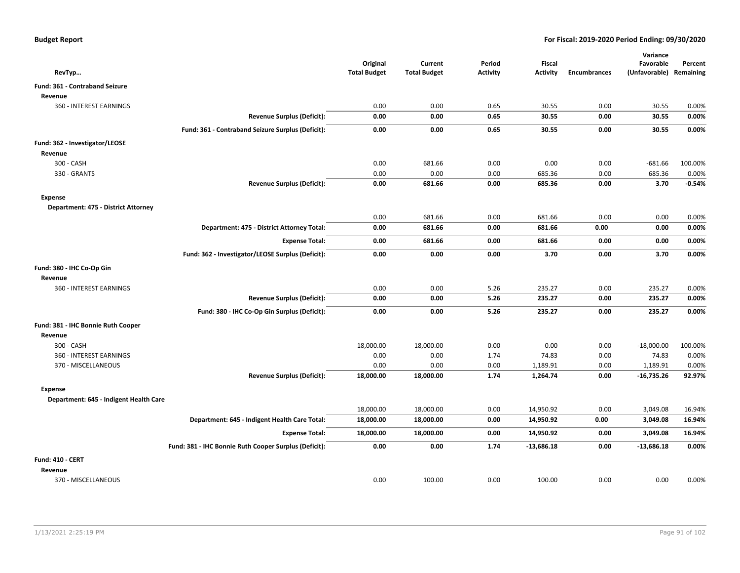| RevTyp                                 |                                                       | Original<br><b>Total Budget</b> | Current<br><b>Total Budget</b> | Period<br><b>Activity</b> | Fiscal<br><b>Activity</b> | <b>Encumbrances</b> | Variance<br>Favorable<br>(Unfavorable) Remaining | Percent  |
|----------------------------------------|-------------------------------------------------------|---------------------------------|--------------------------------|---------------------------|---------------------------|---------------------|--------------------------------------------------|----------|
| Fund: 361 - Contraband Seizure         |                                                       |                                 |                                |                           |                           |                     |                                                  |          |
| Revenue                                |                                                       |                                 |                                |                           |                           |                     |                                                  |          |
| 360 - INTEREST EARNINGS                |                                                       | 0.00                            | 0.00                           | 0.65                      | 30.55                     | 0.00                | 30.55                                            | 0.00%    |
|                                        | <b>Revenue Surplus (Deficit):</b>                     | 0.00                            | 0.00                           | 0.65                      | 30.55                     | 0.00                | 30.55                                            | 0.00%    |
|                                        | Fund: 361 - Contraband Seizure Surplus (Deficit):     | 0.00                            | 0.00                           | 0.65                      | 30.55                     | 0.00                | 30.55                                            | 0.00%    |
| Fund: 362 - Investigator/LEOSE         |                                                       |                                 |                                |                           |                           |                     |                                                  |          |
| Revenue                                |                                                       |                                 |                                |                           |                           |                     |                                                  |          |
| 300 - CASH                             |                                                       | 0.00                            | 681.66                         | 0.00                      | 0.00                      | 0.00                | $-681.66$                                        | 100.00%  |
| 330 - GRANTS                           |                                                       | 0.00                            | 0.00                           | 0.00                      | 685.36                    | 0.00                | 685.36                                           | 0.00%    |
|                                        | Revenue Surplus (Deficit):                            | 0.00                            | 681.66                         | 0.00                      | 685.36                    | 0.00                | 3.70                                             | $-0.54%$ |
| <b>Expense</b>                         |                                                       |                                 |                                |                           |                           |                     |                                                  |          |
| Department: 475 - District Attorney    |                                                       |                                 |                                |                           |                           |                     |                                                  |          |
|                                        |                                                       | 0.00                            | 681.66                         | 0.00                      | 681.66                    | 0.00                | 0.00                                             | 0.00%    |
|                                        | Department: 475 - District Attorney Total:            | 0.00                            | 681.66                         | 0.00                      | 681.66                    | 0.00                | 0.00                                             | 0.00%    |
|                                        | <b>Expense Total:</b>                                 | 0.00                            | 681.66                         | 0.00                      | 681.66                    | 0.00                | 0.00                                             | 0.00%    |
|                                        | Fund: 362 - Investigator/LEOSE Surplus (Deficit):     | 0.00                            | 0.00                           | 0.00                      | 3.70                      | 0.00                | 3.70                                             | 0.00%    |
| Fund: 380 - IHC Co-Op Gin              |                                                       |                                 |                                |                           |                           |                     |                                                  |          |
| Revenue                                |                                                       |                                 |                                |                           |                           |                     |                                                  |          |
| 360 - INTEREST EARNINGS                |                                                       | 0.00                            | 0.00                           | 5.26                      | 235.27                    | 0.00                | 235.27                                           | 0.00%    |
|                                        | <b>Revenue Surplus (Deficit):</b>                     | 0.00                            | 0.00                           | 5.26                      | 235.27                    | 0.00                | 235.27                                           | 0.00%    |
|                                        | Fund: 380 - IHC Co-Op Gin Surplus (Deficit):          | 0.00                            | 0.00                           | 5.26                      | 235.27                    | 0.00                | 235.27                                           | 0.00%    |
| Fund: 381 - IHC Bonnie Ruth Cooper     |                                                       |                                 |                                |                           |                           |                     |                                                  |          |
| Revenue                                |                                                       |                                 |                                |                           |                           |                     |                                                  |          |
| 300 - CASH                             |                                                       | 18,000.00                       | 18,000.00                      | 0.00                      | 0.00                      | 0.00                | $-18,000.00$                                     | 100.00%  |
| 360 - INTEREST EARNINGS                |                                                       | 0.00                            | 0.00                           | 1.74                      | 74.83                     | 0.00                | 74.83                                            | 0.00%    |
| 370 - MISCELLANEOUS                    |                                                       | 0.00                            | 0.00                           | 0.00                      | 1,189.91                  | 0.00                | 1,189.91                                         | 0.00%    |
|                                        | <b>Revenue Surplus (Deficit):</b>                     | 18,000.00                       | 18,000.00                      | 1.74                      | 1,264.74                  | 0.00                | $-16,735.26$                                     | 92.97%   |
| Expense                                |                                                       |                                 |                                |                           |                           |                     |                                                  |          |
| Department: 645 - Indigent Health Care |                                                       |                                 |                                |                           |                           |                     |                                                  |          |
|                                        |                                                       | 18,000.00                       | 18,000.00                      | 0.00                      | 14,950.92                 | 0.00                | 3,049.08                                         | 16.94%   |
|                                        | Department: 645 - Indigent Health Care Total:         | 18,000.00                       | 18,000.00                      | 0.00                      | 14,950.92                 | 0.00                | 3,049.08                                         | 16.94%   |
|                                        | <b>Expense Total:</b>                                 | 18,000.00                       | 18,000.00                      | 0.00                      | 14,950.92                 | 0.00                | 3,049.08                                         | 16.94%   |
|                                        | Fund: 381 - IHC Bonnie Ruth Cooper Surplus (Deficit): | 0.00                            | 0.00                           | 1.74                      | $-13,686.18$              | 0.00                | $-13,686.18$                                     | 0.00%    |
| Fund: 410 - CERT                       |                                                       |                                 |                                |                           |                           |                     |                                                  |          |
| Revenue                                |                                                       |                                 |                                |                           |                           |                     |                                                  |          |
| 370 - MISCELLANEOUS                    |                                                       | 0.00                            | 100.00                         | 0.00                      | 100.00                    | 0.00                | 0.00                                             | 0.00%    |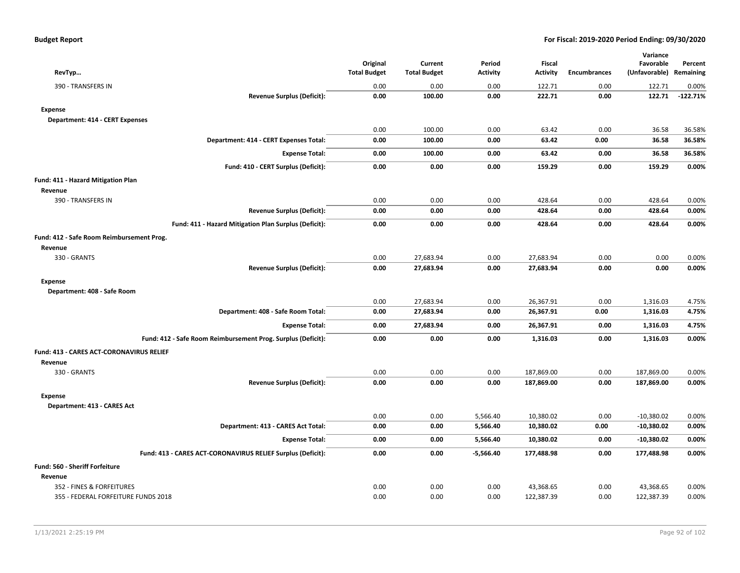| RevTyp                                                       | Original<br><b>Total Budget</b> | Current<br><b>Total Budget</b> | Period<br><b>Activity</b> | Fiscal<br><b>Activity</b> | <b>Encumbrances</b> | Variance<br>Favorable<br>(Unfavorable) Remaining | Percent    |
|--------------------------------------------------------------|---------------------------------|--------------------------------|---------------------------|---------------------------|---------------------|--------------------------------------------------|------------|
| 390 - TRANSFERS IN                                           | 0.00                            | 0.00                           | 0.00                      | 122.71                    | 0.00                | 122.71                                           | 0.00%      |
| <b>Revenue Surplus (Deficit):</b>                            | 0.00                            | 100.00                         | 0.00                      | 222.71                    | 0.00                | 122.71                                           | $-122.71%$ |
| <b>Expense</b>                                               |                                 |                                |                           |                           |                     |                                                  |            |
| Department: 414 - CERT Expenses                              |                                 |                                |                           |                           |                     |                                                  |            |
|                                                              | 0.00                            | 100.00                         | 0.00                      | 63.42                     | 0.00                | 36.58                                            | 36.58%     |
| Department: 414 - CERT Expenses Total:                       | 0.00                            | 100.00                         | 0.00                      | 63.42                     | 0.00                | 36.58                                            | 36.58%     |
| <b>Expense Total:</b>                                        | 0.00                            | 100.00                         | 0.00                      | 63.42                     | 0.00                | 36.58                                            | 36.58%     |
| Fund: 410 - CERT Surplus (Deficit):                          | 0.00                            | 0.00                           | 0.00                      | 159.29                    | 0.00                | 159.29                                           | 0.00%      |
| Fund: 411 - Hazard Mitigation Plan                           |                                 |                                |                           |                           |                     |                                                  |            |
| Revenue                                                      |                                 |                                |                           |                           |                     |                                                  |            |
| 390 - TRANSFERS IN                                           | 0.00                            | 0.00                           | 0.00                      | 428.64                    | 0.00                | 428.64                                           | 0.00%      |
| <b>Revenue Surplus (Deficit):</b>                            | 0.00                            | 0.00                           | 0.00                      | 428.64                    | 0.00                | 428.64                                           | 0.00%      |
| Fund: 411 - Hazard Mitigation Plan Surplus (Deficit):        | 0.00                            | 0.00                           | 0.00                      | 428.64                    | 0.00                | 428.64                                           | 0.00%      |
| Fund: 412 - Safe Room Reimbursement Prog.                    |                                 |                                |                           |                           |                     |                                                  |            |
| Revenue                                                      |                                 |                                |                           |                           |                     |                                                  |            |
| 330 - GRANTS                                                 | 0.00                            | 27,683.94                      | 0.00                      | 27,683.94                 | 0.00                | 0.00                                             | 0.00%      |
| <b>Revenue Surplus (Deficit):</b>                            | 0.00                            | 27,683.94                      | 0.00                      | 27,683.94                 | 0.00                | 0.00                                             | 0.00%      |
| <b>Expense</b>                                               |                                 |                                |                           |                           |                     |                                                  |            |
| Department: 408 - Safe Room                                  |                                 |                                |                           |                           |                     |                                                  |            |
|                                                              | 0.00                            | 27,683.94                      | 0.00                      | 26,367.91                 | 0.00                | 1,316.03                                         | 4.75%      |
| Department: 408 - Safe Room Total:                           | 0.00                            | 27,683.94                      | 0.00                      | 26,367.91                 | 0.00                | 1,316.03                                         | 4.75%      |
| <b>Expense Total:</b>                                        | 0.00                            | 27,683.94                      | 0.00                      | 26,367.91                 | 0.00                | 1,316.03                                         | 4.75%      |
| Fund: 412 - Safe Room Reimbursement Prog. Surplus (Deficit): | 0.00                            | 0.00                           | 0.00                      | 1,316.03                  | 0.00                | 1,316.03                                         | 0.00%      |
| <b>Fund: 413 - CARES ACT-CORONAVIRUS RELIEF</b>              |                                 |                                |                           |                           |                     |                                                  |            |
| Revenue                                                      |                                 |                                |                           |                           |                     |                                                  |            |
| 330 - GRANTS                                                 | 0.00                            | 0.00                           | 0.00                      | 187,869.00                | 0.00                | 187,869.00                                       | 0.00%      |
| <b>Revenue Surplus (Deficit):</b>                            | 0.00                            | 0.00                           | 0.00                      | 187,869.00                | 0.00                | 187,869.00                                       | 0.00%      |
| <b>Expense</b>                                               |                                 |                                |                           |                           |                     |                                                  |            |
| Department: 413 - CARES Act                                  |                                 |                                |                           |                           |                     |                                                  |            |
|                                                              | 0.00                            | 0.00                           | 5,566.40                  | 10,380.02                 | 0.00                | $-10,380.02$                                     | 0.00%      |
| Department: 413 - CARES Act Total:                           | 0.00                            | 0.00                           | 5,566.40                  | 10,380.02                 | 0.00                | $-10,380.02$                                     | 0.00%      |
| <b>Expense Total:</b>                                        | 0.00                            | 0.00                           | 5,566.40                  | 10,380.02                 | 0.00                | $-10,380.02$                                     | 0.00%      |
| Fund: 413 - CARES ACT-CORONAVIRUS RELIEF Surplus (Deficit):  | 0.00                            | 0.00                           | $-5,566.40$               | 177,488.98                | 0.00                | 177,488.98                                       | 0.00%      |
| Fund: 560 - Sheriff Forfeiture                               |                                 |                                |                           |                           |                     |                                                  |            |
| Revenue                                                      |                                 |                                |                           |                           |                     |                                                  |            |
| 352 - FINES & FORFEITURES                                    | 0.00                            | 0.00                           | 0.00                      | 43,368.65                 | 0.00                | 43,368.65                                        | 0.00%      |
| 355 - FEDERAL FORFEITURE FUNDS 2018                          | 0.00                            | 0.00                           | 0.00                      | 122,387.39                | 0.00                | 122,387.39                                       | 0.00%      |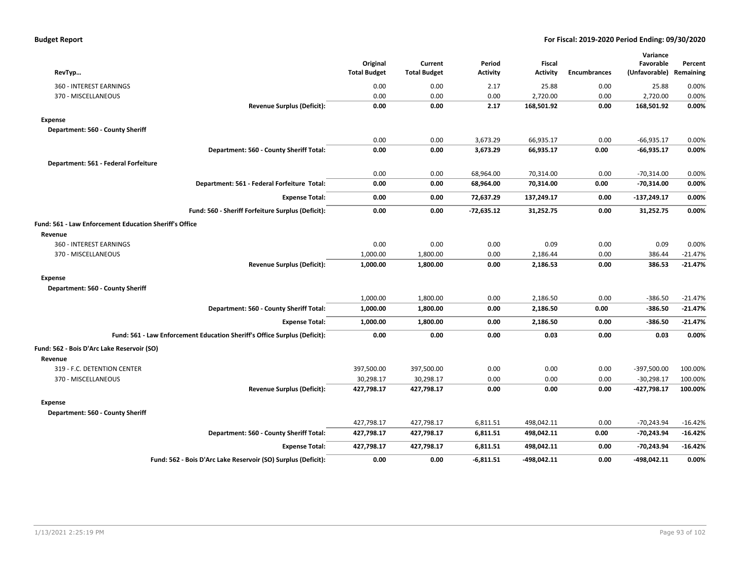| <b>Budget Report</b> |  |
|----------------------|--|
|----------------------|--|

| RevTyp                                                        |                                                                           | Original<br><b>Total Budget</b> | Current<br><b>Total Budget</b> | Period<br><b>Activity</b> | <b>Fiscal</b><br>Activity | <b>Encumbrances</b> | Variance<br>Favorable<br>(Unfavorable) | Percent<br>Remaining |
|---------------------------------------------------------------|---------------------------------------------------------------------------|---------------------------------|--------------------------------|---------------------------|---------------------------|---------------------|----------------------------------------|----------------------|
| 360 - INTEREST EARNINGS                                       |                                                                           | 0.00                            | 0.00                           | 2.17                      | 25.88                     | 0.00                | 25.88                                  | 0.00%                |
| 370 - MISCELLANEOUS                                           |                                                                           | 0.00                            | 0.00                           | 0.00                      | 2,720.00                  | 0.00                | 2,720.00                               | 0.00%                |
|                                                               | <b>Revenue Surplus (Deficit):</b>                                         | 0.00                            | 0.00                           | 2.17                      | 168,501.92                | 0.00                | 168,501.92                             | 0.00%                |
| <b>Expense</b>                                                |                                                                           |                                 |                                |                           |                           |                     |                                        |                      |
| Department: 560 - County Sheriff                              |                                                                           |                                 |                                |                           |                           |                     |                                        |                      |
|                                                               |                                                                           | 0.00                            | 0.00                           | 3,673.29                  | 66,935.17                 | 0.00                | $-66,935.17$                           | 0.00%                |
|                                                               | Department: 560 - County Sheriff Total:                                   | 0.00                            | 0.00                           | 3,673.29                  | 66,935.17                 | 0.00                | $-66,935.17$                           | 0.00%                |
| Department: 561 - Federal Forfeiture                          |                                                                           |                                 |                                |                           |                           |                     |                                        |                      |
|                                                               |                                                                           | 0.00                            | 0.00                           | 68,964.00                 | 70,314.00                 | 0.00                | $-70,314.00$                           | 0.00%                |
|                                                               | Department: 561 - Federal Forfeiture Total:                               | 0.00                            | 0.00                           | 68,964.00                 | 70,314.00                 | 0.00                | $-70,314.00$                           | 0.00%                |
|                                                               | <b>Expense Total:</b>                                                     | 0.00                            | 0.00                           | 72,637.29                 | 137,249.17                | 0.00                | $-137,249.17$                          | 0.00%                |
|                                                               | Fund: 560 - Sheriff Forfeiture Surplus (Deficit):                         | 0.00                            | 0.00                           | $-72,635.12$              | 31,252.75                 | 0.00                | 31,252.75                              | 0.00%                |
| <b>Fund: 561 - Law Enforcement Education Sheriff's Office</b> |                                                                           |                                 |                                |                           |                           |                     |                                        |                      |
| Revenue                                                       |                                                                           |                                 |                                |                           |                           |                     |                                        |                      |
| 360 - INTEREST EARNINGS                                       |                                                                           | 0.00                            | 0.00                           | 0.00                      | 0.09                      | 0.00                | 0.09                                   | 0.00%                |
| 370 - MISCELLANEOUS                                           |                                                                           | 1,000.00                        | 1,800.00                       | 0.00                      | 2,186.44                  | 0.00                | 386.44                                 | $-21.47%$            |
|                                                               | <b>Revenue Surplus (Deficit):</b>                                         | 1,000.00                        | 1,800.00                       | 0.00                      | 2,186.53                  | 0.00                | 386.53                                 | $-21.47%$            |
| <b>Expense</b>                                                |                                                                           |                                 |                                |                           |                           |                     |                                        |                      |
| Department: 560 - County Sheriff                              |                                                                           |                                 |                                |                           |                           |                     |                                        |                      |
|                                                               |                                                                           | 1,000.00                        | 1,800.00                       | 0.00                      | 2,186.50                  | 0.00                | $-386.50$                              | $-21.47%$            |
|                                                               | Department: 560 - County Sheriff Total:                                   | 1,000.00                        | 1,800.00                       | 0.00                      | 2,186.50                  | 0.00                | $-386.50$                              | $-21.47%$            |
|                                                               | <b>Expense Total:</b>                                                     | 1,000.00                        | 1,800.00                       | 0.00                      | 2,186.50                  | 0.00                | $-386.50$                              | $-21.47%$            |
|                                                               | Fund: 561 - Law Enforcement Education Sheriff's Office Surplus (Deficit): | 0.00                            | 0.00                           | 0.00                      | 0.03                      | 0.00                | 0.03                                   | 0.00%                |
| Fund: 562 - Bois D'Arc Lake Reservoir (SO)                    |                                                                           |                                 |                                |                           |                           |                     |                                        |                      |
| Revenue                                                       |                                                                           |                                 |                                |                           |                           |                     |                                        |                      |
| 319 - F.C. DETENTION CENTER                                   |                                                                           | 397,500.00                      | 397,500.00                     | 0.00                      | 0.00                      | 0.00                | $-397,500.00$                          | 100.00%              |
| 370 - MISCELLANEOUS                                           |                                                                           | 30,298.17                       | 30,298.17                      | 0.00                      | 0.00                      | 0.00                | $-30,298.17$                           | 100.00%              |
|                                                               | <b>Revenue Surplus (Deficit):</b>                                         | 427,798.17                      | 427,798.17                     | 0.00                      | 0.00                      | 0.00                | $-427,798.17$                          | 100.00%              |
| <b>Expense</b><br>Department: 560 - County Sheriff            |                                                                           |                                 |                                |                           |                           |                     |                                        |                      |
|                                                               |                                                                           | 427,798.17                      | 427,798.17                     | 6,811.51                  | 498,042.11                | 0.00                | $-70,243.94$                           | $-16.42%$            |
|                                                               | Department: 560 - County Sheriff Total:                                   | 427,798.17                      | 427,798.17                     | 6,811.51                  | 498,042.11                | 0.00                | -70,243.94                             | $-16.42%$            |
|                                                               | <b>Expense Total:</b>                                                     | 427,798.17                      | 427,798.17                     | 6,811.51                  | 498,042.11                | 0.00                | $-70,243.94$                           | $-16.42%$            |
|                                                               | Fund: 562 - Bois D'Arc Lake Reservoir (SO) Surplus (Deficit):             | 0.00                            | 0.00                           | $-6,811.51$               | -498,042.11               | 0.00                | $-498,042.11$                          | 0.00%                |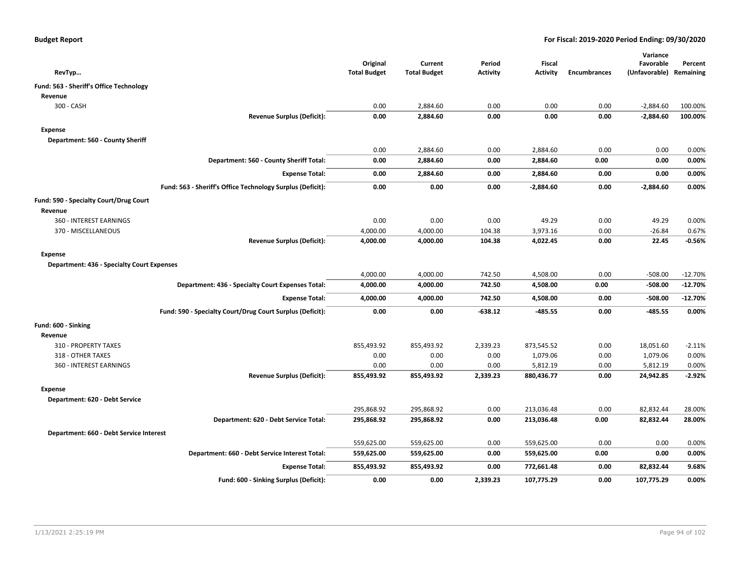| RevTyp                                            |                                                            | Original<br><b>Total Budget</b> | Current<br><b>Total Budget</b> | Period<br><b>Activity</b> | <b>Fiscal</b><br><b>Activity</b> | <b>Encumbrances</b> | Variance<br>Favorable<br>(Unfavorable) Remaining | Percent            |
|---------------------------------------------------|------------------------------------------------------------|---------------------------------|--------------------------------|---------------------------|----------------------------------|---------------------|--------------------------------------------------|--------------------|
|                                                   |                                                            |                                 |                                |                           |                                  |                     |                                                  |                    |
| Fund: 563 - Sheriff's Office Technology           |                                                            |                                 |                                |                           |                                  |                     |                                                  |                    |
| Revenue                                           |                                                            |                                 |                                |                           |                                  |                     |                                                  |                    |
| 300 - CASH                                        | <b>Revenue Surplus (Deficit):</b>                          | 0.00<br>0.00                    | 2,884.60<br>2,884.60           | 0.00<br>0.00              | 0.00<br>0.00                     | 0.00<br>0.00        | $-2,884.60$<br>$-2,884.60$                       | 100.00%<br>100.00% |
|                                                   |                                                            |                                 |                                |                           |                                  |                     |                                                  |                    |
| <b>Expense</b>                                    |                                                            |                                 |                                |                           |                                  |                     |                                                  |                    |
| Department: 560 - County Sheriff                  |                                                            |                                 |                                |                           |                                  |                     |                                                  |                    |
|                                                   |                                                            | 0.00                            | 2,884.60                       | 0.00                      | 2,884.60                         | 0.00                | 0.00                                             | 0.00%              |
|                                                   | Department: 560 - County Sheriff Total:                    | 0.00                            | 2,884.60                       | 0.00                      | 2,884.60                         | 0.00                | 0.00                                             | 0.00%              |
|                                                   | <b>Expense Total:</b>                                      | 0.00                            | 2,884.60                       | 0.00                      | 2,884.60                         | 0.00                | 0.00                                             | 0.00%              |
|                                                   | Fund: 563 - Sheriff's Office Technology Surplus (Deficit): | 0.00                            | 0.00                           | 0.00                      | $-2,884.60$                      | 0.00                | $-2,884.60$                                      | 0.00%              |
| Fund: 590 - Specialty Court/Drug Court            |                                                            |                                 |                                |                           |                                  |                     |                                                  |                    |
| Revenue                                           |                                                            |                                 |                                |                           |                                  |                     |                                                  |                    |
| 360 - INTEREST EARNINGS                           |                                                            | 0.00                            | 0.00                           | 0.00                      | 49.29                            | 0.00                | 49.29                                            | 0.00%              |
| 370 - MISCELLANEOUS                               |                                                            | 4,000.00                        | 4,000.00                       | 104.38                    | 3,973.16                         | 0.00                | $-26.84$                                         | 0.67%              |
|                                                   | <b>Revenue Surplus (Deficit):</b>                          | 4,000.00                        | 4,000.00                       | 104.38                    | 4,022.45                         | 0.00                | 22.45                                            | -0.56%             |
| <b>Expense</b>                                    |                                                            |                                 |                                |                           |                                  |                     |                                                  |                    |
| <b>Department: 436 - Specialty Court Expenses</b> |                                                            |                                 |                                |                           |                                  |                     |                                                  |                    |
|                                                   |                                                            | 4,000.00                        | 4,000.00                       | 742.50                    | 4,508.00                         | 0.00                | $-508.00$                                        | $-12.70%$          |
|                                                   | Department: 436 - Specialty Court Expenses Total:          | 4,000.00                        | 4,000.00                       | 742.50                    | 4,508.00                         | 0.00                | $-508.00$                                        | $-12.70%$          |
|                                                   | <b>Expense Total:</b>                                      | 4,000.00                        | 4,000.00                       | 742.50                    | 4,508.00                         | 0.00                | $-508.00$                                        | $-12.70%$          |
|                                                   | Fund: 590 - Specialty Court/Drug Court Surplus (Deficit):  | 0.00                            | 0.00                           | $-638.12$                 | $-485.55$                        | 0.00                | $-485.55$                                        | 0.00%              |
| Fund: 600 - Sinking                               |                                                            |                                 |                                |                           |                                  |                     |                                                  |                    |
| Revenue                                           |                                                            |                                 |                                |                           |                                  |                     |                                                  |                    |
| 310 - PROPERTY TAXES                              |                                                            | 855,493.92                      | 855,493.92                     | 2,339.23                  | 873,545.52                       | 0.00                | 18,051.60                                        | $-2.11%$           |
| 318 - OTHER TAXES                                 |                                                            | 0.00                            | 0.00                           | 0.00                      | 1,079.06                         | 0.00                | 1,079.06                                         | 0.00%              |
| 360 - INTEREST EARNINGS                           |                                                            | 0.00                            | 0.00                           | 0.00                      | 5,812.19                         | 0.00                | 5,812.19                                         | 0.00%              |
|                                                   | <b>Revenue Surplus (Deficit):</b>                          | 855,493.92                      | 855,493.92                     | 2,339.23                  | 880,436.77                       | 0.00                | 24,942.85                                        | $-2.92%$           |
| <b>Expense</b>                                    |                                                            |                                 |                                |                           |                                  |                     |                                                  |                    |
| Department: 620 - Debt Service                    |                                                            |                                 |                                |                           |                                  |                     |                                                  |                    |
|                                                   |                                                            | 295,868.92                      | 295,868.92                     | 0.00                      | 213,036.48                       | 0.00                | 82,832.44                                        | 28.00%             |
|                                                   | Department: 620 - Debt Service Total:                      | 295,868.92                      | 295,868.92                     | 0.00                      | 213,036.48                       | 0.00                | 82,832.44                                        | 28.00%             |
| Department: 660 - Debt Service Interest           |                                                            |                                 |                                |                           |                                  |                     |                                                  |                    |
|                                                   |                                                            | 559,625.00                      | 559,625.00                     | 0.00                      | 559,625.00                       | 0.00                | 0.00                                             | 0.00%              |
|                                                   | Department: 660 - Debt Service Interest Total:             | 559,625.00                      | 559,625.00                     | 0.00                      | 559,625.00                       | 0.00                | 0.00                                             | 0.00%              |
|                                                   | <b>Expense Total:</b>                                      | 855,493.92                      | 855,493.92                     | 0.00                      | 772,661.48                       | 0.00                | 82,832.44                                        | 9.68%              |
|                                                   | Fund: 600 - Sinking Surplus (Deficit):                     | 0.00                            | 0.00                           | 2,339.23                  | 107,775.29                       | 0.00                | 107,775.29                                       | 0.00%              |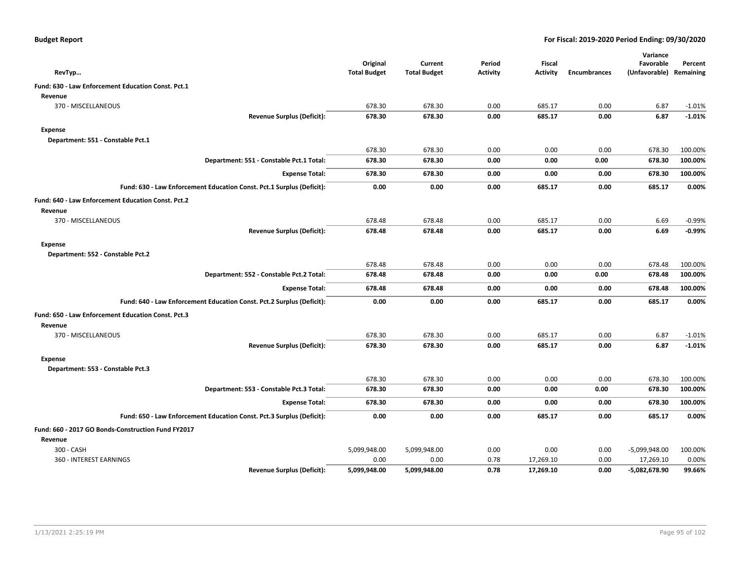| <b>Budget Report</b> |  |
|----------------------|--|
|----------------------|--|

|                                                                       |                     |                     |                 |                 |                     | Variance                |          |
|-----------------------------------------------------------------------|---------------------|---------------------|-----------------|-----------------|---------------------|-------------------------|----------|
|                                                                       | Original            | Current             | Period          | <b>Fiscal</b>   |                     | Favorable               | Percent  |
| RevTyp                                                                | <b>Total Budget</b> | <b>Total Budget</b> | <b>Activity</b> | <b>Activity</b> | <b>Encumbrances</b> | (Unfavorable) Remaining |          |
| Fund: 630 - Law Enforcement Education Const. Pct.1                    |                     |                     |                 |                 |                     |                         |          |
| Revenue                                                               |                     |                     |                 |                 |                     |                         |          |
| 370 - MISCELLANEOUS                                                   | 678.30              | 678.30              | 0.00            | 685.17          | 0.00                | 6.87                    | $-1.01%$ |
| <b>Revenue Surplus (Deficit):</b>                                     | 678.30              | 678.30              | 0.00            | 685.17          | 0.00                | 6.87                    | $-1.01%$ |
| Expense                                                               |                     |                     |                 |                 |                     |                         |          |
| Department: 551 - Constable Pct.1                                     |                     |                     |                 |                 |                     |                         |          |
|                                                                       | 678.30              | 678.30              | 0.00            | 0.00            | 0.00                | 678.30                  | 100.00%  |
| Department: 551 - Constable Pct.1 Total:                              | 678.30              | 678.30              | 0.00            | 0.00            | 0.00                | 678.30                  | 100.00%  |
| <b>Expense Total:</b>                                                 | 678.30              | 678.30              | 0.00            | 0.00            | 0.00                | 678.30                  | 100.00%  |
| Fund: 630 - Law Enforcement Education Const. Pct.1 Surplus (Deficit): | 0.00                | 0.00                | 0.00            | 685.17          | 0.00                | 685.17                  | 0.00%    |
| Fund: 640 - Law Enforcement Education Const. Pct.2                    |                     |                     |                 |                 |                     |                         |          |
| Revenue                                                               |                     |                     |                 |                 |                     |                         |          |
| 370 - MISCELLANEOUS                                                   | 678.48              | 678.48              | 0.00            | 685.17          | 0.00                | 6.69                    | $-0.99%$ |
| <b>Revenue Surplus (Deficit):</b>                                     | 678.48              | 678.48              | 0.00            | 685.17          | 0.00                | 6.69                    | $-0.99%$ |
| Expense                                                               |                     |                     |                 |                 |                     |                         |          |
| Department: 552 - Constable Pct.2                                     |                     |                     |                 |                 |                     |                         |          |
|                                                                       | 678.48              | 678.48              | 0.00            | 0.00            | 0.00                | 678.48                  | 100.00%  |
| Department: 552 - Constable Pct.2 Total:                              | 678.48              | 678.48              | 0.00            | 0.00            | 0.00                | 678.48                  | 100.00%  |
| <b>Expense Total:</b>                                                 | 678.48              | 678.48              | 0.00            | 0.00            | 0.00                | 678.48                  | 100.00%  |
| Fund: 640 - Law Enforcement Education Const. Pct.2 Surplus (Deficit): | 0.00                | 0.00                | 0.00            | 685.17          | 0.00                | 685.17                  | 0.00%    |
| Fund: 650 - Law Enforcement Education Const. Pct.3                    |                     |                     |                 |                 |                     |                         |          |
| Revenue                                                               |                     |                     |                 |                 |                     |                         |          |
| 370 - MISCELLANEOUS                                                   | 678.30              | 678.30              | 0.00            | 685.17          | 0.00                | 6.87                    | $-1.01%$ |
| <b>Revenue Surplus (Deficit):</b>                                     | 678.30              | 678.30              | 0.00            | 685.17          | 0.00                | 6.87                    | $-1.01%$ |
| <b>Expense</b>                                                        |                     |                     |                 |                 |                     |                         |          |
| Department: 553 - Constable Pct.3                                     |                     |                     |                 |                 |                     |                         |          |
|                                                                       | 678.30              | 678.30              | 0.00            | 0.00            | 0.00                | 678.30                  | 100.00%  |
| Department: 553 - Constable Pct.3 Total:                              | 678.30              | 678.30              | 0.00            | 0.00            | 0.00                | 678.30                  | 100.00%  |
| <b>Expense Total:</b>                                                 | 678.30              | 678.30              | 0.00            | 0.00            | 0.00                | 678.30                  | 100.00%  |
| Fund: 650 - Law Enforcement Education Const. Pct.3 Surplus (Deficit): | 0.00                | 0.00                | 0.00            | 685.17          | 0.00                | 685.17                  | 0.00%    |
| Fund: 660 - 2017 GO Bonds-Construction Fund FY2017                    |                     |                     |                 |                 |                     |                         |          |
| Revenue                                                               |                     |                     |                 |                 |                     |                         |          |
| 300 - CASH                                                            | 5,099,948.00        | 5,099,948.00        | 0.00            | 0.00            | 0.00                | -5,099,948.00           | 100.00%  |
| 360 - INTEREST EARNINGS                                               | 0.00                | 0.00                | 0.78            | 17,269.10       | 0.00                | 17,269.10               | 0.00%    |
| <b>Revenue Surplus (Deficit):</b>                                     | 5,099,948.00        | 5,099,948.00        | 0.78            | 17,269.10       | 0.00                | -5,082,678.90           | 99.66%   |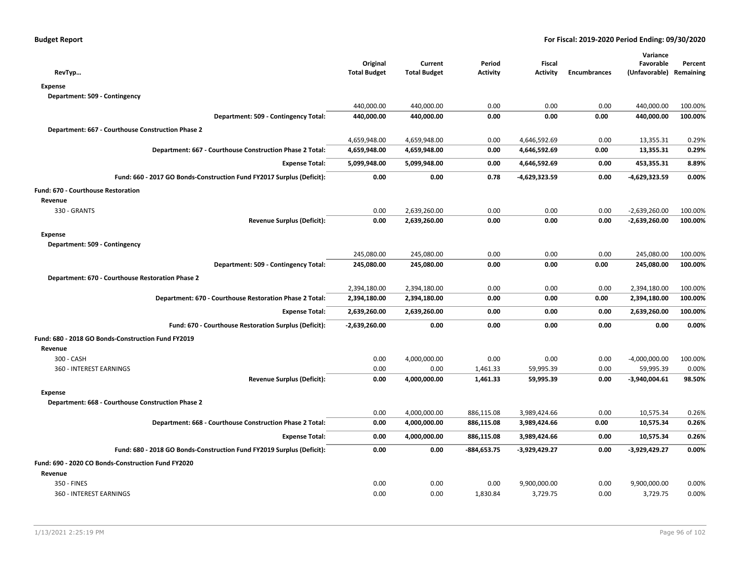| RevTyp                                                                | Original<br><b>Total Budget</b> | Current<br><b>Total Budget</b> | Period<br><b>Activity</b> | Fiscal<br><b>Activity</b> | <b>Encumbrances</b> | Variance<br>Favorable<br>(Unfavorable) | Percent<br>Remaining |
|-----------------------------------------------------------------------|---------------------------------|--------------------------------|---------------------------|---------------------------|---------------------|----------------------------------------|----------------------|
| <b>Expense</b>                                                        |                                 |                                |                           |                           |                     |                                        |                      |
| Department: 509 - Contingency                                         |                                 |                                |                           |                           |                     |                                        |                      |
|                                                                       | 440,000.00                      | 440,000.00                     | 0.00                      | 0.00                      | 0.00                | 440,000.00                             | 100.00%              |
| Department: 509 - Contingency Total:                                  | 440,000.00                      | 440,000.00                     | 0.00                      | 0.00                      | 0.00                | 440,000.00                             | 100.00%              |
| Department: 667 - Courthouse Construction Phase 2                     |                                 |                                |                           |                           |                     |                                        |                      |
|                                                                       | 4,659,948.00                    | 4,659,948.00                   | 0.00                      | 4,646,592.69              | 0.00                | 13,355.31                              | 0.29%                |
| Department: 667 - Courthouse Construction Phase 2 Total:              | 4,659,948.00                    | 4,659,948.00                   | 0.00                      | 4,646,592.69              | 0.00                | 13,355.31                              | 0.29%                |
| <b>Expense Total:</b>                                                 | 5,099,948.00                    | 5,099,948.00                   | 0.00                      | 4,646,592.69              | 0.00                | 453,355.31                             | 8.89%                |
|                                                                       |                                 |                                |                           |                           |                     |                                        |                      |
| Fund: 660 - 2017 GO Bonds-Construction Fund FY2017 Surplus (Deficit): | 0.00                            | 0.00                           | 0.78                      | -4,629,323.59             | 0.00                | $-4,629,323.59$                        | 0.00%                |
| Fund: 670 - Courthouse Restoration                                    |                                 |                                |                           |                           |                     |                                        |                      |
| Revenue                                                               |                                 |                                |                           |                           |                     |                                        |                      |
| 330 - GRANTS                                                          | 0.00                            | 2,639,260.00                   | 0.00                      | 0.00                      | 0.00                | $-2,639,260.00$                        | 100.00%              |
| <b>Revenue Surplus (Deficit):</b>                                     | 0.00                            | 2,639,260.00                   | 0.00                      | 0.00                      | 0.00                | $-2,639,260.00$                        | 100.00%              |
| <b>Expense</b>                                                        |                                 |                                |                           |                           |                     |                                        |                      |
| Department: 509 - Contingency                                         |                                 |                                |                           |                           |                     |                                        |                      |
|                                                                       | 245,080.00                      | 245,080.00                     | 0.00                      | 0.00                      | 0.00                | 245,080.00                             | 100.00%              |
| Department: 509 - Contingency Total:                                  | 245,080.00                      | 245,080.00                     | 0.00                      | 0.00                      | 0.00                | 245,080.00                             | 100.00%              |
| Department: 670 - Courthouse Restoration Phase 2                      |                                 |                                |                           |                           |                     |                                        |                      |
|                                                                       | 2,394,180.00                    | 2,394,180.00                   | 0.00                      | 0.00                      | 0.00                | 2,394,180.00                           | 100.00%              |
| Department: 670 - Courthouse Restoration Phase 2 Total:               | 2,394,180.00                    | 2,394,180.00                   | 0.00                      | 0.00                      | 0.00                | 2,394,180.00                           | 100.00%              |
| <b>Expense Total:</b>                                                 | 2,639,260.00                    | 2,639,260.00                   | 0.00                      | 0.00                      | 0.00                | 2,639,260.00                           | 100.00%              |
| Fund: 670 - Courthouse Restoration Surplus (Deficit):                 | $-2,639,260.00$                 | 0.00                           | 0.00                      | 0.00                      | 0.00                | 0.00                                   | 0.00%                |
| Fund: 680 - 2018 GO Bonds-Construction Fund FY2019                    |                                 |                                |                           |                           |                     |                                        |                      |
| Revenue                                                               |                                 |                                |                           |                           |                     |                                        |                      |
| 300 - CASH                                                            | 0.00                            | 4,000,000.00                   | 0.00                      | 0.00                      | 0.00                | $-4,000,000.00$                        | 100.00%              |
| 360 - INTEREST EARNINGS                                               | 0.00                            | 0.00                           | 1,461.33                  | 59,995.39                 | 0.00                | 59,995.39                              | 0.00%                |
| <b>Revenue Surplus (Deficit):</b>                                     | 0.00                            | 4,000,000.00                   | 1,461.33                  | 59,995.39                 | 0.00                | $-3,940,004.61$                        | 98.50%               |
| <b>Expense</b>                                                        |                                 |                                |                           |                           |                     |                                        |                      |
| Department: 668 - Courthouse Construction Phase 2                     |                                 |                                |                           |                           |                     |                                        |                      |
|                                                                       | 0.00                            | 4,000,000.00                   | 886,115.08                | 3,989,424.66              | 0.00                | 10,575.34                              | 0.26%                |
| Department: 668 - Courthouse Construction Phase 2 Total:              | 0.00                            | 4,000,000.00                   | 886,115.08                | 3,989,424.66              | 0.00                | 10,575.34                              | 0.26%                |
| <b>Expense Total:</b>                                                 | 0.00                            | 4,000,000.00                   | 886,115.08                | 3,989,424.66              | 0.00                | 10,575.34                              | 0.26%                |
| Fund: 680 - 2018 GO Bonds-Construction Fund FY2019 Surplus (Deficit): | 0.00                            | 0.00                           | -884,653.75               | -3,929,429.27             | 0.00                | $-3,929,429.27$                        | 0.00%                |
| Fund: 690 - 2020 CO Bonds-Construction Fund FY2020                    |                                 |                                |                           |                           |                     |                                        |                      |
| Revenue                                                               |                                 |                                |                           |                           |                     |                                        |                      |
| 350 - FINES                                                           | 0.00                            | 0.00                           | 0.00                      | 9,900,000.00              | 0.00                | 9,900,000.00                           | 0.00%                |
| 360 - INTEREST EARNINGS                                               | 0.00                            | 0.00                           | 1,830.84                  | 3,729.75                  | 0.00                | 3,729.75                               | 0.00%                |
|                                                                       |                                 |                                |                           |                           |                     |                                        |                      |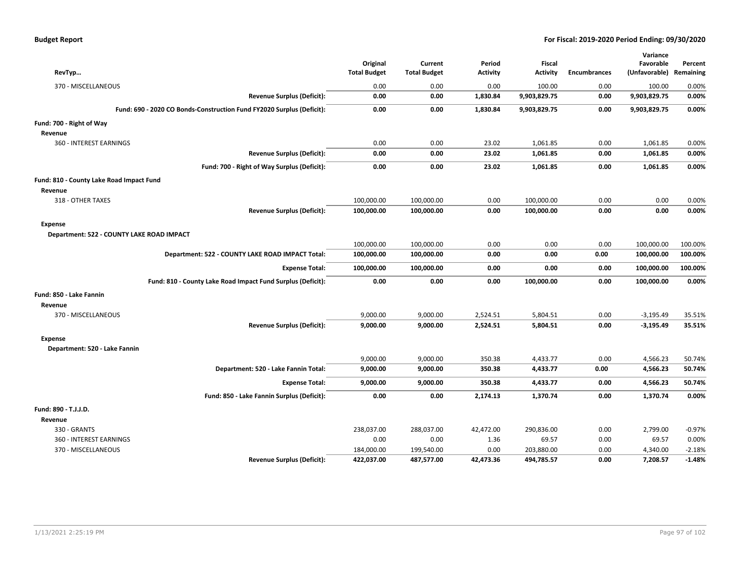| RevTyp                                                                | Original<br><b>Total Budget</b> | Current<br><b>Total Budget</b> | Period<br>Activity | <b>Fiscal</b><br><b>Activity</b> | <b>Encumbrances</b> | Variance<br>Favorable<br>(Unfavorable) | Percent<br>Remaining |
|-----------------------------------------------------------------------|---------------------------------|--------------------------------|--------------------|----------------------------------|---------------------|----------------------------------------|----------------------|
| 370 - MISCELLANEOUS                                                   | 0.00                            | 0.00                           | 0.00               | 100.00                           | 0.00                | 100.00                                 | 0.00%                |
| <b>Revenue Surplus (Deficit):</b>                                     | 0.00                            | 0.00                           | 1,830.84           | 9,903,829.75                     | 0.00                | 9,903,829.75                           | 0.00%                |
| Fund: 690 - 2020 CO Bonds-Construction Fund FY2020 Surplus (Deficit): | 0.00                            | 0.00                           | 1,830.84           | 9,903,829.75                     | 0.00                | 9,903,829.75                           | 0.00%                |
| Fund: 700 - Right of Way                                              |                                 |                                |                    |                                  |                     |                                        |                      |
| Revenue                                                               |                                 |                                |                    |                                  |                     |                                        |                      |
| 360 - INTEREST EARNINGS                                               | 0.00                            | 0.00                           | 23.02              | 1,061.85                         | 0.00                | 1,061.85                               | 0.00%                |
| <b>Revenue Surplus (Deficit):</b>                                     | 0.00                            | 0.00                           | 23.02              | 1,061.85                         | 0.00                | 1,061.85                               | 0.00%                |
| Fund: 700 - Right of Way Surplus (Deficit):                           | 0.00                            | 0.00                           | 23.02              | 1,061.85                         | 0.00                | 1,061.85                               | 0.00%                |
| Fund: 810 - County Lake Road Impact Fund                              |                                 |                                |                    |                                  |                     |                                        |                      |
| Revenue                                                               |                                 |                                |                    |                                  |                     |                                        |                      |
| 318 - OTHER TAXES                                                     | 100,000.00                      | 100,000.00                     | 0.00               | 100,000.00                       | 0.00                | 0.00                                   | 0.00%                |
| <b>Revenue Surplus (Deficit):</b>                                     | 100,000.00                      | 100,000.00                     | 0.00               | 100,000.00                       | 0.00                | 0.00                                   | 0.00%                |
| Expense<br>Department: 522 - COUNTY LAKE ROAD IMPACT                  |                                 |                                |                    |                                  |                     |                                        |                      |
|                                                                       | 100,000.00                      | 100,000.00                     | 0.00               | 0.00                             | 0.00                | 100,000.00                             | 100.00%              |
| Department: 522 - COUNTY LAKE ROAD IMPACT Total:                      | 100,000.00                      | 100,000.00                     | 0.00               | 0.00                             | 0.00                | 100,000.00                             | 100.00%              |
| <b>Expense Total:</b>                                                 | 100,000.00                      | 100,000.00                     | 0.00               | 0.00                             | 0.00                | 100,000.00                             | 100.00%              |
| Fund: 810 - County Lake Road Impact Fund Surplus (Deficit):           | 0.00                            | 0.00                           | 0.00               | 100,000.00                       | 0.00                | 100,000.00                             | 0.00%                |
| Fund: 850 - Lake Fannin                                               |                                 |                                |                    |                                  |                     |                                        |                      |
| Revenue                                                               |                                 |                                |                    |                                  |                     |                                        |                      |
| 370 - MISCELLANEOUS                                                   | 9,000.00                        | 9,000.00                       | 2,524.51           | 5,804.51                         | 0.00                | $-3,195.49$                            | 35.51%               |
| <b>Revenue Surplus (Deficit):</b>                                     | 9,000.00                        | 9,000.00                       | 2,524.51           | 5,804.51                         | 0.00                | $-3,195.49$                            | 35.51%               |
| <b>Expense</b>                                                        |                                 |                                |                    |                                  |                     |                                        |                      |
| Department: 520 - Lake Fannin                                         |                                 |                                |                    |                                  |                     |                                        |                      |
|                                                                       | 9,000.00                        | 9,000.00                       | 350.38             | 4,433.77                         | 0.00                | 4,566.23                               | 50.74%               |
| Department: 520 - Lake Fannin Total:                                  | 9,000.00                        | 9,000.00                       | 350.38             | 4,433.77                         | 0.00                | 4,566.23                               | 50.74%               |
| <b>Expense Total:</b>                                                 | 9,000.00                        | 9,000.00                       | 350.38             | 4,433.77                         | 0.00                | 4,566.23                               | 50.74%               |
| Fund: 850 - Lake Fannin Surplus (Deficit):                            | 0.00                            | 0.00                           | 2,174.13           | 1,370.74                         | 0.00                | 1,370.74                               | 0.00%                |
| Fund: 890 - T.J.J.D.                                                  |                                 |                                |                    |                                  |                     |                                        |                      |
| Revenue                                                               |                                 |                                |                    |                                  |                     |                                        |                      |
| 330 - GRANTS                                                          | 238,037.00                      | 288,037.00                     | 42,472.00          | 290,836.00                       | 0.00                | 2,799.00                               | $-0.97%$             |
| 360 - INTEREST EARNINGS                                               | 0.00                            | 0.00                           | 1.36               | 69.57                            | 0.00                | 69.57                                  | 0.00%                |
| 370 - MISCELLANEOUS                                                   | 184,000.00                      | 199,540.00                     | 0.00               | 203,880.00                       | 0.00                | 4,340.00                               | $-2.18%$             |
| <b>Revenue Surplus (Deficit):</b>                                     | 422,037.00                      | 487,577.00                     | 42,473.36          | 494,785.57                       | 0.00                | 7,208.57                               | $-1.48%$             |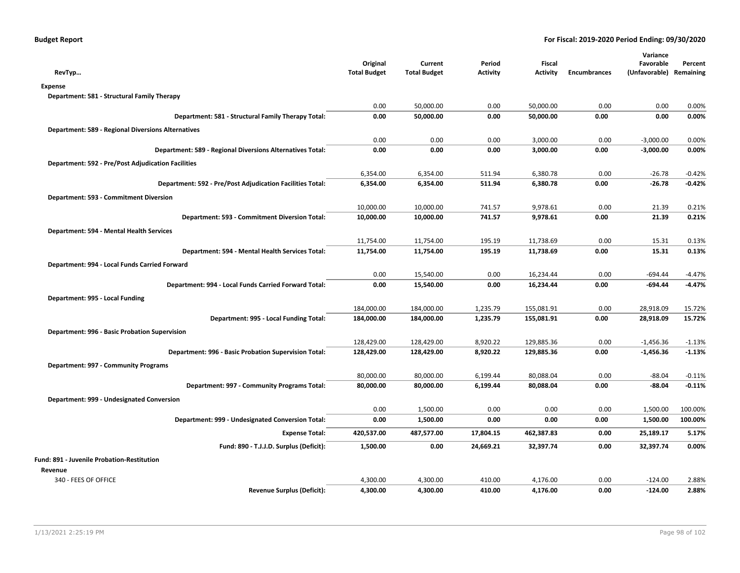| RevTyp                                                    | Original<br><b>Total Budget</b> | Current<br><b>Total Budget</b> | Period<br><b>Activity</b> | Fiscal<br><b>Activity</b> | <b>Encumbrances</b> | Variance<br>Favorable<br>(Unfavorable) Remaining | Percent  |
|-----------------------------------------------------------|---------------------------------|--------------------------------|---------------------------|---------------------------|---------------------|--------------------------------------------------|----------|
| <b>Expense</b>                                            |                                 |                                |                           |                           |                     |                                                  |          |
| Department: 581 - Structural Family Therapy               |                                 |                                |                           |                           |                     |                                                  |          |
|                                                           | 0.00                            | 50,000.00                      | 0.00                      | 50,000.00                 | 0.00                | 0.00                                             | 0.00%    |
| Department: 581 - Structural Family Therapy Total:        | 0.00                            | 50,000.00                      | 0.00                      | 50,000.00                 | 0.00                | 0.00                                             | 0.00%    |
| <b>Department: 589 - Regional Diversions Alternatives</b> |                                 |                                |                           |                           |                     |                                                  |          |
|                                                           | 0.00                            | 0.00                           | 0.00                      | 3,000.00                  | 0.00                | $-3,000.00$                                      | 0.00%    |
| Department: 589 - Regional Diversions Alternatives Total: | 0.00                            | 0.00                           | 0.00                      | 3,000.00                  | 0.00                | $-3,000.00$                                      | 0.00%    |
| <b>Department: 592 - Pre/Post Adjudication Facilities</b> |                                 |                                |                           |                           |                     |                                                  |          |
|                                                           | 6,354.00                        | 6,354.00                       | 511.94                    | 6,380.78                  | 0.00                | $-26.78$                                         | $-0.42%$ |
| Department: 592 - Pre/Post Adjudication Facilities Total: | 6,354.00                        | 6,354.00                       | 511.94                    | 6,380.78                  | 0.00                | $-26.78$                                         | $-0.42%$ |
| Department: 593 - Commitment Diversion                    |                                 |                                |                           |                           |                     |                                                  |          |
|                                                           | 10,000.00                       | 10,000.00                      | 741.57                    | 9,978.61                  | 0.00                | 21.39                                            | 0.21%    |
| Department: 593 - Commitment Diversion Total:             | 10,000.00                       | 10,000.00                      | 741.57                    | 9,978.61                  | 0.00                | 21.39                                            | 0.21%    |
| Department: 594 - Mental Health Services                  |                                 |                                |                           |                           |                     |                                                  |          |
|                                                           | 11,754.00                       | 11,754.00                      | 195.19                    | 11,738.69                 | 0.00                | 15.31                                            | 0.13%    |
| Department: 594 - Mental Health Services Total:           | 11,754.00                       | 11,754.00                      | 195.19                    | 11,738.69                 | 0.00                | 15.31                                            | 0.13%    |
| Department: 994 - Local Funds Carried Forward             |                                 |                                |                           |                           |                     |                                                  |          |
|                                                           | 0.00                            | 15,540.00                      | 0.00                      | 16,234.44                 | 0.00                | $-694.44$                                        | $-4.47%$ |
| Department: 994 - Local Funds Carried Forward Total:      | 0.00                            | 15,540.00                      | 0.00                      | 16,234.44                 | 0.00                | $-694.44$                                        | $-4.47%$ |
| Department: 995 - Local Funding                           |                                 |                                |                           |                           |                     |                                                  |          |
|                                                           | 184,000.00                      | 184,000.00                     | 1,235.79                  | 155,081.91                | 0.00                | 28,918.09                                        | 15.72%   |
| Department: 995 - Local Funding Total:                    | 184,000.00                      | 184,000.00                     | 1,235.79                  | 155,081.91                | 0.00                | 28,918.09                                        | 15.72%   |
| Department: 996 - Basic Probation Supervision             |                                 |                                |                           |                           |                     |                                                  |          |
|                                                           | 128,429.00                      | 128,429.00                     | 8,920.22                  | 129,885.36                | 0.00                | $-1,456.36$                                      | $-1.13%$ |
| Department: 996 - Basic Probation Supervision Total:      | 128,429.00                      | 128,429.00                     | 8,920.22                  | 129,885.36                | 0.00                | $-1,456.36$                                      | $-1.13%$ |
| Department: 997 - Community Programs                      |                                 |                                |                           |                           |                     |                                                  |          |
|                                                           | 80,000.00                       | 80,000.00                      | 6,199.44                  | 80,088.04                 | 0.00                | $-88.04$                                         | $-0.11%$ |
| Department: 997 - Community Programs Total:               | 80,000.00                       | 80,000.00                      | 6,199.44                  | 80,088.04                 | 0.00                | $-88.04$                                         | $-0.11%$ |
| Department: 999 - Undesignated Conversion                 |                                 |                                |                           |                           |                     |                                                  |          |
|                                                           | 0.00                            | 1,500.00                       | 0.00                      | 0.00                      | 0.00                | 1,500.00                                         | 100.00%  |
| Department: 999 - Undesignated Conversion Total:          | 0.00                            | 1,500.00                       | 0.00                      | 0.00                      | 0.00                | 1,500.00                                         | 100.00%  |
| <b>Expense Total:</b>                                     | 420,537.00                      | 487,577.00                     | 17,804.15                 | 462,387.83                | 0.00                | 25,189.17                                        | 5.17%    |
| Fund: 890 - T.J.J.D. Surplus (Deficit):                   | 1,500.00                        | 0.00                           | 24,669.21                 | 32,397.74                 | 0.00                | 32,397.74                                        | 0.00%    |
| Fund: 891 - Juvenile Probation-Restitution                |                                 |                                |                           |                           |                     |                                                  |          |
| Revenue                                                   |                                 |                                |                           |                           |                     |                                                  |          |
| 340 - FEES OF OFFICE                                      | 4,300.00                        | 4,300.00                       | 410.00                    | 4,176.00                  | 0.00                | $-124.00$                                        | 2.88%    |
| Revenue Surplus (Deficit):                                | 4,300.00                        | 4,300.00                       | 410.00                    | 4,176.00                  | 0.00                | $-124.00$                                        | 2.88%    |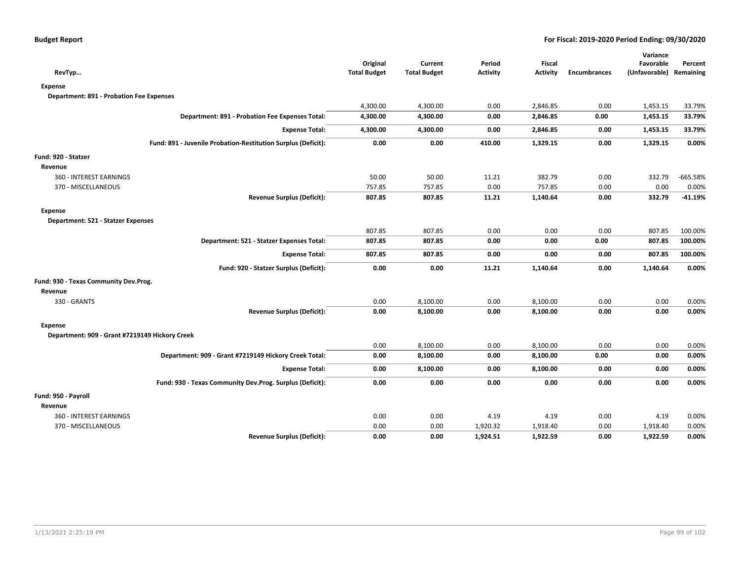|                                                               |                                 |                                |                           |                                  |                     | Variance                             |            |
|---------------------------------------------------------------|---------------------------------|--------------------------------|---------------------------|----------------------------------|---------------------|--------------------------------------|------------|
| RevTyp                                                        | Original<br><b>Total Budget</b> | Current<br><b>Total Budget</b> | Period<br><b>Activity</b> | <b>Fiscal</b><br><b>Activity</b> | <b>Encumbrances</b> | Favorable<br>(Unfavorable) Remaining | Percent    |
| <b>Expense</b>                                                |                                 |                                |                           |                                  |                     |                                      |            |
| Department: 891 - Probation Fee Expenses                      |                                 |                                |                           |                                  |                     |                                      |            |
|                                                               | 4,300.00                        | 4,300.00                       | 0.00                      | 2,846.85                         | 0.00                | 1,453.15                             | 33.79%     |
| Department: 891 - Probation Fee Expenses Total:               | 4,300.00                        | 4,300.00                       | 0.00                      | 2,846.85                         | 0.00                | 1,453.15                             | 33.79%     |
| <b>Expense Total:</b>                                         | 4,300.00                        | 4,300.00                       | 0.00                      | 2,846.85                         | 0.00                | 1,453.15                             | 33.79%     |
| Fund: 891 - Juvenile Probation-Restitution Surplus (Deficit): | 0.00                            | 0.00                           | 410.00                    | 1,329.15                         | 0.00                | 1,329.15                             | 0.00%      |
| Fund: 920 - Statzer                                           |                                 |                                |                           |                                  |                     |                                      |            |
| Revenue                                                       |                                 |                                |                           |                                  |                     |                                      |            |
| 360 - INTEREST EARNINGS                                       | 50.00                           | 50.00                          | 11.21                     | 382.79                           | 0.00                | 332.79                               | $-665.58%$ |
| 370 - MISCELLANEOUS                                           | 757.85                          | 757.85                         | 0.00                      | 757.85                           | 0.00                | 0.00                                 | 0.00%      |
| <b>Revenue Surplus (Deficit):</b>                             | 807.85                          | 807.85                         | 11.21                     | 1,140.64                         | 0.00                | 332.79                               | $-41.19%$  |
| <b>Expense</b>                                                |                                 |                                |                           |                                  |                     |                                      |            |
| Department: 521 - Statzer Expenses                            |                                 |                                |                           |                                  |                     |                                      |            |
|                                                               | 807.85                          | 807.85                         | 0.00                      | 0.00                             | 0.00                | 807.85                               | 100.00%    |
| Department: 521 - Statzer Expenses Total:                     | 807.85                          | 807.85                         | 0.00                      | 0.00                             | 0.00                | 807.85                               | 100.00%    |
| <b>Expense Total:</b>                                         | 807.85                          | 807.85                         | 0.00                      | 0.00                             | 0.00                | 807.85                               | 100.00%    |
| Fund: 920 - Statzer Surplus (Deficit):                        | 0.00                            | 0.00                           | 11.21                     | 1,140.64                         | 0.00                | 1,140.64                             | 0.00%      |
| Fund: 930 - Texas Community Dev.Prog.                         |                                 |                                |                           |                                  |                     |                                      |            |
| Revenue                                                       |                                 |                                |                           |                                  |                     |                                      |            |
| 330 - GRANTS                                                  | 0.00                            | 8,100.00                       | 0.00                      | 8,100.00                         | 0.00                | 0.00                                 | 0.00%      |
| <b>Revenue Surplus (Deficit):</b>                             | 0.00                            | 8,100.00                       | 0.00                      | 8,100.00                         | 0.00                | 0.00                                 | 0.00%      |
| <b>Expense</b>                                                |                                 |                                |                           |                                  |                     |                                      |            |
| Department: 909 - Grant #7219149 Hickory Creek                |                                 |                                |                           |                                  |                     |                                      |            |
|                                                               | 0.00                            | 8,100.00                       | 0.00                      | 8,100.00                         | 0.00                | 0.00                                 | 0.00%      |
| Department: 909 - Grant #7219149 Hickory Creek Total:         | 0.00                            | 8,100.00                       | 0.00                      | 8,100.00                         | 0.00                | 0.00                                 | 0.00%      |
| <b>Expense Total:</b>                                         | 0.00                            | 8,100.00                       | 0.00                      | 8,100.00                         | 0.00                | 0.00                                 | 0.00%      |
| Fund: 930 - Texas Community Dev.Prog. Surplus (Deficit):      | 0.00                            | 0.00                           | 0.00                      | 0.00                             | 0.00                | 0.00                                 | 0.00%      |
| Fund: 950 - Payroll                                           |                                 |                                |                           |                                  |                     |                                      |            |
| Revenue                                                       |                                 |                                |                           |                                  |                     |                                      |            |
| 360 - INTEREST EARNINGS                                       | 0.00                            | 0.00                           | 4.19                      | 4.19                             | 0.00                | 4.19                                 | 0.00%      |
| 370 - MISCELLANEOUS                                           | 0.00                            | 0.00                           | 1,920.32                  | 1,918.40                         | 0.00                | 1,918.40                             | 0.00%      |
| <b>Revenue Surplus (Deficit):</b>                             | 0.00                            | 0.00                           | 1,924.51                  | 1,922.59                         | 0.00                | 1,922.59                             | 0.00%      |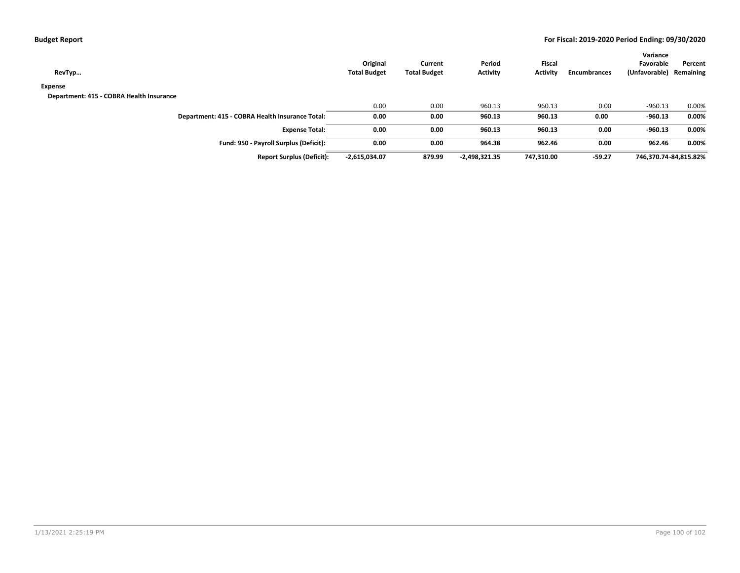| RevTyp                                   |                                                 | Original<br><b>Total Budget</b> | Current<br><b>Total Budget</b> | Period<br><b>Activity</b> | Fiscal<br><b>Activity</b> | Encumbrances | Variance<br>Favorable<br>(Unfavorable) Remaining | Percent               |
|------------------------------------------|-------------------------------------------------|---------------------------------|--------------------------------|---------------------------|---------------------------|--------------|--------------------------------------------------|-----------------------|
| Expense                                  |                                                 |                                 |                                |                           |                           |              |                                                  |                       |
| Department: 415 - COBRA Health Insurance |                                                 |                                 |                                |                           |                           |              |                                                  |                       |
|                                          |                                                 | 0.00                            | 0.00                           | 960.13                    | 960.13                    | 0.00         | $-960.13$                                        | 0.00%                 |
|                                          | Department: 415 - COBRA Health Insurance Total: | 0.00                            | 0.00                           | 960.13                    | 960.13                    | 0.00         | $-960.13$                                        | 0.00%                 |
|                                          | <b>Expense Total:</b>                           | 0.00                            | 0.00                           | 960.13                    | 960.13                    | 0.00         | $-960.13$                                        | 0.00%                 |
|                                          | Fund: 950 - Payroll Surplus (Deficit):          | 0.00                            | 0.00                           | 964.38                    | 962.46                    | 0.00         | 962.46                                           | 0.00%                 |
|                                          | <b>Report Surplus (Deficit):</b>                | $-2,615,034.07$                 | 879.99                         | $-2,498,321.35$           | 747,310.00                | $-59.27$     |                                                  | 746,370.74-84,815.82% |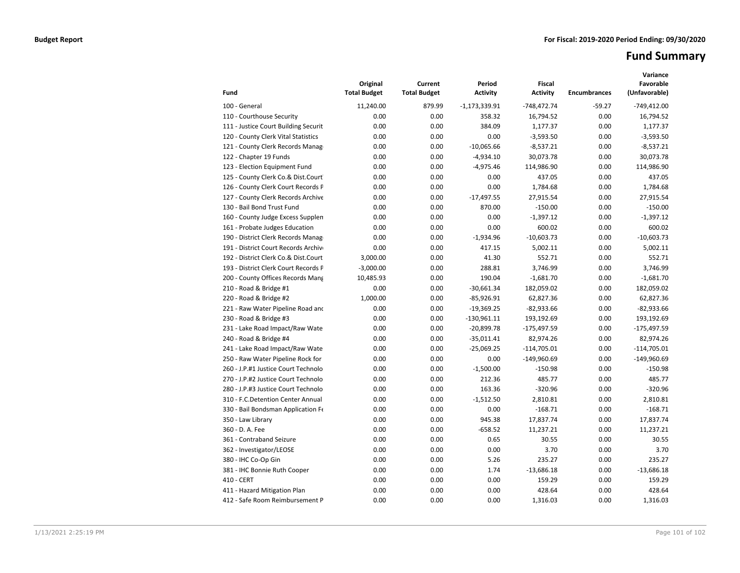# **Fund Summary**

| Fund                                 | Original<br><b>Total Budget</b> | Current<br><b>Total Budget</b> | Period<br><b>Activity</b> | <b>Fiscal</b><br><b>Activity</b> | <b>Encumbrances</b> | Variance<br>Favorable<br>(Unfavorable) |
|--------------------------------------|---------------------------------|--------------------------------|---------------------------|----------------------------------|---------------------|----------------------------------------|
| 100 - General                        | 11,240.00                       | 879.99                         | $-1,173,339.91$           | $-748,472.74$                    | $-59.27$            | $-749,412.00$                          |
| 110 - Courthouse Security            | 0.00                            | 0.00                           | 358.32                    | 16,794.52                        | 0.00                | 16,794.52                              |
| 111 - Justice Court Building Securit | 0.00                            | 0.00                           | 384.09                    | 1,177.37                         | 0.00                | 1,177.37                               |
| 120 - County Clerk Vital Statistics  | 0.00                            | 0.00                           | 0.00                      | $-3,593.50$                      | 0.00                | $-3,593.50$                            |
| 121 - County Clerk Records Manage    | 0.00                            | 0.00                           | $-10,065.66$              | $-8,537.21$                      | 0.00                | $-8,537.21$                            |
| 122 - Chapter 19 Funds               | 0.00                            | 0.00                           | $-4,934.10$               | 30,073.78                        | 0.00                | 30,073.78                              |
| 123 - Election Equipment Fund        | 0.00                            | 0.00                           | $-4,975.46$               | 114,986.90                       | 0.00                | 114,986.90                             |
| 125 - County Clerk Co.& Dist.Court   | 0.00                            | 0.00                           | 0.00                      | 437.05                           | 0.00                | 437.05                                 |
| 126 - County Clerk Court Records P   | 0.00                            | 0.00                           | 0.00                      | 1,784.68                         | 0.00                | 1,784.68                               |
| 127 - County Clerk Records Archive   | 0.00                            | 0.00                           | $-17,497.55$              | 27,915.54                        | 0.00                | 27,915.54                              |
| 130 - Bail Bond Trust Fund           | 0.00                            | 0.00                           | 870.00                    | $-150.00$                        | 0.00                | $-150.00$                              |
| 160 - County Judge Excess Supplen    | 0.00                            | 0.00                           | 0.00                      | $-1,397.12$                      | 0.00                | $-1,397.12$                            |
| 161 - Probate Judges Education       | 0.00                            | 0.00                           | 0.00                      | 600.02                           | 0.00                | 600.02                                 |
| 190 - District Clerk Records Manag   | 0.00                            | 0.00                           | $-1,934.96$               | $-10,603.73$                     | 0.00                | $-10,603.73$                           |
| 191 - District Court Records Archive | 0.00                            | 0.00                           | 417.15                    | 5,002.11                         | 0.00                | 5,002.11                               |
| 192 - District Clerk Co.& Dist.Court | 3,000.00                        | 0.00                           | 41.30                     | 552.71                           | 0.00                | 552.71                                 |
| 193 - District Clerk Court Records F | $-3,000.00$                     | 0.00                           | 288.81                    | 3,746.99                         | 0.00                | 3,746.99                               |
| 200 - County Offices Records Mang    | 10,485.93                       | 0.00                           | 190.04                    | $-1,681.70$                      | 0.00                | $-1,681.70$                            |
| 210 - Road & Bridge #1               | 0.00                            | 0.00                           | $-30,661.34$              | 182,059.02                       | 0.00                | 182,059.02                             |
| 220 - Road & Bridge #2               | 1,000.00                        | 0.00                           | $-85,926.91$              | 62,827.36                        | 0.00                | 62,827.36                              |
| 221 - Raw Water Pipeline Road and    | 0.00                            | 0.00                           | $-19,369.25$              | $-82,933.66$                     | 0.00                | $-82,933.66$                           |
| 230 - Road & Bridge #3               | 0.00                            | 0.00                           | $-130,961.11$             | 193,192.69                       | 0.00                | 193,192.69                             |
| 231 - Lake Road Impact/Raw Wate      | 0.00                            | 0.00                           | $-20,899.78$              | $-175,497.59$                    | 0.00                | $-175,497.59$                          |
| 240 - Road & Bridge #4               | 0.00                            | 0.00                           | $-35,011.41$              | 82,974.26                        | 0.00                | 82,974.26                              |
| 241 - Lake Road Impact/Raw Wate      | 0.00                            | 0.00                           | $-25,069.25$              | $-114,705.01$                    | 0.00                | $-114,705.01$                          |
| 250 - Raw Water Pipeline Rock for    | 0.00                            | 0.00                           | 0.00                      | $-149,960.69$                    | 0.00                | $-149,960.69$                          |
| 260 - J.P.#1 Justice Court Technolo  | 0.00                            | 0.00                           | $-1,500.00$               | $-150.98$                        | 0.00                | $-150.98$                              |
| 270 - J.P.#2 Justice Court Technolo  | 0.00                            | 0.00                           | 212.36                    | 485.77                           | 0.00                | 485.77                                 |
| 280 - J.P.#3 Justice Court Technolo  | 0.00                            | 0.00                           | 163.36                    | $-320.96$                        | 0.00                | $-320.96$                              |
| 310 - F.C.Detention Center Annual    | 0.00                            | 0.00                           | $-1,512.50$               | 2,810.81                         | 0.00                | 2,810.81                               |
| 330 - Bail Bondsman Application Fe   | 0.00                            | 0.00                           | 0.00                      | $-168.71$                        | 0.00                | $-168.71$                              |
| 350 - Law Library                    | 0.00                            | 0.00                           | 945.38                    | 17,837.74                        | 0.00                | 17,837.74                              |
| 360 - D. A. Fee                      | 0.00                            | 0.00                           | $-658.52$                 | 11,237.21                        | 0.00                | 11,237.21                              |
| 361 - Contraband Seizure             | 0.00                            | 0.00                           | 0.65                      | 30.55                            | 0.00                | 30.55                                  |
| 362 - Investigator/LEOSE             | 0.00                            | 0.00                           | 0.00                      | 3.70                             | 0.00                | 3.70                                   |
| 380 - IHC Co-Op Gin                  | 0.00                            | 0.00                           | 5.26                      | 235.27                           | 0.00                | 235.27                                 |
| 381 - IHC Bonnie Ruth Cooper         | 0.00                            | 0.00                           | 1.74                      | $-13,686.18$                     | 0.00                | $-13,686.18$                           |
| 410 - CERT                           | 0.00                            | 0.00                           | 0.00                      | 159.29                           | 0.00                | 159.29                                 |
| 411 - Hazard Mitigation Plan         | 0.00                            | 0.00                           | 0.00                      | 428.64                           | 0.00                | 428.64                                 |
| 412 - Safe Room Reimbursement P      | 0.00                            | 0.00                           | 0.00                      | 1,316.03                         | 0.00                | 1,316.03                               |